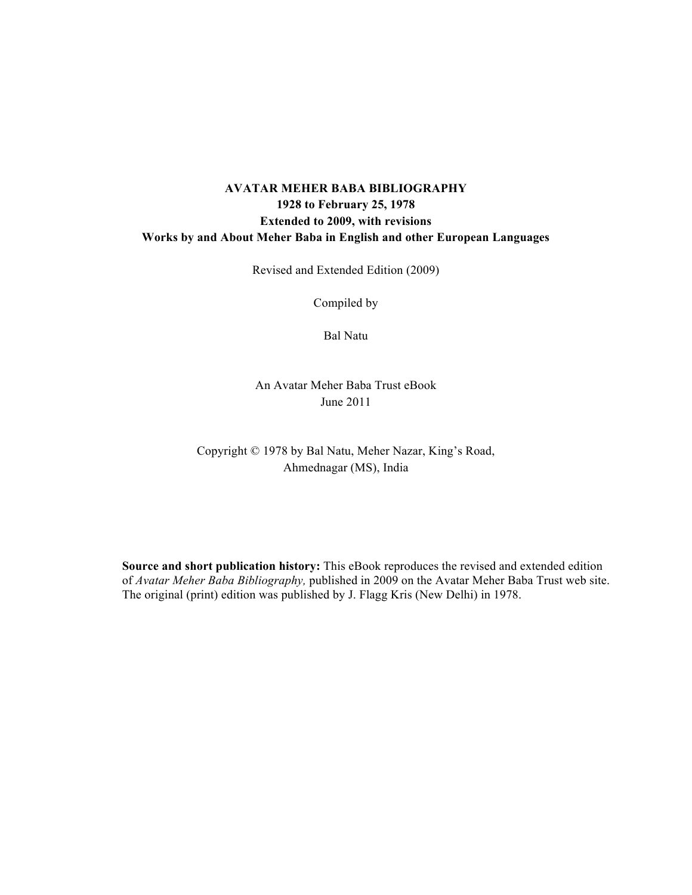# **AVATAR MEHER BABA BIBLIOGRAPHY 1928 to February 25, 1978 Extended to 2009, with revisions Works by and About Meher Baba in English and other European Languages**

Revised and Extended Edition (2009)

Compiled by

Bal Natu

An Avatar Meher Baba Trust eBook June 2011

Copyright © 1978 by Bal Natu, Meher Nazar, King's Road, Ahmednagar (MS), India

**Source and short publication history:** This eBook reproduces the revised and extended edition of *Avatar Meher Baba Bibliography,* published in 2009 on the Avatar Meher Baba Trust web site. The original (print) edition was published by J. Flagg Kris (New Delhi) in 1978.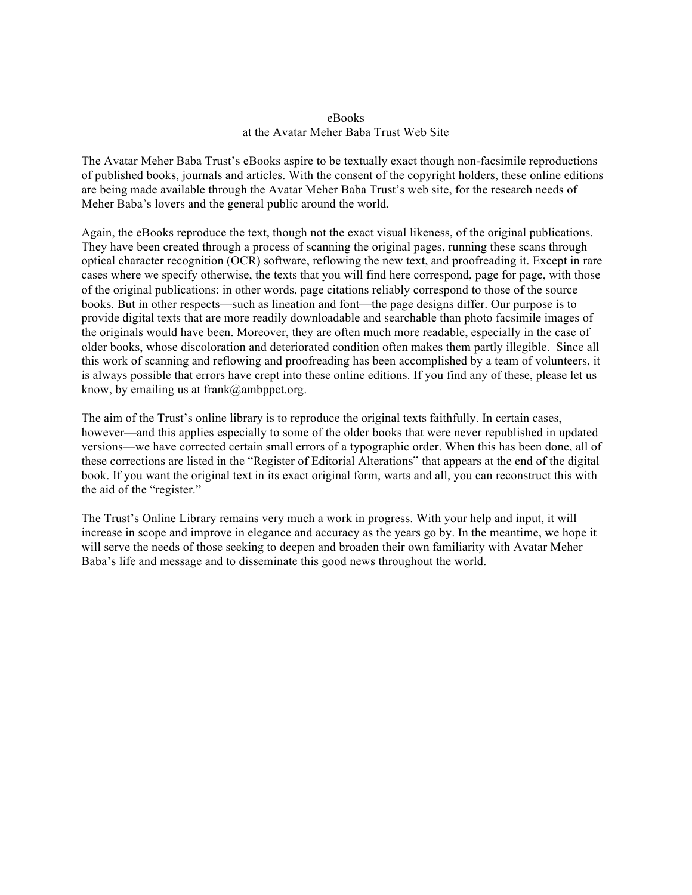#### eBooks at the Avatar Meher Baba Trust Web Site

The Avatar Meher Baba Trust's eBooks aspire to be textually exact though non-facsimile reproductions of published books, journals and articles. With the consent of the copyright holders, these online editions are being made available through the Avatar Meher Baba Trust's web site, for the research needs of Meher Baba's lovers and the general public around the world.

Again, the eBooks reproduce the text, though not the exact visual likeness, of the original publications. They have been created through a process of scanning the original pages, running these scans through optical character recognition (OCR) software, reflowing the new text, and proofreading it. Except in rare cases where we specify otherwise, the texts that you will find here correspond, page for page, with those of the original publications: in other words, page citations reliably correspond to those of the source books. But in other respects—such as lineation and font—the page designs differ. Our purpose is to provide digital texts that are more readily downloadable and searchable than photo facsimile images of the originals would have been. Moreover, they are often much more readable, especially in the case of older books, whose discoloration and deteriorated condition often makes them partly illegible. Since all this work of scanning and reflowing and proofreading has been accomplished by a team of volunteers, it is always possible that errors have crept into these online editions. If you find any of these, please let us know, by emailing us at frank@ambppct.org.

The aim of the Trust's online library is to reproduce the original texts faithfully. In certain cases, however—and this applies especially to some of the older books that were never republished in updated versions—we have corrected certain small errors of a typographic order. When this has been done, all of these corrections are listed in the "Register of Editorial Alterations" that appears at the end of the digital book. If you want the original text in its exact original form, warts and all, you can reconstruct this with the aid of the "register."

The Trust's Online Library remains very much a work in progress. With your help and input, it will increase in scope and improve in elegance and accuracy as the years go by. In the meantime, we hope it will serve the needs of those seeking to deepen and broaden their own familiarity with Avatar Meher Baba's life and message and to disseminate this good news throughout the world.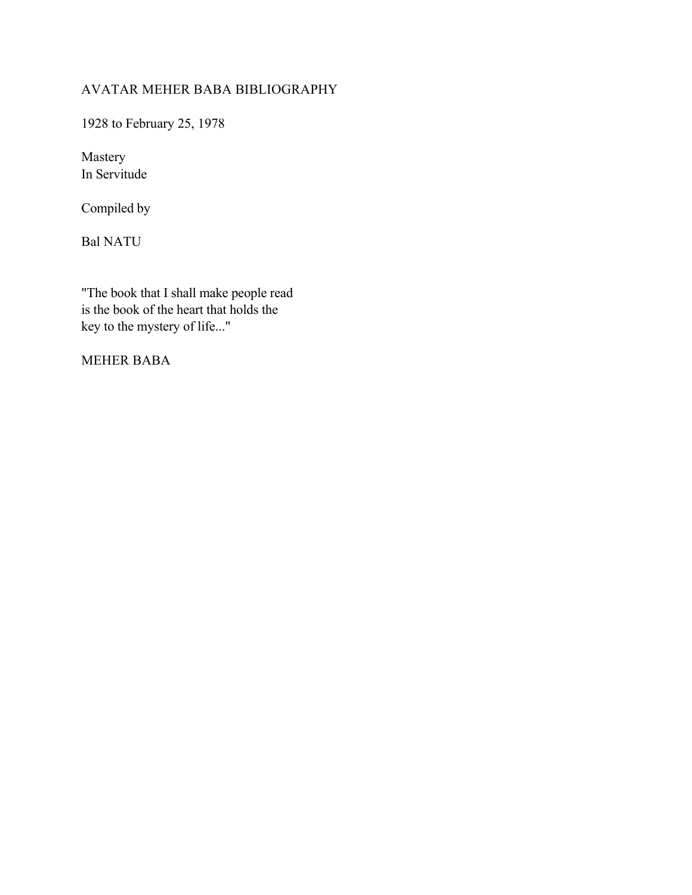# AVATAR MEHER BABA BIBLIOGRAPHY

1928 to February 25, 1978

Mastery In Servitude

Compiled by

Bal NATU

"The book that I shall make people read is the book of the heart that holds the key to the mystery of life..."

MEHER BABA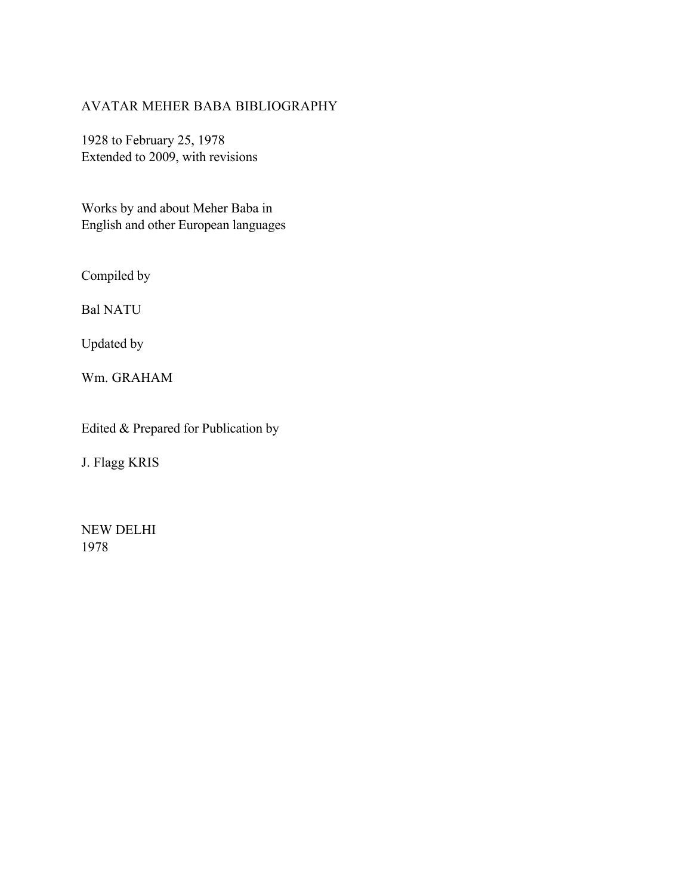# AVATAR MEHER BABA BIBLIOGRAPHY

1928 to February 25, 1978 Extended to 2009, with revisions

Works by and about Meher Baba in English and other European languages

Compiled by

Bal NATU

Updated by

Wm. GRAHAM

Edited & Prepared for Publication by

J. Flagg KRIS

NEW DELHI 1978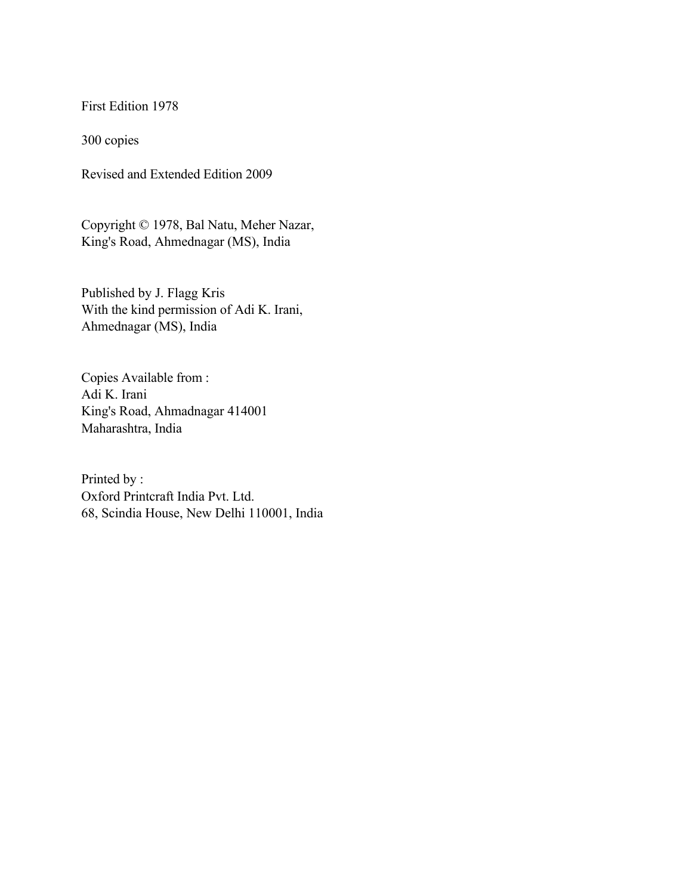First Edition 1978

300 copies

Revised and Extended Edition 2009

Copyright © 1978, Bal Natu, Meher Nazar, King's Road, Ahmednagar (MS), India

Published by J. Flagg Kris With the kind permission of Adi K. Irani, Ahmednagar (MS), India

Copies Available from : Adi K. Irani King's Road, Ahmadnagar 414001 Maharashtra, India

Printed by : Oxford Printcraft India Pvt. Ltd. 68, Scindia House, New Delhi 110001, India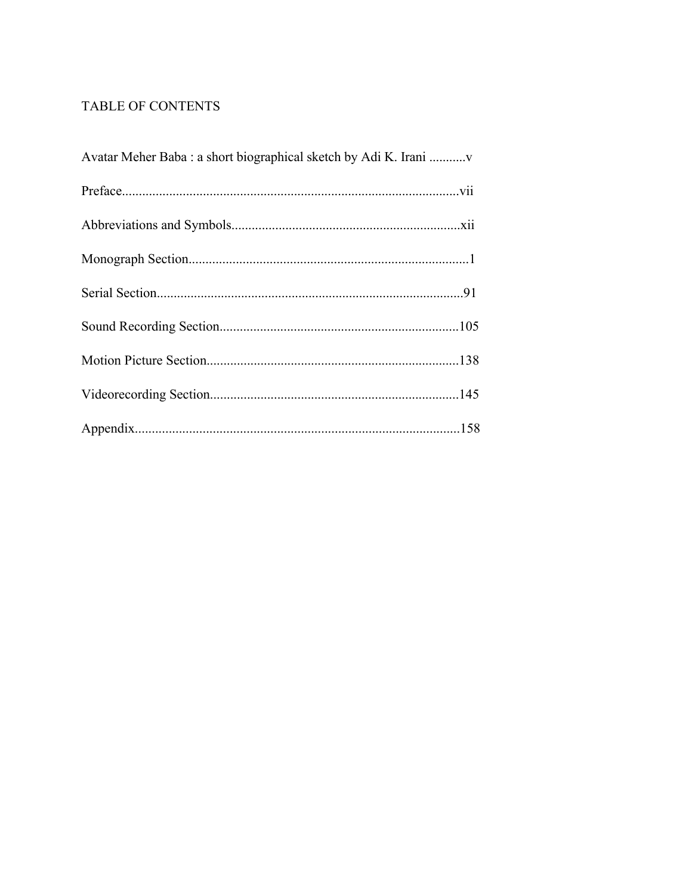# TABLE OF CONTENTS

| Avatar Meher Baba : a short biographical sketch by Adi K. Irani |  |
|-----------------------------------------------------------------|--|
|                                                                 |  |
|                                                                 |  |
|                                                                 |  |
|                                                                 |  |
|                                                                 |  |
|                                                                 |  |
|                                                                 |  |
|                                                                 |  |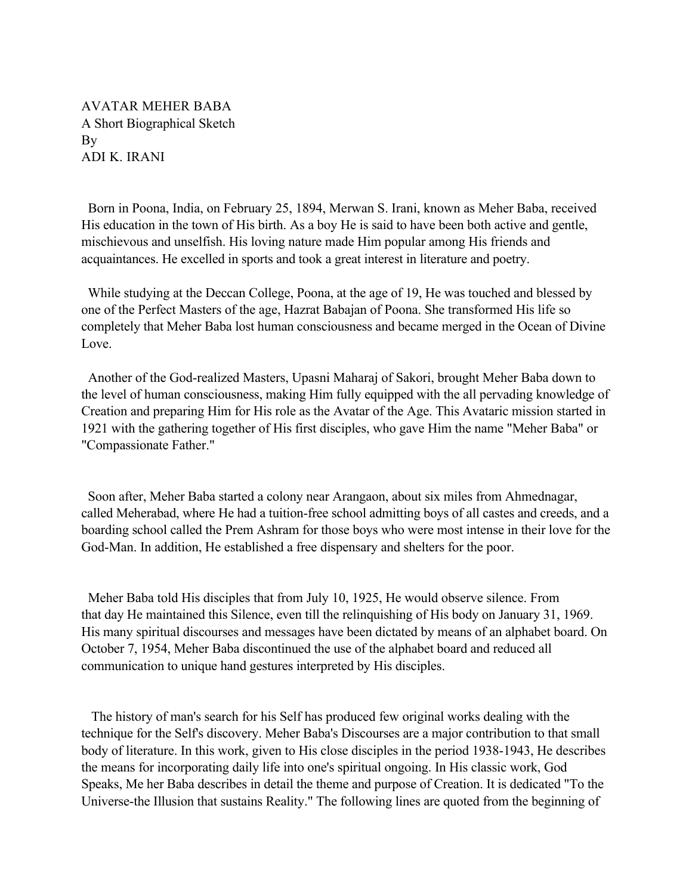AVATAR MEHER BABA A Short Biographical Sketch By ADI K. IRANI

 Born in Poona, India, on February 25, 1894, Merwan S. Irani, known as Meher Baba, received His education in the town of His birth. As a boy He is said to have been both active and gentle, mischievous and unselfish. His loving nature made Him popular among His friends and acquaintances. He excelled in sports and took a great interest in literature and poetry.

 While studying at the Deccan College, Poona, at the age of 19, He was touched and blessed by one of the Perfect Masters of the age, Hazrat Babajan of Poona. She transformed His life so completely that Meher Baba lost human consciousness and became merged in the Ocean of Divine Love.

 Another of the God-realized Masters, Upasni Maharaj of Sakori, brought Meher Baba down to the level of human consciousness, making Him fully equipped with the all pervading knowledge of Creation and preparing Him for His role as the Avatar of the Age. This Avataric mission started in 1921 with the gathering together of His first disciples, who gave Him the name "Meher Baba" or "Compassionate Father."

 Soon after, Meher Baba started a colony near Arangaon, about six miles from Ahmednagar, called Meherabad, where He had a tuition-free school admitting boys of all castes and creeds, and a boarding school called the Prem Ashram for those boys who were most intense in their love for the God-Man. In addition, He established a free dispensary and shelters for the poor.

 Meher Baba told His disciples that from July 10, 1925, He would observe silence. From that day He maintained this Silence, even till the relinquishing of His body on January 31, 1969. His many spiritual discourses and messages have been dictated by means of an alphabet board. On October 7, 1954, Meher Baba discontinued the use of the alphabet board and reduced all communication to unique hand gestures interpreted by His disciples.

 The history of man's search for his Self has produced few original works dealing with the technique for the Self's discovery. Meher Baba's Discourses are a major contribution to that small body of literature. In this work, given to His close disciples in the period 1938-1943, He describes the means for incorporating daily life into one's spiritual ongoing. In His classic work, God Speaks, Me her Baba describes in detail the theme and purpose of Creation. It is dedicated "To the Universe-the Illusion that sustains Reality." The following lines are quoted from the beginning of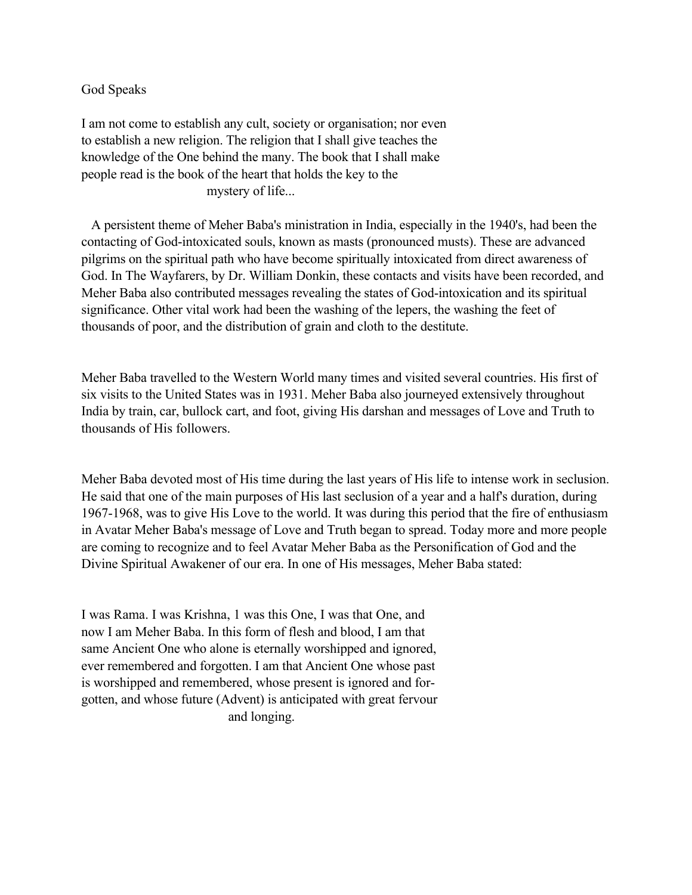## God Speaks

I am not come to establish any cult, society or organisation; nor even to establish a new religion. The religion that I shall give teaches the knowledge of the One behind the many. The book that I shall make people read is the book of the heart that holds the key to the mystery of life...

 A persistent theme of Meher Baba's ministration in India, especially in the 1940's, had been the contacting of God-intoxicated souls, known as masts (pronounced musts). These are advanced pilgrims on the spiritual path who have become spiritually intoxicated from direct awareness of God. In The Wayfarers, by Dr. William Donkin, these contacts and visits have been recorded, and Meher Baba also contributed messages revealing the states of God-intoxication and its spiritual significance. Other vital work had been the washing of the lepers, the washing the feet of thousands of poor, and the distribution of grain and cloth to the destitute.

Meher Baba travelled to the Western World many times and visited several countries. His first of six visits to the United States was in 1931. Meher Baba also journeyed extensively throughout India by train, car, bullock cart, and foot, giving His darshan and messages of Love and Truth to thousands of His followers.

Meher Baba devoted most of His time during the last years of His life to intense work in seclusion. He said that one of the main purposes of His last seclusion of a year and a half's duration, during 1967-1968, was to give His Love to the world. It was during this period that the fire of enthusiasm in Avatar Meher Baba's message of Love and Truth began to spread. Today more and more people are coming to recognize and to feel Avatar Meher Baba as the Personification of God and the Divine Spiritual Awakener of our era. In one of His messages, Meher Baba stated:

I was Rama. I was Krishna, 1 was this One, I was that One, and now I am Meher Baba. In this form of flesh and blood, I am that same Ancient One who alone is eternally worshipped and ignored, ever remembered and forgotten. I am that Ancient One whose past is worshipped and remembered, whose present is ignored and forgotten, and whose future (Advent) is anticipated with great fervour and longing.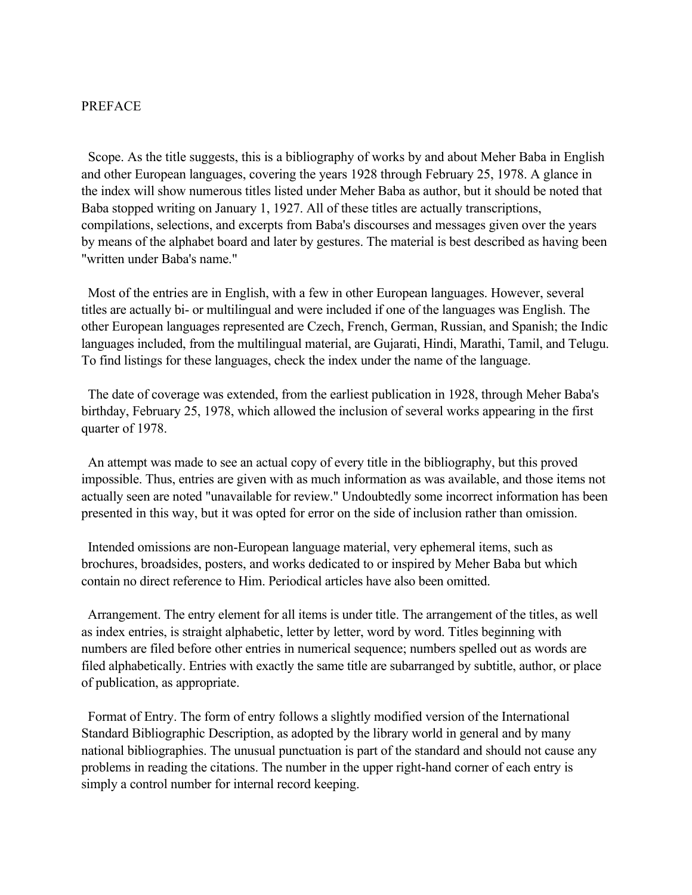# PREFACE

 Scope. As the title suggests, this is a bibliography of works by and about Meher Baba in English and other European languages, covering the years 1928 through February 25, 1978. A glance in the index will show numerous titles listed under Meher Baba as author, but it should be noted that Baba stopped writing on January 1, 1927. All of these titles are actually transcriptions, compilations, selections, and excerpts from Baba's discourses and messages given over the years by means of the alphabet board and later by gestures. The material is best described as having been "written under Baba's name."

 Most of the entries are in English, with a few in other European languages. However, several titles are actually bi- or multilingual and were included if one of the languages was English. The other European languages represented are Czech, French, German, Russian, and Spanish; the Indic languages included, from the multilingual material, are Gujarati, Hindi, Marathi, Tamil, and Telugu. To find listings for these languages, check the index under the name of the language.

 The date of coverage was extended, from the earliest publication in 1928, through Meher Baba's birthday, February 25, 1978, which allowed the inclusion of several works appearing in the first quarter of 1978.

 An attempt was made to see an actual copy of every title in the bibliography, but this proved impossible. Thus, entries are given with as much information as was available, and those items not actually seen are noted "unavailable for review." Undoubtedly some incorrect information has been presented in this way, but it was opted for error on the side of inclusion rather than omission.

 Intended omissions are non-European language material, very ephemeral items, such as brochures, broadsides, posters, and works dedicated to or inspired by Meher Baba but which contain no direct reference to Him. Periodical articles have also been omitted.

 Arrangement. The entry element for all items is under title. The arrangement of the titles, as well as index entries, is straight alphabetic, letter by letter, word by word. Titles beginning with numbers are filed before other entries in numerical sequence; numbers spelled out as words are filed alphabetically. Entries with exactly the same title are subarranged by subtitle, author, or place of publication, as appropriate.

 Format of Entry. The form of entry follows a slightly modified version of the International Standard Bibliographic Description, as adopted by the library world in general and by many national bibliographies. The unusual punctuation is part of the standard and should not cause any problems in reading the citations. The number in the upper right-hand corner of each entry is simply a control number for internal record keeping.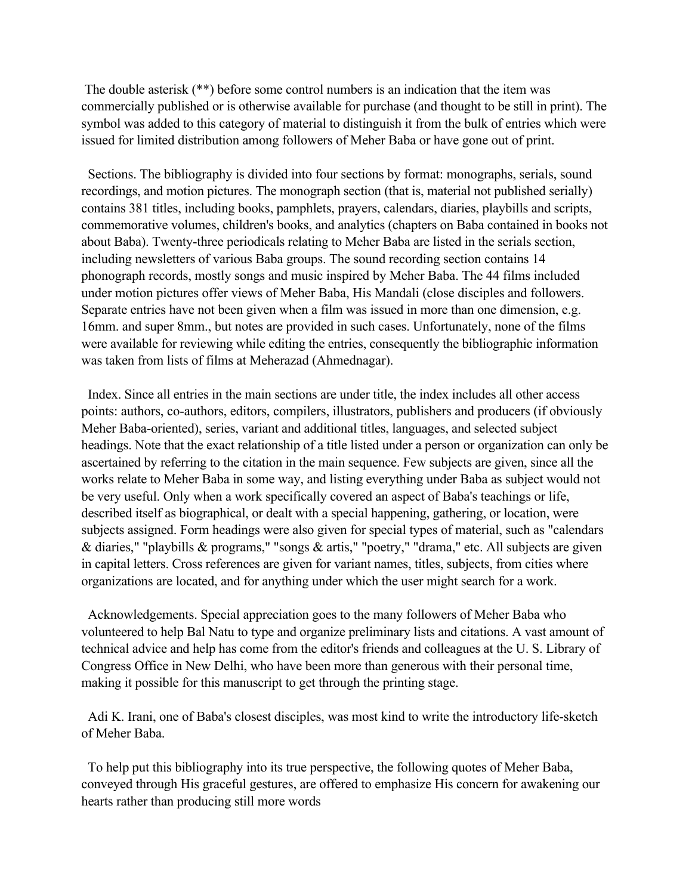The double asterisk (\*\*) before some control numbers is an indication that the item was commercially published or is otherwise available for purchase (and thought to be still in print). The symbol was added to this category of material to distinguish it from the bulk of entries which were issued for limited distribution among followers of Meher Baba or have gone out of print.

 Sections. The bibliography is divided into four sections by format: monographs, serials, sound recordings, and motion pictures. The monograph section (that is, material not published serially) contains 381 titles, including books, pamphlets, prayers, calendars, diaries, playbills and scripts, commemorative volumes, children's books, and analytics (chapters on Baba contained in books not about Baba). Twenty-three periodicals relating to Meher Baba are listed in the serials section, including newsletters of various Baba groups. The sound recording section contains 14 phonograph records, mostly songs and music inspired by Meher Baba. The 44 films included under motion pictures offer views of Meher Baba, His Mandali (close disciples and followers. Separate entries have not been given when a film was issued in more than one dimension, e.g. 16mm. and super 8mm., but notes are provided in such cases. Unfortunately, none of the films were available for reviewing while editing the entries, consequently the bibliographic information was taken from lists of films at Meherazad (Ahmednagar).

 Index. Since all entries in the main sections are under title, the index includes all other access points: authors, co-authors, editors, compilers, illustrators, publishers and producers (if obviously Meher Baba-oriented), series, variant and additional titles, languages, and selected subject headings. Note that the exact relationship of a title listed under a person or organization can only be ascertained by referring to the citation in the main sequence. Few subjects are given, since all the works relate to Meher Baba in some way, and listing everything under Baba as subject would not be very useful. Only when a work specifically covered an aspect of Baba's teachings or life, described itself as biographical, or dealt with a special happening, gathering, or location, were subjects assigned. Form headings were also given for special types of material, such as "calendars & diaries," "playbills & programs," "songs & artis," "poetry," "drama," etc. All subjects are given in capital letters. Cross references are given for variant names, titles, subjects, from cities where organizations are located, and for anything under which the user might search for a work.

 Acknowledgements. Special appreciation goes to the many followers of Meher Baba who volunteered to help Bal Natu to type and organize preliminary lists and citations. A vast amount of technical advice and help has come from the editor's friends and colleagues at the U. S. Library of Congress Office in New Delhi, who have been more than generous with their personal time, making it possible for this manuscript to get through the printing stage.

 Adi K. Irani, one of Baba's closest disciples, was most kind to write the introductory life-sketch of Meher Baba.

 To help put this bibliography into its true perspective, the following quotes of Meher Baba, conveyed through His graceful gestures, are offered to emphasize His concern for awakening our hearts rather than producing still more words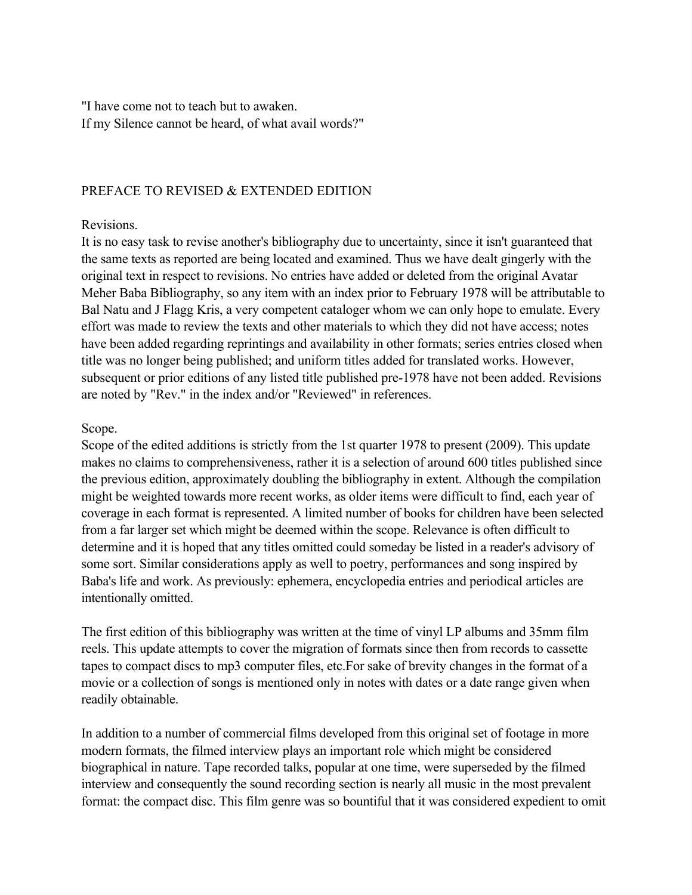"I have come not to teach but to awaken. If my Silence cannot be heard, of what avail words?"

# PREFACE TO REVISED & EXTENDED EDITION

# Revisions.

It is no easy task to revise another's bibliography due to uncertainty, since it isn't guaranteed that the same texts as reported are being located and examined. Thus we have dealt gingerly with the original text in respect to revisions. No entries have added or deleted from the original Avatar Meher Baba Bibliography, so any item with an index prior to February 1978 will be attributable to Bal Natu and J Flagg Kris, a very competent cataloger whom we can only hope to emulate. Every effort was made to review the texts and other materials to which they did not have access; notes have been added regarding reprintings and availability in other formats; series entries closed when title was no longer being published; and uniform titles added for translated works. However, subsequent or prior editions of any listed title published pre-1978 have not been added. Revisions are noted by "Rev." in the index and/or "Reviewed" in references.

# Scope.

Scope of the edited additions is strictly from the 1st quarter 1978 to present (2009). This update makes no claims to comprehensiveness, rather it is a selection of around 600 titles published since the previous edition, approximately doubling the bibliography in extent. Although the compilation might be weighted towards more recent works, as older items were difficult to find, each year of coverage in each format is represented. A limited number of books for children have been selected from a far larger set which might be deemed within the scope. Relevance is often difficult to determine and it is hoped that any titles omitted could someday be listed in a reader's advisory of some sort. Similar considerations apply as well to poetry, performances and song inspired by Baba's life and work. As previously: ephemera, encyclopedia entries and periodical articles are intentionally omitted.

The first edition of this bibliography was written at the time of vinyl LP albums and 35mm film reels. This update attempts to cover the migration of formats since then from records to cassette tapes to compact discs to mp3 computer files, etc.For sake of brevity changes in the format of a movie or a collection of songs is mentioned only in notes with dates or a date range given when readily obtainable.

In addition to a number of commercial films developed from this original set of footage in more modern formats, the filmed interview plays an important role which might be considered biographical in nature. Tape recorded talks, popular at one time, were superseded by the filmed interview and consequently the sound recording section is nearly all music in the most prevalent format: the compact disc. This film genre was so bountiful that it was considered expedient to omit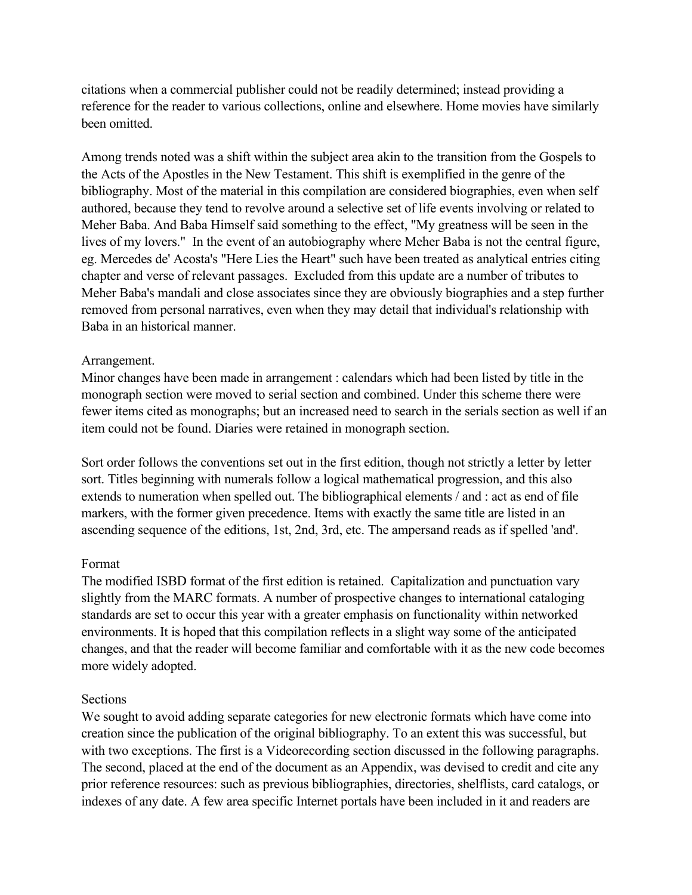citations when a commercial publisher could not be readily determined; instead providing a reference for the reader to various collections, online and elsewhere. Home movies have similarly been omitted.

Among trends noted was a shift within the subject area akin to the transition from the Gospels to the Acts of the Apostles in the New Testament. This shift is exemplified in the genre of the bibliography. Most of the material in this compilation are considered biographies, even when self authored, because they tend to revolve around a selective set of life events involving or related to Meher Baba. And Baba Himself said something to the effect, "My greatness will be seen in the lives of my lovers." In the event of an autobiography where Meher Baba is not the central figure, eg. Mercedes de' Acosta's "Here Lies the Heart" such have been treated as analytical entries citing chapter and verse of relevant passages. Excluded from this update are a number of tributes to Meher Baba's mandali and close associates since they are obviously biographies and a step further removed from personal narratives, even when they may detail that individual's relationship with Baba in an historical manner.

## Arrangement.

Minor changes have been made in arrangement : calendars which had been listed by title in the monograph section were moved to serial section and combined. Under this scheme there were fewer items cited as monographs; but an increased need to search in the serials section as well if an item could not be found. Diaries were retained in monograph section.

Sort order follows the conventions set out in the first edition, though not strictly a letter by letter sort. Titles beginning with numerals follow a logical mathematical progression, and this also extends to numeration when spelled out. The bibliographical elements / and : act as end of file markers, with the former given precedence. Items with exactly the same title are listed in an ascending sequence of the editions, 1st, 2nd, 3rd, etc. The ampersand reads as if spelled 'and'.

## Format

The modified ISBD format of the first edition is retained. Capitalization and punctuation vary slightly from the MARC formats. A number of prospective changes to international cataloging standards are set to occur this year with a greater emphasis on functionality within networked environments. It is hoped that this compilation reflects in a slight way some of the anticipated changes, and that the reader will become familiar and comfortable with it as the new code becomes more widely adopted.

# Sections

We sought to avoid adding separate categories for new electronic formats which have come into creation since the publication of the original bibliography. To an extent this was successful, but with two exceptions. The first is a Videorecording section discussed in the following paragraphs. The second, placed at the end of the document as an Appendix, was devised to credit and cite any prior reference resources: such as previous bibliographies, directories, shelflists, card catalogs, or indexes of any date. A few area specific Internet portals have been included in it and readers are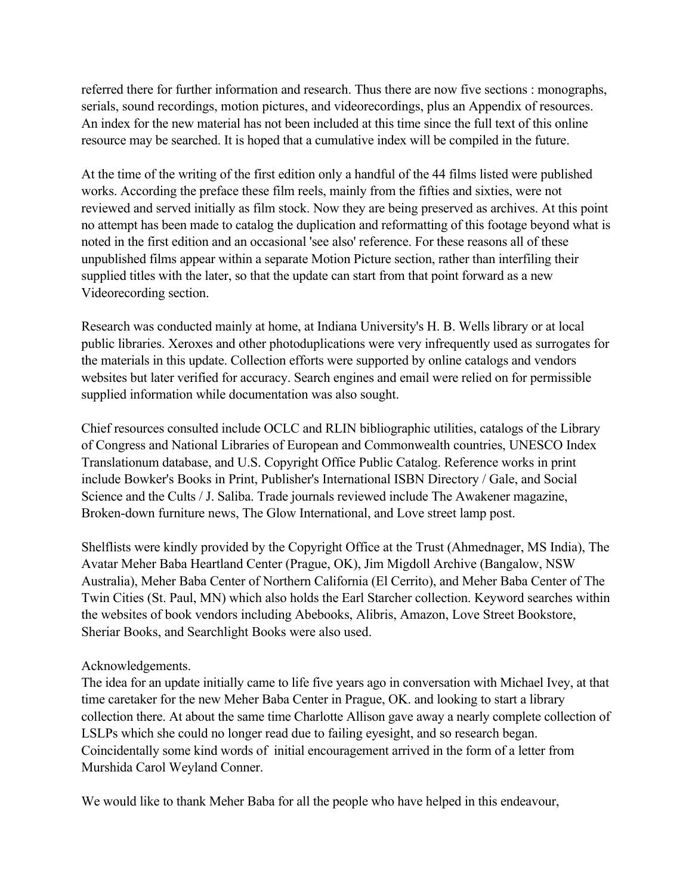referred there for further information and research. Thus there are now five sections : monographs, serials, sound recordings, motion pictures, and videorecordings, plus an Appendix of resources. An index for the new material has not been included at this time since the full text of this online resource may be searched. It is hoped that a cumulative index will be compiled in the future.

At the time of the writing of the first edition only a handful of the 44 films listed were published works. According the preface these film reels, mainly from the fifties and sixties, were not reviewed and served initially as film stock. Now they are being preserved as archives. At this point no attempt has been made to catalog the duplication and reformatting of this footage beyond what is noted in the first edition and an occasional 'see also' reference. For these reasons all of these unpublished films appear within a separate Motion Picture section, rather than interfiling their supplied titles with the later, so that the update can start from that point forward as a new Videorecording section.

Research was conducted mainly at home, at Indiana University's H. B. Wells library or at local public libraries. Xeroxes and other photoduplications were very infrequently used as surrogates for the materials in this update. Collection efforts were supported by online catalogs and vendors websites but later verified for accuracy. Search engines and email were relied on for permissible supplied information while documentation was also sought.

Chief resources consulted include OCLC and RLIN bibliographic utilities, catalogs of the Library of Congress and National Libraries of European and Commonwealth countries, UNESCO Index Translationum database, and U.S. Copyright Office Public Catalog. Reference works in print include Bowker's Books in Print, Publisher's International ISBN Directory / Gale, and Social Science and the Cults / J. Saliba. Trade journals reviewed include The Awakener magazine, Broken-down furniture news, The Glow International, and Love street lamp post.

Shelflists were kindly provided by the Copyright Office at the Trust (Ahmednager, MS India), The Avatar Meher Baba Heartland Center (Prague, OK), Jim Migdoll Archive (Bangalow, NSW Australia), Meher Baba Center of Northern California (El Cerrito), and Meher Baba Center of The Twin Cities (St. Paul, MN) which also holds the Earl Starcher collection. Keyword searches within the websites of book vendors including Abebooks, Alibris, Amazon, Love Street Bookstore, Sheriar Books, and Searchlight Books were also used.

# Acknowledgements.

The idea for an update initially came to life five years ago in conversation with Michael Ivey, at that time caretaker for the new Meher Baba Center in Prague, OK. and looking to start a library collection there. At about the same time Charlotte Allison gave away a nearly complete collection of LSLPs which she could no longer read due to failing eyesight, and so research began. Coincidentally some kind words of initial encouragement arrived in the form of a letter from Murshida Carol Weyland Conner.

We would like to thank Meher Baba for all the people who have helped in this endeavour,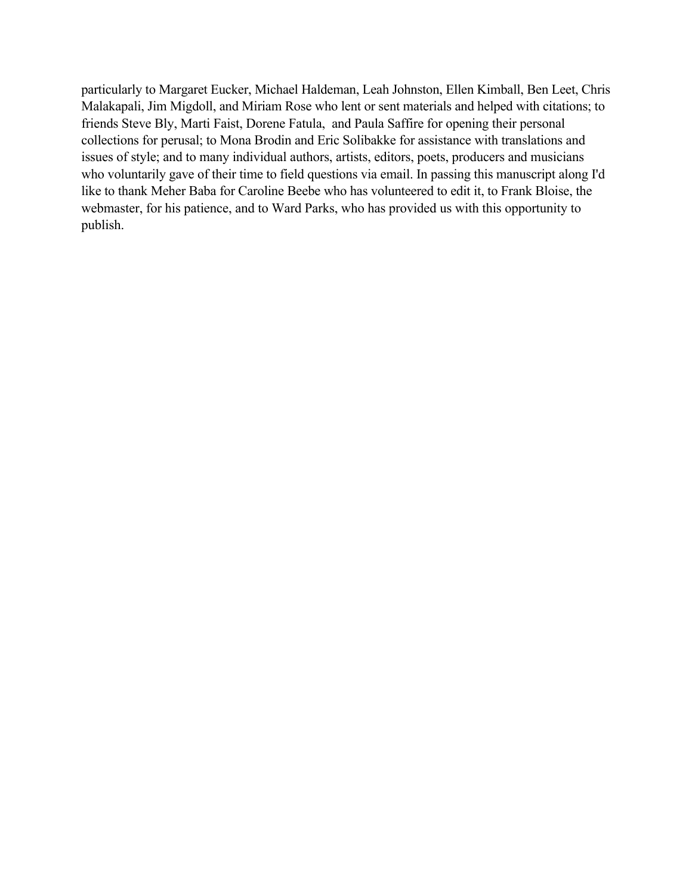particularly to Margaret Eucker, Michael Haldeman, Leah Johnston, Ellen Kimball, Ben Leet, Chris Malakapali, Jim Migdoll, and Miriam Rose who lent or sent materials and helped with citations; to friends Steve Bly, Marti Faist, Dorene Fatula, and Paula Saffire for opening their personal collections for perusal; to Mona Brodin and Eric Solibakke for assistance with translations and issues of style; and to many individual authors, artists, editors, poets, producers and musicians who voluntarily gave of their time to field questions via email. In passing this manuscript along I'd like to thank Meher Baba for Caroline Beebe who has volunteered to edit it, to Frank Bloise, the webmaster, for his patience, and to Ward Parks, who has provided us with this opportunity to publish.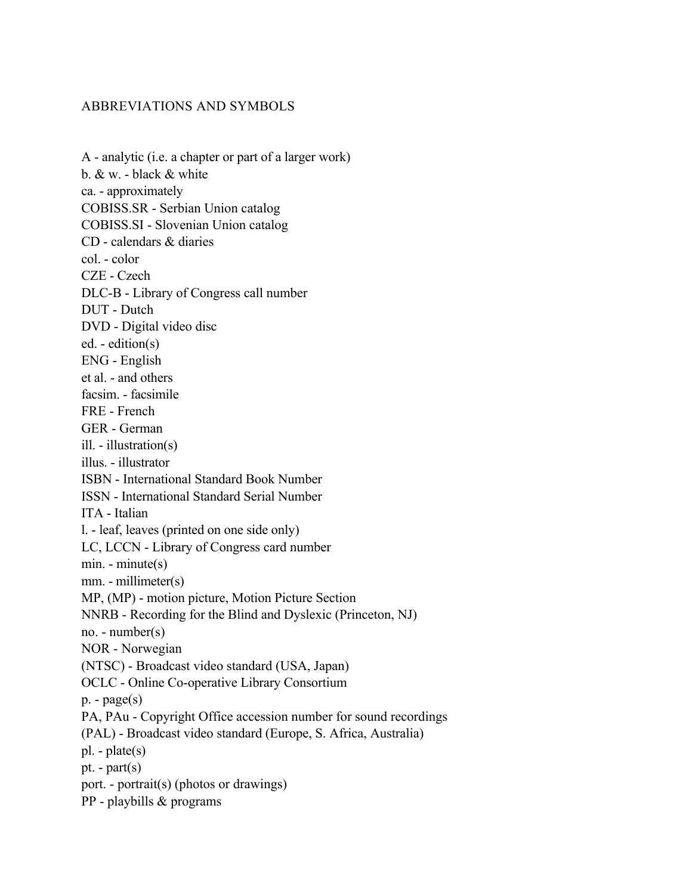# ABBREVIATIONS AND SYMBOLS

| A - analytic (i.e. a chapter or part of a larger work)           |
|------------------------------------------------------------------|
| b. & w. - black & white                                          |
| ca. - approximately                                              |
| COBISS.SR - Serbian Union catalog                                |
| <b>COBISS.SI - Slovenian Union catalog</b>                       |
| CD - calendars & diaries                                         |
| col. - color                                                     |
| CZE - Czech                                                      |
| DLC-B - Library of Congress call number                          |
| DUT - Dutch                                                      |
| DVD - Digital video disc                                         |
| ed. - edition(s)                                                 |
| <b>ENG</b> - English                                             |
| et al. - and others                                              |
| facsim. - facsimile                                              |
| FRE - French                                                     |
| GER - German                                                     |
| ill. - illustration(s)                                           |
| illus. - illustrator                                             |
| <b>ISBN</b> - International Standard Book Number                 |
| <b>ISSN</b> - International Standard Serial Number               |
| ITA - Italian                                                    |
| 1. - leaf, leaves (printed on one side only)                     |
| LC, LCCN - Library of Congress card number                       |
| $min. - minute(s)$                                               |
| mm. - millimeter(s)                                              |
| MP, (MP) - motion picture, Motion Picture Section                |
| NNRB - Recording for the Blind and Dyslexic (Princeton, NJ)      |
| $no. - number(s)$                                                |
| <b>NOR</b> - Norwegian                                           |
| (NTSC) - Broadcast video standard (USA, Japan)                   |
| <b>OCLC</b> - Online Co-operative Library Consortium             |
| $p. - page(s)$                                                   |
| PA, PAu - Copyright Office accession number for sound recordings |
| (PAL) - Broadcast video standard (Europe, S. Africa, Australia)  |
| $pl. - plate(s)$                                                 |
| pt. - $part(s)$                                                  |
| port. - portrait(s) (photos or drawings)                         |
| PP - playbills & programs                                        |
|                                                                  |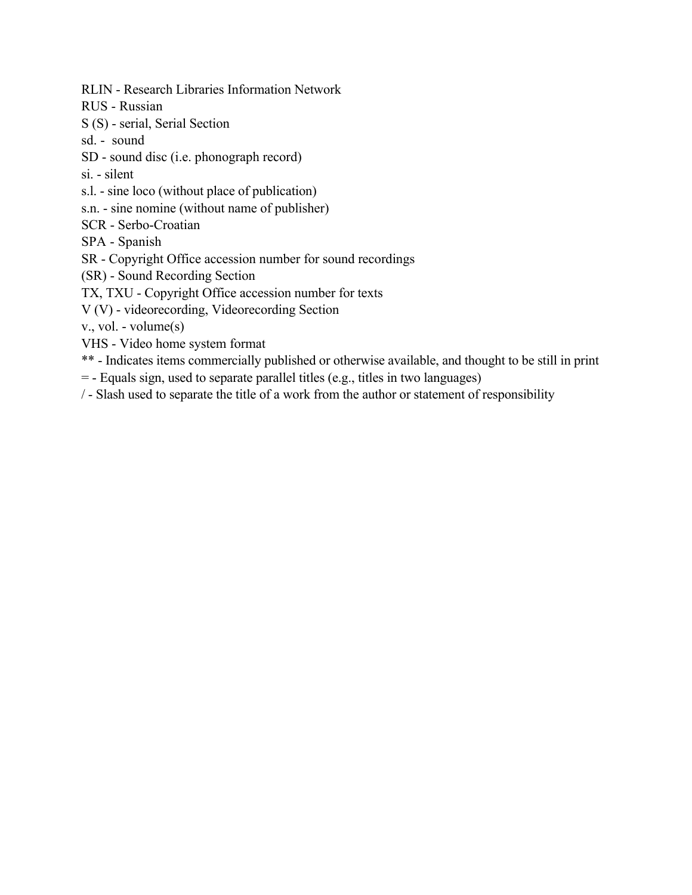RLIN - Research Libraries Information Network

RUS - Russian

S (S) - serial, Serial Section

sd. - sound

SD - sound disc (i.e. phonograph record)

si. - silent

s.l. - sine loco (without place of publication)

s.n. - sine nomine (without name of publisher)

SCR - Serbo-Croatian

SPA - Spanish

SR - Copyright Office accession number for sound recordings

(SR) - Sound Recording Section

TX, TXU - Copyright Office accession number for texts

V (V) - videorecording, Videorecording Section

v., vol. - volume(s)

VHS - Video home system format

\*\* - Indicates items commercially published or otherwise available, and thought to be still in print

= - Equals sign, used to separate parallel titles (e.g., titles in two languages)

/ - Slash used to separate the title of a work from the author or statement of responsibility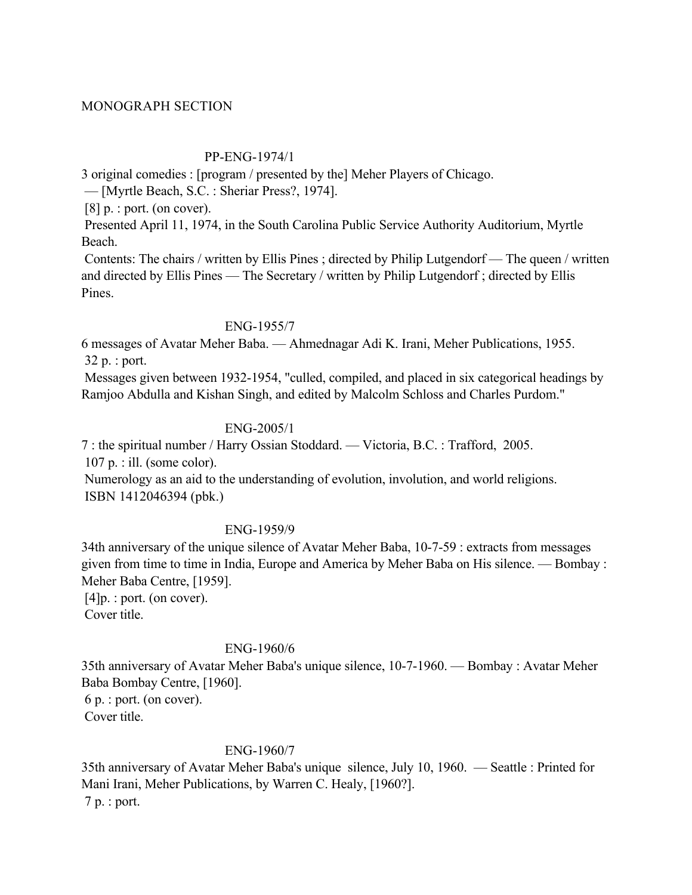## MONOGRAPH SECTION

## PP-ENG-1974/1

3 original comedies : [program / presented by the] Meher Players of Chicago.

— [Myrtle Beach, S.C. : Sheriar Press?, 1974].

 $[8]$  p. : port. (on cover).

 Presented April 11, 1974, in the South Carolina Public Service Authority Auditorium, Myrtle Beach.

 Contents: The chairs / written by Ellis Pines ; directed by Philip Lutgendorf — The queen / written and directed by Ellis Pines — The Secretary / written by Philip Lutgendorf ; directed by Ellis Pines.

## ENG-1955/7

6 messages of Avatar Meher Baba. — Ahmednagar Adi K. Irani, Meher Publications, 1955. 32 p. : port.

 Messages given between 1932-1954, "culled, compiled, and placed in six categorical headings by Ramjoo Abdulla and Kishan Singh, and edited by Malcolm Schloss and Charles Purdom."

# ENG-2005/1

7 : the spiritual number / Harry Ossian Stoddard. — Victoria, B.C. : Trafford, 2005. 107 p. : ill. (some color).

 Numerology as an aid to the understanding of evolution, involution, and world religions. ISBN 1412046394 (pbk.)

# ENG-1959/9

34th anniversary of the unique silence of Avatar Meher Baba, 10-7-59 : extracts from messages given from time to time in India, Europe and America by Meher Baba on His silence. — Bombay : Meher Baba Centre, [1959].

[4] p. : port. (on cover). Cover title.

# ENG-1960/6

35th anniversary of Avatar Meher Baba's unique silence, 10-7-1960. — Bombay : Avatar Meher Baba Bombay Centre, [1960]. 6 p. : port. (on cover).

Cover title.

# ENG-1960/7

35th anniversary of Avatar Meher Baba's unique silence, July 10, 1960. — Seattle : Printed for Mani Irani, Meher Publications, by Warren C. Healy, [1960?]. 7 p. : port.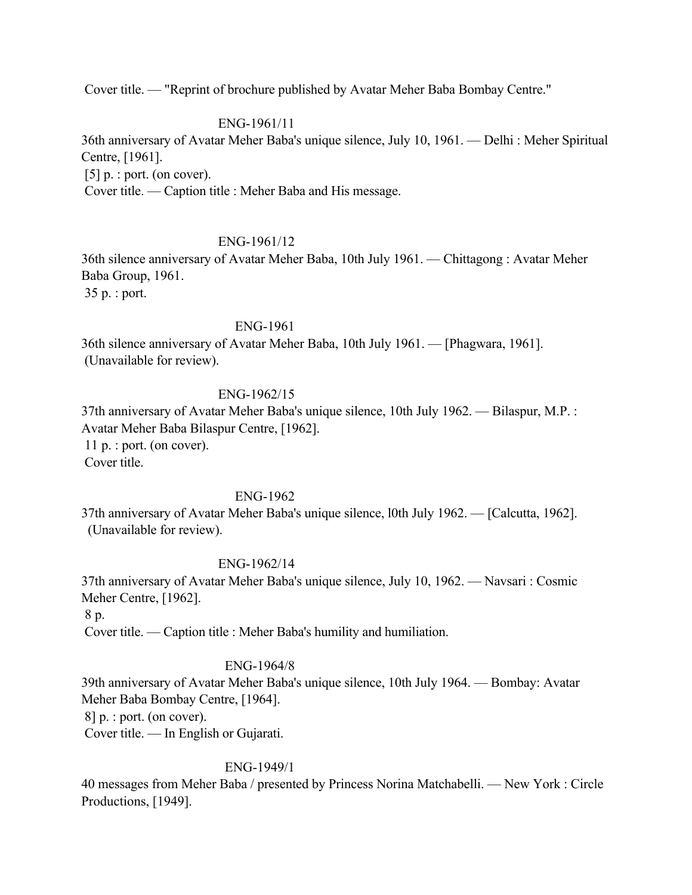Cover title. — "Reprint of brochure published by Avatar Meher Baba Bombay Centre."

### ENG-1961/11

36th anniversary of Avatar Meher Baba's unique silence, July 10, 1961. — Delhi : Meher Spiritual Centre, [1961].

[5] p. : port. (on cover).

Cover title. — Caption title : Meher Baba and His message.

#### ENG-1961/12

36th silence anniversary of Avatar Meher Baba, 10th July 1961. — Chittagong : Avatar Meher Baba Group, 1961.

35 p. : port.

#### ENG-1961

36th silence anniversary of Avatar Meher Baba, 10th July 1961. — [Phagwara, 1961]. (Unavailable for review).

#### ENG-1962/15

37th anniversary of Avatar Meher Baba's unique silence, 10th July 1962. — Bilaspur, M.P. : Avatar Meher Baba Bilaspur Centre, [1962]. 11 p. : port. (on cover). Cover title.

## ENG-1962

37th anniversary of Avatar Meher Baba's unique silence, l0th July 1962. — [Calcutta, 1962]. (Unavailable for review).

#### ENG-1962/14

37th anniversary of Avatar Meher Baba's unique silence, July 10, 1962. — Navsari : Cosmic Meher Centre, [1962].

8 p.

Cover title. — Caption title : Meher Baba's humility and humiliation.

#### ENG-1964/8

39th anniversary of Avatar Meher Baba's unique silence, 10th July 1964. — Bombay: Avatar Meher Baba Bombay Centre, [1964].

8] p. : port. (on cover).

Cover title. — In English or Gujarati.

#### ENG-1949/1

40 messages from Meher Baba / presented by Princess Norina Matchabelli. — New York : Circle Productions, [1949].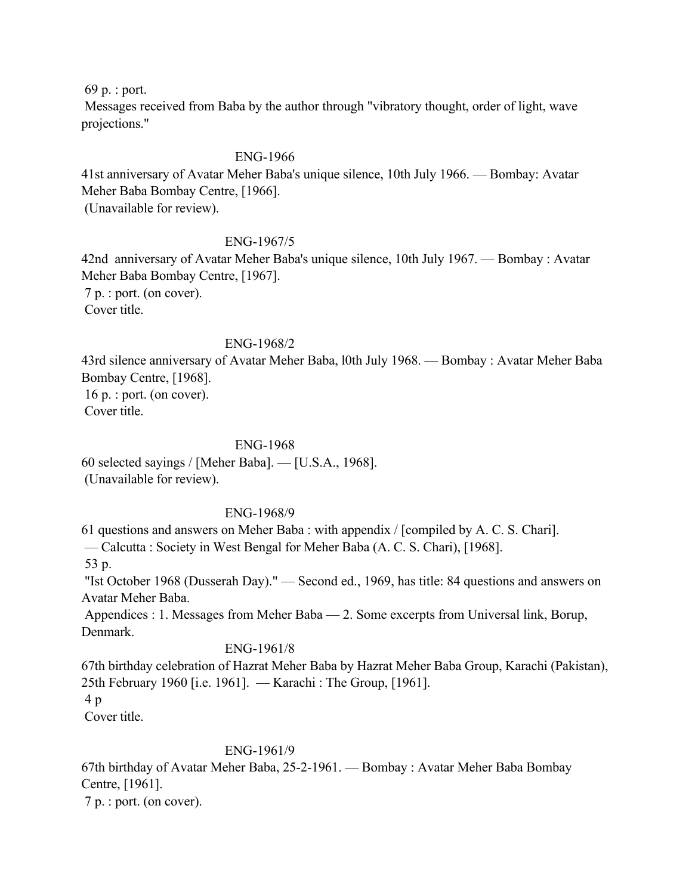69 p. : port.

 Messages received from Baba by the author through "vibratory thought, order of light, wave projections."

# ENG-1966

41st anniversary of Avatar Meher Baba's unique silence, 10th July 1966. — Bombay: Avatar Meher Baba Bombay Centre, [1966].

(Unavailable for review).

## ENG-1967/5

42nd anniversary of Avatar Meher Baba's unique silence, 10th July 1967. — Bombay : Avatar Meher Baba Bombay Centre, [1967]. 7 p. : port. (on cover). Cover title.

## ENG-1968/2

43rd silence anniversary of Avatar Meher Baba, l0th July 1968. — Bombay : Avatar Meher Baba Bombay Centre, [1968]. 16 p. : port. (on cover).

Cover title.

## ENG-1968

60 selected sayings / [Meher Baba]. — [U.S.A., 1968]. (Unavailable for review).

## ENG-1968/9

61 questions and answers on Meher Baba : with appendix / [compiled by A. C. S. Chari].

— Calcutta : Society in West Bengal for Meher Baba (A. C. S. Chari), [1968].

53 p.

 "Ist October 1968 (Dusserah Day)." — Second ed., 1969, has title: 84 questions and answers on Avatar Meher Baba.

 Appendices : 1. Messages from Meher Baba — 2. Some excerpts from Universal link, Borup, Denmark.

## ENG-1961/8

67th birthday celebration of Hazrat Meher Baba by Hazrat Meher Baba Group, Karachi (Pakistan), 25th February 1960 [i.e. 1961]. — Karachi : The Group, [1961]. 4 p

Cover title.

# ENG-1961/9

67th birthday of Avatar Meher Baba, 25-2-1961. — Bombay : Avatar Meher Baba Bombay Centre, [1961].

7 p. : port. (on cover).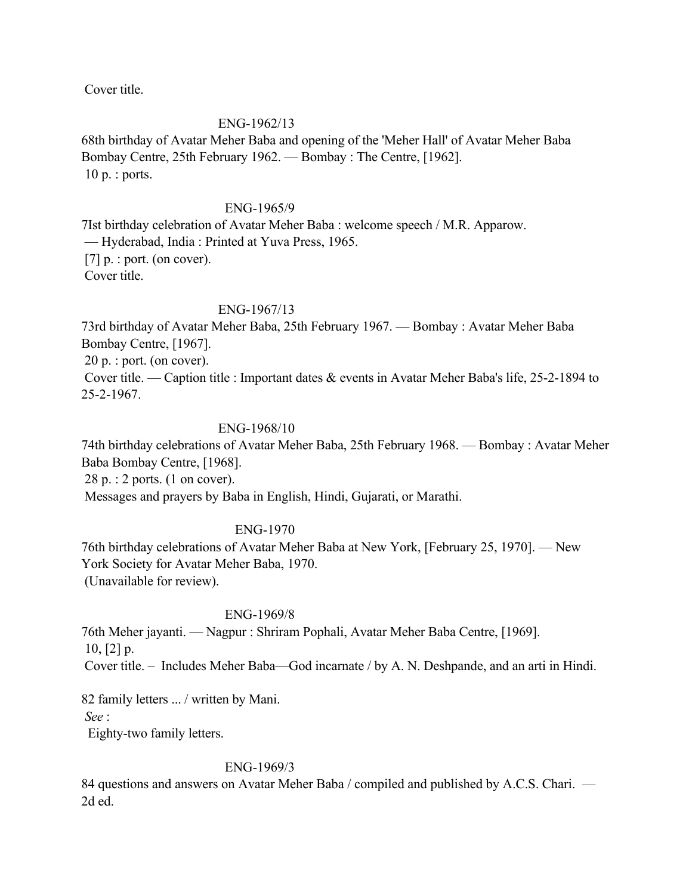Cover title.

### ENG-1962/13

68th birthday of Avatar Meher Baba and opening of the 'Meher Hall' of Avatar Meher Baba Bombay Centre, 25th February 1962. — Bombay : The Centre, [1962]. 10 p. : ports.

#### ENG-1965/9

7Ist birthday celebration of Avatar Meher Baba : welcome speech / M.R. Apparow. — Hyderabad, India : Printed at Yuva Press, 1965. [7] p. : port. (on cover). Cover title.

#### ENG-1967/13

73rd birthday of Avatar Meher Baba, 25th February 1967. — Bombay : Avatar Meher Baba Bombay Centre, [1967].

20 p. : port. (on cover).

 Cover title. — Caption title : Important dates & events in Avatar Meher Baba's life, 25-2-1894 to 25-2-1967.

#### ENG-1968/10

74th birthday celebrations of Avatar Meher Baba, 25th February 1968. — Bombay : Avatar Meher Baba Bombay Centre, [1968]. 28 p. : 2 ports. (1 on cover).

Messages and prayers by Baba in English, Hindi, Gujarati, or Marathi.

# ENG-1970

76th birthday celebrations of Avatar Meher Baba at New York, [February 25, 1970]. — New York Society for Avatar Meher Baba, 1970. (Unavailable for review).

#### ENG-1969/8

76th Meher jayanti. — Nagpur : Shriram Pophali, Avatar Meher Baba Centre, [1969].  $10, 21 p.$ Cover title. – Includes Meher Baba—God incarnate / by A. N. Deshpande, and an arti in Hindi.

82 family letters ... / written by Mani.

*See* :

Eighty-two family letters.

#### ENG-1969/3

84 questions and answers on Avatar Meher Baba / compiled and published by A.C.S. Chari. — 2d ed.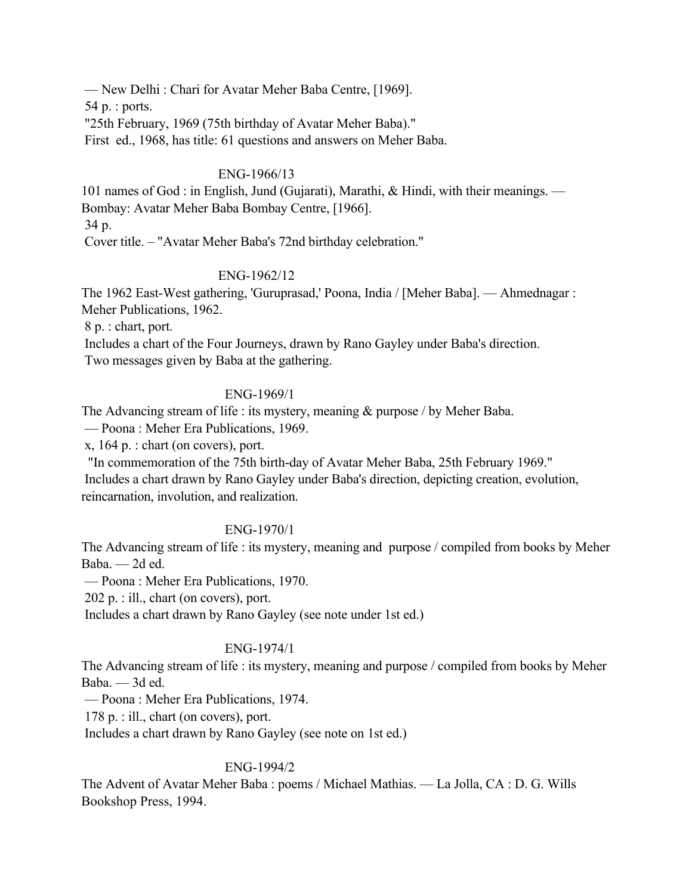— New Delhi : Chari for Avatar Meher Baba Centre, [1969].

54 p. : ports.

"25th February, 1969 (75th birthday of Avatar Meher Baba)."

First ed., 1968, has title: 61 questions and answers on Meher Baba.

# ENG-1966/13

101 names of God : in English, Jund (Gujarati), Marathi, & Hindi, with their meanings. — Bombay: Avatar Meher Baba Bombay Centre, [1966].

34 p.

Cover title. – "Avatar Meher Baba's 72nd birthday celebration."

# ENG-1962/12

The 1962 East-West gathering, 'Guruprasad,' Poona, India / [Meher Baba]. — Ahmednagar : Meher Publications, 1962.

8 p. : chart, port.

 Includes a chart of the Four Journeys, drawn by Rano Gayley under Baba's direction. Two messages given by Baba at the gathering.

# ENG-1969/1

The Advancing stream of life : its mystery, meaning & purpose / by Meher Baba.

— Poona : Meher Era Publications, 1969.

x, 164 p. : chart (on covers), port.

 "In commemoration of the 75th birth-day of Avatar Meher Baba, 25th February 1969." Includes a chart drawn by Rano Gayley under Baba's direction, depicting creation, evolution, reincarnation, involution, and realization.

# ENG-1970/1

The Advancing stream of life : its mystery, meaning and purpose / compiled from books by Meher Baba. — 2d ed.

— Poona : Meher Era Publications, 1970.

202 p. : ill., chart (on covers), port.

Includes a chart drawn by Rano Gayley (see note under 1st ed.)

# ENG-1974/1

The Advancing stream of life : its mystery, meaning and purpose / compiled from books by Meher Baba. — 3d ed.

— Poona : Meher Era Publications, 1974.

178 p. : ill., chart (on covers), port.

Includes a chart drawn by Rano Gayley (see note on 1st ed.)

# ENG-1994/2

The Advent of Avatar Meher Baba : poems / Michael Mathias. — La Jolla, CA : D. G. Wills Bookshop Press, 1994.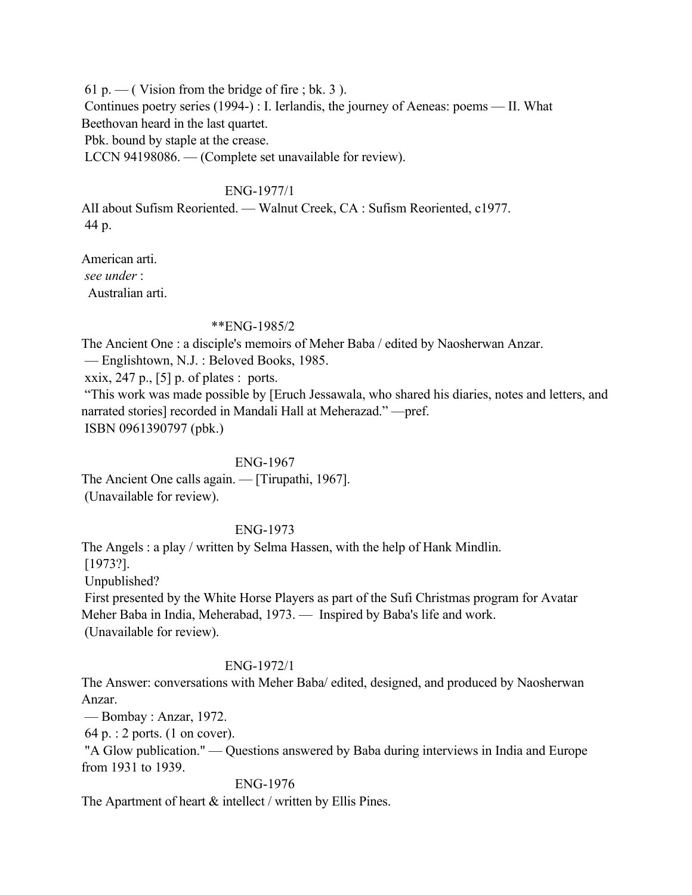61 p. — (Vision from the bridge of fire ; bk. 3). Continues poetry series (1994-) : I. Ierlandis, the journey of Aeneas: poems — II. What Beethovan heard in the last quartet. Pbk. bound by staple at the crease. LCCN 94198086. — (Complete set unavailable for review).

ENG-1977/1

AlI about Sufism Reoriented. — Walnut Creek, CA : Sufism Reoriented, c1977. 44 p.

American arti. *see under* : Australian arti.

#### \*\*ENG-1985/2

The Ancient One : a disciple's memoirs of Meher Baba / edited by Naosherwan Anzar.

— Englishtown, N.J. : Beloved Books, 1985.

xxix, 247 p.,  $[5]$  p. of plates : ports.

 "This work was made possible by [Eruch Jessawala, who shared his diaries, notes and letters, and narrated stories] recorded in Mandali Hall at Meherazad." —pref. ISBN 0961390797 (pbk.)

#### ENG-1967

The Ancient One calls again. — [Tirupathi, 1967]. (Unavailable for review).

# ENG-1973

The Angels : a play / written by Selma Hassen, with the help of Hank Mindlin. [1973?]. Unpublished? First presented by the White Horse Players as part of the Sufi Christmas program for Avatar Meher Baba in India, Meherabad, 1973. — Inspired by Baba's life and work. (Unavailable for review).

#### ENG-1972/1

The Answer: conversations with Meher Baba/ edited, designed, and produced by Naosherwan Anzar.

— Bombay : Anzar, 1972.

64 p. : 2 ports. (1 on cover).

 "A Glow publication." — Questions answered by Baba during interviews in India and Europe from 1931 to 1939.

#### ENG-1976

The Apartment of heart  $&$  intellect / written by Ellis Pines.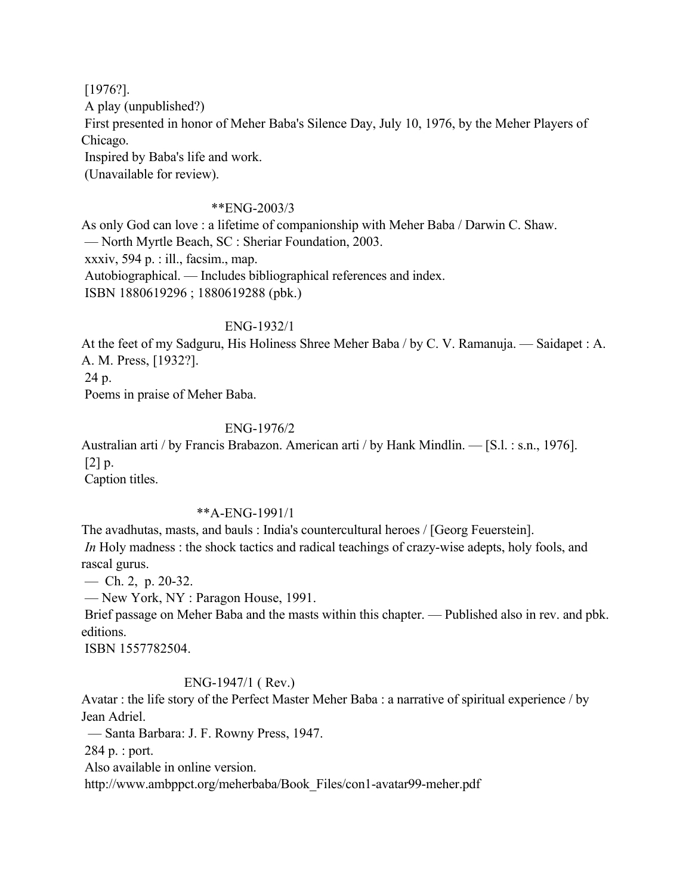[1976?]. A play (unpublished?) First presented in honor of Meher Baba's Silence Day, July 10, 1976, by the Meher Players of Chicago. Inspired by Baba's life and work. (Unavailable for review).

## \*\*ENG-2003/3

As only God can love : a lifetime of companionship with Meher Baba / Darwin C. Shaw. — North Myrtle Beach, SC : Sheriar Foundation, 2003. xxxiv, 594 p. : ill., facsim., map. Autobiographical. — Includes bibliographical references and index. ISBN 1880619296 ; 1880619288 (pbk.)

#### ENG-1932/1

At the feet of my Sadguru, His Holiness Shree Meher Baba / by C. V. Ramanuja. — Saidapet : A. A. M. Press, [1932?].

24 p.

Poems in praise of Meher Baba.

### ENG-1976/2

Australian arti / by Francis Brabazon. American arti / by Hank Mindlin. — [S.l. : s.n., 1976].  $[2]$  p.

Caption titles.

### \*\*A-ENG-1991/1

The avadhutas, masts, and bauls : India's countercultural heroes / [Georg Feuerstein]. *In* Holy madness : the shock tactics and radical teachings of crazy-wise adepts, holy fools, and rascal gurus.

— Ch. 2, p. 20-32.

— New York, NY : Paragon House, 1991.

 Brief passage on Meher Baba and the masts within this chapter. — Published also in rev. and pbk. editions.

ISBN 1557782504.

### ENG-1947/1 ( Rev.)

Avatar : the life story of the Perfect Master Meher Baba : a narrative of spiritual experience / by Jean Adriel.

— Santa Barbara: J. F. Rowny Press, 1947.

284 p. : port.

Also available in online version.

http://www.ambppct.org/meherbaba/Book\_Files/con1-avatar99-meher.pdf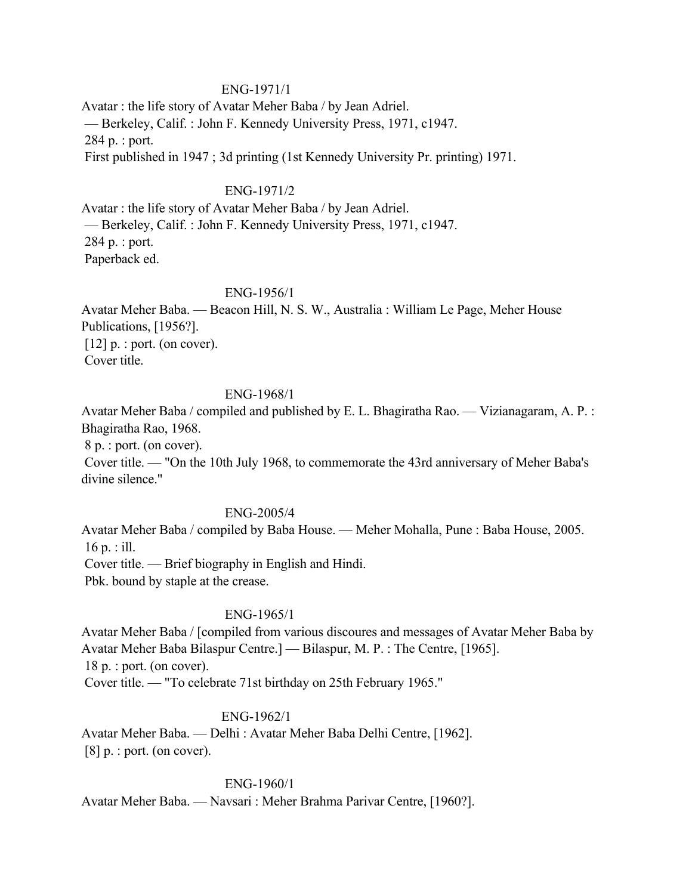#### ENG-1971/1

Avatar : the life story of Avatar Meher Baba / by Jean Adriel. — Berkeley, Calif. : John F. Kennedy University Press, 1971, c1947. 284 p. : port. First published in 1947 ; 3d printing (1st Kennedy University Pr. printing) 1971.

#### ENG-1971/2

Avatar : the life story of Avatar Meher Baba / by Jean Adriel. — Berkeley, Calif. : John F. Kennedy University Press, 1971, c1947. 284 p. : port. Paperback ed.

### ENG-1956/1

Avatar Meher Baba. — Beacon Hill, N. S. W., Australia : William Le Page, Meher House Publications, [1956?].  $[12]$  p. : port. (on cover). Cover title.

## ENG-1968/1

Avatar Meher Baba / compiled and published by E. L. Bhagiratha Rao. — Vizianagaram, A. P. : Bhagiratha Rao, 1968.

8 p. : port. (on cover).

 Cover title. — "On the 10th July 1968, to commemorate the 43rd anniversary of Meher Baba's divine silence."

#### ENG-2005/4

Avatar Meher Baba / compiled by Baba House. — Meher Mohalla, Pune : Baba House, 2005.  $16 \text{ p.}$ : ill. Cover title. — Brief biography in English and Hindi. Pbk. bound by staple at the crease.

#### ENG-1965/1

Avatar Meher Baba / [compiled from various discoures and messages of Avatar Meher Baba by Avatar Meher Baba Bilaspur Centre.] — Bilaspur, M. P. : The Centre, [1965]. 18 p. : port. (on cover). Cover title. — "To celebrate 71st birthday on 25th February 1965."

#### ENG-1962/1

Avatar Meher Baba. — Delhi : Avatar Meher Baba Delhi Centre, [1962].  $[8]$  p. : port. (on cover).

#### ENG-1960/1

Avatar Meher Baba. — Navsari : Meher Brahma Parivar Centre, [1960?].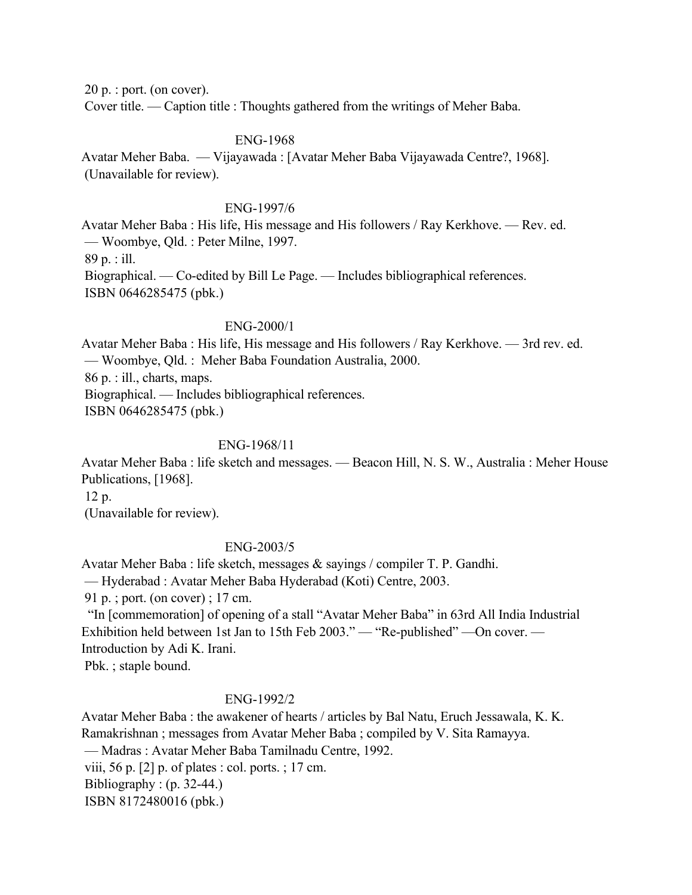20 p. : port. (on cover). Cover title. — Caption title : Thoughts gathered from the writings of Meher Baba.

#### ENG-1968

Avatar Meher Baba. — Vijayawada : [Avatar Meher Baba Vijayawada Centre?, 1968]. (Unavailable for review).

#### ENG-1997/6

Avatar Meher Baba : His life, His message and His followers / Ray Kerkhove. — Rev. ed. — Woombye, Qld. : Peter Milne, 1997. 89 p. : ill. Biographical. — Co-edited by Bill Le Page. — Includes bibliographical references. ISBN 0646285475 (pbk.)

#### ENG-2000/1

Avatar Meher Baba : His life, His message and His followers / Ray Kerkhove. — 3rd rev. ed. — Woombye, Qld. : Meher Baba Foundation Australia, 2000. 86 p. : ill., charts, maps. Biographical. — Includes bibliographical references. ISBN 0646285475 (pbk.)

## ENG-1968/11

Avatar Meher Baba : life sketch and messages. — Beacon Hill, N. S. W., Australia : Meher House Publications, [1968].

12 p.

(Unavailable for review).

#### ENG-2003/5

Avatar Meher Baba : life sketch, messages & sayings / compiler T. P. Gandhi.

— Hyderabad : Avatar Meher Baba Hyderabad (Koti) Centre, 2003.

91 p. ; port. (on cover) ; 17 cm.

 "In [commemoration] of opening of a stall "Avatar Meher Baba" in 63rd All India Industrial Exhibition held between 1st Jan to 15th Feb 2003." — "Re-published" —On cover. — Introduction by Adi K. Irani.

Pbk. ; staple bound.

#### ENG-1992/2

Avatar Meher Baba : the awakener of hearts / articles by Bal Natu, Eruch Jessawala, K. K. Ramakrishnan ; messages from Avatar Meher Baba ; compiled by V. Sita Ramayya. — Madras : Avatar Meher Baba Tamilnadu Centre, 1992. viii, 56 p. [2] p. of plates : col. ports. ; 17 cm. Bibliography :  $(p. 32-44)$ ISBN 8172480016 (pbk.)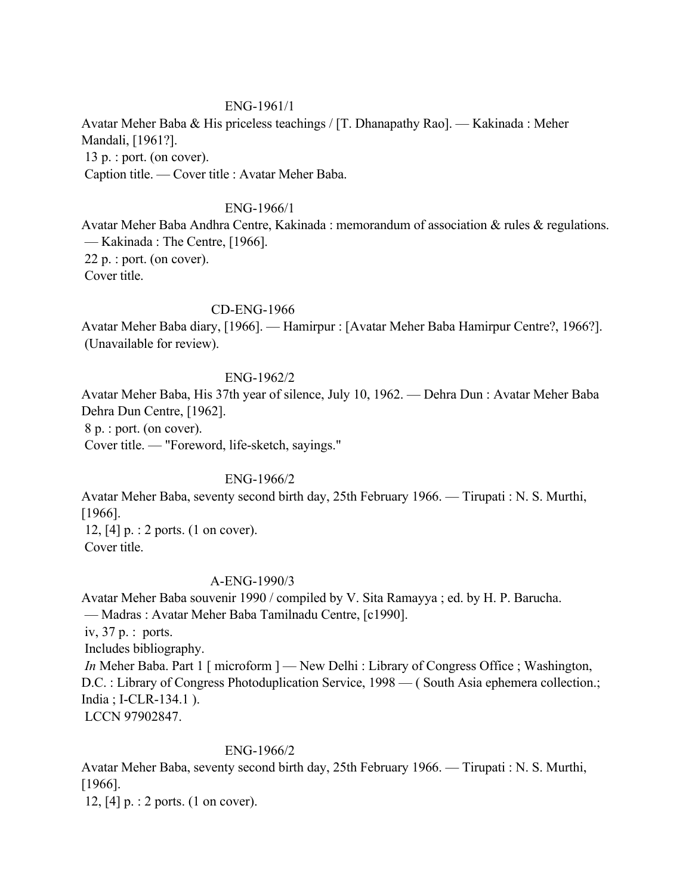## ENG-1961/1

Avatar Meher Baba & His priceless teachings / [T. Dhanapathy Rao]. — Kakinada : Meher Mandali, [1961?]. 13 p. : port. (on cover). Caption title. — Cover title : Avatar Meher Baba.

## ENG-1966/1

Avatar Meher Baba Andhra Centre, Kakinada : memorandum of association & rules & regulations. — Kakinada : The Centre, [1966]. 22 p. : port. (on cover). Cover title.

### CD-ENG-1966

Avatar Meher Baba diary, [1966]. — Hamirpur : [Avatar Meher Baba Hamirpur Centre?, 1966?]. (Unavailable for review).

### ENG-1962/2

Avatar Meher Baba, His 37th year of silence, July 10, 1962. — Dehra Dun : Avatar Meher Baba Dehra Dun Centre, [1962].

8 p. : port. (on cover).

Cover title. — "Foreword, life-sketch, sayings."

# ENG-1966/2

Avatar Meher Baba, seventy second birth day, 25th February 1966. — Tirupati : N. S. Murthi, [1966].

 12, [4] p. : 2 ports. (1 on cover). Cover title.

#### A-ENG-1990/3

Avatar Meher Baba souvenir 1990 / compiled by V. Sita Ramayya ; ed. by H. P. Barucha. — Madras : Avatar Meher Baba Tamilnadu Centre, [c1990]. iv, 37 p. : ports. Includes bibliography. *In* Meher Baba. Part 1 [ microform ] — New Delhi : Library of Congress Office ; Washington, D.C. : Library of Congress Photoduplication Service, 1998 — (South Asia ephemera collection.; India ; I-CLR-134.1 ). LCCN 97902847.

#### ENG-1966/2

Avatar Meher Baba, seventy second birth day, 25th February 1966. — Tirupati : N. S. Murthi, [1966].

12, [4] p. : 2 ports. (1 on cover).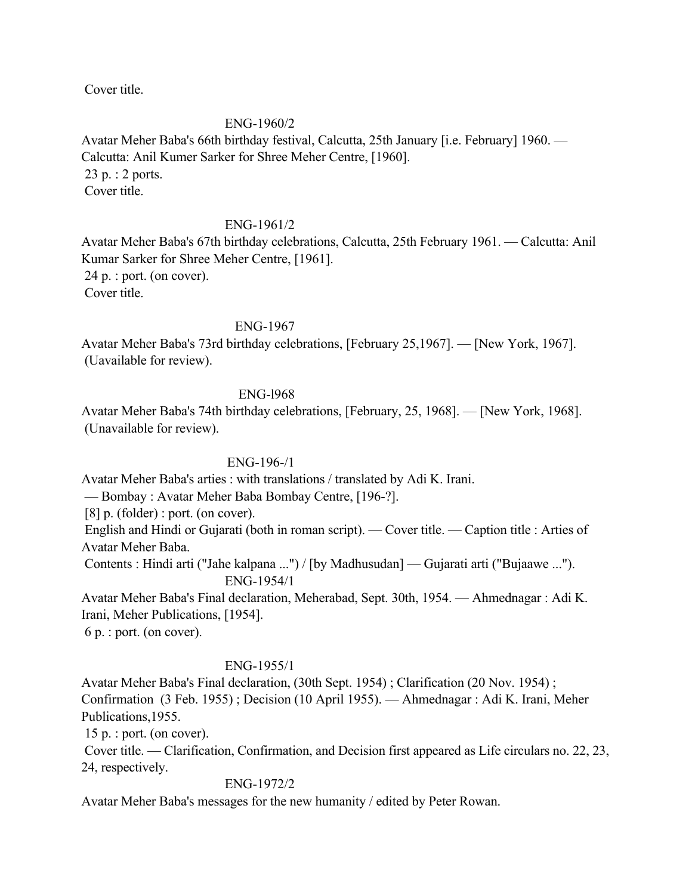Cover title.

### ENG-1960/2

Avatar Meher Baba's 66th birthday festival, Calcutta, 25th January [i.e. February] 1960. — Calcutta: Anil Kumer Sarker for Shree Meher Centre, [1960]. 23 p. : 2 ports. Cover title.

### ENG-1961/2

Avatar Meher Baba's 67th birthday celebrations, Calcutta, 25th February 1961. — Calcutta: Anil Kumar Sarker for Shree Meher Centre, [1961]. 24 p. : port. (on cover). Cover title.

ENG-1967

Avatar Meher Baba's 73rd birthday celebrations, [February 25,1967]. — [New York, 1967]. (Uavailable for review).

### ENG-l968

Avatar Meher Baba's 74th birthday celebrations, [February, 25, 1968]. — [New York, 1968]. (Unavailable for review).

#### ENG-196-/1

Avatar Meher Baba's arties : with translations / translated by Adi K. Irani.

— Bombay : Avatar Meher Baba Bombay Centre, [196-?].

[8] p. (folder) : port. (on cover).

 English and Hindi or Gujarati (both in roman script). — Cover title. — Caption title : Arties of Avatar Meher Baba.

 Contents : Hindi arti ("Jahe kalpana ...") / [by Madhusudan] — Gujarati arti ("Bujaawe ..."). ENG-1954/1

Avatar Meher Baba's Final declaration, Meherabad, Sept. 30th, 1954. — Ahmednagar : Adi K. Irani, Meher Publications, [1954].

6 p. : port. (on cover).

#### ENG-1955/1

Avatar Meher Baba's Final declaration, (30th Sept. 1954) ; Clarification (20 Nov. 1954) ; Confirmation (3 Feb. 1955) ; Decision (10 April 1955). — Ahmednagar : Adi K. Irani, Meher Publications,1955.

15 p. : port. (on cover).

 Cover title. — Clarification, Confirmation, and Decision first appeared as Life circulars no. 22, 23, 24, respectively.

### ENG-1972/2

Avatar Meher Baba's messages for the new humanity / edited by Peter Rowan.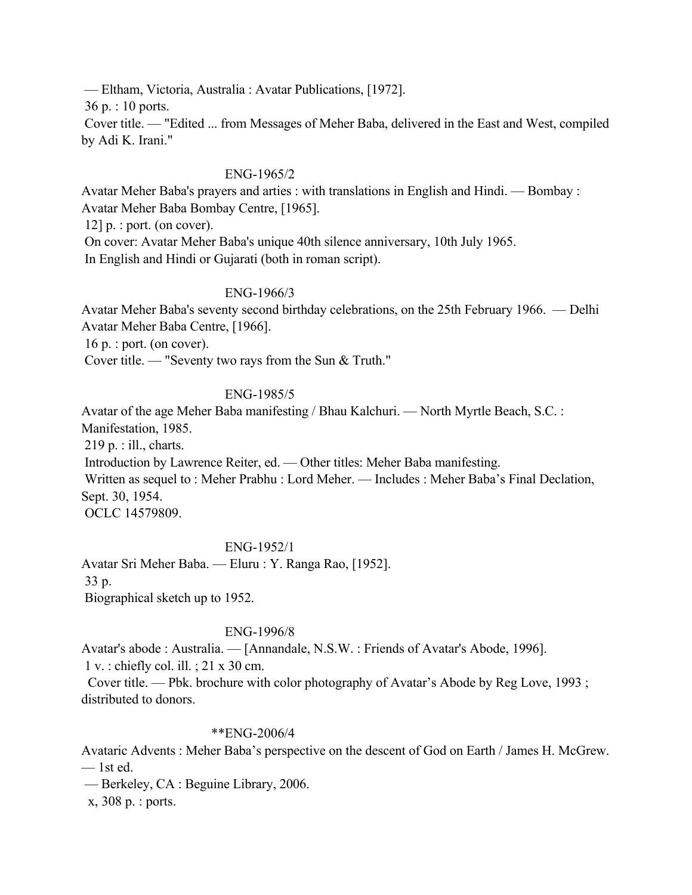— Eltham, Victoria, Australia : Avatar Publications, [1972].

36 p. : 10 ports.

 Cover title. — "Edited ... from Messages of Meher Baba, delivered in the East and West, compiled by Adi K. Irani."

### ENG-1965/2

Avatar Meher Baba's prayers and arties : with translations in English and Hindi. — Bombay : Avatar Meher Baba Bombay Centre, [1965].

 $12$ ] p. : port. (on cover).

On cover: Avatar Meher Baba's unique 40th silence anniversary, 10th July 1965.

In English and Hindi or Gujarati (both in roman script).

## ENG-1966/3

Avatar Meher Baba's seventy second birthday celebrations, on the 25th February 1966. — Delhi Avatar Meher Baba Centre, [1966].

16 p. : port. (on cover).

Cover title. — "Seventy two rays from the Sun & Truth."

## ENG-1985/5

Avatar of the age Meher Baba manifesting / Bhau Kalchuri. — North Myrtle Beach, S.C. :

Manifestation, 1985.

219 p. : ill., charts.

Introduction by Lawrence Reiter, ed. — Other titles: Meher Baba manifesting.

 Written as sequel to : Meher Prabhu : Lord Meher. — Includes : Meher Baba's Final Declation, Sept. 30, 1954.

OCLC 14579809.

## ENG-1952/1

Avatar Sri Meher Baba. — Eluru : Y. Ranga Rao, [1952]. 33 p. Biographical sketch up to 1952.

## ENG-1996/8

Avatar's abode : Australia. — [Annandale, N.S.W. : Friends of Avatar's Abode, 1996]. 1 v. : chiefly col. ill. ; 21 x 30 cm.

 Cover title. — Pbk. brochure with color photography of Avatar's Abode by Reg Love, 1993 ; distributed to donors.

#### \*\*ENG-2006/4

Avataric Advents : Meher Baba's perspective on the descent of God on Earth / James H. McGrew. — 1st ed.

— Berkeley, CA : Beguine Library, 2006.

x, 308 p. : ports.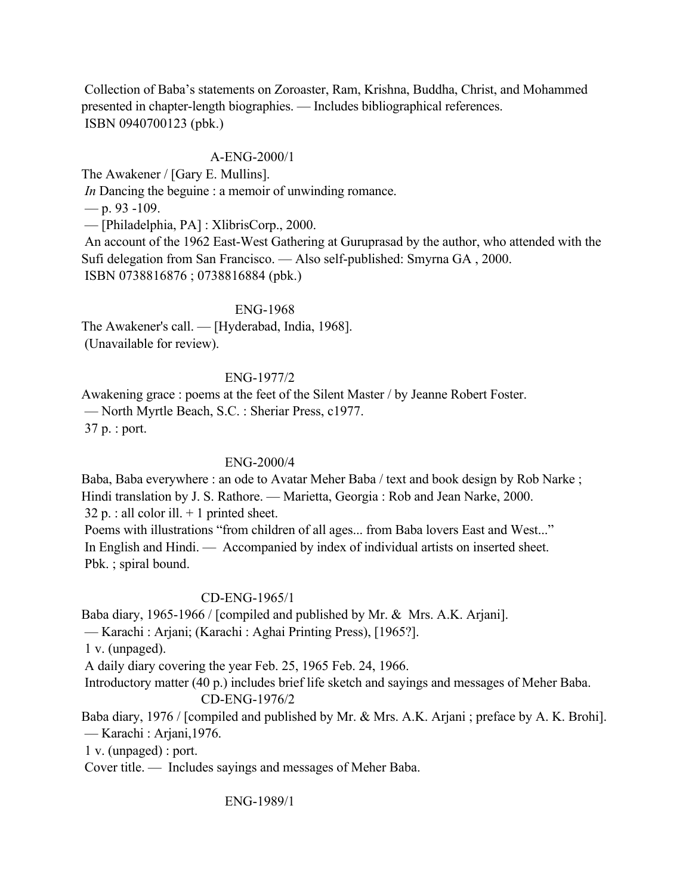Collection of Baba's statements on Zoroaster, Ram, Krishna, Buddha, Christ, and Mohammed presented in chapter-length biographies. — Includes bibliographical references. ISBN 0940700123 (pbk.)

# A-ENG-2000/1

The Awakener / [Gary E. Mullins].

*In* Dancing the beguine : a memoir of unwinding romance.

— p. 93 -109.

— [Philadelphia, PA] : XlibrisCorp., 2000.

 An account of the 1962 East-West Gathering at Guruprasad by the author, who attended with the Sufi delegation from San Francisco. — Also self-published: Smyrna GA , 2000. ISBN 0738816876 ; 0738816884 (pbk.)

ENG-1968

The Awakener's call. — [Hyderabad, India, 1968]. (Unavailable for review).

## ENG-1977/2

Awakening grace : poems at the feet of the Silent Master / by Jeanne Robert Foster. — North Myrtle Beach, S.C. : Sheriar Press, c1977. 37 p. : port.

## ENG-2000/4

Baba, Baba everywhere : an ode to Avatar Meher Baba / text and book design by Rob Narke ; Hindi translation by J. S. Rathore. — Marietta, Georgia : Rob and Jean Narke, 2000.  $32 p$ . : all color ill.  $+ 1$  printed sheet. Poems with illustrations "from children of all ages... from Baba lovers East and West..."

 In English and Hindi. — Accompanied by index of individual artists on inserted sheet. Pbk. ; spiral bound.

## CD-ENG-1965/1

Baba diary, 1965-1966 / [compiled and published by Mr. & Mrs. A.K. Arjani].

— Karachi : Arjani; (Karachi : Aghai Printing Press), [1965?].

1 v. (unpaged).

A daily diary covering the year Feb. 25, 1965 Feb. 24, 1966.

Introductory matter (40 p.) includes brief life sketch and sayings and messages of Meher Baba.

# CD-ENG-1976/2

Baba diary, 1976 / [compiled and published by Mr. & Mrs. A.K. Arjani ; preface by A. K. Brohi]. — Karachi : Arjani,1976.

1 v. (unpaged) : port.

Cover title. — Includes sayings and messages of Meher Baba.

ENG-1989/1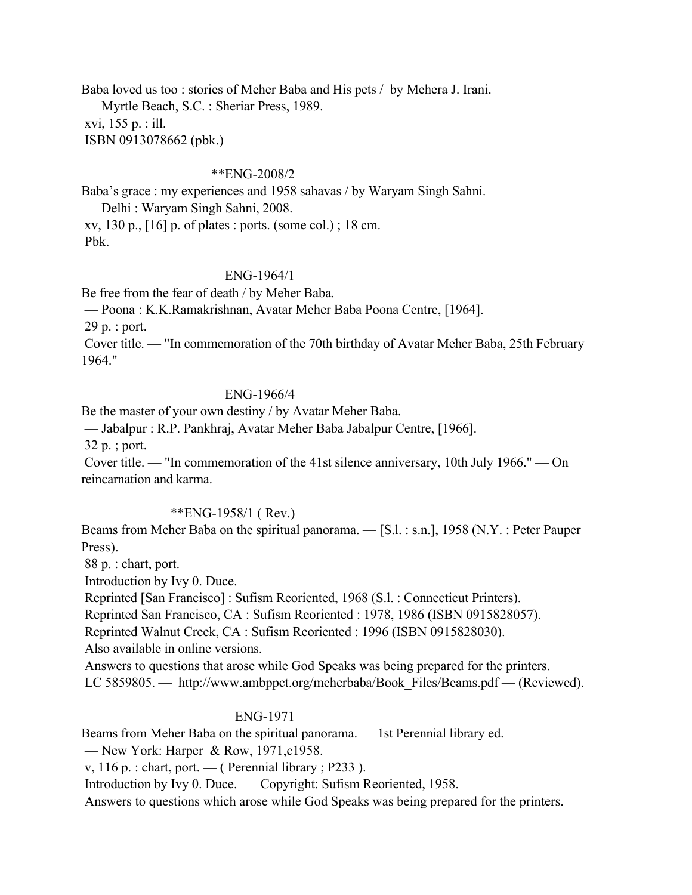Baba loved us too : stories of Meher Baba and His pets / by Mehera J. Irani. — Myrtle Beach, S.C. : Sheriar Press, 1989. xvi, 155 p. : ill. ISBN 0913078662 (pbk.)

#### \*\*ENG-2008/2

Baba's grace : my experiences and 1958 sahavas / by Waryam Singh Sahni. — Delhi : Waryam Singh Sahni, 2008. xv, 130 p., [16] p. of plates : ports. (some col.) ; 18 cm. Pbk.

### ENG-1964/1

Be free from the fear of death / by Meher Baba.

— Poona : K.K.Ramakrishnan, Avatar Meher Baba Poona Centre, [1964].

29 p. : port.

 Cover title. — "In commemoration of the 70th birthday of Avatar Meher Baba, 25th February 1964."

## ENG-1966/4

Be the master of your own destiny / by Avatar Meher Baba.

— Jabalpur : R.P. Pankhraj, Avatar Meher Baba Jabalpur Centre, [1966].

32 p. ; port.

 Cover title. — "In commemoration of the 41st silence anniversary, 10th July 1966." — On reincarnation and karma.

#### \*\*ENG-1958/1 ( Rev.)

Beams from Meher Baba on the spiritual panorama. — [S.l. : s.n.], 1958 (N.Y. : Peter Pauper Press).

88 p. : chart, port.

Introduction by Ivy 0. Duce.

Reprinted [San Francisco] : Sufism Reoriented, 1968 (S.l. : Connecticut Printers).

Reprinted San Francisco, CA : Sufism Reoriented : 1978, 1986 (ISBN 0915828057).

Reprinted Walnut Creek, CA : Sufism Reoriented : 1996 (ISBN 0915828030).

Also available in online versions.

Answers to questions that arose while God Speaks was being prepared for the printers.

LC 5859805. — http://www.ambppct.org/meherbaba/Book\_Files/Beams.pdf — (Reviewed).

#### ENG-1971

Beams from Meher Baba on the spiritual panorama. — 1st Perennial library ed.

— New York: Harper & Row, 1971, c1958.

v, 116 p. : chart, port. — ( Perennial library ; P233 ).

Introduction by Ivy 0. Duce. — Copyright: Sufism Reoriented, 1958.

Answers to questions which arose while God Speaks was being prepared for the printers.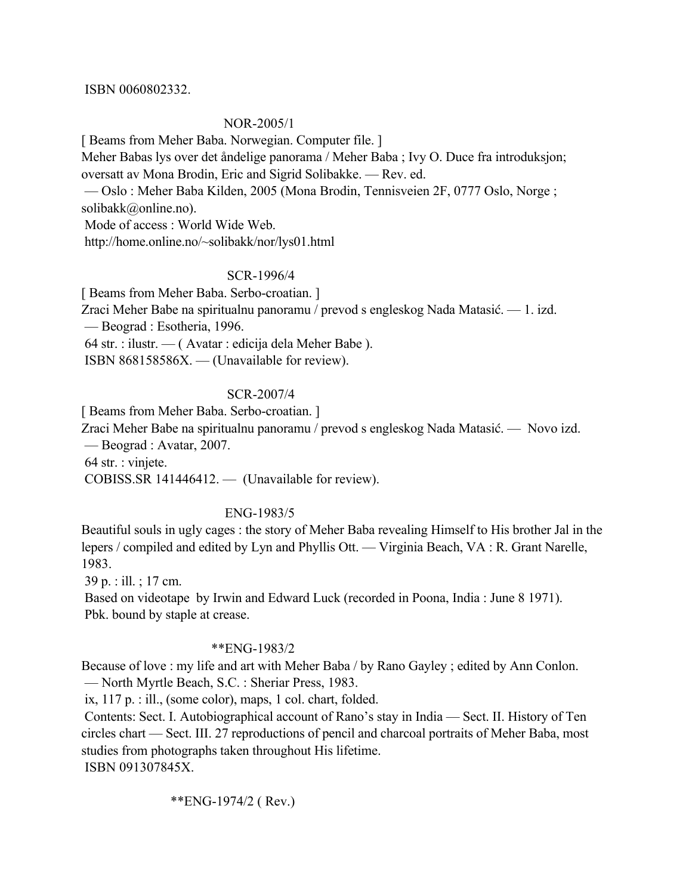#### ISBN 0060802332.

### NOR-2005/1

[ Beams from Meher Baba. Norwegian. Computer file. ]

Meher Babas lys over det åndelige panorama / Meher Baba ; Ivy O. Duce fra introduksjon; oversatt av Mona Brodin, Eric and Sigrid Solibakke. — Rev. ed.

 — Oslo : Meher Baba Kilden, 2005 (Mona Brodin, Tennisveien 2F, 0777 Oslo, Norge ; solibakk@online.no).

Mode of access : World Wide Web.

http://home.online.no/~solibakk/nor/lys01.html

#### SCR-1996/4

[ Beams from Meher Baba. Serbo-croatian. ]

Zraci Meher Babe na spiritualnu panoramu / prevod s engleskog Nada Matasić. — 1. izd.

— Beograd : Esotheria, 1996.

64 str. : ilustr. — ( Avatar : edicija dela Meher Babe ).

ISBN 868158586X. — (Unavailable for review).

### SCR-2007/4

[ Beams from Meher Baba. Serbo-croatian. ]

Zraci Meher Babe na spiritualnu panoramu / prevod s engleskog Nada Matasić. — Novo izd.

— Beograd : Avatar, 2007.

64 str. : vinjete.

COBISS.SR 141446412. — (Unavailable for review).

#### ENG-1983/5

Beautiful souls in ugly cages : the story of Meher Baba revealing Himself to His brother Jal in the lepers / compiled and edited by Lyn and Phyllis Ott. — Virginia Beach, VA : R. Grant Narelle, 1983.

39 p. : ill. ; 17 cm.

 Based on videotape by Irwin and Edward Luck (recorded in Poona, India : June 8 1971). Pbk. bound by staple at crease.

## \*\*ENG-1983/2

Because of love : my life and art with Meher Baba / by Rano Gayley ; edited by Ann Conlon. — North Myrtle Beach, S.C. : Sheriar Press, 1983.

ix, 117 p. : ill., (some color), maps, 1 col. chart, folded.

 Contents: Sect. I. Autobiographical account of Rano's stay in India — Sect. II. History of Ten circles chart — Sect. III. 27 reproductions of pencil and charcoal portraits of Meher Baba, most studies from photographs taken throughout His lifetime. ISBN 091307845X.

\*\*ENG-1974/2 ( Rev.)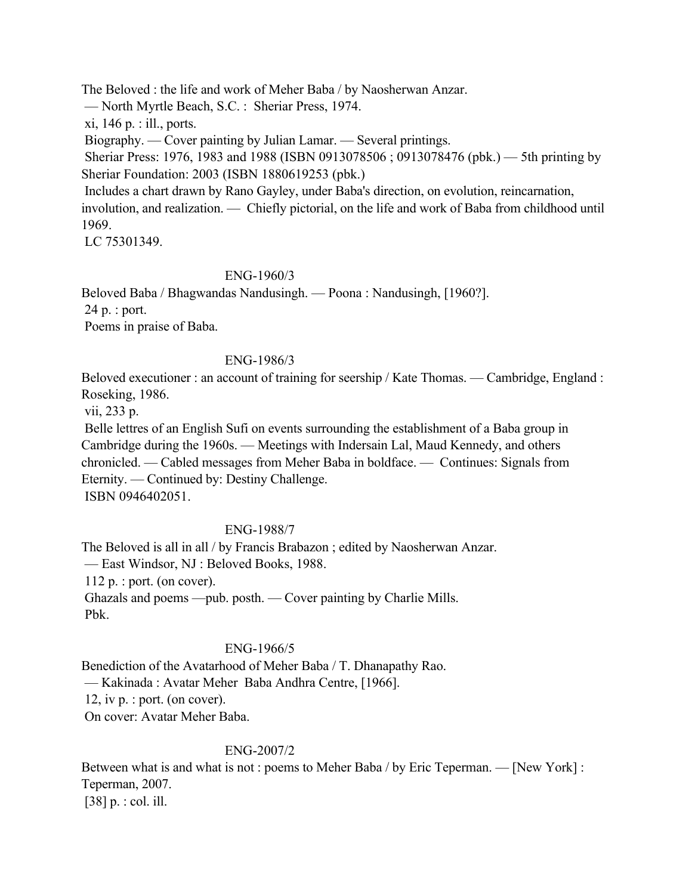The Beloved : the life and work of Meher Baba / by Naosherwan Anzar.

— North Myrtle Beach, S.C. : Sheriar Press, 1974.

xi, 146 p. : ill., ports.

Biography. — Cover painting by Julian Lamar. — Several printings.

 Sheriar Press: 1976, 1983 and 1988 (ISBN 0913078506 ; 0913078476 (pbk.) — 5th printing by Sheriar Foundation: 2003 (ISBN 1880619253 (pbk.)

 Includes a chart drawn by Rano Gayley, under Baba's direction, on evolution, reincarnation, involution, and realization. — Chiefly pictorial, on the life and work of Baba from childhood until 1969.

LC 75301349.

# ENG-1960/3

Beloved Baba / Bhagwandas Nandusingh. — Poona : Nandusingh, [1960?].

24 p. : port.

Poems in praise of Baba.

# ENG-1986/3

Beloved executioner : an account of training for seership / Kate Thomas. — Cambridge, England : Roseking, 1986.

vii, 233 p.

 Belle lettres of an English Sufi on events surrounding the establishment of a Baba group in Cambridge during the 1960s. — Meetings with Indersain Lal, Maud Kennedy, and others chronicled. — Cabled messages from Meher Baba in boldface. — Continues: Signals from Eternity. — Continued by: Destiny Challenge.

ISBN 0946402051.

# ENG-1988/7

The Beloved is all in all / by Francis Brabazon ; edited by Naosherwan Anzar. — East Windsor, NJ : Beloved Books, 1988. 112 p. : port. (on cover). Ghazals and poems —pub. posth. — Cover painting by Charlie Mills. Pbk.

# ENG-1966/5

Benediction of the Avatarhood of Meher Baba / T. Dhanapathy Rao. — Kakinada : Avatar Meher Baba Andhra Centre, [1966]. 12, iv p. : port. (on cover). On cover: Avatar Meher Baba.

## ENG-2007/2

Between what is and what is not : poems to Meher Baba / by Eric Teperman. — [New York] : Teperman, 2007. [38] p. : col. ill.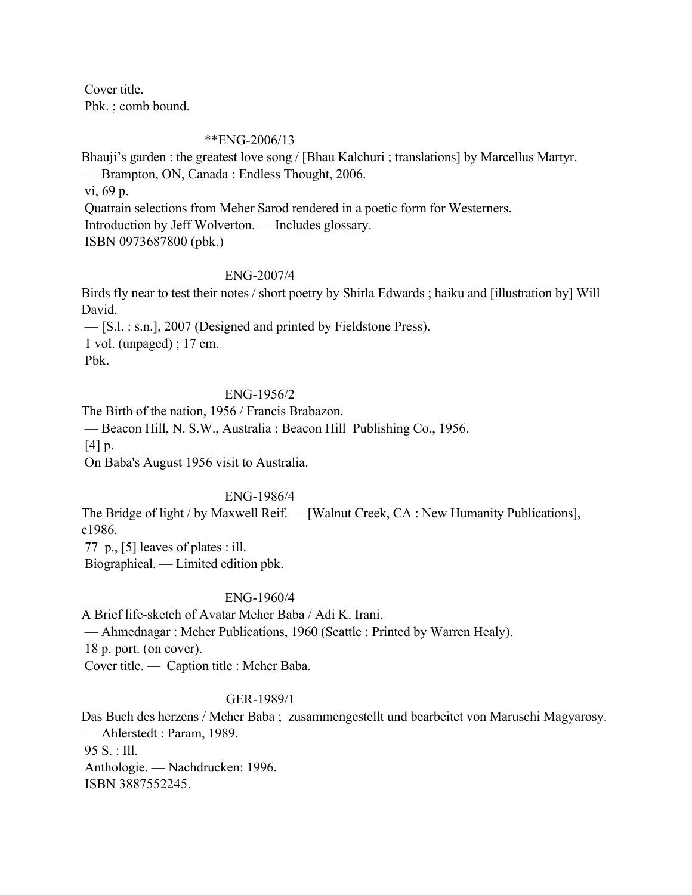Cover title. Pbk. ; comb bound.

#### \*\*ENG-2006/13

Bhauji's garden : the greatest love song / [Bhau Kalchuri ; translations] by Marcellus Martyr. — Brampton, ON, Canada : Endless Thought, 2006. vi, 69 p. Quatrain selections from Meher Sarod rendered in a poetic form for Westerners. Introduction by Jeff Wolverton. — Includes glossary. ISBN 0973687800 (pbk.)

### ENG-2007/4

Birds fly near to test their notes / short poetry by Shirla Edwards ; haiku and [illustration by] Will David.

 — [S.l. : s.n.], 2007 (Designed and printed by Fieldstone Press). 1 vol. (unpaged) ; 17 cm. Pbk.

## ENG-1956/2

The Birth of the nation, 1956 / Francis Brabazon.

— Beacon Hill, N. S.W., Australia : Beacon Hill Publishing Co., 1956.

[4] p.

On Baba's August 1956 visit to Australia.

#### ENG-1986/4

The Bridge of light / by Maxwell Reif. — [Walnut Creek, CA : New Humanity Publications], c1986.

77 p., [5] leaves of plates : ill.

Biographical. — Limited edition pbk.

## ENG-1960/4

A Brief life-sketch of Avatar Meher Baba / Adi K. Irani.

— Ahmednagar : Meher Publications, 1960 (Seattle : Printed by Warren Healy).

18 p. port. (on cover).

Cover title. — Caption title : Meher Baba.

## GER-1989/1

Das Buch des herzens / Meher Baba ; zusammengestellt und bearbeitet von Maruschi Magyarosy. — Ahlerstedt : Param, 1989. 95 S. : Ill. Anthologie. — Nachdrucken: 1996. ISBN 3887552245.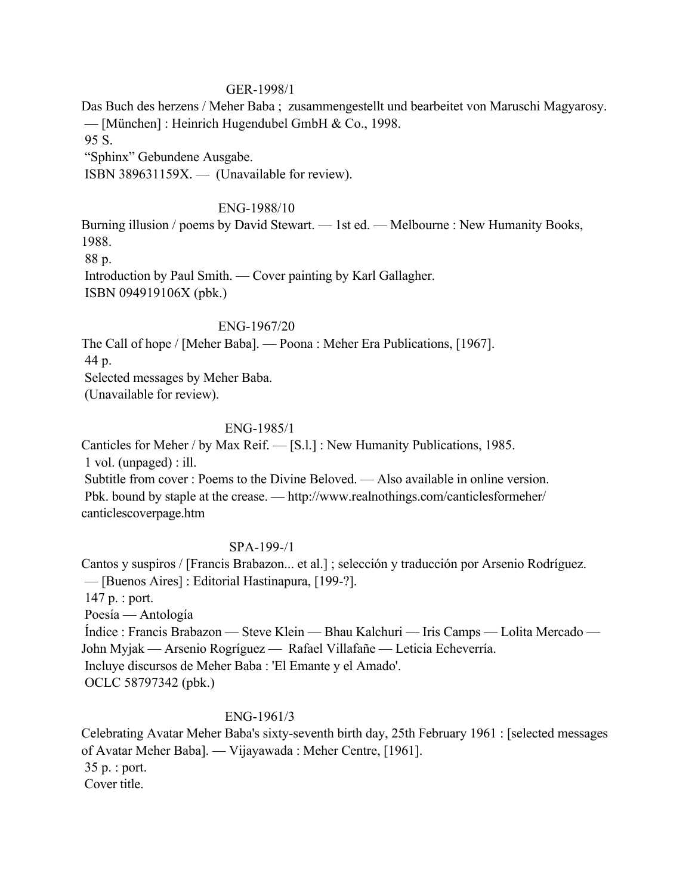### GER-1998/1

Das Buch des herzens / Meher Baba ; zusammengestellt und bearbeitet von Maruschi Magyarosy. — [München] : Heinrich Hugendubel GmbH & Co., 1998.

95 S.

"Sphinx" Gebundene Ausgabe.

ISBN 389631159X. — (Unavailable for review).

## ENG-1988/10

Burning illusion / poems by David Stewart. — 1st ed. — Melbourne : New Humanity Books, 1988. 88 p.

 Introduction by Paul Smith. — Cover painting by Karl Gallagher. ISBN 094919106X (pbk.)

## ENG-1967/20

The Call of hope / [Meher Baba]. — Poona : Meher Era Publications, [1967].

44 p.

Selected messages by Meher Baba.

(Unavailable for review).

# ENG-1985/1

Canticles for Meher / by Max Reif. — [S.l.] : New Humanity Publications, 1985.

1 vol. (unpaged) : ill.

 Subtitle from cover : Poems to the Divine Beloved. — Also available in online version. Pbk. bound by staple at the crease. — http://www.realnothings.com/canticlesformeher/ canticlescoverpage.htm

## SPA-199-/1

Cantos y suspiros / [Francis Brabazon... et al.] ; selección y traducción por Arsenio Rodríguez. — [Buenos Aires] : Editorial Hastinapura, [199-?].

147 p. : port.

Poesía — Antología

 Índice : Francis Brabazon — Steve Klein — Bhau Kalchuri — Iris Camps — Lolita Mercado — John Myjak — Arsenio Rogríguez — Rafael Villafañe — Leticia Echeverría. Incluye discursos de Meher Baba : 'El Emante y el Amado'. OCLC 58797342 (pbk.)

# ENG-1961/3

Celebrating Avatar Meher Baba's sixty-seventh birth day, 25th February 1961 : [selected messages of Avatar Meher Baba]. — Vijayawada : Meher Centre, [1961]. 35 p. : port. Cover title.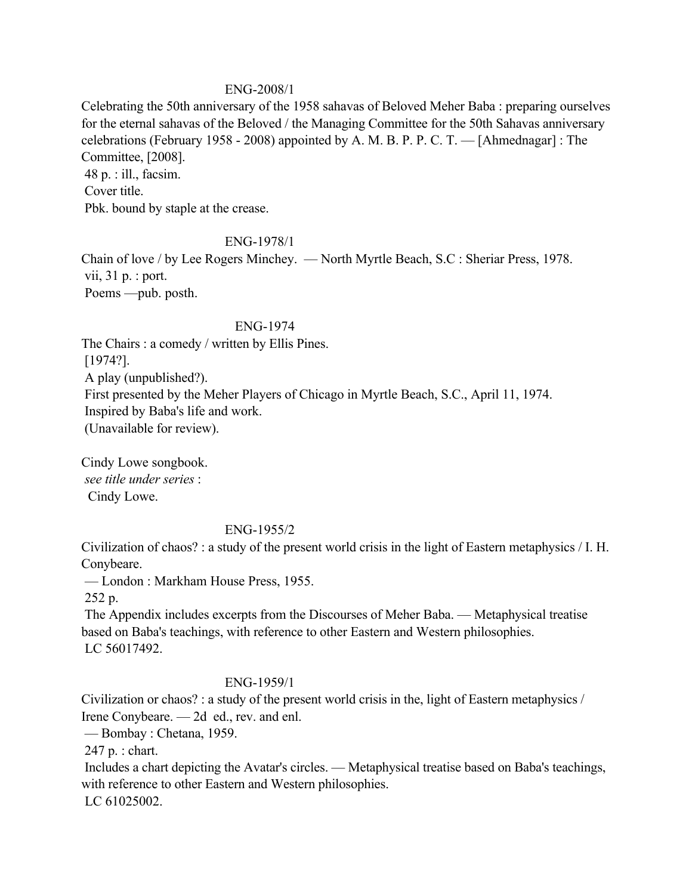## ENG-2008/1

Celebrating the 50th anniversary of the 1958 sahavas of Beloved Meher Baba : preparing ourselves for the eternal sahavas of the Beloved / the Managing Committee for the 50th Sahavas anniversary celebrations (February 1958 - 2008) appointed by A. M. B. P. P. C. T. — [Ahmednagar] : The Committee, [2008]. 48 p. : ill., facsim.

 Cover title. Pbk. bound by staple at the crease.

### ENG-1978/1

Chain of love / by Lee Rogers Minchey. — North Myrtle Beach, S.C : Sheriar Press, 1978. vii, 31 p. : port. Poems —pub. posth.

## ENG-1974

The Chairs : a comedy / written by Ellis Pines. [1974?].

A play (unpublished?).

First presented by the Meher Players of Chicago in Myrtle Beach, S.C., April 11, 1974.

Inspired by Baba's life and work.

(Unavailable for review).

Cindy Lowe songbook. *see title under series* : Cindy Lowe.

## ENG-1955/2

Civilization of chaos? : a study of the present world crisis in the light of Eastern metaphysics / I. H. Conybeare.

— London : Markham House Press, 1955.

252 p.

 The Appendix includes excerpts from the Discourses of Meher Baba. — Metaphysical treatise based on Baba's teachings, with reference to other Eastern and Western philosophies. LC 56017492.

## ENG-1959/1

Civilization or chaos? : a study of the present world crisis in the, light of Eastern metaphysics / Irene Conybeare. — 2d ed., rev. and enl.

— Bombay : Chetana, 1959.

247 p. : chart.

 Includes a chart depicting the Avatar's circles. — Metaphysical treatise based on Baba's teachings, with reference to other Eastern and Western philosophies. LC 61025002.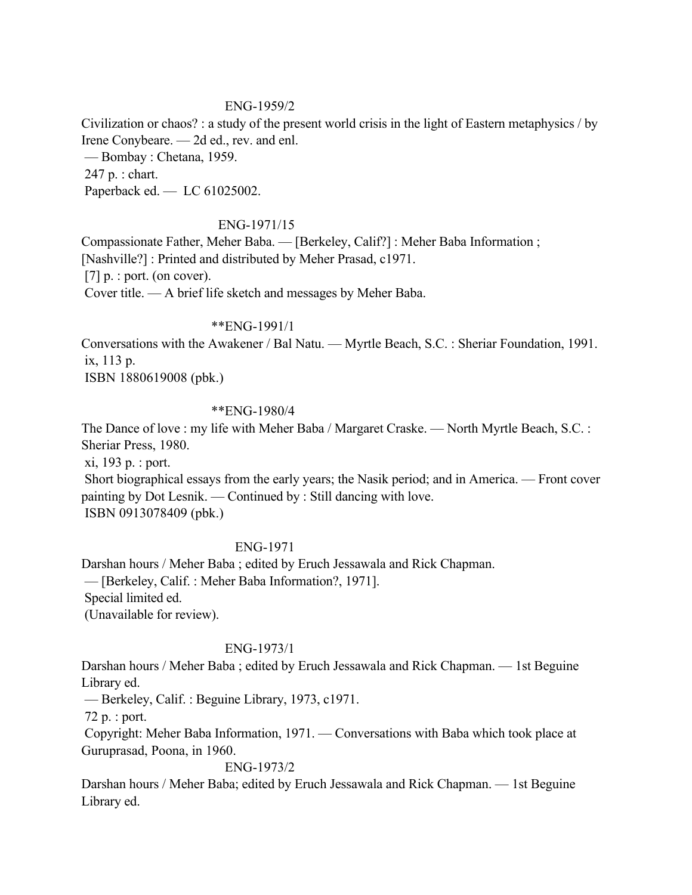### ENG-1959/2

Civilization or chaos? : a study of the present world crisis in the light of Eastern metaphysics / by Irene Conybeare. — 2d ed., rev. and enl.

— Bombay : Chetana, 1959.

247 p. : chart.

Paperback ed. — LC 61025002.

## ENG-1971/15

Compassionate Father, Meher Baba. — [Berkeley, Calif?] : Meher Baba Information ; [Nashville?] : Printed and distributed by Meher Prasad, c1971. [7]  $p.$ : port. (on cover). Cover title. — A brief life sketch and messages by Meher Baba.

### \*\*ENG-1991/1

Conversations with the Awakener / Bal Natu. — Myrtle Beach, S.C. : Sheriar Foundation, 1991. ix, 113 p.

ISBN 1880619008 (pbk.)

## \*\*ENG-1980/4

The Dance of love : my life with Meher Baba / Margaret Craske. — North Myrtle Beach, S.C. : Sheriar Press, 1980.

 xi, 193 p. : port. Short biographical essays from the early years; the Nasik period; and in America. — Front cover painting by Dot Lesnik. — Continued by : Still dancing with love. ISBN 0913078409 (pbk.)

## ENG-1971

Darshan hours / Meher Baba ; edited by Eruch Jessawala and Rick Chapman. — [Berkeley, Calif. : Meher Baba Information?, 1971]. Special limited ed. (Unavailable for review).

## ENG-1973/1

Darshan hours / Meher Baba ; edited by Eruch Jessawala and Rick Chapman. — 1st Beguine Library ed.

— Berkeley, Calif. : Beguine Library, 1973, c1971.

72 p. : port.

 Copyright: Meher Baba Information, 1971. — Conversations with Baba which took place at Guruprasad, Poona, in 1960.

## ENG-1973/2

Darshan hours / Meher Baba; edited by Eruch Jessawala and Rick Chapman. — 1st Beguine Library ed.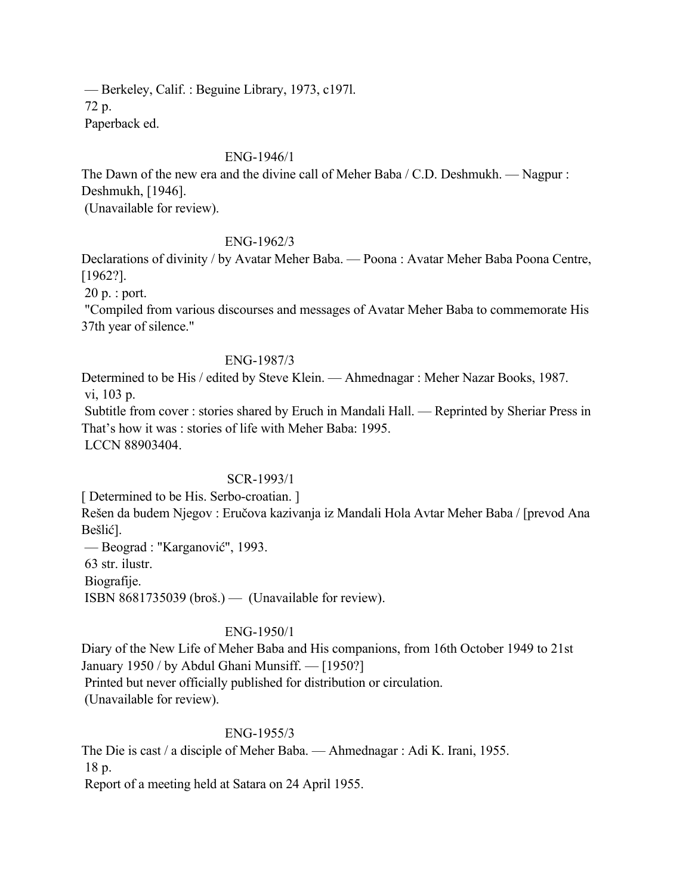— Berkeley, Calif. : Beguine Library, 1973, c197l. 72 p. Paperback ed.

## ENG-1946/1

The Dawn of the new era and the divine call of Meher Baba / C.D. Deshmukh. — Nagpur : Deshmukh, [1946].

(Unavailable for review).

## ENG-1962/3

Declarations of divinity / by Avatar Meher Baba. — Poona : Avatar Meher Baba Poona Centre, [1962?].

20 p. : port.

 "Compiled from various discourses and messages of Avatar Meher Baba to commemorate His 37th year of silence."

## ENG-1987/3

Determined to be His / edited by Steve Klein. — Ahmednagar : Meher Nazar Books, 1987. vi, 103 p.

 Subtitle from cover : stories shared by Eruch in Mandali Hall. — Reprinted by Sheriar Press in That's how it was : stories of life with Meher Baba: 1995. LCCN 88903404.

## SCR-1993/1

[ Determined to be His. Serbo-croatian. ]

Rešen da budem Njegov : Eručova kazivanja iz Mandali Hola Avtar Meher Baba / [prevod Ana Bešlić].

 — Beograd : "Karganović", 1993. 63 str. ilustr. Biografije.

ISBN 8681735039 (broš.) — (Unavailable for review).

## ENG-1950/1

Diary of the New Life of Meher Baba and His companions, from 16th October 1949 to 21st January 1950 / by Abdul Ghani Munsiff. — [1950?] Printed but never officially published for distribution or circulation. (Unavailable for review).

## ENG-1955/3

The Die is cast / a disciple of Meher Baba. — Ahmednagar : Adi K. Irani, 1955. 18 p.

Report of a meeting held at Satara on 24 April 1955.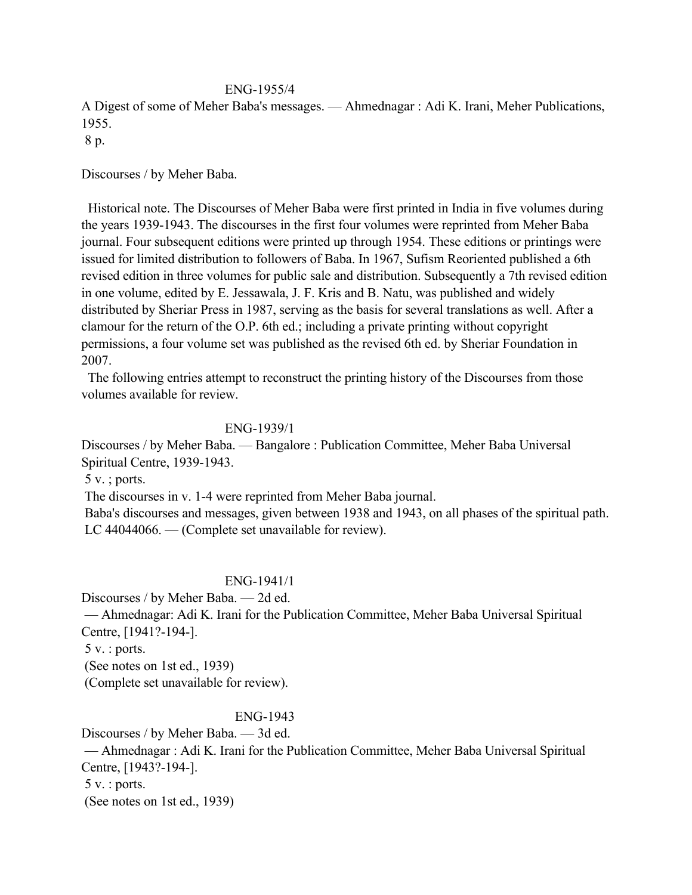### ENG-1955/4

A Digest of some of Meher Baba's messages. — Ahmednagar : Adi K. Irani, Meher Publications, 1955.

8 p.

Discourses / by Meher Baba.

 Historical note. The Discourses of Meher Baba were first printed in India in five volumes during the years 1939-1943. The discourses in the first four volumes were reprinted from Meher Baba journal. Four subsequent editions were printed up through 1954. These editions or printings were issued for limited distribution to followers of Baba. In 1967, Sufism Reoriented published a 6th revised edition in three volumes for public sale and distribution. Subsequently a 7th revised edition in one volume, edited by E. Jessawala, J. F. Kris and B. Natu, was published and widely distributed by Sheriar Press in 1987, serving as the basis for several translations as well. After a clamour for the return of the O.P. 6th ed.; including a private printing without copyright permissions, a four volume set was published as the revised 6th ed. by Sheriar Foundation in 2007.

 The following entries attempt to reconstruct the printing history of the Discourses from those volumes available for review.

### ENG-1939/1

Discourses / by Meher Baba. — Bangalore : Publication Committee, Meher Baba Universal Spiritual Centre, 1939-1943.

5 v. ; ports.

The discourses in v. 1-4 were reprinted from Meher Baba journal.

 Baba's discourses and messages, given between 1938 and 1943, on all phases of the spiritual path. LC 44044066. — (Complete set unavailable for review).

## ENG-1941/1

Discourses / by Meher Baba. — 2d ed.

 — Ahmednagar: Adi K. Irani for the Publication Committee, Meher Baba Universal Spiritual Centre, [1941?-194-].

5 v. : ports.

(See notes on 1st ed., 1939)

(Complete set unavailable for review).

## ENG-1943

Discourses / by Meher Baba. — 3d ed. — Ahmednagar : Adi K. Irani for the Publication Committee, Meher Baba Universal Spiritual Centre, [1943?-194-]. 5 v. : ports. (See notes on 1st ed., 1939)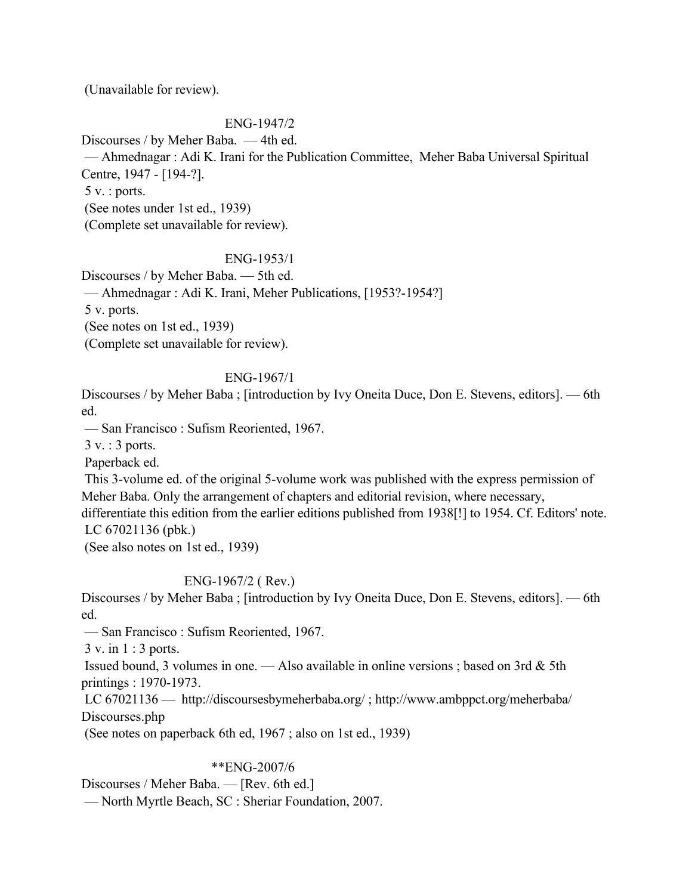(Unavailable for review).

## ENG-1947/2

Discourses / by Meher Baba. — 4th ed. — Ahmednagar : Adi K. Irani for the Publication Committee, Meher Baba Universal Spiritual Centre, 1947 - [194-?]. 5 v. : ports. (See notes under 1st ed., 1939) (Complete set unavailable for review).

## ENG-1953/1

Discourses / by Meher Baba. — 5th ed. — Ahmednagar : Adi K. Irani, Meher Publications, [1953?-1954?] 5 v. ports. (See notes on 1st ed., 1939) (Complete set unavailable for review).

## ENG-1967/1

Discourses / by Meher Baba ; [introduction by Ivy Oneita Duce, Don E. Stevens, editors]. — 6th ed.

— San Francisco : Sufism Reoriented, 1967.

3 v. : 3 ports.

Paperback ed.

 This 3-volume ed. of the original 5-volume work was published with the express permission of Meher Baba. Only the arrangement of chapters and editorial revision, where necessary, differentiate this edition from the earlier editions published from 1938[!] to 1954. Cf. Editors' note. LC 67021136 (pbk.)

(See also notes on 1st ed., 1939)

# ENG-1967/2 ( Rev.)

Discourses / by Meher Baba ; [introduction by Ivy Oneita Duce, Don E. Stevens, editors]. — 6th ed.

— San Francisco : Sufism Reoriented, 1967.

3 v. in 1 : 3 ports.

Issued bound, 3 volumes in one. — Also available in online versions; based on 3rd  $\&$  5th printings : 1970-1973.

 LC 67021136 — http://discoursesbymeherbaba.org/ ; http://www.ambppct.org/meherbaba/ Discourses.php

(See notes on paperback 6th ed, 1967 ; also on 1st ed., 1939)

# \*\*ENG-2007/6

Discourses / Meher Baba. — [Rev. 6th ed.]

— North Myrtle Beach, SC : Sheriar Foundation, 2007.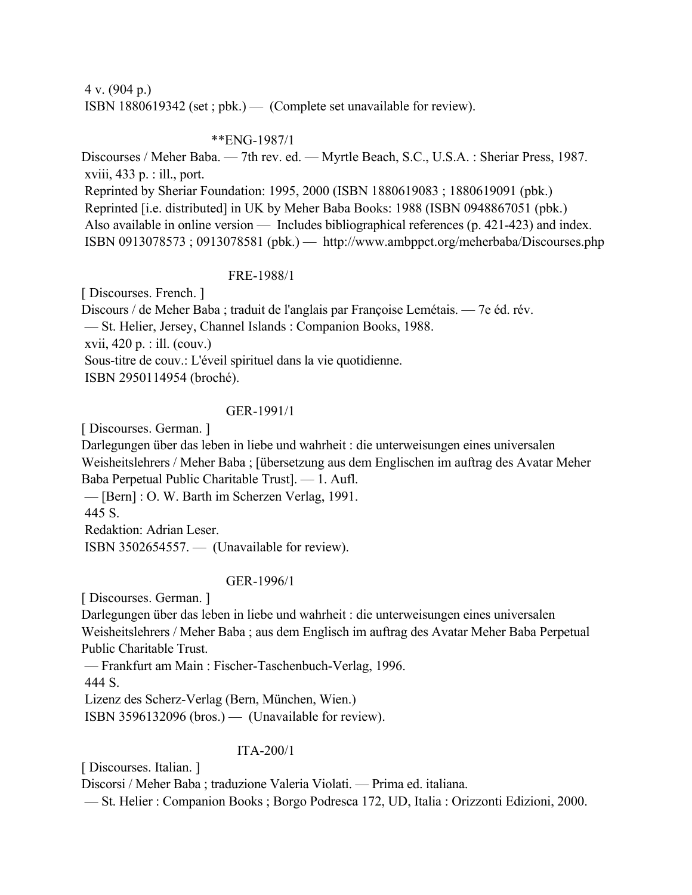4 v. (904 p.) ISBN 1880619342 (set ; pbk.) — (Complete set unavailable for review).

## \*\*ENG-1987/1

Discourses / Meher Baba. — 7th rev. ed. — Myrtle Beach, S.C., U.S.A. : Sheriar Press, 1987. xviii, 433 p. : ill., port. Reprinted by Sheriar Foundation: 1995, 2000 (ISBN 1880619083 ; 1880619091 (pbk.) Reprinted [i.e. distributed] in UK by Meher Baba Books: 1988 (ISBN 0948867051 (pbk.) Also available in online version — Includes bibliographical references (p. 421-423) and index. ISBN 0913078573 ; 0913078581 (pbk.) — http://www.ambppct.org/meherbaba/Discourses.php

# FRE-1988/1

[ Discourses. French. ] Discours / de Meher Baba ; traduit de l'anglais par Françoise Lemétais. — 7e éd. rév. — St. Helier, Jersey, Channel Islands : Companion Books, 1988. xvii, 420 p. : ill. (couv.) Sous-titre de couv.: L'éveil spirituel dans la vie quotidienne. ISBN 2950114954 (broché).

# GER-1991/1

[ Discourses. German. ]

Darlegungen über das leben in liebe und wahrheit : die unterweisungen eines universalen Weisheitslehrers / Meher Baba ; [übersetzung aus dem Englischen im auftrag des Avatar Meher Baba Perpetual Public Charitable Trust]. — 1. Aufl.

— [Bern] : O. W. Barth im Scherzen Verlag, 1991.

445 S.

Redaktion: Adrian Leser.

ISBN 3502654557. — (Unavailable for review).

# GER-1996/1

[ Discourses. German. ]

Darlegungen über das leben in liebe und wahrheit : die unterweisungen eines universalen Weisheitslehrers / Meher Baba ; aus dem Englisch im auftrag des Avatar Meher Baba Perpetual Public Charitable Trust.

— Frankfurt am Main : Fischer-Taschenbuch-Verlag, 1996.

444 S.

 Lizenz des Scherz-Verlag (Bern, München, Wien.) ISBN 3596132096 (bros.) — (Unavailable for review).

# ITA-200/1

[ Discourses. Italian. ]

Discorsi / Meher Baba ; traduzione Valeria Violati. — Prima ed. italiana.

— St. Helier : Companion Books ; Borgo Podresca 172, UD, Italia : Orizzonti Edizioni, 2000.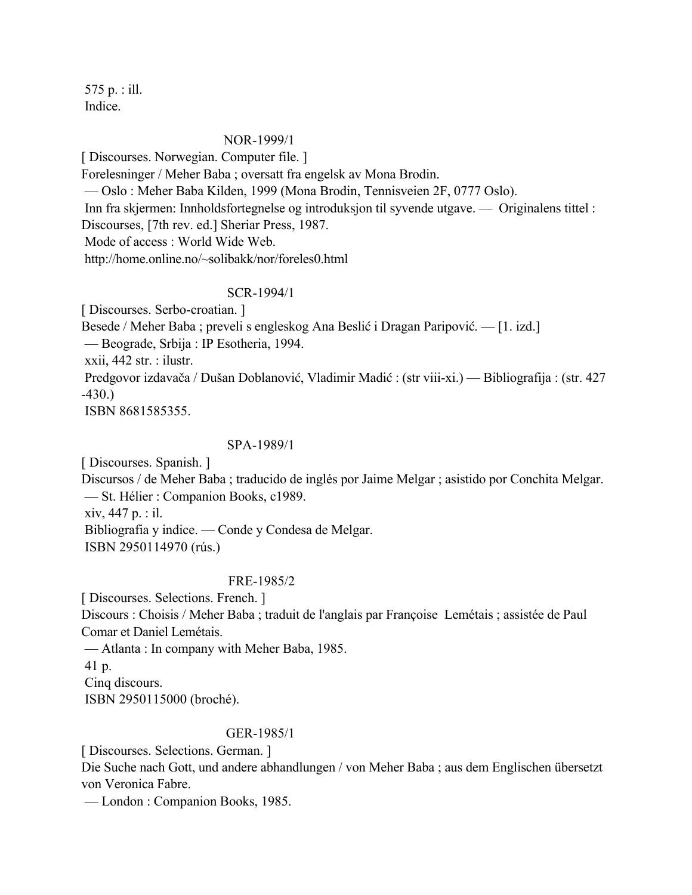575 p. : ill. Indice.

#### NOR-1999/1

[ Discourses. Norwegian. Computer file. ] Forelesninger / Meher Baba ; oversatt fra engelsk av Mona Brodin. — Oslo : Meher Baba Kilden, 1999 (Mona Brodin, Tennisveien 2F, 0777 Oslo). Inn fra skjermen: Innholdsfortegnelse og introduksjon til syvende utgave. — Originalens tittel : Discourses, [7th rev. ed.] Sheriar Press, 1987. Mode of access : World Wide Web. http://home.online.no/~solibakk/nor/foreles0.html

#### SCR-1994/1

[ Discourses. Serbo-croatian. ]

Besede / Meher Baba ; preveli s engleskog Ana Beslić i Dragan Paripović. — [1. izd.]

— Beograde, Srbija : IP Esotheria, 1994.

xxii, 442 str. : ilustr.

 Predgovor izdavača / Dušan Doblanović, Vladimir Madić : (str viii-xi.) — Bibliografija : (str. 427 -430.)

ISBN 8681585355.

#### SPA-1989/1

[ Discourses. Spanish. ]

Discursos / de Meher Baba ; traducido de inglés por Jaime Melgar ; asistido por Conchita Melgar. — St. Hélier : Companion Books, c1989.

xiv, 447 p. : il.

Bibliografia y indice. — Conde y Condesa de Melgar.

ISBN 2950114970 (rús.)

#### FRE-1985/2

[ Discourses. Selections. French. ]

Discours : Choisis / Meher Baba ; traduit de l'anglais par Françoise Lemétais ; assistée de Paul Comar et Daniel Lemétais.

— Atlanta : In company with Meher Baba, 1985.

41 p.

Cinq discours.

ISBN 2950115000 (broché).

#### GER-1985/1

[ Discourses. Selections. German. ]

Die Suche nach Gott, und andere abhandlungen / von Meher Baba ; aus dem Englischen übersetzt von Veronica Fabre.

— London : Companion Books, 1985.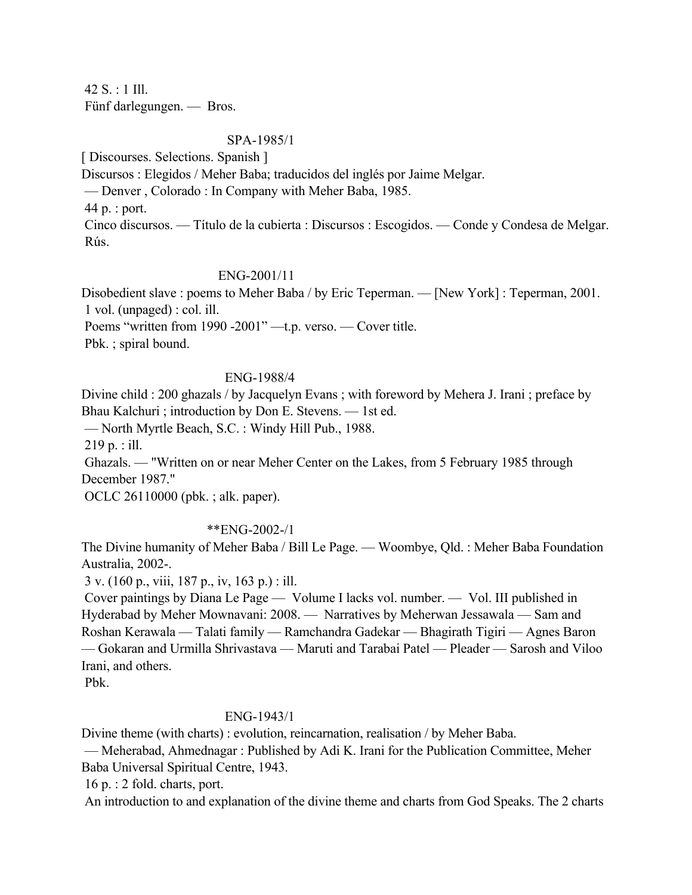42 S. : 1 Ill. Fünf darlegungen. — Bros.

## SPA-1985/1

[ Discourses. Selections. Spanish ]

Discursos : Elegidos / Meher Baba; traducidos del inglés por Jaime Melgar.

— Denver , Colorado : In Company with Meher Baba, 1985.

44 p. : port.

 Cinco discursos. — Título de la cubierta : Discursos : Escogidos. — Conde y Condesa de Melgar. Rús.

## ENG-2001/11

Disobedient slave : poems to Meher Baba / by Eric Teperman. — [New York] : Teperman, 2001. 1 vol. (unpaged) : col. ill.

Poems "written from 1990 -2001" —t.p. verso. — Cover title.

Pbk. ; spiral bound.

## ENG-1988/4

Divine child : 200 ghazals / by Jacquelyn Evans ; with foreword by Mehera J. Irani ; preface by Bhau Kalchuri ; introduction by Don E. Stevens. — 1st ed.

— North Myrtle Beach, S.C. : Windy Hill Pub., 1988.

219 p. : ill.

 Ghazals. — "Written on or near Meher Center on the Lakes, from 5 February 1985 through December 1987."

OCLC 26110000 (pbk. ; alk. paper).

# \*\*ENG-2002-/1

The Divine humanity of Meher Baba / Bill Le Page. — Woombye, Qld. : Meher Baba Foundation Australia, 2002-.

3 v. (160 p., viii, 187 p., iv, 163 p.) : ill.

 Cover paintings by Diana Le Page — Volume I lacks vol. number. — Vol. III published in Hyderabad by Meher Mownavani: 2008. — Narratives by Meherwan Jessawala — Sam and Roshan Kerawala — Talati family — Ramchandra Gadekar — Bhagirath Tigiri — Agnes Baron — Gokaran and Urmilla Shrivastava — Maruti and Tarabai Patel — Pleader — Sarosh and Viloo Irani, and others.

Pbk.

# ENG-1943/1

Divine theme (with charts) : evolution, reincarnation, realisation / by Meher Baba.

 — Meherabad, Ahmednagar : Published by Adi K. Irani for the Publication Committee, Meher Baba Universal Spiritual Centre, 1943.

16 p. : 2 fold. charts, port.

An introduction to and explanation of the divine theme and charts from God Speaks. The 2 charts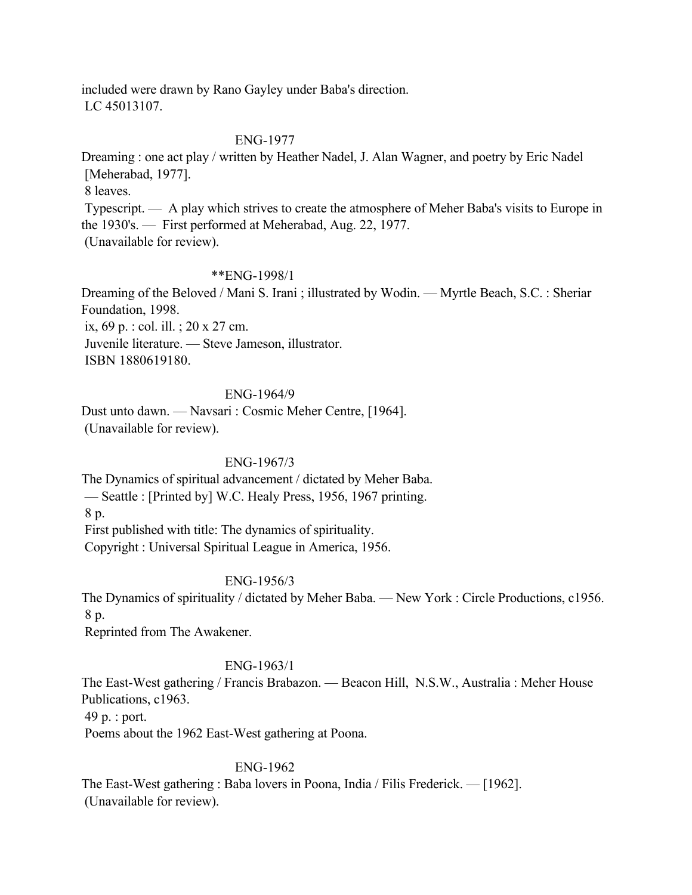included were drawn by Rano Gayley under Baba's direction. LC 45013107.

### ENG-1977

Dreaming : one act play / written by Heather Nadel, J. Alan Wagner, and poetry by Eric Nadel [Meherabad, 1977].

8 leaves.

 Typescript. — A play which strives to create the atmosphere of Meher Baba's visits to Europe in the 1930's. — First performed at Meherabad, Aug. 22, 1977. (Unavailable for review).

#### \*\*ENG-1998/1

Dreaming of the Beloved / Mani S. Irani ; illustrated by Wodin. — Myrtle Beach, S.C. : Sheriar Foundation, 1998.

ix, 69 p. : col. ill. ; 20 x 27 cm.

Juvenile literature. — Steve Jameson, illustrator.

ISBN 1880619180.

## ENG-1964/9

Dust unto dawn. — Navsari : Cosmic Meher Centre, [1964]. (Unavailable for review).

## ENG-1967/3

The Dynamics of spiritual advancement / dictated by Meher Baba. — Seattle : [Printed by] W.C. Healy Press, 1956, 1967 printing. 8 p. First published with title: The dynamics of spirituality.

Copyright : Universal Spiritual League in America, 1956.

## ENG-1956/3

The Dynamics of spirituality / dictated by Meher Baba. — New York : Circle Productions, c1956. 8 p.

Reprinted from The Awakener.

## ENG-1963/1

The East-West gathering / Francis Brabazon. — Beacon Hill, N.S.W., Australia : Meher House Publications, c1963.

49 p. : port.

Poems about the 1962 East-West gathering at Poona.

## ENG-1962

The East-West gathering : Baba lovers in Poona, India / Filis Frederick. — [1962]. (Unavailable for review).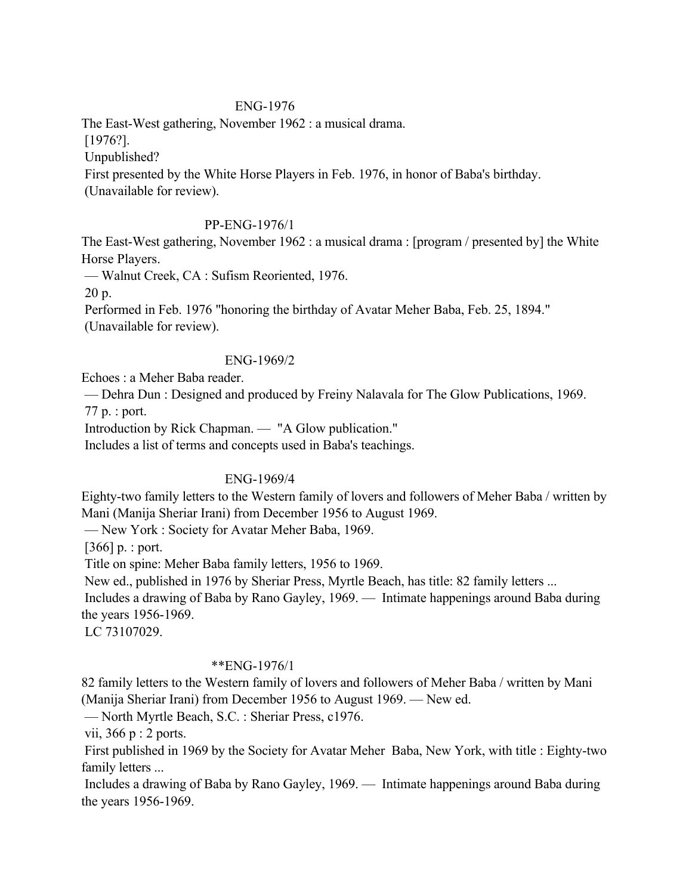## ENG-1976

The East-West gathering, November 1962 : a musical drama.

[1976?].

Unpublished?

First presented by the White Horse Players in Feb. 1976, in honor of Baba's birthday.

(Unavailable for review).

## PP-ENG-1976/1

The East-West gathering, November 1962 : a musical drama : [program / presented by] the White Horse Players.

— Walnut Creek, CA : Sufism Reoriented, 1976.

20 p.

Performed in Feb. 1976 "honoring the birthday of Avatar Meher Baba, Feb. 25, 1894."

(Unavailable for review).

## ENG-1969/2

Echoes : a Meher Baba reader.

 — Dehra Dun : Designed and produced by Freiny Nalavala for The Glow Publications, 1969. 77 p. : port.

Introduction by Rick Chapman. — "A Glow publication."

Includes a list of terms and concepts used in Baba's teachings.

# ENG-1969/4

Eighty-two family letters to the Western family of lovers and followers of Meher Baba / written by Mani (Manija Sheriar Irani) from December 1956 to August 1969.

— New York : Society for Avatar Meher Baba, 1969.

 $[366]$  p. : port.

Title on spine: Meher Baba family letters, 1956 to 1969.

New ed., published in 1976 by Sheriar Press, Myrtle Beach, has title: 82 family letters ...

 Includes a drawing of Baba by Rano Gayley, 1969. — Intimate happenings around Baba during the years 1956-1969.

LC 73107029.

## \*\*ENG-1976/1

82 family letters to the Western family of lovers and followers of Meher Baba / written by Mani (Manija Sheriar Irani) from December 1956 to August 1969. — New ed.

— North Myrtle Beach, S.C. : Sheriar Press, c1976.

vii, 366 p : 2 ports.

 First published in 1969 by the Society for Avatar Meher Baba, New York, with title : Eighty-two family letters ...

 Includes a drawing of Baba by Rano Gayley, 1969. — Intimate happenings around Baba during the years 1956-1969.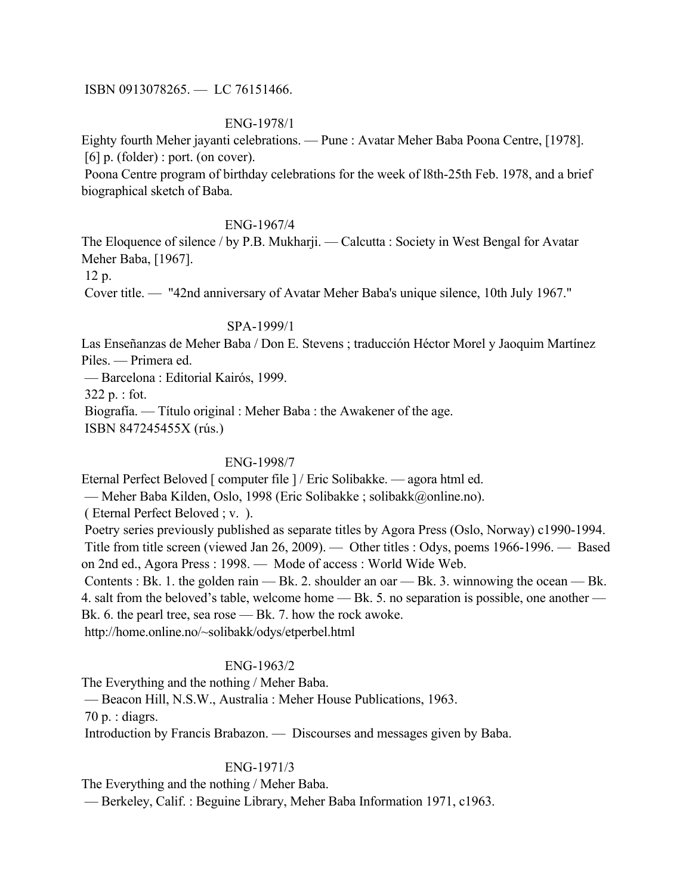ISBN 0913078265. — LC 76151466.

## ENG-1978/1

Eighty fourth Meher jayanti celebrations. — Pune : Avatar Meher Baba Poona Centre, [1978].  $[6]$  p. (folder) : port. (on cover).

 Poona Centre program of birthday celebrations for the week of l8th-25th Feb. 1978, and a brief biographical sketch of Baba.

## ENG-1967/4

The Eloquence of silence / by P.B. Mukharji. — Calcutta : Society in West Bengal for Avatar Meher Baba, [1967].

12 p.

Cover title. — "42nd anniversary of Avatar Meher Baba's unique silence, 10th July 1967."

### SPA-1999/1

Las Enseñanzas de Meher Baba / Don E. Stevens ; traducción Héctor Morel y Jaoquim Martínez Piles. — Primera ed.

— Barcelona : Editorial Kairós, 1999.

322 p. : fot.

Biografía. — Título original : Meher Baba : the Awakener of the age.

ISBN 847245455X (rús.)

## ENG-1998/7

Eternal Perfect Beloved [ computer file ] / Eric Solibakke. — agora html ed.

— Meher Baba Kilden, Oslo, 1998 (Eric Solibakke ; solibakk@online.no).

( Eternal Perfect Beloved ; v. ).

 Poetry series previously published as separate titles by Agora Press (Oslo, Norway) c1990-1994. Title from title screen (viewed Jan 26, 2009). — Other titles : Odys, poems 1966-1996. — Based on 2nd ed., Agora Press : 1998. — Mode of access : World Wide Web.

Contents : Bk. 1. the golden rain — Bk. 2. shoulder an oar — Bk. 3. winnowing the ocean — Bk. 4. salt from the beloved's table, welcome home — Bk. 5. no separation is possible, one another — Bk. 6. the pearl tree, sea rose — Bk. 7. how the rock awoke.

http://home.online.no/~solibakk/odys/etperbel.html

## ENG-1963/2

The Everything and the nothing / Meher Baba. — Beacon Hill, N.S.W., Australia : Meher House Publications, 1963. 70 p. : diagrs. Introduction by Francis Brabazon. — Discourses and messages given by Baba.

## ENG-1971/3

The Everything and the nothing / Meher Baba.

— Berkeley, Calif. : Beguine Library, Meher Baba Information 1971, c1963.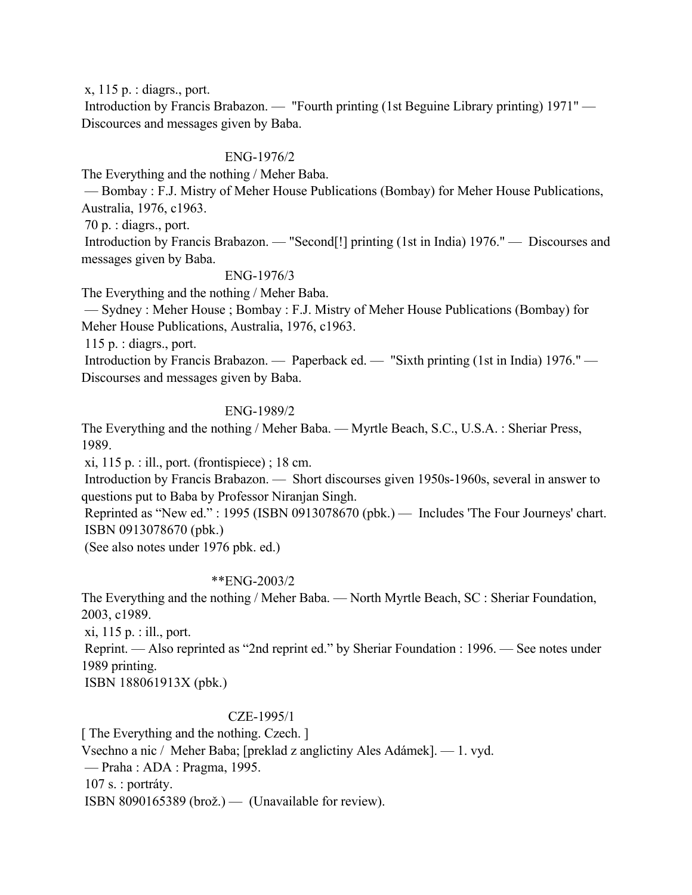x, 115 p. : diagrs., port.

 Introduction by Francis Brabazon. — "Fourth printing (1st Beguine Library printing) 1971" — Discources and messages given by Baba.

## ENG-1976/2

The Everything and the nothing / Meher Baba.

 — Bombay : F.J. Mistry of Meher House Publications (Bombay) for Meher House Publications, Australia, 1976, c1963.

70 p. : diagrs., port.

 Introduction by Francis Brabazon. — "Second[!] printing (1st in India) 1976." — Discourses and messages given by Baba.

### ENG-1976/3

The Everything and the nothing / Meher Baba.

 — Sydney : Meher House ; Bombay : F.J. Mistry of Meher House Publications (Bombay) for Meher House Publications, Australia, 1976, c1963.

115 p. : diagrs., port.

 Introduction by Francis Brabazon. — Paperback ed. — "Sixth printing (1st in India) 1976." — Discourses and messages given by Baba.

### ENG-1989/2

The Everything and the nothing / Meher Baba. — Myrtle Beach, S.C., U.S.A. : Sheriar Press, 1989.

xi, 115 p. : ill., port. (frontispiece) ; 18 cm.

 Introduction by Francis Brabazon. — Short discourses given 1950s-1960s, several in answer to questions put to Baba by Professor Niranjan Singh.

 Reprinted as "New ed." : 1995 (ISBN 0913078670 (pbk.) — Includes 'The Four Journeys' chart. ISBN 0913078670 (pbk.)

(See also notes under 1976 pbk. ed.)

#### \*\*ENG-2003/2

The Everything and the nothing / Meher Baba. — North Myrtle Beach, SC : Sheriar Foundation, 2003, c1989.

xi, 115 p. : ill., port.

 Reprint. — Also reprinted as "2nd reprint ed." by Sheriar Foundation : 1996. — See notes under 1989 printing.

ISBN 188061913X (pbk.)

## CZE-1995/1

[ The Everything and the nothing. Czech. ] Vsechno a nic / Meher Baba; [preklad z anglictiny Ales Adámek]. — 1. vyd. — Praha : ADA : Pragma, 1995. 107 s. : portráty. ISBN 8090165389 (brož.) — (Unavailable for review).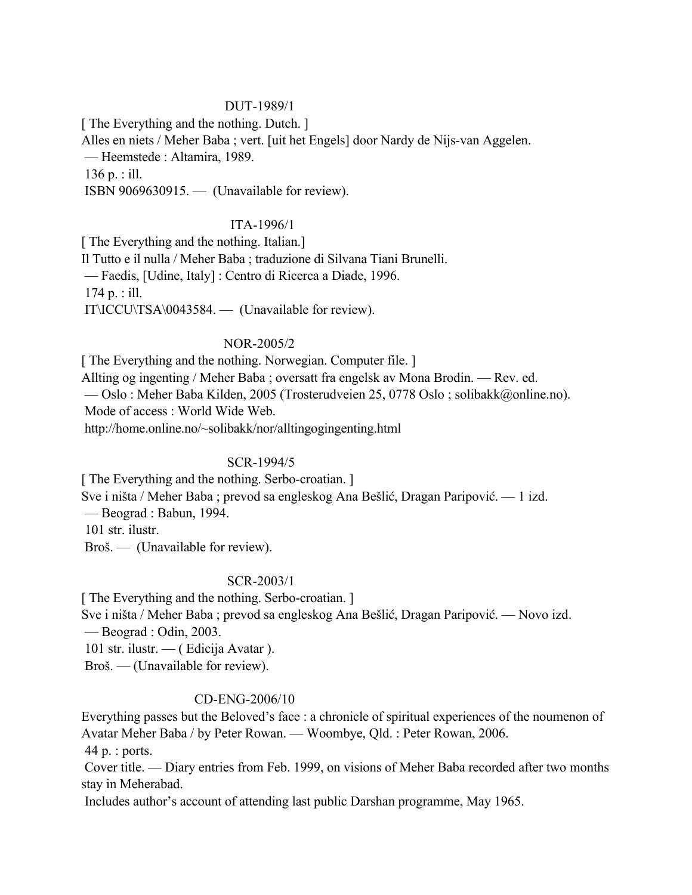## DUT-1989/1

[ The Everything and the nothing. Dutch. ]

Alles en niets / Meher Baba ; vert. [uit het Engels] door Nardy de Nijs-van Aggelen.

— Heemstede : Altamira, 1989.

136 p. : ill.

ISBN 9069630915. — (Unavailable for review).

### ITA-1996/1

[ The Everything and the nothing. Italian.] Il Tutto e il nulla / Meher Baba ; traduzione di Silvana Tiani Brunelli. — Faedis, [Udine, Italy] : Centro di Ricerca a Diade, 1996. 174 p. : ill. IT\ICCU\TSA\0043584. — (Unavailable for review).

### NOR-2005/2

[ The Everything and the nothing. Norwegian. Computer file. ] Allting og ingenting / Meher Baba ; oversatt fra engelsk av Mona Brodin. — Rev. ed. — Oslo : Meher Baba Kilden, 2005 (Trosterudveien 25, 0778 Oslo ; solibakk@online.no). Mode of access : World Wide Web. http://home.online.no/~solibakk/nor/alltingogingenting.html

## SCR-1994/5

[ The Everything and the nothing. Serbo-croatian. ]

Sve i ništa / Meher Baba ; prevod sa engleskog Ana Bešlić, Dragan Paripović. — 1 izd.

— Beograd : Babun, 1994.

101 str. ilustr.

Broš. — (Unavailable for review).

## SCR-2003/1

[ The Everything and the nothing. Serbo-croatian. ]

Sve i ništa / Meher Baba ; prevod sa engleskog Ana Bešlić, Dragan Paripović. — Novo izd. — Beograd : Odin, 2003.

101 str. ilustr. — ( Edicija Avatar ).

Broš. — (Unavailable for review).

## CD-ENG-2006/10

Everything passes but the Beloved's face : a chronicle of spiritual experiences of the noumenon of Avatar Meher Baba / by Peter Rowan. — Woombye, Qld. : Peter Rowan, 2006.

44 p. : ports.

 Cover title. — Diary entries from Feb. 1999, on visions of Meher Baba recorded after two months stay in Meherabad.

Includes author's account of attending last public Darshan programme, May 1965.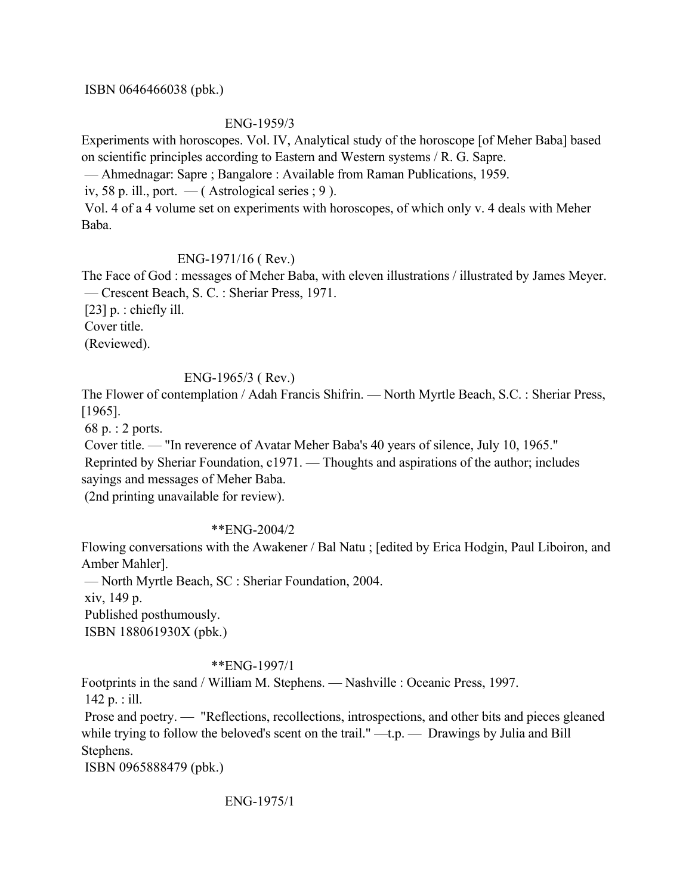## ISBN 0646466038 (pbk.)

## ENG-1959/3

Experiments with horoscopes. Vol. IV, Analytical study of the horoscope [of Meher Baba] based on scientific principles according to Eastern and Western systems / R. G. Sapre.

— Ahmednagar: Sapre ; Bangalore : Available from Raman Publications, 1959.

iv, 58 p. ill., port.  $-$  (Astrological series ; 9).

 Vol. 4 of a 4 volume set on experiments with horoscopes, of which only v. 4 deals with Meher Baba.

# ENG-1971/16 ( Rev.)

The Face of God : messages of Meher Baba, with eleven illustrations / illustrated by James Meyer. — Crescent Beach, S. C. : Sheriar Press, 1971.

[23] p. : chiefly ill. Cover title.

(Reviewed).

# ENG-1965/3 ( Rev.)

The Flower of contemplation / Adah Francis Shifrin. — North Myrtle Beach, S.C. : Sheriar Press, [1965].

68 p. : 2 ports.

Cover title. — "In reverence of Avatar Meher Baba's 40 years of silence, July 10, 1965."

 Reprinted by Sheriar Foundation, c1971. — Thoughts and aspirations of the author; includes sayings and messages of Meher Baba.

(2nd printing unavailable for review).

# \*\*ENG-2004/2

Flowing conversations with the Awakener / Bal Natu ; [edited by Erica Hodgin, Paul Liboiron, and Amber Mahler].

 — North Myrtle Beach, SC : Sheriar Foundation, 2004. xiv, 149 p. Published posthumously. ISBN 188061930X (pbk.)

# \*\*ENG-1997/1

Footprints in the sand / William M. Stephens. — Nashville : Oceanic Press, 1997. 142 p. : ill.

 Prose and poetry. — "Reflections, recollections, introspections, and other bits and pieces gleaned while trying to follow the beloved's scent on the trail." —t.p. — Drawings by Julia and Bill Stephens.

ISBN 0965888479 (pbk.)

ENG-1975/1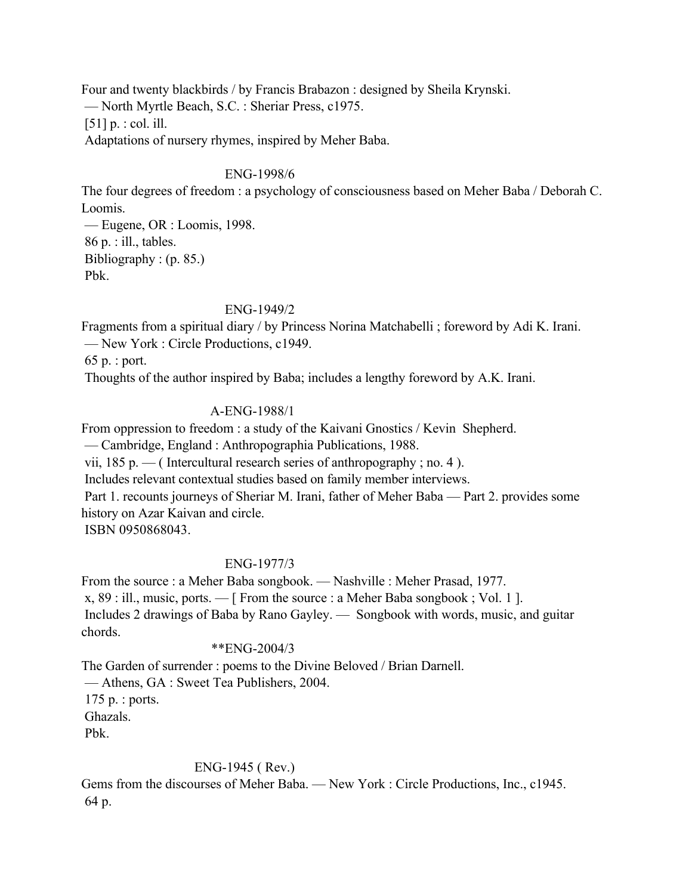Four and twenty blackbirds / by Francis Brabazon : designed by Sheila Krynski. — North Myrtle Beach, S.C. : Sheriar Press, c1975. [51] p. : col. ill. Adaptations of nursery rhymes, inspired by Meher Baba.

## ENG-1998/6

The four degrees of freedom : a psychology of consciousness based on Meher Baba / Deborah C. Loomis.

 — Eugene, OR : Loomis, 1998. 86 p. : ill., tables. Bibliography : (p. 85.) Pbk.

## ENG-1949/2

Fragments from a spiritual diary / by Princess Norina Matchabelli ; foreword by Adi K. Irani. — New York : Circle Productions, c1949.

65 p. : port.

Thoughts of the author inspired by Baba; includes a lengthy foreword by A.K. Irani.

## A-ENG-1988/1

From oppression to freedom : a study of the Kaivani Gnostics / Kevin Shepherd.

— Cambridge, England : Anthropographia Publications, 1988.

vii,  $185$  p. — (Intercultural research series of anthropography; no. 4).

Includes relevant contextual studies based on family member interviews.

 Part 1. recounts journeys of Sheriar M. Irani, father of Meher Baba — Part 2. provides some history on Azar Kaivan and circle.

ISBN 0950868043.

## ENG-1977/3

From the source : a Meher Baba songbook. — Nashville : Meher Prasad, 1977. x, 89 : ill., music, ports. — [ From the source : a Meher Baba songbook ; Vol. 1 ]. Includes 2 drawings of Baba by Rano Gayley. — Songbook with words, music, and guitar chords.

## \*\*ENG-2004/3

The Garden of surrender : poems to the Divine Beloved / Brian Darnell. — Athens, GA : Sweet Tea Publishers, 2004. 175 p. : ports. Ghazals. Pbk.

## ENG-1945 ( Rev.)

Gems from the discourses of Meher Baba. — New York : Circle Productions, Inc., c1945. 64 p.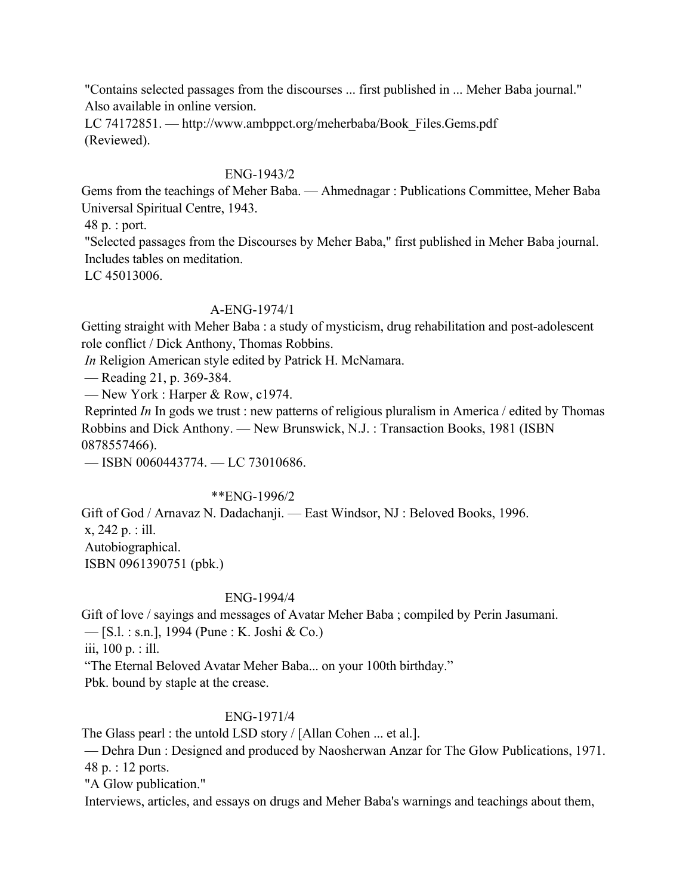"Contains selected passages from the discourses ... first published in ... Meher Baba journal." Also available in online version.

 LC 74172851. — http://www.ambppct.org/meherbaba/Book\_Files.Gems.pdf (Reviewed).

## ENG-1943/2

Gems from the teachings of Meher Baba. — Ahmednagar : Publications Committee, Meher Baba Universal Spiritual Centre, 1943.

48 p. : port.

 "Selected passages from the Discourses by Meher Baba," first published in Meher Baba journal. Includes tables on meditation.

LC 45013006.

## A-ENG-1974/1

Getting straight with Meher Baba : a study of mysticism, drug rehabilitation and post-adolescent role conflict / Dick Anthony, Thomas Robbins.

*In* Religion American style edited by Patrick H. McNamara.

— Reading 21, p. 369-384.

— New York : Harper & Row, c1974.

 Reprinted *In* In gods we trust : new patterns of religious pluralism in America / edited by Thomas Robbins and Dick Anthony. — New Brunswick, N.J. : Transaction Books, 1981 (ISBN 0878557466).

— ISBN 0060443774. — LC 73010686.

## \*\*ENG-1996/2

Gift of God / Arnavaz N. Dadachanji. — East Windsor, NJ : Beloved Books, 1996.

x, 242 p. : ill.

Autobiographical.

ISBN 0961390751 (pbk.)

## ENG-1994/4

Gift of love / sayings and messages of Avatar Meher Baba ; compiled by Perin Jasumani.

— [S.l. : s.n.], 1994 (Pune : K. Joshi & Co.)

iii, 100 p. : ill.

"The Eternal Beloved Avatar Meher Baba... on your 100th birthday."

Pbk. bound by staple at the crease.

# ENG-1971/4

The Glass pearl : the untold LSD story / [Allan Cohen ... et al.].

 — Dehra Dun : Designed and produced by Naosherwan Anzar for The Glow Publications, 1971. 48 p. : 12 ports.

"A Glow publication."

Interviews, articles, and essays on drugs and Meher Baba's warnings and teachings about them,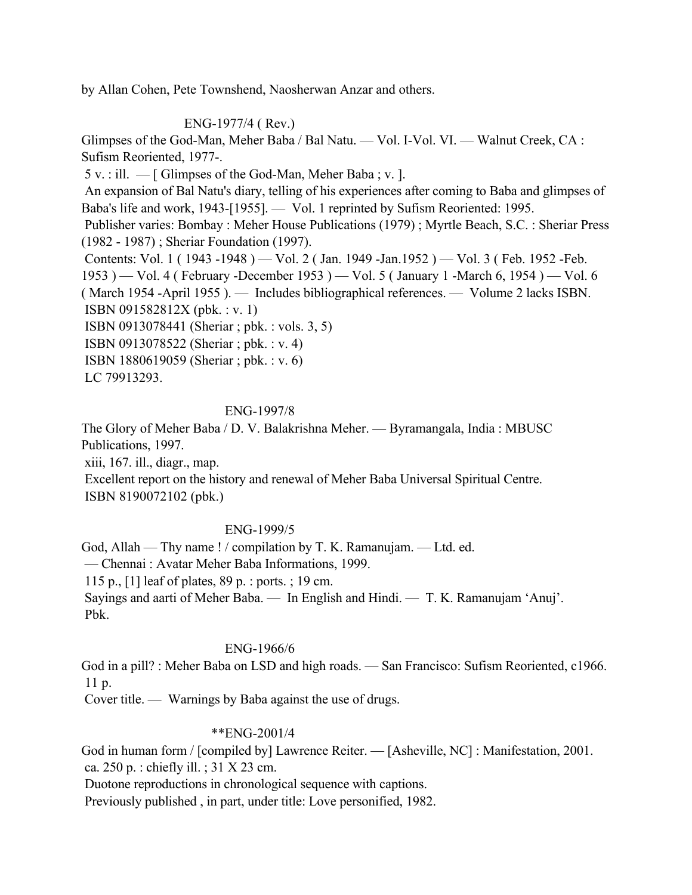by Allan Cohen, Pete Townshend, Naosherwan Anzar and others.

# ENG-1977/4 ( Rev.)

Glimpses of the God-Man, Meher Baba / Bal Natu. — Vol. I-Vol. VI. — Walnut Creek, CA : Sufism Reoriented, 1977-.

5 v. : ill. — [ Glimpses of the God-Man, Meher Baba ; v. ].

 An expansion of Bal Natu's diary, telling of his experiences after coming to Baba and glimpses of Baba's life and work, 1943-[1955]. — Vol. 1 reprinted by Sufism Reoriented: 1995.

 Publisher varies: Bombay : Meher House Publications (1979) ; Myrtle Beach, S.C. : Sheriar Press (1982 - 1987) ; Sheriar Foundation (1997).

Contents: Vol. 1 ( 1943 -1948 ) — Vol. 2 ( Jan. 1949 -Jan. 1952 ) — Vol. 3 ( Feb. 1952 -Feb. 1953 ) — Vol. 4 ( February -December 1953 ) — Vol. 5 ( January 1 -March 6, 1954 ) — Vol. 6 ( March 1954 -April 1955 ). — Includes bibliographical references. — Volume 2 lacks ISBN. ISBN 091582812X (pbk. : v. 1)

ISBN 0913078441 (Sheriar ; pbk. : vols. 3, 5)

ISBN 0913078522 (Sheriar ; pbk. : v. 4)

ISBN 1880619059 (Sheriar ; pbk. : v. 6)

LC 79913293.

## ENG-1997/8

The Glory of Meher Baba / D. V. Balakrishna Meher. — Byramangala, India : MBUSC Publications, 1997.

xiii, 167. ill., diagr., map.

 Excellent report on the history and renewal of Meher Baba Universal Spiritual Centre. ISBN 8190072102 (pbk.)

## ENG-1999/5

God, Allah — Thy name ! / compilation by T. K. Ramanujam. — Ltd. ed. — Chennai : Avatar Meher Baba Informations, 1999. 115 p., [1] leaf of plates, 89 p. : ports. ; 19 cm. Sayings and aarti of Meher Baba. — In English and Hindi. — T. K. Ramanujam 'Anuj'. Pbk.

## ENG-1966/6

God in a pill? : Meher Baba on LSD and high roads. — San Francisco: Sufism Reoriented, c1966. 11 p.

Cover title. — Warnings by Baba against the use of drugs.

## \*\*ENG-2001/4

God in human form / [compiled by] Lawrence Reiter. — [Asheville, NC] : Manifestation, 2001. ca. 250 p. : chiefly ill. ; 31 X 23 cm.

Duotone reproductions in chronological sequence with captions.

Previously published , in part, under title: Love personified, 1982.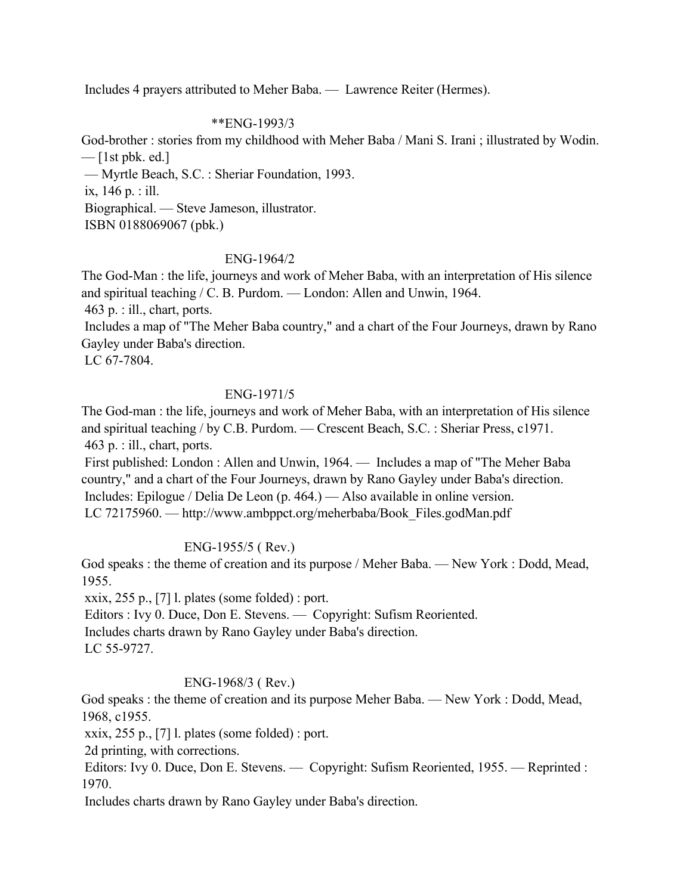Includes 4 prayers attributed to Meher Baba. — Lawrence Reiter (Hermes).

## \*\*ENG-1993/3

God-brother : stories from my childhood with Meher Baba / Mani S. Irani ; illustrated by Wodin.  $-$  [1st pbk. ed.]

— Myrtle Beach, S.C. : Sheriar Foundation, 1993.

ix, 146 p. : ill.

Biographical. — Steve Jameson, illustrator.

ISBN 0188069067 (pbk.)

## ENG-1964/2

The God-Man : the life, journeys and work of Meher Baba, with an interpretation of His silence and spiritual teaching / C. B. Purdom. — London: Allen and Unwin, 1964.

463 p. : ill., chart, ports.

 Includes a map of "The Meher Baba country," and a chart of the Four Journeys, drawn by Rano Gayley under Baba's direction.

LC 67-7804.

## ENG-1971/5

The God-man : the life, journeys and work of Meher Baba, with an interpretation of His silence and spiritual teaching / by C.B. Purdom. — Crescent Beach, S.C. : Sheriar Press, c1971. 463 p. : ill., chart, ports.

 First published: London : Allen and Unwin, 1964. — Includes a map of "The Meher Baba country," and a chart of the Four Journeys, drawn by Rano Gayley under Baba's direction. Includes: Epilogue / Delia De Leon (p. 464.) — Also available in online version. LC 72175960. — http://www.ambppct.org/meherbaba/Book\_Files.godMan.pdf

# ENG-1955/5 ( Rev.)

God speaks : the theme of creation and its purpose / Meher Baba. — New York : Dodd, Mead, 1955.

xxix,  $255$  p., [7] l. plates (some folded) : port.

 Editors : Ivy 0. Duce, Don E. Stevens. — Copyright: Sufism Reoriented. Includes charts drawn by Rano Gayley under Baba's direction. LC 55-9727.

# ENG-1968/3 ( Rev.)

God speaks : the theme of creation and its purpose Meher Baba. — New York : Dodd, Mead, 1968, c1955.

xxix, 255 p., [7] l. plates (some folded) : port.

2d printing, with corrections.

 Editors: Ivy 0. Duce, Don E. Stevens. — Copyright: Sufism Reoriented, 1955. — Reprinted : 1970.

Includes charts drawn by Rano Gayley under Baba's direction.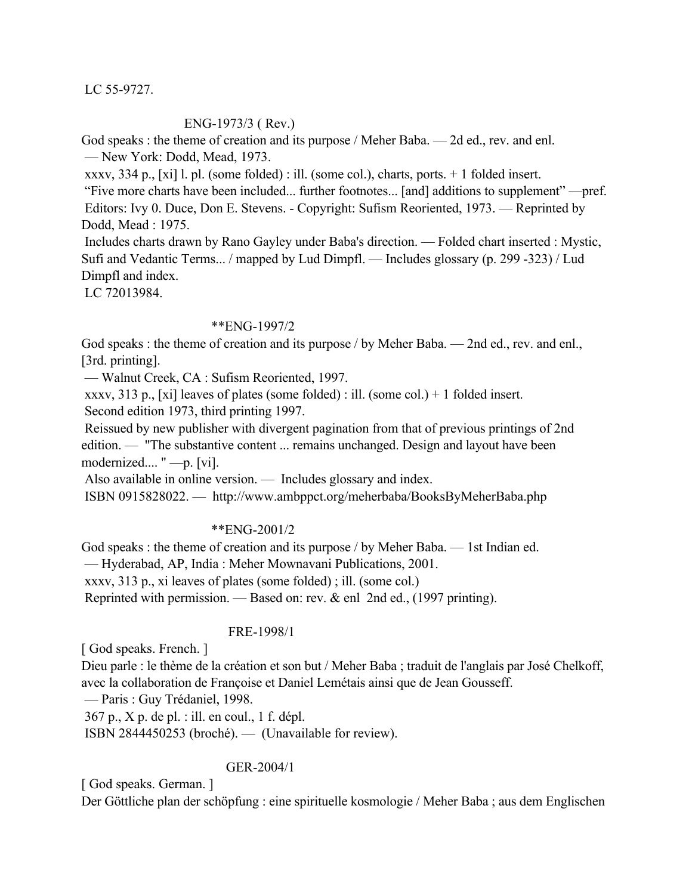LC 55-9727.

### ENG-1973/3 ( Rev.)

God speaks : the theme of creation and its purpose / Meher Baba. — 2d ed., rev. and enl. — New York: Dodd, Mead, 1973.

xxxv, 334 p., [xi] l. pl. (some folded) : ill. (some col.), charts, ports. + 1 folded insert.

 "Five more charts have been included... further footnotes... [and] additions to supplement" —pref. Editors: Ivy 0. Duce, Don E. Stevens. - Copyright: Sufism Reoriented, 1973. — Reprinted by Dodd, Mead : 1975.

 Includes charts drawn by Rano Gayley under Baba's direction. — Folded chart inserted : Mystic, Sufi and Vedantic Terms... / mapped by Lud Dimpfl. — Includes glossary (p. 299 -323) / Lud Dimpfl and index.

LC 72013984.

### \*\*ENG-1997/2

God speaks : the theme of creation and its purpose / by Meher Baba. — 2nd ed., rev. and enl., [3rd. printing].

— Walnut Creek, CA : Sufism Reoriented, 1997.

xxxv, 313 p., [xi] leaves of plates (some folded) : ill. (some col.) + 1 folded insert.

Second edition 1973, third printing 1997.

 Reissued by new publisher with divergent pagination from that of previous printings of 2nd edition. — "The substantive content ... remains unchanged. Design and layout have been modernized.... " —p. [vi].

Also available in online version. — Includes glossary and index.

ISBN 0915828022. — http://www.ambppct.org/meherbaba/BooksByMeherBaba.php

## \*\*ENG-2001/2

God speaks : the theme of creation and its purpose / by Meher Baba. — 1st Indian ed. — Hyderabad, AP, India : Meher Mownavani Publications, 2001. xxxv, 313 p., xi leaves of plates (some folded) ; ill. (some col.) Reprinted with permission. — Based on: rev. & enl 2nd ed., (1997 printing).

## FRE-1998/1

[ God speaks. French. ]

Dieu parle : le thème de la création et son but / Meher Baba ; traduit de l'anglais par José Chelkoff, avec la collaboration de Françoise et Daniel Lemétais ainsi que de Jean Gousseff.

— Paris : Guy Trédaniel, 1998.

367 p., X p. de pl. : ill. en coul., 1 f. dépl.

ISBN 2844450253 (broché). — (Unavailable for review).

## GER-2004/1

[ God speaks. German. ]

Der Göttliche plan der schöpfung : eine spirituelle kosmologie / Meher Baba ; aus dem Englischen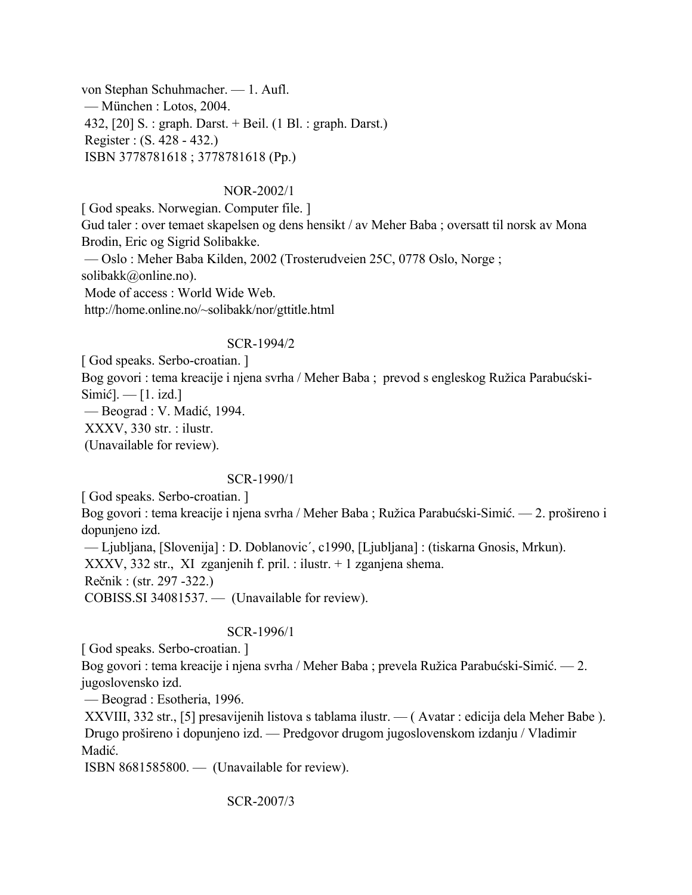von Stephan Schuhmacher. — 1. Aufl. — München : Lotos, 2004. 432, [20] S. : graph. Darst. + Beil. (1 Bl. : graph. Darst.) Register : (S. 428 - 432.) ISBN 3778781618 ; 3778781618 (Pp.)

## NOR-2002/1

[ God speaks. Norwegian. Computer file. ] Gud taler : over temaet skapelsen og dens hensikt / av Meher Baba ; oversatt til norsk av Mona Brodin, Eric og Sigrid Solibakke. — Oslo : Meher Baba Kilden, 2002 (Trosterudveien 25C, 0778 Oslo, Norge ; solibakk@online.no). Mode of access : World Wide Web. http://home.online.no/~solibakk/nor/gttitle.html

## SCR-1994/2

[ God speaks. Serbo-croatian. ] Bog govori : tema kreacije i njena svrha / Meher Baba ; prevod s engleskog Ružica Parabućski- $Similarly$  $Simić]$ .  $-$  [1. izd.] — Beograd : V. Madić, 1994. XXXV, 330 str. : ilustr. (Unavailable for review).

## SCR-1990/1

[ God speaks. Serbo-croatian. ]

Bog govori : tema kreacije i njena svrha / Meher Baba ; Ružica Parabućski-Simić. — 2. prošireno i dopunjeno izd.

— Ljubljana, [Slovenija] : D. Doblanovic´, c1990, [Ljubljana] : (tiskarna Gnosis, Mrkun).

XXXV, 332 str., XI zganjenih f. pril. : ilustr. + 1 zganjena shema.

Rečnik : (str. 297 -322.)

COBISS.SI 34081537. — (Unavailable for review).

# SCR-1996/1

[ God speaks. Serbo-croatian. ]

Bog govori : tema kreacije i njena svrha / Meher Baba ; prevela Ružica Parabućski-Simić. — 2. jugoslovensko izd.

— Beograd : Esotheria, 1996.

 XXVIII, 332 str., [5] presavijenih listova s tablama ilustr. — ( Avatar : edicija dela Meher Babe ). Drugo prošireno i dopunjeno izd. — Predgovor drugom jugoslovenskom izdanju / Vladimir Madić.

ISBN 8681585800. — (Unavailable for review).

SCR-2007/3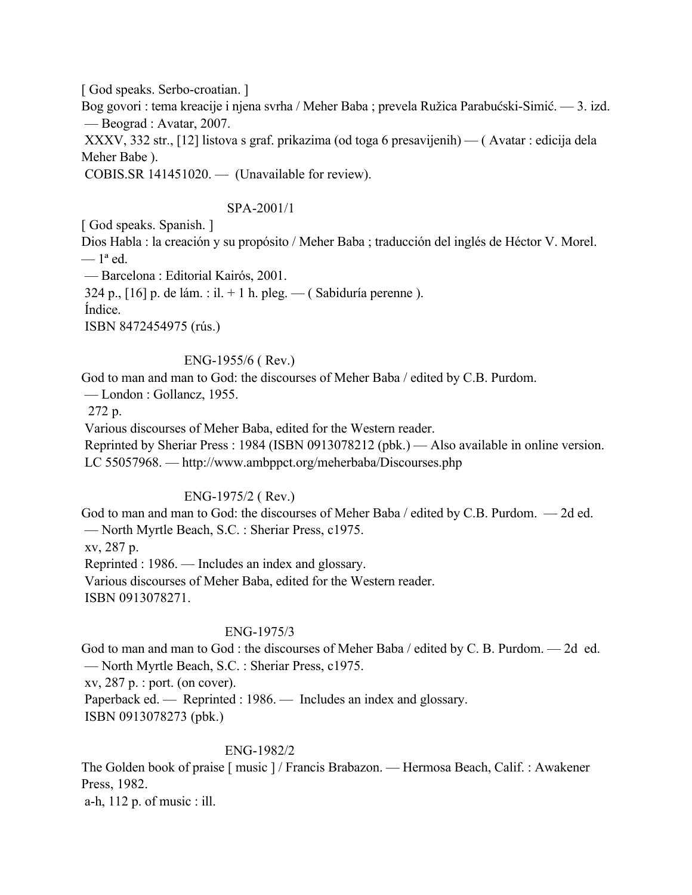[ God speaks. Serbo-croatian. ]

Bog govori : tema kreacije i njena svrha / Meher Baba ; prevela Ružica Parabućski-Simić. — 3. izd. — Beograd : Avatar, 2007.

 XXXV, 332 str., [12] listova s graf. prikazima (od toga 6 presavijenih) — ( Avatar : edicija dela Meher Babe ).

COBIS.SR 141451020. — (Unavailable for review).

## SPA-2001/1

[ God speaks. Spanish. ]

Dios Habla : la creación y su propósito / Meher Baba ; traducción del inglés de Héctor V. Morel.  $-1<sup>a</sup>$  ed.

— Barcelona : Editorial Kairós, 2001.

324 p.,  $[16]$  p. de lám. : il. + 1 h. pleg. — (Sabiduría perenne).

Índice.

ISBN 8472454975 (rús.)

## ENG-1955/6 ( Rev.)

God to man and man to God: the discourses of Meher Baba / edited by C.B. Purdom.

— London : Gollancz, 1955.

272 p.

Various discourses of Meher Baba, edited for the Western reader.

 Reprinted by Sheriar Press : 1984 (ISBN 0913078212 (pbk.) — Also available in online version. LC 55057968. — http://www.ambppct.org/meherbaba/Discourses.php

# ENG-1975/2 ( Rev.)

God to man and man to God: the discourses of Meher Baba / edited by C.B. Purdom. — 2d ed. — North Myrtle Beach, S.C. : Sheriar Press, c1975. xv, 287 p. Reprinted : 1986. — Includes an index and glossary. Various discourses of Meher Baba, edited for the Western reader.

ISBN 0913078271.

# ENG-1975/3

God to man and man to God : the discourses of Meher Baba / edited by C. B. Purdom. — 2d ed. — North Myrtle Beach, S.C. : Sheriar Press, c1975.

xv, 287 p. : port. (on cover).

Paperback ed. — Reprinted : 1986. — Includes an index and glossary.

ISBN 0913078273 (pbk.)

## ENG-1982/2

The Golden book of praise [ music ] / Francis Brabazon. — Hermosa Beach, Calif. : Awakener Press, 1982.

a-h, 112 p. of music : ill.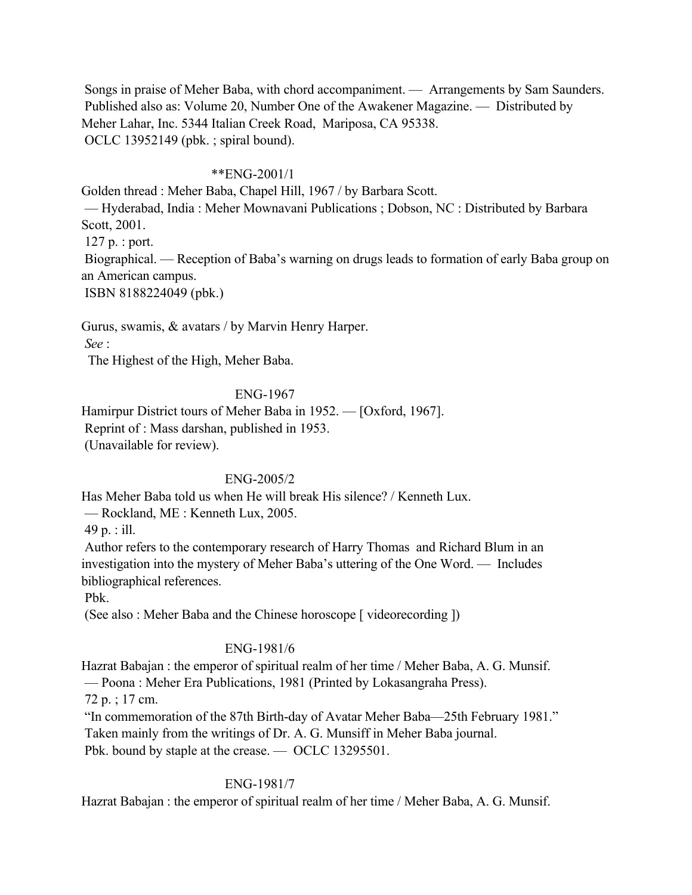Songs in praise of Meher Baba, with chord accompaniment. — Arrangements by Sam Saunders. Published also as: Volume 20, Number One of the Awakener Magazine. — Distributed by Meher Lahar, Inc. 5344 Italian Creek Road, Mariposa, CA 95338. OCLC 13952149 (pbk. ; spiral bound).

## \*\*ENG-2001/1

Golden thread : Meher Baba, Chapel Hill, 1967 / by Barbara Scott. — Hyderabad, India : Meher Mownavani Publications ; Dobson, NC : Distributed by Barbara Scott, 2001.

127 p. : port.

 Biographical. — Reception of Baba's warning on drugs leads to formation of early Baba group on an American campus.

ISBN 8188224049 (pbk.)

Gurus, swamis, & avatars / by Marvin Henry Harper.

*See* :

The Highest of the High, Meher Baba.

## ENG-1967

Hamirpur District tours of Meher Baba in 1952. — [Oxford, 1967]. Reprint of : Mass darshan, published in 1953. (Unavailable for review).

## ENG-2005/2

Has Meher Baba told us when He will break His silence? / Kenneth Lux.

— Rockland, ME : Kenneth Lux, 2005.

49 p. : ill.

 Author refers to the contemporary research of Harry Thomas and Richard Blum in an investigation into the mystery of Meher Baba's uttering of the One Word. — Includes bibliographical references.

Pbk.

(See also : Meher Baba and the Chinese horoscope [ videorecording ])

# ENG-1981/6

Hazrat Babajan : the emperor of spiritual realm of her time / Meher Baba, A. G. Munsif. — Poona : Meher Era Publications, 1981 (Printed by Lokasangraha Press).

72 p. ; 17 cm.

"In commemoration of the 87th Birth-day of Avatar Meher Baba—25th February 1981."

Taken mainly from the writings of Dr. A. G. Munsiff in Meher Baba journal.

Pbk. bound by staple at the crease. — OCLC 13295501.

# ENG-1981/7

Hazrat Babajan : the emperor of spiritual realm of her time / Meher Baba, A. G. Munsif.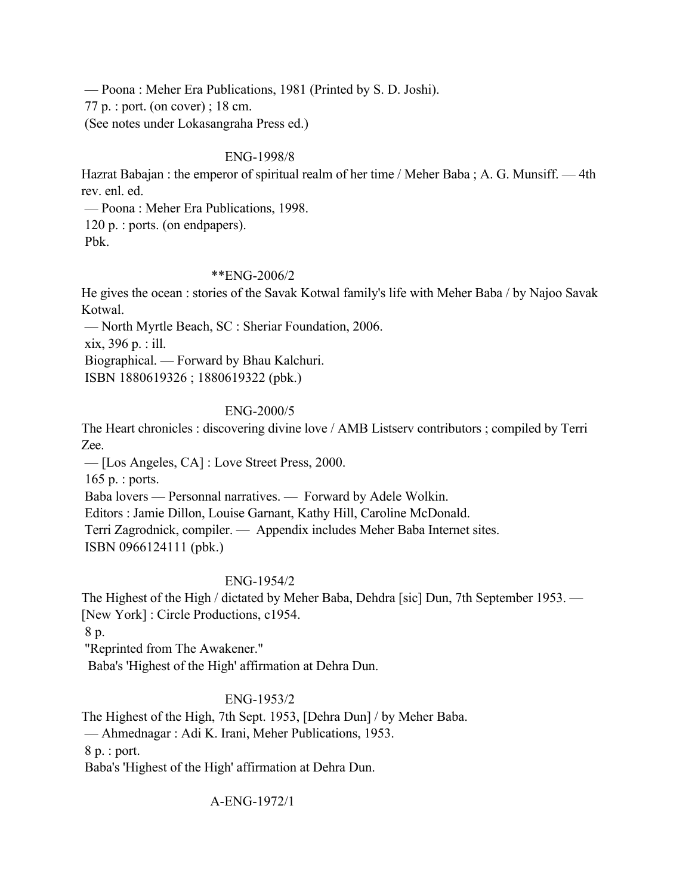— Poona : Meher Era Publications, 1981 (Printed by S. D. Joshi). 77 p. : port. (on cover) ; 18 cm.

(See notes under Lokasangraha Press ed.)

# ENG-1998/8

Hazrat Babajan : the emperor of spiritual realm of her time / Meher Baba ; A. G. Munsiff. — 4th rev. enl. ed.

 — Poona : Meher Era Publications, 1998. 120 p. : ports. (on endpapers). Pbk.

# \*\*ENG-2006/2

He gives the ocean : stories of the Savak Kotwal family's life with Meher Baba / by Najoo Savak Kotwal.

— North Myrtle Beach, SC : Sheriar Foundation, 2006.

xix, 396 p. : ill.

Biographical. — Forward by Bhau Kalchuri.

ISBN 1880619326 ; 1880619322 (pbk.)

# ENG-2000/5

The Heart chronicles : discovering divine love / AMB Listserv contributors ; compiled by Terri Zee.

— [Los Angeles, CA] : Love Street Press, 2000.

165 p. : ports.

Baba lovers — Personnal narratives. — Forward by Adele Wolkin.

Editors : Jamie Dillon, Louise Garnant, Kathy Hill, Caroline McDonald.

Terri Zagrodnick, compiler. — Appendix includes Meher Baba Internet sites.

ISBN 0966124111 (pbk.)

# ENG-1954/2

The Highest of the High / dictated by Meher Baba, Dehdra [sic] Dun, 7th September 1953. — [New York] : Circle Productions, c1954.

8 p.

"Reprinted from The Awakener."

Baba's 'Highest of the High' affirmation at Dehra Dun.

# ENG-1953/2

The Highest of the High, 7th Sept. 1953, [Dehra Dun] / by Meher Baba.

— Ahmednagar : Adi K. Irani, Meher Publications, 1953.

8 p. : port.

Baba's 'Highest of the High' affirmation at Dehra Dun.

A-ENG-1972/1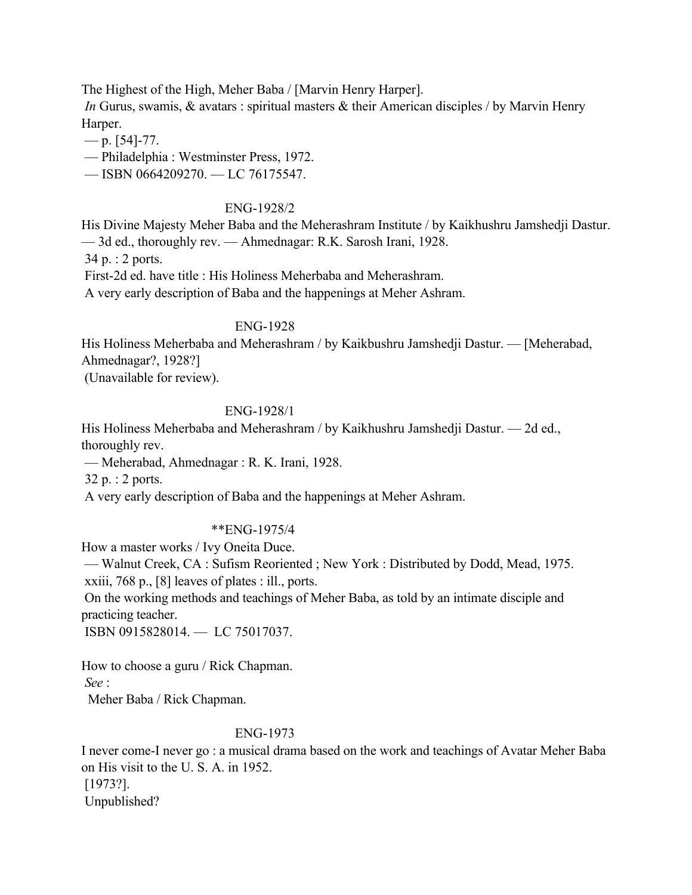The Highest of the High, Meher Baba / [Marvin Henry Harper].

*In* Gurus, swamis, & avatars: spiritual masters & their American disciples / by Marvin Henry Harper.

$$
-
$$
p. [54]-77.

— Philadelphia : Westminster Press, 1972.

— ISBN 0664209270. — LC 76175547.

## ENG-1928/2

His Divine Majesty Meher Baba and the Meherashram Institute / by Kaikhushru Jamshedji Dastur. — 3d ed., thoroughly rev. — Ahmednagar: R.K. Sarosh Irani, 1928. 34 p. : 2 ports.

First-2d ed. have title : His Holiness Meherbaba and Meherashram.

A very early description of Baba and the happenings at Meher Ashram.

# ENG-1928

His Holiness Meherbaba and Meherashram / by Kaikbushru Jamshedji Dastur. — [Meherabad, Ahmednagar?, 1928?]

(Unavailable for review).

## ENG-1928/1

His Holiness Meherbaba and Meherashram / by Kaikhushru Jamshedji Dastur. — 2d ed., thoroughly rev.

— Meherabad, Ahmednagar : R. K. Irani, 1928.

32 p. : 2 ports.

A very early description of Baba and the happenings at Meher Ashram.

# \*\*ENG-1975/4

How a master works / Ivy Oneita Duce.

 — Walnut Creek, CA : Sufism Reoriented ; New York : Distributed by Dodd, Mead, 1975. xxiii, 768 p., [8] leaves of plates : ill., ports.

 On the working methods and teachings of Meher Baba, as told by an intimate disciple and practicing teacher.

ISBN 0915828014. — LC 75017037.

How to choose a guru / Rick Chapman. *See* :

Meher Baba / Rick Chapman.

# ENG-1973

I never come-I never go : a musical drama based on the work and teachings of Avatar Meher Baba on His visit to the U. S. A. in 1952. [1973?]. Unpublished?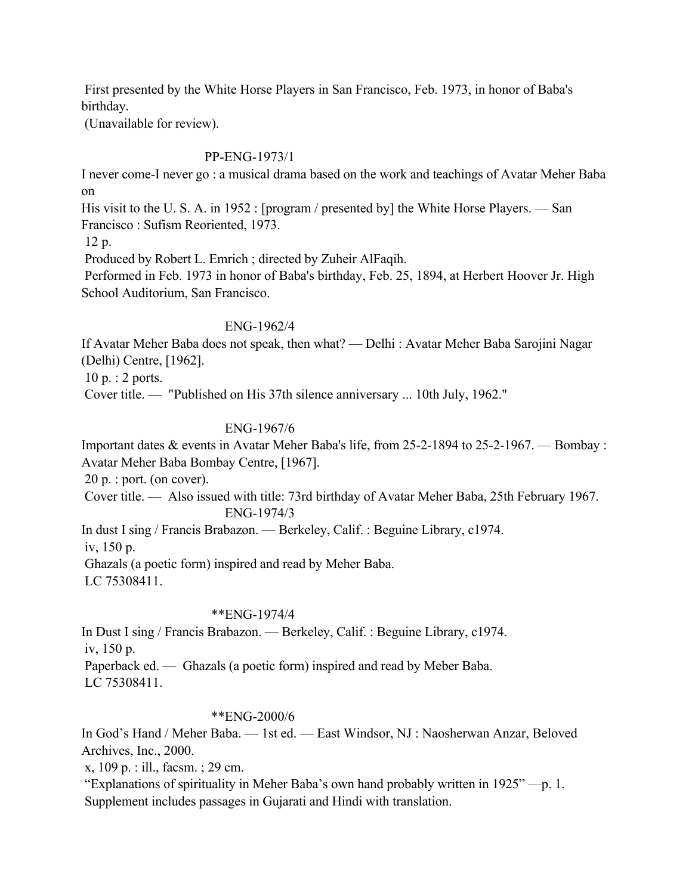First presented by the White Horse Players in San Francisco, Feb. 1973, in honor of Baba's birthday.

(Unavailable for review).

## PP-ENG-1973/1

I never come-I never go : a musical drama based on the work and teachings of Avatar Meher Baba on

His visit to the U.S. A. in 1952 : [program / presented by] the White Horse Players. — San Francisco : Sufism Reoriented, 1973.

12 p.

Produced by Robert L. Emrich ; directed by Zuheir AlFaqih.

 Performed in Feb. 1973 in honor of Baba's birthday, Feb. 25, 1894, at Herbert Hoover Jr. High School Auditorium, San Francisco.

## ENG-1962/4

If Avatar Meher Baba does not speak, then what? — Delhi : Avatar Meher Baba Sarojini Nagar (Delhi) Centre, [1962].

10 p. : 2 ports.

Cover title. — "Published on His 37th silence anniversary ... 10th July, 1962."

# ENG-1967/6

Important dates & events in Avatar Meher Baba's life, from 25-2-1894 to 25-2-1967. — Bombay : Avatar Meher Baba Bombay Centre, [1967].

20 p. : port. (on cover).

 Cover title. — Also issued with title: 73rd birthday of Avatar Meher Baba, 25th February 1967. ENG-1974/3

In dust I sing / Francis Brabazon. — Berkeley, Calif. : Beguine Library, c1974.

iv, 150 p.

Ghazals (a poetic form) inspired and read by Meher Baba.

LC 75308411.

## \*\*ENG-1974/4

In Dust I sing / Francis Brabazon. — Berkeley, Calif. : Beguine Library, c1974. iv, 150 p. Paperback ed. — Ghazals (a poetic form) inspired and read by Meber Baba. LC 75308411.

## \*\*ENG-2000/6

In God's Hand / Meher Baba. — 1st ed. — East Windsor, NJ : Naosherwan Anzar, Beloved Archives, Inc., 2000.

x, 109 p. : ill., facsm. ; 29 cm.

 "Explanations of spirituality in Meher Baba's own hand probably written in 1925" —p. 1. Supplement includes passages in Gujarati and Hindi with translation.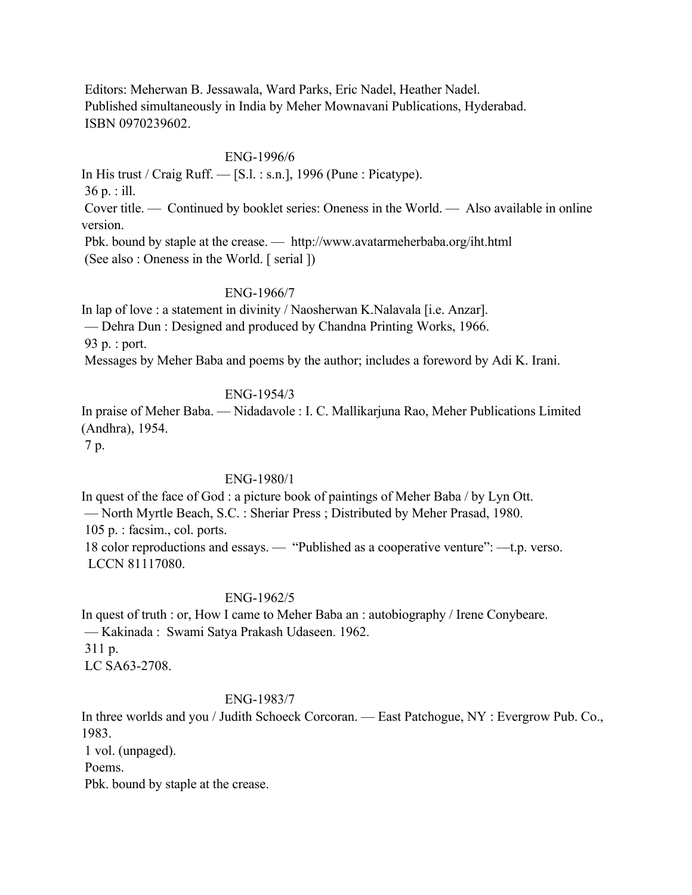Editors: Meherwan B. Jessawala, Ward Parks, Eric Nadel, Heather Nadel. Published simultaneously in India by Meher Mownavani Publications, Hyderabad. ISBN 0970239602.

### ENG-1996/6

In His trust / Craig Ruff.  $-$  [S.l. : s.n.], 1996 (Pune : Picatype). 36 p. : ill. Cover title. — Continued by booklet series: Oneness in the World. — Also available in online version.

 Pbk. bound by staple at the crease. — http://www.avatarmeherbaba.org/iht.html (See also : Oneness in the World. [ serial ])

### ENG-1966/7

In lap of love : a statement in divinity / Naosherwan K.Nalavala [i.e. Anzar]. — Dehra Dun : Designed and produced by Chandna Printing Works, 1966. 93 p. : port.

Messages by Meher Baba and poems by the author; includes a foreword by Adi K. Irani.

## ENG-1954/3

In praise of Meher Baba. — Nidadavole : I. C. Mallikarjuna Rao, Meher Publications Limited (Andhra), 1954.

7 p.

## ENG-1980/1

In quest of the face of God : a picture book of paintings of Meher Baba / by Lyn Ott. — North Myrtle Beach, S.C. : Sheriar Press ; Distributed by Meher Prasad, 1980. 105 p. : facsim., col. ports. 18 color reproductions and essays. — "Published as a cooperative venture": —t.p. verso. LCCN 81117080.

# ENG-1962/5

In quest of truth : or, How I came to Meher Baba an : autobiography / Irene Conybeare. — Kakinada : Swami Satya Prakash Udaseen. 1962.

311 p.

LC SA63-2708.

## ENG-1983/7

In three worlds and you / Judith Schoeck Corcoran. — East Patchogue, NY : Evergrow Pub. Co., 1983.

1 vol. (unpaged).

Poems.

Pbk. bound by staple at the crease.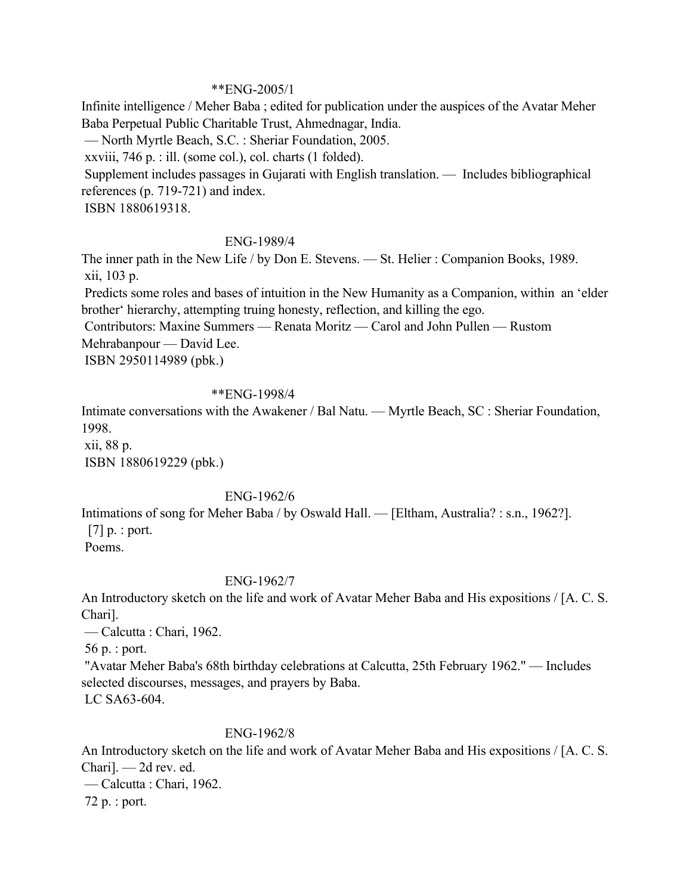### \*\*ENG-2005/1

Infinite intelligence / Meher Baba ; edited for publication under the auspices of the Avatar Meher Baba Perpetual Public Charitable Trust, Ahmednagar, India.

— North Myrtle Beach, S.C. : Sheriar Foundation, 2005.

xxviii, 746 p. : ill. (some col.), col. charts (1 folded).

 Supplement includes passages in Gujarati with English translation. — Includes bibliographical references (p. 719-721) and index.

ISBN 1880619318.

## ENG-1989/4

The inner path in the New Life / by Don E. Stevens. — St. Helier : Companion Books, 1989. xii, 103 p.

 Predicts some roles and bases of intuition in the New Humanity as a Companion, within an 'elder brother' hierarchy, attempting truing honesty, reflection, and killing the ego.

Contributors: Maxine Summers — Renata Moritz — Carol and John Pullen — Rustom

Mehrabanpour — David Lee.

ISBN 2950114989 (pbk.)

### \*\*ENG-1998/4

Intimate conversations with the Awakener / Bal Natu. — Myrtle Beach, SC : Sheriar Foundation, 1998.

 xii, 88 p. ISBN 1880619229 (pbk.)

# ENG-1962/6

Intimations of song for Meher Baba / by Oswald Hall. — [Eltham, Australia? : s.n., 1962?]. [7] p. : port. Poems.

## ENG-1962/7

An Introductory sketch on the life and work of Avatar Meher Baba and His expositions / [A. C. S. Chari].

— Calcutta : Chari, 1962.

56 p. : port.

 "Avatar Meher Baba's 68th birthday celebrations at Calcutta, 25th February 1962." — Includes selected discourses, messages, and prayers by Baba.

LC SA63-604.

## ENG-1962/8

An Introductory sketch on the life and work of Avatar Meher Baba and His expositions / [A. C. S. Chari]. — 2d rev. ed.

— Calcutta : Chari, 1962.

72 p. : port.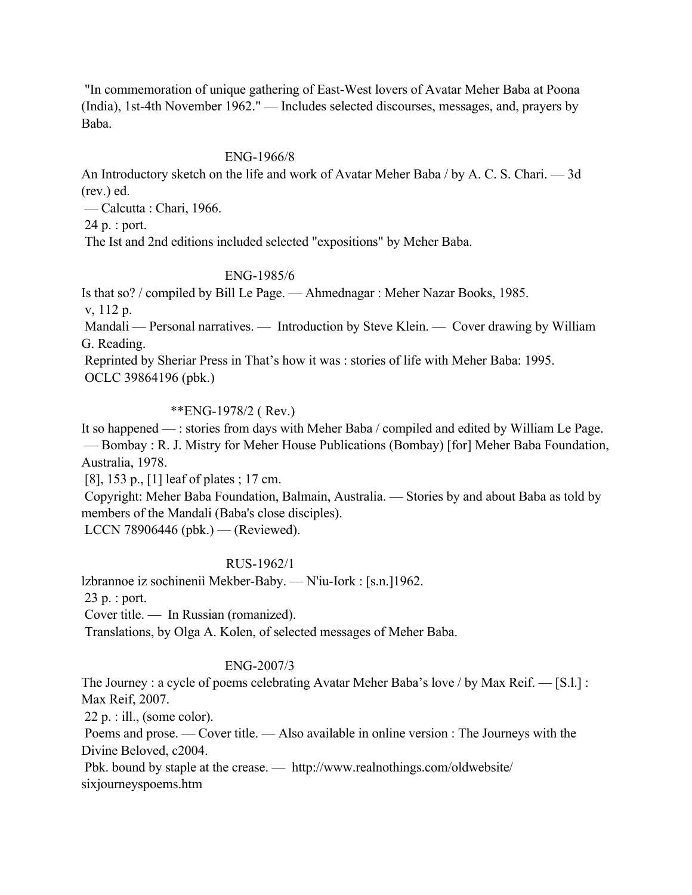"In commemoration of unique gathering of East-West lovers of Avatar Meher Baba at Poona (India), 1st-4th November 1962." — Includes selected discourses, messages, and, prayers by Baba.

## ENG-1966/8

An Introductory sketch on the life and work of Avatar Meher Baba / by A. C. S. Chari. — 3d (rev.) ed.

— Calcutta : Chari, 1966.

24 p. : port.

The Ist and 2nd editions included selected "expositions" by Meher Baba.

### ENG-1985/6

Is that so? / compiled by Bill Le Page. — Ahmednagar : Meher Nazar Books, 1985.

v, 112 p.

 Mandali — Personal narratives. — Introduction by Steve Klein. — Cover drawing by William G. Reading.

 Reprinted by Sheriar Press in That's how it was : stories of life with Meher Baba: 1995. OCLC 39864196 (pbk.)

## \*\*ENG-1978/2 ( Rev.)

It so happened — : stories from days with Meher Baba / compiled and edited by William Le Page. — Bombay : R. J. Mistry for Meher House Publications (Bombay) [for] Meher Baba Foundation, Australia, 1978.

[8], 153 p., [1] leaf of plates ; 17 cm.

 Copyright: Meher Baba Foundation, Balmain, Australia. — Stories by and about Baba as told by members of the Mandali (Baba's close disciples).

LCCN 78906446 (pbk.) — (Reviewed).

## RUS-1962/1

lzbrannoe iz sochineniì Mekber-Baby. — N'iu-Iork : [s.n.]1962.

23 p. : port.

Cover title. — In Russian (romanized).

Translations, by Olga A. Kolen, of selected messages of Meher Baba.

## ENG-2007/3

The Journey : a cycle of poems celebrating Avatar Meher Baba's love / by Max Reif. — [S.l.] : Max Reif, 2007.

 $22 p$ . : ill., (some color).

 Poems and prose. — Cover title. — Also available in online version : The Journeys with the Divine Beloved, c2004.

 Pbk. bound by staple at the crease. — http://www.realnothings.com/oldwebsite/ sixjourneyspoems.htm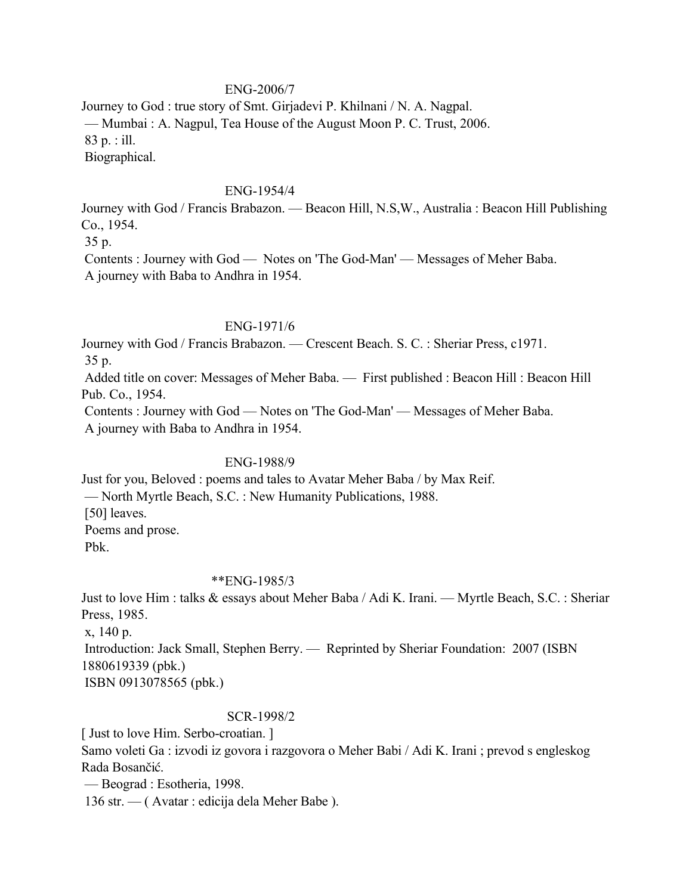### ENG-2006/7

Journey to God : true story of Smt. Girjadevi P. Khilnani / N. A. Nagpal. — Mumbai : A. Nagpul, Tea House of the August Moon P. C. Trust, 2006. 83 p. : ill. Biographical.

#### ENG-1954/4

Journey with God / Francis Brabazon. — Beacon Hill, N.S,W., Australia : Beacon Hill Publishing Co., 1954.

35 p.

 Contents : Journey with God — Notes on 'The God-Man' — Messages of Meher Baba. A journey with Baba to Andhra in 1954.

#### ENG-1971/6

Journey with God / Francis Brabazon. — Crescent Beach. S. C. : Sheriar Press, c1971.

35 p.

 Added title on cover: Messages of Meher Baba. — First published : Beacon Hill : Beacon Hill Pub. Co., 1954.

 Contents : Journey with God — Notes on 'The God-Man' — Messages of Meher Baba. A journey with Baba to Andhra in 1954.

#### ENG-1988/9

Just for you, Beloved : poems and tales to Avatar Meher Baba / by Max Reif. — North Myrtle Beach, S.C. : New Humanity Publications, 1988. [50] leaves. Poems and prose. Pbk.

#### \*\*ENG-1985/3

Just to love Him : talks & essays about Meher Baba / Adi K. Irani. — Myrtle Beach, S.C. : Sheriar Press, 1985.

x, 140 p.

 Introduction: Jack Small, Stephen Berry. — Reprinted by Sheriar Foundation: 2007 (ISBN 1880619339 (pbk.)

ISBN 0913078565 (pbk.)

#### SCR-1998/2

[ Just to love Him. Serbo-croatian. ]

Samo voleti Ga : izvodi iz govora i razgovora o Meher Babi / Adi K. Irani ; prevod s engleskog Rada Bosančić.

— Beograd : Esotheria, 1998.

136 str. — ( Avatar : edicija dela Meher Babe ).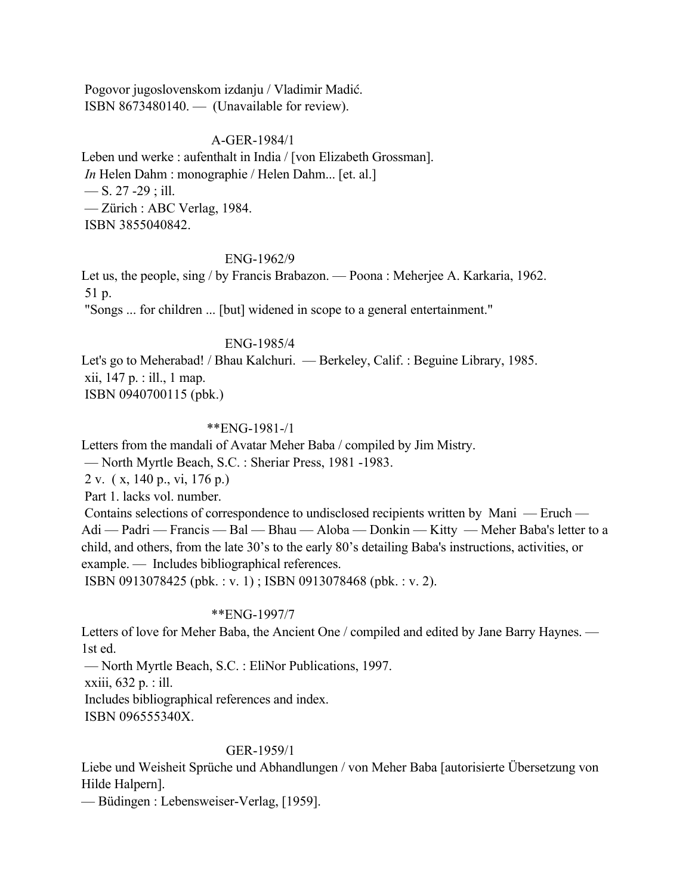Pogovor jugoslovenskom izdanju / Vladimir Madić. ISBN 8673480140. — (Unavailable for review).

### A-GER-1984/1

Leben und werke : aufenthalt in India / [von Elizabeth Grossman]. *In* Helen Dahm : monographie / Helen Dahm... [et. al.] — S. 27 -29; ill. — Zürich : ABC Verlag, 1984. ISBN 3855040842.

#### ENG-1962/9

Let us, the people, sing / by Francis Brabazon. — Poona : Meherjee A. Karkaria, 1962. 51 p.

"Songs ... for children ... [but] widened in scope to a general entertainment."

### ENG-1985/4

Let's go to Meherabad! / Bhau Kalchuri. — Berkeley, Calif. : Beguine Library, 1985. xii, 147 p. : ill., 1 map. ISBN 0940700115 (pbk.)

#### \*\*ENG-1981-/1

Letters from the mandali of Avatar Meher Baba / compiled by Jim Mistry.

— North Myrtle Beach, S.C. : Sheriar Press, 1981 -1983.

2 v. ( x, 140 p., vi, 176 p.)

Part 1. lacks vol. number.

 Contains selections of correspondence to undisclosed recipients written by Mani — Eruch — Adi — Padri — Francis — Bal — Bhau — Aloba — Donkin — Kitty — Meher Baba's letter to a child, and others, from the late 30's to the early 80's detailing Baba's instructions, activities, or example. — Includes bibliographical references.

ISBN 0913078425 (pbk. : v. 1) ; ISBN 0913078468 (pbk. : v. 2).

### \*\*ENG-1997/7

Letters of love for Meher Baba, the Ancient One / compiled and edited by Jane Barry Haynes. — 1st ed.

— North Myrtle Beach, S.C. : EliNor Publications, 1997.

xxiii, 632 p. : ill.

Includes bibliographical references and index.

ISBN 096555340X.

#### GER-1959/1

Liebe und Weisheit Sprüche und Abhandlungen / von Meher Baba [autorisierte Übersetzung von Hilde Halpern].

— Büdingen : Lebensweiser-Verlag, [1959].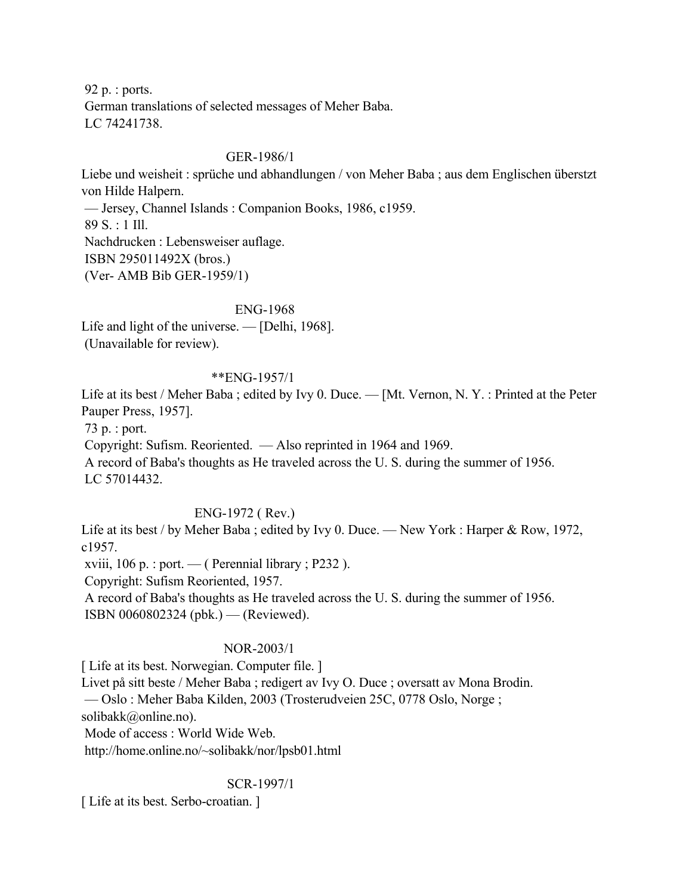92 p. : ports. German translations of selected messages of Meher Baba. LC 74241738.

### GER-1986/1

Liebe und weisheit : sprüche und abhandlungen / von Meher Baba ; aus dem Englischen überstzt von Hilde Halpern.

 — Jersey, Channel Islands : Companion Books, 1986, c1959. 89 S. : 1 Ill. Nachdrucken : Lebensweiser auflage. ISBN 295011492X (bros.) (Ver- AMB Bib GER-1959/1)

### ENG-1968

Life and light of the universe. — [Delhi, 1968]. (Unavailable for review).

### \*\*ENG-1957/1

Life at its best / Meher Baba ; edited by Ivy 0. Duce. — [Mt. Vernon, N. Y. : Printed at the Peter Pauper Press, 1957].

73 p. : port.

 Copyright: Sufism. Reoriented. — Also reprinted in 1964 and 1969. A record of Baba's thoughts as He traveled across the U. S. during the summer of 1956. LC 57014432.

## ENG-1972 ( Rev.)

Life at its best / by Meher Baba; edited by Ivy 0. Duce. — New York: Harper & Row, 1972, c1957.

xviii,  $106 \text{ p.}$ : port. — (Perennial library ; P232).

Copyright: Sufism Reoriented, 1957.

 A record of Baba's thoughts as He traveled across the U. S. during the summer of 1956. ISBN 0060802324 (pbk.) — (Reviewed).

## NOR-2003/1

[Life at its best. Norwegian. Computer file.]

Livet på sitt beste / Meher Baba ; redigert av Ivy O. Duce ; oversatt av Mona Brodin.

— Oslo : Meher Baba Kilden, 2003 (Trosterudveien 25C, 0778 Oslo, Norge ;

solibakk@online.no).

Mode of access : World Wide Web.

http://home.online.no/~solibakk/nor/lpsb01.html

SCR-1997/1

[Life at its best. Serbo-croatian.]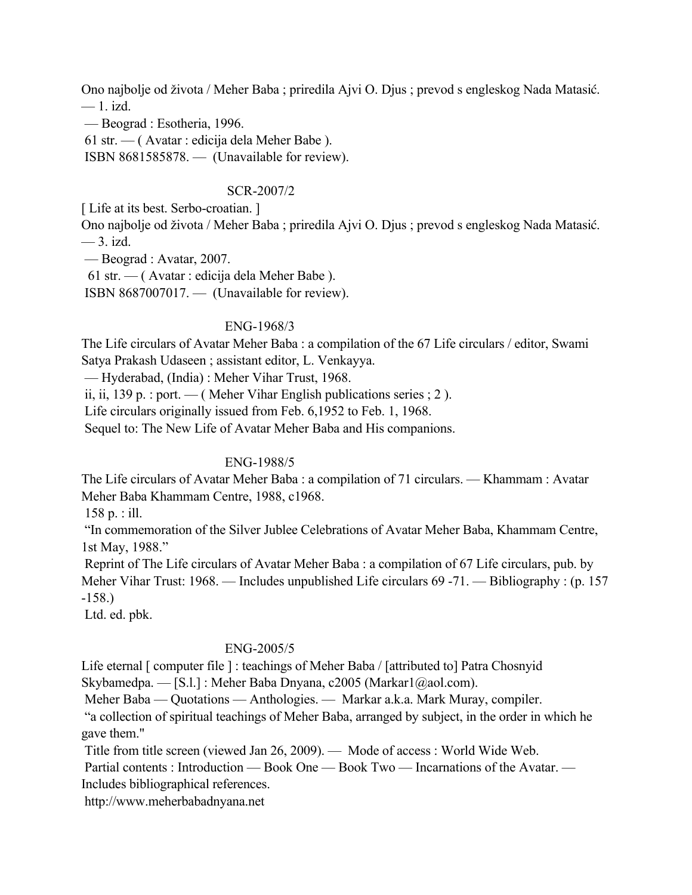Ono najbolje od života / Meher Baba ; priredila Ajvi O. Djus ; prevod s engleskog Nada Matasić.  $-1$ . izd.

— Beograd : Esotheria, 1996.

61 str. — ( Avatar : edicija dela Meher Babe ).

ISBN 8681585878. — (Unavailable for review).

### SCR-2007/2

[Life at its best. Serbo-croatian.]

Ono najbolje od života / Meher Baba ; priredila Ajvi O. Djus ; prevod s engleskog Nada Matasić. — 3. izd.

— Beograd : Avatar, 2007.

61 str. — ( Avatar : edicija dela Meher Babe ).

ISBN 8687007017. — (Unavailable for review).

## ENG-1968/3

The Life circulars of Avatar Meher Baba : a compilation of the 67 Life circulars / editor, Swami Satya Prakash Udaseen ; assistant editor, L. Venkayya.

— Hyderabad, (India) : Meher Vihar Trust, 1968.

ii, ii, 139 p. : port. — ( Meher Vihar English publications series ; 2).

Life circulars originally issued from Feb. 6,1952 to Feb. 1, 1968.

Sequel to: The New Life of Avatar Meher Baba and His companions.

## ENG-1988/5

The Life circulars of Avatar Meher Baba : a compilation of 71 circulars. — Khammam : Avatar Meher Baba Khammam Centre, 1988, c1968.

158 p. : ill.

 "In commemoration of the Silver Jublee Celebrations of Avatar Meher Baba, Khammam Centre, 1st May, 1988."

 Reprint of The Life circulars of Avatar Meher Baba : a compilation of 67 Life circulars, pub. by Meher Vihar Trust: 1968. — Includes unpublished Life circulars 69 -71. — Bibliography : (p. 157 -158.)

Ltd. ed. pbk.

## ENG-2005/5

Life eternal [ computer file ] : teachings of Meher Baba / [attributed to] Patra Chosnyid Skybamedpa. — [S.l.] : Meher Baba Dnyana, c2005 (Markar1@aol.com).

Meher Baba — Quotations — Anthologies. — Markar a.k.a. Mark Muray, compiler.

 "a collection of spiritual teachings of Meher Baba, arranged by subject, in the order in which he gave them."

Title from title screen (viewed Jan 26, 2009). — Mode of access : World Wide Web.

Partial contents : Introduction — Book One — Book Two — Incarnations of the Avatar. — Includes bibliographical references.

http://www.meherbabadnyana.net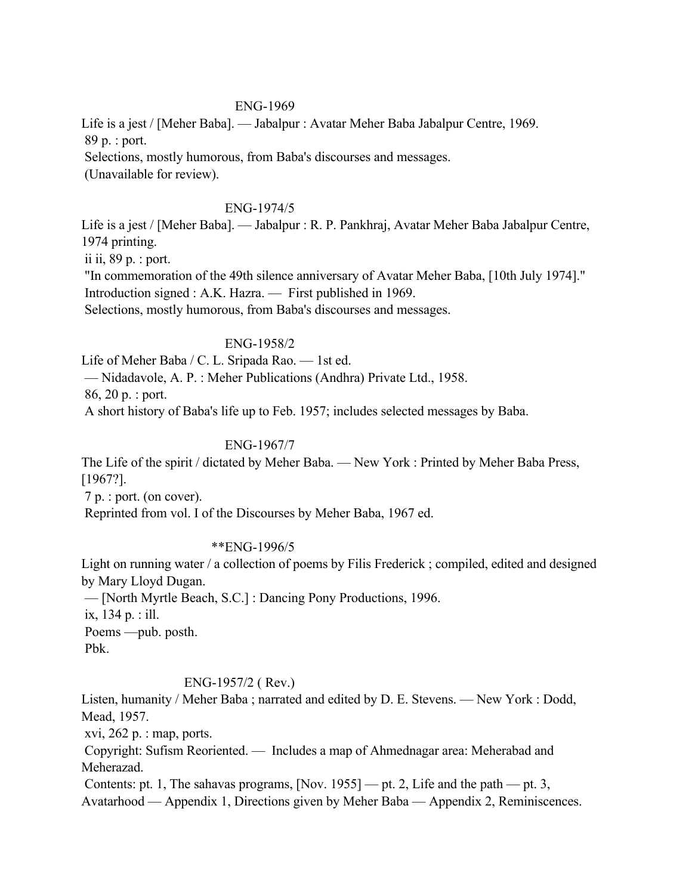### ENG-1969

Life is a jest / [Meher Baba]. — Jabalpur : Avatar Meher Baba Jabalpur Centre, 1969. 89 p. : port. Selections, mostly humorous, from Baba's discourses and messages. (Unavailable for review).

#### ENG-1974/5

Life is a jest / [Meher Baba]. — Jabalpur : R. P. Pankhraj, Avatar Meher Baba Jabalpur Centre, 1974 printing. ii ii, 89 p. : port. "In commemoration of the 49th silence anniversary of Avatar Meher Baba, [10th July 1974]." Introduction signed : A.K. Hazra. — First published in 1969.

Selections, mostly humorous, from Baba's discourses and messages.

#### ENG-1958/2

Life of Meher Baba / C. L. Sripada Rao. — 1st ed.

— Nidadavole, A. P. : Meher Publications (Andhra) Private Ltd., 1958.

86, 20 p. : port.

A short history of Baba's life up to Feb. 1957; includes selected messages by Baba.

#### ENG-1967/7

The Life of the spirit / dictated by Meher Baba. — New York : Printed by Meher Baba Press, [1967?].

7 p. : port. (on cover).

Reprinted from vol. I of the Discourses by Meher Baba, 1967 ed.

#### \*\*ENG-1996/5

Light on running water / a collection of poems by Filis Frederick ; compiled, edited and designed by Mary Lloyd Dugan.

— [North Myrtle Beach, S.C.] : Dancing Pony Productions, 1996.

ix, 134 p. : ill.

 Poems —pub. posth. Pbk.

#### ENG-1957/2 ( Rev.)

Listen, humanity / Meher Baba ; narrated and edited by D. E. Stevens. — New York : Dodd, Mead, 1957.

xvi,  $262$  p. : map, ports.

 Copyright: Sufism Reoriented. — Includes a map of Ahmednagar area: Meherabad and Meherazad.

Contents: pt. 1, The sahavas programs, [Nov. 1955] — pt. 2, Life and the path — pt. 3, Avatarhood — Appendix 1, Directions given by Meher Baba — Appendix 2, Reminiscences.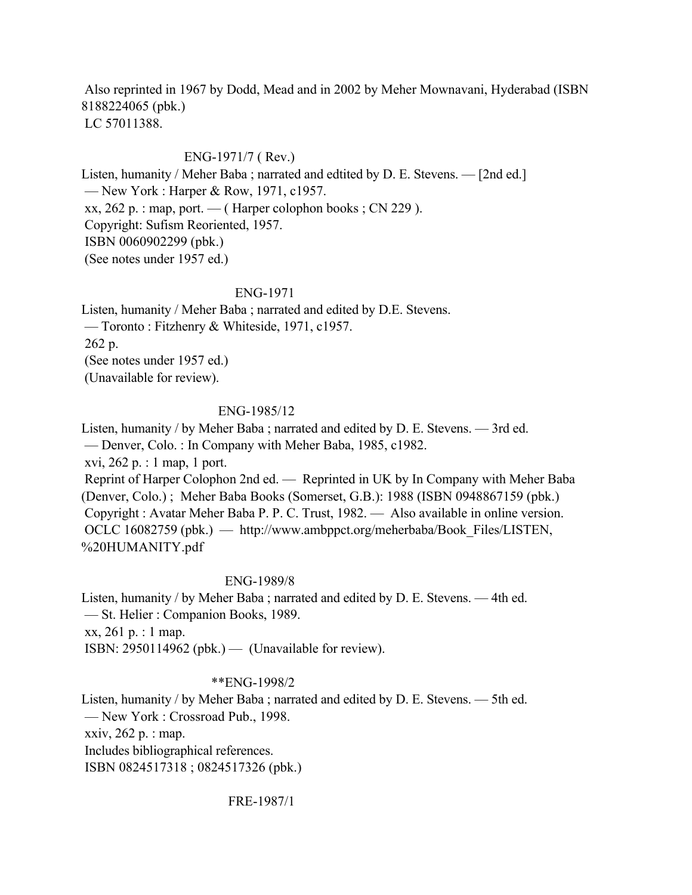Also reprinted in 1967 by Dodd, Mead and in 2002 by Meher Mownavani, Hyderabad (ISBN 8188224065 (pbk.) LC 57011388.

### ENG-1971/7 ( Rev.)

Listen, humanity / Meher Baba ; narrated and edtited by D. E. Stevens. — [2nd ed.] — New York : Harper & Row, 1971, c1957.  $xx, 262 p.$ : map, port. — ( Harper colophon books ; CN 229 ). Copyright: Sufism Reoriented, 1957. ISBN 0060902299 (pbk.) (See notes under 1957 ed.)

#### ENG-1971

Listen, humanity / Meher Baba ; narrated and edited by D.E. Stevens. — Toronto : Fitzhenry & Whiteside, 1971, c1957. 262 p. (See notes under 1957 ed.) (Unavailable for review).

#### ENG-1985/12

Listen, humanity / by Meher Baba ; narrated and edited by D. E. Stevens. — 3rd ed.

— Denver, Colo. : In Company with Meher Baba, 1985, c1982.

xvi, 262 p. : 1 map, 1 port.

 Reprint of Harper Colophon 2nd ed. — Reprinted in UK by In Company with Meher Baba (Denver, Colo.) ; Meher Baba Books (Somerset, G.B.): 1988 (ISBN 0948867159 (pbk.) Copyright : Avatar Meher Baba P. P. C. Trust, 1982. — Also available in online version. OCLC 16082759 (pbk.) — http://www.ambppct.org/meherbaba/Book\_Files/LISTEN, %20HUMANITY.pdf

#### ENG-1989/8

Listen, humanity / by Meher Baba ; narrated and edited by D. E. Stevens. — 4th ed. — St. Helier : Companion Books, 1989. xx, 261 p. : 1 map. ISBN:  $2950114962$  (pbk.) — (Unavailable for review).

#### \*\*ENG-1998/2

Listen, humanity / by Meher Baba ; narrated and edited by D. E. Stevens. — 5th ed. — New York : Crossroad Pub., 1998. xxiv, 262 p. : map. Includes bibliographical references. ISBN 0824517318 ; 0824517326 (pbk.)

FRE-1987/1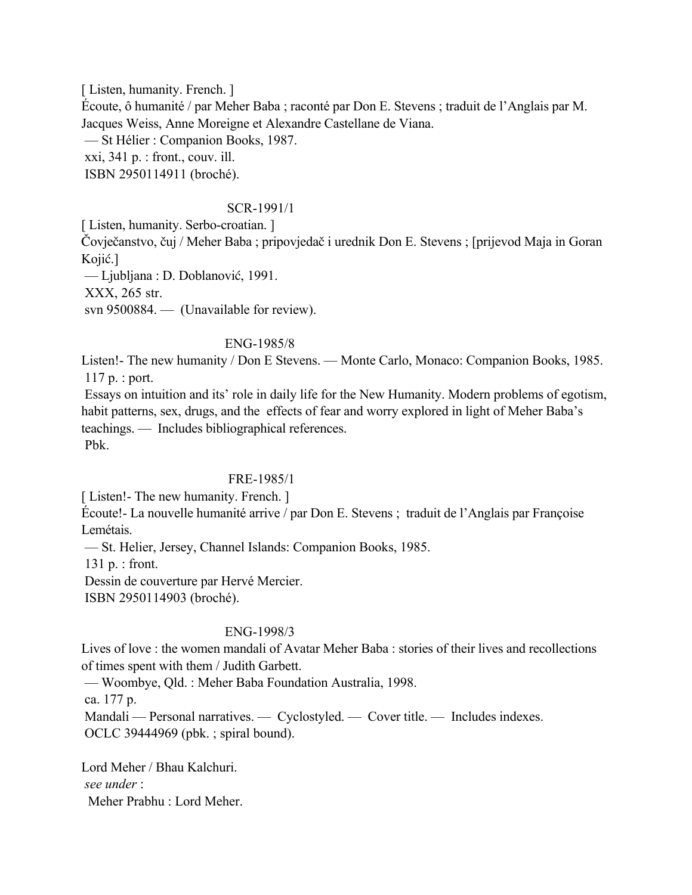[Listen, humanity. French.] Écoute, ô humanité / par Meher Baba ; raconté par Don E. Stevens ; traduit de l'Anglais par M. Jacques Weiss, Anne Moreigne et Alexandre Castellane de Viana. — St Hélier : Companion Books, 1987. xxi, 341 p. : front., couv. ill. ISBN 2950114911 (broché).

#### SCR-1991/1

[ Listen, humanity. Serbo-croatian. ]

Čovječanstvo, čuj / Meher Baba ; pripovjedač i urednik Don E. Stevens ; [prijevod Maja in Goran Kojić.]

— Ljubljana : D. Doblanović, 1991.

XXX, 265 str.

svn 9500884. — (Unavailable for review).

### ENG-1985/8

Listen!- The new humanity / Don E Stevens. — Monte Carlo, Monaco: Companion Books, 1985. 117 p. : port.

 Essays on intuition and its' role in daily life for the New Humanity. Modern problems of egotism, habit patterns, sex, drugs, and the effects of fear and worry explored in light of Meher Baba's teachings. — Includes bibliographical references. Pbk.

## FRE-1985/1

[Listen!- The new humanity. French.]

Écoute!- La nouvelle humanité arrive / par Don E. Stevens ; traduit de l'Anglais par Françoise Lemétais.

— St. Helier, Jersey, Channel Islands: Companion Books, 1985.

131 p. : front.

Dessin de couverture par Hervé Mercier.

ISBN 2950114903 (broché).

## ENG-1998/3

Lives of love : the women mandali of Avatar Meher Baba : stories of their lives and recollections of times spent with them / Judith Garbett.

— Woombye, Qld. : Meher Baba Foundation Australia, 1998.

ca. 177 p.

 Mandali — Personal narratives. — Cyclostyled. — Cover title. — Includes indexes. OCLC 39444969 (pbk. ; spiral bound).

Lord Meher / Bhau Kalchuri.  *see under* : Meher Prabhu : Lord Meher.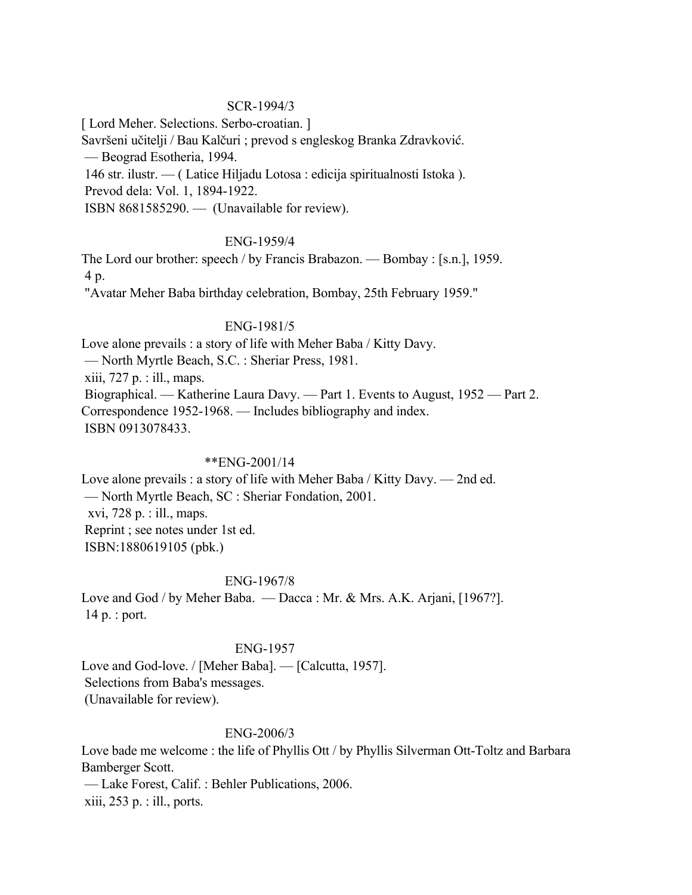### SCR-1994/3

[ Lord Meher. Selections. Serbo-croatian. ]

Savršeni učitelji / Bau Kalčuri ; prevod s engleskog Branka Zdravković.

— Beograd Esotheria, 1994.

146 str. ilustr. — ( Latice Hiljadu Lotosa : edicija spiritualnosti Istoka ).

Prevod dela: Vol. 1, 1894-1922.

ISBN 8681585290. — (Unavailable for review).

## ENG-1959/4

The Lord our brother: speech / by Francis Brabazon. — Bombay : [s.n.], 1959. 4 p.

"Avatar Meher Baba birthday celebration, Bombay, 25th February 1959."

## ENG-1981/5

Love alone prevails : a story of life with Meher Baba / Kitty Davy. — North Myrtle Beach, S.C. : Sheriar Press, 1981. xiii, 727 p. : ill., maps. Biographical. — Katherine Laura Davy. — Part 1. Events to August, 1952 — Part 2. Correspondence 1952-1968. — Includes bibliography and index. ISBN 0913078433.

# \*\*ENG-2001/14

Love alone prevails : a story of life with Meher Baba / Kitty Davy. — 2nd ed. — North Myrtle Beach, SC : Sheriar Fondation, 2001. xvi, 728 p. : ill., maps. Reprint ; see notes under 1st ed. ISBN:1880619105 (pbk.)

## ENG-1967/8

Love and God / by Meher Baba. — Dacca : Mr. & Mrs. A.K. Arjani, [1967?]. 14 p. : port.

## ENG-1957

Love and God-love. / [Meher Baba]. — [Calcutta, 1957]. Selections from Baba's messages. (Unavailable for review).

## ENG-2006/3

Love bade me welcome : the life of Phyllis Ott / by Phyllis Silverman Ott-Toltz and Barbara Bamberger Scott. — Lake Forest, Calif. : Behler Publications, 2006. xiii, 253 p. : ill., ports.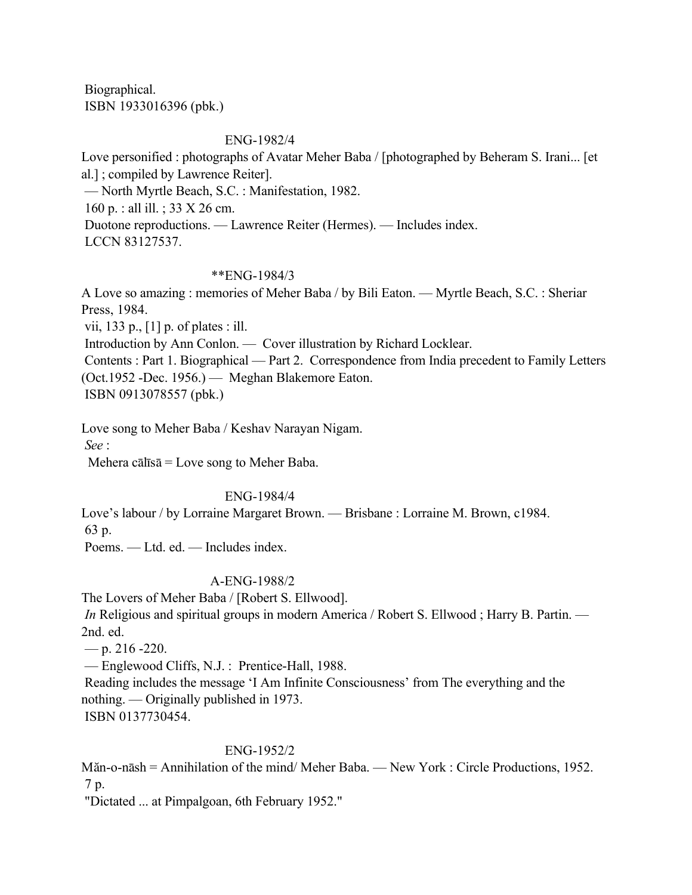Biographical. ISBN 1933016396 (pbk.)

## ENG-1982/4

Love personified : photographs of Avatar Meher Baba / [photographed by Beheram S. Irani... [et al.] ; compiled by Lawrence Reiter]. — North Myrtle Beach, S.C. : Manifestation, 1982. 160 p. : all ill. ; 33 X 26 cm. Duotone reproductions. — Lawrence Reiter (Hermes). — Includes index. LCCN 83127537.

## \*\*ENG-1984/3

A Love so amazing : memories of Meher Baba / by Bili Eaton. — Myrtle Beach, S.C. : Sheriar Press, 1984.

vii, 133 p., [1] p. of plates : ill.

Introduction by Ann Conlon. — Cover illustration by Richard Locklear.

 Contents : Part 1. Biographical — Part 2. Correspondence from India precedent to Family Letters (Oct.1952 -Dec. 1956.) — Meghan Blakemore Eaton.

ISBN 0913078557 (pbk.)

Love song to Meher Baba / Keshav Narayan Nigam.

*See* :

Mehera cālīsā = Love song to Meher Baba.

## ENG-1984/4

Love's labour / by Lorraine Margaret Brown. — Brisbane : Lorraine M. Brown, c1984.

63 p.

Poems. — Ltd. ed. — Includes index.

## A-ENG-1988/2

The Lovers of Meher Baba / [Robert S. Ellwood].

*In* Religious and spiritual groups in modern America / Robert S. Ellwood; Harry B. Partin. — 2nd. ed.

 $-$  p. 216 -220.

— Englewood Cliffs, N.J. : Prentice-Hall, 1988.

 Reading includes the message 'I Am Infinite Consciousness' from The everything and the nothing. — Originally published in 1973.

ISBN 0137730454.

## ENG-1952/2

Măn-o-nāsh = Annihilation of the mind/ Meher Baba. — New York : Circle Productions, 1952. 7 p.

"Dictated ... at Pimpalgoan, 6th February 1952."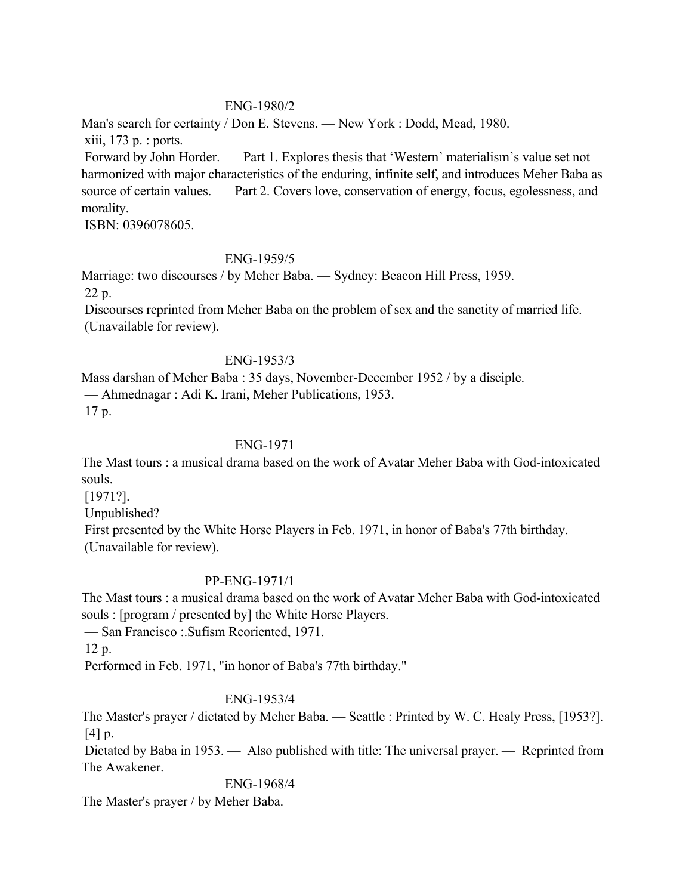## ENG-1980/2

Man's search for certainty / Don E. Stevens. — New York : Dodd, Mead, 1980. xiii, 173 p. : ports.

 Forward by John Horder. — Part 1. Explores thesis that 'Western' materialism's value set not harmonized with major characteristics of the enduring, infinite self, and introduces Meher Baba as source of certain values. — Part 2. Covers love, conservation of energy, focus, egolessness, and morality.

ISBN: 0396078605.

# ENG-1959/5

Marriage: two discourses / by Meher Baba. — Sydney: Beacon Hill Press, 1959. 22 p.

 Discourses reprinted from Meher Baba on the problem of sex and the sanctity of married life. (Unavailable for review).

## ENG-1953/3

Mass darshan of Meher Baba : 35 days, November-December 1952 / by a disciple. — Ahmednagar : Adi K. Irani, Meher Publications, 1953. 17 p.

# ENG-1971

The Mast tours : a musical drama based on the work of Avatar Meher Baba with God-intoxicated souls.

[1971?].

Unpublished?

 First presented by the White Horse Players in Feb. 1971, in honor of Baba's 77th birthday. (Unavailable for review).

## PP-ENG-1971/1

The Mast tours : a musical drama based on the work of Avatar Meher Baba with God-intoxicated souls : [program / presented by] the White Horse Players.

— San Francisco :.Sufism Reoriented, 1971.

12 p.

Performed in Feb. 1971, "in honor of Baba's 77th birthday."

# ENG-1953/4

The Master's prayer / dictated by Meher Baba. — Seattle : Printed by W. C. Healy Press, [1953?]. [4] p.

 Dictated by Baba in 1953. — Also published with title: The universal prayer. — Reprinted from The Awakener.

ENG-1968/4

The Master's prayer / by Meher Baba.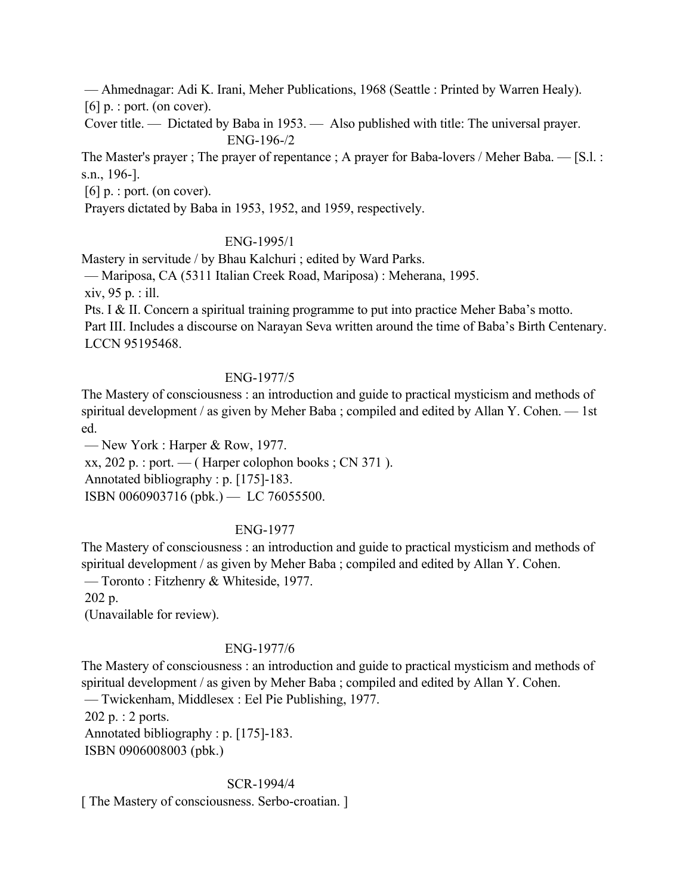— Ahmednagar: Adi K. Irani, Meher Publications, 1968 (Seattle : Printed by Warren Healy).  $[6]$  p. : port. (on cover).

 Cover title. — Dictated by Baba in 1953. — Also published with title: The universal prayer. ENG-196-/2

The Master's prayer ; The prayer of repentance ; A prayer for Baba-lovers / Meher Baba. — [S.l. : s.n., 196-].

[6] p. : port. (on cover).

Prayers dictated by Baba in 1953, 1952, and 1959, respectively.

### ENG-1995/1

Mastery in servitude / by Bhau Kalchuri ; edited by Ward Parks.

— Mariposa, CA (5311 Italian Creek Road, Mariposa) : Meherana, 1995.

xiv, 95 p. : ill.

 Pts. I & II. Concern a spiritual training programme to put into practice Meher Baba's motto. Part III. Includes a discourse on Narayan Seva written around the time of Baba's Birth Centenary. LCCN 95195468.

### ENG-1977/5

The Mastery of consciousness : an introduction and guide to practical mysticism and methods of spiritual development / as given by Meher Baba ; compiled and edited by Allan Y. Cohen. — 1st ed.

— New York : Harper & Row, 1977.

 $xx, 202$  p. : port. — (Harper colophon books; CN 371).

Annotated bibliography : p. [175]-183.

ISBN 0060903716 (pbk.) — LC 76055500.

## ENG-1977

The Mastery of consciousness : an introduction and guide to practical mysticism and methods of spiritual development / as given by Meher Baba ; compiled and edited by Allan Y. Cohen. — Toronto : Fitzhenry & Whiteside, 1977. 202 p.

(Unavailable for review).

## ENG-1977/6

The Mastery of consciousness : an introduction and guide to practical mysticism and methods of spiritual development / as given by Meher Baba ; compiled and edited by Allan Y. Cohen. — Twickenham, Middlesex : Eel Pie Publishing, 1977. 202 p. : 2 ports. Annotated bibliography : p. [175]-183.

ISBN 0906008003 (pbk.)

### SCR-1994/4

[ The Mastery of consciousness. Serbo-croatian. ]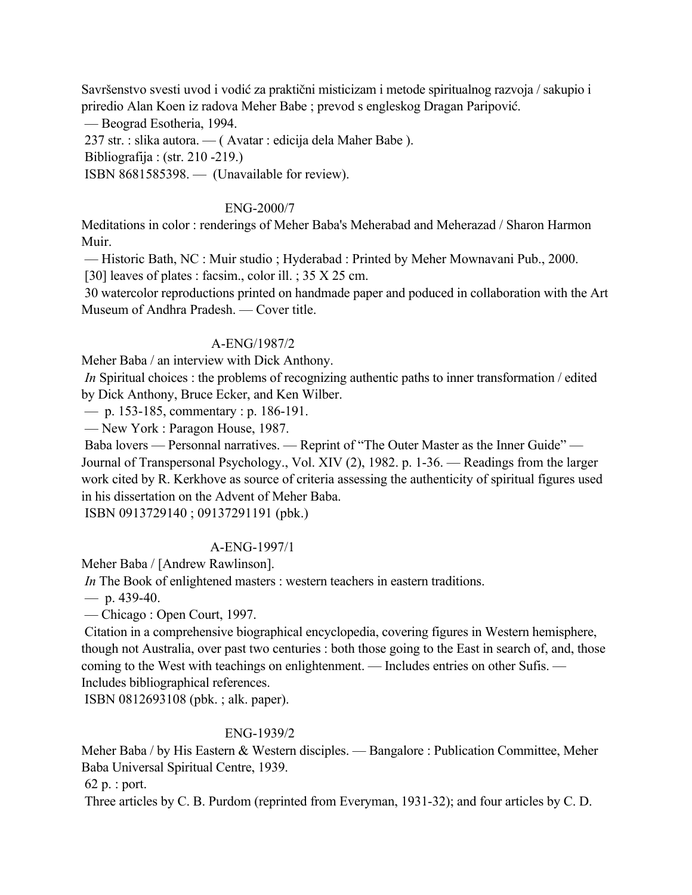Savršenstvo svesti uvod i vodić za praktični misticizam i metode spiritualnog razvoja / sakupio i priredio Alan Koen iz radova Meher Babe ; prevod s engleskog Dragan Paripović.

— Beograd Esotheria, 1994.

237 str. : slika autora. — ( Avatar : edicija dela Maher Babe ).

Bibliografija : (str. 210 -219.)

ISBN 8681585398. — (Unavailable for review).

## ENG-2000/7

Meditations in color : renderings of Meher Baba's Meherabad and Meherazad / Sharon Harmon Muir.

 — Historic Bath, NC : Muir studio ; Hyderabad : Printed by Meher Mownavani Pub., 2000. [30] leaves of plates : facsim., color ill. ; 35 X 25 cm.

 30 watercolor reproductions printed on handmade paper and poduced in collaboration with the Art Museum of Andhra Pradesh. — Cover title.

## A-ENG/1987/2

Meher Baba / an interview with Dick Anthony.

*In Spiritual choices*: the problems of recognizing authentic paths to inner transformation / edited by Dick Anthony, Bruce Ecker, and Ken Wilber.

— p. 153-185, commentary : p. 186-191.

— New York : Paragon House, 1987.

 Baba lovers — Personnal narratives. — Reprint of "The Outer Master as the Inner Guide" — Journal of Transpersonal Psychology., Vol. XIV (2), 1982. p. 1-36. — Readings from the larger work cited by R. Kerkhove as source of criteria assessing the authenticity of spiritual figures used in his dissertation on the Advent of Meher Baba.

ISBN 0913729140 ; 09137291191 (pbk.)

## A-ENG-1997/1

Meher Baba / [Andrew Rawlinson].

*In* The Book of enlightened masters : western teachers in eastern traditions.

 $-$  p. 439-40.

— Chicago : Open Court, 1997.

 Citation in a comprehensive biographical encyclopedia, covering figures in Western hemisphere, though not Australia, over past two centuries : both those going to the East in search of, and, those coming to the West with teachings on enlightenment. — Includes entries on other Sufis. — Includes bibliographical references.

ISBN 0812693108 (pbk. ; alk. paper).

## ENG-1939/2

Meher Baba / by His Eastern & Western disciples. — Bangalore : Publication Committee, Meher Baba Universal Spiritual Centre, 1939.

62 p. : port.

Three articles by C. B. Purdom (reprinted from Everyman, 1931-32); and four articles by C. D.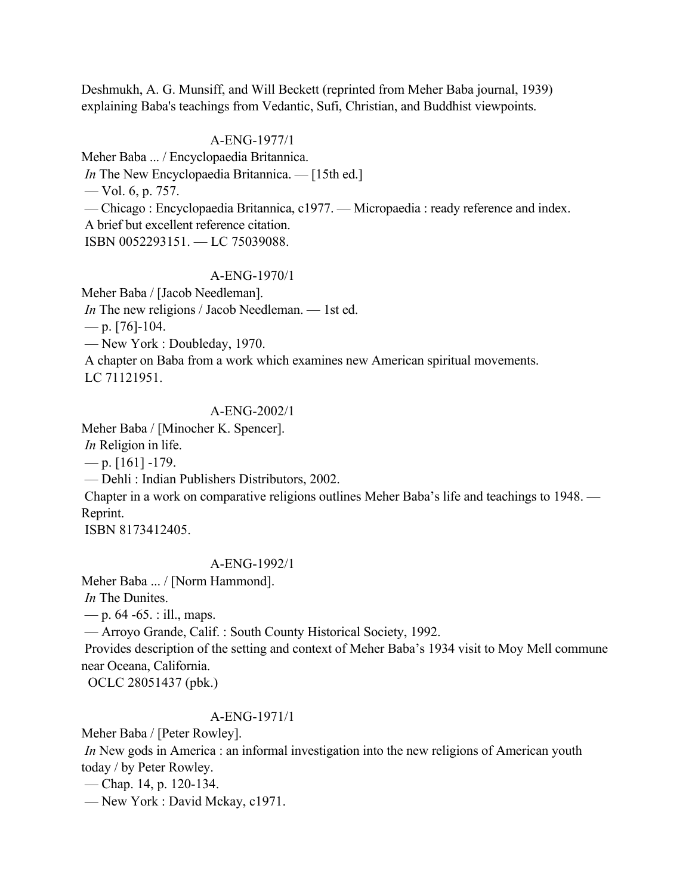Deshmukh, A. G. Munsiff, and Will Beckett (reprinted from Meher Baba journal, 1939) explaining Baba's teachings from Vedantic, Sufi, Christian, and Buddhist viewpoints.

#### A-ENG-1977/1

Meher Baba ... / Encyclopaedia Britannica. *In* The New Encyclopaedia Britannica. — [15th ed.] — Vol. 6, p. 757. — Chicago : Encyclopaedia Britannica, c1977. — Micropaedia : ready reference and index. A brief but excellent reference citation. ISBN 0052293151. — LC 75039088.

#### A-ENG-1970/1

Meher Baba / [Jacob Needleman]. *In* The new religions / Jacob Needleman. — 1st ed.  $-$  p. [76]-104. — New York : Doubleday, 1970. A chapter on Baba from a work which examines new American spiritual movements. LC 71121951.

### A-ENG-2002/1

Meher Baba / [Minocher K. Spencer].

*In* Religion in life.

 $-$  p. [161] -179.

— Dehli : Indian Publishers Distributors, 2002.

 Chapter in a work on comparative religions outlines Meher Baba's life and teachings to 1948. — Reprint.

ISBN 8173412405.

#### A-ENG-1992/1

Meher Baba ... / [Norm Hammond].

*In* The Dunites.

— p.  $64 - 65$ . : ill., maps.

— Arroyo Grande, Calif. : South County Historical Society, 1992.

 Provides description of the setting and context of Meher Baba's 1934 visit to Moy Mell commune near Oceana, California.

OCLC 28051437 (pbk.)

#### A-ENG-1971/1

Meher Baba / [Peter Rowley].

*In* New gods in America : an informal investigation into the new religions of American youth today / by Peter Rowley.

— Chap. 14, p. 120-134.

— New York : David Mckay, c1971.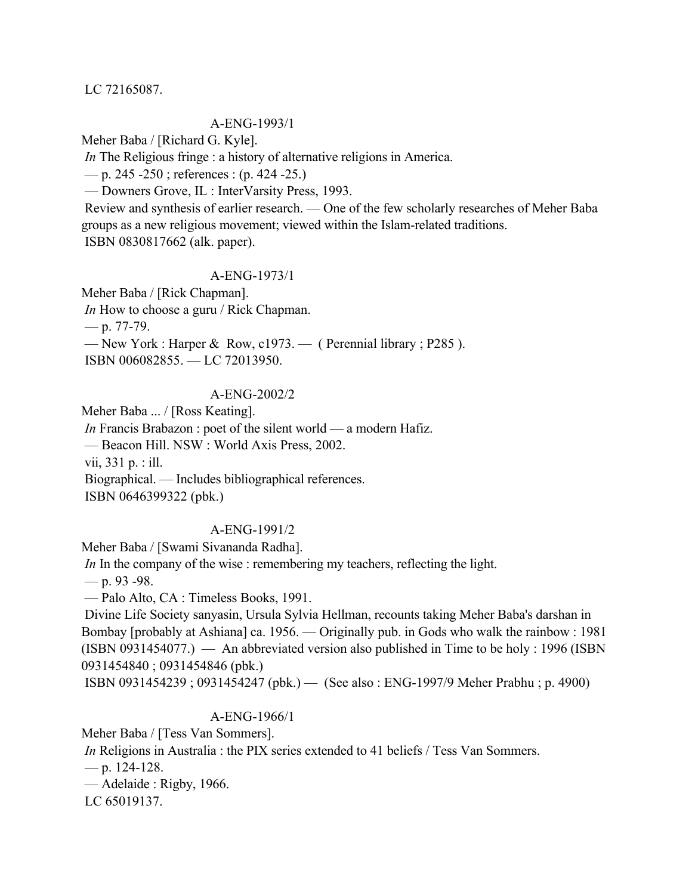#### LC 72165087.

#### A-ENG-1993/1

Meher Baba / [Richard G. Kyle].

*In* The Religious fringe : a history of alternative religions in America.

 $-$  p. 245 -250; references : (p. 424 -25.)

— Downers Grove, IL : InterVarsity Press, 1993.

 Review and synthesis of earlier research. — One of the few scholarly researches of Meher Baba groups as a new religious movement; viewed within the Islam-related traditions. ISBN 0830817662 (alk. paper).

#### A-ENG-1973/1

Meher Baba / [Rick Chapman]. *In* How to choose a guru / Rick Chapman.  $-$  p. 77-79. — New York : Harper & Row,  $c1973$ . — (Perennial library ; P285). ISBN 006082855. — LC 72013950.

### A-ENG-2002/2

Meher Baba ... / [Ross Keating].

*In* Francis Brabazon : poet of the silent world — a modern Hafiz.

— Beacon Hill. NSW : World Axis Press, 2002.

vii, 331 p. : ill.

Biographical. — Includes bibliographical references.

ISBN 0646399322 (pbk.)

### A-ENG-1991/2

Meher Baba / [Swami Sivananda Radha].

*In* In the company of the wise : remembering my teachers, reflecting the light.

— p. 93 -98.

— Palo Alto, CA : Timeless Books, 1991.

 Divine Life Society sanyasin, Ursula Sylvia Hellman, recounts taking Meher Baba's darshan in Bombay [probably at Ashiana] ca. 1956. — Originally pub. in Gods who walk the rainbow : 1981 (ISBN 0931454077.) — An abbreviated version also published in Time to be holy : 1996 (ISBN 0931454840 ; 0931454846 (pbk.)

ISBN 0931454239 ; 0931454247 (pbk.) — (See also : ENG-1997/9 Meher Prabhu ; p. 4900)

### A-ENG-1966/1

Meher Baba / [Tess Van Sommers].

*In* Religions in Australia : the PIX series extended to 41 beliefs / Tess Van Sommers.

— p. 124-128.

— Adelaide : Rigby, 1966.

LC 65019137.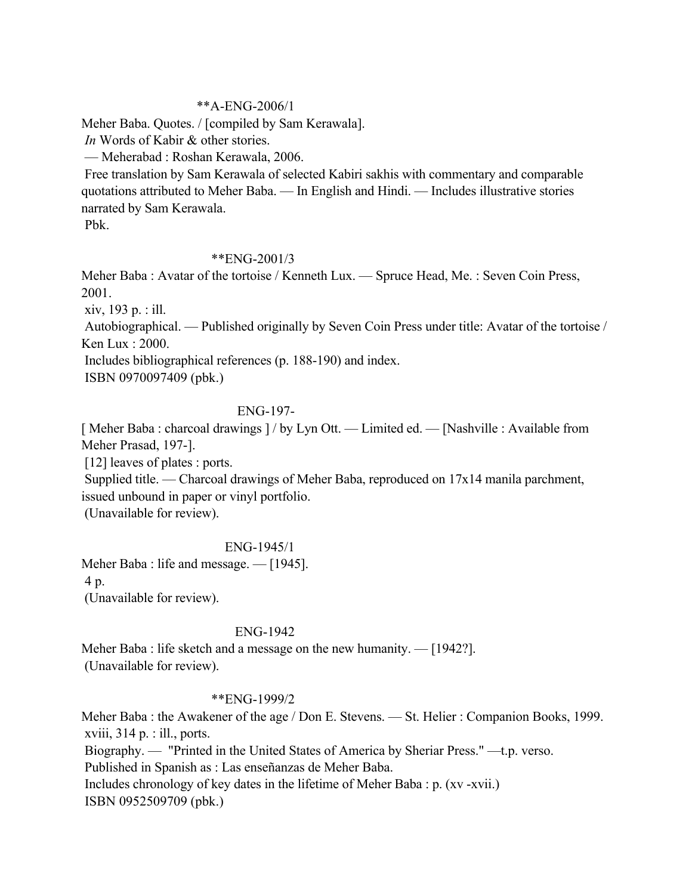### \*\*A-ENG-2006/1

Meher Baba. Quotes. / [compiled by Sam Kerawala].

*In* Words of Kabir & other stories.

— Meherabad : Roshan Kerawala, 2006.

 Free translation by Sam Kerawala of selected Kabiri sakhis with commentary and comparable quotations attributed to Meher Baba. — In English and Hindi. — Includes illustrative stories narrated by Sam Kerawala.

Pbk.

## \*\*ENG-2001/3

Meher Baba : Avatar of the tortoise / Kenneth Lux. — Spruce Head, Me. : Seven Coin Press, 2001.

xiv, 193 p. : ill.

 Autobiographical. — Published originally by Seven Coin Press under title: Avatar of the tortoise / Ken Lux : 2000.

Includes bibliographical references (p. 188-190) and index.

ISBN 0970097409 (pbk.)

### ENG-197-

[Meher Baba : charcoal drawings ] / by Lyn Ott. — Limited ed. — [Nashville : Available from Meher Prasad, 197-].

[12] leaves of plates : ports.

 Supplied title. — Charcoal drawings of Meher Baba, reproduced on 17x14 manila parchment, issued unbound in paper or vinyl portfolio.

(Unavailable for review).

## ENG-1945/1

Meher Baba : life and message. — [1945]. 4 p.

(Unavailable for review).

## ENG-1942

Meher Baba : life sketch and a message on the new humanity. — [1942?]. (Unavailable for review).

## \*\*ENG-1999/2

Meher Baba : the Awakener of the age / Don E. Stevens. — St. Helier : Companion Books, 1999. xviii,  $314 \text{ p}$ . : ill., ports.

 Biography. — "Printed in the United States of America by Sheriar Press." —t.p. verso. Published in Spanish as : Las enseñanzas de Meher Baba. Includes chronology of key dates in the lifetime of Meher Baba : p. (xv -xvii.)

ISBN 0952509709 (pbk.)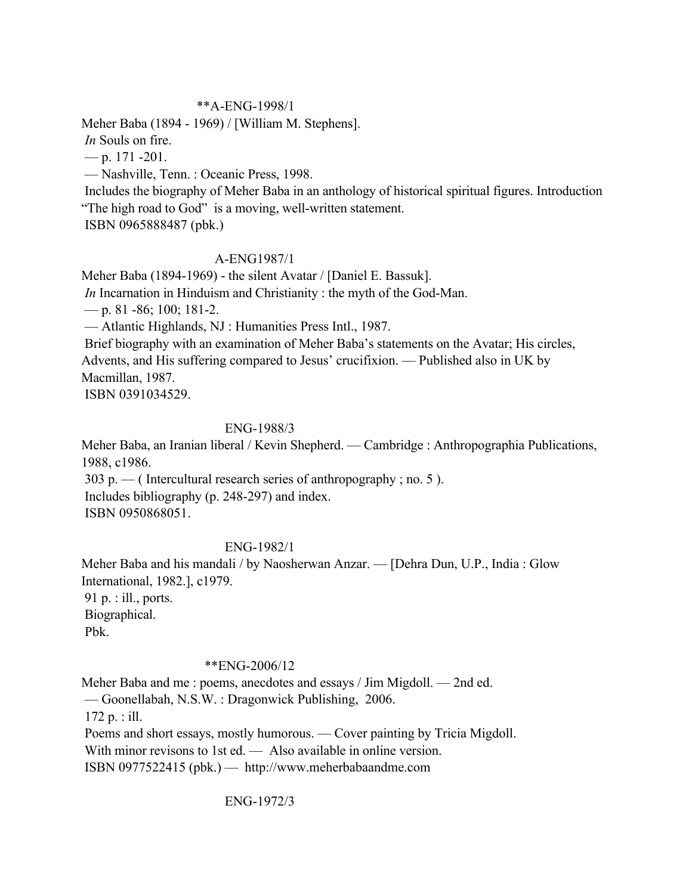### \*\*A-ENG-1998/1

Meher Baba (1894 - 1969) / [William M. Stephens].

*In* Souls on fire.

— p. 171 -201.

— Nashville, Tenn. : Oceanic Press, 1998.

 Includes the biography of Meher Baba in an anthology of historical spiritual figures. Introduction "The high road to God" is a moving, well-written statement.

ISBN 0965888487 (pbk.)

### A-ENG1987/1

Meher Baba (1894-1969) - the silent Avatar / [Daniel E. Bassuk].

*In* Incarnation in Hinduism and Christianity : the myth of the God-Man.

— p. 81 -86; 100; 181-2.

— Atlantic Highlands, NJ : Humanities Press Intl., 1987.

 Brief biography with an examination of Meher Baba's statements on the Avatar; His circles, Advents, and His suffering compared to Jesus' crucifixion. — Published also in UK by Macmillan, 1987.

ISBN 0391034529.

### ENG-1988/3

Meher Baba, an Iranian liberal / Kevin Shepherd. — Cambridge : Anthropographia Publications, 1988, c1986.

303 p. — (Intercultural research series of anthropography; no. 5). Includes bibliography (p. 248-297) and index.

ISBN 0950868051.

## ENG-1982/1

Meher Baba and his mandali / by Naosherwan Anzar. — [Dehra Dun, U.P., India : Glow International, 1982.], c1979. 91 p. : ill., ports. Biographical.

Pbk.

### \*\*ENG-2006/12

Meher Baba and me : poems, anecdotes and essays / Jim Migdoll. — 2nd ed. — Goonellabah, N.S.W. : Dragonwick Publishing, 2006. 172 p. : ill. Poems and short essays, mostly humorous. — Cover painting by Tricia Migdoll. With minor revisons to 1st ed. — Also available in online version. ISBN 0977522415 (pbk.) — http://www.meherbabaandme.com

## ENG-1972/3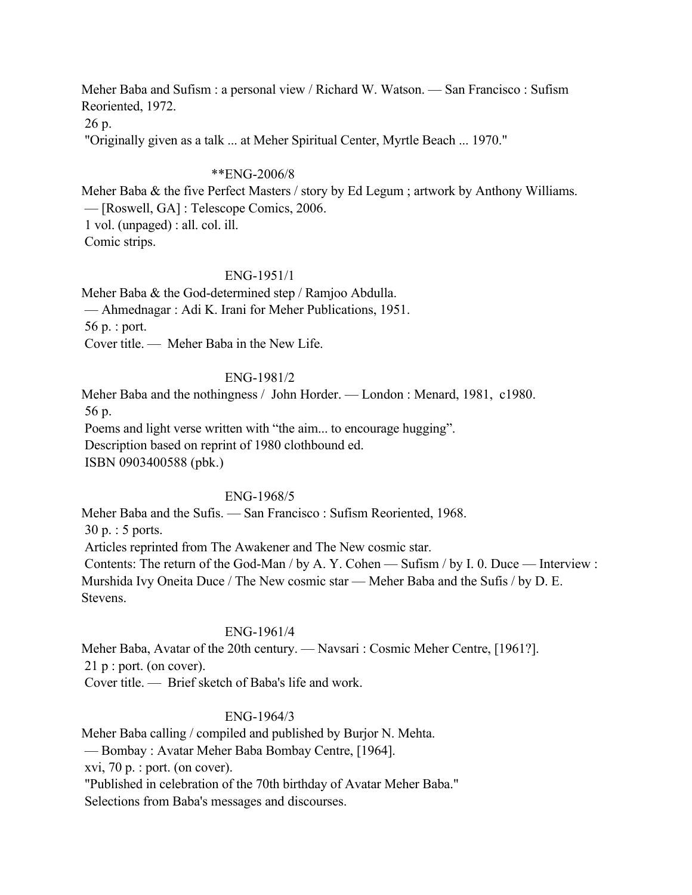Meher Baba and Sufism : a personal view / Richard W. Watson. — San Francisco : Sufism Reoriented, 1972.

26 p.

"Originally given as a talk ... at Meher Spiritual Center, Myrtle Beach ... 1970."

### \*\*ENG-2006/8

Meher Baba & the five Perfect Masters / story by Ed Legum ; artwork by Anthony Williams. — [Roswell, GA] : Telescope Comics, 2006. 1 vol. (unpaged) : all. col. ill. Comic strips.

### ENG-1951/1

Meher Baba & the God-determined step / Ramjoo Abdulla. — Ahmednagar : Adi K. Irani for Meher Publications, 1951. 56 p. : port. Cover title. — Meher Baba in the New Life.

### ENG-1981/2

Meher Baba and the nothingness / John Horder. — London : Menard, 1981, c1980. 56 p. Poems and light verse written with "the aim... to encourage hugging". Description based on reprint of 1980 clothbound ed. ISBN 0903400588 (pbk.)

### ENG-1968/5

Meher Baba and the Sufis. — San Francisco : Sufism Reoriented, 1968. 30 p. : 5 ports. Articles reprinted from The Awakener and The New cosmic star. Contents: The return of the God-Man / by A. Y. Cohen — Sufism / by I. 0. Duce — Interview : Murshida Ivy Oneita Duce / The New cosmic star — Meher Baba and the Sufis / by D. E. Stevens.

## ENG-1961/4

Meher Baba, Avatar of the 20th century. — Navsari : Cosmic Meher Centre, [1961?]. 21 p : port. (on cover).

Cover title. — Brief sketch of Baba's life and work.

### ENG-1964/3

Meher Baba calling / compiled and published by Burjor N. Mehta.

— Bombay : Avatar Meher Baba Bombay Centre, [1964].

xvi, 70 p. : port. (on cover).

"Published in celebration of the 70th birthday of Avatar Meher Baba."

Selections from Baba's messages and discourses.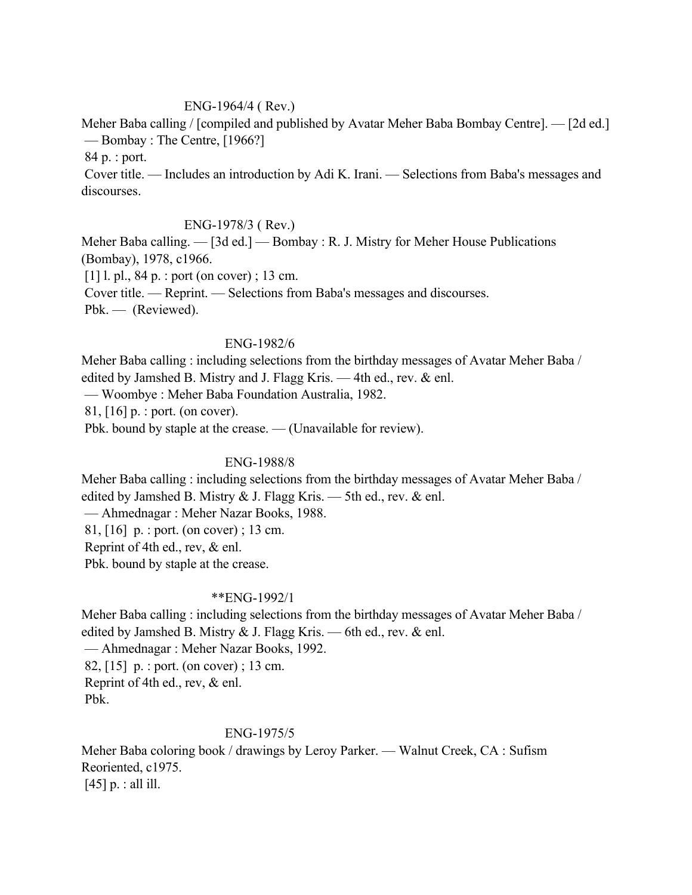### ENG-1964/4 ( Rev.)

Meher Baba calling / [compiled and published by Avatar Meher Baba Bombay Centre]. — [2d ed.] — Bombay : The Centre, [1966?]

84 p. : port.

 Cover title. — Includes an introduction by Adi K. Irani. — Selections from Baba's messages and discourses.

### ENG-1978/3 ( Rev.)

Meher Baba calling. — [3d ed.] — Bombay : R. J. Mistry for Meher House Publications (Bombay), 1978, c1966.

[1] l. pl., 84 p. : port (on cover) ; 13 cm.

Cover title. — Reprint. — Selections from Baba's messages and discourses.

Pbk. — (Reviewed).

### ENG-1982/6

Meher Baba calling : including selections from the birthday messages of Avatar Meher Baba / edited by Jamshed B. Mistry and J. Flagg Kris. — 4th ed., rev. & enl.

— Woombye : Meher Baba Foundation Australia, 1982.

81, [16] p. : port. (on cover).

Pbk. bound by staple at the crease. — (Unavailable for review).

## ENG-1988/8

Meher Baba calling : including selections from the birthday messages of Avatar Meher Baba / edited by Jamshed B. Mistry  $\&$  J. Flagg Kris. — 5th ed., rev.  $\&$  enl.

— Ahmednagar : Meher Nazar Books, 1988.

81, [16] p. : port. (on cover) ; 13 cm.

Reprint of 4th ed., rev, & enl.

Pbk. bound by staple at the crease.

## \*\*ENG-1992/1

Meher Baba calling : including selections from the birthday messages of Avatar Meher Baba / edited by Jamshed B. Mistry  $\&$  J. Flagg Kris. — 6th ed., rev.  $\&$  enl. — Ahmednagar : Meher Nazar Books, 1992.

 82, [15] p. : port. (on cover) ; 13 cm. Reprint of 4th ed., rev, & enl. Pbk.

### ENG-1975/5

Meher Baba coloring book / drawings by Leroy Parker. — Walnut Creek, CA : Sufism Reoriented, c1975.  $[45]$  p. : all ill.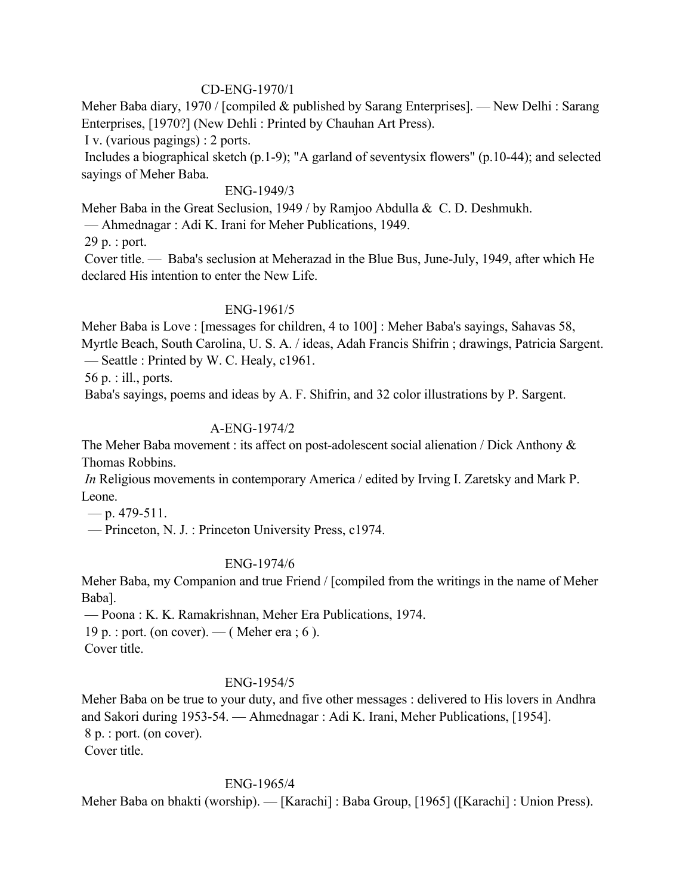### CD-ENG-1970/1

Meher Baba diary, 1970 / [compiled & published by Sarang Enterprises]. — New Delhi : Sarang Enterprises, [1970?] (New Dehli : Printed by Chauhan Art Press).

I v. (various pagings) : 2 ports.

 Includes a biographical sketch (p.1-9); "A garland of seventysix flowers" (p.10-44); and selected sayings of Meher Baba.

#### ENG-1949/3

Meher Baba in the Great Seclusion, 1949 / by Ramjoo Abdulla & C. D. Deshmukh.

— Ahmednagar : Adi K. Irani for Meher Publications, 1949.

29 p. : port.

 Cover title. — Baba's seclusion at Meherazad in the Blue Bus, June-July, 1949, after which He declared His intention to enter the New Life.

### ENG-1961/5

Meher Baba is Love : [messages for children, 4 to 100] : Meher Baba's sayings, Sahavas 58, Myrtle Beach, South Carolina, U. S. A. / ideas, Adah Francis Shifrin ; drawings, Patricia Sargent. — Seattle : Printed by W. C. Healy, c1961.

56 p. : ill., ports.

Baba's sayings, poems and ideas by A. F. Shifrin, and 32 color illustrations by P. Sargent.

## A-ENG-1974/2

The Meher Baba movement : its affect on post-adolescent social alienation / Dick Anthony  $\&$ Thomas Robbins.

*In* Religious movements in contemporary America / edited by Irving I. Zaretsky and Mark P. Leone.

 $-$  p. 479-511.

— Princeton, N. J. : Princeton University Press, c1974.

## ENG-1974/6

Meher Baba, my Companion and true Friend / [compiled from the writings in the name of Meher Baba].

— Poona : K. K. Ramakrishnan, Meher Era Publications, 1974.

19 p. : port. (on cover). — ( Meher era ; 6 ).

Cover title.

## ENG-1954/5

Meher Baba on be true to your duty, and five other messages : delivered to His lovers in Andhra and Sakori during 1953-54. — Ahmednagar : Adi K. Irani, Meher Publications, [1954]. 8 p. : port. (on cover). Cover title.

ENG-1965/4

Meher Baba on bhakti (worship). — [Karachi] : Baba Group, [1965] ([Karachi] : Union Press).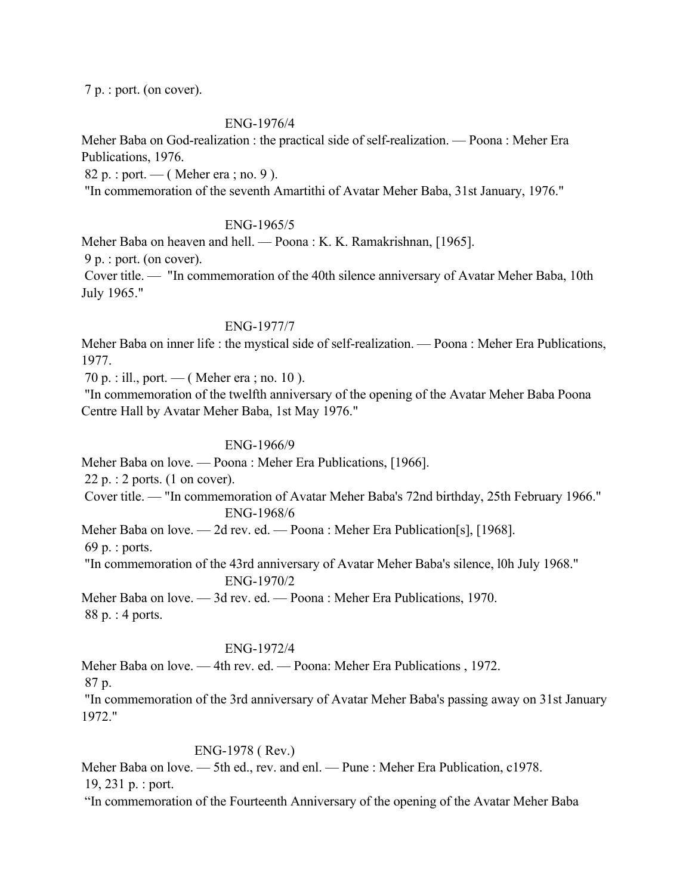7 p. : port. (on cover).

#### ENG-1976/4

Meher Baba on God-realization : the practical side of self-realization. — Poona : Meher Era Publications, 1976.

82 p. : port. — ( Meher era ; no. 9 ).

"In commemoration of the seventh Amartithi of Avatar Meher Baba, 31st January, 1976."

#### ENG-1965/5

Meher Baba on heaven and hell. — Poona : K. K. Ramakrishnan, [1965].

9 p. : port. (on cover).

 Cover title. — "In commemoration of the 40th silence anniversary of Avatar Meher Baba, 10th July 1965."

### ENG-1977/7

Meher Baba on inner life : the mystical side of self-realization. — Poona : Meher Era Publications, 1977.

70 p. : ill., port. — ( Meher era ; no. 10 ).

 "In commemoration of the twelfth anniversary of the opening of the Avatar Meher Baba Poona Centre Hall by Avatar Meher Baba, 1st May 1976."

### ENG-1966/9

Meher Baba on love. — Poona : Meher Era Publications, [1966].

22 p. : 2 ports. (1 on cover).

 Cover title. — "In commemoration of Avatar Meher Baba's 72nd birthday, 25th February 1966." ENG-1968/6

Meher Baba on love. — 2d rev. ed. — Poona : Meher Era Publication[s], [1968].

69 p. : ports.

 "In commemoration of the 43rd anniversary of Avatar Meher Baba's silence, l0h July 1968." ENG-1970/2

Meher Baba on love. — 3d rev. ed. — Poona : Meher Era Publications, 1970. 88 p. : 4 ports.

### ENG-1972/4

Meher Baba on love. — 4th rev. ed. — Poona: Meher Era Publications , 1972.

87 p.

 "In commemoration of the 3rd anniversary of Avatar Meher Baba's passing away on 31st January 1972."

## ENG-1978 ( Rev.)

Meher Baba on love. — 5th ed., rev. and enl. — Pune : Meher Era Publication, c1978. 19, 231 p. : port.

"In commemoration of the Fourteenth Anniversary of the opening of the Avatar Meher Baba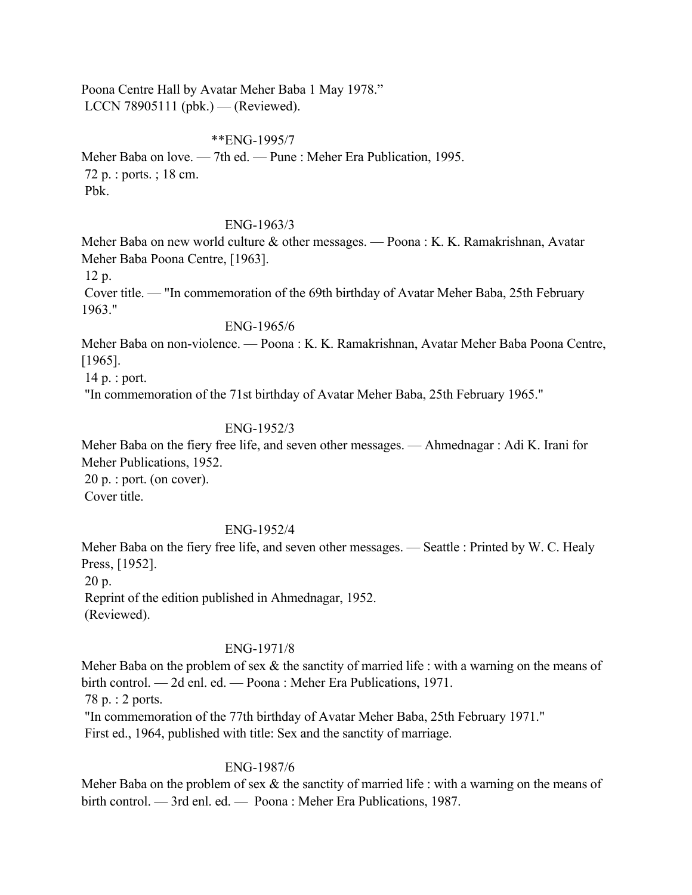Poona Centre Hall by Avatar Meher Baba 1 May 1978." LCCN 78905111 (pbk.) — (Reviewed).

\*\*ENG-1995/7

Meher Baba on love. — 7th ed. — Pune : Meher Era Publication, 1995. 72 p. : ports. ; 18 cm. Pbk.

### ENG-1963/3

Meher Baba on new world culture & other messages. — Poona : K. K. Ramakrishnan, Avatar Meher Baba Poona Centre, [1963].

12 p.

 Cover title. — "In commemoration of the 69th birthday of Avatar Meher Baba, 25th February 1963."

#### ENG-1965/6

Meher Baba on non-violence. — Poona : K. K. Ramakrishnan, Avatar Meher Baba Poona Centre, [1965].

14 p. : port.

"In commemoration of the 71st birthday of Avatar Meher Baba, 25th February 1965."

### ENG-1952/3

Meher Baba on the fiery free life, and seven other messages. — Ahmednagar : Adi K. Irani for Meher Publications, 1952. 20 p. : port. (on cover).

Cover title.

### ENG-1952/4

Meher Baba on the fiery free life, and seven other messages. — Seattle : Printed by W. C. Healy Press, [1952].

20 p.

 Reprint of the edition published in Ahmednagar, 1952. (Reviewed).

### ENG-1971/8

Meher Baba on the problem of sex  $\&$  the sanctity of married life : with a warning on the means of birth control. — 2d enl. ed. — Poona : Meher Era Publications, 1971.

78 p. : 2 ports.

"In commemoration of the 77th birthday of Avatar Meher Baba, 25th February 1971."

First ed., 1964, published with title: Sex and the sanctity of marriage.

### ENG-1987/6

Meher Baba on the problem of sex  $\&$  the sanctity of married life : with a warning on the means of birth control. — 3rd enl. ed. — Poona : Meher Era Publications, 1987.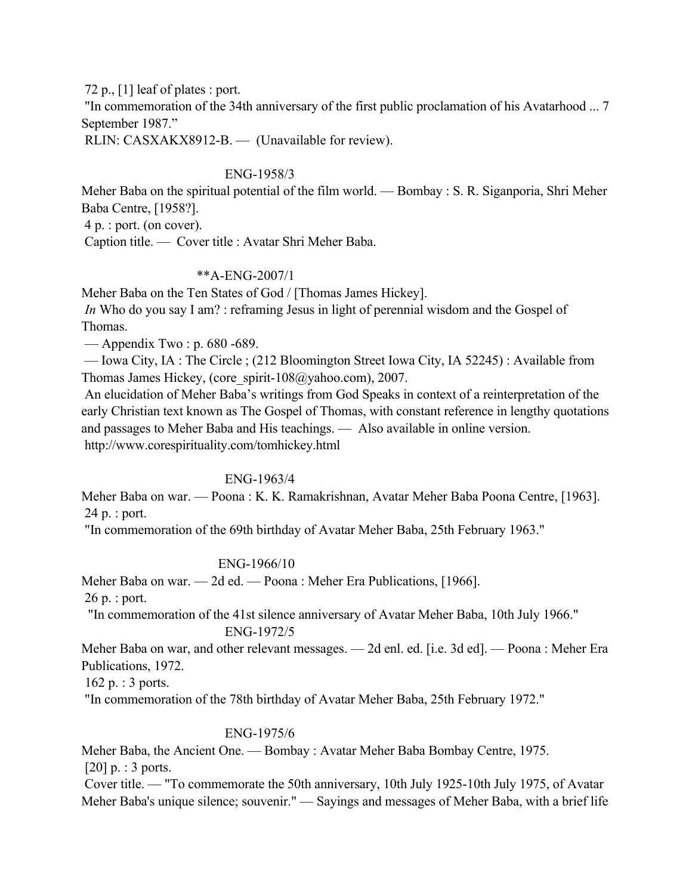72 p., [1] leaf of plates : port.

 "In commemoration of the 34th anniversary of the first public proclamation of his Avatarhood ... 7 September 1987."

RLIN: CASXAKX8912-B. — (Unavailable for review).

## ENG-1958/3

Meher Baba on the spiritual potential of the film world. — Bombay : S. R. Siganporia, Shri Meher Baba Centre, [1958?].

4 p. : port. (on cover).

Caption title. — Cover title : Avatar Shri Meher Baba.

## \*\*A-ENG-2007/1

Meher Baba on the Ten States of God / [Thomas James Hickey].

*In* Who do you say I am? : reframing Jesus in light of perennial wisdom and the Gospel of Thomas.

— Appendix Two : p. 680 -689.

 — Iowa City, IA : The Circle ; (212 Bloomington Street Iowa City, IA 52245) : Available from Thomas James Hickey, (core\_spirit-108@yahoo.com), 2007.

 An elucidation of Meher Baba's writings from God Speaks in context of a reinterpretation of the early Christian text known as The Gospel of Thomas, with constant reference in lengthy quotations and passages to Meher Baba and His teachings. — Also available in online version. http://www.corespirituality.com/tomhickey.html

## ENG-1963/4

Meher Baba on war. — Poona : K. K. Ramakrishnan, Avatar Meher Baba Poona Centre, [1963]. 24 p. : port.

"In commemoration of the 69th birthday of Avatar Meher Baba, 25th February 1963."

## ENG-1966/10

Meher Baba on war. — 2d ed. — Poona : Meher Era Publications, [1966].

26 p. : port.

"In commemoration of the 41st silence anniversary of Avatar Meher Baba, 10th July 1966."

### ENG-1972/5

Meher Baba on war, and other relevant messages. — 2d enl. ed. [i.e. 3d ed]. — Poona : Meher Era Publications, 1972.

162 p. : 3 ports.

"In commemoration of the 78th birthday of Avatar Meher Baba, 25th February 1972."

## ENG-1975/6

Meher Baba, the Ancient One. — Bombay : Avatar Meher Baba Bombay Centre, 1975.  $[20]$  p. : 3 ports.

 Cover title. — "To commemorate the 50th anniversary, 10th July 1925-10th July 1975, of Avatar Meher Baba's unique silence; souvenir." — Sayings and messages of Meher Baba, with a brief life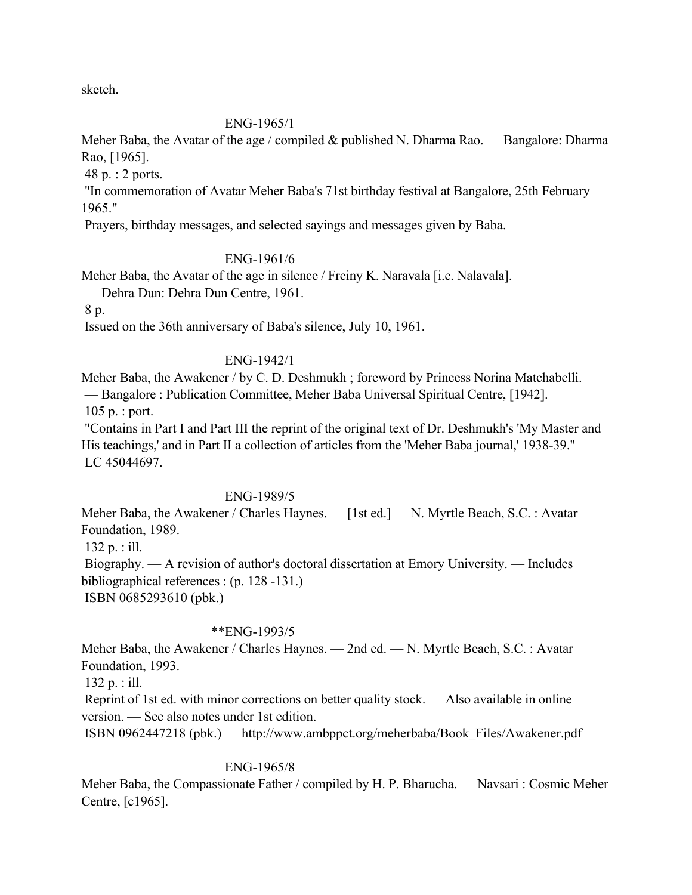sketch.

### ENG-1965/1

Meher Baba, the Avatar of the age / compiled & published N. Dharma Rao. — Bangalore: Dharma Rao, [1965].

48 p. : 2 ports.

 "In commemoration of Avatar Meher Baba's 71st birthday festival at Bangalore, 25th February 1965."

Prayers, birthday messages, and selected sayings and messages given by Baba.

## ENG-1961/6

Meher Baba, the Avatar of the age in silence / Freiny K. Naravala [i.e. Nalavala]. — Dehra Dun: Dehra Dun Centre, 1961.

8 p.

Issued on the 36th anniversary of Baba's silence, July 10, 1961.

### ENG-1942/1

Meher Baba, the Awakener / by C. D. Deshmukh ; foreword by Princess Norina Matchabelli. — Bangalore : Publication Committee, Meher Baba Universal Spiritual Centre, [1942]. 105 p. : port.

 "Contains in Part I and Part III the reprint of the original text of Dr. Deshmukh's 'My Master and His teachings,' and in Part II a collection of articles from the 'Meher Baba journal,' 1938-39." LC 45044697.

### ENG-1989/5

Meher Baba, the Awakener / Charles Haynes. — [1st ed.] — N. Myrtle Beach, S.C. : Avatar Foundation, 1989.

132 p. : ill.

 Biography. — A revision of author's doctoral dissertation at Emory University. — Includes bibliographical references : (p. 128 -131.) ISBN 0685293610 (pbk.)

# \*\*ENG-1993/5

Meher Baba, the Awakener / Charles Haynes. — 2nd ed. — N. Myrtle Beach, S.C. : Avatar Foundation, 1993.

132 p. : ill.

 Reprint of 1st ed. with minor corrections on better quality stock. — Also available in online version. — See also notes under 1st edition.

ISBN 0962447218 (pbk.) — http://www.ambppct.org/meherbaba/Book\_Files/Awakener.pdf

### ENG-1965/8

Meher Baba, the Compassionate Father / compiled by H. P. Bharucha. — Navsari : Cosmic Meher Centre, [c1965].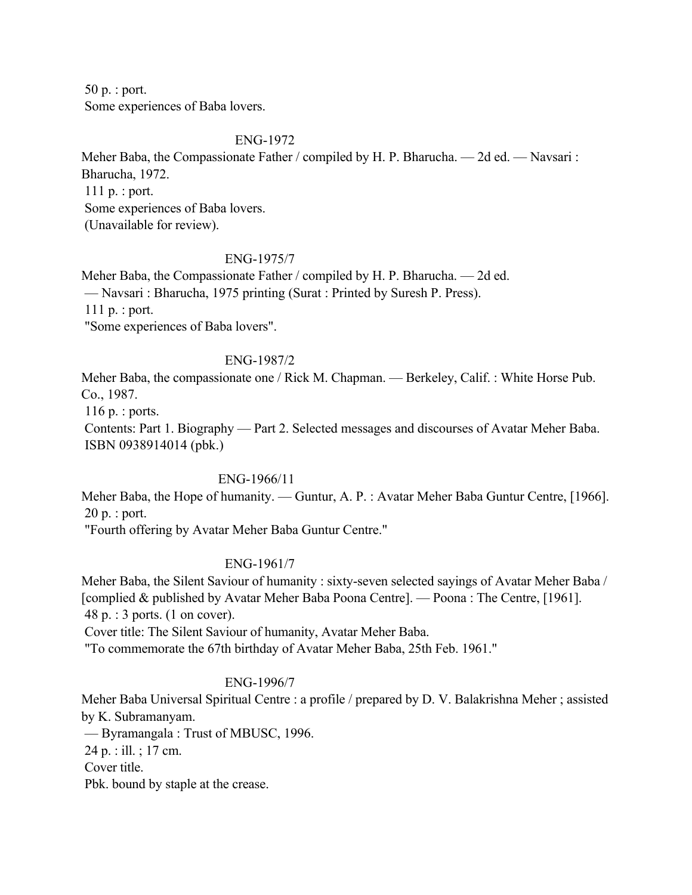50 p. : port. Some experiences of Baba lovers.

#### ENG-1972

Meher Baba, the Compassionate Father / compiled by H. P. Bharucha. — 2d ed. — Navsari : Bharucha, 1972. 111 p. : port.

Some experiences of Baba lovers.

(Unavailable for review).

### ENG-1975/7

Meher Baba, the Compassionate Father / compiled by H. P. Bharucha. — 2d ed. — Navsari : Bharucha, 1975 printing (Surat : Printed by Suresh P. Press). 111 p. : port. "Some experiences of Baba lovers".

#### ENG-1987/2

Meher Baba, the compassionate one / Rick M. Chapman. — Berkeley, Calif. : White Horse Pub. Co., 1987.

116 p. : ports.

 Contents: Part 1. Biography — Part 2. Selected messages and discourses of Avatar Meher Baba. ISBN 0938914014 (pbk.)

### ENG-1966/11

Meher Baba, the Hope of humanity. — Guntur, A. P. : Avatar Meher Baba Guntur Centre, [1966]. 20 p. : port.

"Fourth offering by Avatar Meher Baba Guntur Centre."

### ENG-1961/7

Meher Baba, the Silent Saviour of humanity : sixty-seven selected sayings of Avatar Meher Baba / [complied & published by Avatar Meher Baba Poona Centre]. — Poona : The Centre, [1961]. 48 p. : 3 ports. (1 on cover).

Cover title: The Silent Saviour of humanity, Avatar Meher Baba.

"To commemorate the 67th birthday of Avatar Meher Baba, 25th Feb. 1961."

## ENG-1996/7

Meher Baba Universal Spiritual Centre : a profile / prepared by D. V. Balakrishna Meher ; assisted by K. Subramanyam.

— Byramangala : Trust of MBUSC, 1996.

24 p. : ill. ; 17 cm.

Cover title.

Pbk. bound by staple at the crease.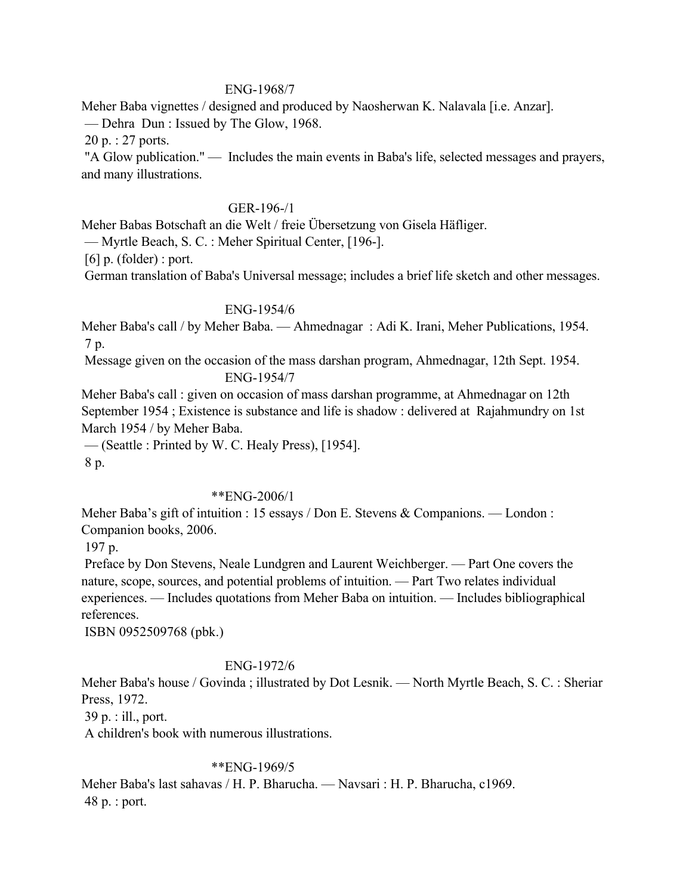#### ENG-1968/7

Meher Baba vignettes / designed and produced by Naosherwan K. Nalavala [i.e. Anzar].

— Dehra Dun : Issued by The Glow, 1968.

20 p. : 27 ports.

 "A Glow publication." — Includes the main events in Baba's life, selected messages and prayers, and many illustrations.

### GER-196-/1

Meher Babas Botschaft an die Welt / freie Übersetzung von Gisela Häfliger.

— Myrtle Beach, S. C. : Meher Spiritual Center, [196-].

 $[6]$  p. (folder) : port.

German translation of Baba's Universal message; includes a brief life sketch and other messages.

#### ENG-1954/6

Meher Baba's call / by Meher Baba. — Ahmednagar : Adi K. Irani, Meher Publications, 1954. 7 p.

 Message given on the occasion of the mass darshan program, Ahmednagar, 12th Sept. 1954. ENG-1954/7

Meher Baba's call : given on occasion of mass darshan programme, at Ahmednagar on 12th September 1954 ; Existence is substance and life is shadow : delivered at Rajahmundry on 1st March 1954 / by Meher Baba.

— (Seattle : Printed by W. C. Healy Press), [1954].

8 p.

### \*\*ENG-2006/1

Meher Baba's gift of intuition : 15 essays / Don E. Stevens & Companions. — London : Companion books, 2006.

197 p.

 Preface by Don Stevens, Neale Lundgren and Laurent Weichberger. — Part One covers the nature, scope, sources, and potential problems of intuition. — Part Two relates individual experiences. — Includes quotations from Meher Baba on intuition. — Includes bibliographical references.

ISBN 0952509768 (pbk.)

### ENG-1972/6

Meher Baba's house / Govinda ; illustrated by Dot Lesnik. — North Myrtle Beach, S. C. : Sheriar Press, 1972.

39 p. : ill., port.

A children's book with numerous illustrations.

### \*\*ENG-1969/5

Meher Baba's last sahavas / H. P. Bharucha. — Navsari : H. P. Bharucha, c1969. 48 p. : port.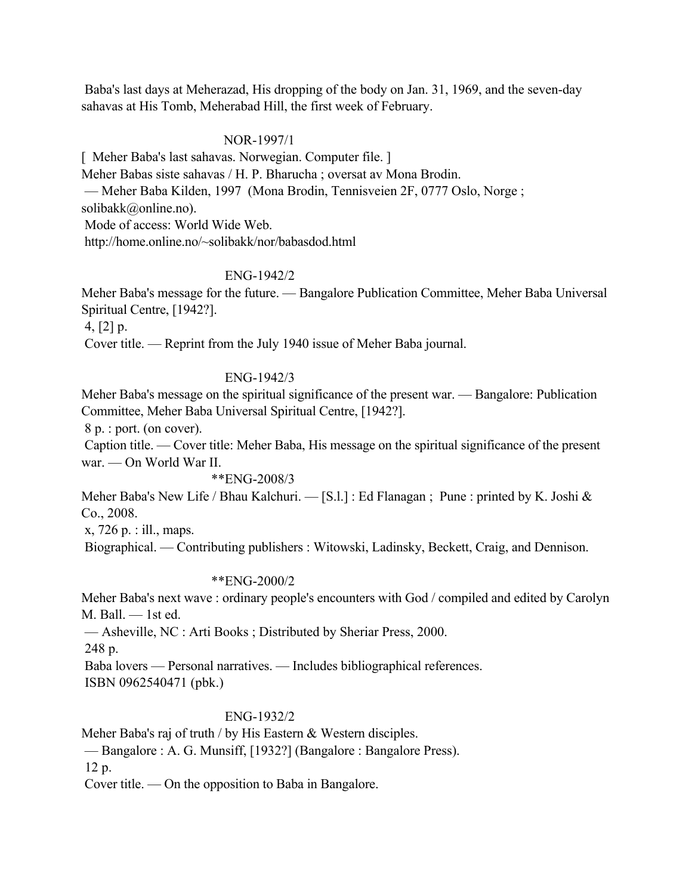Baba's last days at Meherazad, His dropping of the body on Jan. 31, 1969, and the seven-day sahavas at His Tomb, Meherabad Hill, the first week of February.

### NOR-1997/1

[ Meher Baba's last sahavas. Norwegian. Computer file. ] Meher Babas siste sahavas / H. P. Bharucha ; oversat av Mona Brodin. — Meher Baba Kilden, 1997 (Mona Brodin, Tennisveien 2F, 0777 Oslo, Norge ; solibakk@online.no). Mode of access: World Wide Web. http://home.online.no/~solibakk/nor/babasdod.html

### ENG-1942/2

Meher Baba's message for the future. — Bangalore Publication Committee, Meher Baba Universal Spiritual Centre, [1942?].

4, [2] p.

Cover title. — Reprint from the July 1940 issue of Meher Baba journal.

### ENG-1942/3

Meher Baba's message on the spiritual significance of the present war. — Bangalore: Publication Committee, Meher Baba Universal Spiritual Centre, [1942?].

8 p. : port. (on cover).

 Caption title. — Cover title: Meher Baba, His message on the spiritual significance of the present war. — On World War II.

#### \*\*ENG-2008/3

Meher Baba's New Life / Bhau Kalchuri. — [S.l.] : Ed Flanagan ; Pune : printed by K. Joshi & Co., 2008.

x, 726 p. : ill., maps.

Biographical. — Contributing publishers : Witowski, Ladinsky, Beckett, Craig, and Dennison.

### \*\*ENG-2000/2

Meher Baba's next wave : ordinary people's encounters with God / compiled and edited by Carolyn M. Ball. — 1st ed.

— Asheville, NC : Arti Books ; Distributed by Sheriar Press, 2000.

248 p.

Baba lovers — Personal narratives. — Includes bibliographical references.

ISBN 0962540471 (pbk.)

## ENG-1932/2

Meher Baba's raj of truth / by His Eastern & Western disciples.

— Bangalore : A. G. Munsiff, [1932?] (Bangalore : Bangalore Press).

12 p.

Cover title. — On the opposition to Baba in Bangalore.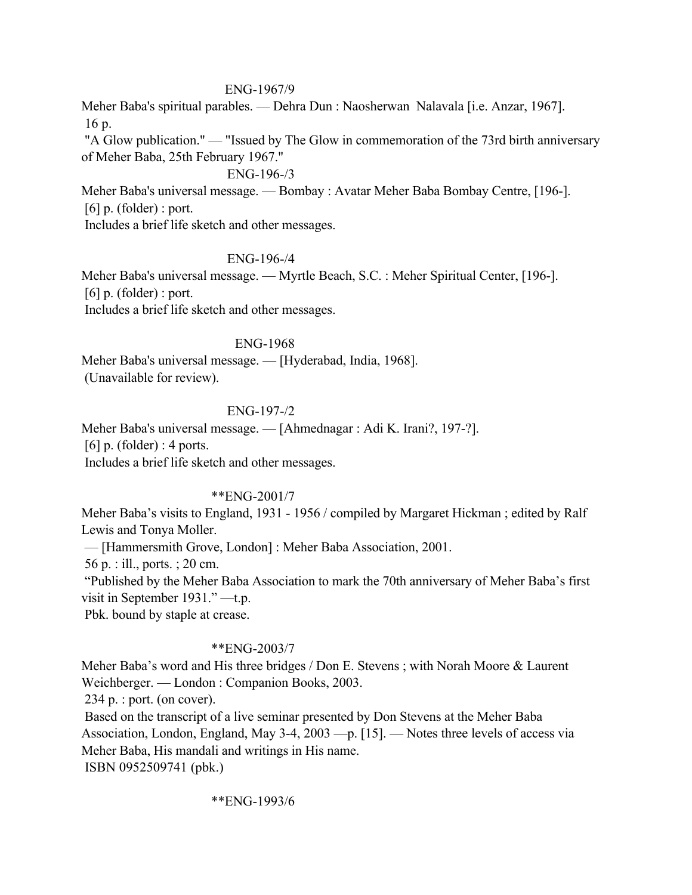### ENG-1967/9

Meher Baba's spiritual parables. — Dehra Dun : Naosherwan Nalavala [i.e. Anzar, 1967]. 16 p.

 "A Glow publication." — "Issued by The Glow in commemoration of the 73rd birth anniversary of Meher Baba, 25th February 1967."

### ENG-196-/3

Meher Baba's universal message. — Bombay : Avatar Meher Baba Bombay Centre, [196-].  $[6]$  p. (folder) : port.

Includes a brief life sketch and other messages.

#### ENG-196-/4

Meher Baba's universal message. — Myrtle Beach, S.C. : Meher Spiritual Center, [196-].  $[6]$  p. (folder) : port. Includes a brief life sketch and other messages.

#### ENG-1968

Meher Baba's universal message. — [Hyderabad, India, 1968]. (Unavailable for review).

### ENG-197-/2

Meher Baba's universal message. — [Ahmednagar : Adi K. Irani?, 197-?]. [6] p. (folder) : 4 ports. Includes a brief life sketch and other messages.

### \*\*ENG-2001/7

Meher Baba's visits to England, 1931 - 1956 / compiled by Margaret Hickman ; edited by Ralf Lewis and Tonya Moller.

— [Hammersmith Grove, London] : Meher Baba Association, 2001.

56 p. : ill., ports. ; 20 cm.

 "Published by the Meher Baba Association to mark the 70th anniversary of Meher Baba's first visit in September 1931." —t.p.

Pbk. bound by staple at crease.

### \*\*ENG-2003/7

Meher Baba's word and His three bridges / Don E. Stevens ; with Norah Moore & Laurent Weichberger. — London : Companion Books, 2003.

234 p. : port. (on cover).

 Based on the transcript of a live seminar presented by Don Stevens at the Meher Baba Association, London, England, May 3-4, 2003 —p. [15]. — Notes three levels of access via Meher Baba, His mandali and writings in His name.

ISBN 0952509741 (pbk.)

\*\*ENG-1993/6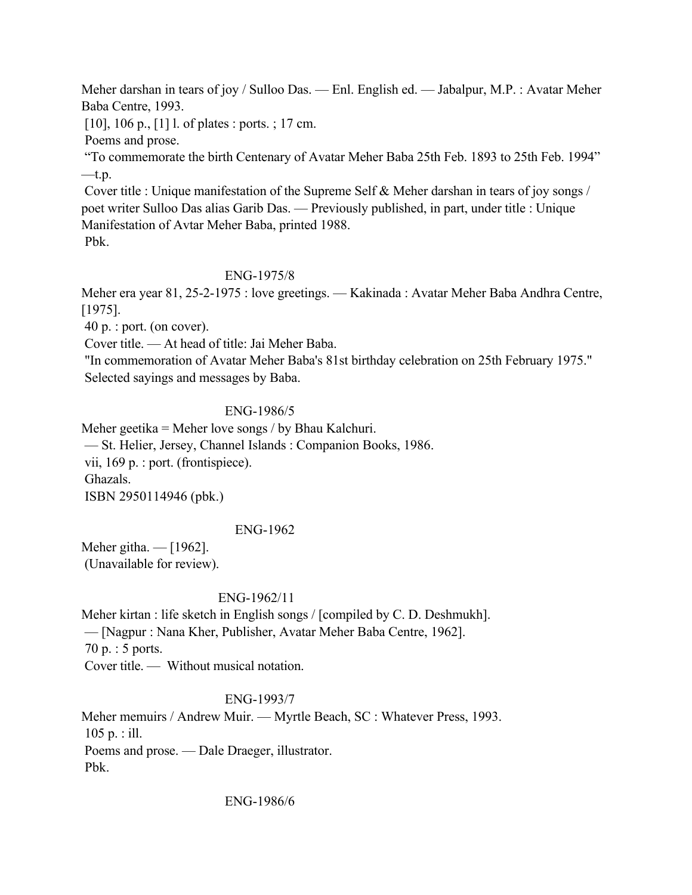Meher darshan in tears of joy / Sulloo Das. — Enl. English ed. — Jabalpur, M.P. : Avatar Meher Baba Centre, 1993.

[10], 106 p., [1] l. of plates : ports. ; 17 cm.

Poems and prose.

 "To commemorate the birth Centenary of Avatar Meher Baba 25th Feb. 1893 to 25th Feb. 1994"  $-t.p.$ 

 Cover title : Unique manifestation of the Supreme Self & Meher darshan in tears of joy songs / poet writer Sulloo Das alias Garib Das. — Previously published, in part, under title : Unique Manifestation of Avtar Meher Baba, printed 1988. Pbk.

## ENG-1975/8

Meher era year 81, 25-2-1975 : love greetings. — Kakinada : Avatar Meher Baba Andhra Centre, [1975].

40 p. : port. (on cover).

Cover title. — At head of title: Jai Meher Baba.

 "In commemoration of Avatar Meher Baba's 81st birthday celebration on 25th February 1975." Selected sayings and messages by Baba.

## ENG-1986/5

Meher geetika = Meher love songs / by Bhau Kalchuri.

— St. Helier, Jersey, Channel Islands : Companion Books, 1986.

vii, 169 p. : port. (frontispiece).

Ghazals.

ISBN 2950114946 (pbk.)

## ENG-1962

Meher githa. — [1962]. (Unavailable for review).

## ENG-1962/11

Meher kirtan : life sketch in English songs / [compiled by C. D. Deshmukh]. — [Nagpur : Nana Kher, Publisher, Avatar Meher Baba Centre, 1962]. 70 p. : 5 ports. Cover title. — Without musical notation.

## ENG-1993/7

Meher memuirs / Andrew Muir. — Myrtle Beach, SC : Whatever Press, 1993. 105 p. : ill. Poems and prose. — Dale Draeger, illustrator. Pbk.

### ENG-1986/6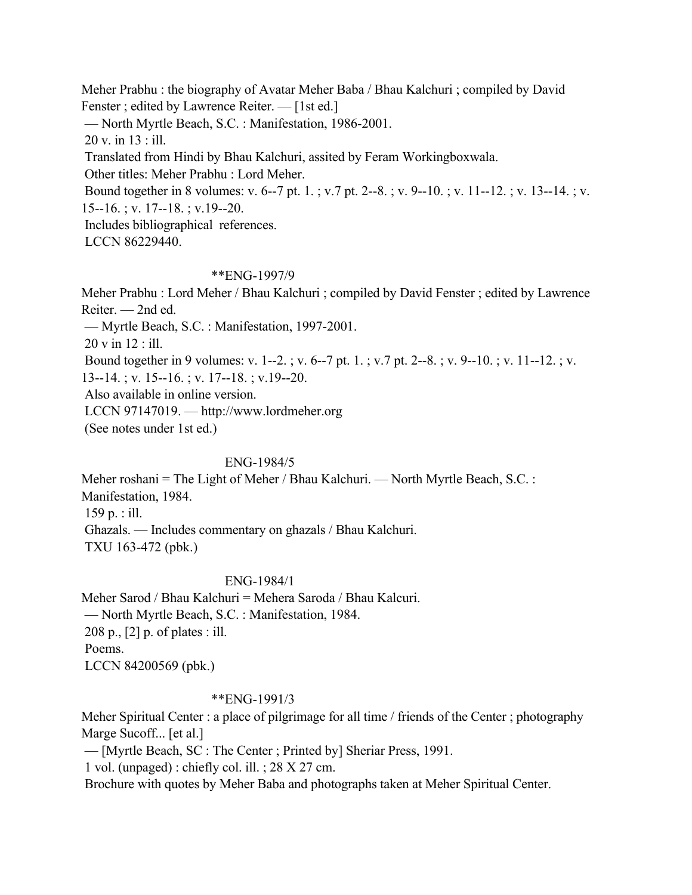Meher Prabhu : the biography of Avatar Meher Baba / Bhau Kalchuri ; compiled by David Fenster ; edited by Lawrence Reiter. — [1st ed.] — North Myrtle Beach, S.C. : Manifestation, 1986-2001. 20 v. in 13 : ill. Translated from Hindi by Bhau Kalchuri, assited by Feram Workingboxwala. Other titles: Meher Prabhu : Lord Meher. Bound together in 8 volumes: v. 6--7 pt. 1. ; v.7 pt. 2--8. ; v. 9--10. ; v. 11--12. ; v. 13--14. ; v. 15--16. ; v. 17--18. ; v.19--20. Includes bibliographical references. LCCN 86229440.

### \*\*ENG-1997/9

Meher Prabhu : Lord Meher / Bhau Kalchuri ; compiled by David Fenster ; edited by Lawrence Reiter. — 2nd ed. — Myrtle Beach, S.C. : Manifestation, 1997-2001. 20 v in 12 : ill. Bound together in 9 volumes: v. 1--2. ; v. 6--7 pt. 1. ; v.7 pt. 2--8. ; v. 9--10. ; v. 11--12. ; v. 13--14. ; v. 15--16. ; v. 17--18. ; v.19--20. Also available in online version. LCCN 97147019. — http://www.lordmeher.org (See notes under 1st ed.)

### ENG-1984/5

Meher roshani = The Light of Meher / Bhau Kalchuri. — North Myrtle Beach, S.C. : Manifestation, 1984. 159 p. : ill. Ghazals. — Includes commentary on ghazals / Bhau Kalchuri. TXU 163-472 (pbk.)

### ENG-1984/1

Meher Sarod / Bhau Kalchuri = Mehera Saroda / Bhau Kalcuri. — North Myrtle Beach, S.C. : Manifestation, 1984. 208 p., [2] p. of plates : ill. Poems. LCCN 84200569 (pbk.)

### \*\*ENG-1991/3

Meher Spiritual Center : a place of pilgrimage for all time / friends of the Center ; photography Marge Sucoff... [et al.]

— [Myrtle Beach, SC : The Center ; Printed by] Sheriar Press, 1991.

1 vol. (unpaged) : chiefly col. ill. ; 28 X 27 cm.

Brochure with quotes by Meher Baba and photographs taken at Meher Spiritual Center.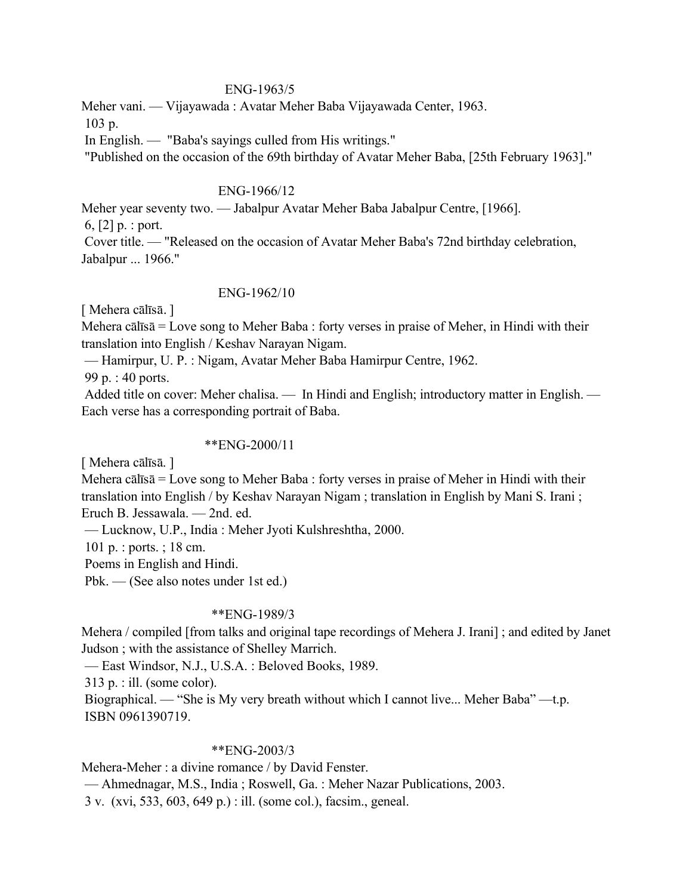#### ENG-1963/5

Meher vani. — Vijayawada : Avatar Meher Baba Vijayawada Center, 1963.

103 p.

In English. — "Baba's sayings culled from His writings."

"Published on the occasion of the 69th birthday of Avatar Meher Baba, [25th February 1963]."

#### ENG-1966/12

Meher year seventy two. — Jabalpur Avatar Meher Baba Jabalpur Centre, [1966].

6, [2] p. : port.

 Cover title. — "Released on the occasion of Avatar Meher Baba's 72nd birthday celebration, Jabalpur ... 1966."

### ENG-1962/10

[ Mehera cālīsā. ]

Mehera cālīsā = Love song to Meher Baba : forty verses in praise of Meher, in Hindi with their translation into English / Keshav Narayan Nigam.

— Hamirpur, U. P. : Nigam, Avatar Meher Baba Hamirpur Centre, 1962.

99 p. : 40 ports.

 Added title on cover: Meher chalisa. — In Hindi and English; introductory matter in English. — Each verse has a corresponding portrait of Baba.

### \*\*ENG-2000/11

[ Mehera cālīsā. ]

Mehera cālīsā = Love song to Meher Baba : forty verses in praise of Meher in Hindi with their translation into English / by Keshav Narayan Nigam ; translation in English by Mani S. Irani ; Eruch B. Jessawala. — 2nd. ed.

— Lucknow, U.P., India : Meher Jyoti Kulshreshtha, 2000.

101 p. : ports. ; 18 cm.

Poems in English and Hindi.

Pbk. — (See also notes under 1st ed.)

### \*\*ENG-1989/3

Mehera / compiled [from talks and original tape recordings of Mehera J. Irani] ; and edited by Janet Judson ; with the assistance of Shelley Marrich.

— East Windsor, N.J., U.S.A. : Beloved Books, 1989.

313 p. : ill. (some color).

 Biographical. — "She is My very breath without which I cannot live... Meher Baba" —t.p. ISBN 0961390719.

### \*\*ENG-2003/3

Mehera-Meher : a divine romance / by David Fenster.

— Ahmednagar, M.S., India ; Roswell, Ga. : Meher Nazar Publications, 2003.

3 v. (xvi, 533, 603, 649 p.) : ill. (some col.), facsim., geneal.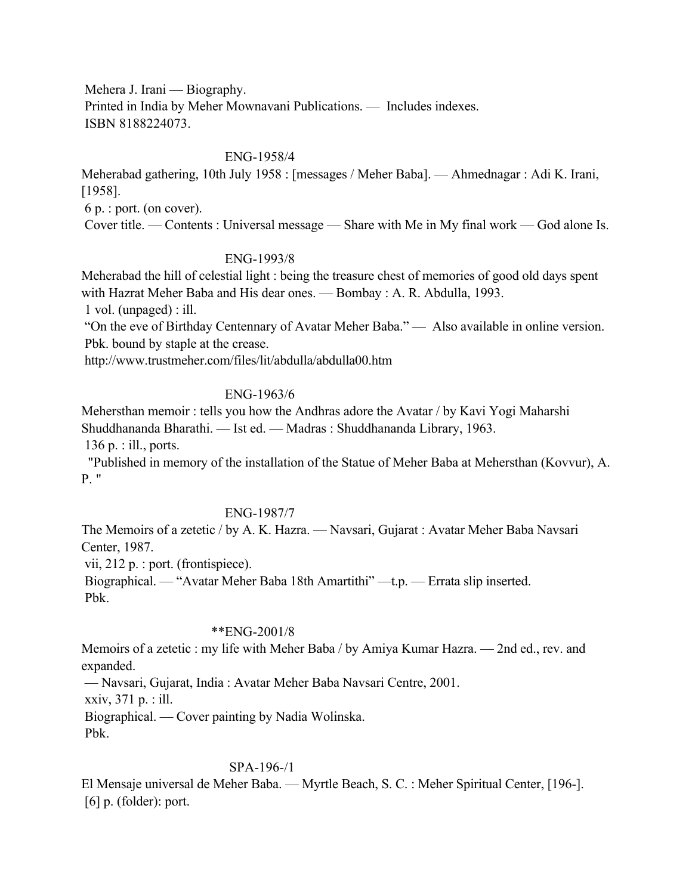Mehera J. Irani — Biography.

 Printed in India by Meher Mownavani Publications. — Includes indexes. ISBN 8188224073.

#### ENG-1958/4

Meherabad gathering, 10th July 1958 : [messages / Meher Baba]. — Ahmednagar : Adi K. Irani, [1958].

6 p. : port. (on cover).

Cover title. — Contents : Universal message — Share with Me in My final work — God alone Is.

### ENG-1993/8

Meherabad the hill of celestial light : being the treasure chest of memories of good old days spent with Hazrat Meher Baba and His dear ones. — Bombay : A. R. Abdulla, 1993.

1 vol. (unpaged) : ill.

 "On the eve of Birthday Centennary of Avatar Meher Baba." — Also available in online version. Pbk. bound by staple at the crease.

http://www.trustmeher.com/files/lit/abdulla/abdulla00.htm

#### ENG-1963/6

Mehersthan memoir : tells you how the Andhras adore the Avatar / by Kavi Yogi Maharshi Shuddhananda Bharathi. — Ist ed. — Madras : Shuddhananda Library, 1963.

136 p. : ill., ports.

 "Published in memory of the installation of the Statue of Meher Baba at Mehersthan (Kovvur), A. P. "

### ENG-1987/7

The Memoirs of a zetetic / by A. K. Hazra. — Navsari, Gujarat : Avatar Meher Baba Navsari Center, 1987.

vii, 212 p. : port. (frontispiece).

 Biographical. — "Avatar Meher Baba 18th Amartithi" —t.p. — Errata slip inserted. Pbk.

### \*\*ENG-2001/8

Memoirs of a zetetic : my life with Meher Baba / by Amiya Kumar Hazra. — 2nd ed., rev. and expanded.

— Navsari, Gujarat, India : Avatar Meher Baba Navsari Centre, 2001.

xxiv, 371 p. : ill.

Biographical. — Cover painting by Nadia Wolinska.

Pbk.

### SPA-196-/1

El Mensaje universal de Meher Baba. — Myrtle Beach, S. C. : Meher Spiritual Center, [196-].  $[6]$  p. (folder): port.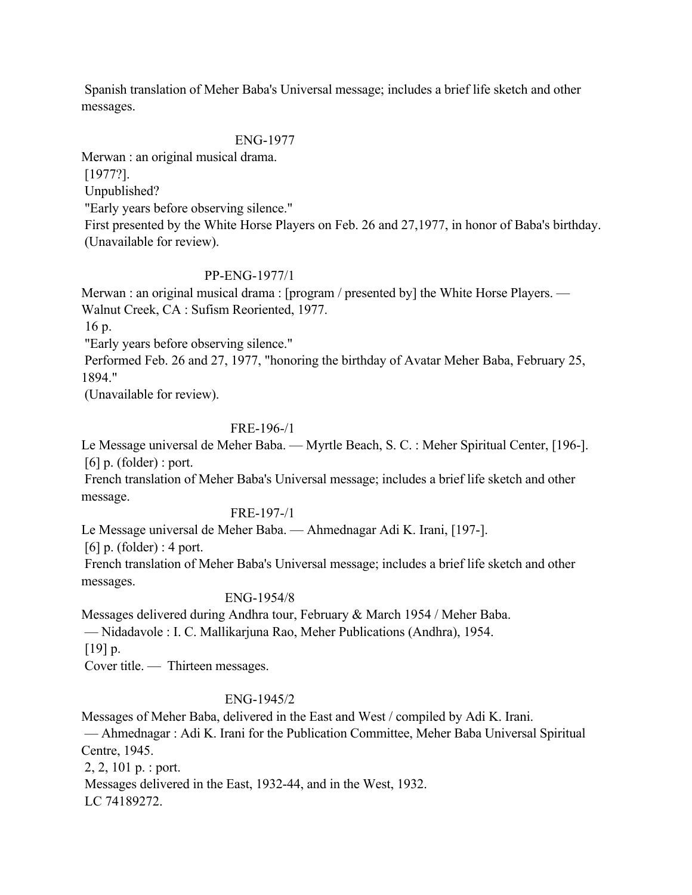Spanish translation of Meher Baba's Universal message; includes a brief life sketch and other messages.

## ENG-1977

Merwan : an original musical drama.

[1977?].

Unpublished?

"Early years before observing silence."

 First presented by the White Horse Players on Feb. 26 and 27,1977, in honor of Baba's birthday. (Unavailable for review).

## PP-ENG-1977/1

Merwan : an original musical drama : [program / presented by] the White Horse Players. — Walnut Creek, CA : Sufism Reoriented, 1977.

16 p.

"Early years before observing silence."

 Performed Feb. 26 and 27, 1977, "honoring the birthday of Avatar Meher Baba, February 25, 1894."

(Unavailable for review).

## FRE-196-/1

Le Message universal de Meher Baba. — Myrtle Beach, S. C. : Meher Spiritual Center, [196-].  $[6]$  p. (folder) : port.

 French translation of Meher Baba's Universal message; includes a brief life sketch and other message.

## FRE-197-/1

Le Message universal de Meher Baba. — Ahmednagar Adi K. Irani, [197-].

 $[6]$  p. (folder) : 4 port.

 French translation of Meher Baba's Universal message; includes a brief life sketch and other messages.

## ENG-1954/8

Messages delivered during Andhra tour, February & March 1954 / Meher Baba.

— Nidadavole : I. C. Mallikarjuna Rao, Meher Publications (Andhra), 1954.

 $[19] p.$ 

Cover title. — Thirteen messages.

## ENG-1945/2

Messages of Meher Baba, delivered in the East and West / compiled by Adi K. Irani.

 — Ahmednagar : Adi K. Irani for the Publication Committee, Meher Baba Universal Spiritual Centre, 1945.

2, 2, 101 p. : port.

Messages delivered in the East, 1932-44, and in the West, 1932.

LC 74189272.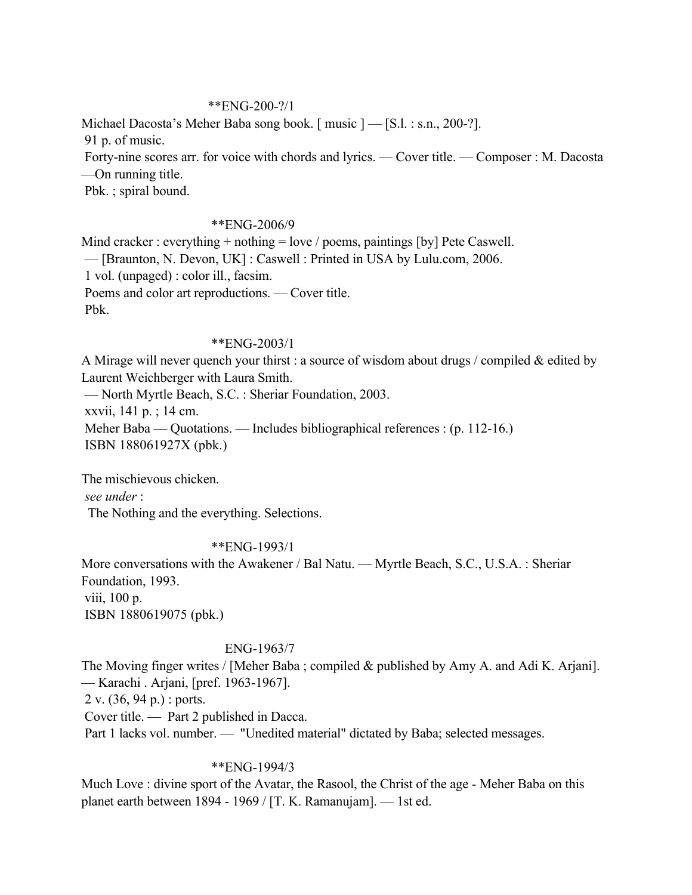#### \*\*ENG-200-?/1

Michael Dacosta's Meher Baba song book. [music ] — [S.l. : s.n., 200-?]. 91 p. of music. Forty-nine scores arr. for voice with chords and lyrics. — Cover title. — Composer : M. Dacosta —On running title. Pbk. ; spiral bound.

### \*\*ENG-2006/9

Mind cracker : everything + nothing = love / poems, paintings [by] Pete Caswell. — [Braunton, N. Devon, UK] : Caswell : Printed in USA by Lulu.com, 2006. 1 vol. (unpaged) : color ill., facsim. Poems and color art reproductions. — Cover title. Pbk.

#### \*\*ENG-2003/1

A Mirage will never quench your thirst : a source of wisdom about drugs / compiled & edited by Laurent Weichberger with Laura Smith. — North Myrtle Beach, S.C. : Sheriar Foundation, 2003. xxvii, 141 p. ; 14 cm. Meher Baba — Quotations. — Includes bibliographical references : (p. 112-16.) ISBN 188061927X (pbk.)

The mischievous chicken. *see under* : The Nothing and the everything. Selections.

#### \*\*ENG-1993/1

More conversations with the Awakener / Bal Natu. — Myrtle Beach, S.C., U.S.A. : Sheriar Foundation, 1993. viii, 100 p. ISBN 1880619075 (pbk.)

### ENG-1963/7

The Moving finger writes / [Meher Baba ; compiled & published by Amy A. and Adi K. Arjani]. — Karachi . Arjani, [pref. 1963-1967]. 2 v. (36, 94 p.) : ports. Cover title. — Part 2 published in Dacca.

Part 1 lacks vol. number. — "Unedited material" dictated by Baba; selected messages.

#### \*\*ENG-1994/3

Much Love : divine sport of the Avatar, the Rasool, the Christ of the age - Meher Baba on this planet earth between 1894 - 1969 / [T. K. Ramanujam]. — 1st ed.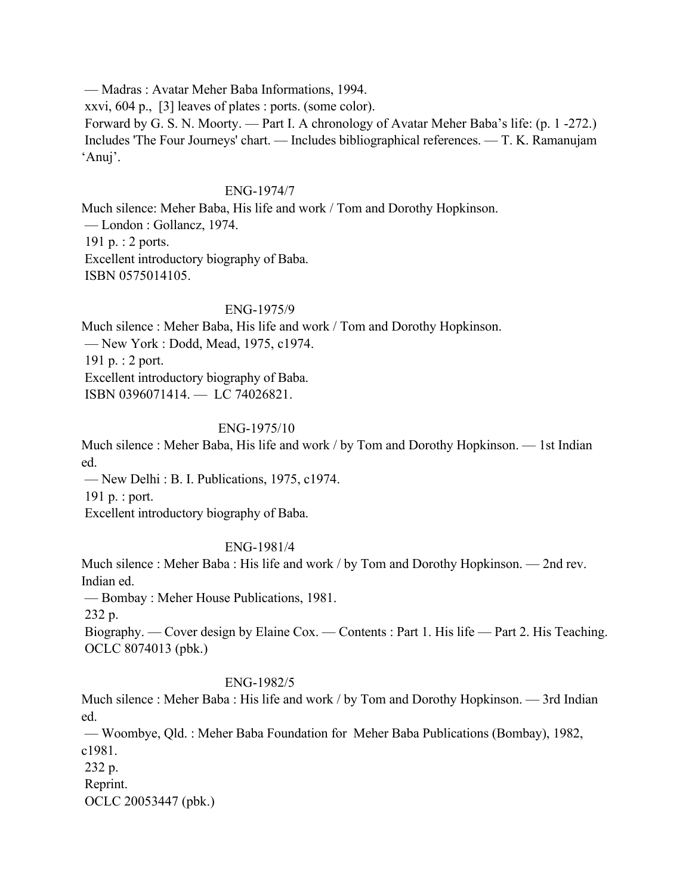— Madras : Avatar Meher Baba Informations, 1994. xxvi, 604 p., [3] leaves of plates : ports. (some color). Forward by G. S. N. Moorty. — Part I. A chronology of Avatar Meher Baba's life: (p. 1 -272.) Includes 'The Four Journeys' chart. — Includes bibliographical references. — T. K. Ramanujam 'Anuj'.

#### ENG-1974/7

Much silence: Meher Baba, His life and work / Tom and Dorothy Hopkinson. — London : Gollancz, 1974. 191 p. : 2 ports. Excellent introductory biography of Baba. ISBN 0575014105.

#### ENG-1975/9

Much silence : Meher Baba, His life and work / Tom and Dorothy Hopkinson. — New York : Dodd, Mead, 1975, c1974. 191 p. : 2 port. Excellent introductory biography of Baba. ISBN 0396071414. — LC 74026821.

#### ENG-1975/10

Much silence : Meher Baba, His life and work / by Tom and Dorothy Hopkinson. — 1st Indian ed.

— New Delhi : B. I. Publications, 1975, c1974.

191 p. : port.

Excellent introductory biography of Baba.

#### ENG-1981/4

Much silence : Meher Baba : His life and work / by Tom and Dorothy Hopkinson. — 2nd rev. Indian ed.

— Bombay : Meher House Publications, 1981.

232 p.

 Biography. — Cover design by Elaine Cox. — Contents : Part 1. His life — Part 2. His Teaching. OCLC 8074013 (pbk.)

#### ENG-1982/5

Much silence : Meher Baba : His life and work / by Tom and Dorothy Hopkinson. — 3rd Indian ed.

 — Woombye, Qld. : Meher Baba Foundation for Meher Baba Publications (Bombay), 1982, c1981.

 232 p. Reprint. OCLC 20053447 (pbk.)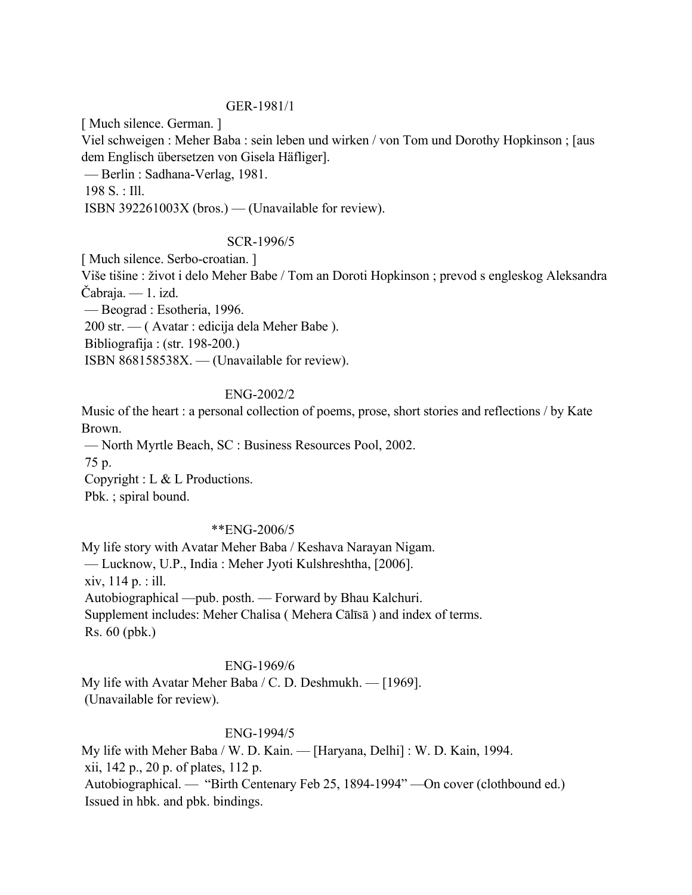#### GER-1981/1

[ Much silence. German. ]

Viel schweigen : Meher Baba : sein leben und wirken / von Tom und Dorothy Hopkinson ; [aus dem Englisch übersetzen von Gisela Häfliger].

— Berlin : Sadhana-Verlag, 1981.

198 S. : Ill.

ISBN 392261003X (bros.) — (Unavailable for review).

### SCR-1996/5

[ Much silence. Serbo-croatian. ]

Više tišine : život i delo Meher Babe / Tom an Doroti Hopkinson ; prevod s engleskog Aleksandra Čabraja. — 1. izd.

— Beograd : Esotheria, 1996.

200 str. — ( Avatar : edicija dela Meher Babe ).

Bibliografija : (str. 198-200.)

ISBN 868158538X. — (Unavailable for review).

#### ENG-2002/2

Music of the heart : a personal collection of poems, prose, short stories and reflections / by Kate Brown.

— North Myrtle Beach, SC : Business Resources Pool, 2002.

75 p.

Copyright : L & L Productions.

Pbk. ; spiral bound.

### \*\*ENG-2006/5

My life story with Avatar Meher Baba / Keshava Narayan Nigam. — Lucknow, U.P., India : Meher Jyoti Kulshreshtha, [2006]. xiv, 114 p. : ill. Autobiographical —pub. posth. — Forward by Bhau Kalchuri. Supplement includes: Meher Chalisa ( Mehera Cālīsā ) and index of terms. Rs. 60 (pbk.)

#### ENG-1969/6

My life with Avatar Meher Baba / C. D. Deshmukh. — [1969]. (Unavailable for review).

### ENG-1994/5

My life with Meher Baba / W. D. Kain. — [Haryana, Delhi] : W. D. Kain, 1994. xii, 142 p., 20 p. of plates, 112 p. Autobiographical. — "Birth Centenary Feb 25, 1894-1994" —On cover (clothbound ed.) Issued in hbk. and pbk. bindings.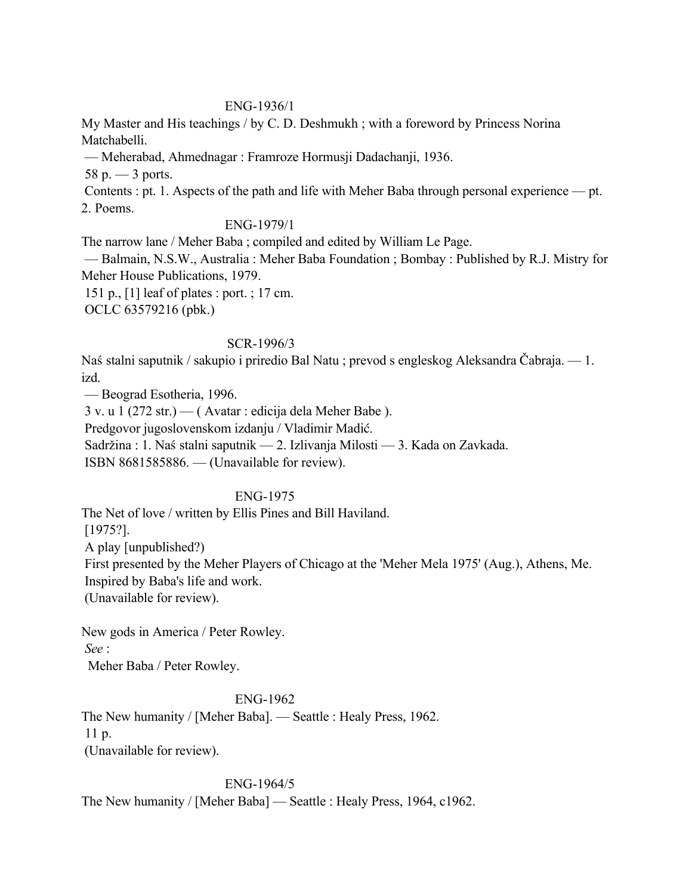#### ENG-1936/1

My Master and His teachings / by C. D. Deshmukh ; with a foreword by Princess Norina Matchabelli.

— Meherabad, Ahmednagar : Framroze Hormusji Dadachanji, 1936.

 $58 p. - 3$  ports.

 Contents : pt. 1. Aspects of the path and life with Meher Baba through personal experience — pt. 2. Poems.

#### ENG-1979/1

The narrow lane / Meher Baba ; compiled and edited by William Le Page.

 — Balmain, N.S.W., Australia : Meher Baba Foundation ; Bombay : Published by R.J. Mistry for Meher House Publications, 1979.

 151 p., [1] leaf of plates : port. ; 17 cm. OCLC 63579216 (pbk.)

#### SCR-1996/3

Naś stalni saputnik / sakupio i priredio Bal Natu ; prevod s engleskog Aleksandra Čabraja. — 1. izd.

— Beograd Esotheria, 1996.

3 v. u 1 (272 str.) — ( Avatar : edicija dela Meher Babe ).

Predgovor jugoslovenskom izdanju / Vladimir Madić.

Sadržina : 1. Naś stalni saputnik — 2. Izlivanja Milosti — 3. Kada on Zavkada.

ISBN 8681585886. — (Unavailable for review).

### ENG-1975

The Net of love / written by Ellis Pines and Bill Haviland.

[1975?].

A play [unpublished?)

 First presented by the Meher Players of Chicago at the 'Meher Mela 1975' (Aug.), Athens, Me. Inspired by Baba's life and work.

(Unavailable for review).

New gods in America / Peter Rowley. *See* :

Meher Baba / Peter Rowley.

### ENG-1962

The New humanity / [Meher Baba]. — Seattle : Healy Press, 1962. 11 p. (Unavailable for review).

### ENG-1964/5

The New humanity / [Meher Baba] — Seattle : Healy Press, 1964, c1962.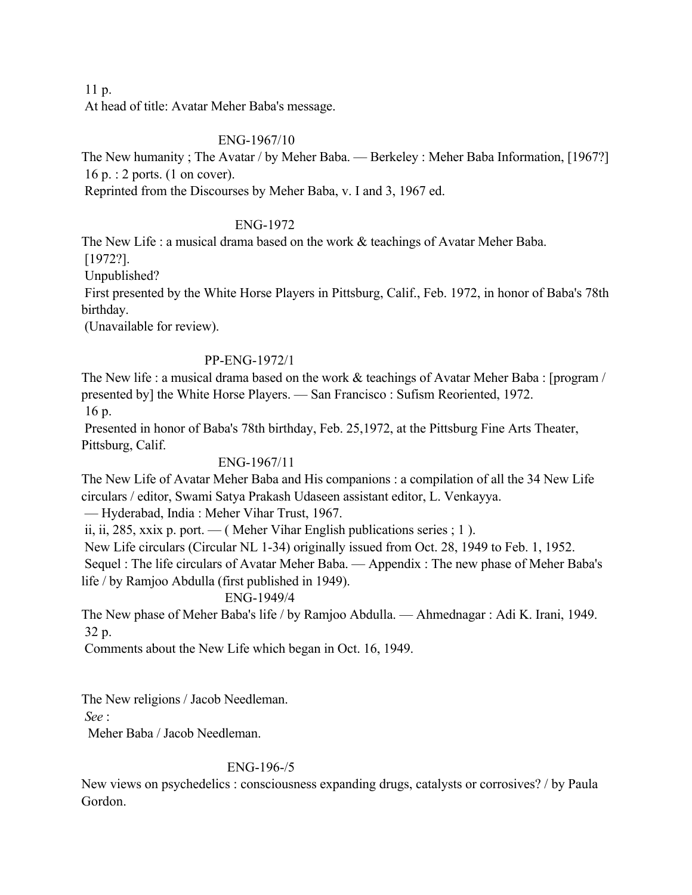11 p.

At head of title: Avatar Meher Baba's message.

### ENG-1967/10

The New humanity ; The Avatar / by Meher Baba. — Berkeley : Meher Baba Information, [1967?] 16 p. : 2 ports. (1 on cover).

Reprinted from the Discourses by Meher Baba, v. I and 3, 1967 ed.

## ENG-1972

The New Life : a musical drama based on the work & teachings of Avatar Meher Baba.

 [1972?]. Unpublished?

 First presented by the White Horse Players in Pittsburg, Calif., Feb. 1972, in honor of Baba's 78th birthday.

(Unavailable for review).

### PP-ENG-1972/1

The New life : a musical drama based on the work & teachings of Avatar Meher Baba : [program / presented by] the White Horse Players. — San Francisco : Sufism Reoriented, 1972. 16 p.

 Presented in honor of Baba's 78th birthday, Feb. 25,1972, at the Pittsburg Fine Arts Theater, Pittsburg, Calif.

## ENG-1967/11

The New Life of Avatar Meher Baba and His companions : a compilation of all the 34 New Life circulars / editor, Swami Satya Prakash Udaseen assistant editor, L. Venkayya.

— Hyderabad, India : Meher Vihar Trust, 1967.

ii, ii, 285, xxix p. port. — ( Meher Vihar English publications series ; 1).

New Life circulars (Circular NL 1-34) originally issued from Oct. 28, 1949 to Feb. 1, 1952.

 Sequel : The life circulars of Avatar Meher Baba. — Appendix : The new phase of Meher Baba's life / by Ramjoo Abdulla (first published in 1949).

### ENG-1949/4

The New phase of Meher Baba's life / by Ramjoo Abdulla. — Ahmednagar : Adi K. Irani, 1949. 32 p.

Comments about the New Life which began in Oct. 16, 1949.

The New religions / Jacob Needleman.

*See* :

Meher Baba / Jacob Needleman.

## ENG-196-/5

New views on psychedelics : consciousness expanding drugs, catalysts or corrosives? / by Paula Gordon.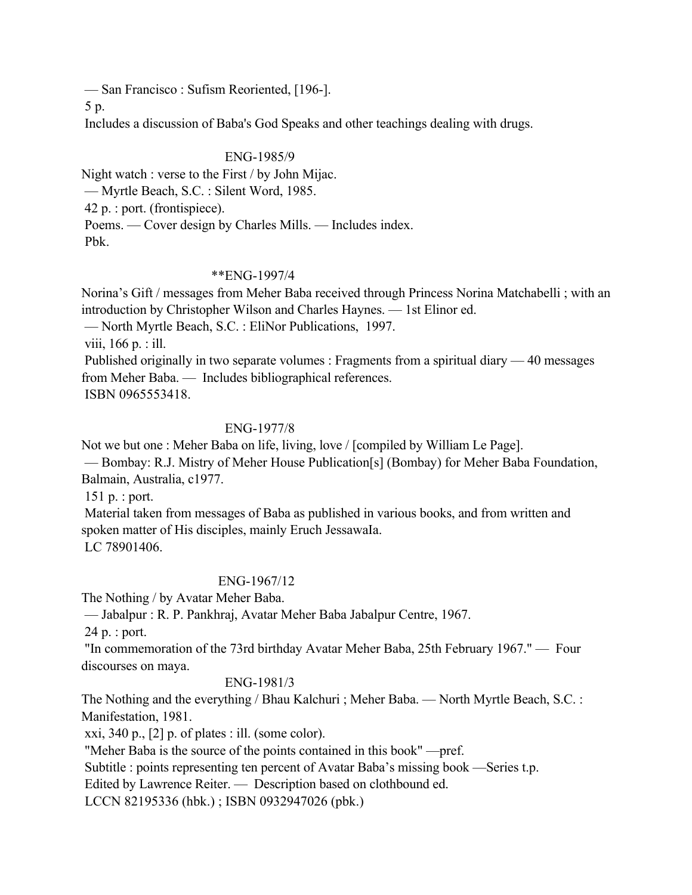— San Francisco : Sufism Reoriented, [196-].

5 p.

Includes a discussion of Baba's God Speaks and other teachings dealing with drugs.

### ENG-1985/9

Night watch : verse to the First / by John Mijac. — Myrtle Beach, S.C. : Silent Word, 1985. 42 p. : port. (frontispiece). Poems. — Cover design by Charles Mills. — Includes index. Pbk.

### \*\*ENG-1997/4

Norina's Gift / messages from Meher Baba received through Princess Norina Matchabelli ; with an introduction by Christopher Wilson and Charles Haynes. — 1st Elinor ed.

— North Myrtle Beach, S.C. : EliNor Publications, 1997.

viii, 166 p. : ill.

 Published originally in two separate volumes : Fragments from a spiritual diary — 40 messages from Meher Baba. — Includes bibliographical references.

ISBN 0965553418.

## ENG-1977/8

Not we but one : Meher Baba on life, living, love / [compiled by William Le Page]. — Bombay: R.J. Mistry of Meher House Publication[s] (Bombay) for Meher Baba Foundation, Balmain, Australia, c1977.

151 p. : port.

 Material taken from messages of Baba as published in various books, and from written and spoken matter of His disciples, mainly Eruch JessawaIa.

LC 78901406.

## ENG-1967/12

The Nothing / by Avatar Meher Baba.

— Jabalpur : R. P. Pankhraj, Avatar Meher Baba Jabalpur Centre, 1967.

24 p. : port.

 "In commemoration of the 73rd birthday Avatar Meher Baba, 25th February 1967." — Four discourses on maya.

### ENG-1981/3

The Nothing and the everything / Bhau Kalchuri ; Meher Baba. — North Myrtle Beach, S.C. : Manifestation, 1981.

xxi, 340 p.,  $[2]$  p. of plates : ill. (some color).

"Meher Baba is the source of the points contained in this book" —pref.

Subtitle : points representing ten percent of Avatar Baba's missing book —Series t.p.

Edited by Lawrence Reiter. — Description based on clothbound ed.

LCCN 82195336 (hbk.) ; ISBN 0932947026 (pbk.)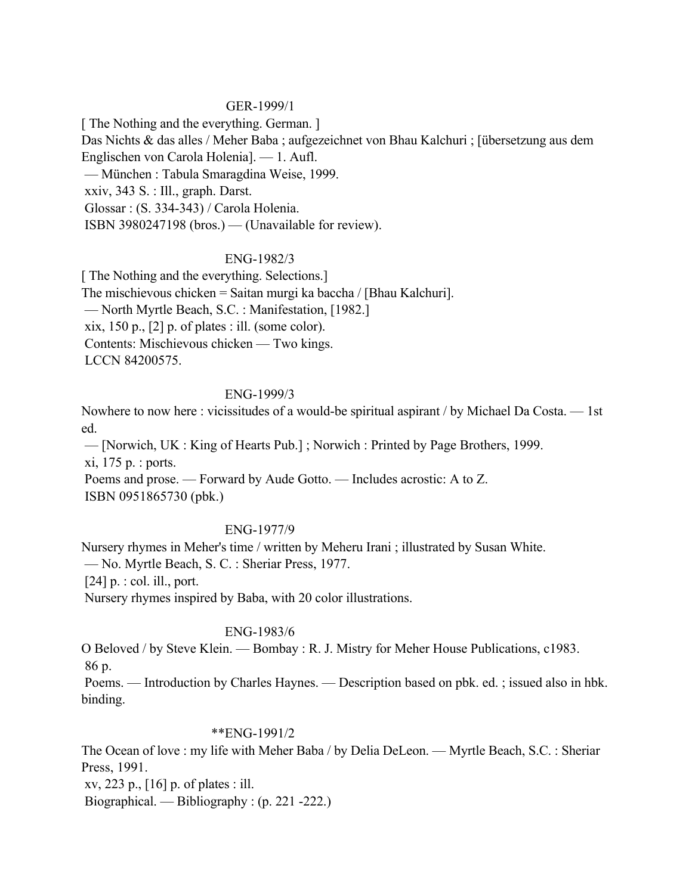#### GER-1999/1

[ The Nothing and the everything. German. ]

Das Nichts & das alles / Meher Baba ; aufgezeichnet von Bhau Kalchuri ; [übersetzung aus dem Englischen von Carola Holenia]. — 1. Aufl.

— München : Tabula Smaragdina Weise, 1999.

xxiv, 343 S. : Ill., graph. Darst.

Glossar : (S. 334-343) / Carola Holenia.

ISBN 3980247198 (bros.) — (Unavailable for review).

### ENG-1982/3

[ The Nothing and the everything. Selections.] The mischievous chicken = Saitan murgi ka baccha / [Bhau Kalchuri]. — North Myrtle Beach, S.C. : Manifestation, [1982.] xix, 150 p.,  $[2]$  p. of plates : ill. (some color). Contents: Mischievous chicken — Two kings. LCCN 84200575.

### ENG-1999/3

Nowhere to now here : vicissitudes of a would-be spiritual aspirant / by Michael Da Costa. — 1st ed.

 — [Norwich, UK : King of Hearts Pub.] ; Norwich : Printed by Page Brothers, 1999. xi, 175 p. : ports.

 Poems and prose. — Forward by Aude Gotto. — Includes acrostic: A to Z. ISBN 0951865730 (pbk.)

### ENG-1977/9

Nursery rhymes in Meher's time / written by Meheru Irani ; illustrated by Susan White. — No. Myrtle Beach, S. C. : Sheriar Press, 1977. [24] p. : col. ill., port. Nursery rhymes inspired by Baba, with 20 color illustrations.

## ENG-1983/6

O Beloved / by Steve Klein. — Bombay : R. J. Mistry for Meher House Publications, c1983. 86 p.

 Poems. — Introduction by Charles Haynes. — Description based on pbk. ed. ; issued also in hbk. binding.

### \*\*ENG-1991/2

The Ocean of love : my life with Meher Baba / by Delia DeLeon. — Myrtle Beach, S.C. : Sheriar Press, 1991.

xv, 223 p., [16] p. of plates : ill.

Biographical. — Bibliography : (p. 221 -222.)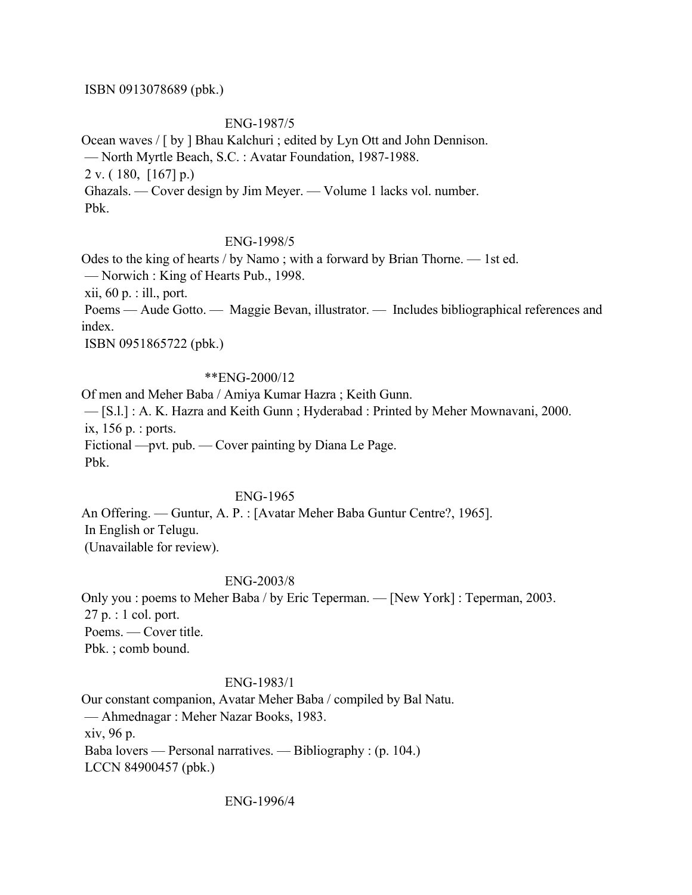#### ISBN 0913078689 (pbk.)

#### ENG-1987/5

Ocean waves / [ by ] Bhau Kalchuri ; edited by Lyn Ott and John Dennison. — North Myrtle Beach, S.C. : Avatar Foundation, 1987-1988. 2 v. ( 180, [167] p.) Ghazals. — Cover design by Jim Meyer. — Volume 1 lacks vol. number. Pbk.

#### ENG-1998/5

Odes to the king of hearts / by Namo ; with a forward by Brian Thorne. — 1st ed. — Norwich : King of Hearts Pub., 1998. xii, 60 p. : ill., port. Poems — Aude Gotto. — Maggie Bevan, illustrator. — Includes bibliographical references and index.

ISBN 0951865722 (pbk.)

#### \*\*ENG-2000/12

Of men and Meher Baba / Amiya Kumar Hazra ; Keith Gunn. — [S.l.] : A. K. Hazra and Keith Gunn ; Hyderabad : Printed by Meher Mownavani, 2000. ix, 156 p. : ports. Fictional —pvt. pub. — Cover painting by Diana Le Page. Pbk.

#### ENG-1965

An Offering. — Guntur, A. P. : [Avatar Meher Baba Guntur Centre?, 1965]. In English or Telugu. (Unavailable for review).

#### ENG-2003/8

Only you : poems to Meher Baba / by Eric Teperman. — [New York] : Teperman, 2003. 27 p. : 1 col. port. Poems. — Cover title. Pbk. ; comb bound.

#### ENG-1983/1

Our constant companion, Avatar Meher Baba / compiled by Bal Natu. — Ahmednagar : Meher Nazar Books, 1983. xiv, 96 p. Baba lovers — Personal narratives. — Bibliography : (p. 104.) LCCN 84900457 (pbk.)

ENG-1996/4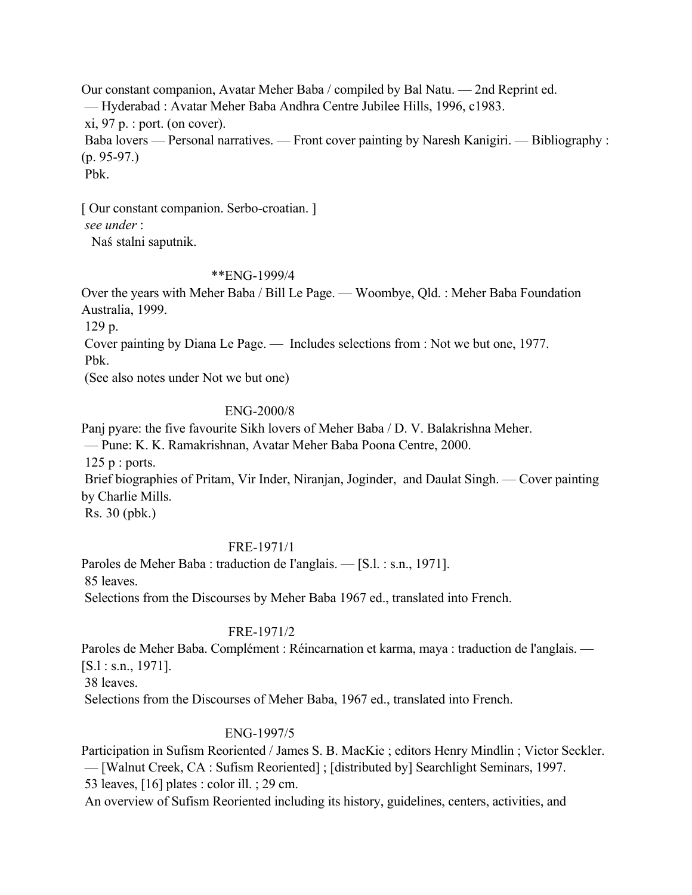Our constant companion, Avatar Meher Baba / compiled by Bal Natu. — 2nd Reprint ed. — Hyderabad : Avatar Meher Baba Andhra Centre Jubilee Hills, 1996, c1983.  $xi$ , 97 p. : port. (on cover). Baba lovers — Personal narratives. — Front cover painting by Naresh Kanigiri. — Bibliography : (p. 95-97.) Pbk.

[ Our constant companion. Serbo-croatian. ] *see under* :

Naś stalni saputnik.

### \*\*ENG-1999/4

Over the years with Meher Baba / Bill Le Page. — Woombye, Qld. : Meher Baba Foundation Australia, 1999.

129 p.

Cover painting by Diana Le Page. — Includes selections from : Not we but one, 1977.

Pbk.

(See also notes under Not we but one)

#### ENG-2000/8

Panj pyare: the five favourite Sikh lovers of Meher Baba / D. V. Balakrishna Meher.

— Pune: K. K. Ramakrishnan, Avatar Meher Baba Poona Centre, 2000.

125 p : ports.

 Brief biographies of Pritam, Vir Inder, Niranjan, Joginder, and Daulat Singh. — Cover painting by Charlie Mills.

Rs. 30 (pbk.)

### FRE-1971/1

Paroles de Meher Baba : traduction de I'anglais. — [S.l. : s.n., 1971]. 85 leaves.

Selections from the Discourses by Meher Baba 1967 ed., translated into French.

## FRE-1971/2

Paroles de Meher Baba. Complément : Réincarnation et karma, maya : traduction de l'anglais. — [S.l : s.n., 1971].

38 leaves.

Selections from the Discourses of Meher Baba, 1967 ed., translated into French.

### ENG-1997/5

Participation in Sufism Reoriented / James S. B. MacKie ; editors Henry Mindlin ; Victor Seckler.

— [Walnut Creek, CA : Sufism Reoriented] ; [distributed by] Searchlight Seminars, 1997.

53 leaves, [16] plates : color ill. ; 29 cm.

An overview of Sufism Reoriented including its history, guidelines, centers, activities, and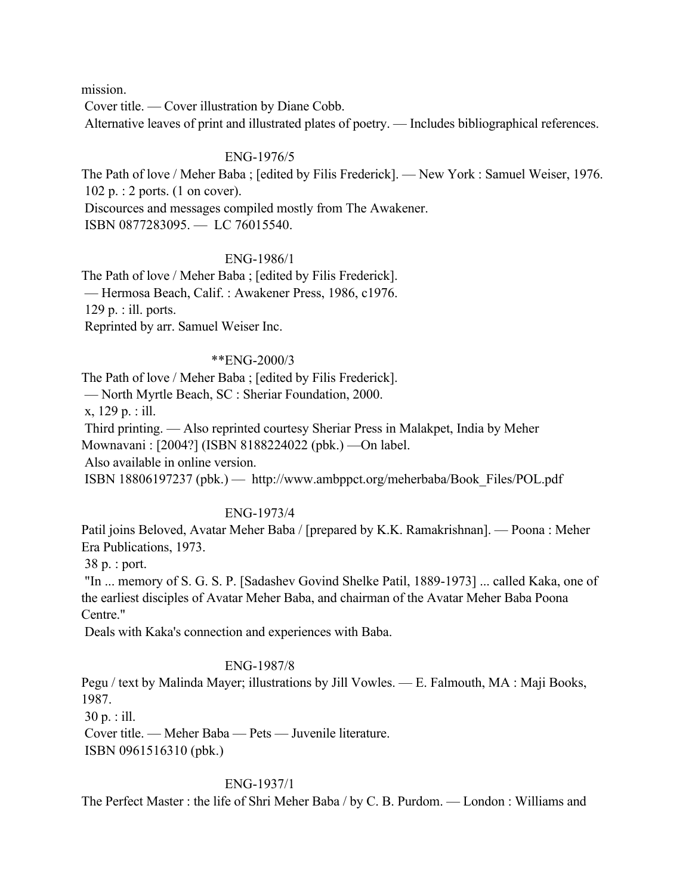mission.

Cover title. — Cover illustration by Diane Cobb.

Alternative leaves of print and illustrated plates of poetry. — Includes bibliographical references.

#### ENG-1976/5

The Path of love / Meher Baba ; [edited by Filis Frederick]. — New York : Samuel Weiser, 1976. 102 p. : 2 ports. (1 on cover).

Discources and messages compiled mostly from The Awakener.

ISBN 0877283095. — LC 76015540.

#### ENG-1986/1

The Path of love / Meher Baba ; [edited by Filis Frederick]. — Hermosa Beach, Calif. : Awakener Press, 1986, c1976. 129 p. : ill. ports. Reprinted by arr. Samuel Weiser Inc.

### \*\*ENG-2000/3

The Path of love / Meher Baba ; [edited by Filis Frederick].

— North Myrtle Beach, SC : Sheriar Foundation, 2000.

x, 129 p. : ill.

Third printing. — Also reprinted courtesy Sheriar Press in Malakpet, India by Meher

Mownavani : [2004?] (ISBN 8188224022 (pbk.) —On label.

Also available in online version.

ISBN 18806197237 (pbk.) — http://www.ambppct.org/meherbaba/Book\_Files/POL.pdf

### ENG-1973/4

Patil joins Beloved, Avatar Meher Baba / [prepared by K.K. Ramakrishnan]. — Poona : Meher Era Publications, 1973.

38 p. : port.

 "In ... memory of S. G. S. P. [Sadashev Govind Shelke Patil, 1889-1973] ... called Kaka, one of the earliest disciples of Avatar Meher Baba, and chairman of the Avatar Meher Baba Poona Centre."

Deals with Kaka's connection and experiences with Baba.

### ENG-1987/8

Pegu / text by Malinda Mayer; illustrations by Jill Vowles. — E. Falmouth, MA : Maji Books, 1987.

30 p. : ill.

 Cover title. — Meher Baba — Pets — Juvenile literature. ISBN 0961516310 (pbk.)

### ENG-1937/1

The Perfect Master : the life of Shri Meher Baba / by C. B. Purdom. — London : Williams and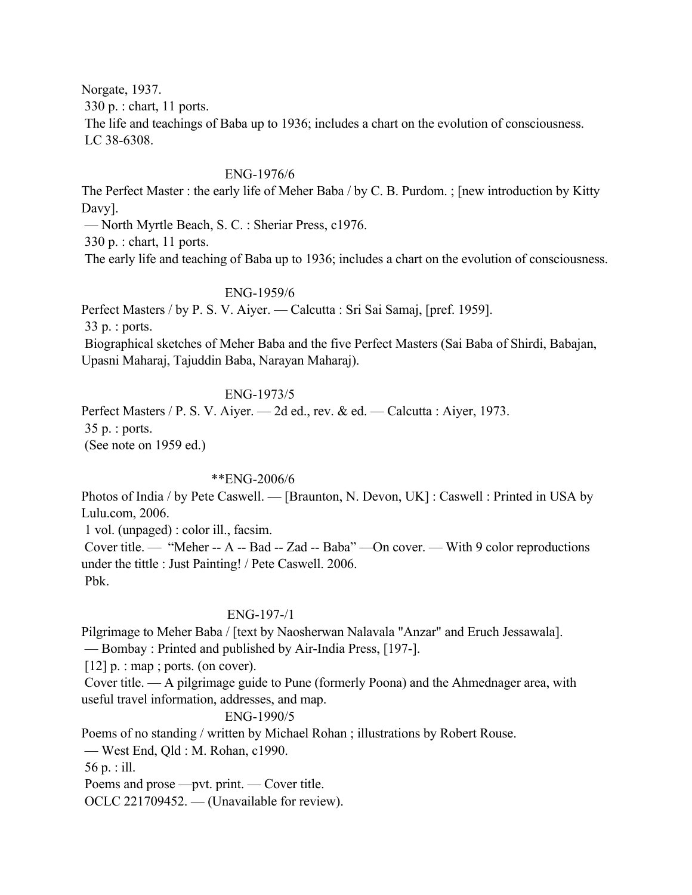Norgate, 1937.

330 p. : chart, 11 ports.

 The life and teachings of Baba up to 1936; includes a chart on the evolution of consciousness. LC 38-6308.

### ENG-1976/6

The Perfect Master : the early life of Meher Baba / by C. B. Purdom. ; [new introduction by Kitty Davy].

— North Myrtle Beach, S. C. : Sheriar Press, c1976.

330 p. : chart, 11 ports.

The early life and teaching of Baba up to 1936; includes a chart on the evolution of consciousness.

### ENG-1959/6

Perfect Masters / by P. S. V. Aiyer. — Calcutta : Sri Sai Samaj, [pref. 1959]. 33 p. : ports. Biographical sketches of Meher Baba and the five Perfect Masters (Sai Baba of Shirdi, Babajan, Upasni Maharaj, Tajuddin Baba, Narayan Maharaj).

## ENG-1973/5

Perfect Masters / P. S. V. Aiyer. — 2d ed., rev. & ed. — Calcutta : Aiyer, 1973. 35 p. : ports. (See note on 1959 ed.)

### \*\*ENG-2006/6

Photos of India / by Pete Caswell. — [Braunton, N. Devon, UK] : Caswell : Printed in USA by Lulu.com, 2006.

1 vol. (unpaged) : color ill., facsim.

 Cover title. — "Meher -- A -- Bad -- Zad -- Baba" —On cover. — With 9 color reproductions under the tittle : Just Painting! / Pete Caswell. 2006. Pbk.

## ENG-197-/1

Pilgrimage to Meher Baba / [text by Naosherwan Nalavala "Anzar" and Eruch Jessawala]. — Bombay : Printed and published by Air-India Press, [197-].

 $[12]$  p. : map ; ports. (on cover).

 Cover title. — A pilgrimage guide to Pune (formerly Poona) and the Ahmednager area, with useful travel information, addresses, and map.

## ENG-1990/5

Poems of no standing / written by Michael Rohan ; illustrations by Robert Rouse.

— West End, Qld : M. Rohan, c1990.

56 p. : ill.

Poems and prose —pvt. print. — Cover title.

OCLC 221709452. — (Unavailable for review).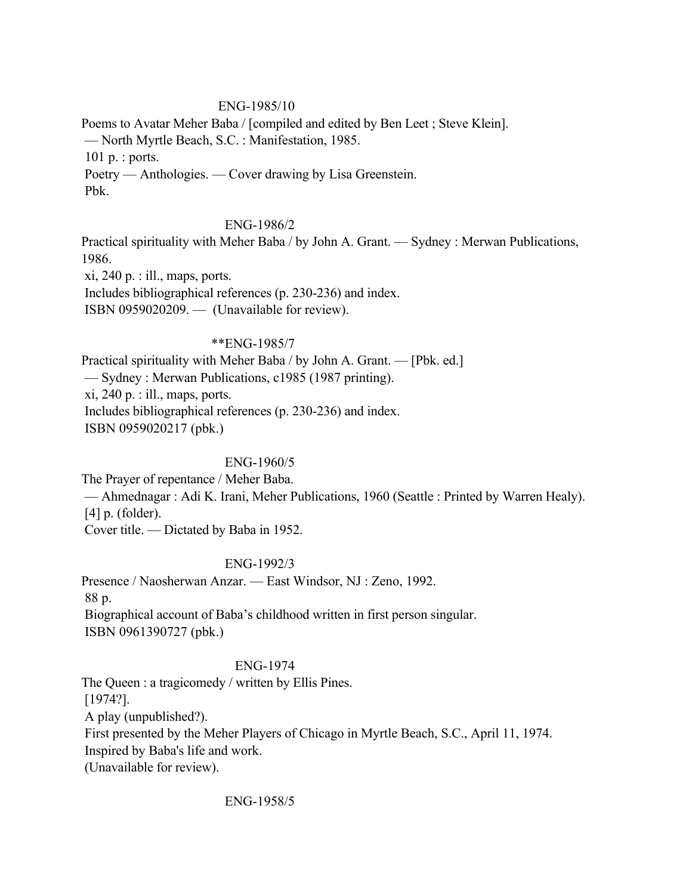### ENG-1985/10

Poems to Avatar Meher Baba / [compiled and edited by Ben Leet ; Steve Klein]. — North Myrtle Beach, S.C. : Manifestation, 1985. 101 p. : ports. Poetry — Anthologies. — Cover drawing by Lisa Greenstein. Pbk.

### ENG-1986/2

Practical spirituality with Meher Baba / by John A. Grant. — Sydney : Merwan Publications, 1986.

 $xi$ , 240 p. : ill., maps, ports.

Includes bibliographical references (p. 230-236) and index.

ISBN 0959020209. — (Unavailable for review).

### \*\*ENG-1985/7

Practical spirituality with Meher Baba / by John A. Grant. — [Pbk. ed.] — Sydney : Merwan Publications, c1985 (1987 printing).  $xi$ , 240 p. : ill., maps, ports. Includes bibliographical references (p. 230-236) and index. ISBN 0959020217 (pbk.)

## ENG-1960/5

The Prayer of repentance / Meher Baba. — Ahmednagar : Adi K. Irani, Meher Publications, 1960 (Seattle : Printed by Warren Healy). [4] p. (folder). Cover title. — Dictated by Baba in 1952.

### ENG-1992/3

Presence / Naosherwan Anzar. — East Windsor, NJ : Zeno, 1992. 88 p. Biographical account of Baba's childhood written in first person singular. ISBN 0961390727 (pbk.)

### ENG-1974

The Queen : a tragicomedy / written by Ellis Pines. [1974?]. A play (unpublished?). First presented by the Meher Players of Chicago in Myrtle Beach, S.C., April 11, 1974. Inspired by Baba's life and work. (Unavailable for review).

ENG-1958/5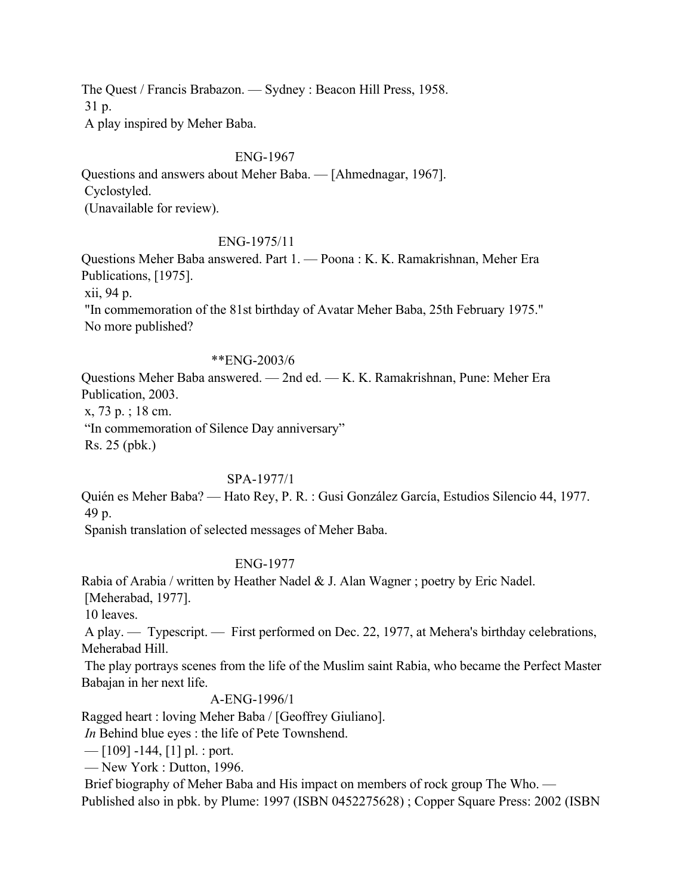The Quest / Francis Brabazon. — Sydney : Beacon Hill Press, 1958. 31 p. A play inspired by Meher Baba.

#### ENG-1967

Questions and answers about Meher Baba. — [Ahmednagar, 1967]. Cyclostyled. (Unavailable for review).

#### ENG-1975/11

Questions Meher Baba answered. Part 1. — Poona : K. K. Ramakrishnan, Meher Era Publications, [1975]. xii, 94 p. "In commemoration of the 81st birthday of Avatar Meher Baba, 25th February 1975." No more published?

#### \*\*ENG-2003/6

Questions Meher Baba answered. — 2nd ed. — K. K. Ramakrishnan, Pune: Meher Era Publication, 2003. x, 73 p. ; 18 cm.

"In commemoration of Silence Day anniversary"

Rs. 25 (pbk.)

#### SPA-1977/1

Quién es Meher Baba? — Hato Rey, P. R. : Gusi González García, Estudios Silencio 44, 1977. 49 p.

Spanish translation of selected messages of Meher Baba.

#### ENG-1977

Rabia of Arabia / written by Heather Nadel & J. Alan Wagner ; poetry by Eric Nadel.

[Meherabad, 1977].

10 leaves.

 A play. — Typescript. — First performed on Dec. 22, 1977, at Mehera's birthday celebrations, Meherabad Hill.

 The play portrays scenes from the life of the Muslim saint Rabia, who became the Perfect Master Babajan in her next life.

#### A-ENG-1996/1

Ragged heart : loving Meher Baba / [Geoffrey Giuliano].

*In* Behind blue eyes : the life of Pete Townshend.

 $-$  [109] -144, [1] pl. : port.

— New York : Dutton, 1996.

 Brief biography of Meher Baba and His impact on members of rock group The Who. — Published also in pbk. by Plume: 1997 (ISBN 0452275628) ; Copper Square Press: 2002 (ISBN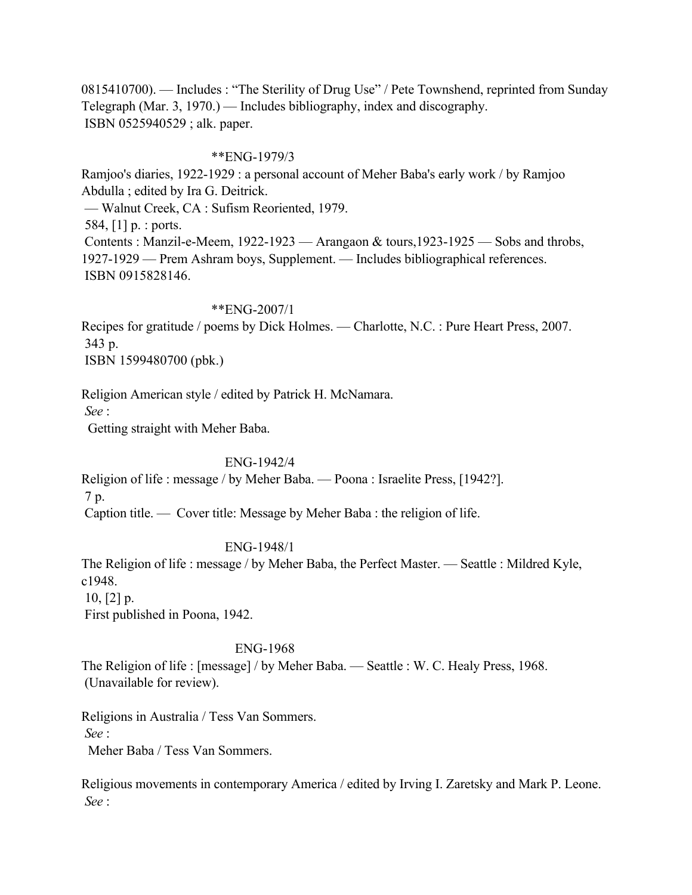0815410700). — Includes : "The Sterility of Drug Use" / Pete Townshend, reprinted from Sunday Telegraph (Mar. 3, 1970.) — Includes bibliography, index and discography. ISBN 0525940529 ; alk. paper.

#### \*\*ENG-1979/3

Ramjoo's diaries, 1922-1929 : a personal account of Meher Baba's early work / by Ramjoo Abdulla ; edited by Ira G. Deitrick. — Walnut Creek, CA : Sufism Reoriented, 1979. 584, [1] p. : ports. Contents : Manzil-e-Meem, 1922-1923 — Arangaon & tours,1923-1925 — Sobs and throbs, 1927-1929 — Prem Ashram boys, Supplement. — Includes bibliographical references. ISBN 0915828146.

#### \*\*ENG-2007/1

Recipes for gratitude / poems by Dick Holmes. — Charlotte, N.C. : Pure Heart Press, 2007. 343 p.

ISBN 1599480700 (pbk.)

Religion American style / edited by Patrick H. McNamara.

*See* :

Getting straight with Meher Baba.

### ENG-1942/4

Religion of life : message / by Meher Baba. — Poona : Israelite Press, [1942?]. 7 p.

Caption title. — Cover title: Message by Meher Baba : the religion of life.

ENG-1948/1

The Religion of life : message / by Meher Baba, the Perfect Master. — Seattle : Mildred Kyle, c1948.

 $10, 2]$  p.

First published in Poona, 1942.

#### ENG-1968

The Religion of life : [message] / by Meher Baba. — Seattle : W. C. Healy Press, 1968. (Unavailable for review).

Religions in Australia / Tess Van Sommers. *See* :

Meher Baba / Tess Van Sommers.

Religious movements in contemporary America / edited by Irving I. Zaretsky and Mark P. Leone. *See* :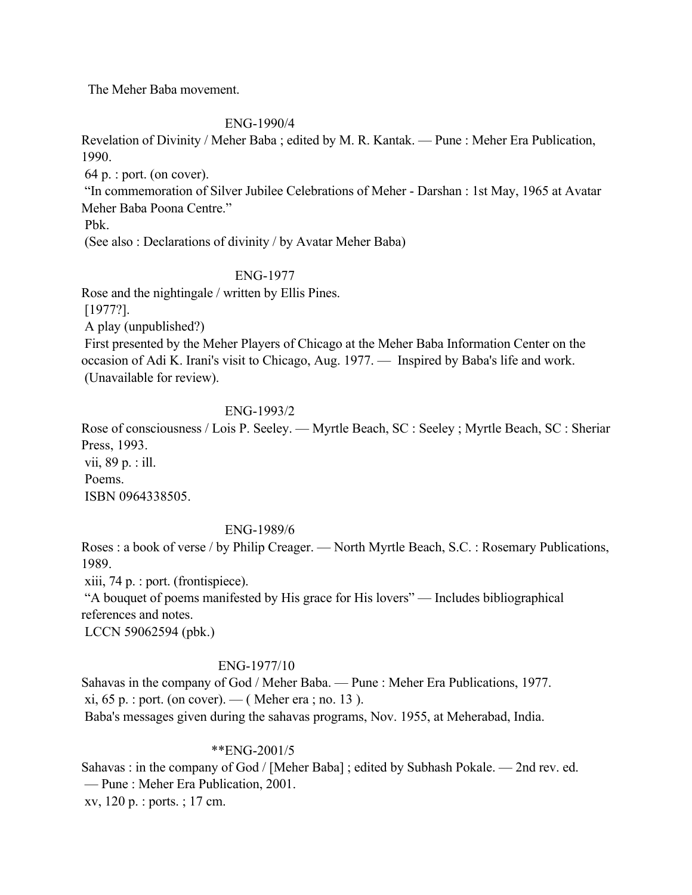The Meher Baba movement.

## ENG-1990/4

Revelation of Divinity / Meher Baba ; edited by M. R. Kantak. — Pune : Meher Era Publication, 1990.

64 p. : port. (on cover).

 "In commemoration of Silver Jubilee Celebrations of Meher - Darshan : 1st May, 1965 at Avatar Meher Baba Poona Centre."

Pbk.

(See also : Declarations of divinity / by Avatar Meher Baba)

## ENG-1977

Rose and the nightingale / written by Ellis Pines.

[1977?].

A play (unpublished?)

 First presented by the Meher Players of Chicago at the Meher Baba Information Center on the occasion of Adi K. Irani's visit to Chicago, Aug. 1977. — Inspired by Baba's life and work. (Unavailable for review).

## ENG-1993/2

Rose of consciousness / Lois P. Seeley. — Myrtle Beach, SC : Seeley ; Myrtle Beach, SC : Sheriar Press, 1993. vii, 89 p. : ill. Poems. ISBN 0964338505.

## ENG-1989/6

Roses : a book of verse / by Philip Creager. — North Myrtle Beach, S.C. : Rosemary Publications, 1989.

xiii, 74 p. : port. (frontispiece).

 "A bouquet of poems manifested by His grace for His lovers" — Includes bibliographical references and notes.

LCCN 59062594 (pbk.)

## ENG-1977/10

Sahavas in the company of God / Meher Baba. — Pune : Meher Era Publications, 1977. xi,  $65$  p. : port. (on cover). — ( Meher era ; no. 13). Baba's messages given during the sahavas programs, Nov. 1955, at Meherabad, India.

## \*\*ENG-2001/5

Sahavas : in the company of God / [Meher Baba] ; edited by Subhash Pokale. — 2nd rev. ed. — Pune : Meher Era Publication, 2001. xv, 120 p. : ports. ; 17 cm.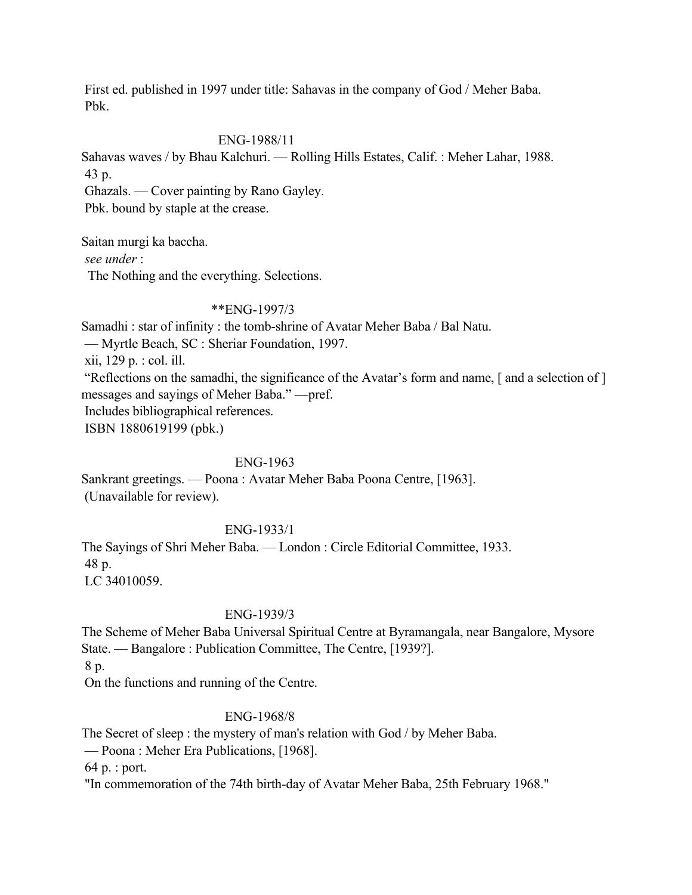First ed. published in 1997 under title: Sahavas in the company of God / Meher Baba. Pbk.

## ENG-1988/11

Sahavas waves / by Bhau Kalchuri. — Rolling Hills Estates, Calif. : Meher Lahar, 1988. 43 p.

Ghazals. — Cover painting by Rano Gayley.

Pbk. bound by staple at the crease.

Saitan murgi ka baccha. *see under* : The Nothing and the everything. Selections.

### \*\*ENG-1997/3

Samadhi : star of infinity : the tomb-shrine of Avatar Meher Baba / Bal Natu.

— Myrtle Beach, SC : Sheriar Foundation, 1997.

xii, 129 p. : col. ill.

 "Reflections on the samadhi, the significance of the Avatar's form and name, [ and a selection of ] messages and sayings of Meher Baba." —pref. Includes bibliographical references.

ISBN 1880619199 (pbk.)

## ENG-1963

Sankrant greetings. — Poona : Avatar Meher Baba Poona Centre, [1963]. (Unavailable for review).

# ENG-1933/1

The Sayings of Shri Meher Baba. — London : Circle Editorial Committee, 1933. 48 p. LC 34010059.

### ENG-1939/3

The Scheme of Meher Baba Universal Spiritual Centre at Byramangala, near Bangalore, Mysore State. — Bangalore : Publication Committee, The Centre, [1939?].

8 p.

On the functions and running of the Centre.

## ENG-1968/8

The Secret of sleep : the mystery of man's relation with God / by Meher Baba.

— Poona : Meher Era Publications, [1968].

64 p. : port.

"In commemoration of the 74th birth-day of Avatar Meher Baba, 25th February 1968."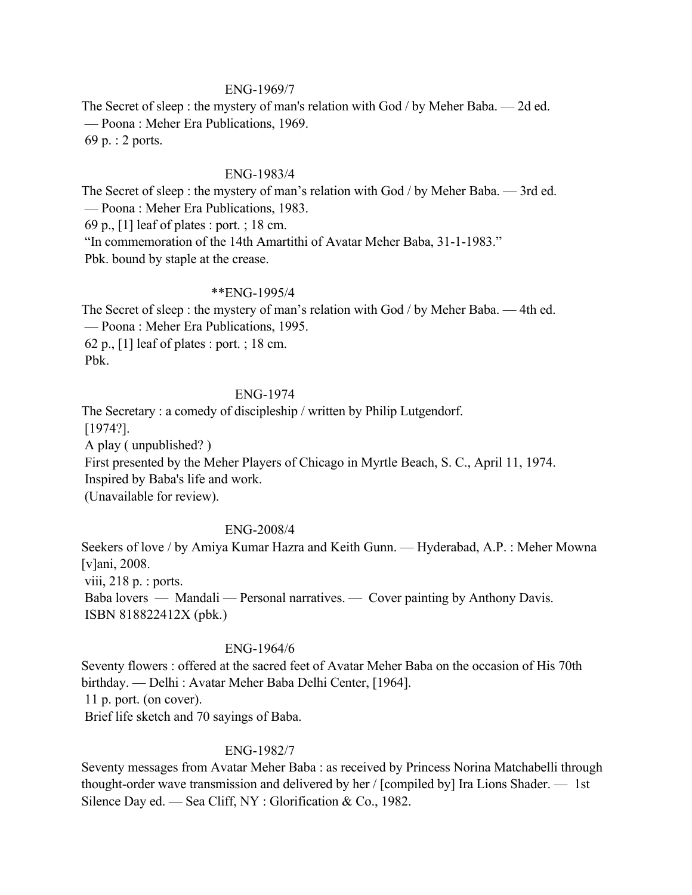### ENG-1969/7

The Secret of sleep : the mystery of man's relation with God / by Meher Baba. — 2d ed. — Poona : Meher Era Publications, 1969. 69 p. : 2 ports.

#### ENG-1983/4

The Secret of sleep : the mystery of man's relation with God / by Meher Baba. — 3rd ed. — Poona : Meher Era Publications, 1983. 69 p., [1] leaf of plates : port. ; 18 cm. "In commemoration of the 14th Amartithi of Avatar Meher Baba, 31-1-1983." Pbk. bound by staple at the crease.

#### \*\*ENG-1995/4

The Secret of sleep : the mystery of man's relation with God / by Meher Baba. — 4th ed. — Poona : Meher Era Publications, 1995. 62 p., [1] leaf of plates : port. ; 18 cm. Pbk.

### ENG-1974

The Secretary : a comedy of discipleship / written by Philip Lutgendorf. [1974?]. A play ( unpublished? ) First presented by the Meher Players of Chicago in Myrtle Beach, S. C., April 11, 1974. Inspired by Baba's life and work. (Unavailable for review).

## ENG-2008/4

Seekers of love / by Amiya Kumar Hazra and Keith Gunn. — Hyderabad, A.P. : Meher Mowna [v]ani, 2008. viii,  $218 \text{ p.}$ : ports. Baba lovers — Mandali — Personal narratives. — Cover painting by Anthony Davis. ISBN 818822412X (pbk.)

### ENG-1964/6

Seventy flowers : offered at the sacred feet of Avatar Meher Baba on the occasion of His 70th birthday. — Delhi : Avatar Meher Baba Delhi Center, [1964]. 11 p. port. (on cover). Brief life sketch and 70 sayings of Baba.

#### ENG-1982/7

Seventy messages from Avatar Meher Baba : as received by Princess Norina Matchabelli through thought-order wave transmission and delivered by her / [compiled by] Ira Lions Shader. — 1st Silence Day ed. — Sea Cliff, NY : Glorification & Co., 1982.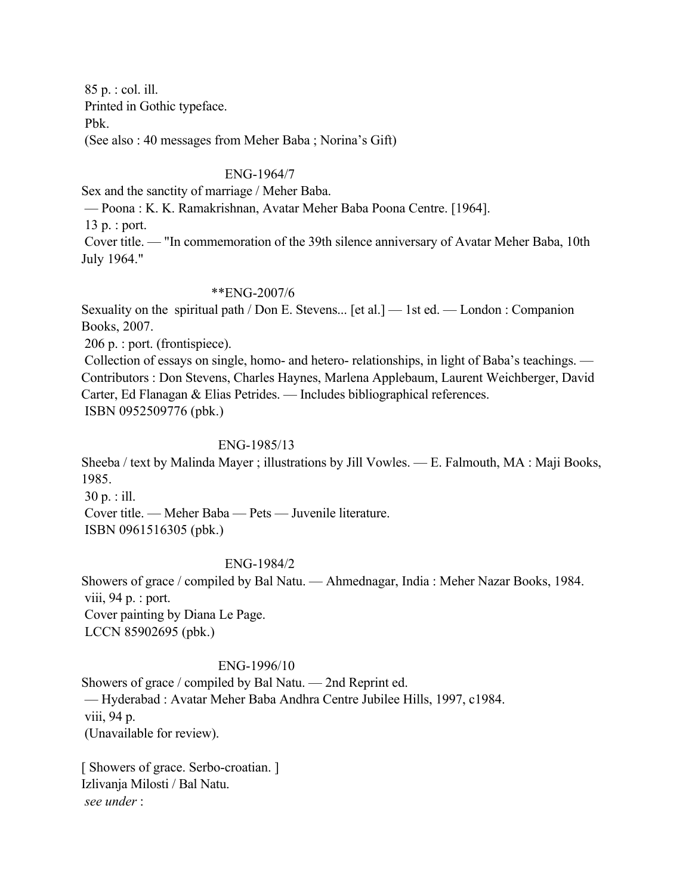85 p. : col. ill. Printed in Gothic typeface. Pbk.

(See also : 40 messages from Meher Baba ; Norina's Gift)

## ENG-1964/7

Sex and the sanctity of marriage / Meher Baba.

— Poona : K. K. Ramakrishnan, Avatar Meher Baba Poona Centre. [1964].

13 p. : port.

 Cover title. — "In commemoration of the 39th silence anniversary of Avatar Meher Baba, 10th July 1964."

### \*\*ENG-2007/6

Sexuality on the spiritual path / Don E. Stevens... [et al.] — 1st ed. — London : Companion Books, 2007.

206 p. : port. (frontispiece).

 Collection of essays on single, homo- and hetero- relationships, in light of Baba's teachings. — Contributors : Don Stevens, Charles Haynes, Marlena Applebaum, Laurent Weichberger, David Carter, Ed Flanagan & Elias Petrides. — Includes bibliographical references. ISBN 0952509776 (pbk.)

### ENG-1985/13

Sheeba / text by Malinda Mayer ; illustrations by Jill Vowles. — E. Falmouth, MA : Maji Books, 1985.

30 p. : ill.

 Cover title. — Meher Baba — Pets — Juvenile literature. ISBN 0961516305 (pbk.)

### ENG-1984/2

Showers of grace / compiled by Bal Natu. — Ahmednagar, India : Meher Nazar Books, 1984. viii, 94 p. : port. Cover painting by Diana Le Page. LCCN 85902695 (pbk.)

#### ENG-1996/10

Showers of grace / compiled by Bal Natu. — 2nd Reprint ed. — Hyderabad : Avatar Meher Baba Andhra Centre Jubilee Hills, 1997, c1984. viii, 94 p. (Unavailable for review).

[ Showers of grace. Serbo-croatian. ] Izlivanja Milosti / Bal Natu. *see under* :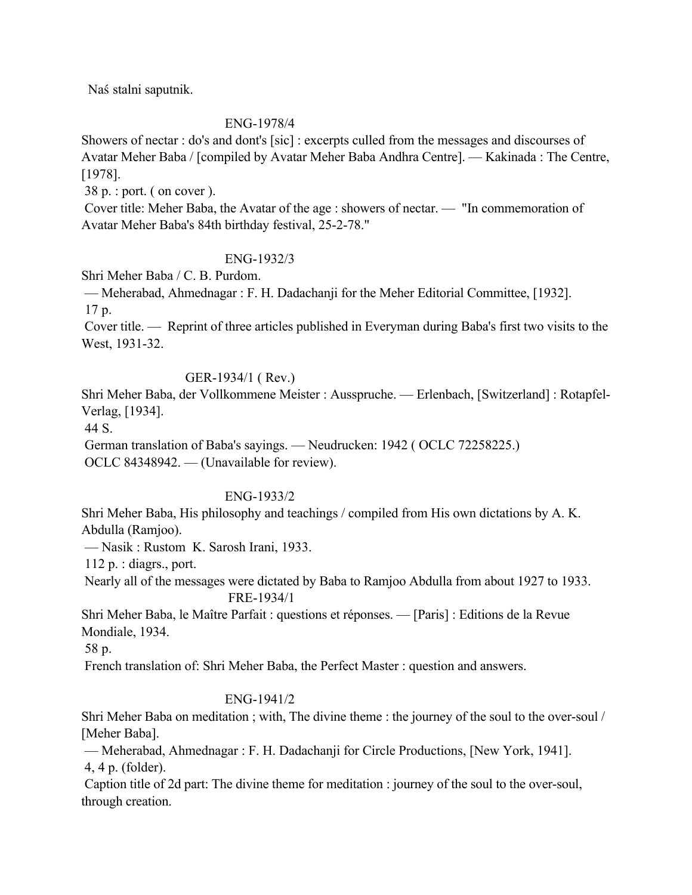Naś stalni saputnik.

## ENG-1978/4

Showers of nectar : do's and dont's [sic] : excerpts culled from the messages and discourses of Avatar Meher Baba / [compiled by Avatar Meher Baba Andhra Centre]. — Kakinada : The Centre, [1978].

38 p. : port. ( on cover ).

 Cover title: Meher Baba, the Avatar of the age : showers of nectar. — "In commemoration of Avatar Meher Baba's 84th birthday festival, 25-2-78."

## ENG-1932/3

Shri Meher Baba / C. B. Purdom.

 — Meherabad, Ahmednagar : F. H. Dadachanji for the Meher Editorial Committee, [1932]. 17 p.

 Cover title. — Reprint of three articles published in Everyman during Baba's first two visits to the West, 1931-32.

## GER-1934/1 ( Rev.)

Shri Meher Baba, der Vollkommene Meister : Ausspruche. — Erlenbach, [Switzerland] : Rotapfel-Verlag, [1934].

44 S.

 German translation of Baba's sayings. — Neudrucken: 1942 ( OCLC 72258225.) OCLC 84348942. — (Unavailable for review).

## ENG-1933/2

Shri Meher Baba, His philosophy and teachings / compiled from His own dictations by A. K. Abdulla (Ramjoo).

— Nasik : Rustom K. Sarosh Irani, 1933.

112 p. : diagrs., port.

 Nearly all of the messages were dictated by Baba to Ramjoo Abdulla from about 1927 to 1933. FRE-1934/1

Shri Meher Baba, le Maître Parfait : questions et réponses. — [Paris] : Editions de la Revue Mondiale, 1934.

58 p.

French translation of: Shri Meher Baba, the Perfect Master : question and answers.

## ENG-1941/2

Shri Meher Baba on meditation ; with, The divine theme : the journey of the soul to the over-soul / [Meher Baba].

 — Meherabad, Ahmednagar : F. H. Dadachanji for Circle Productions, [New York, 1941]. 4, 4 p. (folder).

 Caption title of 2d part: The divine theme for meditation : journey of the soul to the over-soul, through creation.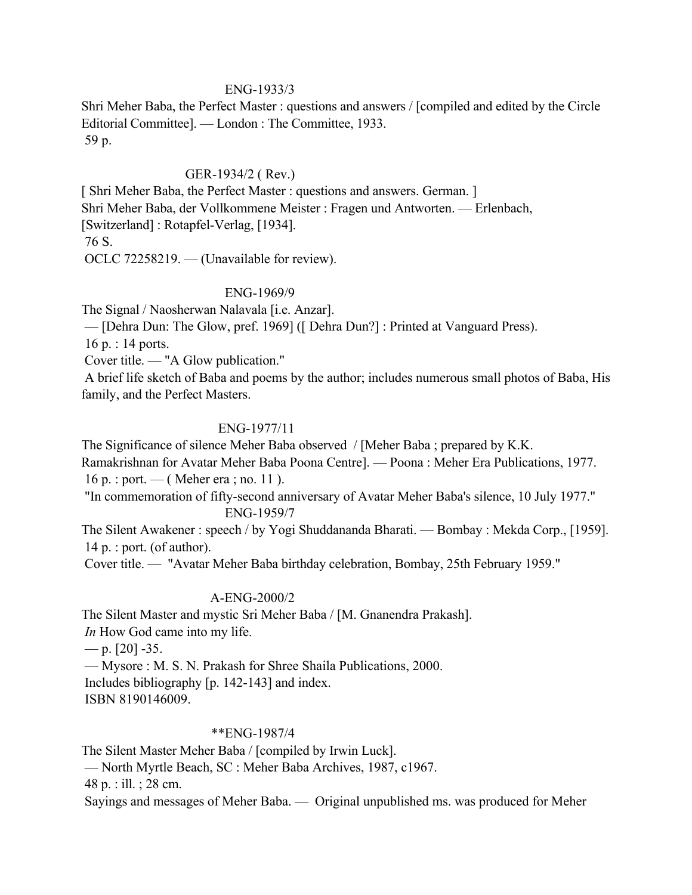### ENG-1933/3

Shri Meher Baba, the Perfect Master : questions and answers / [compiled and edited by the Circle Editorial Committee]. — London : The Committee, 1933. 59 p.

### GER-1934/2 ( Rev.)

[ Shri Meher Baba, the Perfect Master : questions and answers. German. ] Shri Meher Baba, der Vollkommene Meister : Fragen und Antworten. — Erlenbach, [Switzerland] : Rotapfel-Verlag, [1934]. 76 S.

OCLC 72258219. — (Unavailable for review).

#### ENG-1969/9

The Signal / Naosherwan Nalavala [i.e. Anzar].

— [Dehra Dun: The Glow, pref. 1969] ([ Dehra Dun?] : Printed at Vanguard Press).

16 p. : 14 ports.

Cover title. — "A Glow publication."

 A brief life sketch of Baba and poems by the author; includes numerous small photos of Baba, His family, and the Perfect Masters.

### ENG-1977/11

The Significance of silence Meher Baba observed / [Meher Baba ; prepared by K.K.

Ramakrishnan for Avatar Meher Baba Poona Centre]. — Poona : Meher Era Publications, 1977. 16 p. : port. — ( Meher era ; no. 11 ).

 "In commemoration of fifty-second anniversary of Avatar Meher Baba's silence, 10 July 1977." ENG-1959/7

The Silent Awakener : speech / by Yogi Shuddananda Bharati. — Bombay : Mekda Corp., [1959]. 14 p. : port. (of author).

Cover title. — "Avatar Meher Baba birthday celebration, Bombay, 25th February 1959."

## A-ENG-2000/2

The Silent Master and mystic Sri Meher Baba / [M. Gnanendra Prakash].

*In* How God came into my life.

 $-$  p. [20] -35.

— Mysore : M. S. N. Prakash for Shree Shaila Publications, 2000.

Includes bibliography [p. 142-143] and index.

ISBN 8190146009.

### \*\*ENG-1987/4

The Silent Master Meher Baba / [compiled by Irwin Luck].

— North Myrtle Beach, SC : Meher Baba Archives, 1987, c1967.

48 p. : ill. ; 28 cm.

Sayings and messages of Meher Baba. — Original unpublished ms. was produced for Meher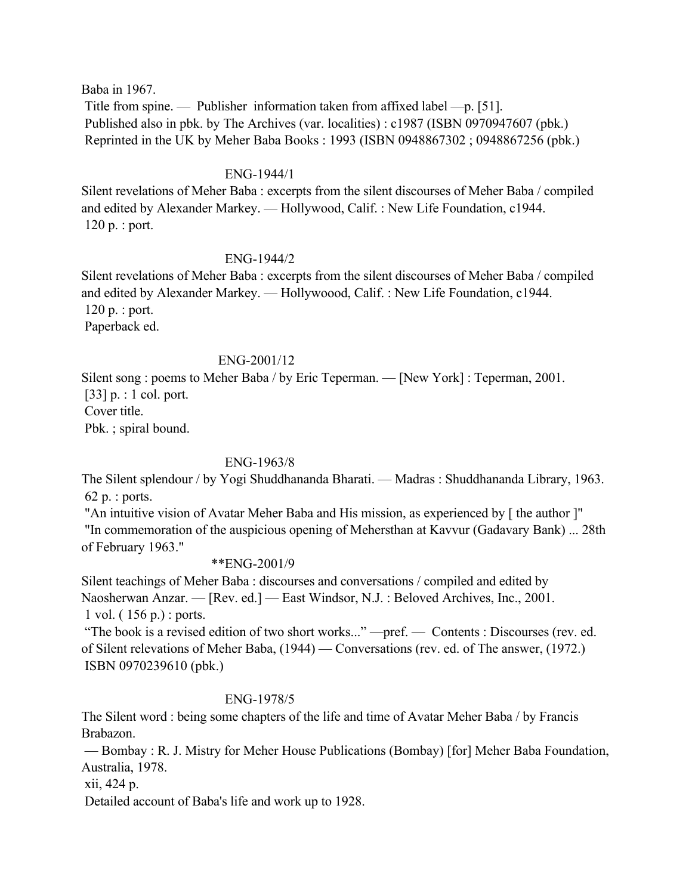Baba in 1967.

 Title from spine. — Publisher information taken from affixed label —p. [51]. Published also in pbk. by The Archives (var. localities) : c1987 (ISBN 0970947607 (pbk.) Reprinted in the UK by Meher Baba Books : 1993 (ISBN 0948867302 ; 0948867256 (pbk.)

### ENG-1944/1

Silent revelations of Meher Baba : excerpts from the silent discourses of Meher Baba / compiled and edited by Alexander Markey. — Hollywood, Calif. : New Life Foundation, c1944. 120 p. : port.

### ENG-1944/2

Silent revelations of Meher Baba : excerpts from the silent discourses of Meher Baba / compiled and edited by Alexander Markey. — Hollywoood, Calif. : New Life Foundation, c1944. 120 p. : port. Paperback ed.

#### ENG-2001/12

Silent song : poems to Meher Baba / by Eric Teperman. — [New York] : Teperman, 2001. [33] p. : 1 col. port. Cover title. Pbk. ; spiral bound.

### ENG-1963/8

The Silent splendour / by Yogi Shuddhananda Bharati. — Madras : Shuddhananda Library, 1963. 62 p. : ports.

 "An intuitive vision of Avatar Meher Baba and His mission, as experienced by [ the author ]" "In commemoration of the auspicious opening of Mehersthan at Kavvur (Gadavary Bank) ... 28th of February 1963."

### \*\*ENG-2001/9

Silent teachings of Meher Baba : discourses and conversations / compiled and edited by Naosherwan Anzar. — [Rev. ed.] — East Windsor, N.J. : Beloved Archives, Inc., 2001. 1 vol. ( 156 p.) : ports.

 "The book is a revised edition of two short works..." —pref. — Contents : Discourses (rev. ed. of Silent relevations of Meher Baba, (1944) — Conversations (rev. ed. of The answer, (1972.) ISBN 0970239610 (pbk.)

#### ENG-1978/5

The Silent word : being some chapters of the life and time of Avatar Meher Baba / by Francis Brabazon.

 — Bombay : R. J. Mistry for Meher House Publications (Bombay) [for] Meher Baba Foundation, Australia, 1978.

xii, 424 p.

Detailed account of Baba's life and work up to 1928.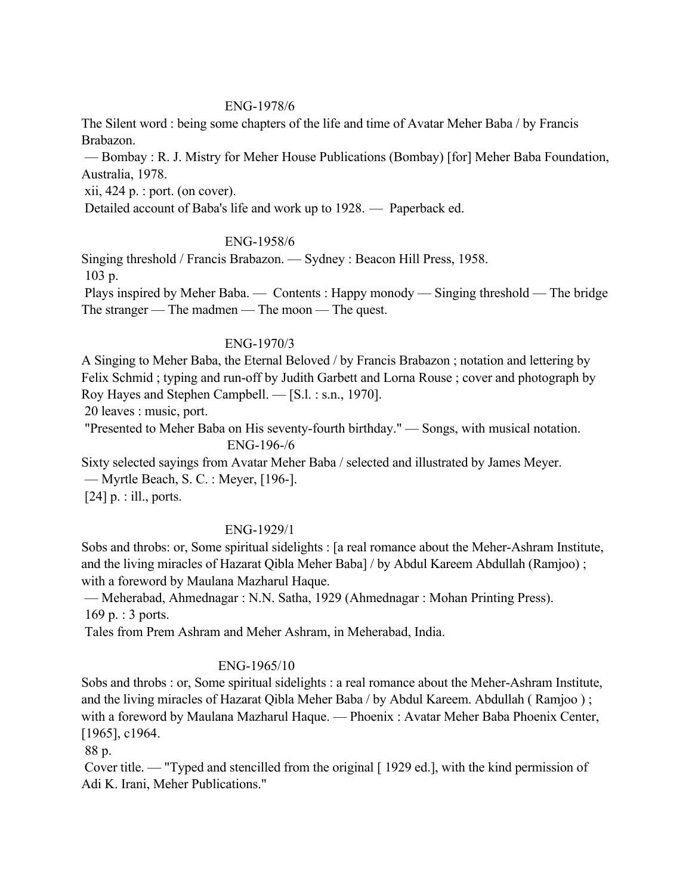### ENG-1978/6

The Silent word : being some chapters of the life and time of Avatar Meher Baba / by Francis Brabazon.

 — Bombay : R. J. Mistry for Meher House Publications (Bombay) [for] Meher Baba Foundation, Australia, 1978.

xii, 424 p. : port. (on cover).

Detailed account of Baba's life and work up to 1928. — Paperback ed.

### ENG-1958/6

Singing threshold / Francis Brabazon. — Sydney : Beacon Hill Press, 1958. 103 p.

 Plays inspired by Meher Baba. — Contents : Happy monody — Singing threshold — The bridge The stranger — The madmen — The moon — The quest.

### ENG-1970/3

A Singing to Meher Baba, the Eternal Beloved / by Francis Brabazon ; notation and lettering by Felix Schmid ; typing and run-off by Judith Garbett and Lorna Rouse ; cover and photograph by Roy Hayes and Stephen Campbell. — [S.l. : s.n., 1970].

20 leaves : music, port.

 "Presented to Meher Baba on His seventy-fourth birthday." — Songs, with musical notation. ENG-196-/6

Sixty selected sayings from Avatar Meher Baba / selected and illustrated by James Meyer. — Myrtle Beach, S. C. : Meyer, [196-].

[24] p. : ill., ports.

## ENG-1929/1

Sobs and throbs: or, Some spiritual sidelights : [a real romance about the Meher-Ashram Institute, and the living miracles of Hazarat Qibla Meher Baba] / by Abdul Kareem Abdullah (Ramjoo) ; with a foreword by Maulana Mazharul Haque.

 — Meherabad, Ahmednagar : N.N. Satha, 1929 (Ahmednagar : Mohan Printing Press). 169 p. : 3 ports.

Tales from Prem Ashram and Meher Ashram, in Meherabad, India.

## ENG-1965/10

Sobs and throbs : or, Some spiritual sidelights : a real romance about the Meher-Ashram Institute, and the living miracles of Hazarat Qibla Meher Baba / by Abdul Kareem. Abdullah ( Ramjoo ) ; with a foreword by Maulana Mazharul Haque. — Phoenix : Avatar Meher Baba Phoenix Center, [1965], c1964.

88 p.

 Cover title. — "Typed and stencilled from the original [ 1929 ed.], with the kind permission of Adi K. Irani, Meher Publications."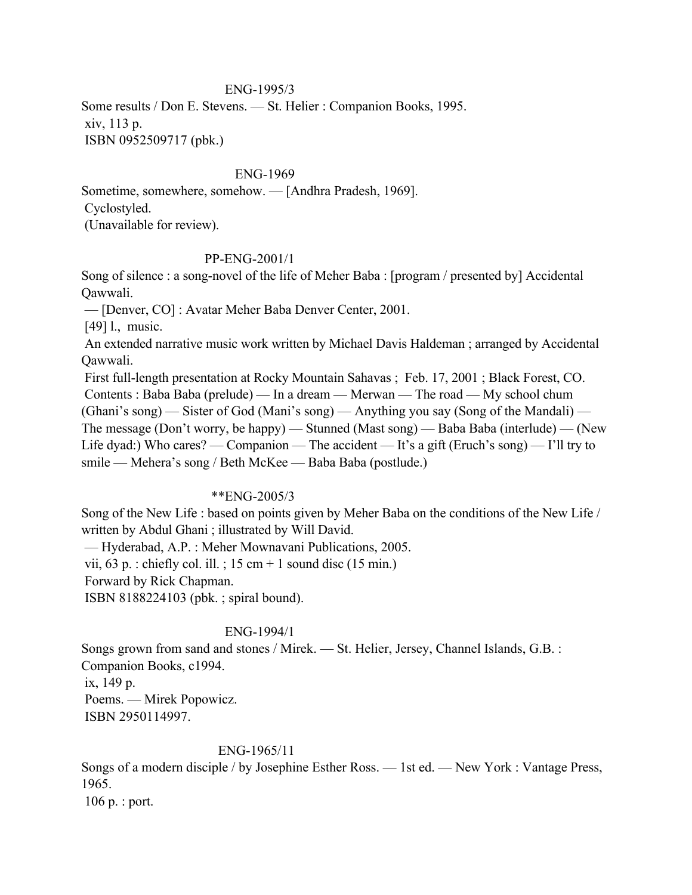### ENG-1995/3

Some results / Don E. Stevens. — St. Helier : Companion Books, 1995. xiv, 113 p. ISBN 0952509717 (pbk.)

#### ENG-1969

Sometime, somewhere, somehow. — [Andhra Pradesh, 1969]. Cyclostyled. (Unavailable for review).

### PP-ENG-2001/1

Song of silence : a song-novel of the life of Meher Baba : [program / presented by] Accidental Qawwali.

— [Denver, CO] : Avatar Meher Baba Denver Center, 2001.

[49] l., music.

 An extended narrative music work written by Michael Davis Haldeman ; arranged by Accidental Qawwali.

 First full-length presentation at Rocky Mountain Sahavas ; Feb. 17, 2001 ; Black Forest, CO. Contents : Baba Baba (prelude) — In a dream — Merwan — The road — My school chum (Ghani's song) — Sister of God (Mani's song) — Anything you say (Song of the Mandali) — The message (Don't worry, be happy) — Stunned (Mast song) — Baba Baba (interlude) — (New Life dyad:) Who cares? — Companion — The accident — It's a gift (Eruch's song) — I'll try to smile — Mehera's song / Beth McKee — Baba Baba (postlude.)

### \*\*ENG-2005/3

Song of the New Life : based on points given by Meher Baba on the conditions of the New Life / written by Abdul Ghani ; illustrated by Will David.

— Hyderabad, A.P. : Meher Mownavani Publications, 2005.

vii, 63 p. : chiefly col. ill. ; 15 cm + 1 sound disc (15 min.)

Forward by Rick Chapman.

ISBN 8188224103 (pbk. ; spiral bound).

### ENG-1994/1

Songs grown from sand and stones / Mirek. — St. Helier, Jersey, Channel Islands, G.B. : Companion Books, c1994. ix, 149 p. Poems. — Mirek Popowicz. ISBN 2950114997.

#### ENG-1965/11

Songs of a modern disciple / by Josephine Esther Ross. — 1st ed. — New York : Vantage Press, 1965.

106 p. : port.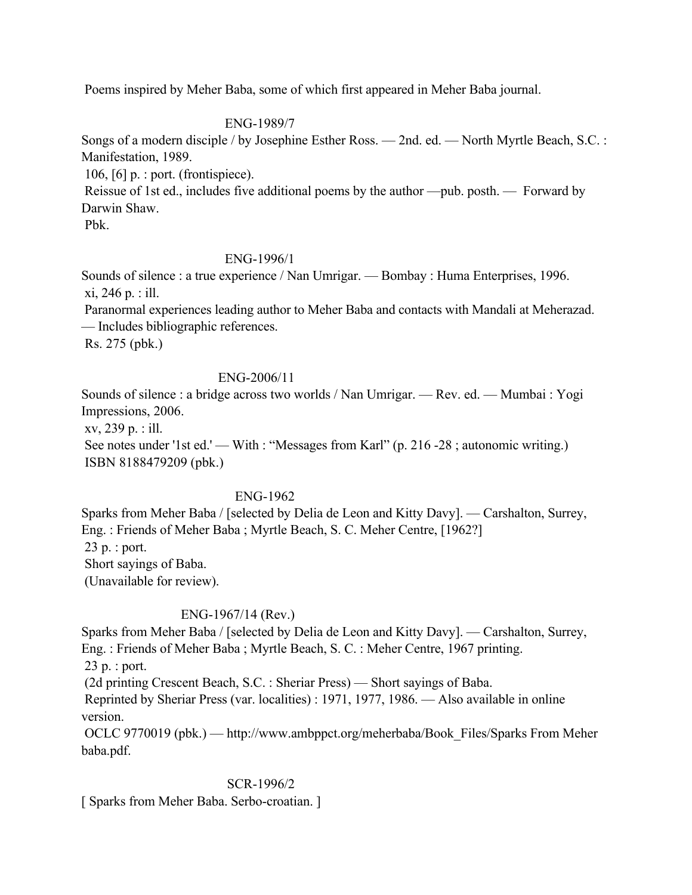Poems inspired by Meher Baba, some of which first appeared in Meher Baba journal.

## ENG-1989/7

Songs of a modern disciple / by Josephine Esther Ross. — 2nd. ed. — North Myrtle Beach, S.C. : Manifestation, 1989.

106, [6] p. : port. (frontispiece).

 Reissue of 1st ed., includes five additional poems by the author —pub. posth. — Forward by Darwin Shaw.

Pbk.

## ENG-1996/1

Sounds of silence : a true experience / Nan Umrigar. — Bombay : Huma Enterprises, 1996. xi, 246 p. : ill.

 Paranormal experiences leading author to Meher Baba and contacts with Mandali at Meherazad. — Includes bibliographic references.

Rs. 275 (pbk.)

## ENG-2006/11

Sounds of silence : a bridge across two worlds / Nan Umrigar. — Rev. ed. — Mumbai : Yogi Impressions, 2006.

xv, 239 p. : ill.

See notes under '1st ed.' — With : "Messages from Karl" (p. 216 -28 ; autonomic writing.) ISBN 8188479209 (pbk.)

## ENG-1962

Sparks from Meher Baba / [selected by Delia de Leon and Kitty Davy]. — Carshalton, Surrey, Eng. : Friends of Meher Baba ; Myrtle Beach, S. C. Meher Centre, [1962?] 23 p. : port. Short sayings of Baba. (Unavailable for review).

## ENG-1967/14 (Rev.)

Sparks from Meher Baba / [selected by Delia de Leon and Kitty Davy]. — Carshalton, Surrey, Eng. : Friends of Meher Baba ; Myrtle Beach, S. C. : Meher Centre, 1967 printing. 23 p. : port.

(2d printing Crescent Beach, S.C. : Sheriar Press) — Short sayings of Baba.

 Reprinted by Sheriar Press (var. localities) : 1971, 1977, 1986. — Also available in online version.

 OCLC 9770019 (pbk.) — http://www.ambppct.org/meherbaba/Book\_Files/Sparks From Meher baba.pdf.

### SCR-1996/2

[ Sparks from Meher Baba. Serbo-croatian. ]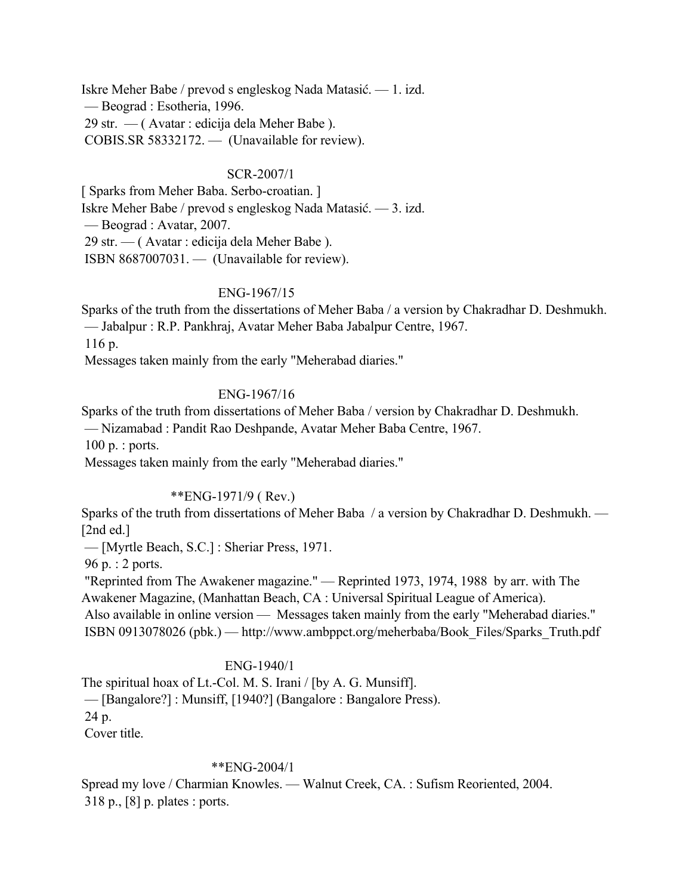Iskre Meher Babe / prevod s engleskog Nada Matasić. — 1. izd. — Beograd : Esotheria, 1996. 29 str. — ( Avatar : edicija dela Meher Babe ). COBIS.SR 58332172. — (Unavailable for review).

### SCR-2007/1

[ Sparks from Meher Baba. Serbo-croatian. ] Iskre Meher Babe / prevod s engleskog Nada Matasić. — 3. izd. — Beograd : Avatar, 2007. 29 str. — ( Avatar : edicija dela Meher Babe ). ISBN 8687007031. — (Unavailable for review).

### ENG-1967/15

Sparks of the truth from the dissertations of Meher Baba / a version by Chakradhar D. Deshmukh. — Jabalpur : R.P. Pankhraj, Avatar Meher Baba Jabalpur Centre, 1967.

116 p.

Messages taken mainly from the early "Meherabad diaries."

### ENG-1967/16

Sparks of the truth from dissertations of Meher Baba / version by Chakradhar D. Deshmukh.

— Nizamabad : Pandit Rao Deshpande, Avatar Meher Baba Centre, 1967.

100 p. : ports.

Messages taken mainly from the early "Meherabad diaries."

#### \*\*ENG-1971/9 ( Rev.)

Sparks of the truth from dissertations of Meher Baba / a version by Chakradhar D. Deshmukh. — [2nd ed.]

— [Myrtle Beach, S.C.] : Sheriar Press, 1971.

96 p. : 2 ports.

 "Reprinted from The Awakener magazine." — Reprinted 1973, 1974, 1988 by arr. with The Awakener Magazine, (Manhattan Beach, CA : Universal Spiritual League of America).

 Also available in online version — Messages taken mainly from the early "Meherabad diaries." ISBN 0913078026 (pbk.) — http://www.ambppct.org/meherbaba/Book\_Files/Sparks\_Truth.pdf

#### ENG-1940/1

The spiritual hoax of Lt.-Col. M. S. Irani / [by A. G. Munsiff]. — [Bangalore?] : Munsiff, [1940?] (Bangalore : Bangalore Press). 24 p. Cover title.

#### \*\*ENG-2004/1

Spread my love / Charmian Knowles. — Walnut Creek, CA. : Sufism Reoriented, 2004. 318 p., [8] p. plates : ports.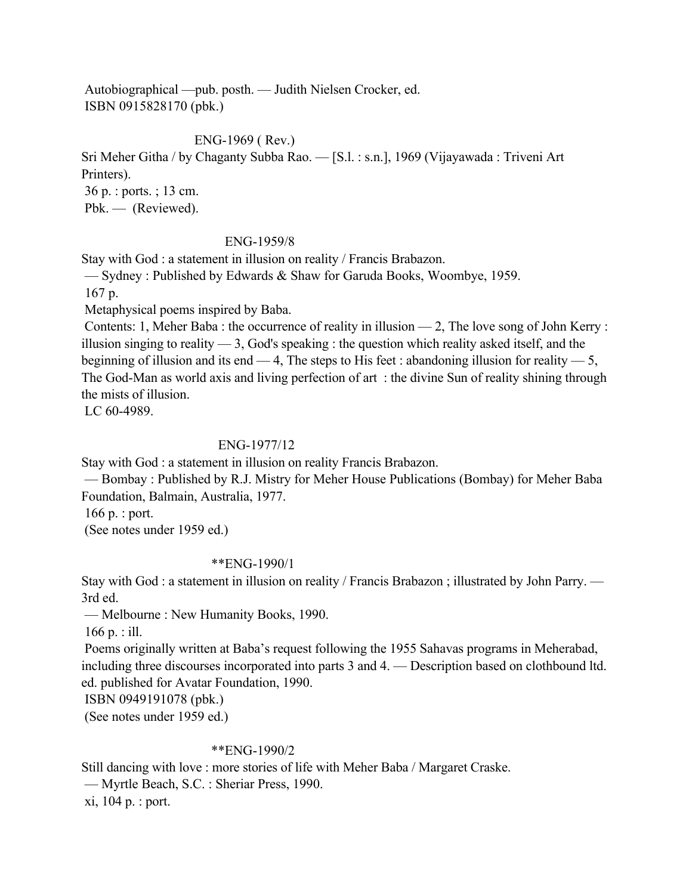Autobiographical —pub. posth. — Judith Nielsen Crocker, ed. ISBN 0915828170 (pbk.)

ENG-1969 ( Rev.)

Sri Meher Githa / by Chaganty Subba Rao. — [S.l. : s.n.], 1969 (Vijayawada : Triveni Art Printers).

 36 p. : ports. ; 13 cm. Pbk. — (Reviewed).

### ENG-1959/8

Stay with God : a statement in illusion on reality / Francis Brabazon.

— Sydney : Published by Edwards & Shaw for Garuda Books, Woombye, 1959.

167 p.

Metaphysical poems inspired by Baba.

 Contents: 1, Meher Baba : the occurrence of reality in illusion — 2, The love song of John Kerry : illusion singing to reality  $-3$ , God's speaking : the question which reality asked itself, and the beginning of illusion and its end  $-4$ , The steps to His feet : abandoning illusion for reality  $-5$ , The God-Man as world axis and living perfection of art : the divine Sun of reality shining through the mists of illusion.

LC 60-4989.

### ENG-1977/12

Stay with God : a statement in illusion on reality Francis Brabazon.

 — Bombay : Published by R.J. Mistry for Meher House Publications (Bombay) for Meher Baba Foundation, Balmain, Australia, 1977.

166 p. : port.

(See notes under 1959 ed.)

#### \*\*ENG-1990/1

Stay with God : a statement in illusion on reality / Francis Brabazon ; illustrated by John Parry. — 3rd ed.

— Melbourne : New Humanity Books, 1990.

166 p. : ill.

 Poems originally written at Baba's request following the 1955 Sahavas programs in Meherabad, including three discourses incorporated into parts 3 and 4. — Description based on clothbound ltd. ed. published for Avatar Foundation, 1990.

ISBN 0949191078 (pbk.)

(See notes under 1959 ed.)

#### \*\*ENG-1990/2

Still dancing with love : more stories of life with Meher Baba / Margaret Craske.

— Myrtle Beach, S.C. : Sheriar Press, 1990.

xi, 104 p. : port.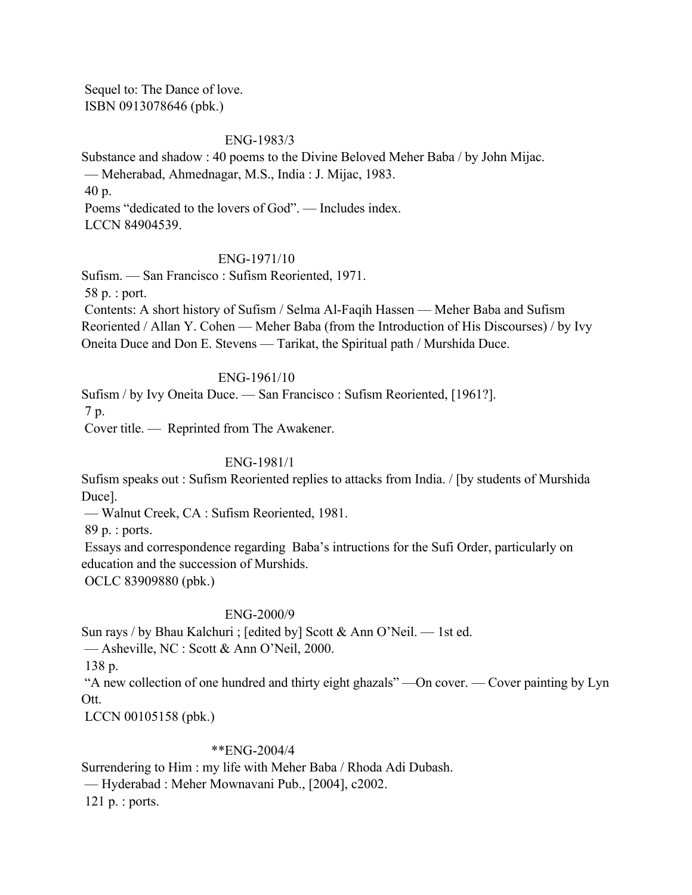Sequel to: The Dance of love. ISBN 0913078646 (pbk.)

### ENG-1983/3

Substance and shadow : 40 poems to the Divine Beloved Meher Baba / by John Mijac. — Meherabad, Ahmednagar, M.S., India : J. Mijac, 1983. 40 p. Poems "dedicated to the lovers of God". — Includes index. LCCN 84904539.

### ENG-1971/10

Sufism. — San Francisco : Sufism Reoriented, 1971.

58 p. : port.

 Contents: A short history of Sufism / Selma Al-Faqih Hassen — Meher Baba and Sufism Reoriented / Allan Y. Cohen — Meher Baba (from the Introduction of His Discourses) / by Ivy Oneita Duce and Don E. Stevens — Tarikat, the Spiritual path / Murshida Duce.

### ENG-1961/10

Sufism / by Ivy Oneita Duce. — San Francisco : Sufism Reoriented, [1961?]. 7 p.

Cover title. — Reprinted from The Awakener.

### ENG-1981/1

Sufism speaks out : Sufism Reoriented replies to attacks from India. / [by students of Murshida Duce].

— Walnut Creek, CA : Sufism Reoriented, 1981.

89 p. : ports.

 Essays and correspondence regarding Baba's intructions for the Sufi Order, particularly on education and the succession of Murshids.

OCLC 83909880 (pbk.)

#### ENG-2000/9

Sun rays / by Bhau Kalchuri ; [edited by] Scott & Ann O'Neil. — 1st ed.

— Asheville, NC : Scott & Ann O'Neil, 2000.

138 p.

 "A new collection of one hundred and thirty eight ghazals" —On cover. — Cover painting by Lyn Ott.

LCCN 00105158 (pbk.)

### \*\*ENG-2004/4

Surrendering to Him : my life with Meher Baba / Rhoda Adi Dubash.

— Hyderabad : Meher Mownavani Pub., [2004], c2002.

121 p. : ports.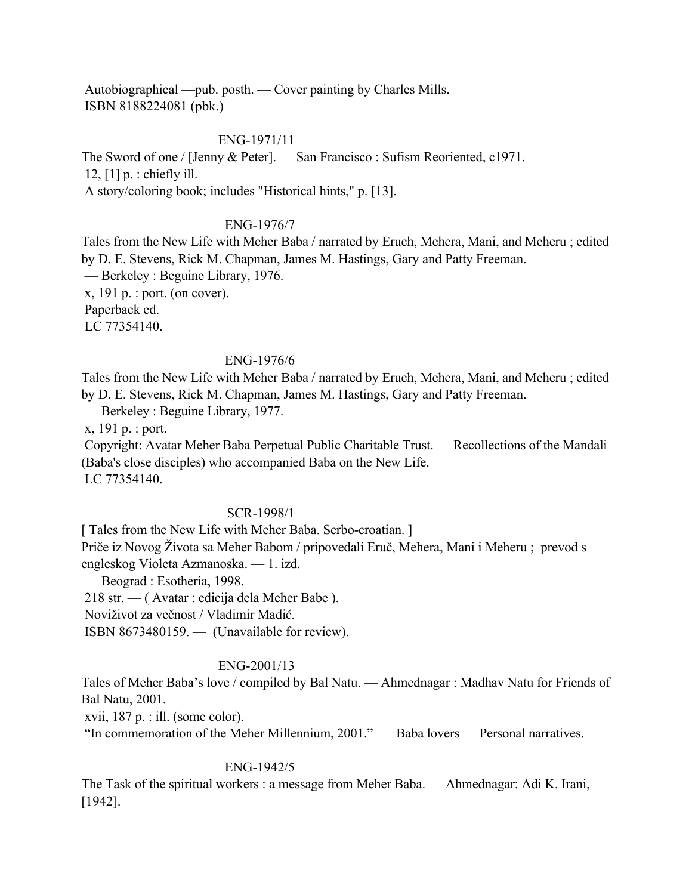Autobiographical —pub. posth. — Cover painting by Charles Mills. ISBN 8188224081 (pbk.)

### ENG-1971/11

The Sword of one / [Jenny & Peter]. — San Francisco : Sufism Reoriented, c1971. 12, [1] p. : chiefly ill.

A story/coloring book; includes "Historical hints," p. [13].

### ENG-1976/7

Tales from the New Life with Meher Baba / narrated by Eruch, Mehera, Mani, and Meheru ; edited by D. E. Stevens, Rick M. Chapman, James M. Hastings, Gary and Patty Freeman.

— Berkeley : Beguine Library, 1976.

x, 191 p. : port. (on cover).

Paperback ed.

LC 77354140.

### ENG-1976/6

Tales from the New Life with Meher Baba / narrated by Eruch, Mehera, Mani, and Meheru ; edited by D. E. Stevens, Rick M. Chapman, James M. Hastings, Gary and Patty Freeman.

— Berkeley : Beguine Library, 1977.

x, 191 p. : port.

 Copyright: Avatar Meher Baba Perpetual Public Charitable Trust. — Recollections of the Mandali (Baba's close disciples) who accompanied Baba on the New Life. LC 77354140.

#### SCR-1998/1

[ Tales from the New Life with Meher Baba. Serbo-croatian. ]

Priče iz Novog Života sa Meher Babom / pripovedali Eruč, Mehera, Mani i Meheru ; prevod s engleskog Violeta Azmanoska. — 1. izd.

— Beograd : Esotheria, 1998.

218 str. — ( Avatar : edicija dela Meher Babe ).

Noviživot za večnost / Vladimir Madić.

ISBN 8673480159. — (Unavailable for review).

### ENG-2001/13

Tales of Meher Baba's love / compiled by Bal Natu. — Ahmednagar : Madhav Natu for Friends of Bal Natu, 2001.

xvii, 187 p. : ill. (some color).

"In commemoration of the Meher Millennium, 2001." — Baba lovers — Personal narratives.

#### ENG-1942/5

The Task of the spiritual workers : a message from Meher Baba. — Ahmednagar: Adi K. Irani, [1942].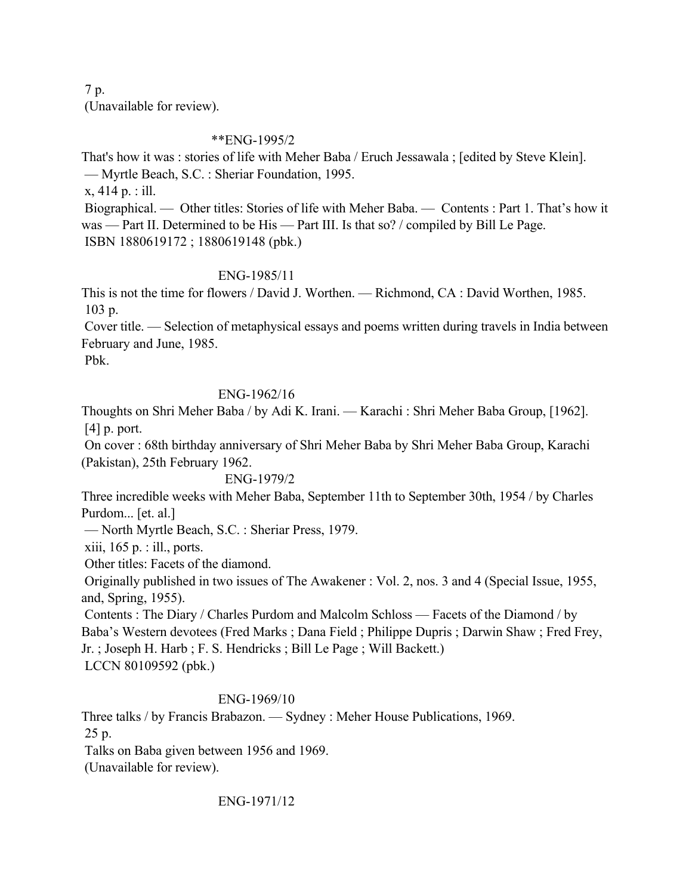7 p. (Unavailable for review).

## \*\*ENG-1995/2

That's how it was : stories of life with Meher Baba / Eruch Jessawala ; [edited by Steve Klein]. — Myrtle Beach, S.C. : Sheriar Foundation, 1995.

x, 414 p. : ill.

 Biographical. — Other titles: Stories of life with Meher Baba. — Contents : Part 1. That's how it was — Part II. Determined to be His — Part III. Is that so? / compiled by Bill Le Page. ISBN 1880619172 ; 1880619148 (pbk.)

## ENG-1985/11

This is not the time for flowers / David J. Worthen. — Richmond, CA : David Worthen, 1985. 103 p.

 Cover title. — Selection of metaphysical essays and poems written during travels in India between February and June, 1985.

Pbk.

## ENG-1962/16

Thoughts on Shri Meher Baba / by Adi K. Irani. — Karachi : Shri Meher Baba Group, [1962]. [4] p. port.

 On cover : 68th birthday anniversary of Shri Meher Baba by Shri Meher Baba Group, Karachi (Pakistan), 25th February 1962.

## ENG-1979/2

Three incredible weeks with Meher Baba, September 11th to September 30th, 1954 / by Charles Purdom... [et. al.]

— North Myrtle Beach, S.C. : Sheriar Press, 1979.

xiii, 165 p. : ill., ports.

Other titles: Facets of the diamond.

 Originally published in two issues of The Awakener : Vol. 2, nos. 3 and 4 (Special Issue, 1955, and, Spring, 1955).

 Contents : The Diary / Charles Purdom and Malcolm Schloss — Facets of the Diamond / by Baba's Western devotees (Fred Marks ; Dana Field ; Philippe Dupris ; Darwin Shaw ; Fred Frey, Jr. ; Joseph H. Harb ; F. S. Hendricks ; Bill Le Page ; Will Backett.) LCCN 80109592 (pbk.)

## ENG-1969/10

Three talks / by Francis Brabazon. — Sydney : Meher House Publications, 1969. 25 p.

Talks on Baba given between 1956 and 1969.

(Unavailable for review).

ENG-1971/12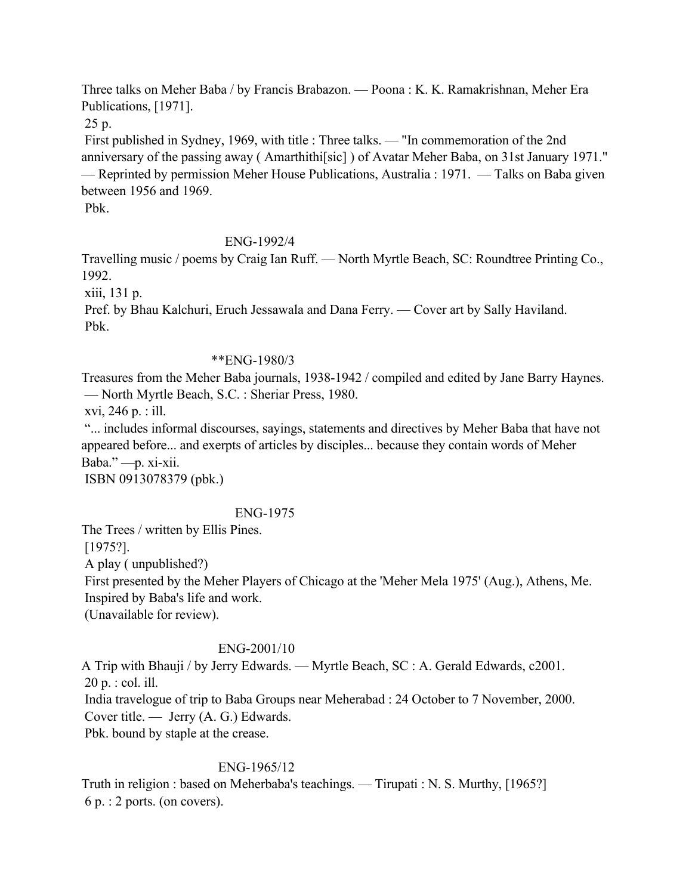Three talks on Meher Baba / by Francis Brabazon. — Poona : K. K. Ramakrishnan, Meher Era Publications, [1971].

25 p.

 First published in Sydney, 1969, with title : Three talks. — "In commemoration of the 2nd anniversary of the passing away ( Amarthithi[sic] ) of Avatar Meher Baba, on 31st January 1971." — Reprinted by permission Meher House Publications, Australia : 1971. — Talks on Baba given between 1956 and 1969.

Pbk.

# ENG-1992/4

Travelling music / poems by Craig Ian Ruff. — North Myrtle Beach, SC: Roundtree Printing Co., 1992.

xiii, 131 p.

 Pref. by Bhau Kalchuri, Eruch Jessawala and Dana Ferry. — Cover art by Sally Haviland. Pbk.

## \*\*ENG-1980/3

Treasures from the Meher Baba journals, 1938-1942 / compiled and edited by Jane Barry Haynes. — North Myrtle Beach, S.C. : Sheriar Press, 1980.

xvi, 246 p. : ill.

 "... includes informal discourses, sayings, statements and directives by Meher Baba that have not appeared before... and exerpts of articles by disciples... because they contain words of Meher Baba." —p. xi-xii.

ISBN 0913078379 (pbk.)

## ENG-1975

The Trees / written by Ellis Pines.

[1975?].

A play ( unpublished?)

 First presented by the Meher Players of Chicago at the 'Meher Mela 1975' (Aug.), Athens, Me. Inspired by Baba's life and work.

(Unavailable for review).

# ENG-2001/10

A Trip with Bhauji / by Jerry Edwards. — Myrtle Beach, SC : A. Gerald Edwards, c2001. 20 p. : col. ill.

 India travelogue of trip to Baba Groups near Meherabad : 24 October to 7 November, 2000. Cover title. — Jerry (A. G.) Edwards.

Pbk. bound by staple at the crease.

## ENG-1965/12

Truth in religion : based on Meherbaba's teachings. — Tirupati : N. S. Murthy, [1965?] 6 p. : 2 ports. (on covers).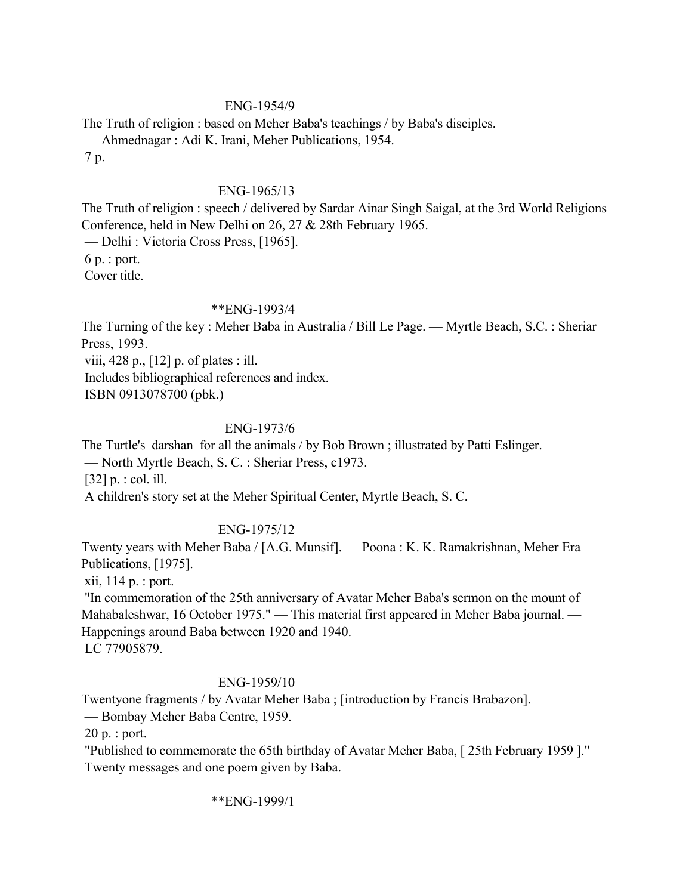## ENG-1954/9

The Truth of religion : based on Meher Baba's teachings / by Baba's disciples. — Ahmednagar : Adi K. Irani, Meher Publications, 1954. 7 p.

## ENG-1965/13

The Truth of religion : speech / delivered by Sardar Ainar Singh Saigal, at the 3rd World Religions Conference, held in New Delhi on 26, 27 & 28th February 1965.

— Delhi : Victoria Cross Press, [1965].

6 p. : port.

Cover title.

## \*\*ENG-1993/4

The Turning of the key : Meher Baba in Australia / Bill Le Page. — Myrtle Beach, S.C. : Sheriar Press, 1993.

viii, 428 p., [12] p. of plates : ill.

Includes bibliographical references and index.

ISBN 0913078700 (pbk.)

## ENG-1973/6

The Turtle's darshan for all the animals / by Bob Brown ; illustrated by Patti Eslinger. — North Myrtle Beach, S. C. : Sheriar Press, c1973.

[32] p. : col. ill.

A children's story set at the Meher Spiritual Center, Myrtle Beach, S. C.

# ENG-1975/12

Twenty years with Meher Baba / [A.G. Munsif]. — Poona : K. K. Ramakrishnan, Meher Era Publications, [1975].

xii, 114 p. : port.

 "In commemoration of the 25th anniversary of Avatar Meher Baba's sermon on the mount of Mahabaleshwar, 16 October 1975." — This material first appeared in Meher Baba journal. — Happenings around Baba between 1920 and 1940. LC 77905879.

## ENG-1959/10

Twentyone fragments / by Avatar Meher Baba ; [introduction by Francis Brabazon]. — Bombay Meher Baba Centre, 1959.

20 p. : port.

 "Published to commemorate the 65th birthday of Avatar Meher Baba, [ 25th February 1959 ]." Twenty messages and one poem given by Baba.

\*\*ENG-1999/1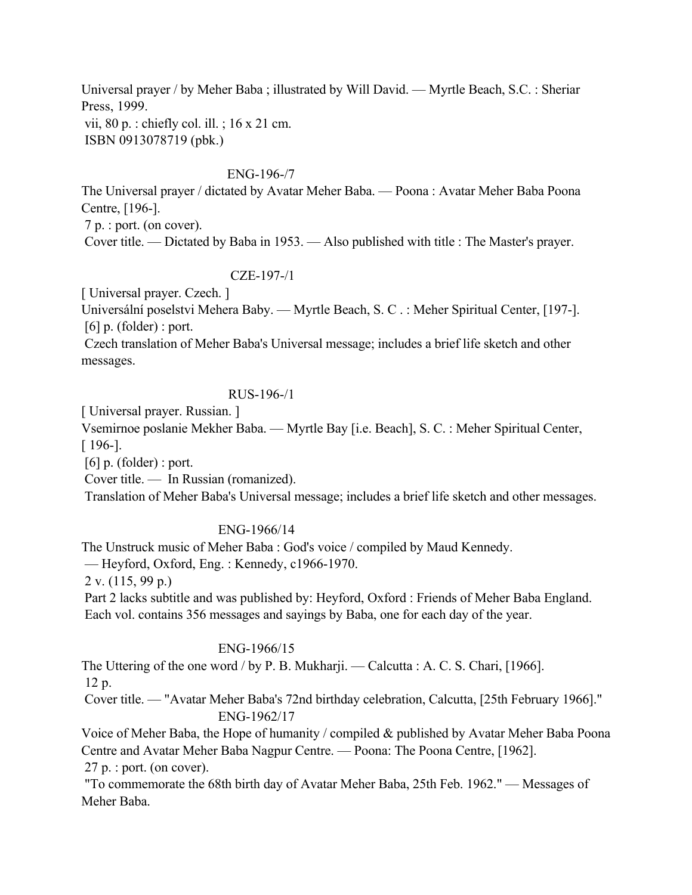Universal prayer / by Meher Baba ; illustrated by Will David. — Myrtle Beach, S.C. : Sheriar Press, 1999. vii, 80 p. : chiefly col. ill. ; 16 x 21 cm. ISBN 0913078719 (pbk.)

### ENG-196-/7

The Universal prayer / dictated by Avatar Meher Baba. — Poona : Avatar Meher Baba Poona Centre, [196-].

7 p. : port. (on cover).

Cover title. — Dictated by Baba in 1953. — Also published with title : The Master's prayer.

### CZE-197-/1

[ Universal prayer. Czech. ]

Universální poselstvi Mehera Baby. — Myrtle Beach, S. C . : Meher Spiritual Center, [197-].  $[6]$  p. (folder) : port.

 Czech translation of Meher Baba's Universal message; includes a brief life sketch and other messages.

## RUS-196-/1

[ Universal prayer. Russian. ]

Vsemirnoe poslanie Mekher Baba. — Myrtle Bay [i.e. Beach], S. C. : Meher Spiritual Center, [ 196-].

 $[6]$  p. (folder) : port.

Cover title. — In Russian (romanized).

Translation of Meher Baba's Universal message; includes a brief life sketch and other messages.

## ENG-1966/14

The Unstruck music of Meher Baba : God's voice / compiled by Maud Kennedy.

— Heyford, Oxford, Eng. : Kennedy, c1966-1970.

2 v. (115, 99 p.)

 Part 2 lacks subtitle and was published by: Heyford, Oxford : Friends of Meher Baba England. Each vol. contains 356 messages and sayings by Baba, one for each day of the year.

### ENG-1966/15

The Uttering of the one word / by P. B. Mukharji. — Calcutta : A. C. S. Chari, [1966]. 12 p.

 Cover title. — "Avatar Meher Baba's 72nd birthday celebration, Calcutta, [25th February 1966]." ENG-1962/17

Voice of Meher Baba, the Hope of humanity / compiled & published by Avatar Meher Baba Poona Centre and Avatar Meher Baba Nagpur Centre. — Poona: The Poona Centre, [1962]. 27 p. : port. (on cover).

 "To commemorate the 68th birth day of Avatar Meher Baba, 25th Feb. 1962." — Messages of Meher Baba.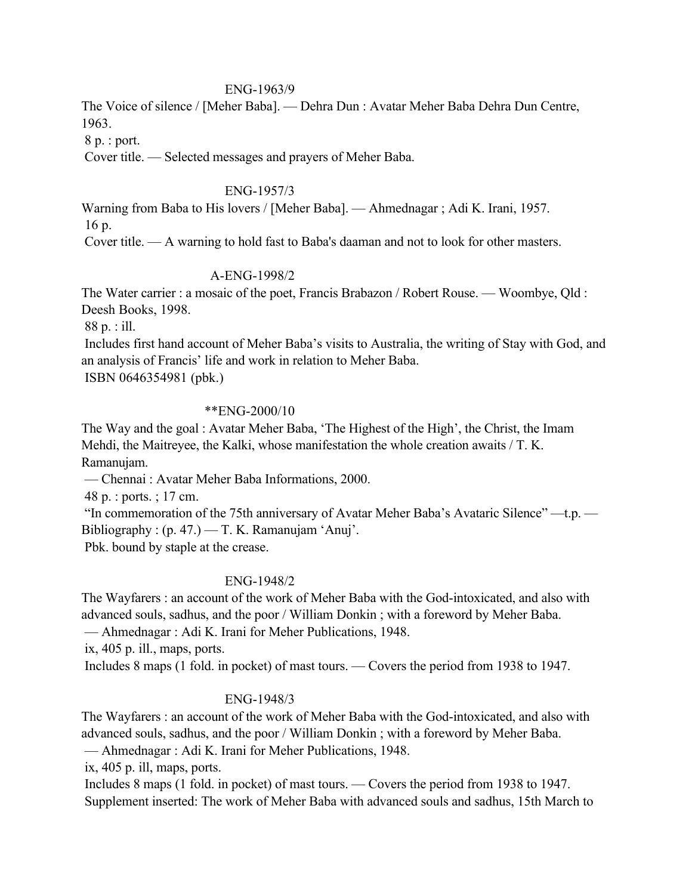### ENG-1963/9

The Voice of silence / [Meher Baba]. — Dehra Dun : Avatar Meher Baba Dehra Dun Centre, 1963.

8 p. : port.

Cover title. — Selected messages and prayers of Meher Baba.

### ENG-1957/3

Warning from Baba to His lovers / [Meher Baba]. — Ahmednagar ; Adi K. Irani, 1957.

16 p.

Cover title. — A warning to hold fast to Baba's daaman and not to look for other masters.

## A-ENG-1998/2

The Water carrier : a mosaic of the poet, Francis Brabazon / Robert Rouse. — Woombye, Qld : Deesh Books, 1998.

88 p. : ill.

 Includes first hand account of Meher Baba's visits to Australia, the writing of Stay with God, and an analysis of Francis' life and work in relation to Meher Baba.

ISBN 0646354981 (pbk.)

## \*\*ENG-2000/10

The Way and the goal : Avatar Meher Baba, 'The Highest of the High', the Christ, the Imam Mehdi, the Maitreyee, the Kalki, whose manifestation the whole creation awaits / T. K. Ramanujam.

— Chennai : Avatar Meher Baba Informations, 2000.

48 p. : ports. ; 17 cm.

 "In commemoration of the 75th anniversary of Avatar Meher Baba's Avataric Silence" —t.p. — Bibliography :  $(p. 47.) - T. K. Ramanujam 'Anuj'.$ 

Pbk. bound by staple at the crease.

## ENG-1948/2

The Wayfarers : an account of the work of Meher Baba with the God-intoxicated, and also with advanced souls, sadhus, and the poor / William Donkin ; with a foreword by Meher Baba.

— Ahmednagar : Adi K. Irani for Meher Publications, 1948.

ix, 405 p. ill., maps, ports.

Includes 8 maps (1 fold. in pocket) of mast tours. — Covers the period from 1938 to 1947.

## ENG-1948/3

The Wayfarers : an account of the work of Meher Baba with the God-intoxicated, and also with advanced souls, sadhus, and the poor / William Donkin ; with a foreword by Meher Baba.

— Ahmednagar : Adi K. Irani for Meher Publications, 1948.

ix, 405 p. ill, maps, ports.

 Includes 8 maps (1 fold. in pocket) of mast tours. — Covers the period from 1938 to 1947. Supplement inserted: The work of Meher Baba with advanced souls and sadhus, 15th March to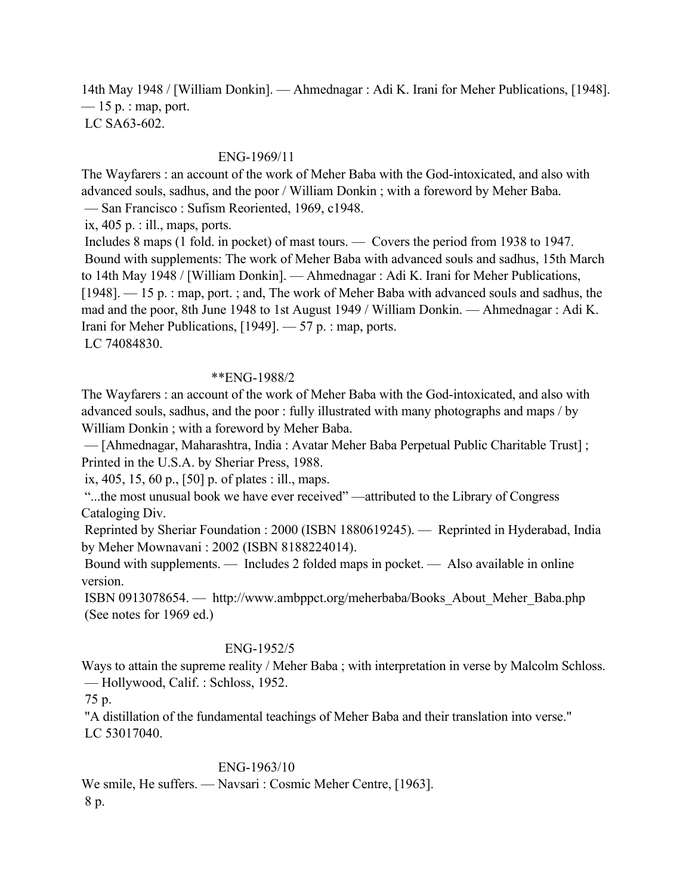14th May 1948 / [William Donkin]. — Ahmednagar : Adi K. Irani for Meher Publications, [1948].  $-15$  p. : map, port. LC SA63-602.

### ENG-1969/11

The Wayfarers : an account of the work of Meher Baba with the God-intoxicated, and also with advanced souls, sadhus, and the poor / William Donkin ; with a foreword by Meher Baba. — San Francisco : Sufism Reoriented, 1969, c1948.

ix,  $405$  p. : ill., maps, ports.

 Includes 8 maps (1 fold. in pocket) of mast tours. — Covers the period from 1938 to 1947. Bound with supplements: The work of Meher Baba with advanced souls and sadhus, 15th March to 14th May 1948 / [William Donkin]. — Ahmednagar : Adi K. Irani for Meher Publications, [1948]. — 15 p. : map, port. ; and, The work of Meher Baba with advanced souls and sadhus, the mad and the poor, 8th June 1948 to 1st August 1949 / William Donkin. — Ahmednagar : Adi K. Irani for Meher Publications, [1949]. — 57 p. : map, ports. LC 74084830.

#### \*\*ENG-1988/2

The Wayfarers : an account of the work of Meher Baba with the God-intoxicated, and also with advanced souls, sadhus, and the poor : fully illustrated with many photographs and maps / by William Donkin ; with a foreword by Meher Baba.

 — [Ahmednagar, Maharashtra, India : Avatar Meher Baba Perpetual Public Charitable Trust] ; Printed in the U.S.A. by Sheriar Press, 1988.

ix, 405, 15, 60 p., [50] p. of plates : ill., maps.

 "...the most unusual book we have ever received" —attributed to the Library of Congress Cataloging Div.

 Reprinted by Sheriar Foundation : 2000 (ISBN 1880619245). — Reprinted in Hyderabad, India by Meher Mownavani : 2002 (ISBN 8188224014).

 Bound with supplements. — Includes 2 folded maps in pocket. — Also available in online version.

 ISBN 0913078654. — http://www.ambppct.org/meherbaba/Books\_About\_Meher\_Baba.php (See notes for 1969 ed.)

# ENG-1952/5

Ways to attain the supreme reality / Meher Baba ; with interpretation in verse by Malcolm Schloss. — Hollywood, Calif. : Schloss, 1952.

75 p.

 "A distillation of the fundamental teachings of Meher Baba and their translation into verse." LC 53017040.

### ENG-1963/10

We smile, He suffers. — Navsari : Cosmic Meher Centre, [1963]. 8 p.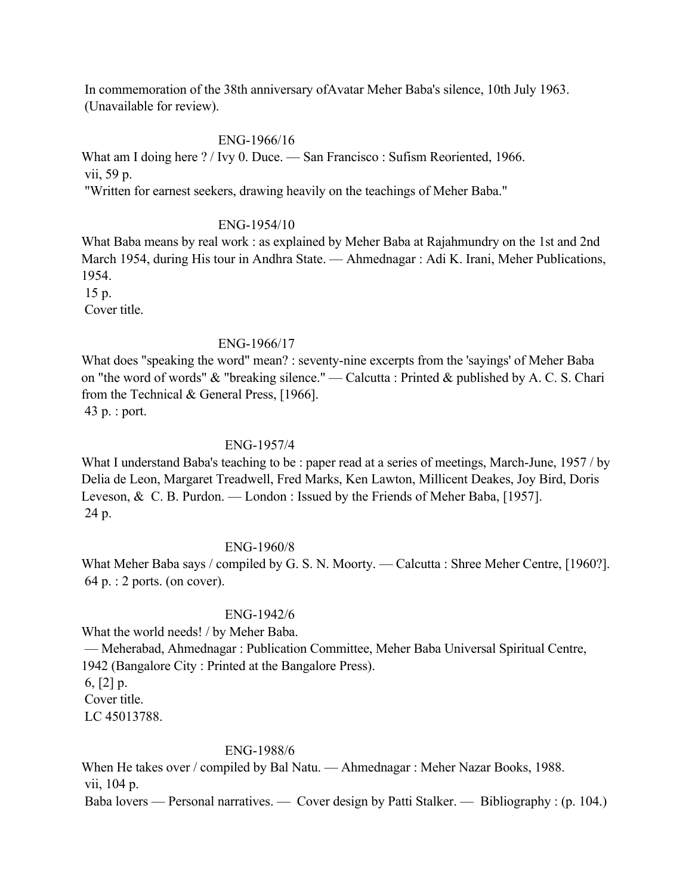In commemoration of the 38th anniversary ofAvatar Meher Baba's silence, 10th July 1963. (Unavailable for review).

#### ENG-1966/16

What am I doing here ? / Ivy 0. Duce. — San Francisco : Sufism Reoriented, 1966. vii, 59 p.

"Written for earnest seekers, drawing heavily on the teachings of Meher Baba."

### ENG-1954/10

What Baba means by real work : as explained by Meher Baba at Rajahmundry on the 1st and 2nd March 1954, during His tour in Andhra State. — Ahmednagar : Adi K. Irani, Meher Publications, 1954. 15 p.

Cover title.

### ENG-1966/17

What does "speaking the word" mean? : seventy-nine excerpts from the 'sayings' of Meher Baba on "the word of words" & "breaking silence." — Calcutta : Printed & published by A. C. S. Chari from the Technical & General Press, [1966].

43 p. : port.

### ENG-1957/4

What I understand Baba's teaching to be : paper read at a series of meetings, March-June, 1957 / by Delia de Leon, Margaret Treadwell, Fred Marks, Ken Lawton, Millicent Deakes, Joy Bird, Doris Leveson, & C. B. Purdon. — London : Issued by the Friends of Meher Baba, [1957]. 24 p.

#### ENG-1960/8

What Meher Baba says / compiled by G. S. N. Moorty. — Calcutta : Shree Meher Centre, [1960?]. 64 p. : 2 ports. (on cover).

## ENG-1942/6

What the world needs! / by Meher Baba.

 — Meherabad, Ahmednagar : Publication Committee, Meher Baba Universal Spiritual Centre, 1942 (Bangalore City : Printed at the Bangalore Press).

6,  $[2]$  p. Cover title.

LC 45013788.

#### ENG-1988/6

When He takes over / compiled by Bal Natu. — Ahmednagar : Meher Nazar Books, 1988. vii, 104 p. Baba lovers — Personal narratives. — Cover design by Patti Stalker. — Bibliography : (p. 104.)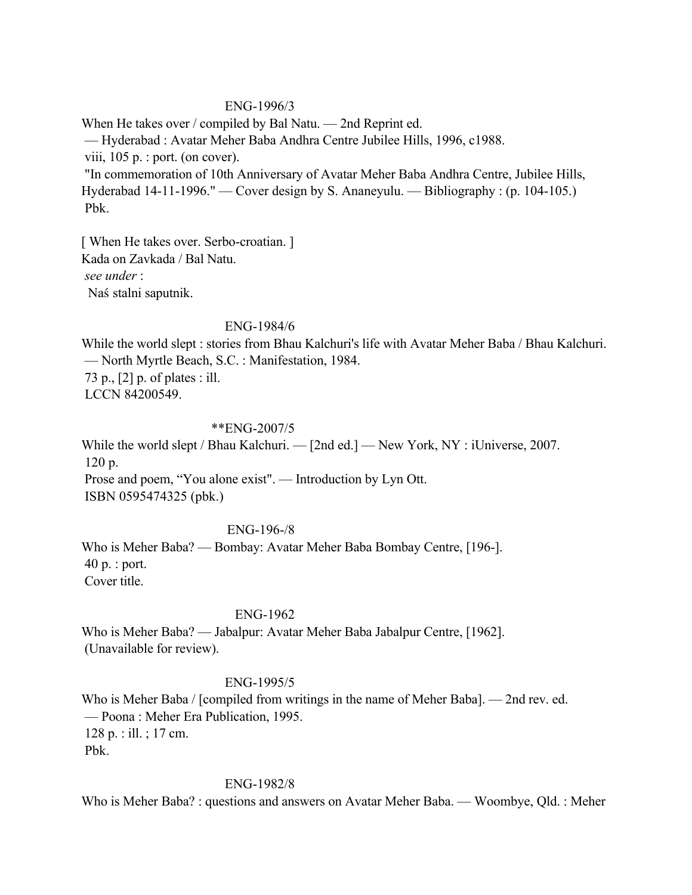### ENG-1996/3

When He takes over / compiled by Bal Natu. — 2nd Reprint ed. — Hyderabad : Avatar Meher Baba Andhra Centre Jubilee Hills, 1996, c1988. viii, 105 p. : port. (on cover). "In commemoration of 10th Anniversary of Avatar Meher Baba Andhra Centre, Jubilee Hills, Hyderabad 14-11-1996." — Cover design by S. Ananeyulu. — Bibliography : (p. 104-105.) Pbk.

[ When He takes over. Serbo-croatian. ] Kada on Zavkada / Bal Natu. *see under* : Naś stalni saputnik.

### ENG-1984/6

While the world slept : stories from Bhau Kalchuri's life with Avatar Meher Baba / Bhau Kalchuri. — North Myrtle Beach, S.C. : Manifestation, 1984. 73 p., [2] p. of plates : ill. LCCN 84200549.

### \*\*ENG-2007/5

While the world slept / Bhau Kalchuri. — [2nd ed.] — New York, NY : iUniverse, 2007. 120 p. Prose and poem, "You alone exist". — Introduction by Lyn Ott. ISBN 0595474325 (pbk.)

### ENG-196-/8

Who is Meher Baba? — Bombay: Avatar Meher Baba Bombay Centre, [196-]. 40 p. : port. Cover title.

#### ENG-1962

Who is Meher Baba? — Jabalpur: Avatar Meher Baba Jabalpur Centre, [1962]. (Unavailable for review).

#### ENG-1995/5

Who is Meher Baba / [compiled from writings in the name of Meher Baba]. — 2nd rev. ed. — Poona : Meher Era Publication, 1995. 128 p. : ill. ; 17 cm. Pbk.

#### ENG-1982/8

Who is Meher Baba? : questions and answers on Avatar Meher Baba. — Woombye, Qld. : Meher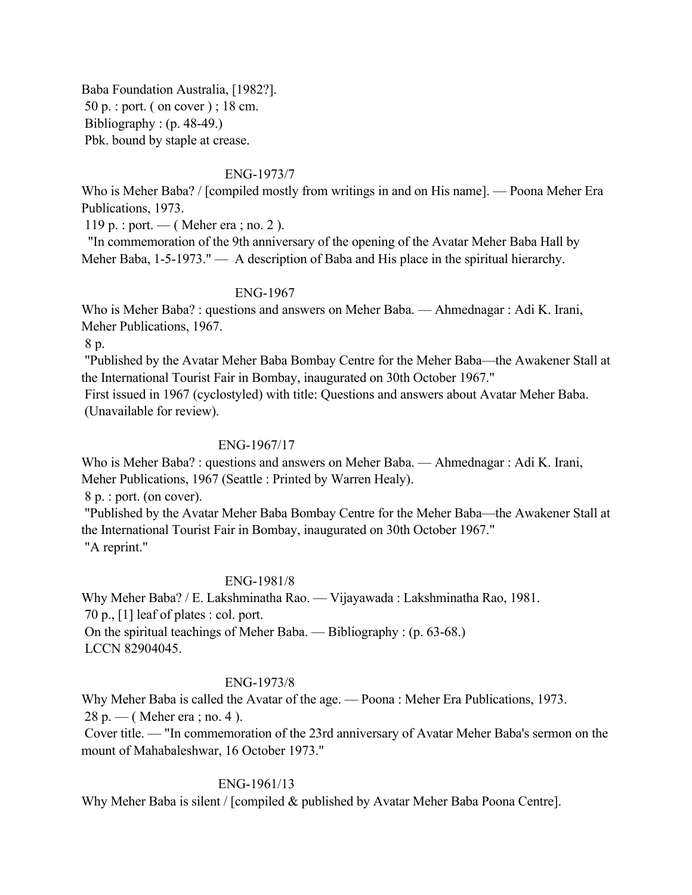Baba Foundation Australia, [1982?]. 50 p. : port. ( on cover ) ; 18 cm. Bibliography : (p. 48-49.) Pbk. bound by staple at crease.

### ENG-1973/7

Who is Meher Baba? / [compiled mostly from writings in and on His name]. — Poona Meher Era Publications, 1973.

119 p. : port. — ( Meher era ; no. 2 ).

 "In commemoration of the 9th anniversary of the opening of the Avatar Meher Baba Hall by Meher Baba, 1-5-1973." — A description of Baba and His place in the spiritual hierarchy.

#### ENG-1967

Who is Meher Baba? : questions and answers on Meher Baba. — Ahmednagar : Adi K. Irani, Meher Publications, 1967.

8 p.

 "Published by the Avatar Meher Baba Bombay Centre for the Meher Baba—the Awakener Stall at the International Tourist Fair in Bombay, inaugurated on 30th October 1967."

 First issued in 1967 (cyclostyled) with title: Questions and answers about Avatar Meher Baba. (Unavailable for review).

#### ENG-1967/17

Who is Meher Baba? : questions and answers on Meher Baba. — Ahmednagar : Adi K. Irani, Meher Publications, 1967 (Seattle : Printed by Warren Healy).

8 p. : port. (on cover).

 "Published by the Avatar Meher Baba Bombay Centre for the Meher Baba—the Awakener Stall at the International Tourist Fair in Bombay, inaugurated on 30th October 1967." "A reprint."

ENG-1981/8

Why Meher Baba? / E. Lakshminatha Rao. — Vijayawada : Lakshminatha Rao, 1981. 70 p., [1] leaf of plates : col. port. On the spiritual teachings of Meher Baba. — Bibliography : (p. 63-68.) LCCN 82904045.

### ENG-1973/8

Why Meher Baba is called the Avatar of the age. — Poona : Meher Era Publications, 1973.  $28 p.$  — (Meher era; no. 4).

 Cover title. — "In commemoration of the 23rd anniversary of Avatar Meher Baba's sermon on the mount of Mahabaleshwar, 16 October 1973."

#### ENG-1961/13

Why Meher Baba is silent / [compiled & published by Avatar Meher Baba Poona Centre].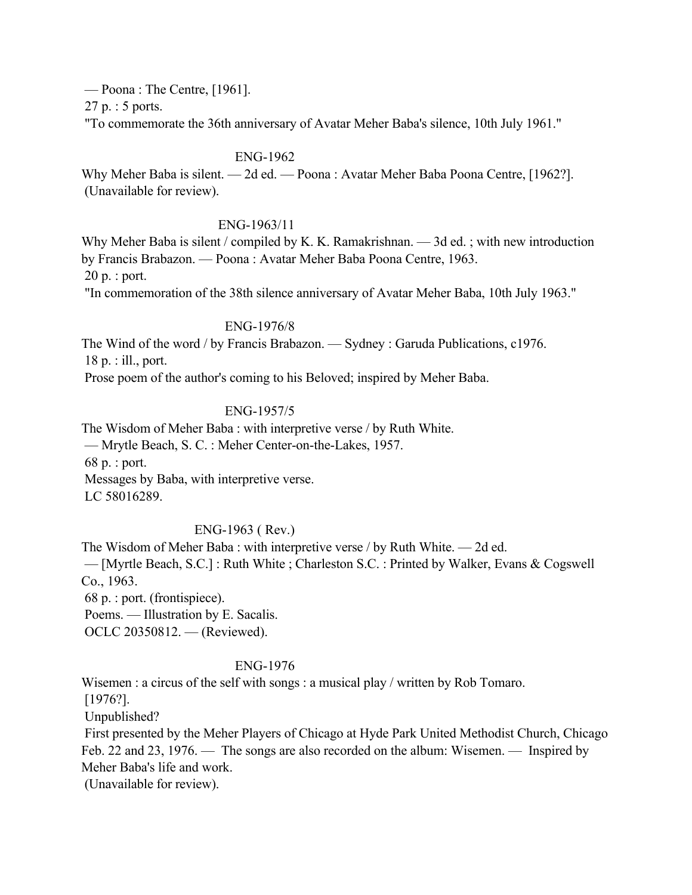— Poona : The Centre, [1961].

27 p. : 5 ports.

"To commemorate the 36th anniversary of Avatar Meher Baba's silence, 10th July 1961."

## ENG-1962

Why Meher Baba is silent. — 2d ed. — Poona : Avatar Meher Baba Poona Centre, [1962?]. (Unavailable for review).

### ENG-1963/11

Why Meher Baba is silent / compiled by K. K. Ramakrishnan. — 3d ed.; with new introduction by Francis Brabazon. — Poona : Avatar Meher Baba Poona Centre, 1963. 20 p. : port. "In commemoration of the 38th silence anniversary of Avatar Meher Baba, 10th July 1963."

## ENG-1976/8

The Wind of the word / by Francis Brabazon. — Sydney : Garuda Publications, c1976. 18 p. : ill., port.

Prose poem of the author's coming to his Beloved; inspired by Meher Baba.

## ENG-1957/5

The Wisdom of Meher Baba : with interpretive verse / by Ruth White.

— Mrytle Beach, S. C. : Meher Center-on-the-Lakes, 1957.

68 p. : port.

Messages by Baba, with interpretive verse.

LC 58016289.

## ENG-1963 ( Rev.)

The Wisdom of Meher Baba : with interpretive verse / by Ruth White. — 2d ed.

 — [Myrtle Beach, S.C.] : Ruth White ; Charleston S.C. : Printed by Walker, Evans & Cogswell Co., 1963.

68 p. : port. (frontispiece).

Poems. — Illustration by E. Sacalis.

OCLC 20350812. — (Reviewed).

## ENG-1976

Wisemen : a circus of the self with songs : a musical play / written by Rob Tomaro.

[1976?].

Unpublished?

 First presented by the Meher Players of Chicago at Hyde Park United Methodist Church, Chicago Feb. 22 and 23, 1976. — The songs are also recorded on the album: Wisemen. — Inspired by Meher Baba's life and work.

(Unavailable for review).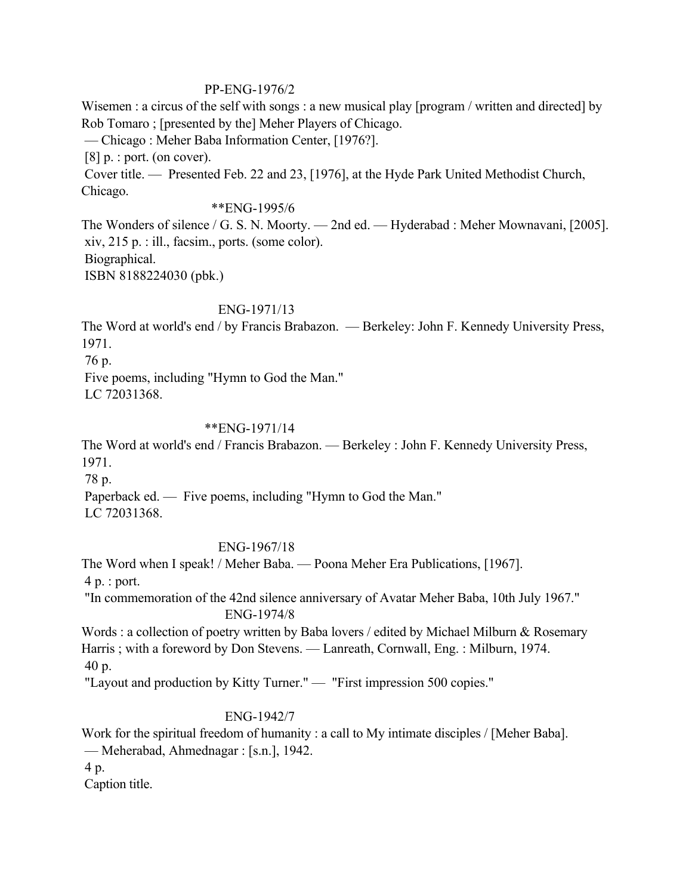### PP-ENG-1976/2

Wisemen : a circus of the self with songs : a new musical play [program / written and directed] by Rob Tomaro ; [presented by the] Meher Players of Chicago.

— Chicago : Meher Baba Information Center, [1976?].

[8] p. : port. (on cover).

 Cover title. — Presented Feb. 22 and 23, [1976], at the Hyde Park United Methodist Church, Chicago.

## \*\*ENG-1995/6

The Wonders of silence / G. S. N. Moorty. — 2nd ed. — Hyderabad : Meher Mownavani, [2005]. xiv, 215 p. : ill., facsim., ports. (some color). Biographical. ISBN 8188224030 (pbk.)

## ENG-1971/13

The Word at world's end / by Francis Brabazon. — Berkeley: John F. Kennedy University Press, 1971.

76 p.

 Five poems, including "Hymn to God the Man." LC 72031368.

## \*\*ENG-1971/14

The Word at world's end / Francis Brabazon. — Berkeley : John F. Kennedy University Press, 1971.

78 p.

Paperback ed. — Five poems, including "Hymn to God the Man."

LC 72031368.

## ENG-1967/18

The Word when I speak! / Meher Baba. — Poona Meher Era Publications, [1967]. 4 p. : port.

 "In commemoration of the 42nd silence anniversary of Avatar Meher Baba, 10th July 1967." ENG-1974/8

Words : a collection of poetry written by Baba lovers / edited by Michael Milburn & Rosemary Harris ; with a foreword by Don Stevens. — Lanreath, Cornwall, Eng. : Milburn, 1974. 40 p.

"Layout and production by Kitty Turner." — "First impression 500 copies."

## ENG-1942/7

Work for the spiritual freedom of humanity : a call to My intimate disciples / [Meher Baba]. — Meherabad, Ahmednagar : [s.n.], 1942. 4 p.

Caption title.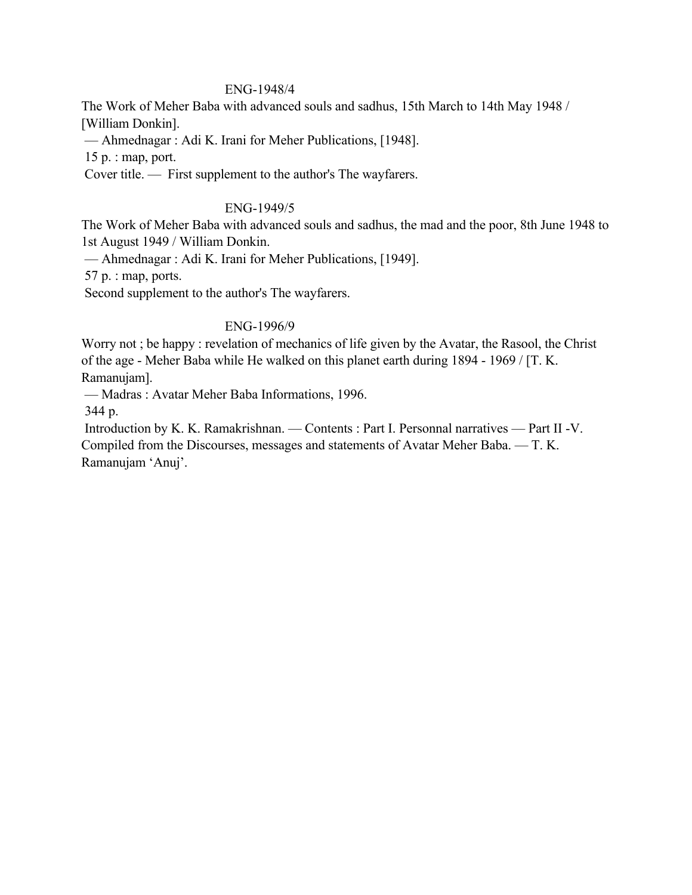#### ENG-1948/4

The Work of Meher Baba with advanced souls and sadhus, 15th March to 14th May 1948 / [William Donkin].

— Ahmednagar : Adi K. Irani for Meher Publications, [1948].

15 p. : map, port.

Cover title. — First supplement to the author's The wayfarers.

#### ENG-1949/5

The Work of Meher Baba with advanced souls and sadhus, the mad and the poor, 8th June 1948 to 1st August 1949 / William Donkin.

— Ahmednagar : Adi K. Irani for Meher Publications, [1949].

57 p. : map, ports.

Second supplement to the author's The wayfarers.

#### ENG-1996/9

Worry not ; be happy : revelation of mechanics of life given by the Avatar, the Rasool, the Christ of the age - Meher Baba while He walked on this planet earth during 1894 - 1969 / [T. K. Ramanujam].

— Madras : Avatar Meher Baba Informations, 1996.

344 p.

 Introduction by K. K. Ramakrishnan. — Contents : Part I. Personnal narratives — Part II -V. Compiled from the Discourses, messages and statements of Avatar Meher Baba. — T. K.

Ramanujam 'Anuj'.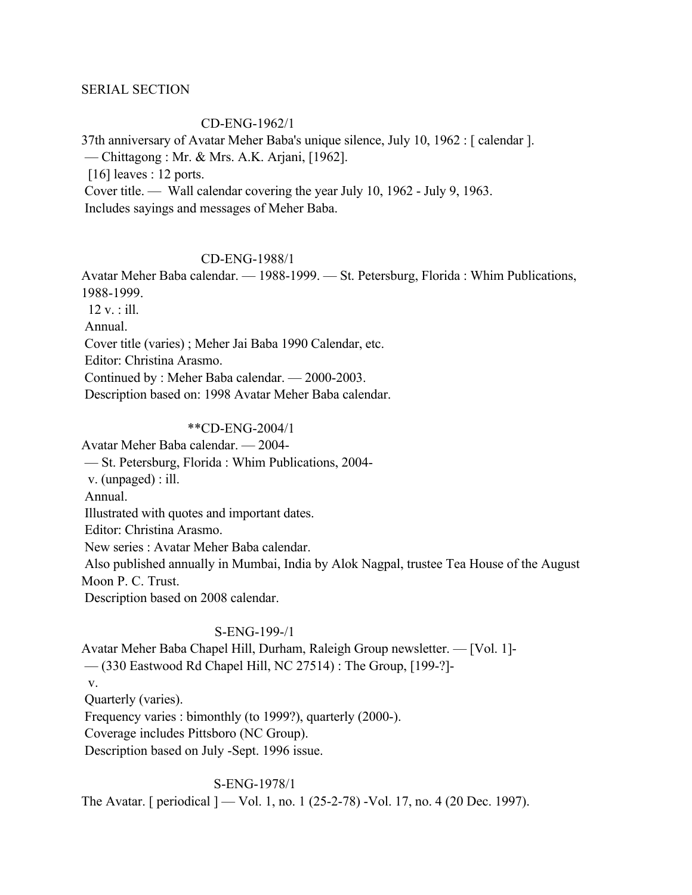### SERIAL SECTION

### CD-ENG-1962/1

37th anniversary of Avatar Meher Baba's unique silence, July 10, 1962 : [ calendar ].

— Chittagong : Mr. & Mrs. A.K. Arjani, [1962].

[16] leaves : 12 ports.

Cover title. — Wall calendar covering the year July 10, 1962 - July 9, 1963.

Includes sayings and messages of Meher Baba.

### CD-ENG-1988/1

Avatar Meher Baba calendar. — 1988-1999. — St. Petersburg, Florida : Whim Publications, 1988-1999.

12 v. : ill.

Annual.

Cover title (varies) ; Meher Jai Baba 1990 Calendar, etc.

Editor: Christina Arasmo.

Continued by : Meher Baba calendar. — 2000-2003.

Description based on: 1998 Avatar Meher Baba calendar.

## \*\*CD-ENG-2004/1

Avatar Meher Baba calendar. — 2004-

— St. Petersburg, Florida : Whim Publications, 2004-

v. (unpaged) : ill.

Annual.

Illustrated with quotes and important dates.

Editor: Christina Arasmo.

New series : Avatar Meher Baba calendar.

 Also published annually in Mumbai, India by Alok Nagpal, trustee Tea House of the August Moon P. C. Trust.

Description based on 2008 calendar.

### S-ENG-199-/1

Avatar Meher Baba Chapel Hill, Durham, Raleigh Group newsletter. — [Vol. 1]- — (330 Eastwood Rd Chapel Hill, NC 27514) : The Group, [199-?] v. Quarterly (varies). Frequency varies : bimonthly (to 1999?), quarterly (2000-). Coverage includes Pittsboro (NC Group). Description based on July -Sept. 1996 issue.

S-ENG-1978/1

The Avatar. [ periodical ] — Vol. 1, no. 1 (25-2-78) -Vol. 17, no. 4 (20 Dec. 1997).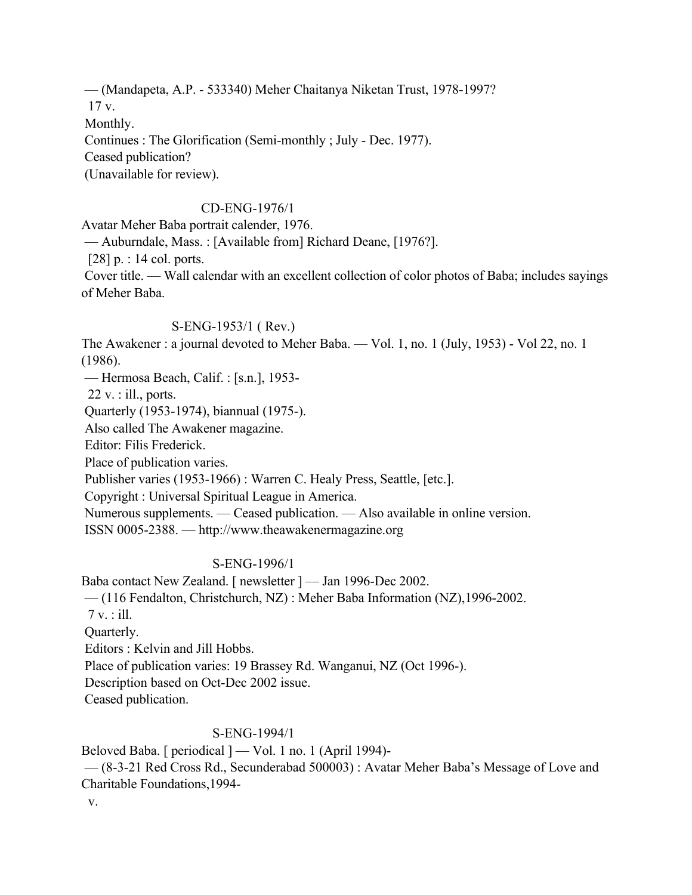— (Mandapeta, A.P. - 533340) Meher Chaitanya Niketan Trust, 1978-1997? 17 v. Monthly. Continues : The Glorification (Semi-monthly ; July - Dec. 1977). Ceased publication? (Unavailable for review).

## CD-ENG-1976/1

Avatar Meher Baba portrait calender, 1976.

— Auburndale, Mass. : [Available from] Richard Deane, [1976?].

[28] p. : 14 col. ports.

 Cover title. — Wall calendar with an excellent collection of color photos of Baba; includes sayings of Meher Baba.

#### S-ENG-1953/1 ( Rev.)

The Awakener : a journal devoted to Meher Baba. — Vol. 1, no. 1 (July, 1953) - Vol 22, no. 1 (1986).

— Hermosa Beach, Calif. : [s.n.], 1953-

 $22$  v. : ill., ports.

Quarterly (1953-1974), biannual (1975-).

Also called The Awakener magazine.

Editor: Filis Frederick.

Place of publication varies.

Publisher varies (1953-1966) : Warren C. Healy Press, Seattle, [etc.].

Copyright : Universal Spiritual League in America.

Numerous supplements. — Ceased publication. — Also available in online version.

ISSN 0005-2388. — http://www.theawakenermagazine.org

### S-ENG-1996/1

Baba contact New Zealand. [ newsletter ] — Jan 1996-Dec 2002.

— (116 Fendalton, Christchurch, NZ) : Meher Baba Information (NZ),1996-2002.

7 v. : ill.

Quarterly.

Editors : Kelvin and Jill Hobbs.

Place of publication varies: 19 Brassey Rd. Wanganui, NZ (Oct 1996-).

Description based on Oct-Dec 2002 issue.

Ceased publication.

### S-ENG-1994/1

Beloved Baba. [ periodical ] — Vol. 1 no. 1 (April 1994)-

 — (8-3-21 Red Cross Rd., Secunderabad 500003) : Avatar Meher Baba's Message of Love and Charitable Foundations,1994-

v.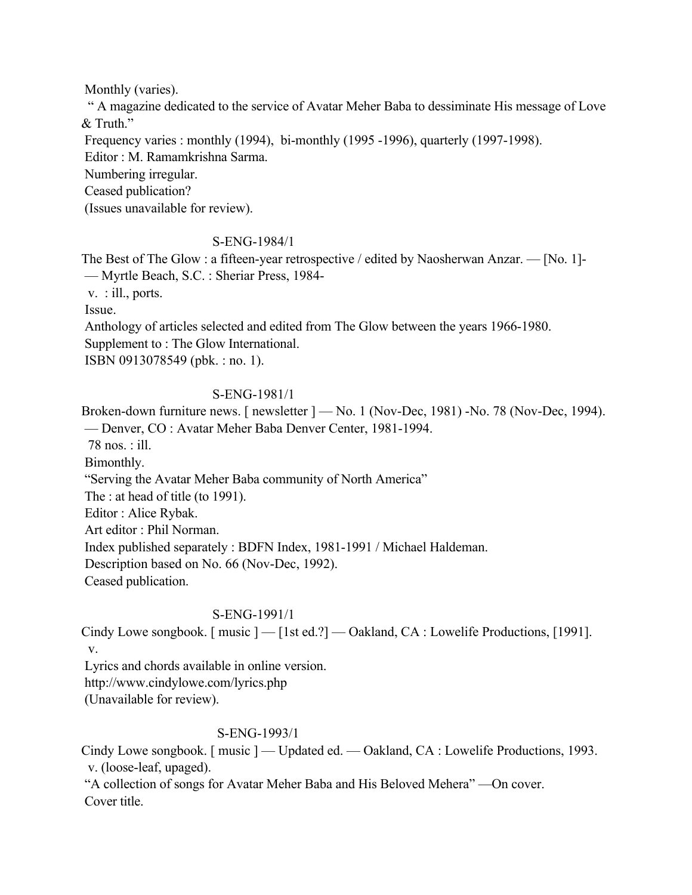Monthly (varies).

 " A magazine dedicated to the service of Avatar Meher Baba to dessiminate His message of Love & Truth."

Frequency varies : monthly (1994), bi-monthly (1995 -1996), quarterly (1997-1998).

Editor : M. Ramamkrishna Sarma.

Numbering irregular.

Ceased publication?

(Issues unavailable for review).

## S-ENG-1984/1

The Best of The Glow : a fifteen-year retrospective / edited by Naosherwan Anzar. — [No. 1]- — Myrtle Beach, S.C. : Sheriar Press, 1984-

v. : ill., ports.

Issue.

Anthology of articles selected and edited from The Glow between the years 1966-1980.

Supplement to : The Glow International.

ISBN 0913078549 (pbk. : no. 1).

## S-ENG-1981/1

Broken-down furniture news. [ newsletter  $]-$  No. 1 (Nov-Dec, 1981) -No. 78 (Nov-Dec, 1994). — Denver, CO : Avatar Meher Baba Denver Center, 1981-1994.

78 nos. : ill.

Bimonthly.

"Serving the Avatar Meher Baba community of North America"

The : at head of title (to 1991).

Editor : Alice Rybak.

Art editor : Phil Norman.

Index published separately : BDFN Index, 1981-1991 / Michael Haldeman.

Description based on No. 66 (Nov-Dec, 1992).

Ceased publication.

## S-ENG-1991/1

Cindy Lowe songbook. [ music ] — [1st ed.?] — Oakland, CA : Lowelife Productions, [1991]. v.

Lyrics and chords available in online version.

http://www.cindylowe.com/lyrics.php

(Unavailable for review).

## S-ENG-1993/1

Cindy Lowe songbook. [ music ] — Updated ed. — Oakland, CA : Lowelife Productions, 1993. v. (loose-leaf, upaged).

 "A collection of songs for Avatar Meher Baba and His Beloved Mehera" —On cover. Cover title.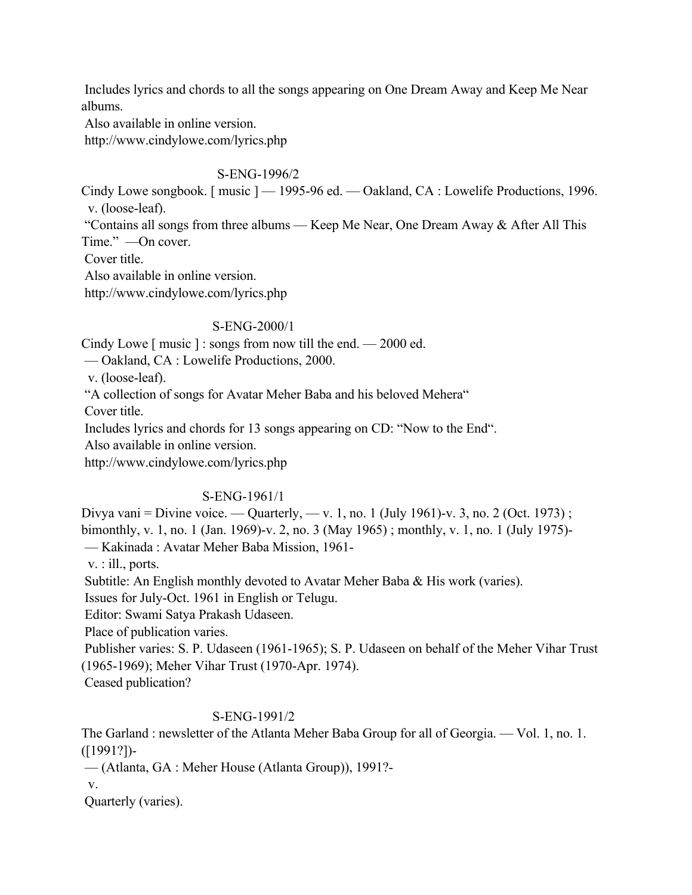Includes lyrics and chords to all the songs appearing on One Dream Away and Keep Me Near albums.

Also available in online version.

http://www.cindylowe.com/lyrics.php

S-ENG-1996/2

Cindy Lowe songbook. [music ] — 1995-96 ed. — Oakland, CA : Lowelife Productions, 1996. v. (loose-leaf).

 "Contains all songs from three albums — Keep Me Near, One Dream Away & After All This Time." —On cover.

Cover title.

Also available in online version.

http://www.cindylowe.com/lyrics.php

## S-ENG-2000/1

Cindy Lowe [ music ] : songs from now till the end. — 2000 ed.

— Oakland, CA : Lowelife Productions, 2000.

v. (loose-leaf).

"A collection of songs for Avatar Meher Baba and his beloved Mehera"

Cover title.

Includes lyrics and chords for 13 songs appearing on CD: "Now to the End".

Also available in online version.

http://www.cindylowe.com/lyrics.php

# S-ENG-1961/1

Divya vani = Divine voice. — Quarterly, — v. 1, no. 1 (July 1961)-v. 3, no. 2 (Oct. 1973);

bimonthly, v. 1, no. 1 (Jan. 1969)-v. 2, no. 3 (May 1965) ; monthly, v. 1, no. 1 (July 1975)-

— Kakinada : Avatar Meher Baba Mission, 1961-

v. : ill., ports.

Subtitle: An English monthly devoted to Avatar Meher Baba & His work (varies).

Issues for July-Oct. 1961 in English or Telugu.

Editor: Swami Satya Prakash Udaseen.

Place of publication varies.

 Publisher varies: S. P. Udaseen (1961-1965); S. P. Udaseen on behalf of the Meher Vihar Trust (1965-1969); Meher Vihar Trust (1970-Apr. 1974).

Ceased publication?

# S-ENG-1991/2

The Garland : newsletter of the Atlanta Meher Baba Group for all of Georgia. — Vol. 1, no. 1. ([1991?])-

— (Atlanta, GA : Meher House (Atlanta Group)), 1991?-

v.

Quarterly (varies).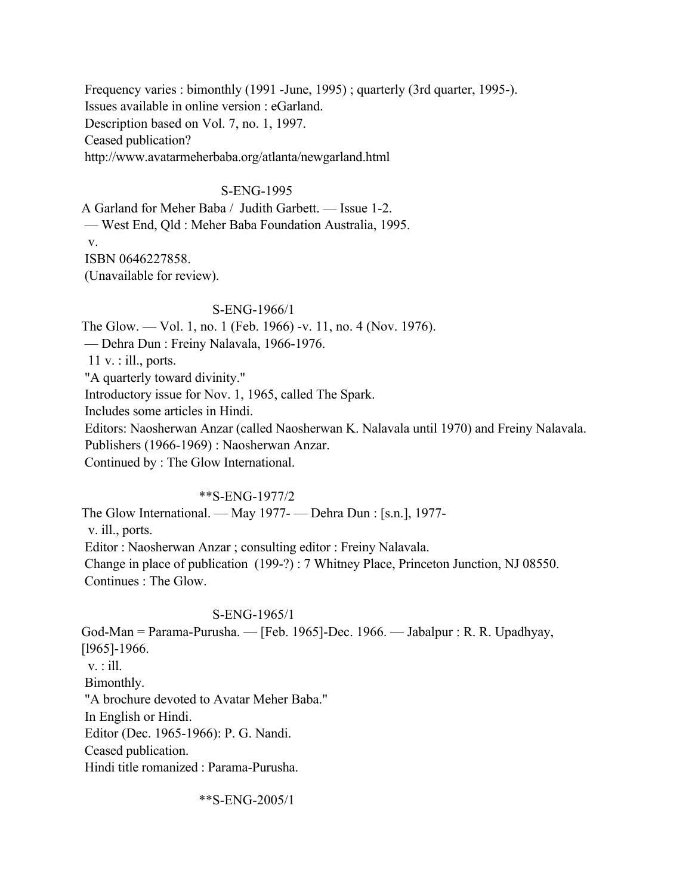Frequency varies : bimonthly (1991 -June, 1995) ; quarterly (3rd quarter, 1995-). Issues available in online version : eGarland. Description based on Vol. 7, no. 1, 1997. Ceased publication? http://www.avatarmeherbaba.org/atlanta/newgarland.html

### S-ENG-1995

A Garland for Meher Baba / Judith Garbett. — Issue 1-2. — West End, Qld : Meher Baba Foundation Australia, 1995. v. ISBN 0646227858. (Unavailable for review).

#### S-ENG-1966/1

The Glow. — Vol. 1, no. 1 (Feb. 1966) -v. 11, no. 4 (Nov. 1976). — Dehra Dun : Freiny Nalavala, 1966-1976. 11 v. : ill., ports. "A quarterly toward divinity." Introductory issue for Nov. 1, 1965, called The Spark. Includes some articles in Hindi. Editors: Naosherwan Anzar (called Naosherwan K. Nalavala until 1970) and Freiny Nalavala. Publishers (1966-1969) : Naosherwan Anzar. Continued by : The Glow International.

### \*\*S-ENG-1977/2

The Glow International. — May 1977- — Dehra Dun : [s.n.], 1977 v. ill., ports. Editor : Naosherwan Anzar ; consulting editor : Freiny Nalavala. Change in place of publication (199-?) : 7 Whitney Place, Princeton Junction, NJ 08550. Continues : The Glow.

### S-ENG-1965/1

God-Man = Parama-Purusha. — [Feb. 1965]-Dec. 1966. — Jabalpur : R. R. Upadhyay, [l965]-1966. v. : ill. Bimonthly. "A brochure devoted to Avatar Meher Baba." In English or Hindi. Editor (Dec. 1965-1966): P. G. Nandi. Ceased publication. Hindi title romanized : Parama-Purusha.

\*\*S-ENG-2005/1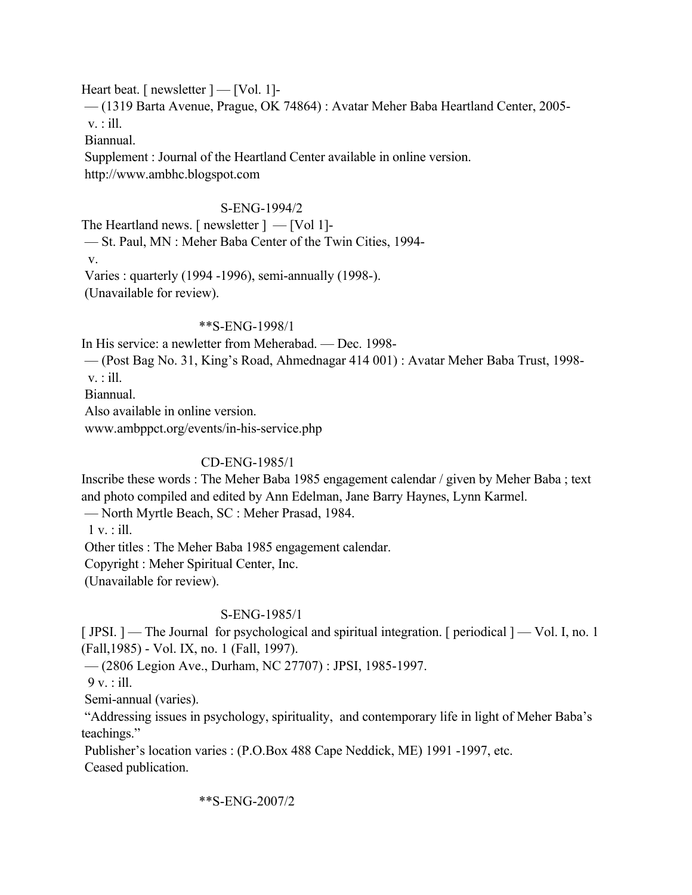Heart beat. [ newsletter  $]$  — [Vol. 1]-

 — (1319 Barta Avenue, Prague, OK 74864) : Avatar Meher Baba Heartland Center, 2005 v. : ill.

Biannual.

 Supplement : Journal of the Heartland Center available in online version. http://www.ambhc.blogspot.com

## S-ENG-1994/2

The Heartland news. [ newsletter ] — [Vol 1]- — St. Paul, MN : Meher Baba Center of the Twin Cities, 1994 v. Varies : quarterly (1994 -1996), semi-annually (1998-). (Unavailable for review).

### \*\*S-ENG-1998/1

In His service: a newletter from Meherabad. — Dec. 1998-

— (Post Bag No. 31, King's Road, Ahmednagar 414 001) : Avatar Meher Baba Trust, 1998-

v. : ill.

Biannual.

Also available in online version.

www.ambppct.org/events/in-his-service.php

# CD-ENG-1985/1

Inscribe these words : The Meher Baba 1985 engagement calendar / given by Meher Baba ; text and photo compiled and edited by Ann Edelman, Jane Barry Haynes, Lynn Karmel.

— North Myrtle Beach, SC : Meher Prasad, 1984.

1 v. : ill.

Other titles : The Meher Baba 1985 engagement calendar.

Copyright : Meher Spiritual Center, Inc.

(Unavailable for review).

### S-ENG-1985/1

[JPSI.] — The Journal for psychological and spiritual integration. [ periodical ] — Vol. I, no. 1 (Fall,1985) - Vol. IX, no. 1 (Fall, 1997).

— (2806 Legion Ave., Durham, NC 27707) : JPSI, 1985-1997.

 $9 v.$ : ill.

Semi-annual (varies).

 "Addressing issues in psychology, spirituality, and contemporary life in light of Meher Baba's teachings."

 Publisher's location varies : (P.O.Box 488 Cape Neddick, ME) 1991 -1997, etc. Ceased publication.

### \*\*S-ENG-2007/2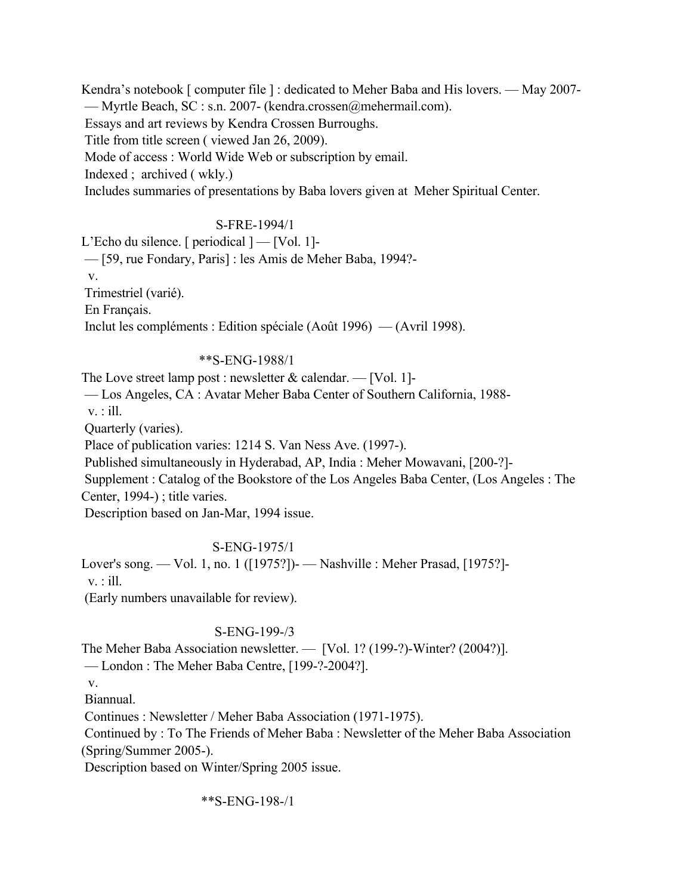Kendra's notebook [ computer file ] : dedicated to Meher Baba and His lovers. — May 2007-

— Myrtle Beach, SC : s.n. 2007- (kendra.crossen@mehermail.com).

Essays and art reviews by Kendra Crossen Burroughs.

Title from title screen ( viewed Jan 26, 2009).

Mode of access : World Wide Web or subscription by email.

Indexed ; archived ( wkly.)

Includes summaries of presentations by Baba lovers given at Meher Spiritual Center.

## S-FRE-1994/1

L'Echo du silence. [ periodical ] — [Vol. 1]-

— [59, rue Fondary, Paris] : les Amis de Meher Baba, 1994?-

v.

Trimestriel (varié).

En Français.

Inclut les compléments : Edition spéciale (Août 1996) — (Avril 1998).

## \*\*S-ENG-1988/1

The Love street lamp post : newsletter  $\&$  calendar. — [Vol. 1]-

— Los Angeles, CA : Avatar Meher Baba Center of Southern California, 1988-

v. : ill.

Quarterly (varies).

Place of publication varies: 1214 S. Van Ness Ave. (1997-).

Published simultaneously in Hyderabad, AP, India : Meher Mowavani, [200-?]-

Supplement : Catalog of the Bookstore of the Los Angeles Baba Center, (Los Angeles : The Center, 1994-) ; title varies.

Description based on Jan-Mar, 1994 issue.

# S-ENG-1975/1

Lover's song. — Vol. 1, no. 1 ([1975?])- — Nashville : Meher Prasad, [1975?] v. : ill.

(Early numbers unavailable for review).

# S-ENG-199-/3

The Meher Baba Association newsletter. — [Vol. 1? (199-?)-Winter? (2004?)]. — London : The Meher Baba Centre, [199-?-2004?].

v.

Biannual.

Continues : Newsletter / Meher Baba Association (1971-1975).

 Continued by : To The Friends of Meher Baba : Newsletter of the Meher Baba Association (Spring/Summer 2005-).

Description based on Winter/Spring 2005 issue.

\*\*S-ENG-198-/1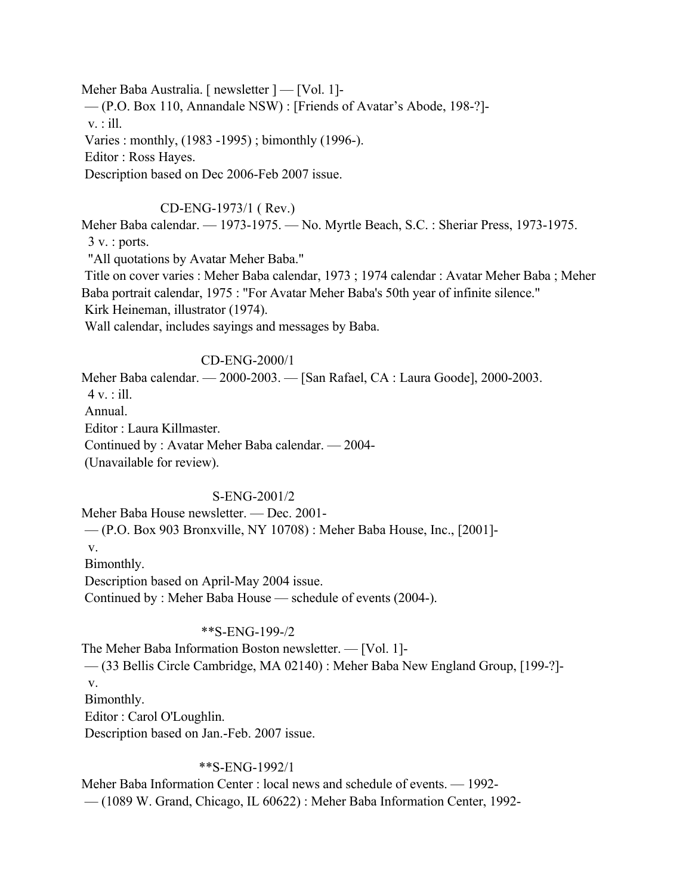Meher Baba Australia. [ newsletter ] — [Vol. 1]- — (P.O. Box 110, Annandale NSW) : [Friends of Avatar's Abode, 198-?]  $v$ . : ill. Varies : monthly, (1983 -1995) ; bimonthly (1996-). Editor : Ross Hayes. Description based on Dec 2006-Feb 2007 issue.

#### CD-ENG-1973/1 ( Rev.)

Meher Baba calendar. — 1973-1975. — No. Myrtle Beach, S.C. : Sheriar Press, 1973-1975.  $3 v$ . : ports.

"All quotations by Avatar Meher Baba."

 Title on cover varies : Meher Baba calendar, 1973 ; 1974 calendar : Avatar Meher Baba ; Meher Baba portrait calendar, 1975 : "For Avatar Meher Baba's 50th year of infinite silence."

Kirk Heineman, illustrator (1974).

Wall calendar, includes sayings and messages by Baba.

### CD-ENG-2000/1

Meher Baba calendar. — 2000-2003. — [San Rafael, CA : Laura Goode], 2000-2003.  $4 v.$ : ill. Annual. Editor : Laura Killmaster. Continued by : Avatar Meher Baba calendar. — 2004- (Unavailable for review).

#### S-ENG-2001/2

Meher Baba House newsletter. — Dec. 2001- — (P.O. Box 903 Bronxville, NY 10708) : Meher Baba House, Inc., [2001] v. Bimonthly. Description based on April-May 2004 issue. Continued by : Meher Baba House — schedule of events (2004-).

#### \*\*S-ENG-199-/2

The Meher Baba Information Boston newsletter. — [Vol. 1]-

— (33 Bellis Circle Cambridge, MA 02140) : Meher Baba New England Group, [199-?]-

v.

Bimonthly.

Editor : Carol O'Loughlin.

Description based on Jan.-Feb. 2007 issue.

#### \*\*S-ENG-1992/1

Meher Baba Information Center : local news and schedule of events. — 1992- — (1089 W. Grand, Chicago, IL 60622) : Meher Baba Information Center, 1992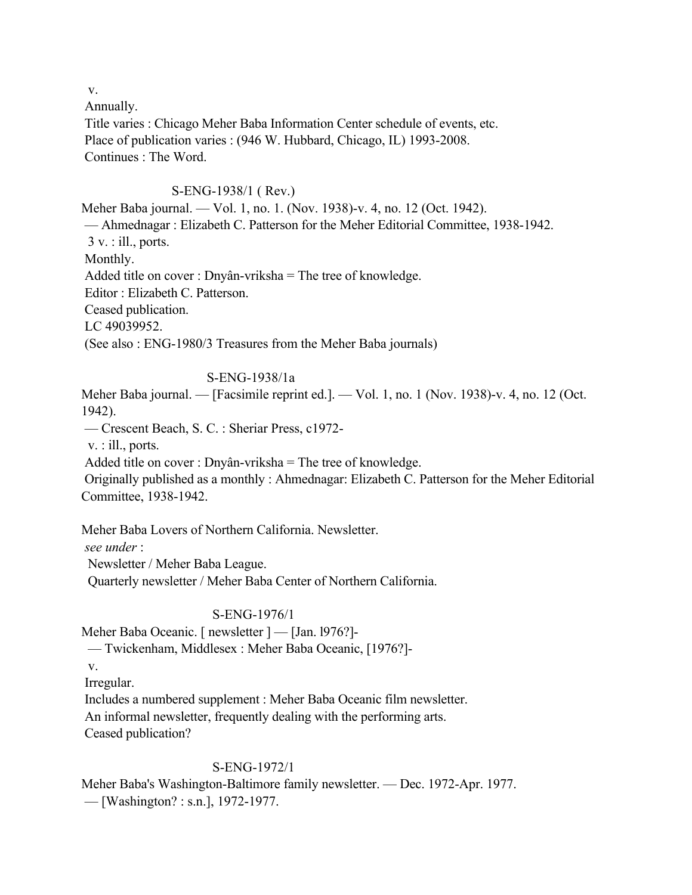v.

 Annually. Title varies : Chicago Meher Baba Information Center schedule of events, etc. Place of publication varies : (946 W. Hubbard, Chicago, IL) 1993-2008. Continues : The Word.

## S-ENG-1938/1 ( Rev.)

Meher Baba journal. — Vol. 1, no. 1. (Nov. 1938)-v. 4, no. 12 (Oct. 1942). — Ahmednagar : Elizabeth C. Patterson for the Meher Editorial Committee, 1938-1942.  $3 v.$ : ill., ports. Monthly. Added title on cover : Dnyân-vriksha = The tree of knowledge. Editor : Elizabeth C. Patterson. Ceased publication. LC 49039952. (See also : ENG-1980/3 Treasures from the Meher Baba journals)

## S-ENG-1938/1a

Meher Baba journal. — [Facsimile reprint ed.]. — Vol. 1, no. 1 (Nov. 1938)-v. 4, no. 12 (Oct. 1942).

— Crescent Beach, S. C. : Sheriar Press, c1972-

v. : ill., ports.

Added title on cover : Dnyân-vriksha = The tree of knowledge.

 Originally published as a monthly : Ahmednagar: Elizabeth C. Patterson for the Meher Editorial Committee, 1938-1942.

Meher Baba Lovers of Northern California. Newsletter.

*see under* :

Newsletter / Meher Baba League.

Quarterly newsletter / Meher Baba Center of Northern California.

## S-ENG-1976/1

Meher Baba Oceanic. [ newsletter ] — [Jan. 1976?]-

— Twickenham, Middlesex : Meher Baba Oceanic, [1976?]-

v.

Irregular.

 Includes a numbered supplement : Meher Baba Oceanic film newsletter. An informal newsletter, frequently dealing with the performing arts.

Ceased publication?

# S-ENG-1972/1

Meher Baba's Washington-Baltimore family newsletter. — Dec. 1972-Apr. 1977. — [Washington? : s.n.], 1972-1977.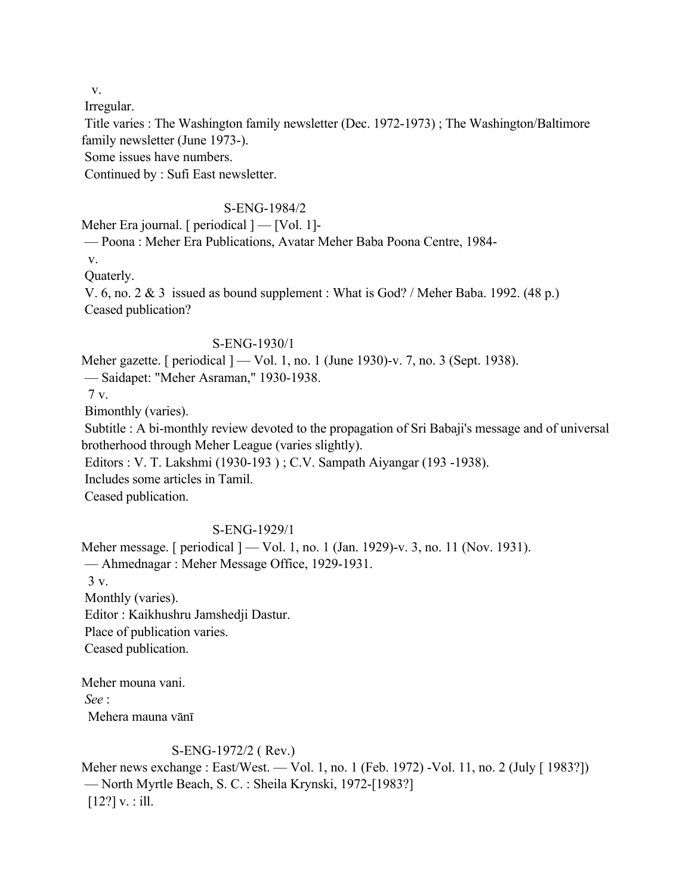v.

Irregular.

 Title varies : The Washington family newsletter (Dec. 1972-1973) ; The Washington/Baltimore family newsletter (June 1973-).

Some issues have numbers.

Continued by : Sufi East newsletter.

# S-ENG-1984/2

Meher Era journal. [ periodical ] — [Vol. 1]-

— Poona : Meher Era Publications, Avatar Meher Baba Poona Centre, 1984-

v.

Quaterly.

 V. 6, no. 2 & 3 issued as bound supplement : What is God? / Meher Baba. 1992. (48 p.) Ceased publication?

## S-ENG-1930/1

Meher gazette. [ periodical ] — Vol. 1, no. 1 (June 1930)-v. 7, no. 3 (Sept. 1938).

— Saidapet: "Meher Asraman," 1930-1938.

7 v.

Bimonthly (varies).

 Subtitle : A bi-monthly review devoted to the propagation of Sri Babaji's message and of universal brotherhood through Meher League (varies slightly).

Editors : V. T. Lakshmi (1930-193 ) ; C.V. Sampath Aiyangar (193 -1938).

Includes some articles in Tamil.

Ceased publication.

# S-ENG-1929/1

Meher message. [ periodical ] — Vol. 1, no. 1 (Jan. 1929)-v. 3, no. 11 (Nov. 1931). — Ahmednagar : Meher Message Office, 1929-1931. 3 v. Monthly (varies). Editor : Kaikhushru Jamshedji Dastur. Place of publication varies. Ceased publication.

Meher mouna vani. *See* : Mehera mauna vānī

# S-ENG-1972/2 ( Rev.)

Meher news exchange : East/West. — Vol. 1, no. 1 (Feb. 1972) -Vol. 11, no. 2 (July [ 1983?]) — North Myrtle Beach, S. C. : Sheila Krynski, 1972-[1983?]  $[12?]$  v. : ill.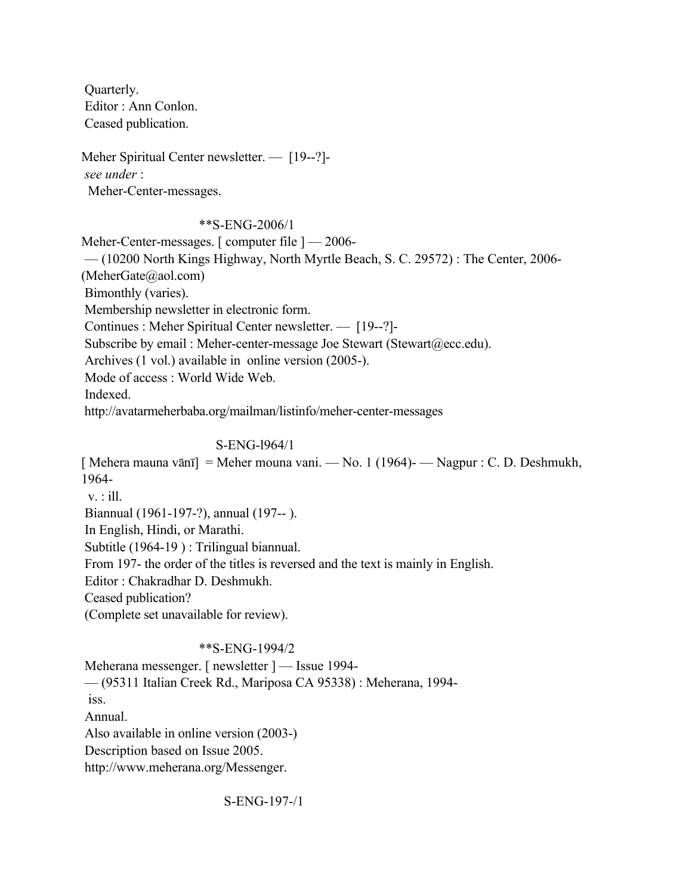Quarterly. Editor : Ann Conlon. Ceased publication.

Meher Spiritual Center newsletter. — [19--?]  *see under* : Meher-Center-messages.

# \*\*S-ENG-2006/1

Meher-Center-messages. [ computer file  $]-2006-$ 

— (10200 North Kings Highway, North Myrtle Beach, S. C. 29572) : The Center, 2006-

(MeherGate@aol.com)

Bimonthly (varies).

Membership newsletter in electronic form.

Continues : Meher Spiritual Center newsletter. — [19--?]-

Subscribe by email : Meher-center-message Joe Stewart (Stewart @ecc.edu).

Archives (1 vol.) available in online version (2005-).

Mode of access : World Wide Web.

Indexed.

http://avatarmeherbaba.org/mailman/listinfo/meher-center-messages

# S-ENG-l964/1

[ Mehera mauna vānī] = Meher mouna vani. — No. 1 (1964)- — Nagpur : C. D. Deshmukh, 1964  $v$ . : ill. Biannual (1961-197-?), annual (197-- ). In English, Hindi, or Marathi. Subtitle (1964-19 ) : Trilingual biannual. From 197- the order of the titles is reversed and the text is mainly in English. Editor : Chakradhar D. Deshmukh. Ceased publication? (Complete set unavailable for review).

# \*\*S-ENG-1994/2

 Meherana messenger. [ newsletter ] — Issue 1994- — (95311 Italian Creek Rd., Mariposa CA 95338) : Meherana, 1994 iss. Annual. Also available in online version (2003-) Description based on Issue 2005. http://www.meherana.org/Messenger.

S-ENG-197-/1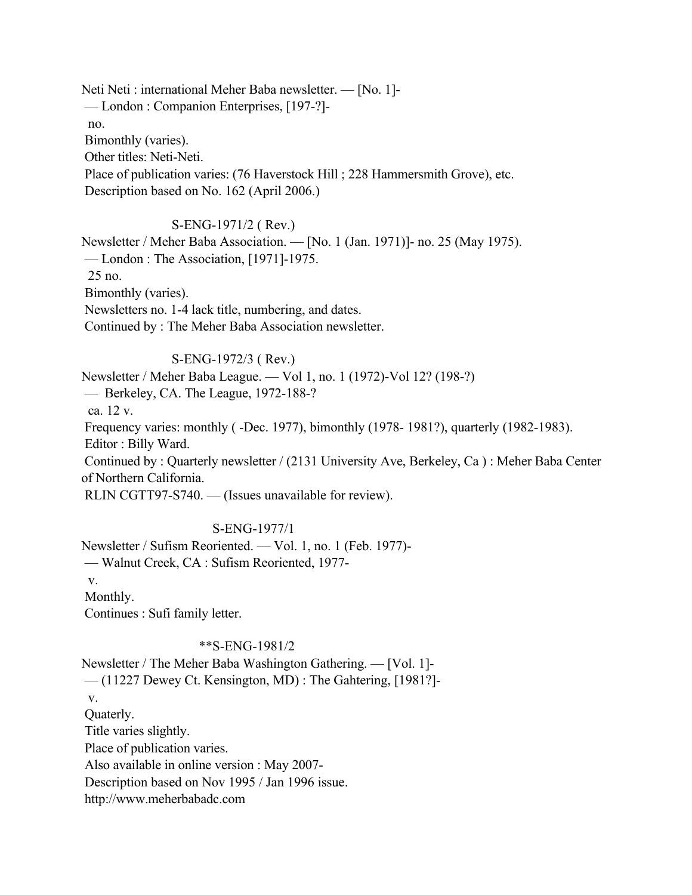Neti Neti : international Meher Baba newsletter. — [No. 1]- — London : Companion Enterprises, [197-?] no. Bimonthly (varies). Other titles: Neti-Neti. Place of publication varies: (76 Haverstock Hill ; 228 Hammersmith Grove), etc. Description based on No. 162 (April 2006.)

# S-ENG-1971/2 ( Rev.)

Newsletter / Meher Baba Association. — [No. 1 (Jan. 1971)]- no. 25 (May 1975). — London : The Association, [1971]-1975. 25 no. Bimonthly (varies). Newsletters no. 1-4 lack title, numbering, and dates. Continued by : The Meher Baba Association newsletter.

## S-ENG-1972/3 ( Rev.)

Newsletter / Meher Baba League. — Vol 1, no. 1 (1972)-Vol 12? (198-?) — Berkeley, CA. The League, 1972-188-? ca. 12 v. Frequency varies: monthly ( -Dec. 1977), bimonthly (1978- 1981?), quarterly (1982-1983). Editor : Billy Ward. Continued by : Quarterly newsletter / (2131 University Ave, Berkeley, Ca ) : Meher Baba Center of Northern California. RLIN CGTT97-S740. — (Issues unavailable for review).

# S-ENG-1977/1

Newsletter / Sufism Reoriented. — Vol. 1, no. 1 (Feb. 1977)- — Walnut Creek, CA : Sufism Reoriented, 1977 v. Monthly.

Continues : Sufi family letter.

# \*\*S-ENG-1981/2

Newsletter / The Meher Baba Washington Gathering. — [Vol. 1]- — (11227 Dewey Ct. Kensington, MD) : The Gahtering, [1981?] v. Quaterly. Title varies slightly. Place of publication varies. Also available in online version : May 2007- Description based on Nov 1995 / Jan 1996 issue. http://www.meherbabadc.com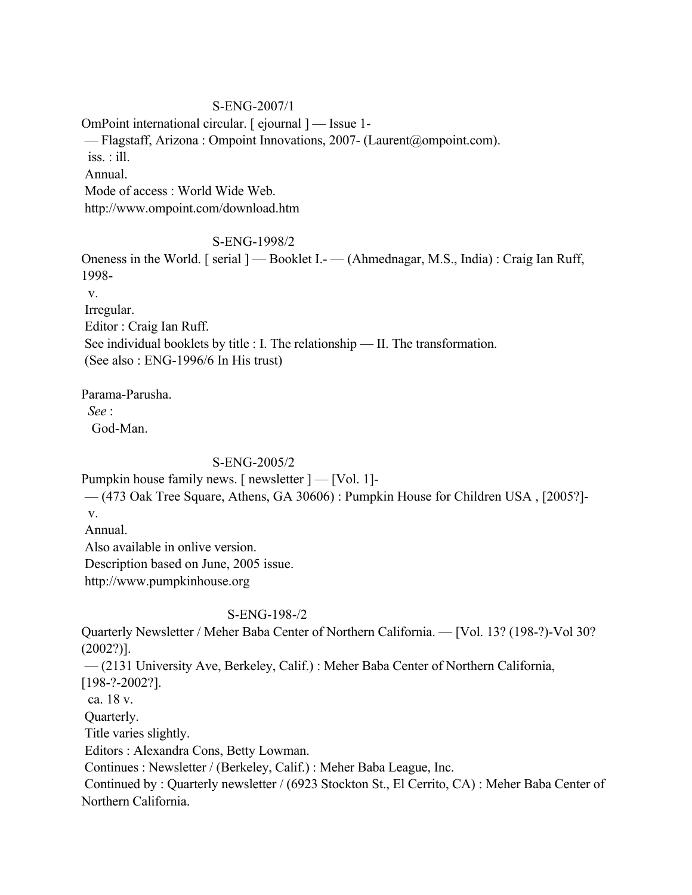# S-ENG-2007/1

OmPoint international circular. [ ejournal ] — Issue 1- — Flagstaff, Arizona : Ompoint Innovations, 2007- (Laurent@ompoint.com). iss. : ill. Annual. Mode of access : World Wide Web. http://www.ompoint.com/download.htm

# S-ENG-1998/2

Oneness in the World. [ serial ] — Booklet I.- — (Ahmednagar, M.S., India) : Craig Ian Ruff, 1998-

v.

Irregular.

Editor : Craig Ian Ruff.

See individual booklets by title : I. The relationship — II. The transformation.

(See also : ENG-1996/6 In His trust)

Parama-Parusha.

 *See* :

God-Man.

# S-ENG-2005/2

Pumpkin house family news. [ newsletter  $]-$  [Vol. 1]-

 — (473 Oak Tree Square, Athens, GA 30606) : Pumpkin House for Children USA , [2005?] v.

Annual.

Also available in onlive version.

Description based on June, 2005 issue.

http://www.pumpkinhouse.org

# S-ENG-198-/2

Quarterly Newsletter / Meher Baba Center of Northern California. — [Vol. 13? (198-?)-Vol 30? (2002?)].

— (2131 University Ave, Berkeley, Calif.) : Meher Baba Center of Northern California,

[198-?-2002?].

ca. 18 v.

Quarterly.

Title varies slightly.

Editors : Alexandra Cons, Betty Lowman.

Continues : Newsletter / (Berkeley, Calif.) : Meher Baba League, Inc.

 Continued by : Quarterly newsletter / (6923 Stockton St., El Cerrito, CA) : Meher Baba Center of Northern California.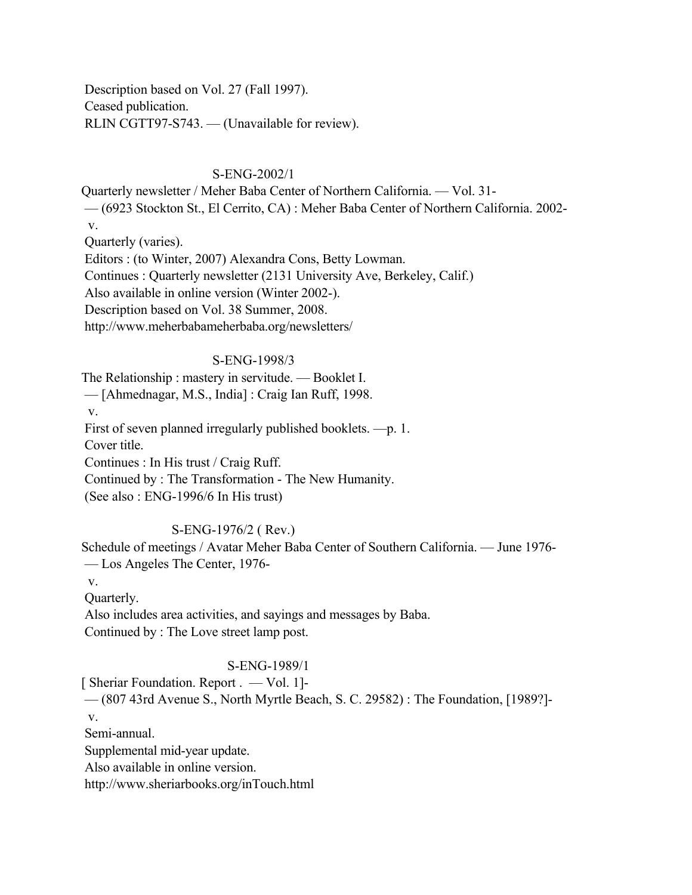Description based on Vol. 27 (Fall 1997). Ceased publication. RLIN CGTT97-S743. — (Unavailable for review).

# S-ENG-2002/1

Quarterly newsletter / Meher Baba Center of Northern California. — Vol. 31- — (6923 Stockton St., El Cerrito, CA) : Meher Baba Center of Northern California. 2002 v.

Quarterly (varies).

Editors : (to Winter, 2007) Alexandra Cons, Betty Lowman.

Continues : Quarterly newsletter (2131 University Ave, Berkeley, Calif.)

Also available in online version (Winter 2002-).

Description based on Vol. 38 Summer, 2008.

http://www.meherbabameherbaba.org/newsletters/

# S-ENG-1998/3

The Relationship : mastery in servitude. — Booklet I.

— [Ahmednagar, M.S., India] : Craig Ian Ruff, 1998.

v.

First of seven planned irregularly published booklets. —p. 1.

Cover title.

Continues : In His trust / Craig Ruff.

Continued by : The Transformation - The New Humanity.

(See also : ENG-1996/6 In His trust)

# S-ENG-1976/2 ( Rev.)

Schedule of meetings / Avatar Meher Baba Center of Southern California. — June 1976- — Los Angeles The Center, 1976-

v.

Quarterly.

 Also includes area activities, and sayings and messages by Baba. Continued by : The Love street lamp post.

# S-ENG-1989/1

[ Sheriar Foundation. Report . — Vol. 1]- — (807 43rd Avenue S., North Myrtle Beach, S. C. 29582) : The Foundation, [1989?]-

v.

Semi-annual.

Supplemental mid-year update.

Also available in online version.

http://www.sheriarbooks.org/inTouch.html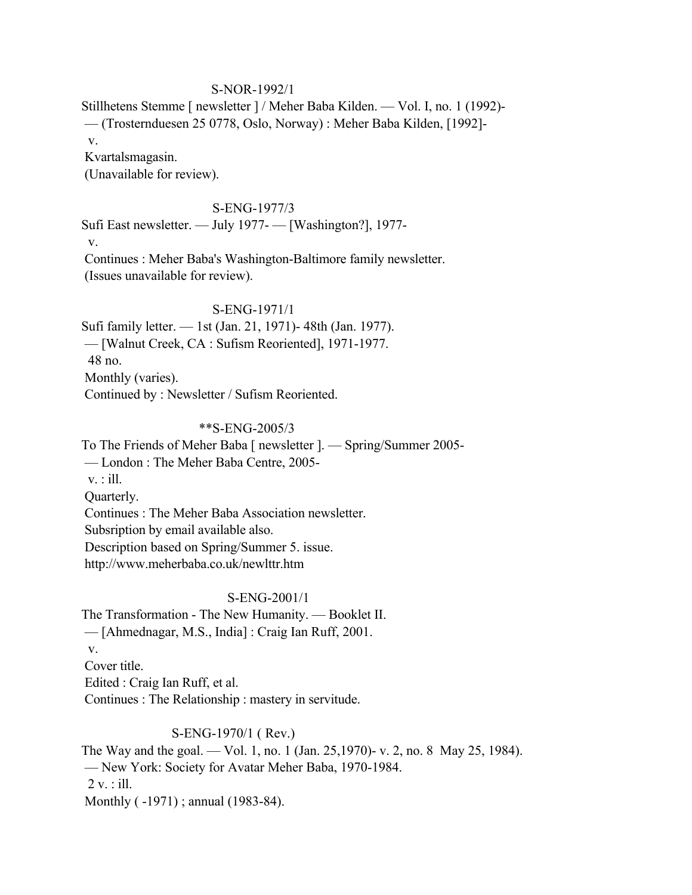## S-NOR-1992/1

Stillhetens Stemme [ newsletter ] / Meher Baba Kilden. — Vol. I, no. 1 (1992)- — (Trosternduesen 25 0778, Oslo, Norway) : Meher Baba Kilden, [1992] v.

Kvartalsmagasin.

(Unavailable for review).

# S-ENG-1977/3

Sufi East newsletter. — July 1977- — [Washington?], 1977 v. Continues : Meher Baba's Washington-Baltimore family newsletter. (Issues unavailable for review).

### S-ENG-1971/1

Sufi family letter. — 1st (Jan. 21, 1971)- 48th (Jan. 1977). — [Walnut Creek, CA : Sufism Reoriented], 1971-1977. 48 no. Monthly (varies). Continued by : Newsletter / Sufism Reoriented.

#### \*\*S-ENG-2005/3

To The Friends of Meher Baba [ newsletter ]. — Spring/Summer 2005- — London : The Meher Baba Centre, 2005 v. : ill. Quarterly. Continues : The Meher Baba Association newsletter. Subsription by email available also. Description based on Spring/Summer 5. issue. http://www.meherbaba.co.uk/newlttr.htm

## S-ENG-2001/1

The Transformation - The New Humanity. — Booklet II. — [Ahmednagar, M.S., India] : Craig Ian Ruff, 2001. v. Cover title. Edited : Craig Ian Ruff, et al. Continues : The Relationship : mastery in servitude.

### S-ENG-1970/1 ( Rev.)

The Way and the goal. — Vol. 1, no. 1 (Jan. 25,1970)- v. 2, no. 8 May 25, 1984). — New York: Society for Avatar Meher Baba, 1970-1984.  $2 v.$ : ill. Monthly ( -1971) ; annual (1983-84).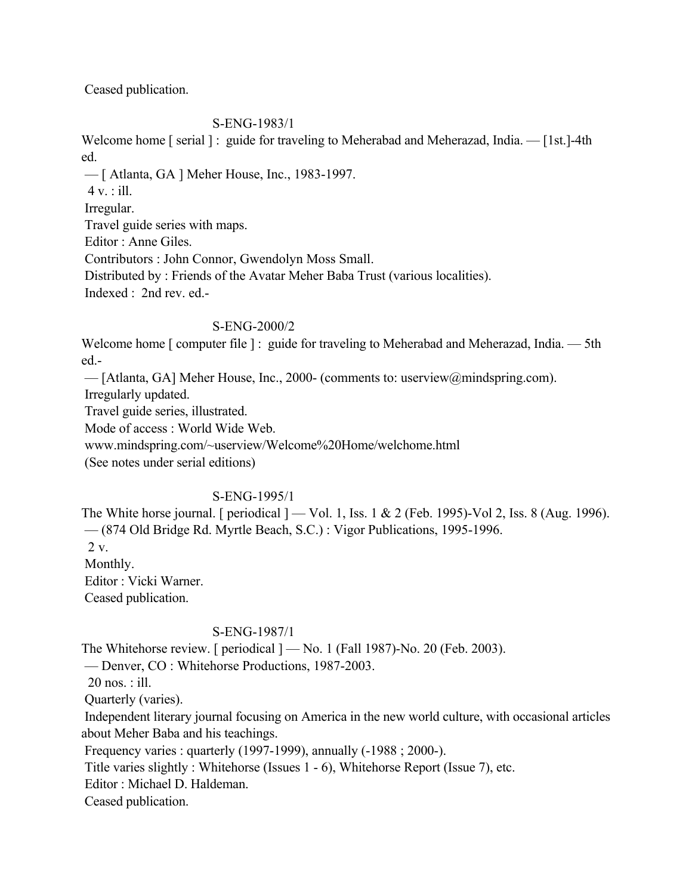Ceased publication.

# S-ENG-1983/1

Welcome home [ serial ] : guide for traveling to Meherabad and Meherazad, India. — [1st.]-4th ed.

— [ Atlanta, GA ] Meher House, Inc., 1983-1997.

 $4 v.$ : ill.

Irregular.

Travel guide series with maps.

Editor : Anne Giles.

Contributors : John Connor, Gwendolyn Moss Small.

Distributed by : Friends of the Avatar Meher Baba Trust (various localities).

Indexed : 2nd rev. ed.-

# S-ENG-2000/2

Welcome home [ computer file ] : guide for traveling to Meherabad and Meherazad, India. — 5th ed.-

— [Atlanta, GA] Meher House, Inc., 2000- (comments to: userview@mindspring.com).

Irregularly updated.

Travel guide series, illustrated.

Mode of access : World Wide Web.

www.mindspring.com/~userview/Welcome%20Home/welchome.html

(See notes under serial editions)

# S-ENG-1995/1

The White horse journal. [ periodical  $]-$  Vol. 1, Iss. 1 & 2 (Feb. 1995)-Vol 2, Iss. 8 (Aug. 1996). — (874 Old Bridge Rd. Myrtle Beach, S.C.) : Vigor Publications, 1995-1996.

2 v.

Monthly.

Editor : Vicki Warner.

Ceased publication.

# S-ENG-1987/1

The Whitehorse review. [ periodical  $]-$  No. 1 (Fall 1987)-No. 20 (Feb. 2003).

— Denver, CO : Whitehorse Productions, 1987-2003.

20 nos. : ill.

Quarterly (varies).

 Independent literary journal focusing on America in the new world culture, with occasional articles about Meher Baba and his teachings.

Frequency varies : quarterly (1997-1999), annually (-1988 ; 2000-).

Title varies slightly : Whitehorse (Issues 1 - 6), Whitehorse Report (Issue 7), etc.

Editor : Michael D. Haldeman.

Ceased publication.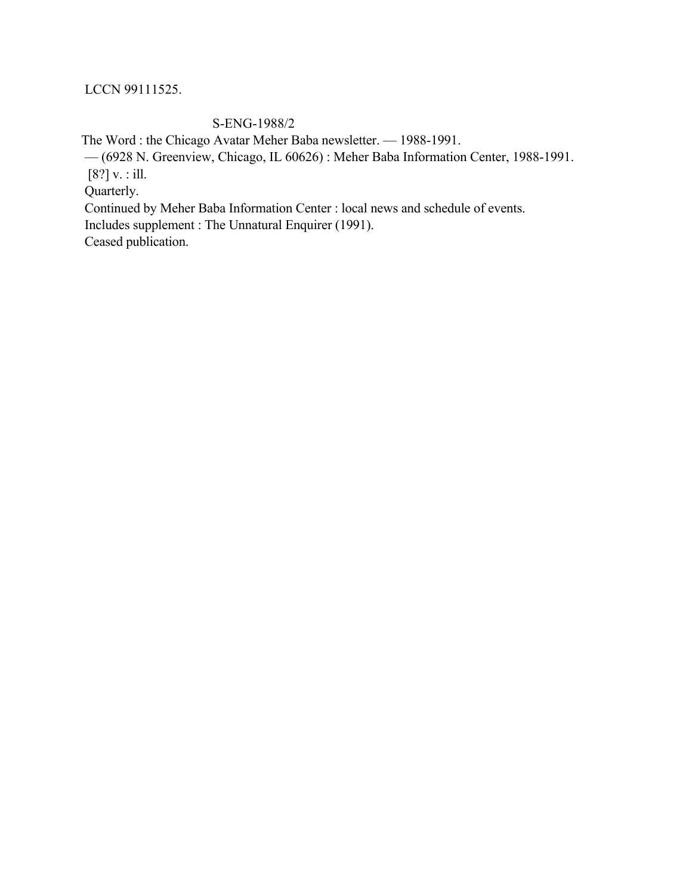# LCCN 99111525.

# S-ENG-1988/2

The Word : the Chicago Avatar Meher Baba newsletter. — 1988-1991.

— (6928 N. Greenview, Chicago, IL 60626) : Meher Baba Information Center, 1988-1991.

[8?] v. : ill.

Quarterly.

Continued by Meher Baba Information Center : local news and schedule of events.

Includes supplement : The Unnatural Enquirer (1991).

Ceased publication.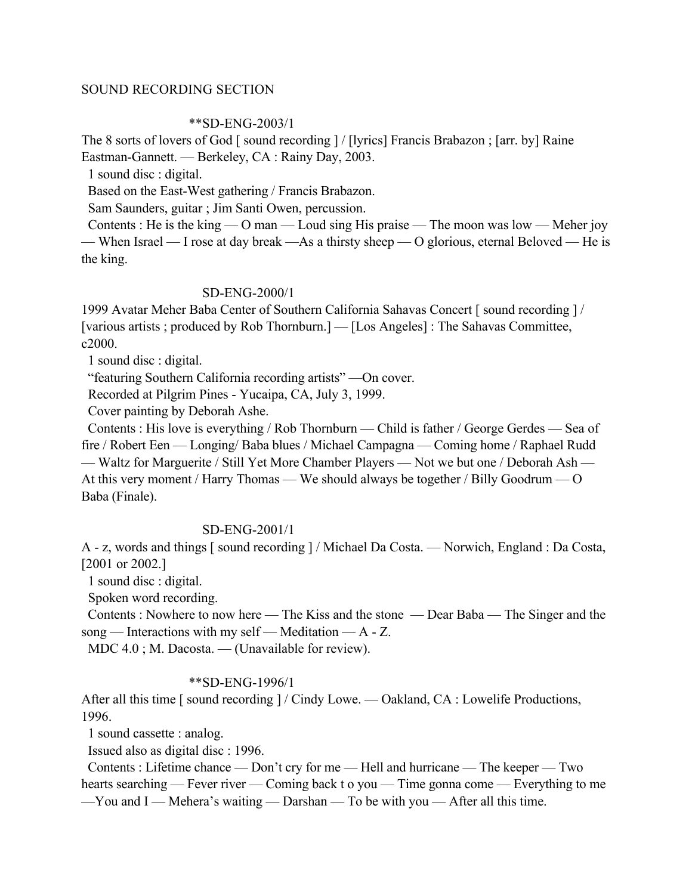### SOUND RECORDING SECTION

#### \*\*SD-ENG-2003/1

The 8 sorts of lovers of God [ sound recording ] / [lyrics] Francis Brabazon ; [arr. by] Raine Eastman-Gannett. — Berkeley, CA : Rainy Day, 2003.

1 sound disc : digital.

Based on the East-West gathering / Francis Brabazon.

Sam Saunders, guitar ; Jim Santi Owen, percussion.

Contents : He is the king  $-$  O man  $-$  Loud sing His praise  $-$  The moon was low  $-$  Meher joy — When Israel — I rose at day break —As a thirsty sheep — O glorious, eternal Beloved — He is the king.

### SD-ENG-2000/1

1999 Avatar Meher Baba Center of Southern California Sahavas Concert [ sound recording ] / [various artists ; produced by Rob Thornburn.] — [Los Angeles] : The Sahavas Committee, c2000.

1 sound disc : digital.

"featuring Southern California recording artists" —On cover.

Recorded at Pilgrim Pines - Yucaipa, CA, July 3, 1999.

Cover painting by Deborah Ashe.

 Contents : His love is everything / Rob Thornburn — Child is father / George Gerdes — Sea of fire / Robert Een — Longing/ Baba blues / Michael Campagna — Coming home / Raphael Rudd — Waltz for Marguerite / Still Yet More Chamber Players — Not we but one / Deborah Ash — At this very moment / Harry Thomas — We should always be together / Billy Goodrum — O Baba (Finale).

# SD-ENG-2001/1

A - z, words and things [ sound recording ] / Michael Da Costa. — Norwich, England : Da Costa, [2001 or 2002.]

1 sound disc : digital.

Spoken word recording.

 Contents : Nowhere to now here — The Kiss and the stone — Dear Baba — The Singer and the song — Interactions with my self — Meditation —  $A - Z$ .

MDC 4.0 ; M. Dacosta. — (Unavailable for review).

### \*\*SD-ENG-1996/1

After all this time [ sound recording ] / Cindy Lowe. — Oakland, CA : Lowelife Productions, 1996.

1 sound cassette : analog.

Issued also as digital disc : 1996.

 Contents : Lifetime chance — Don't cry for me — Hell and hurricane — The keeper — Two hearts searching — Fever river — Coming back t o you — Time gonna come — Everything to me

—You and I — Mehera's waiting — Darshan — To be with you — After all this time.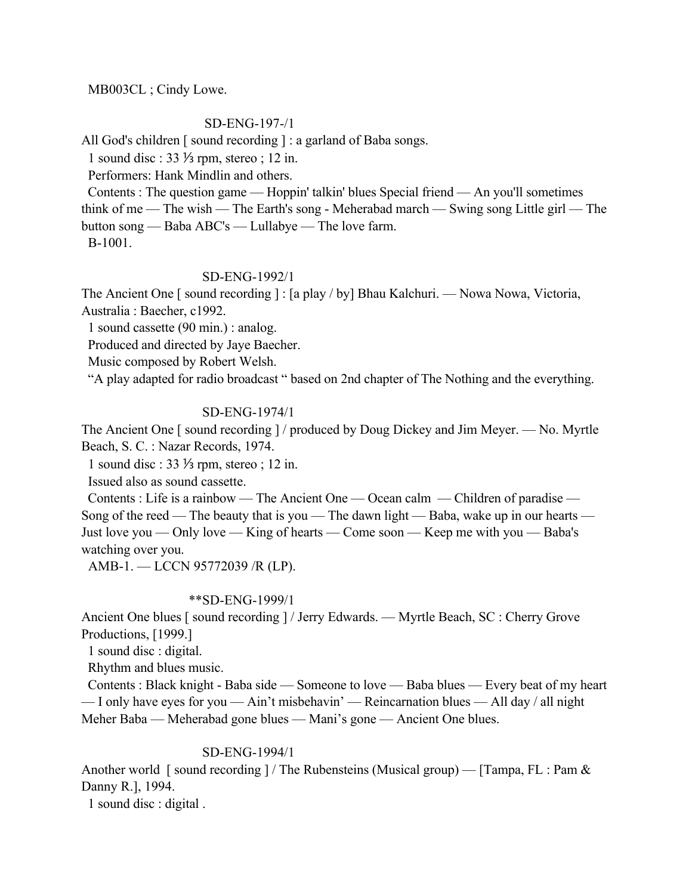## MB003CL ; Cindy Lowe.

### SD-ENG-197-/1

All God's children [ sound recording ] : a garland of Baba songs.

1 sound disc : 33 ⅓ rpm, stereo ; 12 in.

Performers: Hank Mindlin and others.

 Contents : The question game — Hoppin' talkin' blues Special friend — An you'll sometimes think of me — The wish — The Earth's song - Meherabad march — Swing song Little girl — The button song — Baba ABC's — Lullabye — The love farm.

B-1001.

### SD-ENG-1992/1

The Ancient One [ sound recording ] : [a play / by] Bhau Kalchuri. — Nowa Nowa, Victoria, Australia : Baecher, c1992.

1 sound cassette (90 min.) : analog.

Produced and directed by Jaye Baecher.

Music composed by Robert Welsh.

"A play adapted for radio broadcast " based on 2nd chapter of The Nothing and the everything.

## SD-ENG-1974/1

The Ancient One [ sound recording ] / produced by Doug Dickey and Jim Meyer. — No. Myrtle Beach, S. C. : Nazar Records, 1974.

1 sound disc : 33 ⅓ rpm, stereo ; 12 in.

Issued also as sound cassette.

 Contents : Life is a rainbow — The Ancient One — Ocean calm — Children of paradise — Song of the reed — The beauty that is you — The dawn light — Baba, wake up in our hearts — Just love you — Only love — King of hearts — Come soon — Keep me with you — Baba's watching over you.

AMB-1. — LCCN 95772039 /R (LP).

### \*\*SD-ENG-1999/1

Ancient One blues [ sound recording ] / Jerry Edwards. — Myrtle Beach, SC : Cherry Grove Productions, [1999.]

1 sound disc : digital.

Rhythm and blues music.

 Contents : Black knight - Baba side — Someone to love — Baba blues — Every beat of my heart — I only have eyes for you — Ain't misbehavin' — Reincarnation blues — All day / all night Meher Baba — Meherabad gone blues — Mani's gone — Ancient One blues.

### SD-ENG-1994/1

Another world [sound recording ] / The Rubensteins (Musical group) — [Tampa, FL : Pam  $\&$ Danny R.], 1994.

1 sound disc : digital .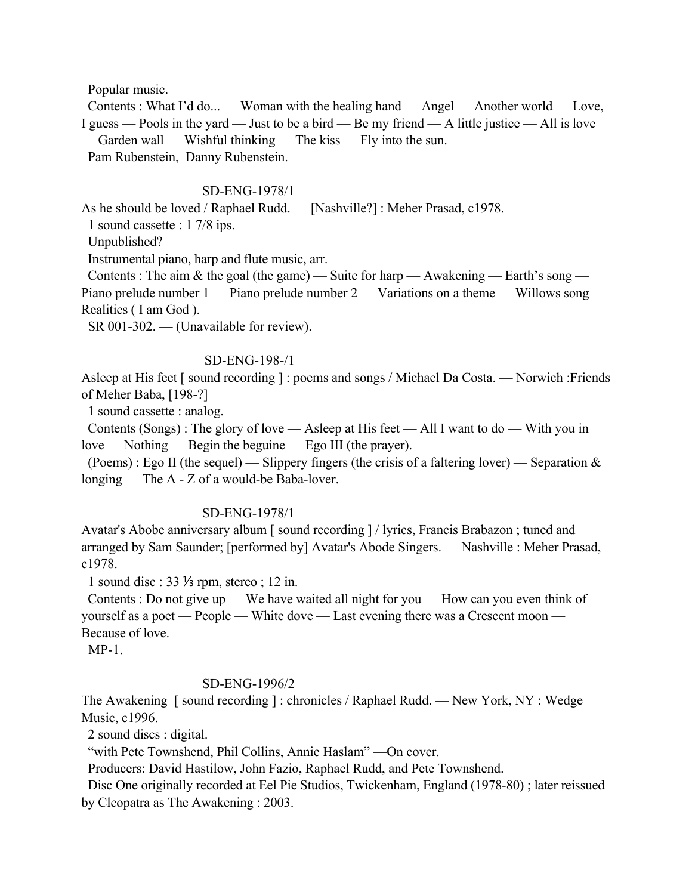Popular music.

 Contents : What I'd do... — Woman with the healing hand — Angel — Another world — Love, I guess — Pools in the yard — Just to be a bird — Be my friend — A little justice — All is love — Garden wall — Wishful thinking — The kiss — Fly into the sun. Pam Rubenstein, Danny Rubenstein.

### SD-ENG-1978/1

As he should be loved / Raphael Rudd. — [Nashville?] : Meher Prasad, c1978.

1 sound cassette : 1 7/8 ips.

Unpublished?

Instrumental piano, harp and flute music, arr.

Contents : The aim & the goal (the game) — Suite for harp — Awakening — Earth's song — Piano prelude number  $1 -$  Piano prelude number  $2 -$  Variations on a theme  $-$  Willows song  $-$ Realities ( I am God ).

SR 001-302. — (Unavailable for review).

### SD-ENG-198-/1

Asleep at His feet [ sound recording ] : poems and songs / Michael Da Costa. — Norwich :Friends of Meher Baba, [198-?]

1 sound cassette : analog.

 Contents (Songs) : The glory of love — Asleep at His feet — All I want to do — With you in love — Nothing — Begin the beguine — Ego III (the prayer).

 (Poems) : Ego II (the sequel) — Slippery fingers (the crisis of a faltering lover) — Separation & longing — The A - Z of a would-be Baba-lover.

### SD-ENG-1978/1

Avatar's Abobe anniversary album [ sound recording ] / lyrics, Francis Brabazon ; tuned and arranged by Sam Saunder; [performed by] Avatar's Abode Singers. — Nashville : Meher Prasad, c1978.

1 sound disc : 33 ⅓ rpm, stereo ; 12 in.

 Contents : Do not give up — We have waited all night for you — How can you even think of yourself as a poet — People — White dove — Last evening there was a Crescent moon — Because of love.

 $MP-1$ 

### SD-ENG-1996/2

The Awakening [ sound recording ] : chronicles / Raphael Rudd. — New York, NY : Wedge Music, c1996.

2 sound discs : digital.

"with Pete Townshend, Phil Collins, Annie Haslam" — On cover.

Producers: David Hastilow, John Fazio, Raphael Rudd, and Pete Townshend.

 Disc One originally recorded at Eel Pie Studios, Twickenham, England (1978-80) ; later reissued by Cleopatra as The Awakening : 2003.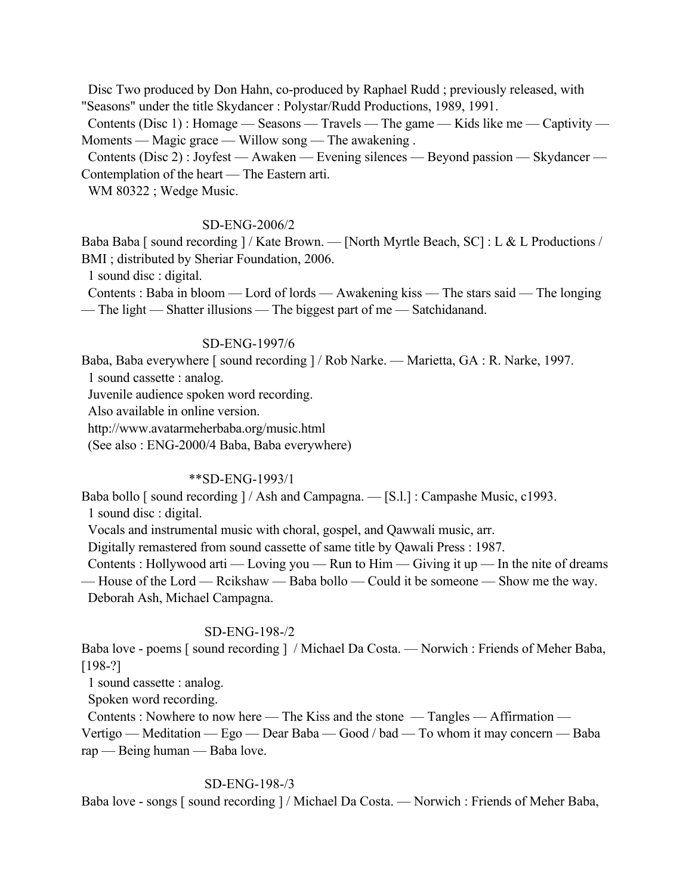Disc Two produced by Don Hahn, co-produced by Raphael Rudd ; previously released, with "Seasons" under the title Skydancer : Polystar/Rudd Productions, 1989, 1991.

 Contents (Disc 1) : Homage — Seasons — Travels — The game — Kids like me — Captivity — Moments — Magic grace — Willow song — The awakening .

 Contents (Disc 2) : Joyfest — Awaken — Evening silences — Beyond passion — Skydancer — Contemplation of the heart — The Eastern arti.

WM 80322 ; Wedge Music.

## SD-ENG-2006/2

Baba Baba [ sound recording ] / Kate Brown. — [North Myrtle Beach, SC] : L & L Productions / BMI ; distributed by Sheriar Foundation, 2006.

1 sound disc : digital.

 Contents : Baba in bloom — Lord of lords — Awakening kiss — The stars said — The longing — The light — Shatter illusions — The biggest part of me — Satchidanand.

#### SD-ENG-1997/6

Baba, Baba everywhere [ sound recording ] / Rob Narke. — Marietta, GA : R. Narke, 1997.

1 sound cassette : analog.

Juvenile audience spoken word recording.

Also available in online version.

http://www.avatarmeherbaba.org/music.html

(See also : ENG-2000/4 Baba, Baba everywhere)

# \*\*SD-ENG-1993/1

Baba bollo [ sound recording ] / Ash and Campagna. — [S.l.] : Campashe Music, c1993. 1 sound disc : digital.

Vocals and instrumental music with choral, gospel, and Qawwali music, arr.

Digitally remastered from sound cassette of same title by Qawali Press : 1987.

Contents : Hollywood arti — Loving you — Run to Him — Giving it up — In the nite of dreams — House of the Lord — Rcikshaw — Baba bollo — Could it be someone — Show me the way.

Deborah Ash, Michael Campagna.

#### SD-ENG-198-/2

Baba love - poems [ sound recording ] / Michael Da Costa. — Norwich : Friends of Meher Baba, [198-?]

1 sound cassette : analog.

Spoken word recording.

Contents : Nowhere to now here — The Kiss and the stone — Tangles — Affirmation —

Vertigo — Meditation — Ego — Dear Baba — Good / bad — To whom it may concern — Baba rap — Being human — Baba love.

### SD-ENG-198-/3

Baba love - songs [ sound recording ] / Michael Da Costa. — Norwich : Friends of Meher Baba,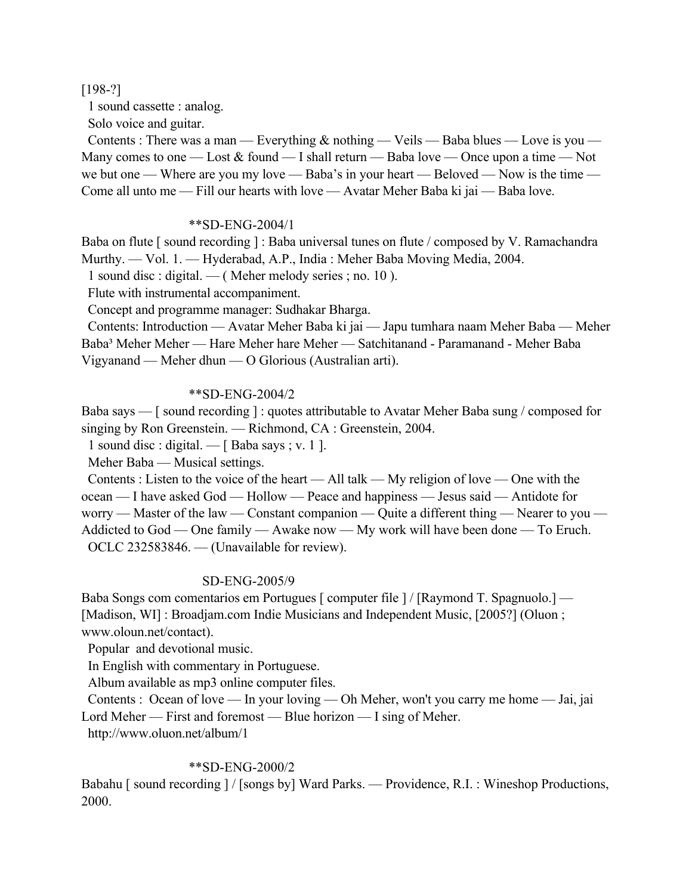[198-?]

1 sound cassette : analog.

Solo voice and guitar.

Contents : There was a man — Everything  $\&$  nothing — Veils — Baba blues — Love is you — Many comes to one — Lost  $&$  found — I shall return — Baba love — Once upon a time — Not we but one — Where are you my love — Baba's in your heart — Beloved — Now is the time — Come all unto me — Fill our hearts with love — Avatar Meher Baba ki jai — Baba love.

## \*\*SD-ENG-2004/1

Baba on flute [ sound recording ] : Baba universal tunes on flute / composed by V. Ramachandra Murthy. — Vol. 1. — Hyderabad, A.P., India : Meher Baba Moving Media, 2004.

1 sound disc : digital. — ( Meher melody series ; no. 10 ).

Flute with instrumental accompaniment.

Concept and programme manager: Sudhakar Bharga.

 Contents: Introduction — Avatar Meher Baba ki jai — Japu tumhara naam Meher Baba — Meher Baba³ Meher Meher — Hare Meher hare Meher — Satchitanand - Paramanand - Meher Baba Vigyanand — Meher dhun — O Glorious (Australian arti).

## \*\*SD-ENG-2004/2

Baba says — [ sound recording ] : quotes attributable to Avatar Meher Baba sung / composed for singing by Ron Greenstein. — Richmond, CA : Greenstein, 2004.

1 sound disc : digital. —  $\lceil$  Baba says ; v. 1  $\rceil$ .

Meher Baba — Musical settings.

 Contents : Listen to the voice of the heart — All talk — My religion of love — One with the ocean — I have asked God — Hollow — Peace and happiness — Jesus said — Antidote for worry — Master of the law — Constant companion — Quite a different thing — Nearer to you — Addicted to God — One family — Awake now — My work will have been done — To Eruch. OCLC 232583846. — (Unavailable for review).

### SD-ENG-2005/9

Baba Songs com comentarios em Portugues [ computer file ] / [Raymond T. Spagnuolo.] — [Madison, WI] : Broadjam.com Indie Musicians and Independent Music, [2005?] (Oluon ; www.oloun.net/contact).

Popular and devotional music.

In English with commentary in Portuguese.

Album available as mp3 online computer files.

 Contents : Ocean of love — In your loving — Oh Meher, won't you carry me home — Jai, jai Lord Meher — First and foremost — Blue horizon — I sing of Meher.

http://www.oluon.net/album/1

# \*\*SD-ENG-2000/2

Babahu [ sound recording ] / [songs by] Ward Parks. — Providence, R.I. : Wineshop Productions, 2000.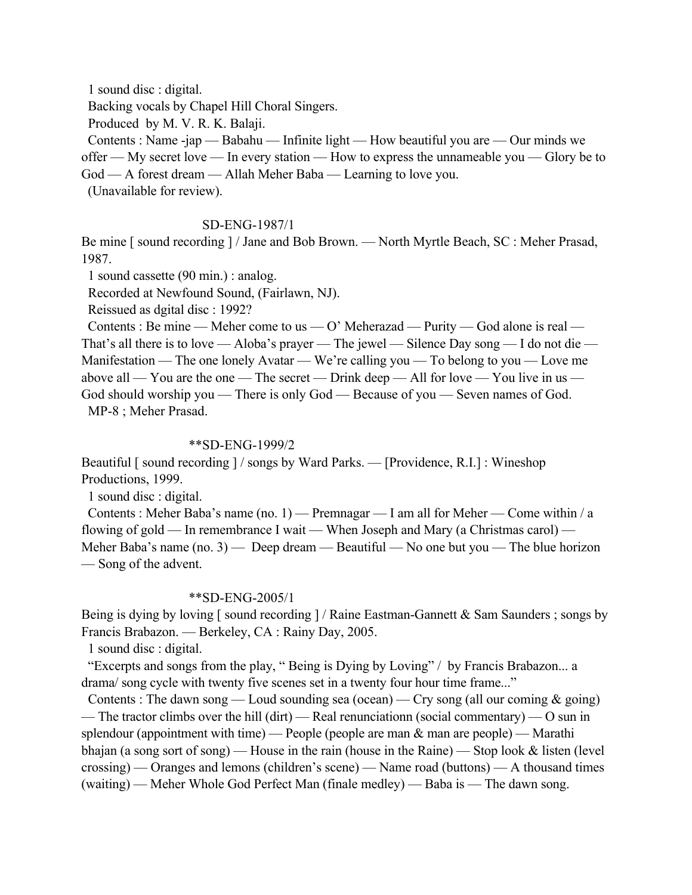1 sound disc : digital. Backing vocals by Chapel Hill Choral Singers. Produced by M. V. R. K. Balaji. Contents : Name -jap — Babahu — Infinite light — How beautiful you are — Our minds we offer — My secret love — In every station — How to express the unnameable you — Glory be to God — A forest dream — Allah Meher Baba — Learning to love you.

(Unavailable for review).

### SD-ENG-1987/1

Be mine [ sound recording ] / Jane and Bob Brown. — North Myrtle Beach, SC : Meher Prasad, 1987.

1 sound cassette (90 min.) : analog.

Recorded at Newfound Sound, (Fairlawn, NJ).

Reissued as dgital disc : 1992?

Contents : Be mine — Meher come to us — O' Meherazad — Purity — God alone is real — That's all there is to love — Aloba's prayer — The jewel — Silence Day song — I do not die — Manifestation — The one lonely Avatar — We're calling you — To belong to you — Love me above all — You are the one — The secret — Drink deep — All for love — You live in us — God should worship you — There is only God — Because of you — Seven names of God. MP-8 ; Meher Prasad.

#### \*\*SD-ENG-1999/2

Beautiful [ sound recording ] / songs by Ward Parks. — [Providence, R.I.] : Wineshop Productions, 1999.

1 sound disc : digital.

 Contents : Meher Baba's name (no. 1) — Premnagar — I am all for Meher — Come within / a flowing of gold — In remembrance I wait — When Joseph and Mary (a Christmas carol) — Meher Baba's name (no. 3) — Deep dream — Beautiful — No one but you — The blue horizon — Song of the advent.

### \*\*SD-ENG-2005/1

Being is dying by loving [ sound recording ] / Raine Eastman-Gannett & Sam Saunders ; songs by Francis Brabazon. — Berkeley, CA : Rainy Day, 2005.

1 sound disc : digital.

 "Excerpts and songs from the play, " Being is Dying by Loving" / by Francis Brabazon... a drama/ song cycle with twenty five scenes set in a twenty four hour time frame..."

Contents : The dawn song — Loud sounding sea (ocean) — Cry song (all our coming  $\&$  going) — The tractor climbs over the hill (dirt) — Real renunciationn (social commentary) — O sun in splendour (appointment with time) — People (people are man  $\&$  man are people) — Marathi bhajan (a song sort of song) — House in the rain (house in the Raine) — Stop look & listen (level crossing) — Oranges and lemons (children's scene) — Name road (buttons) — A thousand times (waiting) — Meher Whole God Perfect Man (finale medley) — Baba is — The dawn song.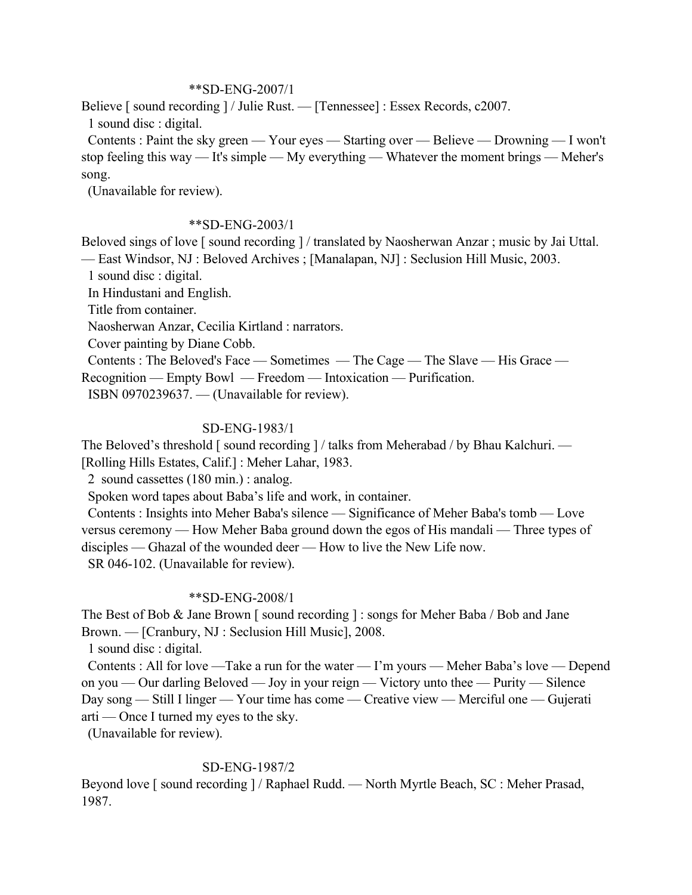### \*\*SD-ENG-2007/1

Believe [ sound recording ] / Julie Rust. — [Tennessee] : Essex Records, c2007. 1 sound disc : digital.

 Contents : Paint the sky green — Your eyes — Starting over — Believe — Drowning — I won't stop feeling this way — It's simple — My everything — Whatever the moment brings — Meher's song.

(Unavailable for review).

## \*\*SD-ENG-2003/1

Beloved sings of love [ sound recording ] / translated by Naosherwan Anzar ; music by Jai Uttal. — East Windsor, NJ : Beloved Archives ; [Manalapan, NJ] : Seclusion Hill Music, 2003.

1 sound disc : digital.

In Hindustani and English.

Title from container.

Naosherwan Anzar, Cecilia Kirtland : narrators.

Cover painting by Diane Cobb.

 Contents : The Beloved's Face — Sometimes — The Cage — The Slave — His Grace — Recognition — Empty Bowl — Freedom — Intoxication — Purification.

ISBN 0970239637. — (Unavailable for review).

# SD-ENG-1983/1

The Beloved's threshold [sound recording ] / talks from Meherabad / by Bhau Kalchuri. — [Rolling Hills Estates, Calif.] : Meher Lahar, 1983.

2 sound cassettes (180 min.) : analog.

Spoken word tapes about Baba's life and work, in container.

 Contents : Insights into Meher Baba's silence — Significance of Meher Baba's tomb — Love versus ceremony — How Meher Baba ground down the egos of His mandali — Three types of disciples — Ghazal of the wounded deer — How to live the New Life now.

SR 046-102. (Unavailable for review).

# \*\*SD-ENG-2008/1

The Best of Bob & Jane Brown [ sound recording ] : songs for Meher Baba / Bob and Jane Brown. — [Cranbury, NJ : Seclusion Hill Music], 2008.

1 sound disc : digital.

 Contents : All for love —Take a run for the water — I'm yours — Meher Baba's love — Depend on you — Our darling Beloved — Joy in your reign — Victory unto thee — Purity — Silence Day song — Still I linger — Your time has come — Creative view — Merciful one — Gujerati arti — Once I turned my eyes to the sky.

(Unavailable for review).

# SD-ENG-1987/2

Beyond love [ sound recording ] / Raphael Rudd. — North Myrtle Beach, SC : Meher Prasad, 1987.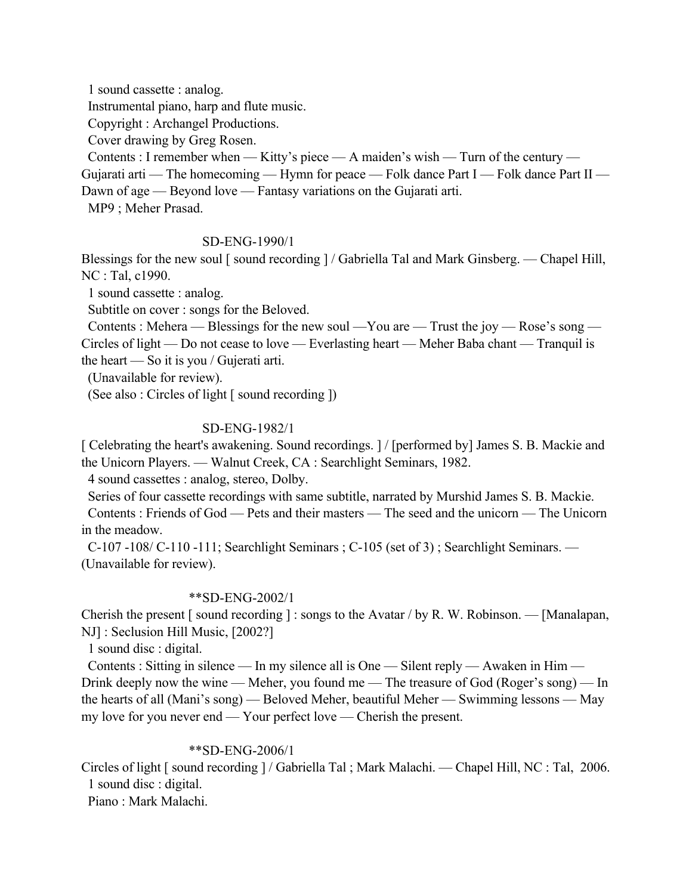1 sound cassette : analog.

Instrumental piano, harp and flute music.

Copyright : Archangel Productions.

Cover drawing by Greg Rosen.

Contents : I remember when — Kitty's piece — A maiden's wish — Turn of the century —

Gujarati arti — The homecoming — Hymn for peace — Folk dance Part I — Folk dance Part II — Dawn of age — Beyond love — Fantasy variations on the Gujarati arti.

MP9 ; Meher Prasad.

# SD-ENG-1990/1

Blessings for the new soul [ sound recording ] / Gabriella Tal and Mark Ginsberg. — Chapel Hill, NC : Tal, c1990.

1 sound cassette : analog.

Subtitle on cover : songs for the Beloved.

 Contents : Mehera — Blessings for the new soul —You are — Trust the joy — Rose's song — Circles of light — Do not cease to love — Everlasting heart — Meher Baba chant — Tranquil is the heart — So it is you / Gujerati arti.

(Unavailable for review).

(See also : Circles of light [ sound recording ])

# SD-ENG-1982/1

[ Celebrating the heart's awakening. Sound recordings. ] / [performed by] James S. B. Mackie and the Unicorn Players. — Walnut Creek, CA : Searchlight Seminars, 1982.

4 sound cassettes : analog, stereo, Dolby.

 Series of four cassette recordings with same subtitle, narrated by Murshid James S. B. Mackie. Contents : Friends of God — Pets and their masters — The seed and the unicorn — The Unicorn in the meadow.

 C-107 -108/ C-110 -111; Searchlight Seminars ; C-105 (set of 3) ; Searchlight Seminars. — (Unavailable for review).

### \*\*SD-ENG-2002/1

Cherish the present [ sound recording ] : songs to the Avatar / by R. W. Robinson. — [Manalapan, NJ] : Seclusion Hill Music, [2002?]

1 sound disc : digital.

 Contents : Sitting in silence — In my silence all is One — Silent reply — Awaken in Him — Drink deeply now the wine — Meher, you found me — The treasure of God (Roger's song) — In the hearts of all (Mani's song) — Beloved Meher, beautiful Meher — Swimming lessons — May my love for you never end — Your perfect love — Cherish the present.

### \*\*SD-ENG-2006/1

Circles of light [ sound recording ] / Gabriella Tal ; Mark Malachi. — Chapel Hill, NC : Tal, 2006. 1 sound disc : digital.

Piano : Mark Malachi.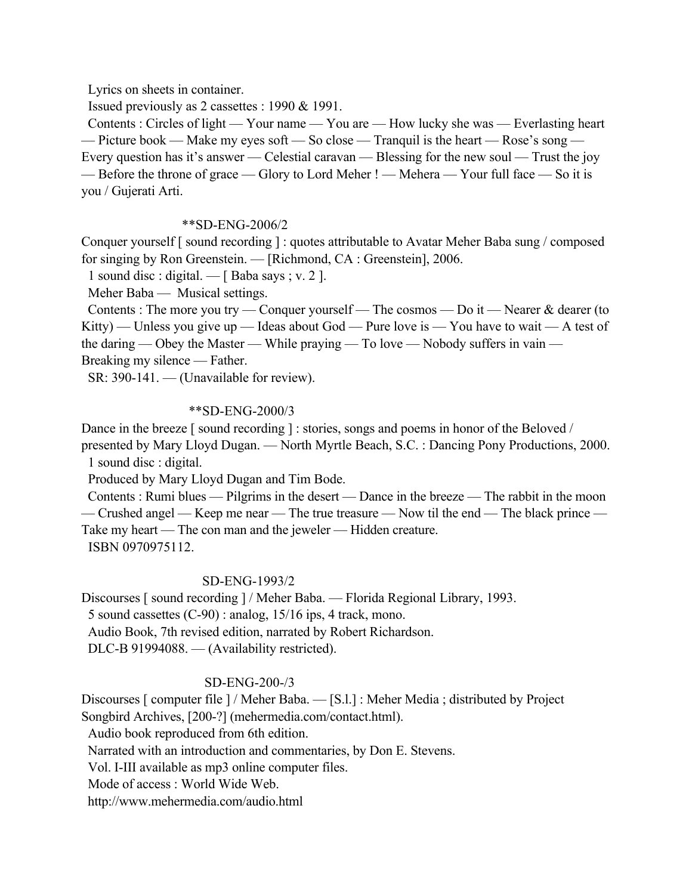Lyrics on sheets in container.

Issued previously as 2 cassettes : 1990 & 1991.

 Contents : Circles of light — Your name — You are — How lucky she was — Everlasting heart — Picture book — Make my eyes soft — So close — Tranquil is the heart — Rose's song — Every question has it's answer — Celestial caravan — Blessing for the new soul — Trust the joy — Before the throne of grace — Glory to Lord Meher ! — Mehera — Your full face — So it is you / Gujerati Arti.

## \*\*SD-ENG-2006/2

Conquer yourself [ sound recording ] : quotes attributable to Avatar Meher Baba sung / composed for singing by Ron Greenstein. — [Richmond, CA : Greenstein], 2006.

1 sound disc : digital. — [ Baba says ; v. 2 ].

Meher Baba — Musical settings.

Contents : The more you try — Conquer yourself — The cosmos — Do it — Nearer  $\&$  dearer (to Kitty) — Unless you give up — Ideas about God — Pure love is — You have to wait — A test of the daring — Obey the Master — While praying — To love — Nobody suffers in vain — Breaking my silence — Father.

SR: 390-141. — (Unavailable for review).

## \*\*SD-ENG-2000/3

Dance in the breeze [ sound recording ] : stories, songs and poems in honor of the Beloved /

presented by Mary Lloyd Dugan. — North Myrtle Beach, S.C. : Dancing Pony Productions, 2000. 1 sound disc : digital.

Produced by Mary Lloyd Dugan and Tim Bode.

 Contents : Rumi blues — Pilgrims in the desert — Dance in the breeze — The rabbit in the moon — Crushed angel — Keep me near — The true treasure — Now til the end — The black prince —

Take my heart — The con man and the jeweler — Hidden creature. ISBN 0970975112.

### SD-ENG-1993/2

Discourses [ sound recording ] / Meher Baba. — Florida Regional Library, 1993.

5 sound cassettes (C-90) : analog, 15/16 ips, 4 track, mono.

Audio Book, 7th revised edition, narrated by Robert Richardson.

DLC-B 91994088. — (Availability restricted).

# SD-ENG-200-/3

Discourses [ computer file ] / Meher Baba. — [S.l.] : Meher Media ; distributed by Project Songbird Archives, [200-?] (mehermedia.com/contact.html).

Audio book reproduced from 6th edition.

Narrated with an introduction and commentaries, by Don E. Stevens.

Vol. I-III available as mp3 online computer files.

Mode of access : World Wide Web.

http://www.mehermedia.com/audio.html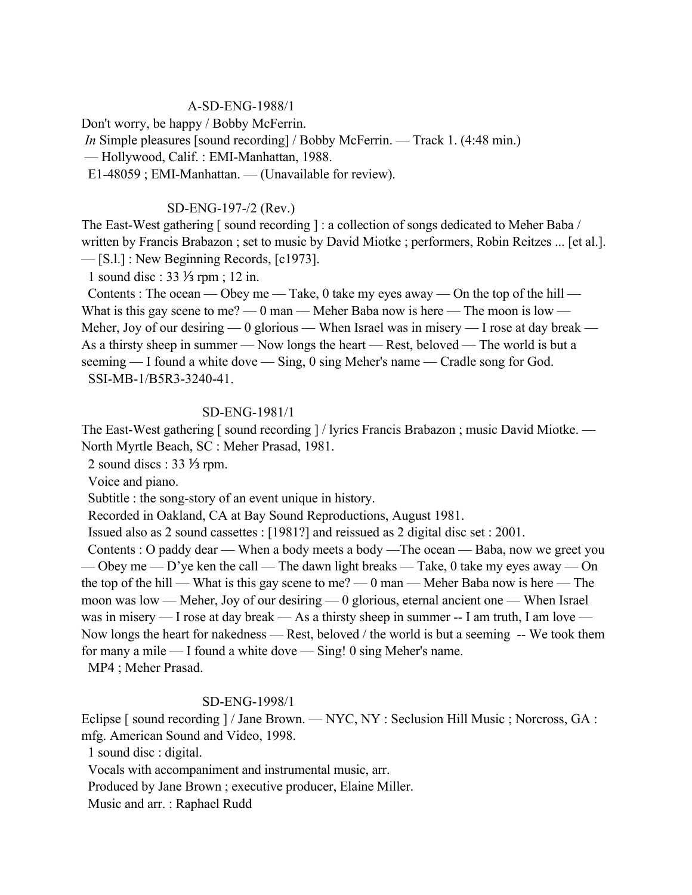# A-SD-ENG-1988/1

Don't worry, be happy / Bobby McFerrin.

*In* Simple pleasures [sound recording] / Bobby McFerrin. — Track 1. (4:48 min.)

— Hollywood, Calif. : EMI-Manhattan, 1988.

E1-48059 ; EMI-Manhattan. — (Unavailable for review).

## SD-ENG-197-/2 (Rev.)

The East-West gathering [ sound recording ] : a collection of songs dedicated to Meher Baba / written by Francis Brabazon ; set to music by David Miotke ; performers, Robin Reitzes ... [et al.]. — [S.l.] : New Beginning Records, [c1973].

1 sound disc : 33 ⅓ rpm ; 12 in.

Contents : The ocean — Obey me — Take, 0 take my eyes away — On the top of the hill — What is this gay scene to me? — 0 man — Meher Baba now is here — The moon is low — Meher, Joy of our desiring — 0 glorious — When Israel was in misery — I rose at day break — As a thirsty sheep in summer — Now longs the heart — Rest, beloved — The world is but a seeming — I found a white dove — Sing, 0 sing Meher's name — Cradle song for God. SSI-MB-1/B5R3-3240-41.

## SD-ENG-1981/1

The East-West gathering [ sound recording ] / lyrics Francis Brabazon ; music David Miotke. — North Myrtle Beach, SC : Meher Prasad, 1981.

2 sound discs : 33 ⅓ rpm.

Voice and piano.

Subtitle : the song-story of an event unique in history.

Recorded in Oakland, CA at Bay Sound Reproductions, August 1981.

Issued also as 2 sound cassettes : [1981?] and reissued as 2 digital disc set : 2001.

 Contents : O paddy dear — When a body meets a body —The ocean — Baba, now we greet you — Obey me — D'ye ken the call — The dawn light breaks — Take, 0 take my eyes away — On the top of the hill — What is this gay scene to me? — 0 man — Meher Baba now is here — The moon was low — Meher, Joy of our desiring — 0 glorious, eternal ancient one — When Israel was in misery — I rose at day break — As a thirsty sheep in summer -- I am truth, I am love — Now longs the heart for nakedness — Rest, beloved / the world is but a seeming -- We took them for many a mile — I found a white dove — Sing! 0 sing Meher's name. MP4 ; Meher Prasad.

# SD-ENG-1998/1

Eclipse [ sound recording ] / Jane Brown. — NYC, NY : Seclusion Hill Music ; Norcross, GA : mfg. American Sound and Video, 1998.

1 sound disc : digital.

Vocals with accompaniment and instrumental music, arr.

Produced by Jane Brown ; executive producer, Elaine Miller.

Music and arr. : Raphael Rudd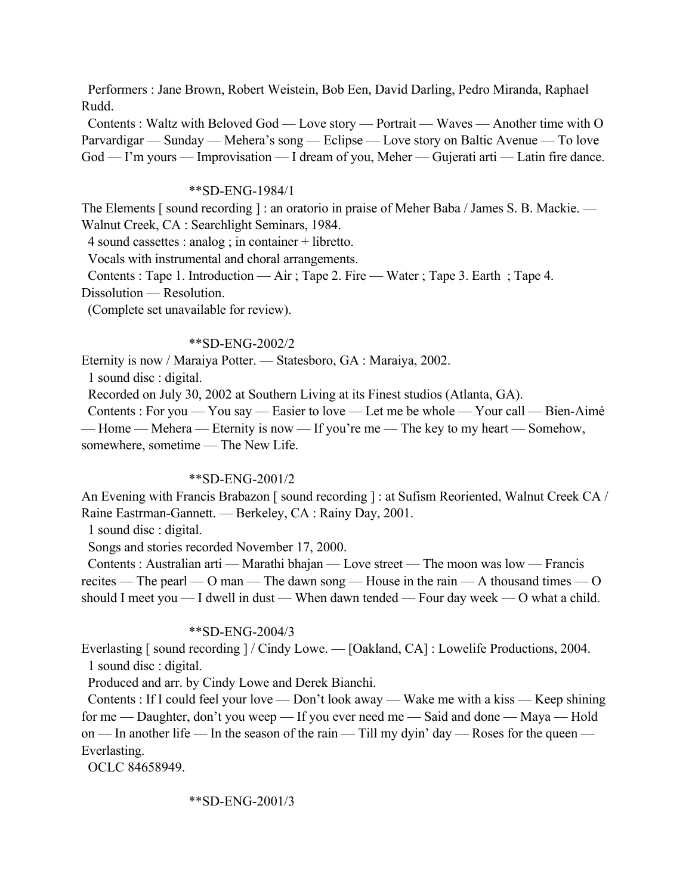Performers : Jane Brown, Robert Weistein, Bob Een, David Darling, Pedro Miranda, Raphael Rudd.

 Contents : Waltz with Beloved God — Love story — Portrait — Waves — Another time with O Parvardigar — Sunday — Mehera's song — Eclipse — Love story on Baltic Avenue — To love God — I'm yours — Improvisation — I dream of you, Meher — Gujerati arti — Latin fire dance.

#### \*\*SD-ENG-1984/1

The Elements [sound recording] : an oratorio in praise of Meher Baba / James S. B. Mackie. — Walnut Creek, CA : Searchlight Seminars, 1984.

4 sound cassettes : analog ; in container + libretto.

Vocals with instrumental and choral arrangements.

Contents : Tape 1. Introduction — Air ; Tape 2. Fire — Water ; Tape 3. Earth ; Tape 4.

Dissolution — Resolution.

(Complete set unavailable for review).

#### \*\*SD-ENG-2002/2

Eternity is now / Maraiya Potter. — Statesboro, GA : Maraiya, 2002.

1 sound disc : digital.

Recorded on July 30, 2002 at Southern Living at its Finest studios (Atlanta, GA).

 Contents : For you — You say — Easier to love — Let me be whole — Your call — Bien-Aimé — Home — Mehera — Eternity is now — If you're me — The key to my heart — Somehow, somewhere, sometime — The New Life.

#### \*\*SD-ENG-2001/2

An Evening with Francis Brabazon [sound recording ] : at Sufism Reoriented, Walnut Creek CA / Raine Eastrman-Gannett. — Berkeley, CA : Rainy Day, 2001.

1 sound disc : digital.

Songs and stories recorded November 17, 2000.

 Contents : Australian arti — Marathi bhajan — Love street — The moon was low — Francis recites — The pearl — O man — The dawn song — House in the rain — A thousand times — O should I meet you — I dwell in dust — When dawn tended — Four day week — O what a child.

#### \*\*SD-ENG-2004/3

Everlasting [ sound recording ] / Cindy Lowe. — [Oakland, CA] : Lowelife Productions, 2004. 1 sound disc : digital.

Produced and arr. by Cindy Lowe and Derek Bianchi.

 Contents : If I could feel your love — Don't look away — Wake me with a kiss — Keep shining for me — Daughter, don't you weep — If you ever need me — Said and done — Maya — Hold on — In another life — In the season of the rain — Till my dyin' day — Roses for the queen — Everlasting.

OCLC 84658949.

#### \*\*SD-ENG-2001/3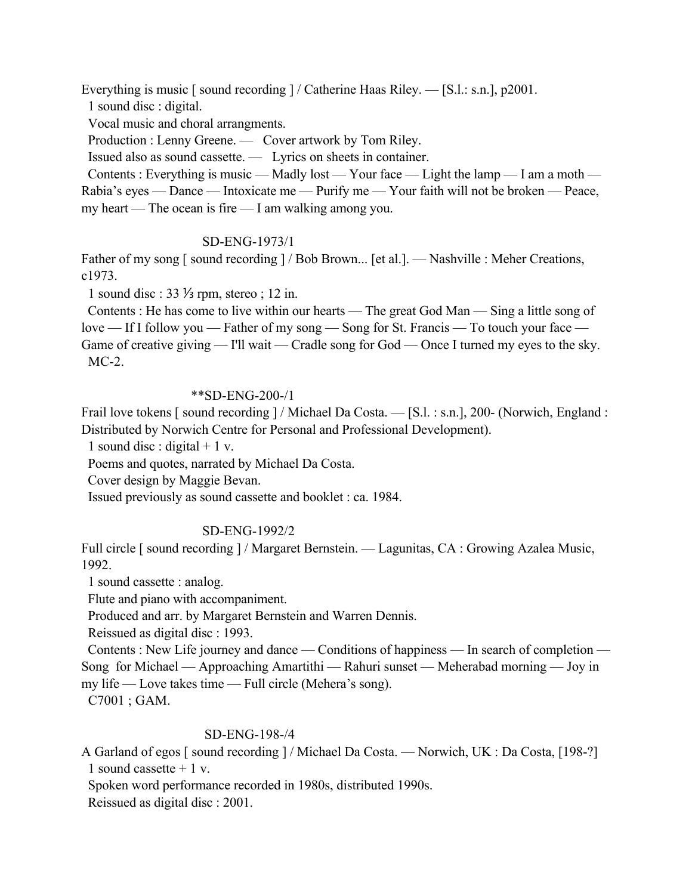Everything is music [sound recording ] / Catherine Haas Riley. — [S.l.: s.n.], p2001.

1 sound disc : digital.

Vocal music and choral arrangments.

Production : Lenny Greene. - Cover artwork by Tom Riley.

Issued also as sound cassette. — Lyrics on sheets in container.

Contents : Everything is music — Madly lost — Your face — Light the lamp — I am a moth — Rabia's eyes — Dance — Intoxicate me — Purify me — Your faith will not be broken — Peace, my heart — The ocean is fire — I am walking among you.

# SD-ENG-1973/1

Father of my song [ sound recording ] / Bob Brown... [et al.]. — Nashville : Meher Creations, c1973.

1 sound disc : 33 ⅓ rpm, stereo ; 12 in.

 Contents : He has come to live within our hearts — The great God Man — Sing a little song of love — If I follow you — Father of my song — Song for St. Francis — To touch your face — Game of creative giving — I'll wait — Cradle song for God — Once I turned my eyes to the sky. MC-2.

### \*\*SD-ENG-200-/1

Frail love tokens [ sound recording ] / Michael Da Costa. — [S.l. : s.n.], 200- (Norwich, England : Distributed by Norwich Centre for Personal and Professional Development).

1 sound disc : digital  $+ 1$  v.

Poems and quotes, narrated by Michael Da Costa.

Cover design by Maggie Bevan.

Issued previously as sound cassette and booklet : ca. 1984.

# SD-ENG-1992/2

Full circle [ sound recording ] / Margaret Bernstein. — Lagunitas, CA : Growing Azalea Music, 1992.

1 sound cassette : analog.

Flute and piano with accompaniment.

Produced and arr. by Margaret Bernstein and Warren Dennis.

Reissued as digital disc : 1993.

 Contents : New Life journey and dance — Conditions of happiness — In search of completion — Song for Michael — Approaching Amartithi — Rahuri sunset — Meherabad morning — Joy in my life — Love takes time — Full circle (Mehera's song).

C7001 ; GAM.

# SD-ENG-198-/4

A Garland of egos [ sound recording ] / Michael Da Costa. — Norwich, UK : Da Costa, [198-?] 1 sound cassette  $+1$  v.

Spoken word performance recorded in 1980s, distributed 1990s.

Reissued as digital disc : 2001.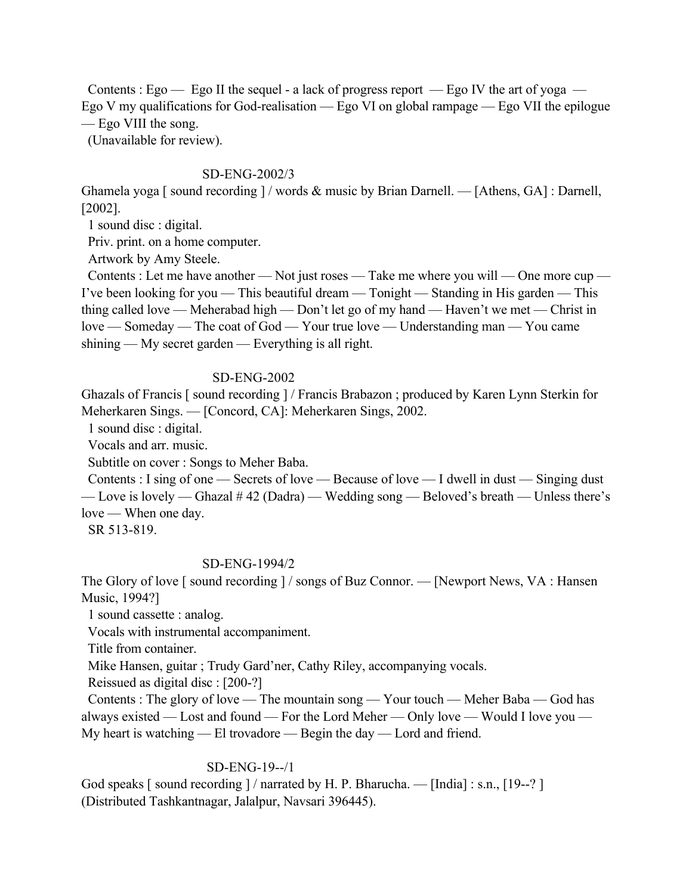Contents : Ego — Ego II the sequel - a lack of progress report — Ego IV the art of yoga — Ego V my qualifications for God-realisation — Ego VI on global rampage — Ego VII the epilogue — Ego VIII the song.

(Unavailable for review).

# SD-ENG-2002/3

Ghamela yoga [ sound recording  $\frac{1}{\omega}$  words & music by Brian Darnell. — [Athens, GA] : Darnell, [2002].

1 sound disc : digital.

Priv. print. on a home computer.

Artwork by Amy Steele.

 Contents : Let me have another — Not just roses — Take me where you will — One more cup — I've been looking for you — This beautiful dream — Tonight — Standing in His garden — This thing called love — Meherabad high — Don't let go of my hand — Haven't we met — Christ in love — Someday — The coat of God — Your true love — Understanding man — You came shining — My secret garden — Everything is all right.

# SD-ENG-2002

Ghazals of Francis [ sound recording ] / Francis Brabazon ; produced by Karen Lynn Sterkin for Meherkaren Sings. — [Concord, CA]: Meherkaren Sings, 2002.

1 sound disc : digital.

Vocals and arr. music.

Subtitle on cover : Songs to Meher Baba.

 Contents : I sing of one — Secrets of love — Because of love — I dwell in dust — Singing dust — Love is lovely — Ghazal # 42 (Dadra) — Wedding song — Beloved's breath — Unless there's love — When one day.

SR 513-819.

# SD-ENG-1994/2

The Glory of love [ sound recording ] / songs of Buz Connor. — [Newport News, VA : Hansen] Music, 1994?]

1 sound cassette : analog.

Vocals with instrumental accompaniment.

Title from container.

Mike Hansen, guitar ; Trudy Gard'ner, Cathy Riley, accompanying vocals.

Reissued as digital disc : [200-?]

 Contents : The glory of love — The mountain song — Your touch — Meher Baba — God has always existed — Lost and found — For the Lord Meher — Only love — Would I love you — My heart is watching — El trovadore — Begin the day — Lord and friend.

# SD-ENG-19--/1

God speaks [sound recording ] / narrated by H. P. Bharucha. — [India] : s.n., [19--?] (Distributed Tashkantnagar, Jalalpur, Navsari 396445).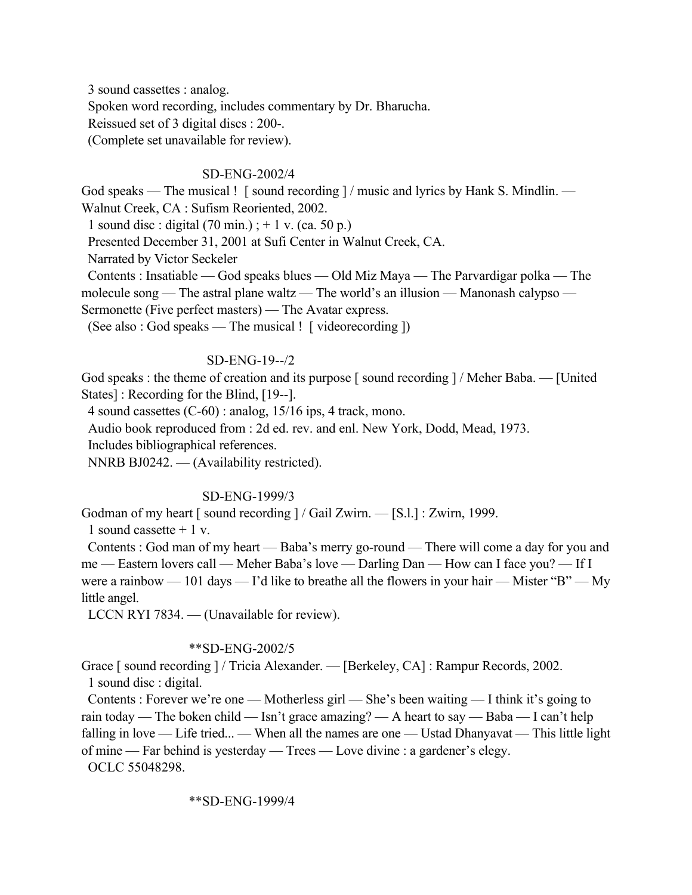3 sound cassettes : analog. Spoken word recording, includes commentary by Dr. Bharucha. Reissued set of 3 digital discs : 200-. (Complete set unavailable for review).

## SD-ENG-2002/4

God speaks — The musical ! [ sound recording ] / music and lyrics by Hank S. Mindlin. — Walnut Creek, CA : Sufism Reoriented, 2002.

1 sound disc : digital  $(70 \text{ min.})$ ; + 1 v. (ca. 50 p.)

Presented December 31, 2001 at Sufi Center in Walnut Creek, CA.

Narrated by Victor Seckeler

 Contents : Insatiable — God speaks blues — Old Miz Maya — The Parvardigar polka — The molecule song — The astral plane waltz — The world's an illusion — Manonash calypso — Sermonette (Five perfect masters) — The Avatar express.

(See also : God speaks — The musical ! [ videorecording ])

### SD-ENG-19--/2

God speaks : the theme of creation and its purpose [sound recording ] / Meher Baba. — [United] States] : Recording for the Blind, [19--].

4 sound cassettes (C-60) : analog, 15/16 ips, 4 track, mono.

Audio book reproduced from : 2d ed. rev. and enl. New York, Dodd, Mead, 1973.

Includes bibliographical references.

NNRB BJ0242. — (Availability restricted).

### SD-ENG-1999/3

Godman of my heart [ sound recording ] / Gail Zwirn. — [S.l.] : Zwirn, 1999.

1 sound cassette  $+1$  v.

 Contents : God man of my heart — Baba's merry go-round — There will come a day for you and me — Eastern lovers call — Meher Baba's love — Darling Dan — How can I face you? — If I were a rainbow — 101 days — I'd like to breathe all the flowers in your hair — Mister "B" — My little angel.

LCCN RYI 7834. — (Unavailable for review).

### \*\*SD-ENG-2002/5

Grace [ sound recording ] / Tricia Alexander. — [Berkeley, CA] : Rampur Records, 2002. 1 sound disc : digital.

 Contents : Forever we're one — Motherless girl — She's been waiting — I think it's going to rain today — The boken child — Isn't grace amazing? — A heart to say — Baba — I can't help falling in love — Life tried... — When all the names are one — Ustad Dhanyavat — This little light of mine — Far behind is yesterday — Trees — Love divine : a gardener's elegy.

OCLC 55048298.

### \*\*SD-ENG-1999/4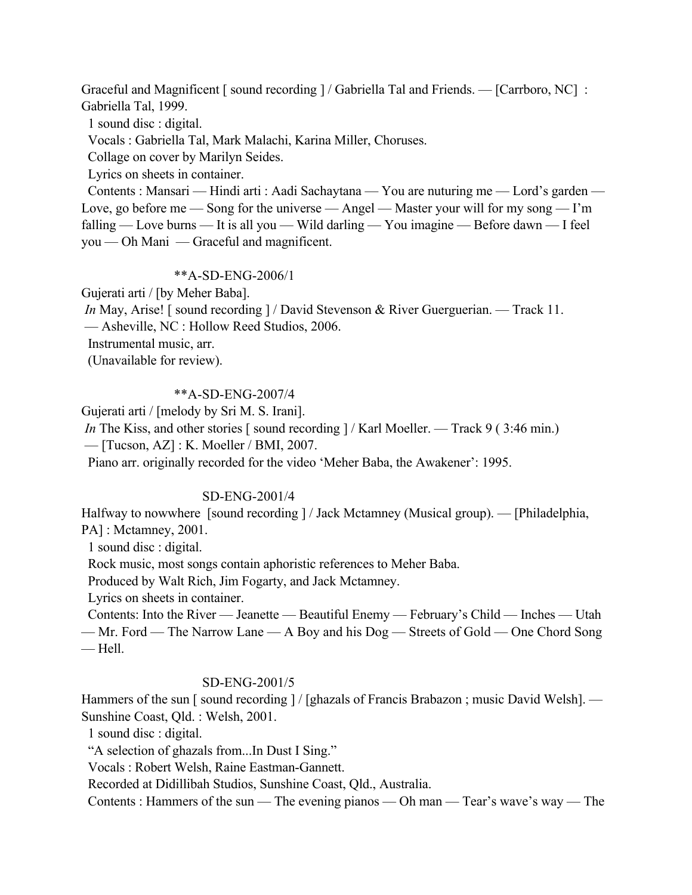Graceful and Magnificent [sound recording ] / Gabriella Tal and Friends. — [Carrboro, NC] : Gabriella Tal, 1999.

1 sound disc : digital.

Vocals : Gabriella Tal, Mark Malachi, Karina Miller, Choruses.

Collage on cover by Marilyn Seides.

Lyrics on sheets in container.

 Contents : Mansari — Hindi arti : Aadi Sachaytana — You are nuturing me — Lord's garden — Love, go before me — Song for the universe — Angel — Master your will for my song — I'm falling — Love burns — It is all you — Wild darling — You imagine — Before dawn — I feel you — Oh Mani — Graceful and magnificent.

### \*\*A-SD-ENG-2006/1

Gujerati arti / [by Meher Baba].

*In* May, Arise! [sound recording ] / David Stevenson & River Guerguerian. — Track 11.

— Asheville, NC : Hollow Reed Studios, 2006.

Instrumental music, arr.

(Unavailable for review).

## \*\*A-SD-ENG-2007/4

Gujerati arti / [melody by Sri M. S. Irani].

*In* The Kiss, and other stories [ sound recording ] / Karl Moeller. — Track 9 (3:46 min.)

— [Tucson, AZ] : K. Moeller / BMI, 2007.

Piano arr. originally recorded for the video 'Meher Baba, the Awakener': 1995.

# SD-ENG-2001/4

Halfway to nowwhere [sound recording ] / Jack Mctamney (Musical group). — [Philadelphia, PA] : Mctamney, 2001.

1 sound disc : digital.

Rock music, most songs contain aphoristic references to Meher Baba.

Produced by Walt Rich, Jim Fogarty, and Jack Mctamney.

Lyrics on sheets in container.

 Contents: Into the River — Jeanette — Beautiful Enemy — February's Child — Inches — Utah — Mr. Ford — The Narrow Lane — A Boy and his Dog — Streets of Gold — One Chord Song — Hell.

# SD-ENG-2001/5

Hammers of the sun [ sound recording ] / [ghazals of Francis Brabazon ; music David Welsh]. — Sunshine Coast, Qld. : Welsh, 2001.

1 sound disc : digital.

"A selection of ghazals from...In Dust I Sing."

Vocals : Robert Welsh, Raine Eastman-Gannett.

Recorded at Didillibah Studios, Sunshine Coast, Qld., Australia.

Contents : Hammers of the sun — The evening pianos — Oh man — Tear's wave's way — The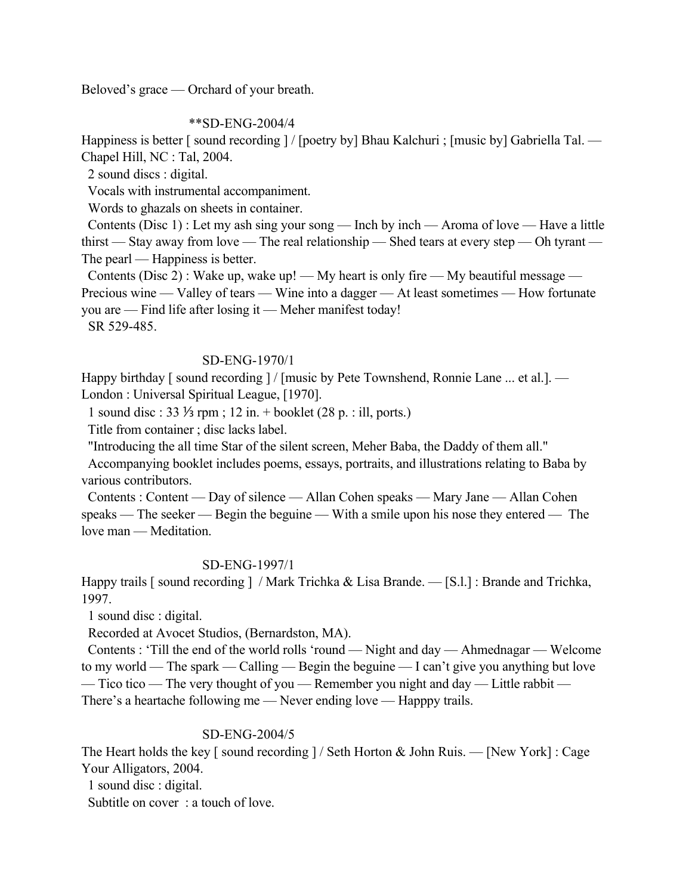Beloved's grace — Orchard of your breath.

### \*\*SD-ENG-2004/4

Happiness is better [ sound recording ] / [poetry by] Bhau Kalchuri ; [music by] Gabriella Tal. — Chapel Hill, NC : Tal, 2004.

2 sound discs : digital.

Vocals with instrumental accompaniment.

Words to ghazals on sheets in container.

 Contents (Disc 1) : Let my ash sing your song — Inch by inch — Aroma of love — Have a little thirst — Stay away from love — The real relationship — Shed tears at every step — Oh tyrant — The pearl — Happiness is better.

Contents (Disc 2) : Wake up, wake up! — My heart is only fire — My beautiful message — Precious wine — Valley of tears — Wine into a dagger — At least sometimes — How fortunate you are — Find life after losing it — Meher manifest today!

SR 529-485.

## SD-ENG-1970/1

Happy birthday [sound recording ] / [music by Pete Townshend, Ronnie Lane ... et al.]. — London : Universal Spiritual League, [1970].

1 sound disc : 33 ⅓ rpm ; 12 in. + booklet (28 p. : ill, ports.)

Title from container ; disc lacks label.

"Introducing the all time Star of the silent screen, Meher Baba, the Daddy of them all."

 Accompanying booklet includes poems, essays, portraits, and illustrations relating to Baba by various contributors.

 Contents : Content — Day of silence — Allan Cohen speaks — Mary Jane — Allan Cohen speaks — The seeker — Begin the beguine — With a smile upon his nose they entered — The love man — Meditation.

# SD-ENG-1997/1

Happy trails [sound recording ] / Mark Trichka & Lisa Brande. — [S.l.] : Brande and Trichka, 1997.

1 sound disc : digital.

Recorded at Avocet Studios, (Bernardston, MA).

 Contents : 'Till the end of the world rolls 'round — Night and day — Ahmednagar — Welcome to my world — The spark — Calling — Begin the beguine — I can't give you anything but love — Tico tico — The very thought of you — Remember you night and day — Little rabbit — There's a heartache following me — Never ending love — Happpy trails.

### SD-ENG-2004/5

The Heart holds the key [ sound recording  $]/$  Seth Horton & John Ruis. — [New York] : Cage Your Alligators, 2004.

1 sound disc : digital.

Subtitle on cover : a touch of love.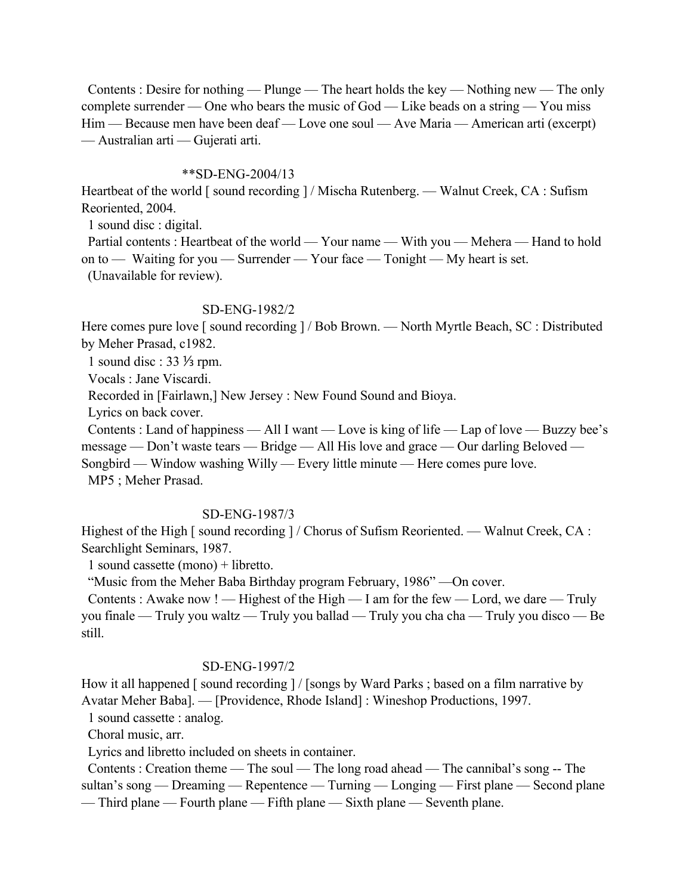Contents : Desire for nothing — Plunge — The heart holds the key — Nothing new — The only complete surrender — One who bears the music of God — Like beads on a string — You miss Him — Because men have been deaf — Love one soul — Ave Maria — American arti (excerpt) — Australian arti — Gujerati arti.

### \*\*SD-ENG-2004/13

Heartbeat of the world [sound recording ] / Mischa Rutenberg. — Walnut Creek, CA : Sufism Reoriented, 2004.

1 sound disc : digital.

Partial contents : Heartbeat of the world — Your name — With you — Mehera — Hand to hold on to — Waiting for you — Surrender — Your face — Tonight — My heart is set. (Unavailable for review).

#### SD-ENG-1982/2

Here comes pure love [ sound recording ] / Bob Brown. — North Myrtle Beach, SC : Distributed by Meher Prasad, c1982.

1 sound disc : 33 ⅓ rpm.

Vocals : Jane Viscardi.

Recorded in [Fairlawn,] New Jersey : New Found Sound and Bioya.

Lyrics on back cover.

 Contents : Land of happiness — All I want — Love is king of life — Lap of love — Buzzy bee's message — Don't waste tears — Bridge — All His love and grace — Our darling Beloved — Songbird — Window washing Willy — Every little minute — Here comes pure love.

MP5 ; Meher Prasad.

#### SD-ENG-1987/3

Highest of the High [ sound recording ] / Chorus of Sufism Reoriented. — Walnut Creek, CA : Searchlight Seminars, 1987.

1 sound cassette (mono) + libretto.

"Music from the Meher Baba Birthday program February, 1986" —On cover.

Contents : Awake now ! — Highest of the High — I am for the few — Lord, we dare — Truly you finale — Truly you waltz — Truly you ballad — Truly you cha cha — Truly you disco — Be still.

#### SD-ENG-1997/2

How it all happened [ sound recording ] / [songs by Ward Parks ; based on a film narrative by Avatar Meher Baba]. — [Providence, Rhode Island] : Wineshop Productions, 1997.

1 sound cassette : analog.

Choral music, arr.

Lyrics and libretto included on sheets in container.

 Contents : Creation theme — The soul — The long road ahead — The cannibal's song -- The sultan's song — Dreaming — Repentence — Turning — Longing — First plane — Second plane — Third plane — Fourth plane — Fifth plane — Sixth plane — Seventh plane.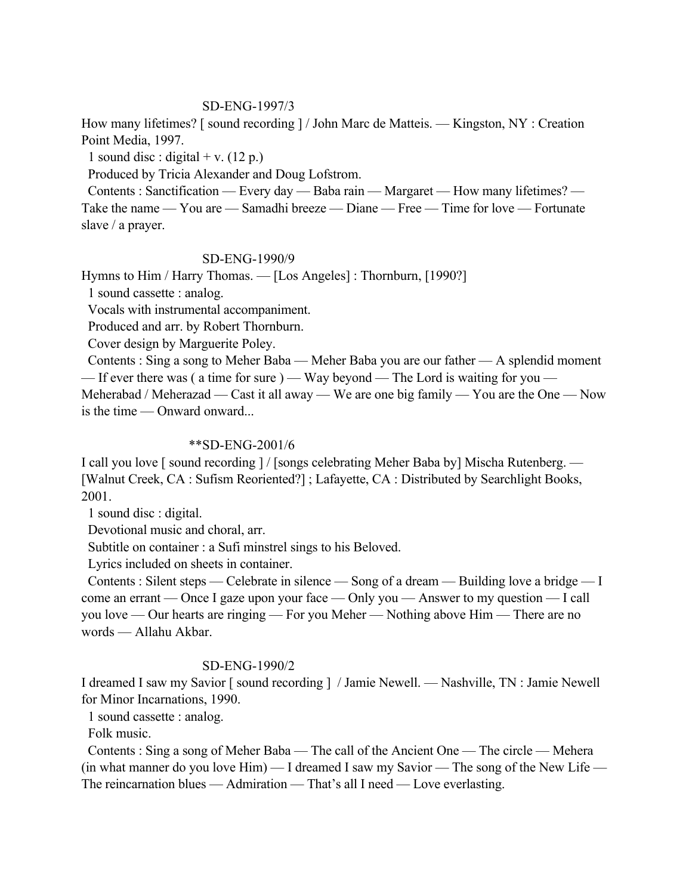### SD-ENG-1997/3

How many lifetimes? [sound recording ] / John Marc de Matteis. — Kingston, NY : Creation Point Media, 1997.

1 sound disc : digital + v.  $(12 p.)$ 

Produced by Tricia Alexander and Doug Lofstrom.

 Contents : Sanctification — Every day — Baba rain — Margaret — How many lifetimes? — Take the name — You are — Samadhi breeze — Diane — Free — Time for love — Fortunate slave / a prayer.

## SD-ENG-1990/9

Hymns to Him / Harry Thomas. — [Los Angeles] : Thornburn, [1990?]

1 sound cassette : analog.

Vocals with instrumental accompaniment.

Produced and arr. by Robert Thornburn.

Cover design by Marguerite Poley.

 Contents : Sing a song to Meher Baba — Meher Baba you are our father — A splendid moment — If ever there was ( a time for sure ) — Way beyond — The Lord is waiting for you —

Meherabad / Meherazad — Cast it all away — We are one big family — You are the One — Now is the time — Onward onward...

#### \*\*SD-ENG-2001/6

I call you love [ sound recording ] / [songs celebrating Meher Baba by] Mischa Rutenberg. — [Walnut Creek, CA : Sufism Reoriented?] ; Lafayette, CA : Distributed by Searchlight Books, 2001.

1 sound disc : digital.

Devotional music and choral, arr.

Subtitle on container : a Sufi minstrel sings to his Beloved.

Lyrics included on sheets in container.

 Contents : Silent steps — Celebrate in silence — Song of a dream — Building love a bridge — I come an errant — Once I gaze upon your face — Only you — Answer to my question — I call you love — Our hearts are ringing — For you Meher — Nothing above Him — There are no words — Allahu Akbar.

### SD-ENG-1990/2

I dreamed I saw my Savior [ sound recording ] / Jamie Newell. — Nashville, TN : Jamie Newell for Minor Incarnations, 1990.

1 sound cassette : analog.

Folk music.

 Contents : Sing a song of Meher Baba — The call of the Ancient One — The circle — Mehera (in what manner do you love Him) — I dreamed I saw my Savior — The song of the New Life — The reincarnation blues — Admiration — That's all I need — Love everlasting.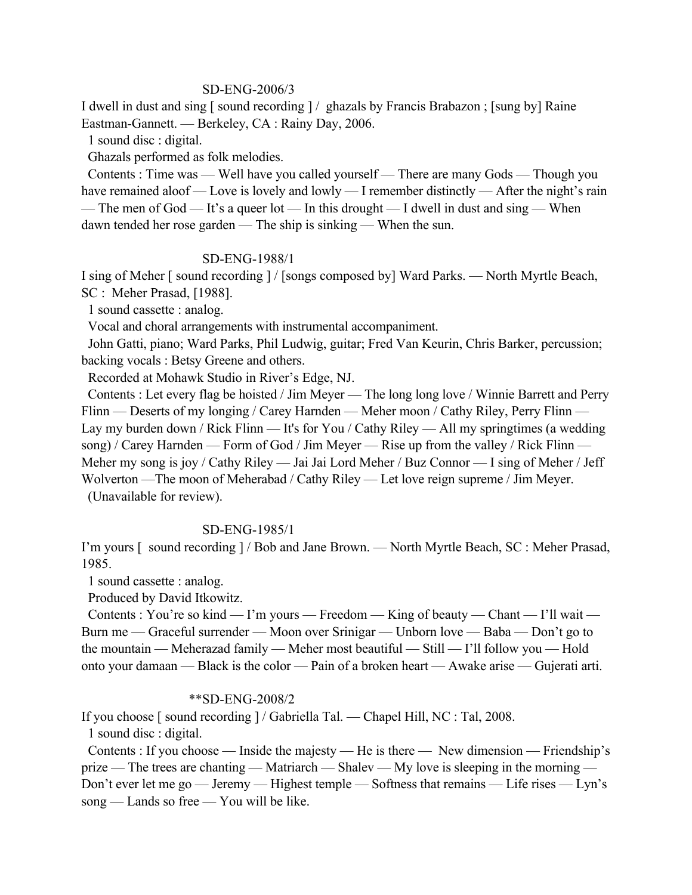### SD-ENG-2006/3

I dwell in dust and sing [ sound recording ] / ghazals by Francis Brabazon ; [sung by] Raine Eastman-Gannett. — Berkeley, CA : Rainy Day, 2006.

1 sound disc : digital.

Ghazals performed as folk melodies.

 Contents : Time was — Well have you called yourself — There are many Gods — Though you have remained aloof — Love is lovely and lowly — I remember distinctly — After the night's rain — The men of God — It's a queer lot — In this drought — I dwell in dust and sing — When dawn tended her rose garden — The ship is sinking — When the sun.

#### SD-ENG-1988/1

I sing of Meher [ sound recording ] / [songs composed by] Ward Parks. — North Myrtle Beach, SC : Meher Prasad, [1988].

1 sound cassette : analog.

Vocal and choral arrangements with instrumental accompaniment.

 John Gatti, piano; Ward Parks, Phil Ludwig, guitar; Fred Van Keurin, Chris Barker, percussion; backing vocals : Betsy Greene and others.

Recorded at Mohawk Studio in River's Edge, NJ.

 Contents : Let every flag be hoisted / Jim Meyer — The long long love / Winnie Barrett and Perry Flinn — Deserts of my longing / Carey Harnden — Meher moon / Cathy Riley, Perry Flinn — Lay my burden down / Rick Flinn — It's for You / Cathy Riley — All my springtimes (a wedding song) / Carey Harnden — Form of God / Jim Meyer — Rise up from the valley / Rick Flinn — Meher my song is joy / Cathy Riley — Jai Jai Lord Meher / Buz Connor — I sing of Meher / Jeff Wolverton —The moon of Meherabad / Cathy Riley — Let love reign supreme / Jim Meyer. (Unavailable for review).

### SD-ENG-1985/1

I'm yours [ sound recording ] / Bob and Jane Brown. — North Myrtle Beach, SC : Meher Prasad, 1985.

1 sound cassette : analog.

Produced by David Itkowitz.

 Contents : You're so kind — I'm yours — Freedom — King of beauty — Chant — I'll wait — Burn me — Graceful surrender — Moon over Srinigar — Unborn love — Baba — Don't go to the mountain — Meherazad family — Meher most beautiful — Still — I'll follow you — Hold onto your damaan — Black is the color — Pain of a broken heart — Awake arise — Gujerati arti.

#### \*\*SD-ENG-2008/2

If you choose [ sound recording ] / Gabriella Tal. — Chapel Hill, NC : Tal, 2008.

1 sound disc : digital.

 Contents : If you choose — Inside the majesty — He is there — New dimension — Friendship's prize — The trees are chanting — Matriarch — Shalev — My love is sleeping in the morning — Don't ever let me go — Jeremy — Highest temple — Softness that remains — Life rises — Lyn's song — Lands so free — You will be like.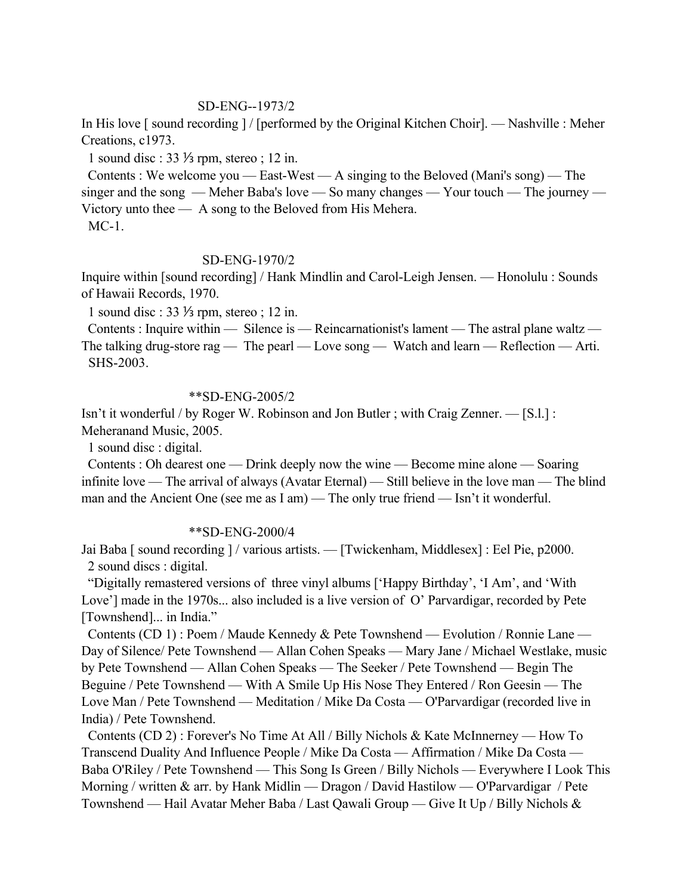#### SD-ENG--1973/2

In His love [ sound recording ] / [performed by the Original Kitchen Choir]. — Nashville : Meher Creations, c1973.

1 sound disc : 33 ⅓ rpm, stereo ; 12 in.

 Contents : We welcome you — East-West — A singing to the Beloved (Mani's song) — The singer and the song — Meher Baba's love — So many changes — Your touch — The journey — Victory unto thee — A song to the Beloved from His Mehera. MC-1.

#### SD-ENG-1970/2

Inquire within [sound recording] / Hank Mindlin and Carol-Leigh Jensen. — Honolulu : Sounds of Hawaii Records, 1970.

1 sound disc : 33 ⅓ rpm, stereo ; 12 in.

 Contents : Inquire within — Silence is — Reincarnationist's lament — The astral plane waltz — The talking drug-store rag — The pearl — Love song — Watch and learn — Reflection — Arti. SHS-2003.

#### \*\*SD-ENG-2005/2

Isn't it wonderful / by Roger W. Robinson and Jon Butler ; with Craig Zenner. — [S.l.] : Meheranand Music, 2005.

1 sound disc : digital.

 Contents : Oh dearest one — Drink deeply now the wine — Become mine alone — Soaring infinite love — The arrival of always (Avatar Eternal) — Still believe in the love man — The blind man and the Ancient One (see me as I am) — The only true friend — Isn't it wonderful.

#### \*\*SD-ENG-2000/4

Jai Baba [ sound recording ] / various artists. — [Twickenham, Middlesex] : Eel Pie, p2000. 2 sound discs : digital.

 "Digitally remastered versions of three vinyl albums ['Happy Birthday', 'I Am', and 'With Love'] made in the 1970s... also included is a live version of O' Parvardigar, recorded by Pete [Townshend]... in India."

 Contents (CD 1) : Poem / Maude Kennedy & Pete Townshend — Evolution / Ronnie Lane — Day of Silence/ Pete Townshend — Allan Cohen Speaks — Mary Jane / Michael Westlake, music by Pete Townshend — Allan Cohen Speaks — The Seeker / Pete Townshend — Begin The Beguine / Pete Townshend — With A Smile Up His Nose They Entered / Ron Geesin — The Love Man / Pete Townshend — Meditation / Mike Da Costa — O'Parvardigar (recorded live in India) / Pete Townshend.

 Contents (CD 2) : Forever's No Time At All / Billy Nichols & Kate McInnerney — How To Transcend Duality And Influence People / Mike Da Costa — Affirmation / Mike Da Costa — Baba O'Riley / Pete Townshend — This Song Is Green / Billy Nichols — Everywhere I Look This Morning / written & arr. by Hank Midlin — Dragon / David Hastilow — O'Parvardigar / Pete Townshend — Hail Avatar Meher Baba / Last Qawali Group — Give It Up / Billy Nichols &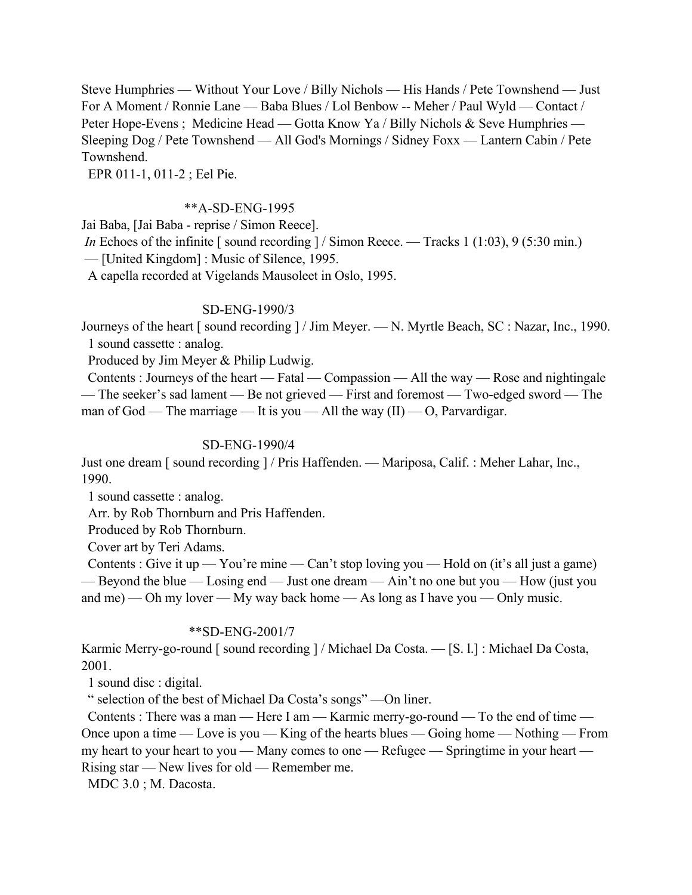Steve Humphries — Without Your Love / Billy Nichols — His Hands / Pete Townshend — Just For A Moment / Ronnie Lane — Baba Blues / Lol Benbow -- Meher / Paul Wyld — Contact / Peter Hope-Evens; Medicine Head — Gotta Know Ya / Billy Nichols & Seve Humphries — Sleeping Dog / Pete Townshend — All God's Mornings / Sidney Foxx — Lantern Cabin / Pete Townshend.

EPR 011-1, 011-2 ; Eel Pie.

## \*\*A-SD-ENG-1995

Jai Baba, [Jai Baba - reprise / Simon Reece].

*In* Echoes of the infinite [ sound recording ] / Simon Reece. — Tracks 1 (1:03), 9 (5:30 min.)

— [United Kingdom] : Music of Silence, 1995.

A capella recorded at Vigelands Mausoleet in Oslo, 1995.

# SD-ENG-1990/3

Journeys of the heart [ sound recording ] / Jim Meyer. — N. Myrtle Beach, SC : Nazar, Inc., 1990. 1 sound cassette : analog.

Produced by Jim Meyer & Philip Ludwig.

 Contents : Journeys of the heart — Fatal — Compassion — All the way — Rose and nightingale — The seeker's sad lament — Be not grieved — First and foremost — Two-edged sword — The man of God — The marriage — It is you — All the way  $(II)$  — O, Parvardigar.

# SD-ENG-1990/4

Just one dream [ sound recording ] / Pris Haffenden. — Mariposa, Calif. : Meher Lahar, Inc., 1990.

1 sound cassette : analog.

Arr. by Rob Thornburn and Pris Haffenden.

Produced by Rob Thornburn.

Cover art by Teri Adams.

Contents : Give it up — You're mine — Can't stop loving you — Hold on (it's all just a game) — Beyond the blue — Losing end — Just one dream — Ain't no one but you — How (just you and me) — Oh my lover — My way back home — As long as I have you — Only music.

# \*\*SD-ENG-2001/7

Karmic Merry-go-round [ sound recording ] / Michael Da Costa. - [S. l.] : Michael Da Costa, 2001.

1 sound disc : digital.

" selection of the best of Michael Da Costa's songs" —On liner.

 Contents : There was a man — Here I am — Karmic merry-go-round — To the end of time — Once upon a time — Love is you — King of the hearts blues — Going home — Nothing — From my heart to your heart to you — Many comes to one — Refugee — Springtime in your heart — Rising star — New lives for old — Remember me.

MDC 3.0 ; M. Dacosta.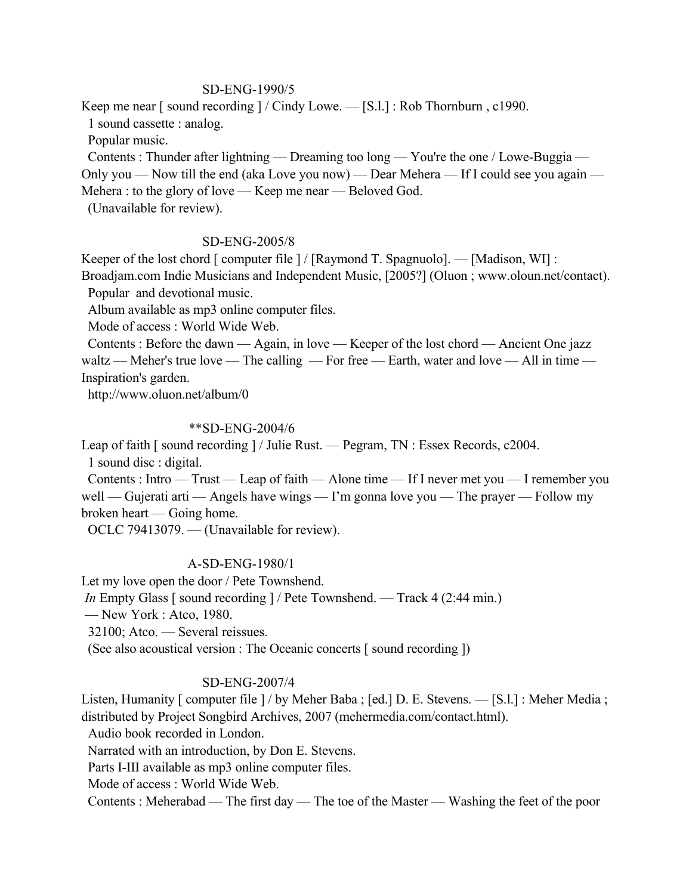### SD-ENG-1990/5

Keep me near [ sound recording ] / Cindy Lowe. — [S.l.] : Rob Thornburn , c1990.

1 sound cassette : analog.

Popular music.

 Contents : Thunder after lightning — Dreaming too long — You're the one / Lowe-Buggia — Only you — Now till the end (aka Love you now) — Dear Mehera — If I could see you again — Mehera : to the glory of love — Keep me near — Beloved God.

(Unavailable for review).

### SD-ENG-2005/8

Keeper of the lost chord [ computer file ] / [Raymond T. Spagnuolo]. — [Madison, WI] : Broadjam.com Indie Musicians and Independent Music, [2005?] (Oluon ; www.oloun.net/contact).

Popular and devotional music.

Album available as mp3 online computer files.

Mode of access : World Wide Web.

 Contents : Before the dawn — Again, in love — Keeper of the lost chord — Ancient One jazz waltz — Meher's true love — The calling — For free — Earth, water and love — All in time — Inspiration's garden.

http://www.oluon.net/album/0

## \*\*SD-ENG-2004/6

Leap of faith [ sound recording ] / Julie Rust. — Pegram, TN : Essex Records, c2004. 1 sound disc : digital.

 Contents : Intro — Trust — Leap of faith — Alone time — If I never met you — I remember you well — Gujerati arti — Angels have wings — I'm gonna love you — The prayer — Follow my broken heart — Going home.

OCLC 79413079. — (Unavailable for review).

#### A-SD-ENG-1980/1

Let my love open the door / Pete Townshend.

*In* Empty Glass [ sound recording ] / Pete Townshend. — Track 4 (2:44 min.)

— New York : Atco, 1980.

32100; Atco. — Several reissues.

(See also acoustical version : The Oceanic concerts [ sound recording ])

### SD-ENG-2007/4

Listen, Humanity [ computer file ] / by Meher Baba ; [ed.] D. E. Stevens. — [S.l.] : Meher Media ; distributed by Project Songbird Archives, 2007 (mehermedia.com/contact.html).

Audio book recorded in London.

Narrated with an introduction, by Don E. Stevens.

Parts I-III available as mp3 online computer files.

Mode of access : World Wide Web.

Contents : Meherabad — The first day — The toe of the Master — Washing the feet of the poor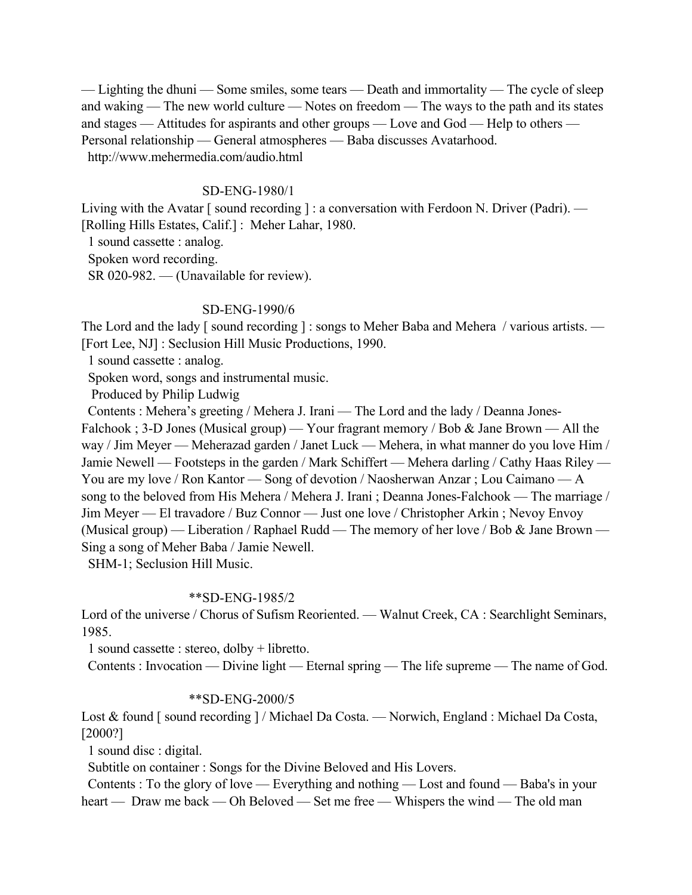— Lighting the dhuni — Some smiles, some tears — Death and immortality — The cycle of sleep and waking — The new world culture — Notes on freedom — The ways to the path and its states and stages — Attitudes for aspirants and other groups — Love and God — Help to others — Personal relationship — General atmospheres — Baba discusses Avatarhood. http://www.mehermedia.com/audio.html

## SD-ENG-1980/1

Living with the Avatar [sound recording ] : a conversation with Ferdoon N. Driver (Padri). — [Rolling Hills Estates, Calif.] : Meher Lahar, 1980.

1 sound cassette : analog.

Spoken word recording.

SR 020-982. — (Unavailable for review).

# SD-ENG-1990/6

The Lord and the lady [sound recording ] : songs to Meher Baba and Mehera / various artists. — [Fort Lee, NJ] : Seclusion Hill Music Productions, 1990.

1 sound cassette : analog.

Spoken word, songs and instrumental music.

Produced by Philip Ludwig

 Contents : Mehera's greeting / Mehera J. Irani — The Lord and the lady / Deanna Jones-Falchook ; 3-D Jones (Musical group) — Your fragrant memory / Bob & Jane Brown — All the way / Jim Meyer — Meherazad garden / Janet Luck — Mehera, in what manner do you love Him / Jamie Newell — Footsteps in the garden / Mark Schiffert — Mehera darling / Cathy Haas Riley — You are my love / Ron Kantor — Song of devotion / Naosherwan Anzar ; Lou Caimano — A song to the beloved from His Mehera / Mehera J. Irani ; Deanna Jones-Falchook — The marriage / Jim Meyer — El travadore / Buz Connor — Just one love / Christopher Arkin ; Nevoy Envoy (Musical group) — Liberation / Raphael Rudd — The memory of her love / Bob & Jane Brown — Sing a song of Meher Baba / Jamie Newell.

SHM-1; Seclusion Hill Music.

# \*\*SD-ENG-1985/2

Lord of the universe / Chorus of Sufism Reoriented. — Walnut Creek, CA : Searchlight Seminars, 1985.

1 sound cassette : stereo, dolby + libretto.

Contents : Invocation — Divine light — Eternal spring — The life supreme — The name of God.

### \*\*SD-ENG-2000/5

Lost & found [ sound recording ] / Michael Da Costa. — Norwich, England : Michael Da Costa, [2000?]

1 sound disc : digital.

Subtitle on container : Songs for the Divine Beloved and His Lovers.

 Contents : To the glory of love — Everything and nothing — Lost and found — Baba's in your heart — Draw me back — Oh Beloved — Set me free — Whispers the wind — The old man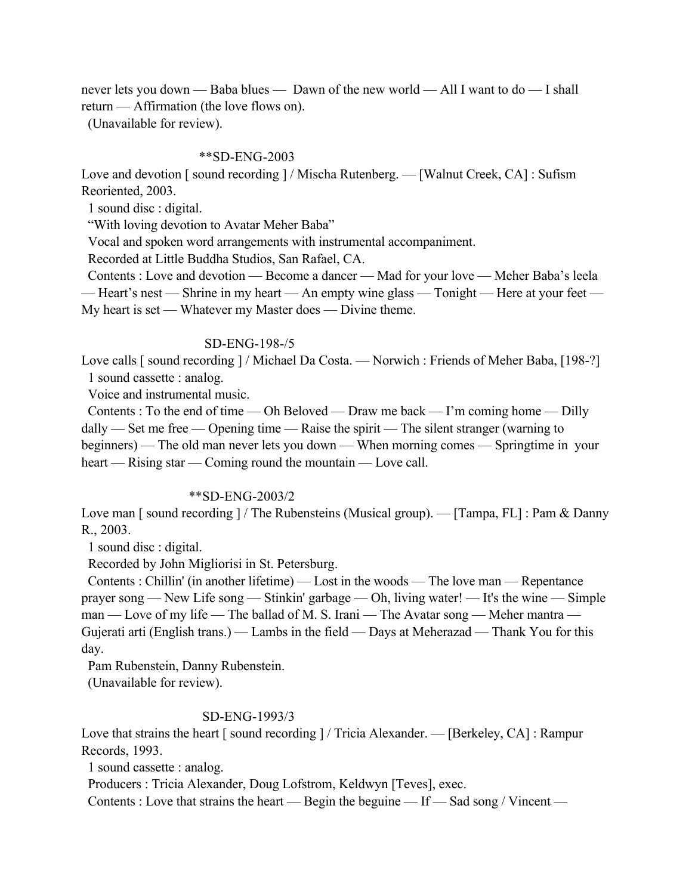never lets you down — Baba blues — Dawn of the new world — All I want to do — I shall return — Affirmation (the love flows on).

(Unavailable for review).

## \*\*SD-ENG-2003

Love and devotion [sound recording ] / Mischa Rutenberg. — [Walnut Creek, CA] : Sufism Reoriented, 2003.

1 sound disc : digital.

"With loving devotion to Avatar Meher Baba"

Vocal and spoken word arrangements with instrumental accompaniment.

Recorded at Little Buddha Studios, San Rafael, CA.

 Contents : Love and devotion — Become a dancer — Mad for your love — Meher Baba's leela — Heart's nest — Shrine in my heart — An empty wine glass — Tonight — Here at your feet — My heart is set — Whatever my Master does — Divine theme.

# SD-ENG-198-/5

Love calls [sound recording ] / Michael Da Costa. — Norwich : Friends of Meher Baba, [198-?] 1 sound cassette : analog.

Voice and instrumental music.

 Contents : To the end of time — Oh Beloved — Draw me back — I'm coming home — Dilly dally — Set me free — Opening time — Raise the spirit — The silent stranger (warning to beginners) — The old man never lets you down — When morning comes — Springtime in your heart — Rising star — Coming round the mountain — Love call.

# \*\*SD-ENG-2003/2

Love man [ sound recording ] / The Rubensteins (Musical group). — [Tampa, FL] : Pam & Danny R., 2003.

1 sound disc : digital.

Recorded by John Migliorisi in St. Petersburg.

 Contents : Chillin' (in another lifetime) — Lost in the woods — The love man — Repentance prayer song — New Life song — Stinkin' garbage — Oh, living water! — It's the wine — Simple man — Love of my life — The ballad of M. S. Irani — The Avatar song — Meher mantra — Gujerati arti (English trans.) — Lambs in the field — Days at Meherazad — Thank You for this day.

Pam Rubenstein, Danny Rubenstein.

(Unavailable for review).

# SD-ENG-1993/3

Love that strains the heart [ sound recording ] / Tricia Alexander. — [Berkeley, CA] : Rampur Records, 1993.

1 sound cassette : analog.

Producers : Tricia Alexander, Doug Lofstrom, Keldwyn [Teves], exec.

Contents : Love that strains the heart — Begin the beguine — If — Sad song / Vincent —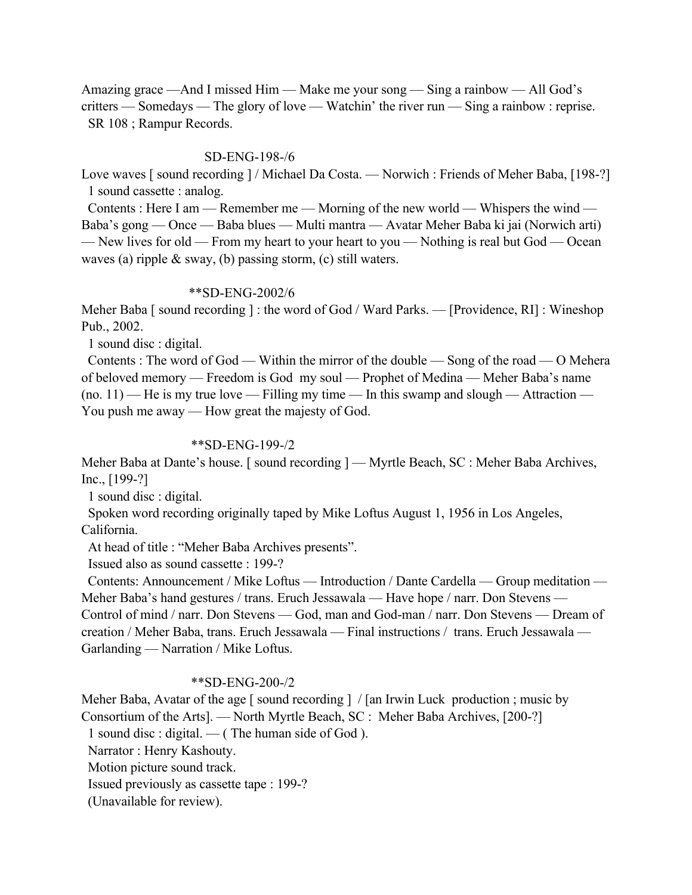Amazing grace —And I missed Him — Make me your song — Sing a rainbow — All God's critters — Somedays — The glory of love — Watchin' the river run — Sing a rainbow : reprise. SR 108 ; Rampur Records.

## SD-ENG-198-/6

Love waves [sound recording ] / Michael Da Costa. — Norwich : Friends of Meher Baba, [198-?] 1 sound cassette : analog.

 Contents : Here I am — Remember me — Morning of the new world — Whispers the wind — Baba's gong — Once — Baba blues — Multi mantra — Avatar Meher Baba ki jai (Norwich arti) — New lives for old — From my heart to your heart to you — Nothing is real but God — Ocean waves (a) ripple & sway, (b) passing storm, (c) still waters.

### \*\*SD-ENG-2002/6

Meher Baba [ sound recording ] : the word of God / Ward Parks. — [Providence, RI] : Wineshop Pub., 2002.

1 sound disc : digital.

 Contents : The word of God — Within the mirror of the double — Song of the road — O Mehera of beloved memory — Freedom is God my soul — Prophet of Medina — Meher Baba's name  $(no. 11)$  — He is my true love — Filling my time — In this swamp and slough — Attraction — You push me away — How great the majesty of God.

## \*\*SD-ENG-199-/2

Meher Baba at Dante's house. [ sound recording ] — Myrtle Beach, SC : Meher Baba Archives, Inc., [199-?]

1 sound disc : digital.

 Spoken word recording originally taped by Mike Loftus August 1, 1956 in Los Angeles, California.

At head of title : "Meher Baba Archives presents".

Issued also as sound cassette : 199-?

 Contents: Announcement / Mike Loftus — Introduction / Dante Cardella — Group meditation — Meher Baba's hand gestures / trans. Eruch Jessawala — Have hope / narr. Don Stevens — Control of mind / narr. Don Stevens — God, man and God-man / narr. Don Stevens — Dream of creation / Meher Baba, trans. Eruch Jessawala — Final instructions / trans. Eruch Jessawala — Garlanding — Narration / Mike Loftus.

### \*\*SD-ENG-200-/2

Meher Baba, Avatar of the age [ sound recording ] / [an Irwin Luck production ; music by Consortium of the Arts]. — North Myrtle Beach, SC : Meher Baba Archives, [200-?]

1 sound disc : digital. — ( The human side of God ).

Narrator : Henry Kashouty.

Motion picture sound track.

Issued previously as cassette tape : 199-?

(Unavailable for review).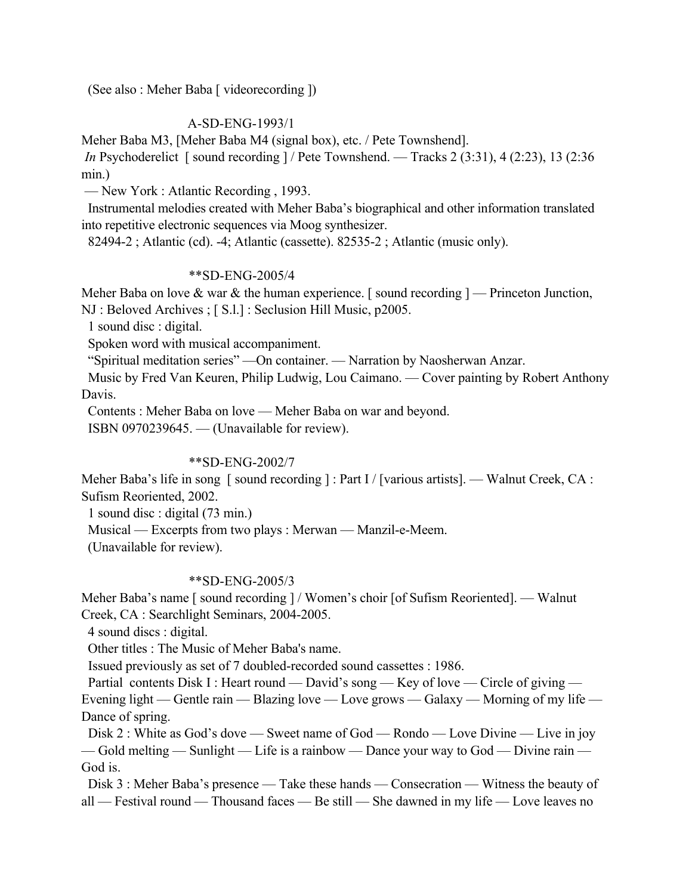(See also : Meher Baba [ videorecording ])

# A-SD-ENG-1993/1

Meher Baba M3, [Meher Baba M4 (signal box), etc. / Pete Townshend].

*In* Psychoderelict [ sound recording ] / Pete Townshend. — Tracks 2 (3:31), 4 (2:23), 13 (2:36) min.)

— New York : Atlantic Recording , 1993.

 Instrumental melodies created with Meher Baba's biographical and other information translated into repetitive electronic sequences via Moog synthesizer.

82494-2 ; Atlantic (cd). -4; Atlantic (cassette). 82535-2 ; Atlantic (music only).

### \*\*SD-ENG-2005/4

Meher Baba on love  $\&$  war  $\&$  the human experience. [sound recording ] — Princeton Junction, NJ : Beloved Archives ; [ S.l.] : Seclusion Hill Music, p2005.

1 sound disc : digital.

Spoken word with musical accompaniment.

"Spiritual meditation series" —On container. — Narration by Naosherwan Anzar.

 Music by Fred Van Keuren, Philip Ludwig, Lou Caimano. — Cover painting by Robert Anthony Davis.

Contents : Meher Baba on love — Meher Baba on war and beyond.

ISBN 0970239645. — (Unavailable for review).

### \*\*SD-ENG-2002/7

Meher Baba's life in song [ sound recording ] : Part I / [various artists]. — Walnut Creek, CA : Sufism Reoriented, 2002.

1 sound disc : digital (73 min.)

Musical — Excerpts from two plays : Merwan — Manzil-e-Meem.

(Unavailable for review).

#### \*\*SD-ENG-2005/3

Meher Baba's name [ sound recording ] / Women's choir [of Sufism Reoriented]. — Walnut Creek, CA : Searchlight Seminars, 2004-2005.

4 sound discs : digital.

Other titles : The Music of Meher Baba's name.

Issued previously as set of 7 doubled-recorded sound cassettes : 1986.

Partial contents Disk I : Heart round — David's song — Key of love — Circle of giving — Evening light — Gentle rain — Blazing love — Love grows — Galaxy — Morning of my life — Dance of spring.

 Disk 2 : White as God's dove — Sweet name of God — Rondo — Love Divine — Live in joy — Gold melting — Sunlight — Life is a rainbow — Dance your way to God — Divine rain — God is.

 Disk 3 : Meher Baba's presence — Take these hands — Consecration — Witness the beauty of all — Festival round — Thousand faces — Be still — She dawned in my life — Love leaves no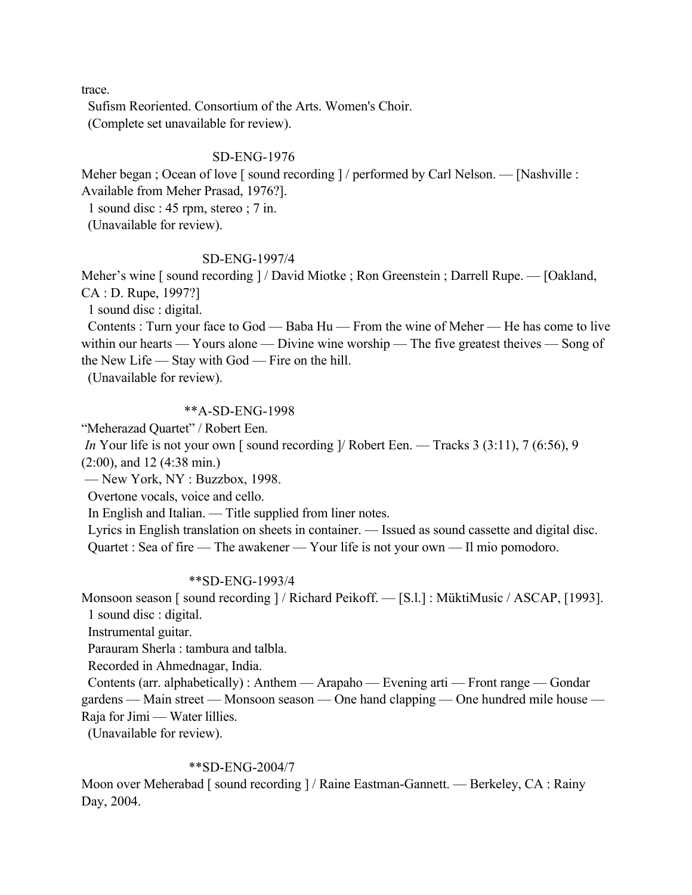trace.

 Sufism Reoriented. Consortium of the Arts. Women's Choir. (Complete set unavailable for review).

## SD-ENG-1976

Meher began ; Ocean of love [sound recording ] / performed by Carl Nelson. — [Nashville : Available from Meher Prasad, 1976?].

1 sound disc : 45 rpm, stereo ; 7 in.

(Unavailable for review).

## SD-ENG-1997/4

Meher's wine [ sound recording ] / David Miotke ; Ron Greenstein ; Darrell Rupe. — [Oakland, CA : D. Rupe, 1997?]

1 sound disc : digital.

 Contents : Turn your face to God — Baba Hu — From the wine of Meher — He has come to live within our hearts — Yours alone — Divine wine worship — The five greatest theives — Song of the New Life — Stay with God — Fire on the hill.

(Unavailable for review).

## \*\*A-SD-ENG-1998

"Meherazad Quartet" / Robert Een.

*In* Your life is not your own [sound recording ]/ Robert Een. — Tracks 3 (3:11), 7 (6:56), 9 (2:00), and 12 (4:38 min.)

— New York, NY : Buzzbox, 1998.

Overtone vocals, voice and cello.

In English and Italian. — Title supplied from liner notes.

 Lyrics in English translation on sheets in container. — Issued as sound cassette and digital disc. Quartet : Sea of fire — The awakener — Your life is not your own — Il mio pomodoro.

## \*\*SD-ENG-1993/4

Monsoon season [ sound recording ] / Richard Peikoff. — [S.l.] : MüktiMusic / ASCAP, [1993]. 1 sound disc : digital.

Instrumental guitar.

Parauram Sherla : tambura and talbla.

Recorded in Ahmednagar, India.

 Contents (arr. alphabetically) : Anthem — Arapaho — Evening arti — Front range — Gondar gardens — Main street — Monsoon season — One hand clapping — One hundred mile house — Raja for Jimi — Water lillies.

(Unavailable for review).

### \*\*SD-ENG-2004/7

Moon over Meherabad [ sound recording ] / Raine Eastman-Gannett. — Berkeley, CA : Rainy Day, 2004.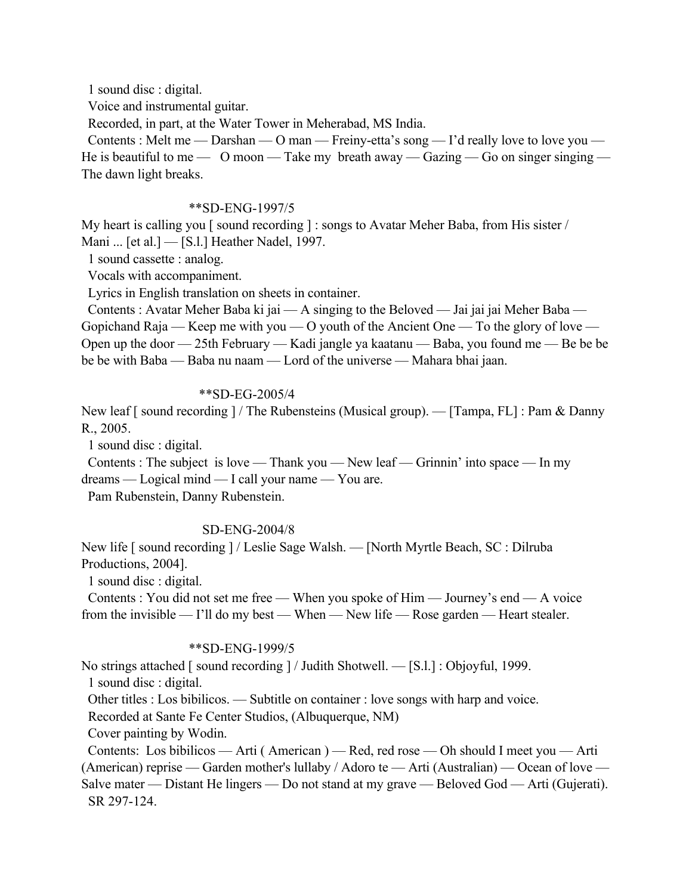1 sound disc : digital.

Voice and instrumental guitar.

Recorded, in part, at the Water Tower in Meherabad, MS India.

Contents : Melt me — Darshan — O man — Freiny-etta's song — I'd really love to love you — He is beautiful to me  $-$  O moon  $-$  Take my breath away  $-$  Gazing  $-$  Go on singer singing  $-$ The dawn light breaks.

### \*\*SD-ENG-1997/5

My heart is calling you [ sound recording ] : songs to Avatar Meher Baba, from His sister / Mani ... [et al.] — [S.l.] Heather Nadel, 1997.

1 sound cassette : analog.

Vocals with accompaniment.

Lyrics in English translation on sheets in container.

 Contents : Avatar Meher Baba ki jai — A singing to the Beloved — Jai jai jai Meher Baba — Gopichand Raja — Keep me with you — O youth of the Ancient One — To the glory of love — Open up the door — 25th February — Kadi jangle ya kaatanu — Baba, you found me — Be be be be be with Baba — Baba nu naam — Lord of the universe — Mahara bhai jaan.

## \*\*SD-EG-2005/4

New leaf [ sound recording ] / The Rubensteins (Musical group). — [Tampa, FL] : Pam & Danny R., 2005.

1 sound disc : digital.

 Contents : The subject is love — Thank you — New leaf — Grinnin' into space — In my dreams — Logical mind — I call your name — You are.

Pam Rubenstein, Danny Rubenstein.

# SD-ENG-2004/8

New life [ sound recording ] / Leslie Sage Walsh. — [North Myrtle Beach, SC : Dilruba Productions, 2004].

1 sound disc : digital.

 Contents : You did not set me free — When you spoke of Him — Journey's end — A voice from the invisible — I'll do my best — When — New life — Rose garden — Heart stealer.

## \*\*SD-ENG-1999/5

No strings attached [ sound recording ] / Judith Shotwell. — [S.l.] : Objoyful, 1999.

1 sound disc : digital.

Other titles : Los bibilicos. — Subtitle on container : love songs with harp and voice.

Recorded at Sante Fe Center Studios, (Albuquerque, NM)

Cover painting by Wodin.

 Contents: Los bibilicos — Arti ( American ) — Red, red rose — Oh should I meet you — Arti (American) reprise — Garden mother's lullaby / Adoro te — Arti (Australian) — Ocean of love — Salve mater — Distant He lingers — Do not stand at my grave — Beloved God — Arti (Gujerati).

SR 297-124.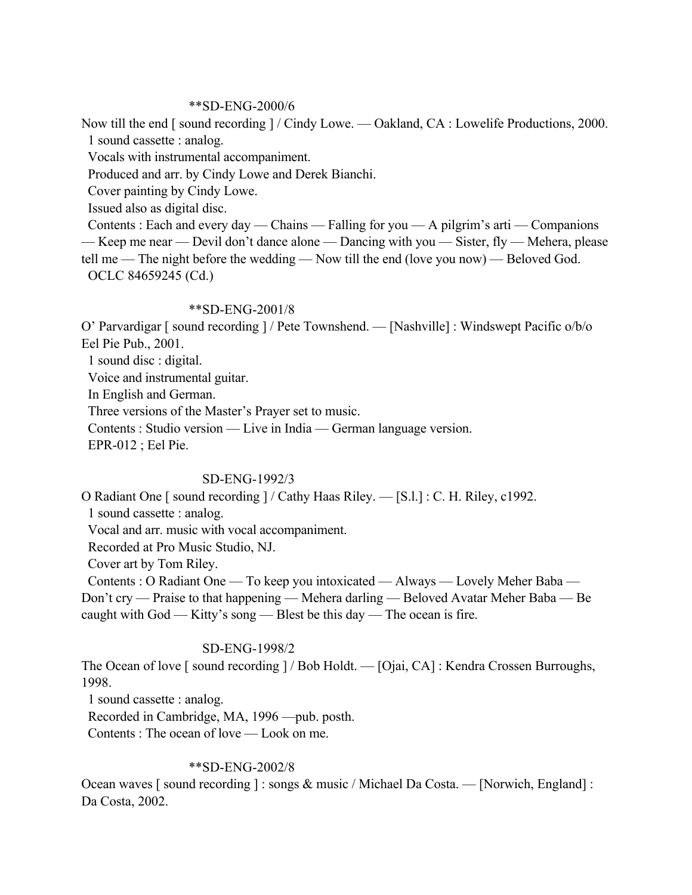## \*\*SD-ENG-2000/6

Now till the end [ sound recording ] / Cindy Lowe. — Oakland, CA : Lowelife Productions, 2000. 1 sound cassette : analog.

Vocals with instrumental accompaniment.

Produced and arr. by Cindy Lowe and Derek Bianchi.

Cover painting by Cindy Lowe.

Issued also as digital disc.

Contents : Each and every day — Chains — Falling for you — A pilgrim's arti — Companions — Keep me near — Devil don't dance alone — Dancing with you — Sister, fly — Mehera, please tell me — The night before the wedding — Now till the end (love you now) — Beloved God. OCLC 84659245 (Cd.)

### \*\*SD-ENG-2001/8

O' Parvardigar [ sound recording ] / Pete Townshend. — [Nashville] : Windswept Pacific o/b/o Eel Pie Pub., 2001.

1 sound disc : digital.

Voice and instrumental guitar.

In English and German.

Three versions of the Master's Prayer set to music.

Contents : Studio version — Live in India — German language version.

EPR-012 ; Eel Pie.

### SD-ENG-1992/3

O Radiant One [ sound recording ] / Cathy Haas Riley. — [S.l.] : C. H. Riley, c1992.

1 sound cassette : analog.

Vocal and arr. music with vocal accompaniment.

Recorded at Pro Music Studio, NJ.

Cover art by Tom Riley.

 Contents : O Radiant One — To keep you intoxicated — Always — Lovely Meher Baba — Don't cry — Praise to that happening — Mehera darling — Beloved Avatar Meher Baba — Be caught with God — Kitty's song — Blest be this day — The ocean is fire.

# SD-ENG-1998/2

The Ocean of love [ sound recording ] / Bob Holdt. — [Ojai, CA] : Kendra Crossen Burroughs, 1998.

1 sound cassette : analog.

Recorded in Cambridge, MA, 1996 —pub. posth.

Contents : The ocean of love — Look on me.

### \*\*SD-ENG-2002/8

Ocean waves [ sound recording ] : songs & music / Michael Da Costa. — [Norwich, England] : Da Costa, 2002.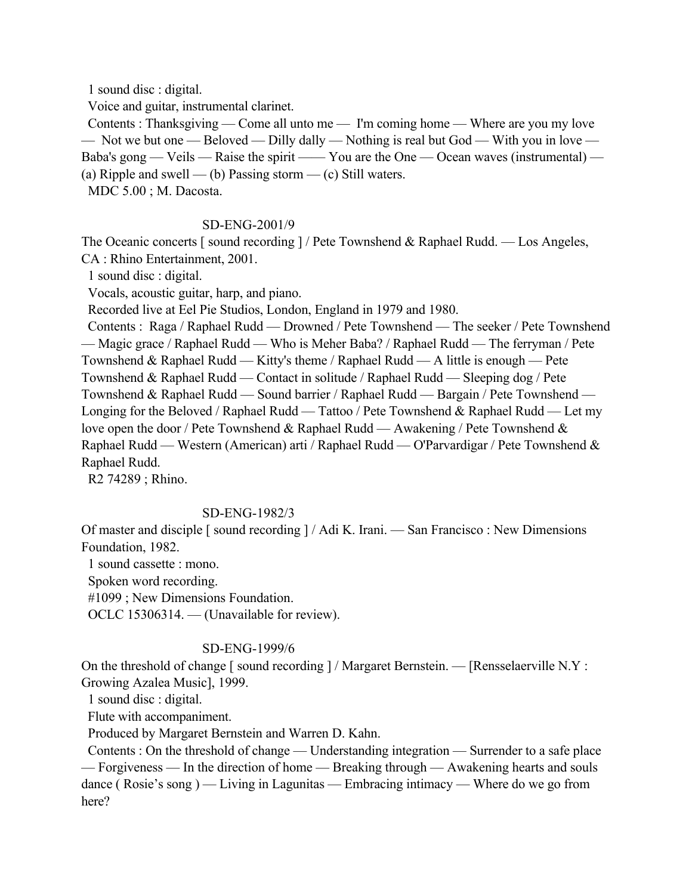1 sound disc : digital.

Voice and guitar, instrumental clarinet.

 Contents : Thanksgiving — Come all unto me — I'm coming home — Where are you my love — Not we but one — Beloved — Dilly dally — Nothing is real but God — With you in love — Baba's gong — Veils — Raise the spirit —— You are the One — Ocean waves (instrumental) — (a) Ripple and swell — (b) Passing storm — (c) Still waters.

MDC 5.00 ; M. Dacosta.

### SD-ENG-2001/9

The Oceanic concerts [sound recording ] / Pete Townshend & Raphael Rudd. — Los Angeles, CA : Rhino Entertainment, 2001.

1 sound disc : digital.

Vocals, acoustic guitar, harp, and piano.

Recorded live at Eel Pie Studios, London, England in 1979 and 1980.

 Contents : Raga / Raphael Rudd — Drowned / Pete Townshend — The seeker / Pete Townshend — Magic grace / Raphael Rudd — Who is Meher Baba? / Raphael Rudd — The ferryman / Pete Townshend & Raphael Rudd — Kitty's theme / Raphael Rudd — A little is enough — Pete Townshend & Raphael Rudd — Contact in solitude / Raphael Rudd — Sleeping dog / Pete Townshend & Raphael Rudd — Sound barrier / Raphael Rudd — Bargain / Pete Townshend — Longing for the Beloved / Raphael Rudd — Tattoo / Pete Townshend & Raphael Rudd — Let my love open the door / Pete Townshend & Raphael Rudd — Awakening / Pete Townshend & Raphael Rudd — Western (American) arti / Raphael Rudd — O'Parvardigar / Pete Townshend & Raphael Rudd.

R2 74289 ; Rhino.

#### SD-ENG-1982/3

Of master and disciple [ sound recording ] / Adi K. Irani. — San Francisco : New Dimensions Foundation, 1982.

1 sound cassette : mono.

Spoken word recording.

#1099 ; New Dimensions Foundation.

OCLC 15306314. — (Unavailable for review).

## SD-ENG-1999/6

On the threshold of change [ sound recording ] / Margaret Bernstein. — [Rensselaerville N.Y : Growing Azalea Music], 1999.

1 sound disc : digital.

Flute with accompaniment.

Produced by Margaret Bernstein and Warren D. Kahn.

 Contents : On the threshold of change — Understanding integration — Surrender to a safe place — Forgiveness — In the direction of home — Breaking through — Awakening hearts and souls dance ( Rosie's song ) — Living in Lagunitas — Embracing intimacy — Where do we go from here?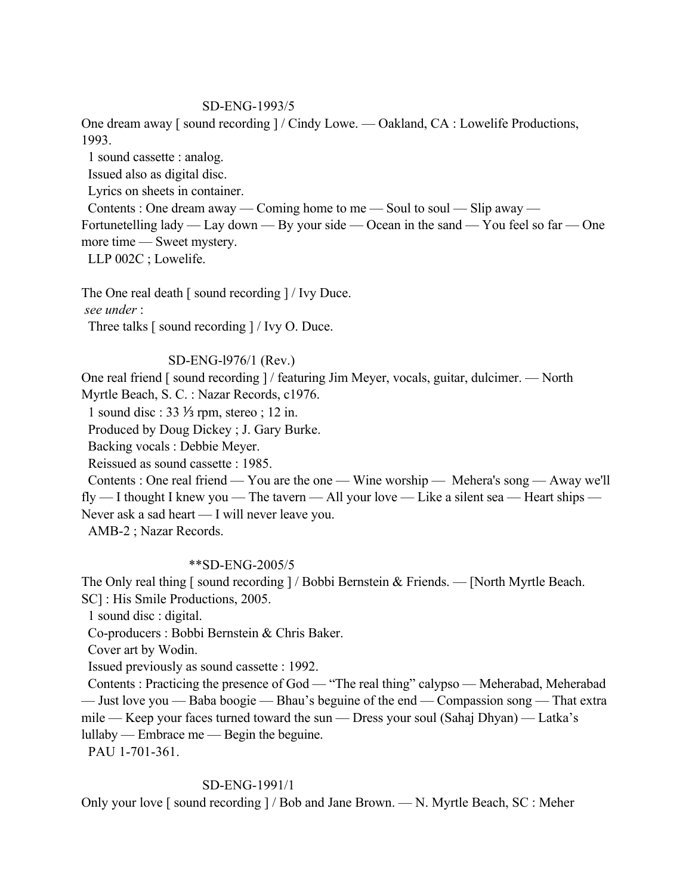## SD-ENG-1993/5

One dream away [ sound recording ] / Cindy Lowe. — Oakland, CA : Lowelife Productions, 1993.

1 sound cassette : analog.

Issued also as digital disc.

Lyrics on sheets in container.

Contents : One dream away — Coming home to me — Soul to soul — Slip away —

Fortunetelling lady — Lay down — By your side — Ocean in the sand — You feel so far — One more time — Sweet mystery.

LLP 002C ; Lowelife.

The One real death [ sound recording ] / Ivy Duce.

 *see under* :

Three talks [ sound recording ] / Ivy O. Duce.

## SD-ENG-l976/1 (Rev.)

One real friend [ sound recording ] / featuring Jim Meyer, vocals, guitar, dulcimer. — North Myrtle Beach, S. C. : Nazar Records, c1976.

1 sound disc : 33 ⅓ rpm, stereo ; 12 in.

Produced by Doug Dickey ; J. Gary Burke.

Backing vocals : Debbie Meyer.

Reissued as sound cassette : 1985.

 Contents : One real friend — You are the one — Wine worship — Mehera's song — Away we'll fly — I thought I knew you — The tavern — All your love — Like a silent sea — Heart ships — Never ask a sad heart — I will never leave you.

AMB-2 ; Nazar Records.

## \*\*SD-ENG-2005/5

The Only real thing [ sound recording ] / Bobbi Bernstein & Friends. — [North Myrtle Beach. SC] : His Smile Productions, 2005.

1 sound disc : digital.

Co-producers : Bobbi Bernstein & Chris Baker.

Cover art by Wodin.

Issued previously as sound cassette : 1992.

 Contents : Practicing the presence of God — "The real thing" calypso — Meherabad, Meherabad — Just love you — Baba boogie — Bhau's beguine of the end — Compassion song — That extra mile — Keep your faces turned toward the sun — Dress your soul (Sahaj Dhyan) — Latka's lullaby — Embrace me — Begin the beguine.

PAU 1-701-361.

# SD-ENG-1991/1

Only your love [ sound recording ] / Bob and Jane Brown. — N. Myrtle Beach, SC : Meher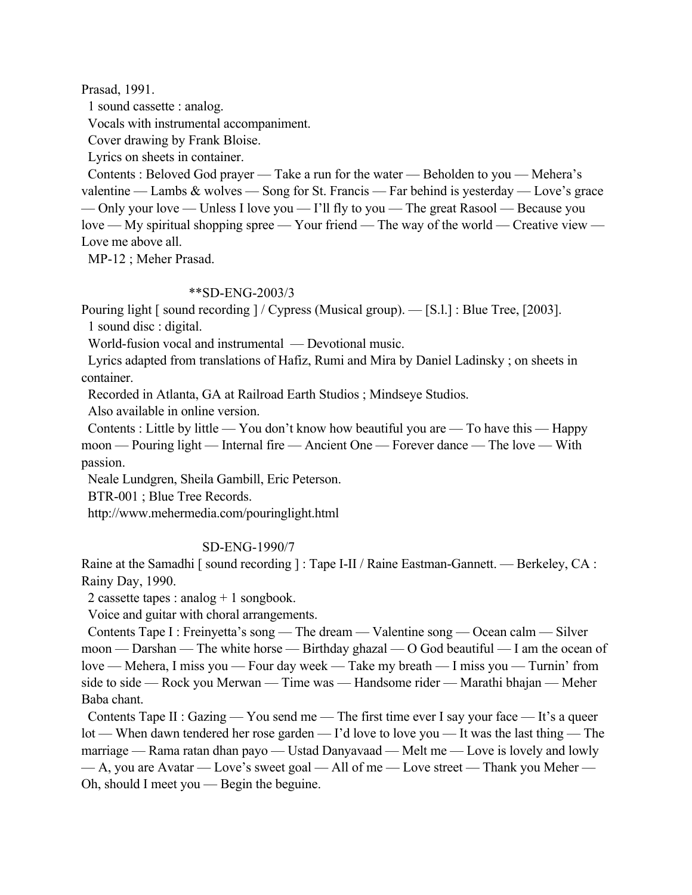Prasad, 1991.

1 sound cassette : analog.

Vocals with instrumental accompaniment.

Cover drawing by Frank Bloise.

Lyrics on sheets in container.

 Contents : Beloved God prayer — Take a run for the water — Beholden to you — Mehera's valentine — Lambs & wolves — Song for St. Francis — Far behind is yesterday — Love's grace — Only your love — Unless I love you — I'll fly to you — The great Rasool — Because you love — My spiritual shopping spree — Your friend — The way of the world — Creative view — Love me above all.

MP-12 ; Meher Prasad.

## \*\*SD-ENG-2003/3

Pouring light [sound recording ] / Cypress (Musical group). — [S.l.] : Blue Tree, [2003]. 1 sound disc : digital.

World-fusion vocal and instrumental — Devotional music.

 Lyrics adapted from translations of Hafiz, Rumi and Mira by Daniel Ladinsky ; on sheets in container.

Recorded in Atlanta, GA at Railroad Earth Studios ; Mindseye Studios.

Also available in online version.

 Contents : Little by little — You don't know how beautiful you are — To have this — Happy moon — Pouring light — Internal fire — Ancient One — Forever dance — The love — With passion.

Neale Lundgren, Sheila Gambill, Eric Peterson.

BTR-001 ; Blue Tree Records.

http://www.mehermedia.com/pouringlight.html

# SD-ENG-1990/7

Raine at the Samadhi [ sound recording ] : Tape I-II / Raine Eastman-Gannett. — Berkeley, CA : Rainy Day, 1990.

2 cassette tapes : analog + 1 songbook.

Voice and guitar with choral arrangements.

 Contents Tape I : Freinyetta's song — The dream — Valentine song — Ocean calm — Silver moon — Darshan — The white horse — Birthday ghazal — O God beautiful — I am the ocean of love — Mehera, I miss you — Four day week — Take my breath — I miss you — Turnin' from side to side — Rock you Merwan — Time was — Handsome rider — Marathi bhajan — Meher Baba chant.

Contents Tape II : Gazing — You send me — The first time ever I say your face — It's a queer lot — When dawn tendered her rose garden — I'd love to love you — It was the last thing — The marriage — Rama ratan dhan payo — Ustad Danyavaad — Melt me — Love is lovely and lowly  $-A$ , you are Avatar — Love's sweet goal — All of me — Love street — Thank you Meher — Oh, should I meet you — Begin the beguine.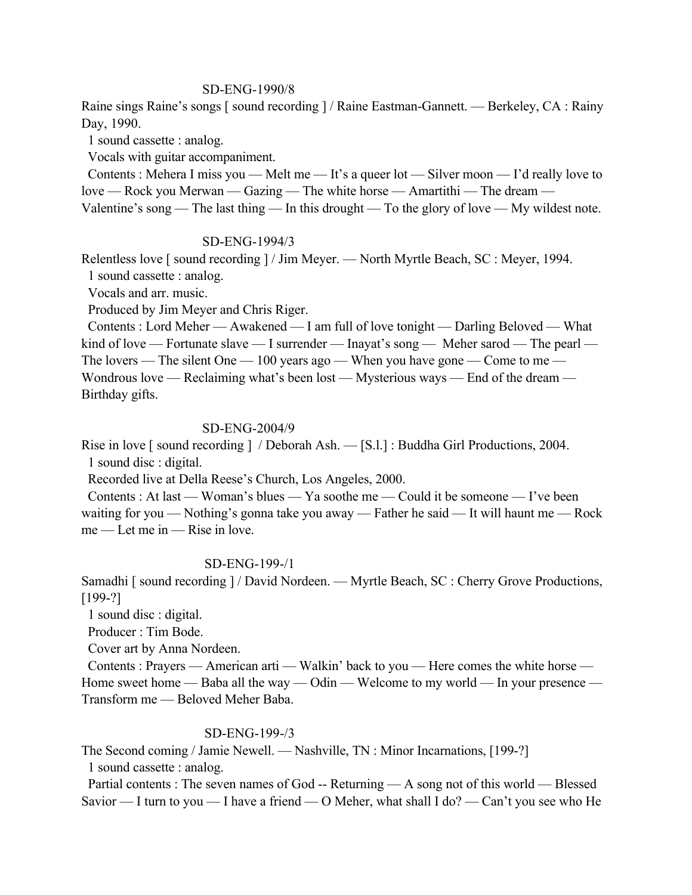## SD-ENG-1990/8

Raine sings Raine's songs [ sound recording ] / Raine Eastman-Gannett. — Berkeley, CA : Rainy Day, 1990.

1 sound cassette : analog.

Vocals with guitar accompaniment.

 Contents : Mehera I miss you — Melt me — It's a queer lot — Silver moon — I'd really love to love — Rock you Merwan — Gazing — The white horse — Amartithi — The dream — Valentine's song — The last thing — In this drought — To the glory of love — My wildest note.

### SD-ENG-1994/3

Relentless love [ sound recording ] / Jim Meyer. — North Myrtle Beach, SC : Meyer, 1994.

1 sound cassette : analog.

Vocals and arr. music.

Produced by Jim Meyer and Chris Riger.

 Contents : Lord Meher — Awakened — I am full of love tonight — Darling Beloved — What kind of love — Fortunate slave — I surrender — Inayat's song — Meher sarod — The pearl — The lovers — The silent One — 100 years ago — When you have gone — Come to me — Wondrous love — Reclaiming what's been lost — Mysterious ways — End of the dream — Birthday gifts.

### SD-ENG-2004/9

Rise in love [ sound recording ] / Deborah Ash. — [S.l.] : Buddha Girl Productions, 2004. 1 sound disc : digital.

Recorded live at Della Reese's Church, Los Angeles, 2000.

 Contents : At last — Woman's blues — Ya soothe me — Could it be someone — I've been waiting for you — Nothing's gonna take you away — Father he said — It will haunt me — Rock me — Let me in — Rise in love.

#### SD-ENG-199-/1

Samadhi [ sound recording ] / David Nordeen. — Myrtle Beach, SC : Cherry Grove Productions, [199-?]

1 sound disc : digital.

Producer : Tim Bode.

Cover art by Anna Nordeen.

 Contents : Prayers — American arti — Walkin' back to you — Here comes the white horse — Home sweet home — Baba all the way — Odin — Welcome to my world — In your presence — Transform me — Beloved Meher Baba.

## SD-ENG-199-/3

The Second coming / Jamie Newell. — Nashville, TN : Minor Incarnations, [199-?] 1 sound cassette : analog.

Partial contents : The seven names of God -- Returning — A song not of this world — Blessed Savior — I turn to you — I have a friend — O Meher, what shall I do? — Can't you see who He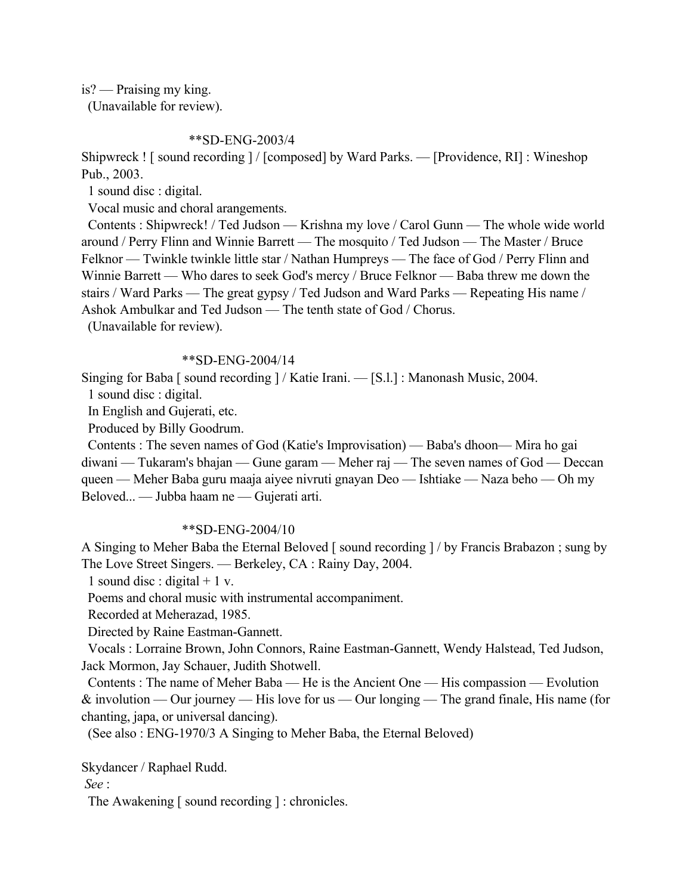is? — Praising my king.

(Unavailable for review).

# \*\*SD-ENG-2003/4

Shipwreck ! [ sound recording ] / [composed] by Ward Parks. — [Providence, RI] : Wineshop Pub., 2003.

1 sound disc : digital.

Vocal music and choral arangements.

 Contents : Shipwreck! / Ted Judson — Krishna my love / Carol Gunn — The whole wide world around / Perry Flinn and Winnie Barrett — The mosquito / Ted Judson — The Master / Bruce Felknor — Twinkle twinkle little star / Nathan Humpreys — The face of God / Perry Flinn and Winnie Barrett — Who dares to seek God's mercy / Bruce Felknor — Baba threw me down the stairs / Ward Parks — The great gypsy / Ted Judson and Ward Parks — Repeating His name / Ashok Ambulkar and Ted Judson — The tenth state of God / Chorus.

(Unavailable for review).

## \*\*SD-ENG-2004/14

Singing for Baba [ sound recording ] / Katie Irani. — [S.l.] : Manonash Music, 2004.

1 sound disc : digital.

In English and Gujerati, etc.

Produced by Billy Goodrum.

 Contents : The seven names of God (Katie's Improvisation) — Baba's dhoon— Mira ho gai diwani — Tukaram's bhajan — Gune garam — Meher raj — The seven names of God — Deccan queen — Meher Baba guru maaja aiyee nivruti gnayan Deo — Ishtiake — Naza beho — Oh my Beloved... — Jubba haam ne — Gujerati arti.

# \*\*SD-ENG-2004/10

A Singing to Meher Baba the Eternal Beloved [ sound recording ] / by Francis Brabazon ; sung by The Love Street Singers. — Berkeley, CA : Rainy Day, 2004.

1 sound disc : digital  $+1$  v.

Poems and choral music with instrumental accompaniment.

Recorded at Meherazad, 1985.

Directed by Raine Eastman-Gannett.

 Vocals : Lorraine Brown, John Connors, Raine Eastman-Gannett, Wendy Halstead, Ted Judson, Jack Mormon, Jay Schauer, Judith Shotwell.

 Contents : The name of Meher Baba — He is the Ancient One — His compassion — Evolution & involution — Our journey — His love for us — Our longing — The grand finale, His name (for chanting, japa, or universal dancing).

(See also : ENG-1970/3 A Singing to Meher Baba, the Eternal Beloved)

Skydancer / Raphael Rudd.

 *See* :

The Awakening [ sound recording ] : chronicles.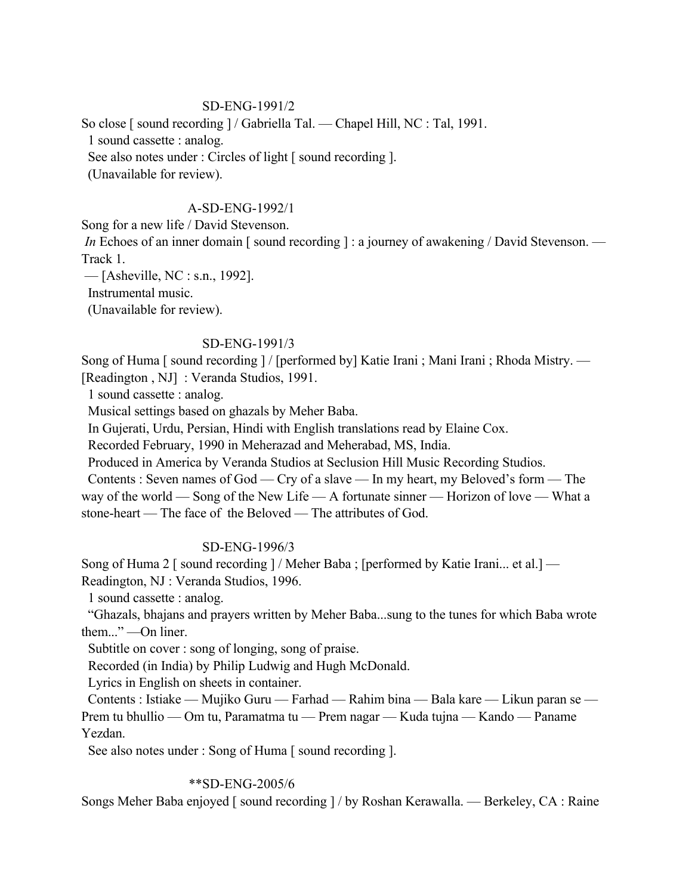# SD-ENG-1991/2

So close [ sound recording ] / Gabriella Tal. — Chapel Hill, NC : Tal, 1991. 1 sound cassette : analog. See also notes under : Circles of light [ sound recording ]. (Unavailable for review).

# A-SD-ENG-1992/1

Song for a new life / David Stevenson.

*In* Echoes of an inner domain [ sound recording ] : a journey of awakening / David Stevenson. — Track 1.

— [Asheville, NC : s.n., 1992].

Instrumental music.

(Unavailable for review).

# SD-ENG-1991/3

Song of Huma [ sound recording ] / [performed by] Katie Irani ; Mani Irani ; Rhoda Mistry. — [Readington, NJ] : Veranda Studios, 1991.

1 sound cassette : analog.

Musical settings based on ghazals by Meher Baba.

In Gujerati, Urdu, Persian, Hindi with English translations read by Elaine Cox.

Recorded February, 1990 in Meherazad and Meherabad, MS, India.

Produced in America by Veranda Studios at Seclusion Hill Music Recording Studios.

 Contents : Seven names of God — Cry of a slave — In my heart, my Beloved's form — The way of the world — Song of the New Life — A fortunate sinner — Horizon of love — What a stone-heart — The face of the Beloved — The attributes of God.

# SD-ENG-1996/3

Song of Huma 2 [ sound recording ] / Meher Baba ; [performed by Katie Irani... et al.] — Readington, NJ : Veranda Studios, 1996.

1 sound cassette : analog.

 "Ghazals, bhajans and prayers written by Meher Baba...sung to the tunes for which Baba wrote them..." —On liner.

Subtitle on cover : song of longing, song of praise.

Recorded (in India) by Philip Ludwig and Hugh McDonald.

Lyrics in English on sheets in container.

 Contents : Istiake — Mujiko Guru — Farhad — Rahim bina — Bala kare — Likun paran se — Prem tu bhullio — Om tu, Paramatma tu — Prem nagar — Kuda tujna — Kando — Paname Yezdan.

See also notes under : Song of Huma [ sound recording ].

# \*\*SD-ENG-2005/6

Songs Meher Baba enjoyed [ sound recording ] / by Roshan Kerawalla. — Berkeley, CA : Raine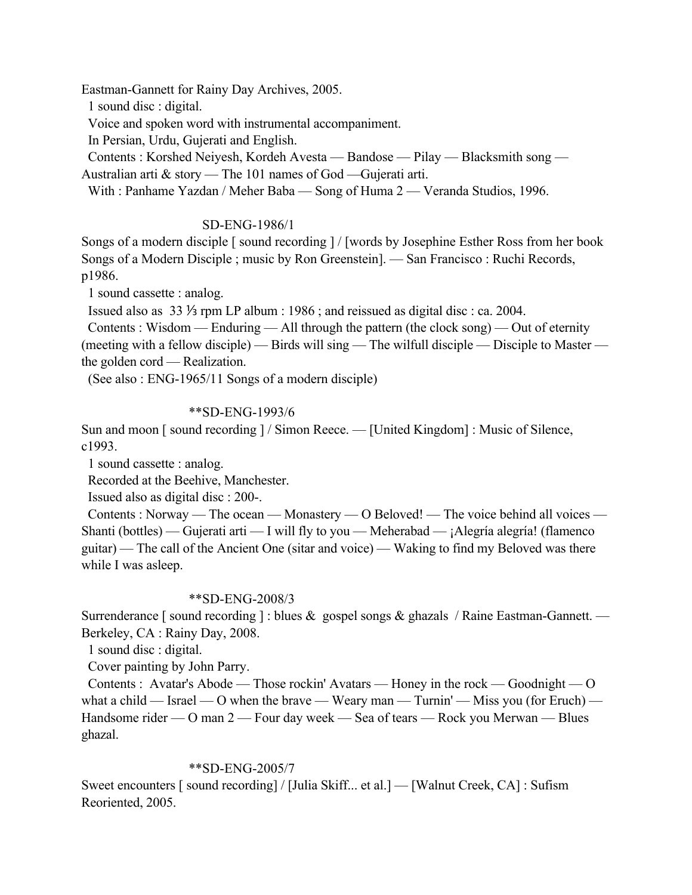Eastman-Gannett for Rainy Day Archives, 2005.

1 sound disc : digital.

Voice and spoken word with instrumental accompaniment.

In Persian, Urdu, Gujerati and English.

 Contents : Korshed Neiyesh, Kordeh Avesta — Bandose — Pilay — Blacksmith song — Australian arti & story — The 101 names of God —Gujerati arti.

With : Panhame Yazdan / Meher Baba — Song of Huma 2 — Veranda Studios, 1996.

# SD-ENG-1986/1

Songs of a modern disciple [ sound recording ] / [words by Josephine Esther Ross from her book Songs of a Modern Disciple ; music by Ron Greenstein]. — San Francisco : Ruchi Records, p1986.

1 sound cassette : analog.

Issued also as 33 ⅓ rpm LP album : 1986 ; and reissued as digital disc : ca. 2004.

 Contents : Wisdom — Enduring — All through the pattern (the clock song) — Out of eternity (meeting with a fellow disciple) — Birds will sing — The wilfull disciple — Disciple to Master the golden cord — Realization.

(See also : ENG-1965/11 Songs of a modern disciple)

# \*\*SD-ENG-1993/6

Sun and moon [ sound recording ] / Simon Reece. — [United Kingdom] : Music of Silence, c1993.

1 sound cassette : analog.

Recorded at the Beehive, Manchester.

Issued also as digital disc : 200-.

 Contents : Norway — The ocean — Monastery — O Beloved! — The voice behind all voices — Shanti (bottles) — Gujerati arti — I will fly to you — Meherabad — ¡Alegría alegría! (flamenco guitar) — The call of the Ancient One (sitar and voice) — Waking to find my Beloved was there while I was asleep.

# \*\*SD-ENG-2008/3

Surrenderance [ sound recording ] : blues  $\&$  gospel songs  $\&$  ghazals / Raine Eastman-Gannett. — Berkeley, CA : Rainy Day, 2008.

1 sound disc : digital.

Cover painting by John Parry.

 Contents : Avatar's Abode — Those rockin' Avatars — Honey in the rock — Goodnight — O what a child — Israel — O when the brave — Weary man — Turnin' — Miss you (for Eruch) — Handsome rider — O man 2 — Four day week — Sea of tears — Rock you Merwan — Blues ghazal.

# \*\*SD-ENG-2005/7

Sweet encounters [ sound recording] / [Julia Skiff... et al.] — [Walnut Creek, CA] : Sufism Reoriented, 2005.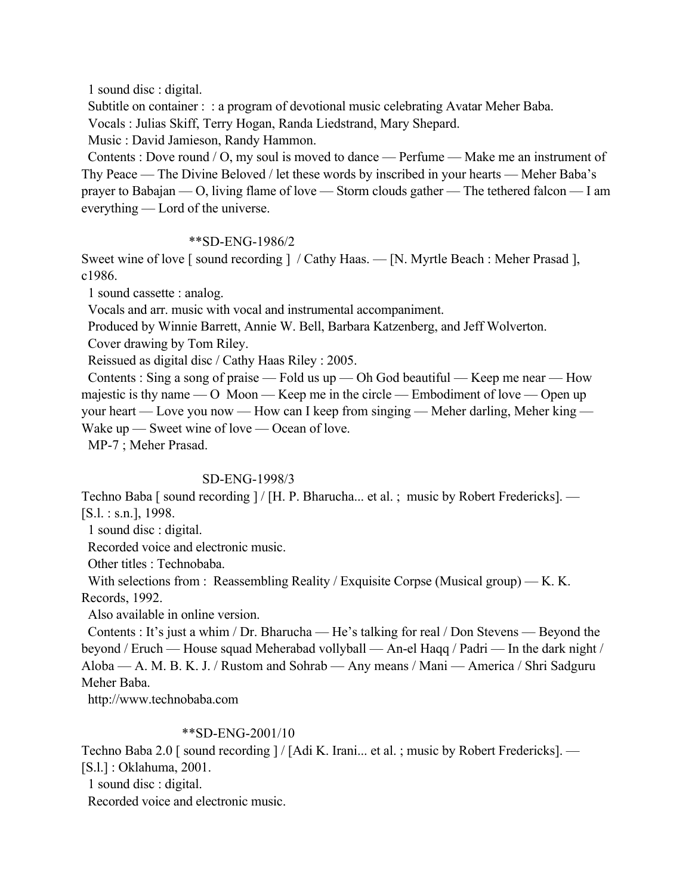1 sound disc : digital.

Subtitle on container : : a program of devotional music celebrating Avatar Meher Baba.

Vocals : Julias Skiff, Terry Hogan, Randa Liedstrand, Mary Shepard.

Music : David Jamieson, Randy Hammon.

 Contents : Dove round / O, my soul is moved to dance — Perfume — Make me an instrument of Thy Peace — The Divine Beloved / let these words by inscribed in your hearts — Meher Baba's prayer to Babajan — O, living flame of love — Storm clouds gather — The tethered falcon — I am everything — Lord of the universe.

# \*\*SD-ENG-1986/2

Sweet wine of love [sound recording ] / Cathy Haas. — [N. Myrtle Beach : Meher Prasad ], c1986.

1 sound cassette : analog.

Vocals and arr. music with vocal and instrumental accompaniment.

Produced by Winnie Barrett, Annie W. Bell, Barbara Katzenberg, and Jeff Wolverton.

Cover drawing by Tom Riley.

Reissued as digital disc / Cathy Haas Riley : 2005.

Contents : Sing a song of praise — Fold us up — Oh God beautiful — Keep me near — How majestic is thy name — O Moon — Keep me in the circle — Embodiment of love — Open up your heart — Love you now — How can I keep from singing — Meher darling, Meher king — Wake up — Sweet wine of love — Ocean of love.

MP-7 ; Meher Prasad.

## SD-ENG-1998/3

Techno Baba [ sound recording ] / [H. P. Bharucha... et al. ; music by Robert Fredericks]. — [S.l. : s.n.], 1998.

1 sound disc : digital.

Recorded voice and electronic music.

Other titles : Technobaba.

With selections from : Reassembling Reality / Exquisite Corpse (Musical group) — K. K. Records, 1992.

Also available in online version.

 Contents : It's just a whim / Dr. Bharucha — He's talking for real / Don Stevens — Beyond the beyond / Eruch — House squad Meherabad vollyball — An-el Haqq / Padri — In the dark night / Aloba — A. M. B. K. J. / Rustom and Sohrab — Any means / Mani — America / Shri Sadguru Meher Baba.

http://www.technobaba.com

## \*\*SD-ENG-2001/10

Techno Baba 2.0 [ sound recording ] / [Adi K. Irani... et al. ; music by Robert Fredericks]. — [S.l.] : Oklahuma, 2001.

1 sound disc : digital.

Recorded voice and electronic music.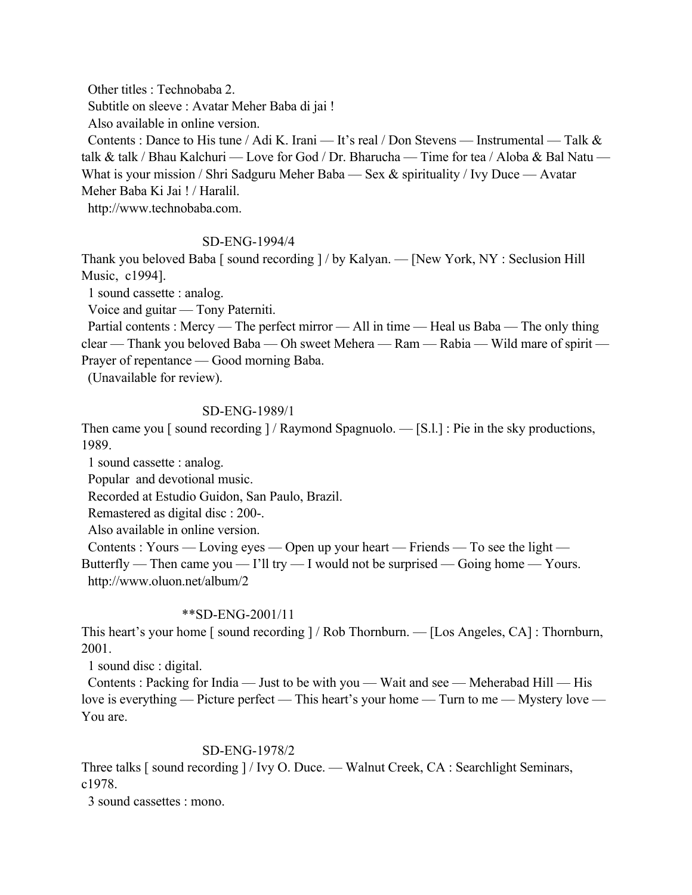Other titles : Technobaba 2.

Subtitle on sleeve : Avatar Meher Baba di jai !

Also available in online version.

Contents : Dance to His tune / Adi K. Irani — It's real / Don Stevens — Instrumental — Talk  $\&$ talk & talk / Bhau Kalchuri — Love for God / Dr. Bharucha — Time for tea / Aloba & Bal Natu — What is your mission / Shri Sadguru Meher Baba — Sex & spirituality / Ivy Duce — Avatar Meher Baba Ki Jai ! / Haralil.

http://www.technobaba.com.

# SD-ENG-1994/4

Thank you beloved Baba [ sound recording ] / by Kalyan. — [New York, NY : Seclusion Hill Music, c1994].

1 sound cassette : analog.

Voice and guitar — Tony Paterniti.

Partial contents : Mercy — The perfect mirror — All in time — Heal us Baba — The only thing clear — Thank you beloved Baba — Oh sweet Mehera — Ram — Rabia — Wild mare of spirit — Prayer of repentance — Good morning Baba.

(Unavailable for review).

# SD-ENG-1989/1

Then came you [ sound recording ] / Raymond Spagnuolo. — [S.l.] : Pie in the sky productions, 1989.

1 sound cassette : analog.

Popular and devotional music.

Recorded at Estudio Guidon, San Paulo, Brazil.

Remastered as digital disc : 200-.

Also available in online version.

Contents : Yours — Loving eyes — Open up your heart — Friends — To see the light — Butterfly — Then came you — I'll try — I would not be surprised — Going home — Yours. http://www.oluon.net/album/2

# \*\*SD-ENG-2001/11

This heart's your home [ sound recording ] / Rob Thornburn. — [Los Angeles, CA] : Thornburn, 2001.

1 sound disc : digital.

 Contents : Packing for India — Just to be with you — Wait and see — Meherabad Hill — His love is everything — Picture perfect — This heart's your home — Turn to me — Mystery love — You are.

# SD-ENG-1978/2

Three talks [ sound recording ] / Ivy O. Duce. — Walnut Creek, CA : Searchlight Seminars, c1978.

3 sound cassettes : mono.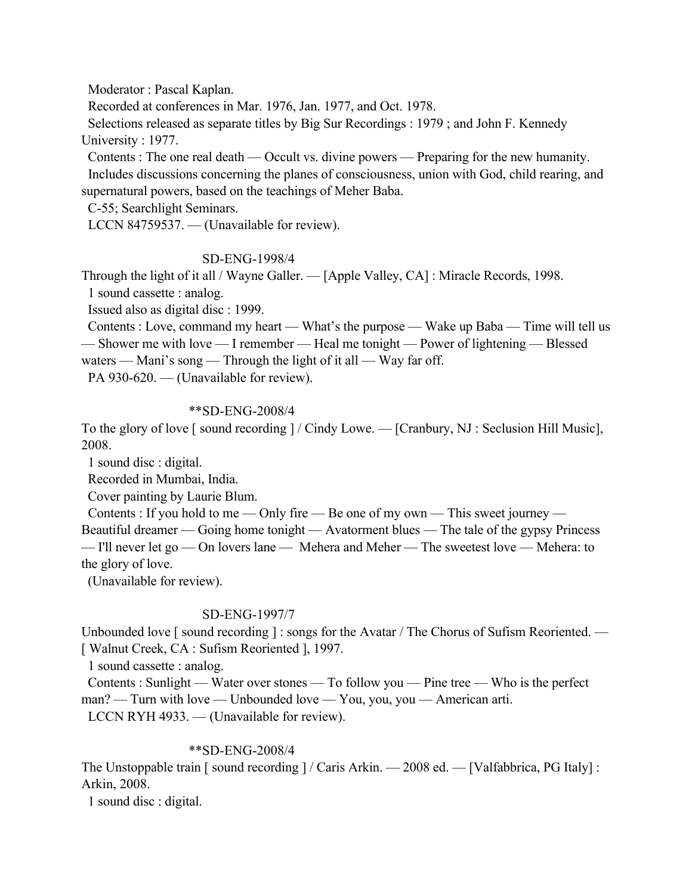Moderator : Pascal Kaplan.

Recorded at conferences in Mar. 1976, Jan. 1977, and Oct. 1978.

 Selections released as separate titles by Big Sur Recordings : 1979 ; and John F. Kennedy University : 1977.

 Contents : The one real death — Occult vs. divine powers — Preparing for the new humanity. Includes discussions concerning the planes of consciousness, union with God, child rearing, and supernatural powers, based on the teachings of Meher Baba.

C-55; Searchlight Seminars.

LCCN 84759537. — (Unavailable for review).

## SD-ENG-1998/4

Through the light of it all / Wayne Galler. — [Apple Valley, CA] : Miracle Records, 1998.

1 sound cassette : analog.

Issued also as digital disc : 1999.

 Contents : Love, command my heart — What's the purpose — Wake up Baba — Time will tell us — Shower me with love — I remember — Heal me tonight — Power of lightening — Blessed

waters — Mani's song — Through the light of it all — Way far off.

PA 930-620. — (Unavailable for review).

# \*\*SD-ENG-2008/4

To the glory of love [ sound recording ] / Cindy Lowe. — [Cranbury, NJ : Seclusion Hill Music], 2008.

1 sound disc : digital.

Recorded in Mumbai, India.

Cover painting by Laurie Blum.

Contents : If you hold to me — Only fire — Be one of my own — This sweet journey —

Beautiful dreamer — Going home tonight — Avatorment blues — The tale of the gypsy Princess — I'll never let go — On lovers lane — Mehera and Meher — The sweetest love — Mehera: to the glory of love.

(Unavailable for review).

# SD-ENG-1997/7

Unbounded love [sound recording ] : songs for the Avatar / The Chorus of Sufism Reoriented. — [ Walnut Creek, CA : Sufism Reoriented ], 1997.

1 sound cassette : analog.

 Contents : Sunlight — Water over stones — To follow you — Pine tree — Who is the perfect man? — Turn with love — Unbounded love — You, you, you — American arti.

LCCN RYH 4933. — (Unavailable for review).

# \*\*SD-ENG-2008/4

The Unstoppable train [ sound recording ] / Caris Arkin. — 2008 ed. — [Valfabbrica, PG Italy] : Arkin, 2008.

1 sound disc : digital.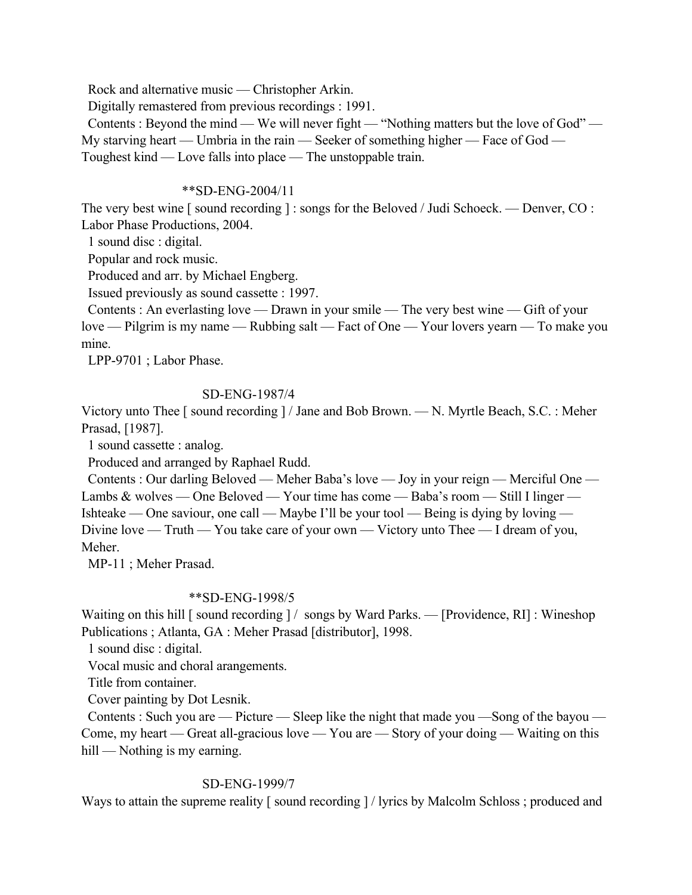Rock and alternative music — Christopher Arkin.

Digitally remastered from previous recordings : 1991.

 Contents : Beyond the mind — We will never fight — "Nothing matters but the love of God" — My starving heart — Umbria in the rain — Seeker of something higher — Face of God — Toughest kind — Love falls into place — The unstoppable train.

## \*\*SD-ENG-2004/11

The very best wine [ sound recording ] : songs for the Beloved / Judi Schoeck. — Denver, CO : Labor Phase Productions, 2004.

1 sound disc : digital.

Popular and rock music.

Produced and arr. by Michael Engberg.

Issued previously as sound cassette : 1997.

 Contents : An everlasting love — Drawn in your smile — The very best wine — Gift of your love — Pilgrim is my name — Rubbing salt — Fact of One — Your lovers yearn — To make you mine.

LPP-9701 ; Labor Phase.

## SD-ENG-1987/4

Victory unto Thee [ sound recording ] / Jane and Bob Brown. — N. Myrtle Beach, S.C. : Meher Prasad, [1987].

1 sound cassette : analog.

Produced and arranged by Raphael Rudd.

 Contents : Our darling Beloved — Meher Baba's love — Joy in your reign — Merciful One — Lambs & wolves — One Beloved — Your time has come — Baba's room — Still I linger — Ishteake — One saviour, one call — Maybe I'll be your tool — Being is dying by loving — Divine love — Truth — You take care of your own — Victory unto Thee — I dream of you, Meher.

MP-11 ; Meher Prasad.

# \*\*SD-ENG-1998/5

Waiting on this hill [ sound recording ] / songs by Ward Parks. — [Providence, RI] : Wineshop Publications ; Atlanta, GA : Meher Prasad [distributor], 1998.

1 sound disc : digital.

Vocal music and choral arangements.

Title from container.

Cover painting by Dot Lesnik.

 Contents : Such you are — Picture — Sleep like the night that made you —Song of the bayou — Come, my heart — Great all-gracious love — You are — Story of your doing — Waiting on this hill — Nothing is my earning.

# SD-ENG-1999/7

Ways to attain the supreme reality [sound recording ] / lyrics by Malcolm Schloss; produced and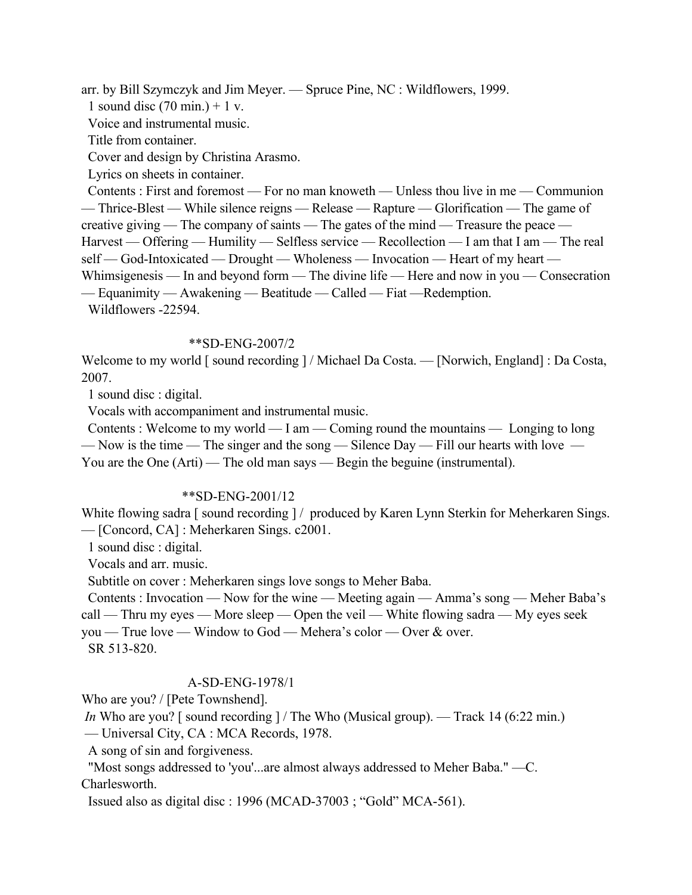arr. by Bill Szymczyk and Jim Meyer. — Spruce Pine, NC : Wildflowers, 1999.

1 sound disc  $(70 \text{ min.}) + 1 \text{ v.}$ 

Voice and instrumental music.

Title from container.

Cover and design by Christina Arasmo.

Lyrics on sheets in container.

 Contents : First and foremost — For no man knoweth — Unless thou live in me — Communion — Thrice-Blest — While silence reigns — Release — Rapture — Glorification — The game of creative giving — The company of saints — The gates of the mind — Treasure the peace — Harvest — Offering — Humility — Selfless service — Recollection — I am that I am — The real self — God-Intoxicated — Drought — Wholeness — Invocation — Heart of my heart — Whimsigenesis — In and beyond form — The divine life — Here and now in you — Consecration — Equanimity — Awakening — Beatitude — Called — Fiat —Redemption.

Wildflowers -22594.

#### \*\*SD-ENG-2007/2

Welcome to my world [ sound recording ] / Michael Da Costa. — [Norwich, England] : Da Costa, 2007.

1 sound disc : digital.

Vocals with accompaniment and instrumental music.

 Contents : Welcome to my world — I am — Coming round the mountains — Longing to long — Now is the time — The singer and the song — Silence Day — Fill our hearts with love — You are the One (Arti) — The old man says — Begin the beguine (instrumental).

### \*\*SD-ENG-2001/12

White flowing sadra [ sound recording ] / produced by Karen Lynn Sterkin for Meherkaren Sings. — [Concord, CA] : Meherkaren Sings. c2001.

1 sound disc : digital.

Vocals and arr. music.

Subtitle on cover : Meherkaren sings love songs to Meher Baba.

 Contents : Invocation — Now for the wine — Meeting again — Amma's song — Meher Baba's call — Thru my eyes — More sleep — Open the veil — White flowing sadra — My eyes seek

you — True love — Window to God — Mehera's color — Over & over.

SR 513-820.

## A-SD-ENG-1978/1

Who are you? / [Pete Townshend].

*In* Who are you? [sound recording ] / The Who (Musical group). — Track 14 (6:22 min.)

— Universal City, CA : MCA Records, 1978.

A song of sin and forgiveness.

 "Most songs addressed to 'you'...are almost always addressed to Meher Baba." —C. Charlesworth.

Issued also as digital disc : 1996 (MCAD-37003 ; "Gold" MCA-561).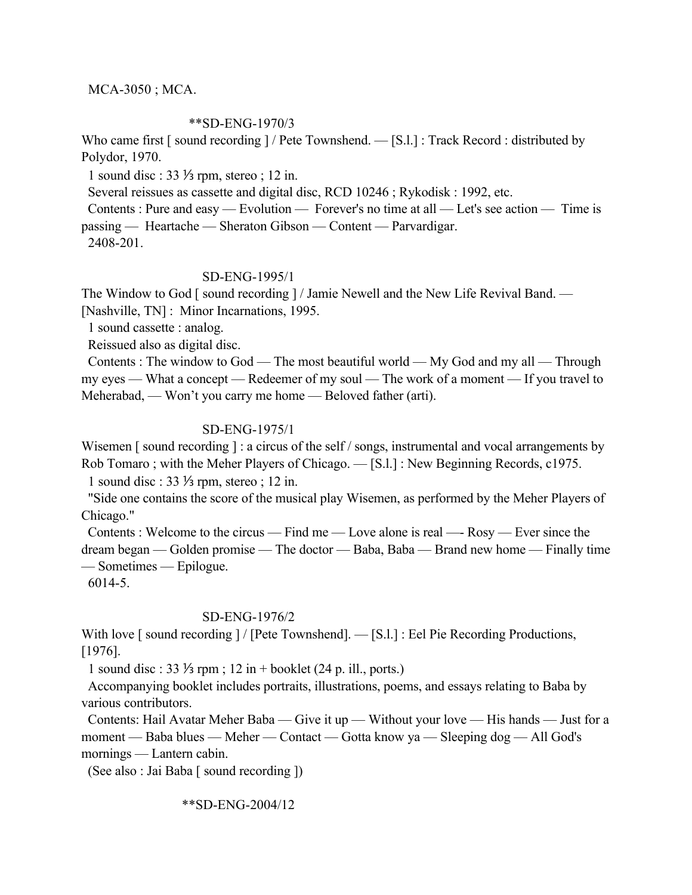## MCA-3050 ; MCA.

### \*\*SD-ENG-1970/3

Who came first [sound recording ] / Pete Townshend. — [S.l.] : Track Record : distributed by Polydor, 1970.

1 sound disc : 33 ⅓ rpm, stereo ; 12 in.

Several reissues as cassette and digital disc, RCD 10246 ; Rykodisk : 1992, etc.

 Contents : Pure and easy — Evolution — Forever's no time at all — Let's see action — Time is passing — Heartache — Sheraton Gibson — Content — Parvardigar.

2408-201.

## SD-ENG-1995/1

The Window to God [ sound recording ] / Jamie Newell and the New Life Revival Band. — [Nashville, TN] : Minor Incarnations, 1995.

1 sound cassette : analog.

Reissued also as digital disc.

 Contents : The window to God — The most beautiful world — My God and my all — Through my eyes — What a concept — Redeemer of my soul — The work of a moment — If you travel to Meherabad, — Won't you carry me home — Beloved father (arti).

## SD-ENG-1975/1

Wisemen [ sound recording ] : a circus of the self / songs, instrumental and vocal arrangements by Rob Tomaro ; with the Meher Players of Chicago. — [S.l.] : New Beginning Records, c1975.

1 sound disc : 33 ⅓ rpm, stereo ; 12 in.

 "Side one contains the score of the musical play Wisemen, as performed by the Meher Players of Chicago."

 Contents : Welcome to the circus — Find me — Love alone is real —- Rosy — Ever since the dream began — Golden promise — The doctor — Baba, Baba — Brand new home — Finally time — Sometimes — Epilogue.

6014-5.

## SD-ENG-1976/2

With love [ sound recording ] / [Pete Townshend]. — [S.l.] : Eel Pie Recording Productions, [1976].

1 sound disc : 33 ⅓ rpm ; 12 in + booklet (24 p. ill., ports.)

 Accompanying booklet includes portraits, illustrations, poems, and essays relating to Baba by various contributors.

 Contents: Hail Avatar Meher Baba — Give it up — Without your love — His hands — Just for a moment — Baba blues — Meher — Contact — Gotta know ya — Sleeping dog — All God's mornings — Lantern cabin.

(See also : Jai Baba [ sound recording ])

\*\*SD-ENG-2004/12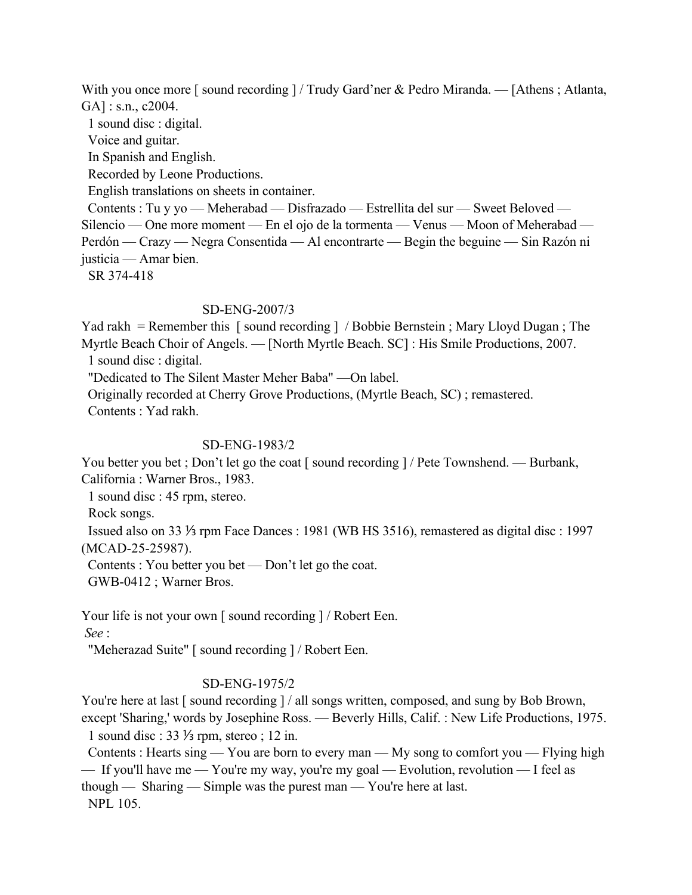With you once more [ sound recording ] / Trudy Gard'ner & Pedro Miranda. — [Athens ; Atlanta, GA] : s.n., c2004.

 1 sound disc : digital. Voice and guitar. In Spanish and English. Recorded by Leone Productions. English translations on sheets in container. Contents : Tu y yo — Meherabad — Disfrazado — Estrellita del sur — Sweet Beloved — Silencio — One more moment — En el ojo de la tormenta — Venus — Moon of Meherabad — Perdón — Crazy — Negra Consentida — Al encontrarte — Begin the beguine — Sin Razón ni justicia — Amar bien. SR 374-418

## SD-ENG-2007/3

Yad rakh = Remember this [sound recording ] / Bobbie Bernstein ; Mary Lloyd Dugan ; The Myrtle Beach Choir of Angels. — [North Myrtle Beach. SC] : His Smile Productions, 2007. 1 sound disc : digital.

"Dedicated to The Silent Master Meher Baba" —On label.

 Originally recorded at Cherry Grove Productions, (Myrtle Beach, SC) ; remastered. Contents : Yad rakh.

## SD-ENG-1983/2

You better you bet ; Don't let go the coat [ sound recording  $/$  Pete Townshend. — Burbank, California : Warner Bros., 1983.

1 sound disc : 45 rpm, stereo.

Rock songs.

 Issued also on 33 ⅓ rpm Face Dances : 1981 (WB HS 3516), remastered as digital disc : 1997 (MCAD-25-25987).

Contents : You better you bet — Don't let go the coat.

GWB-0412 ; Warner Bros.

Your life is not your own [ sound recording  $]/$  Robert Een.

 *See* :

"Meherazad Suite" [ sound recording ] / Robert Een.

## SD-ENG-1975/2

You're here at last [ sound recording ] / all songs written, composed, and sung by Bob Brown, except 'Sharing,' words by Josephine Ross. — Beverly Hills, Calif. : New Life Productions, 1975.

1 sound disc : 33 ⅓ rpm, stereo ; 12 in.

 Contents : Hearts sing — You are born to every man — My song to comfort you — Flying high — If you'll have me — You're my way, you're my goal — Evolution, revolution — I feel as though — Sharing — Simple was the purest man — You're here at last. NPL 105.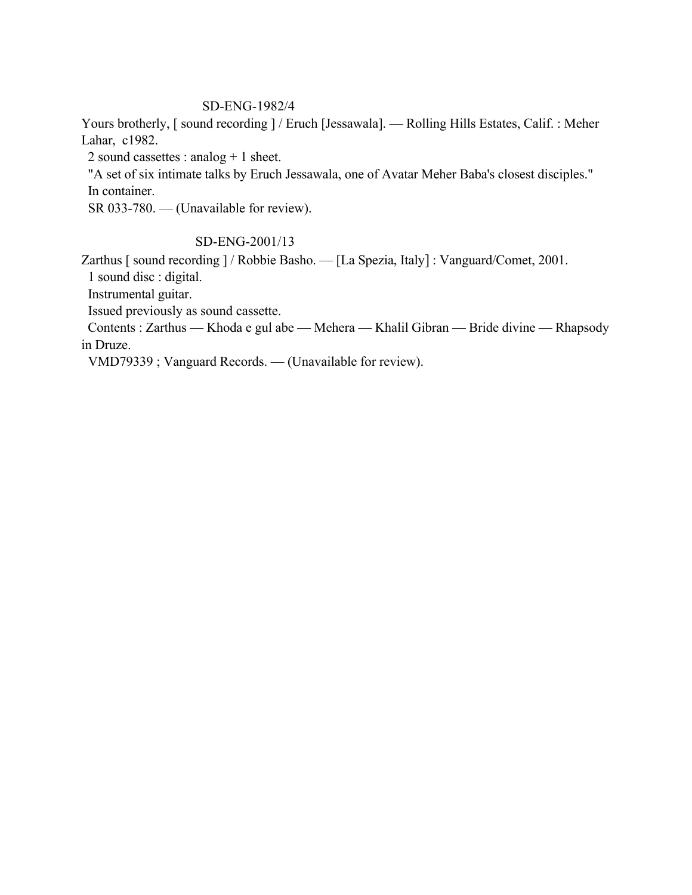# SD-ENG-1982/4

Yours brotherly, [ sound recording ] / Eruch [Jessawala]. — Rolling Hills Estates, Calif. : Meher Lahar, c1982.

2 sound cassettes : analog + 1 sheet.

 "A set of six intimate talks by Eruch Jessawala, one of Avatar Meher Baba's closest disciples." In container.

SR 033-780. — (Unavailable for review).

# SD-ENG-2001/13

Zarthus [ sound recording ] / Robbie Basho. — [La Spezia, Italy] : Vanguard/Comet, 2001.

1 sound disc : digital.

Instrumental guitar.

Issued previously as sound cassette.

 Contents : Zarthus — Khoda e gul abe — Mehera — Khalil Gibran — Bride divine — Rhapsody in Druze.

VMD79339 ; Vanguard Records. — (Unavailable for review).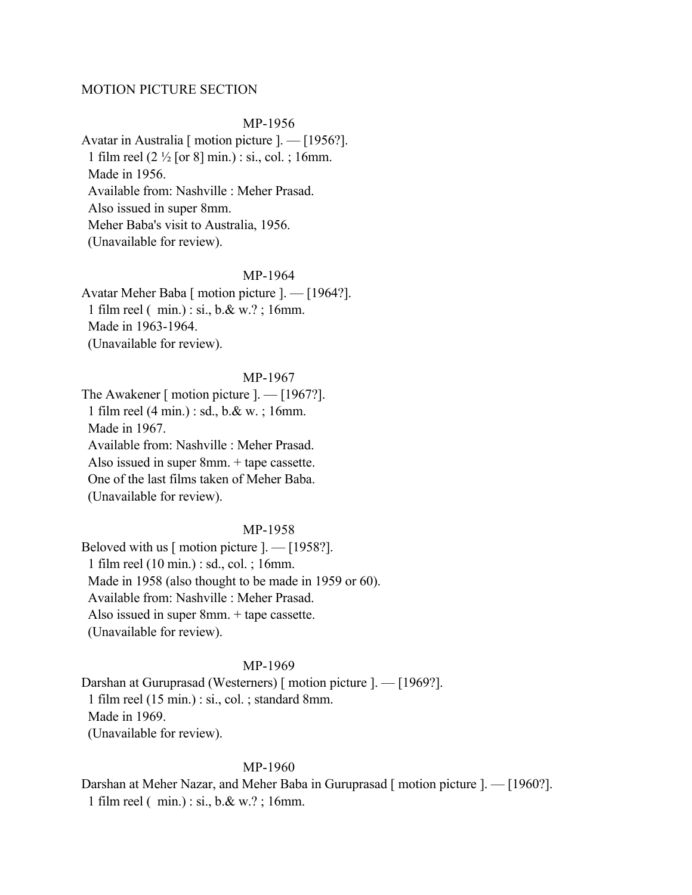## MOTION PICTURE SECTION

MP-1956

Avatar in Australia [ motion picture ]. — [1956?]. 1 film reel (2 ½ [or 8] min.) : si., col. ; 16mm. Made in 1956. Available from: Nashville : Meher Prasad. Also issued in super 8mm. Meher Baba's visit to Australia, 1956. (Unavailable for review).

MP-1964

Avatar Meher Baba [ motion picture ]. — [1964?]. 1 film reel ( min.) : si., b.& w.? ; 16mm. Made in 1963-1964. (Unavailable for review).

MP-1967 The Awakener [ motion picture ]. — [1967?]. 1 film reel (4 min.) : sd., b.& w. ; 16mm. Made in 1967. Available from: Nashville : Meher Prasad. Also issued in super 8mm. + tape cassette. One of the last films taken of Meher Baba. (Unavailable for review).

### MP-1958

Beloved with us [ motion picture ]. — [1958?]. 1 film reel (10 min.) : sd., col. ; 16mm. Made in 1958 (also thought to be made in 1959 or 60). Available from: Nashville : Meher Prasad. Also issued in super 8mm. + tape cassette. (Unavailable for review).

#### MP-1969

Darshan at Guruprasad (Westerners) [ motion picture ]. — [1969?]. 1 film reel (15 min.) : si., col. ; standard 8mm. Made in 1969. (Unavailable for review).

#### MP-1960

Darshan at Meher Nazar, and Meher Baba in Guruprasad [ motion picture ]. — [1960?]. 1 film reel ( min.) : si., b.& w.? ; 16mm.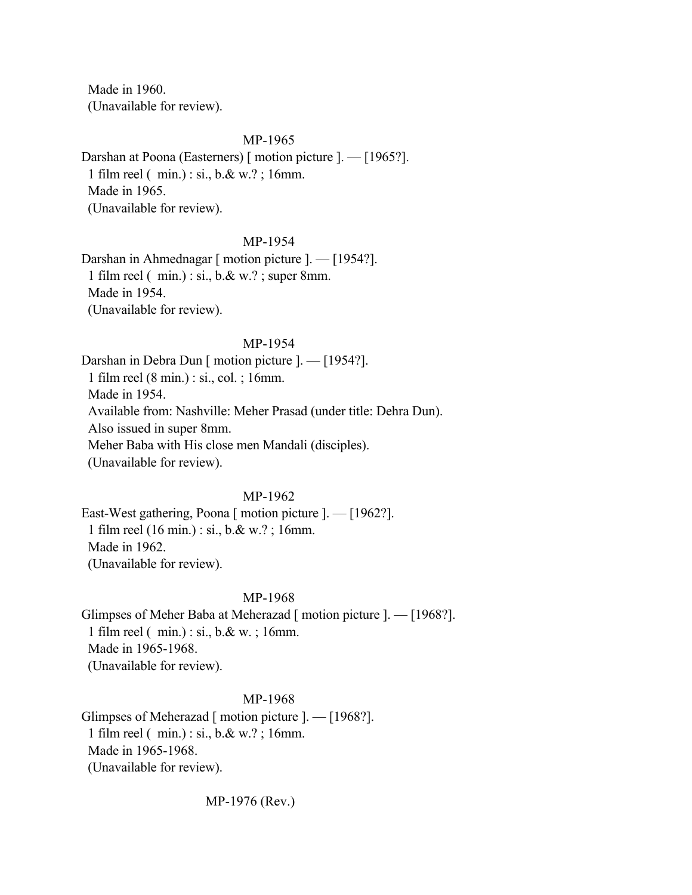Made in 1960. (Unavailable for review).

### MP-1965

Darshan at Poona (Easterners) [ motion picture ]. — [1965?]. 1 film reel ( min.) : si., b.& w.? ; 16mm. Made in 1965. (Unavailable for review).

#### MP-1954

Darshan in Ahmednagar [ motion picture ]. — [1954?]. 1 film reel ( min.) : si., b.& w.? ; super 8mm. Made in 1954. (Unavailable for review).

### MP-1954

Darshan in Debra Dun [ motion picture ]. — [1954?]. 1 film reel (8 min.) : si., col. ; 16mm. Made in 1954. Available from: Nashville: Meher Prasad (under title: Dehra Dun). Also issued in super 8mm. Meher Baba with His close men Mandali (disciples). (Unavailable for review).

## MP-1962

East-West gathering, Poona [ motion picture ]. — [1962?]. 1 film reel (16 min.) : si., b.& w.? ; 16mm. Made in 1962. (Unavailable for review).

# MP-1968

Glimpses of Meher Baba at Meherazad [ motion picture ]. — [1968?]. 1 film reel ( min.) : si., b.& w. ; 16mm. Made in 1965-1968. (Unavailable for review).

MP-1968

Glimpses of Meherazad [ motion picture ]. — [1968?]. 1 film reel ( min.) : si., b.& w.? ; 16mm. Made in 1965-1968. (Unavailable for review).

MP-1976 (Rev.)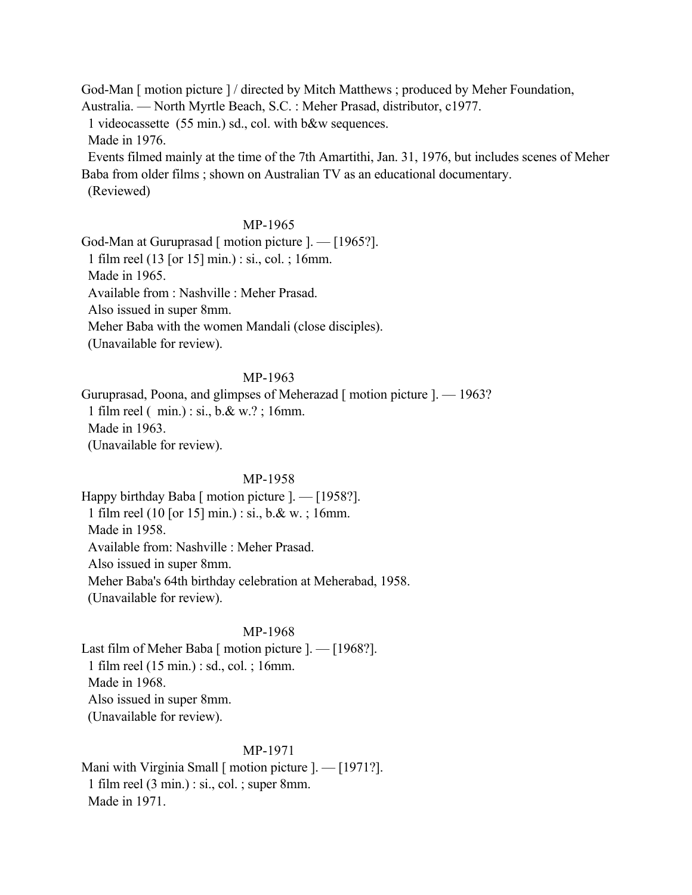God-Man [ motion picture ] / directed by Mitch Matthews ; produced by Meher Foundation, Australia. — North Myrtle Beach, S.C. : Meher Prasad, distributor, c1977. 1 videocassette (55 min.) sd., col. with b&w sequences. Made in 1976. Events filmed mainly at the time of the 7th Amartithi, Jan. 31, 1976, but includes scenes of Meher Baba from older films ; shown on Australian TV as an educational documentary. (Reviewed)

# MP-1965

God-Man at Guruprasad [ motion picture ]. — [1965?]. 1 film reel (13 [or 15] min.) : si., col. ; 16mm. Made in 1965. Available from : Nashville : Meher Prasad. Also issued in super 8mm. Meher Baba with the women Mandali (close disciples). (Unavailable for review).

## MP-1963

Guruprasad, Poona, and glimpses of Meherazad [ motion picture ]. — 1963? 1 film reel ( min.) : si., b.& w.? ; 16mm. Made in 1963. (Unavailable for review).

## MP-1958

Happy birthday Baba [ motion picture ]. — [1958?]. 1 film reel (10 [or 15] min.) : si., b.& w. ; 16mm. Made in 1958. Available from: Nashville : Meher Prasad. Also issued in super 8mm. Meher Baba's 64th birthday celebration at Meherabad, 1958. (Unavailable for review).

## MP-1968

Last film of Meher Baba [ motion picture ]. — [1968?]. 1 film reel (15 min.) : sd., col. ; 16mm. Made in 1968. Also issued in super 8mm. (Unavailable for review).

# MP-1971

Mani with Virginia Small [ motion picture ]. — [1971?]. 1 film reel (3 min.) : si., col. ; super 8mm. Made in 1971.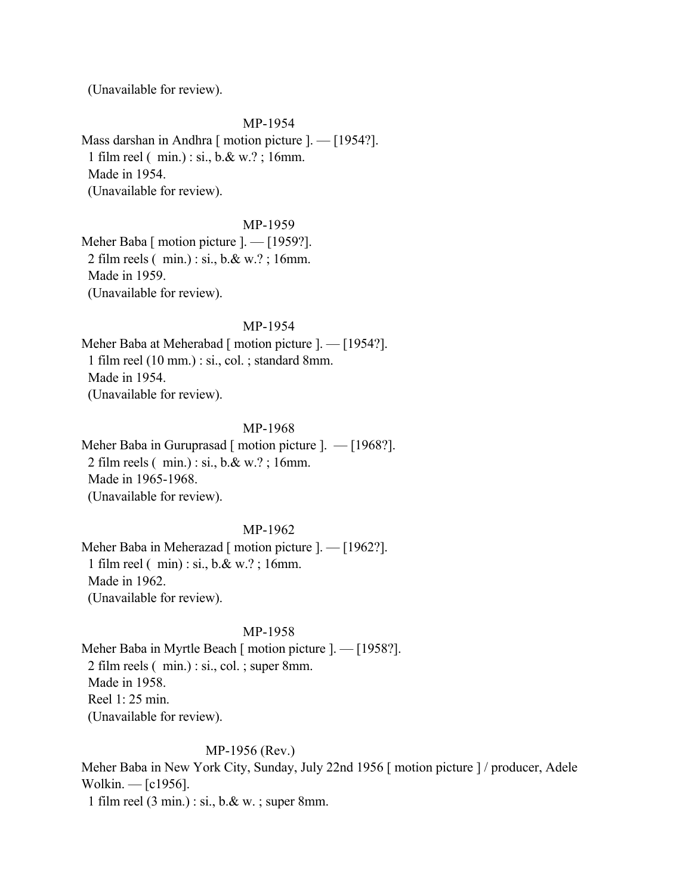(Unavailable for review).

MP-1954 Mass darshan in Andhra [ motion picture ]. — [1954?]. 1 film reel ( min.) : si., b.& w.? ; 16mm. Made in 1954. (Unavailable for review).

MP-1959

Meher Baba [ motion picture ]. — [1959?]. 2 film reels ( min.) : si., b.& w.? ; 16mm. Made in 1959. (Unavailable for review).

MP-1954

Meher Baba at Meherabad [ motion picture ]. — [1954?]. 1 film reel (10 mm.) : si., col. ; standard 8mm. Made in 1954. (Unavailable for review).

### MP-1968

Meher Baba in Guruprasad [ motion picture ]. — [1968?]. 2 film reels ( min.) : si., b.& w.? ; 16mm. Made in 1965-1968. (Unavailable for review).

## MP-1962

Meher Baba in Meherazad [ motion picture ]. — [1962?]. 1 film reel ( min) : si., b.& w.? ; 16mm. Made in 1962. (Unavailable for review).

#### MP-1958

Meher Baba in Myrtle Beach [ motion picture ]. — [1958?]. 2 film reels ( min.) : si., col. ; super 8mm. Made in 1958. Reel 1: 25 min. (Unavailable for review).

## MP-1956 (Rev.)

Meher Baba in New York City, Sunday, July 22nd 1956 [ motion picture ] / producer, Adele Wolkin. — [c1956].

1 film reel (3 min.) : si., b.& w. ; super 8mm.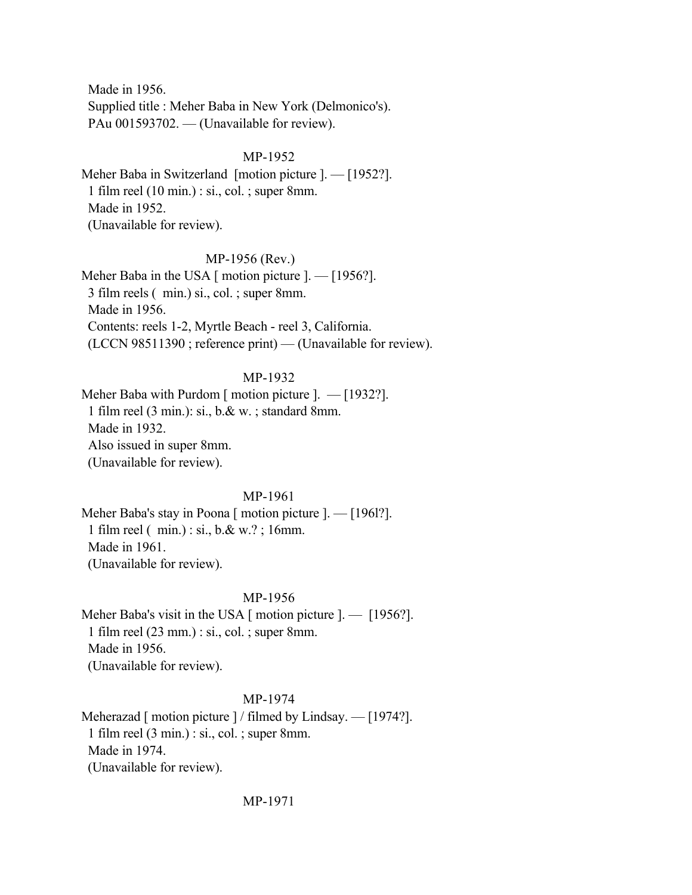Made in 1956. Supplied title : Meher Baba in New York (Delmonico's). PAu 001593702. — (Unavailable for review).

## MP-1952

Meher Baba in Switzerland [motion picture ]. — [1952?]. 1 film reel (10 min.) : si., col. ; super 8mm. Made in 1952. (Unavailable for review).

## MP-1956 (Rev.)

Meher Baba in the USA  $\lceil$  motion picture  $\lceil$ .  $\lceil$  [1956?]. 3 film reels ( min.) si., col. ; super 8mm. Made in 1956. Contents: reels 1-2, Myrtle Beach - reel 3, California. (LCCN 98511390 ; reference print) — (Unavailable for review).

## MP-1932

Meher Baba with Purdom [ motion picture ]. — [1932?]. 1 film reel (3 min.): si., b.& w. ; standard 8mm. Made in 1932. Also issued in super 8mm. (Unavailable for review).

## MP-1961

Meher Baba's stay in Poona [ motion picture ]. — [1961?]. 1 film reel ( min.) : si., b.& w.? ; 16mm. Made in 1961. (Unavailable for review).

## MP-1956

Meher Baba's visit in the USA [ motion picture ]. — [1956?]. 1 film reel (23 mm.) : si., col. ; super 8mm. Made in 1956. (Unavailable for review).

## MP-1974

Meherazad [ motion picture ] / filmed by Lindsay. — [1974?]. 1 film reel (3 min.) : si., col. ; super 8mm. Made in 1974. (Unavailable for review).

MP-1971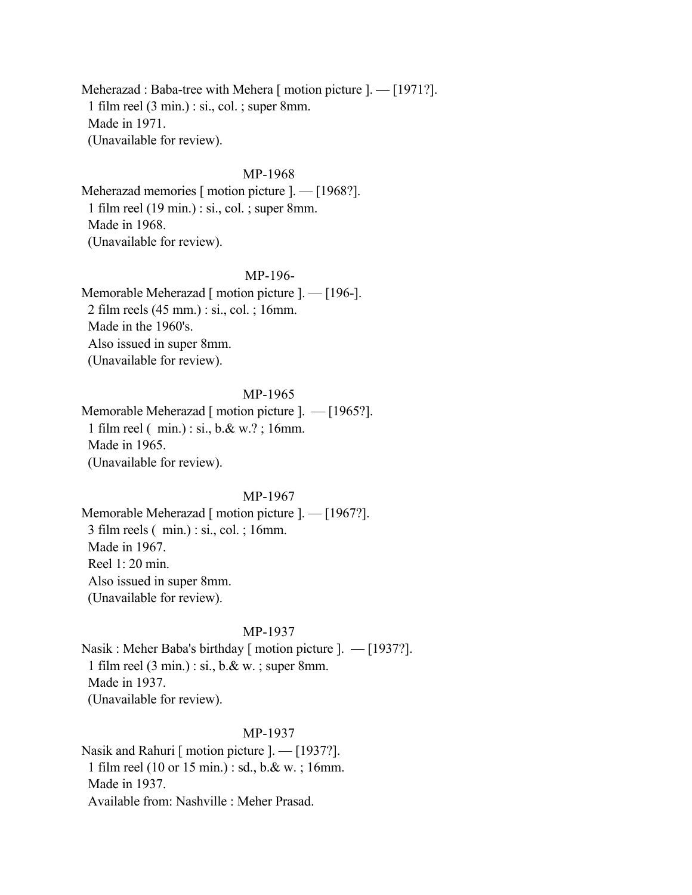Meherazad : Baba-tree with Mehera [ motion picture ]. — [1971?]. 1 film reel (3 min.) : si., col. ; super 8mm. Made in 1971. (Unavailable for review).

## MP-1968

Meherazad memories [ motion picture ]. — [1968?]. 1 film reel (19 min.) : si., col. ; super 8mm. Made in 1968. (Unavailable for review).

## MP-196-

Memorable Meherazad [ motion picture ]. — [196-]. 2 film reels (45 mm.) : si., col. ; 16mm. Made in the 1960's. Also issued in super 8mm. (Unavailable for review).

## MP-1965

Memorable Meherazad [ motion picture ]. — [1965?]. 1 film reel ( min.) : si., b.& w.? ; 16mm. Made in 1965. (Unavailable for review).

#### MP-1967

Memorable Meherazad [ motion picture ]. — [1967?]. 3 film reels ( min.) : si., col. ; 16mm. Made in 1967. Reel 1: 20 min. Also issued in super 8mm. (Unavailable for review).

#### MP-1937

Nasik : Meher Baba's birthday [ motion picture ]. — [1937?]. 1 film reel (3 min.) : si., b.& w. ; super 8mm. Made in 1937. (Unavailable for review).

### MP-1937

Nasik and Rahuri [ motion picture ]. — [1937?]. 1 film reel (10 or 15 min.) : sd., b.& w. ; 16mm. Made in 1937. Available from: Nashville : Meher Prasad.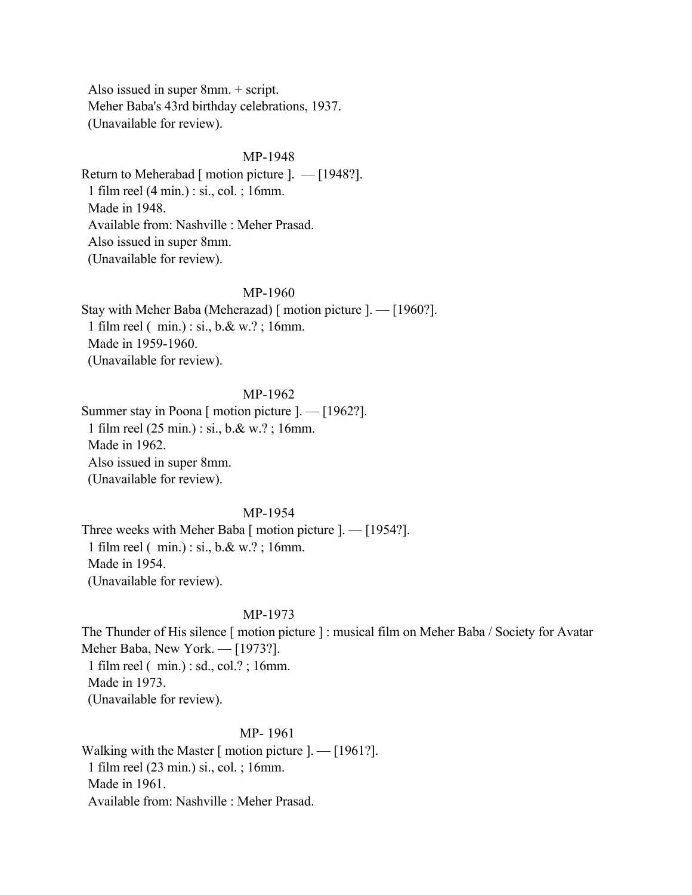Also issued in super 8mm. + script. Meher Baba's 43rd birthday celebrations, 1937. (Unavailable for review).

## MP-1948

Return to Meherabad [ motion picture ].  $-$  [1948?]. 1 film reel (4 min.) : si., col. ; 16mm. Made in 1948. Available from: Nashville : Meher Prasad. Also issued in super 8mm. (Unavailable for review).

#### MP-1960

Stay with Meher Baba (Meherazad) [ motion picture ]. — [1960?]. 1 film reel ( min.) : si., b.& w.? ; 16mm. Made in 1959-1960. (Unavailable for review).

# MP-1962

Summer stay in Poona [ motion picture ]. — [1962?]. 1 film reel (25 min.) : si., b.& w.? ; 16mm. Made in 1962. Also issued in super 8mm. (Unavailable for review).

### MP-1954

Three weeks with Meher Baba [ motion picture ]. — [1954?]. 1 film reel ( min.) : si., b.& w.? ; 16mm. Made in 1954. (Unavailable for review).

## MP-1973

The Thunder of His silence [ motion picture ] : musical film on Meher Baba / Society for Avatar Meher Baba, New York. — [1973?]. 1 film reel ( min.) : sd., col.? ; 16mm. Made in 1973. (Unavailable for review).

## MP- 1961

Walking with the Master  $\lceil$  motion picture  $\lceil$ .  $\lceil$  1961? $\rceil$ . 1 film reel (23 min.) si., col. ; 16mm. Made in 1961. Available from: Nashville : Meher Prasad.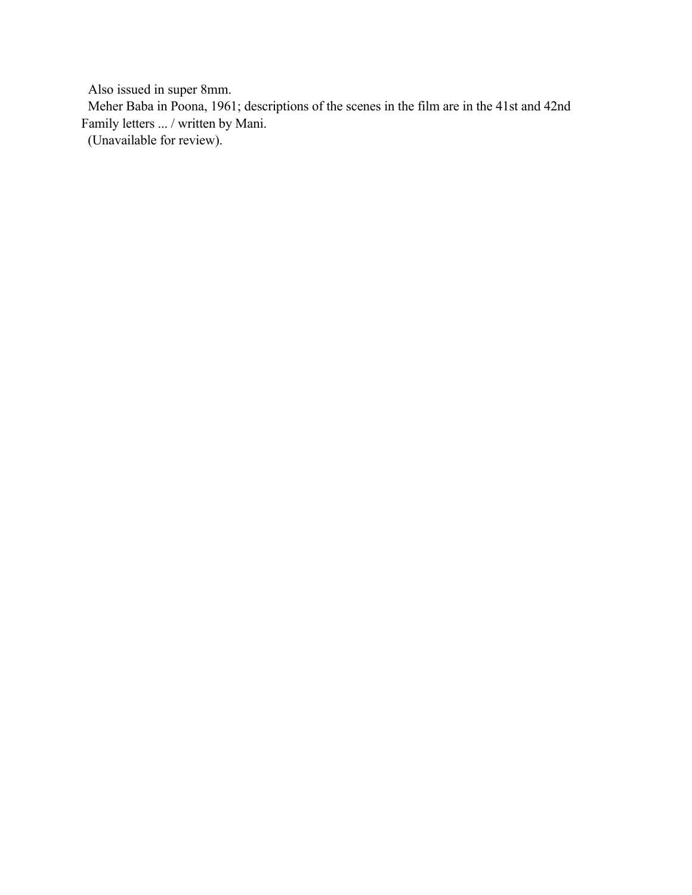Also issued in super 8mm.

 Meher Baba in Poona, 1961; descriptions of the scenes in the film are in the 41st and 42nd Family letters ... / written by Mani.

(Unavailable for review).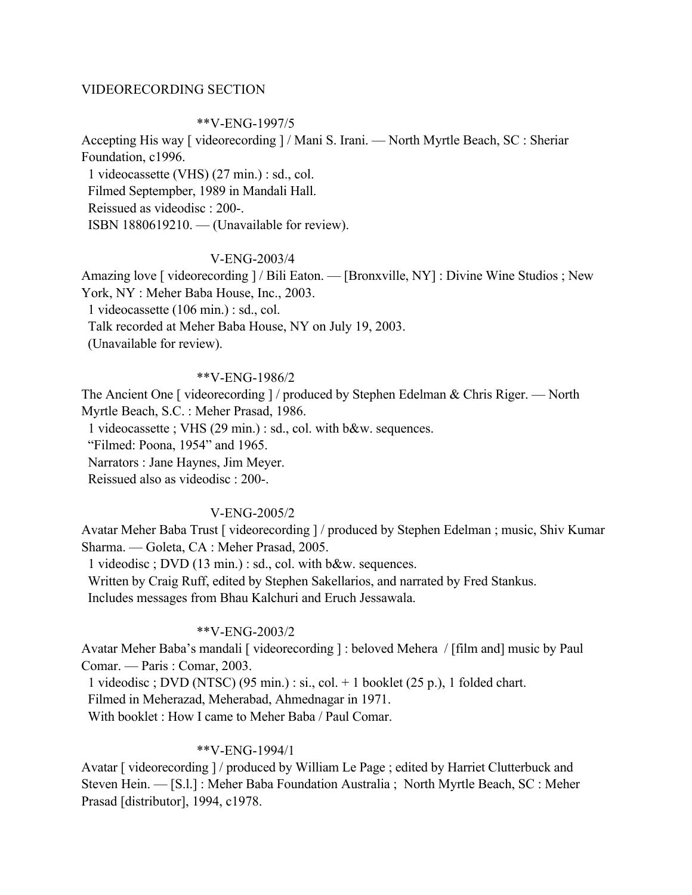### VIDEORECORDING SECTION

#### \*\*V-ENG-1997/5

Accepting His way [ videorecording ] / Mani S. Irani. — North Myrtle Beach, SC : Sheriar Foundation, c1996.

 1 videocassette (VHS) (27 min.) : sd., col. Filmed Septempber, 1989 in Mandali Hall. Reissued as videodisc : 200-. ISBN 1880619210. — (Unavailable for review).

### V-ENG-2003/4

Amazing love [ videorecording ] / Bili Eaton. — [Bronxville, NY] : Divine Wine Studios ; New York, NY : Meher Baba House, Inc., 2003.

1 videocassette (106 min.) : sd., col.

Talk recorded at Meher Baba House, NY on July 19, 2003.

(Unavailable for review).

## \*\*V-ENG-1986/2

The Ancient One [ videorecording ] / produced by Stephen Edelman & Chris Riger. — North Myrtle Beach, S.C. : Meher Prasad, 1986.

1 videocassette ; VHS (29 min.) : sd., col. with b&w. sequences.

"Filmed: Poona, 1954" and 1965.

Narrators : Jane Haynes, Jim Meyer.

Reissued also as videodisc : 200-.

#### V-ENG-2005/2

Avatar Meher Baba Trust [ videorecording ] / produced by Stephen Edelman ; music, Shiv Kumar Sharma. — Goleta, CA : Meher Prasad, 2005.

1 videodisc ; DVD (13 min.) : sd., col. with b&w. sequences.

Written by Craig Ruff, edited by Stephen Sakellarios, and narrated by Fred Stankus.

Includes messages from Bhau Kalchuri and Eruch Jessawala.

### \*\*V-ENG-2003/2

Avatar Meher Baba's mandali [ videorecording ] : beloved Mehera / [film and] music by Paul Comar. — Paris : Comar, 2003.

1 videodisc ; DVD (NTSC) (95 min.) : si., col. + 1 booklet (25 p.), 1 folded chart.

Filmed in Meherazad, Meherabad, Ahmednagar in 1971.

With booklet : How I came to Meher Baba / Paul Comar.

### \*\*V-ENG-1994/1

Avatar [ videorecording ] / produced by William Le Page ; edited by Harriet Clutterbuck and Steven Hein. — [S.l.] : Meher Baba Foundation Australia ; North Myrtle Beach, SC : Meher Prasad [distributor], 1994, c1978.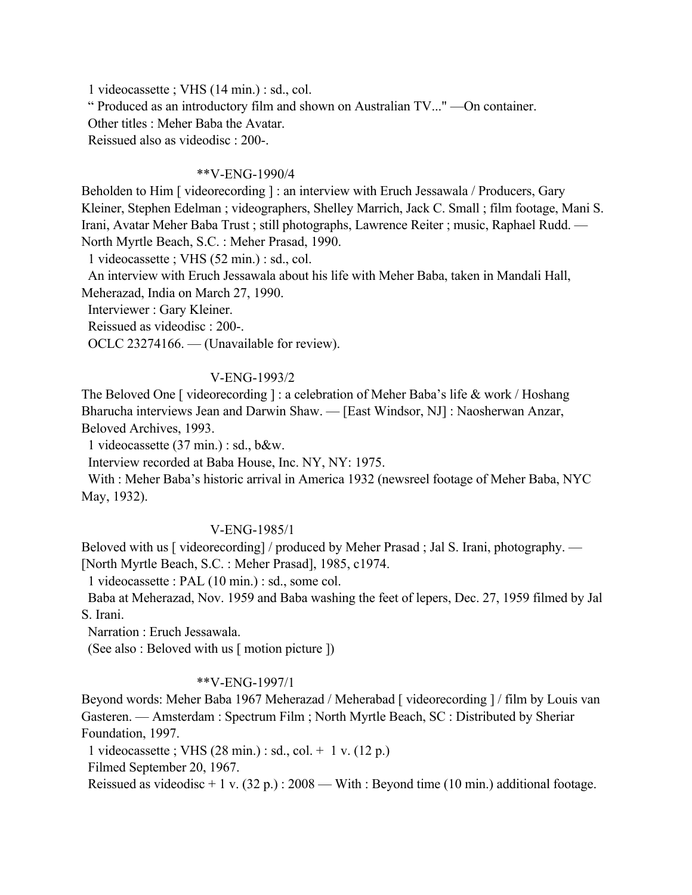1 videocassette ; VHS (14 min.) : sd., col.

" Produced as an introductory film and shown on Australian TV..." —On container.

Other titles : Meher Baba the Avatar.

Reissued also as videodisc : 200-.

## \*\*V-ENG-1990/4

Beholden to Him [ videorecording ] : an interview with Eruch Jessawala / Producers, Gary Kleiner, Stephen Edelman ; videographers, Shelley Marrich, Jack C. Small ; film footage, Mani S. Irani, Avatar Meher Baba Trust ; still photographs, Lawrence Reiter ; music, Raphael Rudd. — North Myrtle Beach, S.C. : Meher Prasad, 1990.

1 videocassette ; VHS (52 min.) : sd., col.

 An interview with Eruch Jessawala about his life with Meher Baba, taken in Mandali Hall, Meherazad, India on March 27, 1990.

Interviewer : Gary Kleiner.

Reissued as videodisc : 200-.

OCLC 23274166. — (Unavailable for review).

# V-ENG-1993/2

The Beloved One [ videorecording ] : a celebration of Meher Baba's life & work / Hoshang Bharucha interviews Jean and Darwin Shaw. — [East Windsor, NJ] : Naosherwan Anzar, Beloved Archives, 1993.

1 videocassette (37 min.) : sd., b&w.

Interview recorded at Baba House, Inc. NY, NY: 1975.

 With : Meher Baba's historic arrival in America 1932 (newsreel footage of Meher Baba, NYC May, 1932).

# V-ENG-1985/1

Beloved with us [ videorecording] / produced by Meher Prasad ; Jal S. Irani, photography. — [North Myrtle Beach, S.C. : Meher Prasad], 1985, c1974.

1 videocassette : PAL (10 min.) : sd., some col.

 Baba at Meherazad, Nov. 1959 and Baba washing the feet of lepers, Dec. 27, 1959 filmed by Jal S. Irani.

Narration : Eruch Jessawala.

(See also : Beloved with us [ motion picture ])

## \*\*V-ENG-1997/1

Beyond words: Meher Baba 1967 Meherazad / Meherabad [ videorecording  $1/$  film by Louis van Gasteren. — Amsterdam : Spectrum Film ; North Myrtle Beach, SC : Distributed by Sheriar Foundation, 1997.

1 videocassette ; VHS (28 min.) : sd., col. + 1 v. (12 p.)

Filmed September 20, 1967.

Reissued as videodisc + 1 v. (32 p.) : 2008 — With : Beyond time (10 min.) additional footage.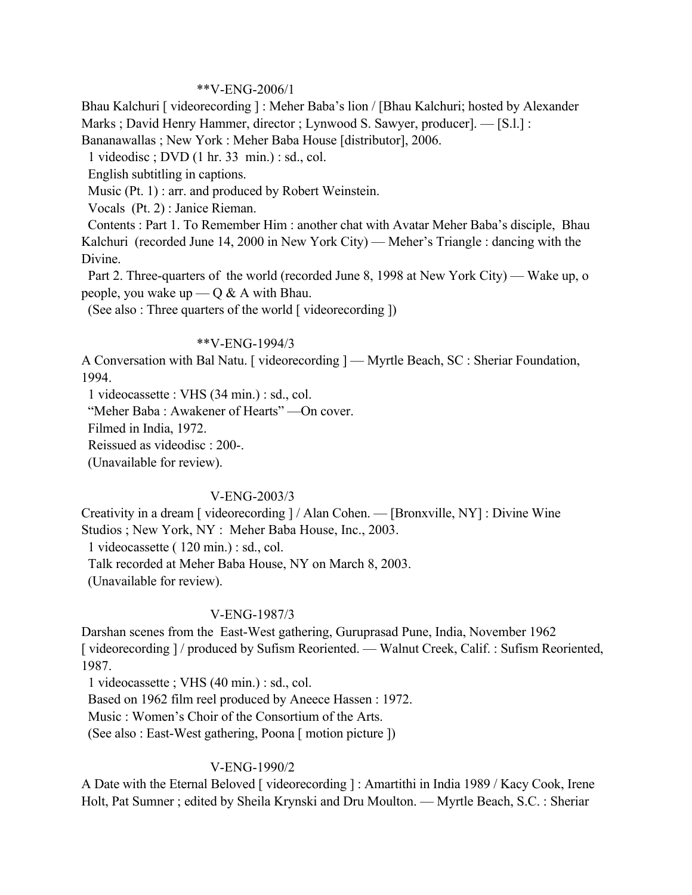### \*\*V-ENG-2006/1

Bhau Kalchuri [ videorecording ] : Meher Baba's lion / [Bhau Kalchuri; hosted by Alexander Marks ; David Henry Hammer, director ; Lynwood S. Sawyer, producer]. — [S.l.] :

Bananawallas ; New York : Meher Baba House [distributor], 2006.

1 videodisc ; DVD (1 hr. 33 min.) : sd., col.

English subtitling in captions.

Music (Pt. 1) : arr. and produced by Robert Weinstein.

Vocals (Pt. 2) : Janice Rieman.

 Contents : Part 1. To Remember Him : another chat with Avatar Meher Baba's disciple, Bhau Kalchuri (recorded June 14, 2000 in New York City) — Meher's Triangle : dancing with the Divine.

 Part 2. Three-quarters of the world (recorded June 8, 1998 at New York City) — Wake up, o people, you wake up —  $\overline{Q} \& A$  with Bhau.

(See also : Three quarters of the world [ videorecording ])

### \*\*V-ENG-1994/3

A Conversation with Bal Natu. [ videorecording ] — Myrtle Beach, SC : Sheriar Foundation, 1994.

1 videocassette : VHS (34 min.) : sd., col.

"Meher Baba : Awakener of Hearts" —On cover.

Filmed in India, 1972.

Reissued as videodisc : 200-.

(Unavailable for review).

## V-ENG-2003/3

Creativity in a dream [ videorecording ] / Alan Cohen. — [Bronxville, NY] : Divine Wine Studios ; New York, NY : Meher Baba House, Inc., 2003.

1 videocassette ( 120 min.) : sd., col.

Talk recorded at Meher Baba House, NY on March 8, 2003.

(Unavailable for review).

## V-ENG-1987/3

Darshan scenes from the East-West gathering, Guruprasad Pune, India, November 1962 [ videorecording ] / produced by Sufism Reoriented. — Walnut Creek, Calif. : Sufism Reoriented, 1987.

1 videocassette ; VHS (40 min.) : sd., col.

Based on 1962 film reel produced by Aneece Hassen : 1972.

Music : Women's Choir of the Consortium of the Arts.

(See also : East-West gathering, Poona [ motion picture ])

## V-ENG-1990/2

A Date with the Eternal Beloved [ videorecording ] : Amartithi in India 1989 / Kacy Cook, Irene Holt, Pat Sumner ; edited by Sheila Krynski and Dru Moulton. — Myrtle Beach, S.C. : Sheriar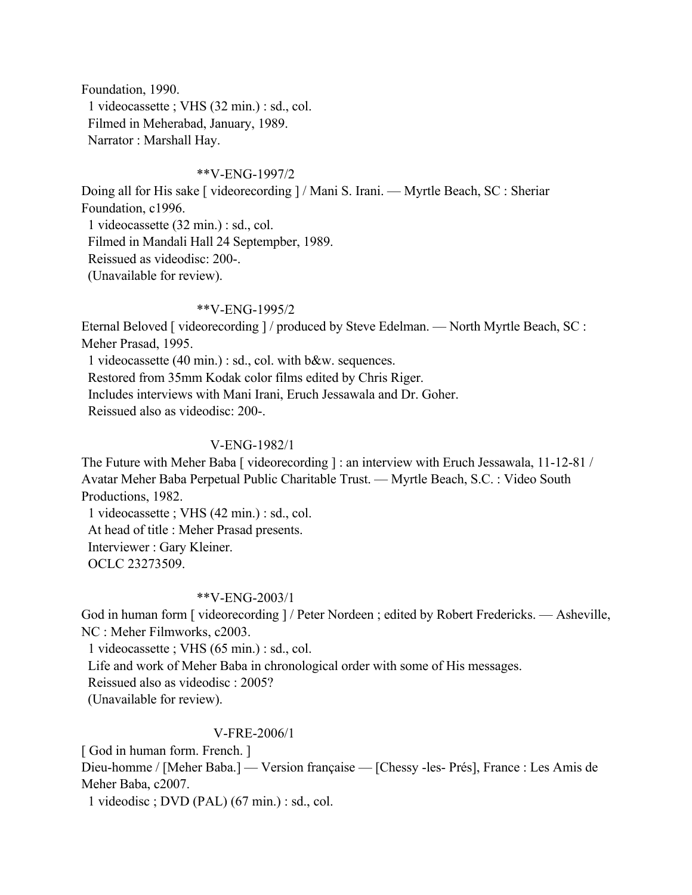Foundation, 1990. 1 videocassette ; VHS (32 min.) : sd., col. Filmed in Meherabad, January, 1989. Narrator : Marshall Hay.

## \*\*V-ENG-1997/2

Doing all for His sake [ videorecording ] / Mani S. Irani. — Myrtle Beach, SC : Sheriar Foundation, c1996. 1 videocassette (32 min.) : sd., col. Filmed in Mandali Hall 24 Septempber, 1989. Reissued as videodisc: 200-. (Unavailable for review).

## \*\*V-ENG-1995/2

Eternal Beloved [ videorecording ] / produced by Steve Edelman. — North Myrtle Beach, SC : Meher Prasad, 1995.

 1 videocassette (40 min.) : sd., col. with b&w. sequences. Restored from 35mm Kodak color films edited by Chris Riger.

Includes interviews with Mani Irani, Eruch Jessawala and Dr. Goher.

Reissued also as videodisc: 200-.

## V-ENG-1982/1

The Future with Meher Baba [ videorecording ] : an interview with Eruch Jessawala, 11-12-81 / Avatar Meher Baba Perpetual Public Charitable Trust. — Myrtle Beach, S.C. : Video South Productions, 1982.

 1 videocassette ; VHS (42 min.) : sd., col. At head of title : Meher Prasad presents. Interviewer : Gary Kleiner. OCLC 23273509.

## \*\*V-ENG-2003/1

God in human form [ videorecording ] / Peter Nordeen ; edited by Robert Fredericks. — Asheville, NC : Meher Filmworks, c2003.

1 videocassette ; VHS (65 min.) : sd., col.

Life and work of Meher Baba in chronological order with some of His messages.

Reissued also as videodisc : 2005?

(Unavailable for review).

# V-FRE-2006/1

[ God in human form. French. ]

Dieu-homme / [Meher Baba.] — Version française — [Chessy -les- Prés], France : Les Amis de Meher Baba, c2007.

1 videodisc ; DVD (PAL) (67 min.) : sd., col.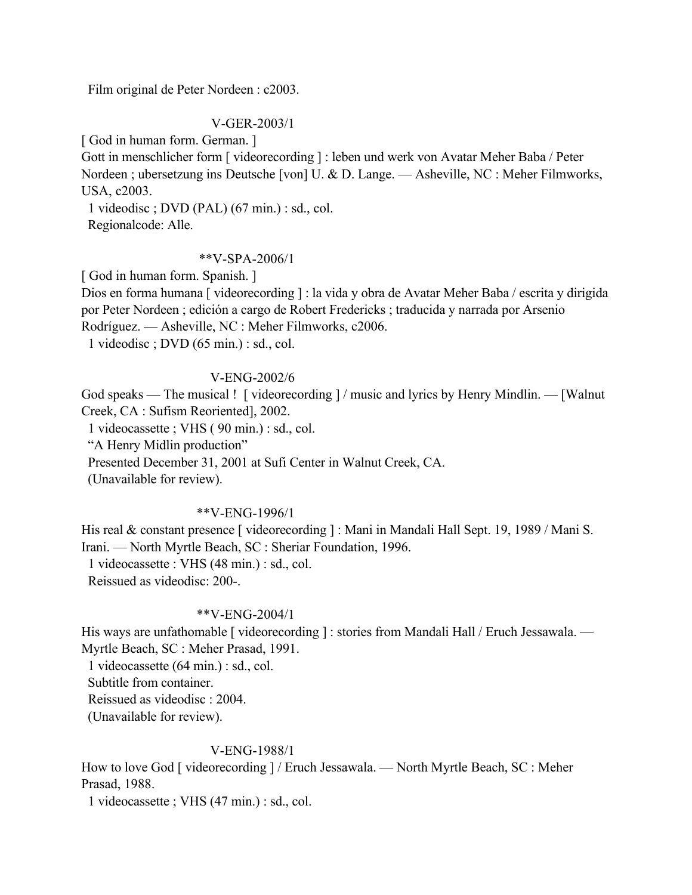Film original de Peter Nordeen : c2003.

## V-GER-2003/1

[ God in human form. German. ]

Gott in menschlicher form [ videorecording ] : leben und werk von Avatar Meher Baba / Peter Nordeen ; ubersetzung ins Deutsche [von] U. & D. Lange. — Asheville, NC : Meher Filmworks, USA, c2003.

 1 videodisc ; DVD (PAL) (67 min.) : sd., col. Regionalcode: Alle.

### \*\*V-SPA-2006/1

[ God in human form. Spanish. ]

Dios en forma humana [ videorecording ] : la vida y obra de Avatar Meher Baba / escrita y dirigida por Peter Nordeen ; edición a cargo de Robert Fredericks ; traducida y narrada por Arsenio Rodríguez. — Asheville, NC : Meher Filmworks, c2006.

1 videodisc ; DVD (65 min.) : sd., col.

## V-ENG-2002/6

God speaks — The musical ! [ videorecording ] / music and lyrics by Henry Mindlin. — [Walnut] Creek, CA : Sufism Reoriented], 2002.

1 videocassette ; VHS ( 90 min.) : sd., col.

"A Henry Midlin production"

Presented December 31, 2001 at Sufi Center in Walnut Creek, CA.

(Unavailable for review).

#### \*\*V-ENG-1996/1

His real & constant presence [ videorecording ] : Mani in Mandali Hall Sept. 19, 1989 / Mani S. Irani. — North Myrtle Beach, SC : Sheriar Foundation, 1996. 1 videocassette : VHS (48 min.) : sd., col.

Reissued as videodisc: 200-.

# \*\*V-ENG-2004/1

His ways are unfathomable [ videorecording ] : stories from Mandali Hall / Eruch Jessawala. — Myrtle Beach, SC : Meher Prasad, 1991.

1 videocassette (64 min.) : sd., col.

Subtitle from container.

Reissued as videodisc : 2004.

(Unavailable for review).

## V-ENG-1988/1

How to love God [ videorecording ] / Eruch Jessawala. — North Myrtle Beach, SC : Meher Prasad, 1988.

1 videocassette ; VHS (47 min.) : sd., col.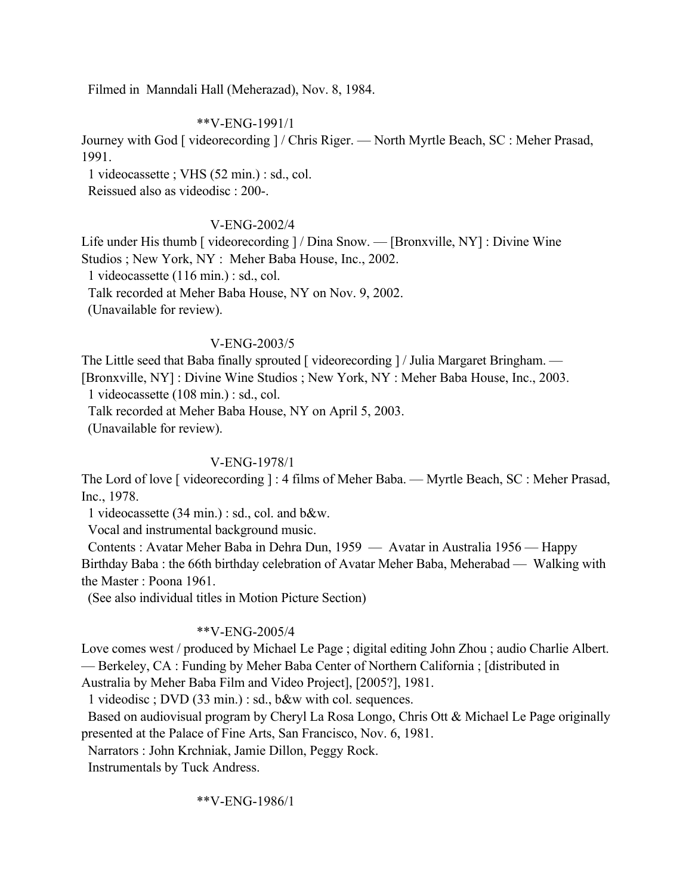Filmed in Manndali Hall (Meherazad), Nov. 8, 1984.

## \*\*V-ENG-1991/1

Journey with God [ videorecording ] / Chris Riger. — North Myrtle Beach, SC : Meher Prasad, 1991.

1 videocassette ; VHS (52 min.) : sd., col.

Reissued also as videodisc : 200-.

# V-ENG-2002/4

Life under His thumb [ videorecording ] / Dina Snow. — [Bronxville, NY] : Divine Wine Studios ; New York, NY : Meher Baba House, Inc., 2002.

1 videocassette (116 min.) : sd., col.

Talk recorded at Meher Baba House, NY on Nov. 9, 2002.

(Unavailable for review).

## V-ENG-2003/5

The Little seed that Baba finally sprouted [ videorecording ] / Julia Margaret Bringham. — [Bronxville, NY] : Divine Wine Studios ; New York, NY : Meher Baba House, Inc., 2003.

1 videocassette (108 min.) : sd., col.

Talk recorded at Meher Baba House, NY on April 5, 2003.

(Unavailable for review).

# V-ENG-1978/1

The Lord of love [ videorecording ] : 4 films of Meher Baba. — Myrtle Beach, SC : Meher Prasad, Inc., 1978.

1 videocassette (34 min.) : sd., col. and b&w.

Vocal and instrumental background music.

 Contents : Avatar Meher Baba in Dehra Dun, 1959 — Avatar in Australia 1956 — Happy Birthday Baba : the 66th birthday celebration of Avatar Meher Baba, Meherabad — Walking with the Master : Poona 1961.

(See also individual titles in Motion Picture Section)

# \*\*V-ENG-2005/4

Love comes west / produced by Michael Le Page ; digital editing John Zhou ; audio Charlie Albert. — Berkeley, CA : Funding by Meher Baba Center of Northern California ; [distributed in Australia by Meher Baba Film and Video Project], [2005?], 1981.

1 videodisc ; DVD (33 min.) : sd., b&w with col. sequences.

 Based on audiovisual program by Cheryl La Rosa Longo, Chris Ott & Michael Le Page originally presented at the Palace of Fine Arts, San Francisco, Nov. 6, 1981.

Narrators : John Krchniak, Jamie Dillon, Peggy Rock.

Instrumentals by Tuck Andress.

\*\*V-ENG-1986/1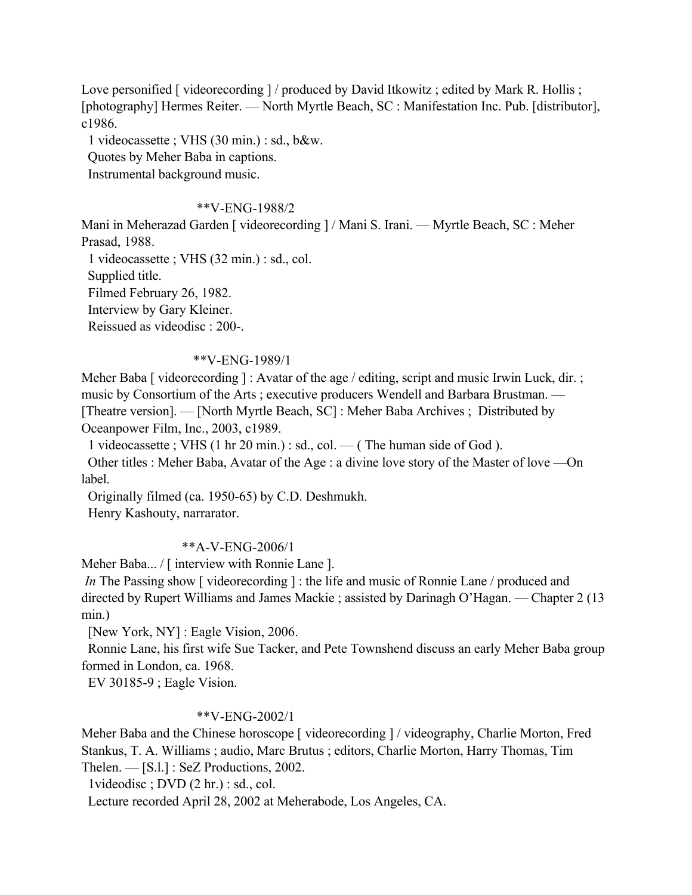Love personified [ videorecording ] / produced by David Itkowitz ; edited by Mark R. Hollis ; [photography] Hermes Reiter. — North Myrtle Beach, SC : Manifestation Inc. Pub. [distributor], c1986.

1 videocassette ; VHS (30 min.) : sd., b&w.

Quotes by Meher Baba in captions.

Instrumental background music.

## \*\*V-ENG-1988/2

Mani in Meherazad Garden [ videorecording ] / Mani S. Irani. — Myrtle Beach, SC : Meher Prasad, 1988.

1 videocassette ; VHS (32 min.) : sd., col.

Supplied title.

Filmed February 26, 1982.

Interview by Gary Kleiner.

Reissued as videodisc : 200-.

## \*\*V-ENG-1989/1

Meher Baba [ videorecording ] : Avatar of the age / editing, script and music Irwin Luck, dir. ; music by Consortium of the Arts ; executive producers Wendell and Barbara Brustman. — [Theatre version]. — [North Myrtle Beach, SC] : Meher Baba Archives ; Distributed by Oceanpower Film, Inc., 2003, c1989.

1 videocassette ; VHS (1 hr 20 min.) : sd., col. — ( The human side of God ).

 Other titles : Meher Baba, Avatar of the Age : a divine love story of the Master of love —On label.

Originally filmed (ca. 1950-65) by C.D. Deshmukh.

Henry Kashouty, narrarator.

# \*\*A-V-ENG-2006/1

Meher Baba... / [ interview with Ronnie Lane ].

*In* The Passing show [videorecording]: the life and music of Ronnie Lane / produced and directed by Rupert Williams and James Mackie ; assisted by Darinagh O'Hagan. — Chapter 2 (13 min.)

[New York, NY] : Eagle Vision, 2006.

 Ronnie Lane, his first wife Sue Tacker, and Pete Townshend discuss an early Meher Baba group formed in London, ca. 1968.

EV 30185-9 ; Eagle Vision.

## \*\*V-ENG-2002/1

Meher Baba and the Chinese horoscope [ videorecording ] / videography, Charlie Morton, Fred Stankus, T. A. Williams ; audio, Marc Brutus ; editors, Charlie Morton, Harry Thomas, Tim Thelen. — [S.l.] : SeZ Productions, 2002.

1videodisc ; DVD (2 hr.) : sd., col.

Lecture recorded April 28, 2002 at Meherabode, Los Angeles, CA.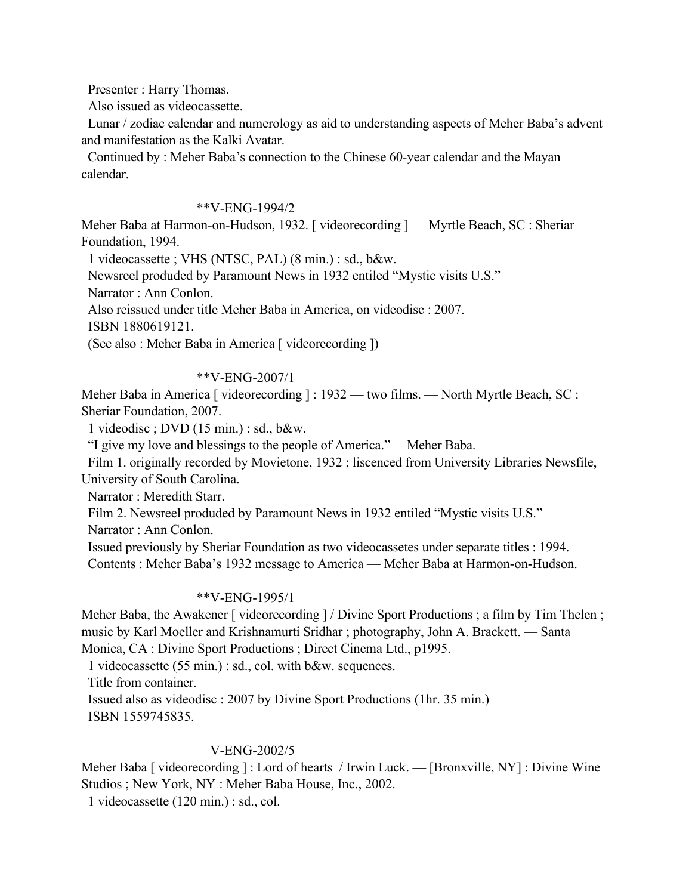Presenter : Harry Thomas.

Also issued as videocassette.

 Lunar / zodiac calendar and numerology as aid to understanding aspects of Meher Baba's advent and manifestation as the Kalki Avatar.

 Continued by : Meher Baba's connection to the Chinese 60-year calendar and the Mayan calendar.

## \*\*V-ENG-1994/2

Meher Baba at Harmon-on-Hudson, 1932. [ videorecording ] — Myrtle Beach, SC : Sheriar Foundation, 1994.

1 videocassette ; VHS (NTSC, PAL) (8 min.) : sd., b&w.

Newsreel produded by Paramount News in 1932 entiled "Mystic visits U.S."

Narrator : Ann Conlon.

Also reissued under title Meher Baba in America, on videodisc : 2007.

ISBN 1880619121.

(See also : Meher Baba in America [ videorecording ])

## \*\*V-ENG-2007/1

Meher Baba in America [ videorecording ] : 1932 — two films. — North Myrtle Beach, SC : Sheriar Foundation, 2007.

1 videodisc ; DVD (15 min.) : sd., b&w.

"I give my love and blessings to the people of America." —Meher Baba.

 Film 1. originally recorded by Movietone, 1932 ; liscenced from University Libraries Newsfile, University of South Carolina.

Narrator : Meredith Starr.

Film 2. Newsreel produded by Paramount News in 1932 entiled "Mystic visits U.S."

Narrator : Ann Conlon.

Issued previously by Sheriar Foundation as two videocassetes under separate titles : 1994.

Contents : Meher Baba's 1932 message to America — Meher Baba at Harmon-on-Hudson.

## \*\*V-ENG-1995/1

Meher Baba, the Awakener [ videorecording ] / Divine Sport Productions ; a film by Tim Thelen ; music by Karl Moeller and Krishnamurti Sridhar ; photography, John A. Brackett. — Santa Monica, CA : Divine Sport Productions ; Direct Cinema Ltd., p1995.

1 videocassette (55 min.) : sd., col. with b&w. sequences.

Title from container.

 Issued also as videodisc : 2007 by Divine Sport Productions (1hr. 35 min.) ISBN 1559745835.

# V-ENG-2002/5

Meher Baba [ videorecording ] : Lord of hearts / Irwin Luck. — [Bronxville, NY] : Divine Wine Studios ; New York, NY : Meher Baba House, Inc., 2002.

1 videocassette (120 min.) : sd., col.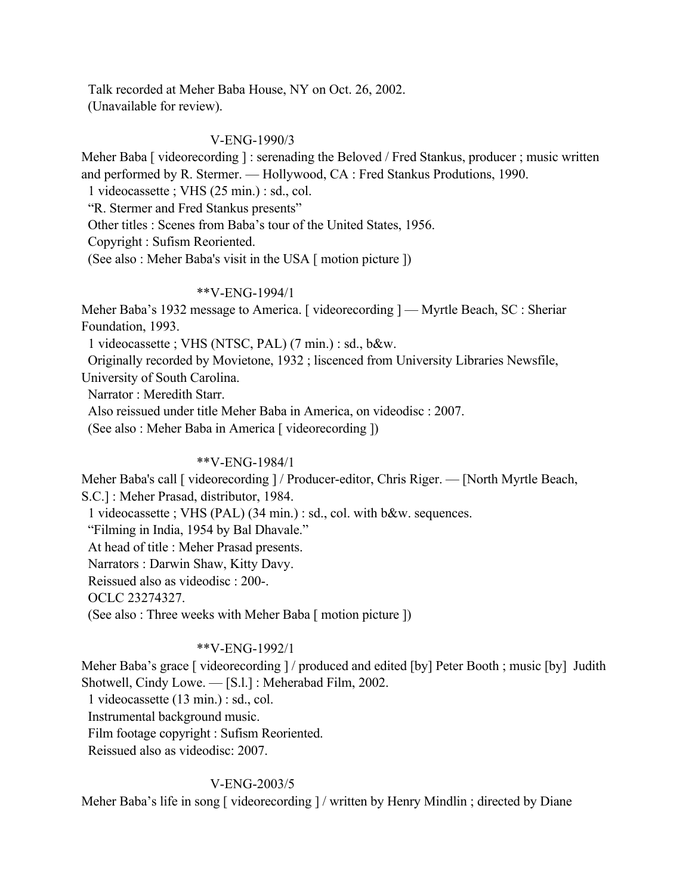Talk recorded at Meher Baba House, NY on Oct. 26, 2002. (Unavailable for review).

# V-ENG-1990/3

Meher Baba [ videorecording ] : serenading the Beloved / Fred Stankus, producer ; music written and performed by R. Stermer. — Hollywood, CA : Fred Stankus Produtions, 1990.

1 videocassette ; VHS (25 min.) : sd., col.

"R. Stermer and Fred Stankus presents"

Other titles : Scenes from Baba's tour of the United States, 1956.

Copyright : Sufism Reoriented.

(See also : Meher Baba's visit in the USA [ motion picture ])

# \*\*V-ENG-1994/1

Meher Baba's 1932 message to America. [videorecording ] — Myrtle Beach, SC : Sheriar Foundation, 1993.

1 videocassette ; VHS (NTSC, PAL) (7 min.) : sd., b&w.

Originally recorded by Movietone, 1932 ; liscenced from University Libraries Newsfile,

University of South Carolina.

Narrator : Meredith Starr.

Also reissued under title Meher Baba in America, on videodisc : 2007.

(See also : Meher Baba in America [ videorecording ])

# \*\*V-ENG-1984/1

Meher Baba's call [ videorecording ] / Producer-editor, Chris Riger. — [North Myrtle Beach, S.C.] : Meher Prasad, distributor, 1984.

1 videocassette ; VHS (PAL) (34 min.) : sd., col. with b&w. sequences.

"Filming in India, 1954 by Bal Dhavale."

At head of title : Meher Prasad presents.

Narrators : Darwin Shaw, Kitty Davy.

Reissued also as videodisc : 200-.

OCLC 23274327.

(See also : Three weeks with Meher Baba [ motion picture ])

# \*\*V-ENG-1992/1

Meher Baba's grace [ videorecording ] / produced and edited [by] Peter Booth ; music [by] Judith Shotwell, Cindy Lowe. — [S.l.] : Meherabad Film, 2002.

1 videocassette (13 min.) : sd., col.

Instrumental background music.

Film footage copyright : Sufism Reoriented.

Reissued also as videodisc: 2007.

# V-ENG-2003/5

Meher Baba's life in song [ videorecording ] / written by Henry Mindlin ; directed by Diane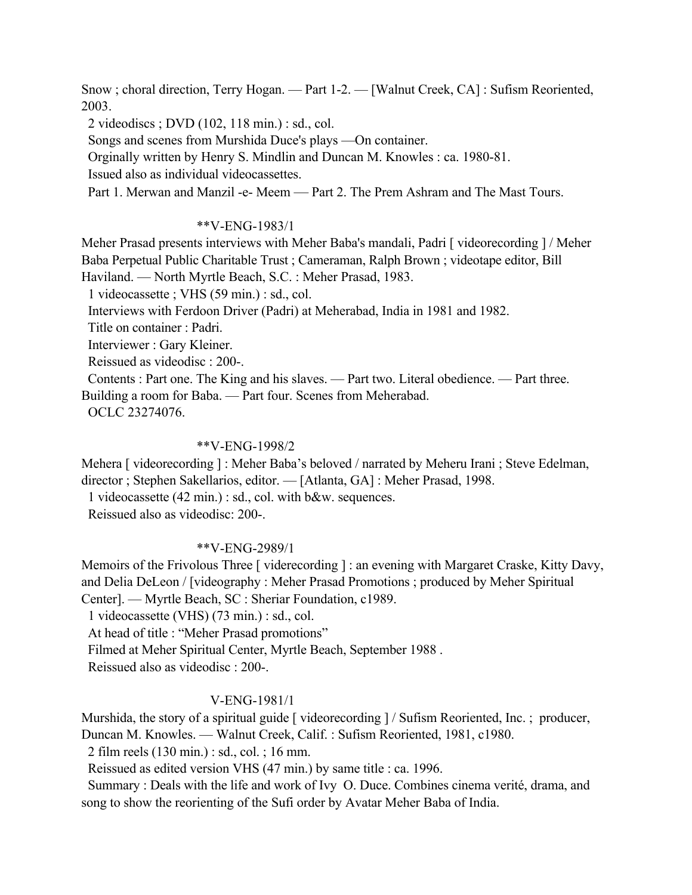Snow ; choral direction, Terry Hogan. — Part 1-2. — [Walnut Creek, CA] : Sufism Reoriented, 2003.

2 videodiscs ; DVD (102, 118 min.) : sd., col.

Songs and scenes from Murshida Duce's plays —On container.

Orginally written by Henry S. Mindlin and Duncan M. Knowles : ca. 1980-81.

Issued also as individual videocassettes.

Part 1. Merwan and Manzil -e- Meem — Part 2. The Prem Ashram and The Mast Tours.

## \*\*V-ENG-1983/1

Meher Prasad presents interviews with Meher Baba's mandali, Padri [ videorecording ] / Meher Baba Perpetual Public Charitable Trust ; Cameraman, Ralph Brown ; videotape editor, Bill Haviland. — North Myrtle Beach, S.C. : Meher Prasad, 1983.

1 videocassette ; VHS (59 min.) : sd., col.

Interviews with Ferdoon Driver (Padri) at Meherabad, India in 1981 and 1982.

Title on container : Padri.

Interviewer : Gary Kleiner.

Reissued as videodisc : 200-.

 Contents : Part one. The King and his slaves. — Part two. Literal obedience. — Part three. Building a room for Baba. — Part four. Scenes from Meherabad.

OCLC 23274076.

### \*\*V-ENG-1998/2

Mehera [ videorecording ] : Meher Baba's beloved / narrated by Meheru Irani ; Steve Edelman, director ; Stephen Sakellarios, editor. — [Atlanta, GA] : Meher Prasad, 1998.

1 videocassette (42 min.) : sd., col. with b&w. sequences.

Reissued also as videodisc: 200-.

## \*\*V-ENG-2989/1

Memoirs of the Frivolous Three [ viderecording ] : an evening with Margaret Craske, Kitty Davy, and Delia DeLeon / [videography : Meher Prasad Promotions ; produced by Meher Spiritual Center]. — Myrtle Beach, SC : Sheriar Foundation, c1989.

1 videocassette (VHS) (73 min.) : sd., col.

At head of title : "Meher Prasad promotions"

Filmed at Meher Spiritual Center, Myrtle Beach, September 1988 .

Reissued also as videodisc : 200-.

## V-ENG-1981/1

Murshida, the story of a spiritual guide [ videorecording ] / Sufism Reoriented, Inc. ; producer, Duncan M. Knowles. — Walnut Creek, Calif. : Sufism Reoriented, 1981, c1980.

2 film reels (130 min.) : sd., col. ; 16 mm.

Reissued as edited version VHS (47 min.) by same title : ca. 1996.

 Summary : Deals with the life and work of Ivy O. Duce. Combines cinema verité, drama, and song to show the reorienting of the Sufi order by Avatar Meher Baba of India.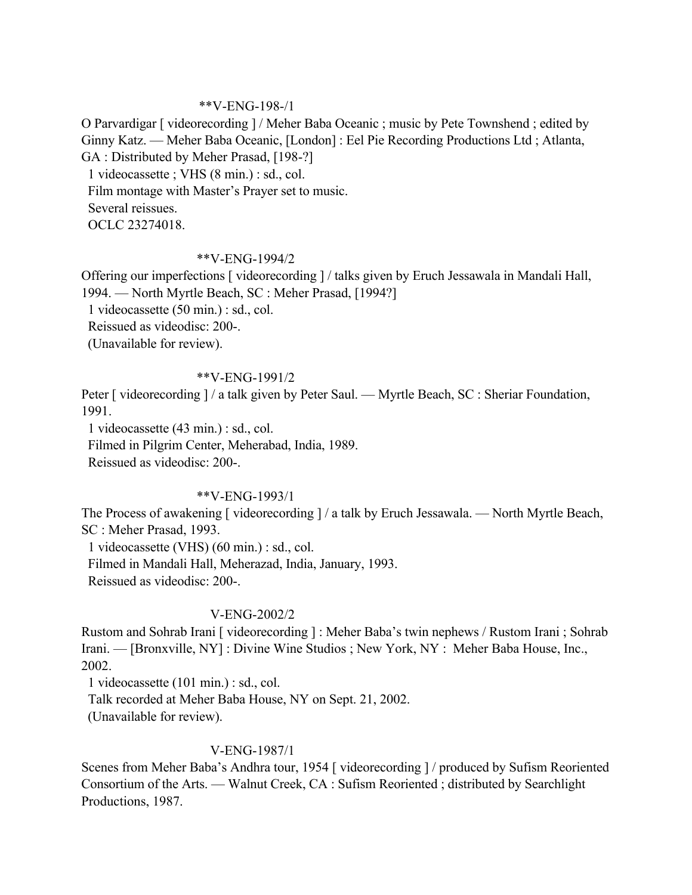## \*\*V-ENG-198-/1

O Parvardigar [ videorecording ] / Meher Baba Oceanic ; music by Pete Townshend ; edited by Ginny Katz. — Meher Baba Oceanic, [London] : Eel Pie Recording Productions Ltd ; Atlanta, GA : Distributed by Meher Prasad, [198-?]

1 videocassette ; VHS (8 min.) : sd., col.

Film montage with Master's Prayer set to music.

Several reissues.

OCLC 23274018.

# \*\*V-ENG-1994/2

Offering our imperfections [ videorecording ] / talks given by Eruch Jessawala in Mandali Hall, 1994. — North Myrtle Beach, SC : Meher Prasad, [1994?]

1 videocassette (50 min.) : sd., col.

Reissued as videodisc: 200-.

(Unavailable for review).

## \*\*V-ENG-1991/2

Peter [ videorecording ] / a talk given by Peter Saul. — Myrtle Beach, SC : Sheriar Foundation, 1991.

1 videocassette (43 min.) : sd., col.

Filmed in Pilgrim Center, Meherabad, India, 1989.

Reissued as videodisc: 200-.

# \*\*V-ENG-1993/1

The Process of awakening [ videorecording ] / a talk by Eruch Jessawala. — North Myrtle Beach, SC : Meher Prasad, 1993.

1 videocassette (VHS) (60 min.) : sd., col.

 Filmed in Mandali Hall, Meherazad, India, January, 1993. Reissued as videodisc: 200-.

# V-ENG-2002/2

Rustom and Sohrab Irani [ videorecording ] : Meher Baba's twin nephews / Rustom Irani ; Sohrab Irani. — [Bronxville, NY] : Divine Wine Studios ; New York, NY : Meher Baba House, Inc., 2002.

1 videocassette (101 min.) : sd., col.

Talk recorded at Meher Baba House, NY on Sept. 21, 2002.

(Unavailable for review).

# V-ENG-1987/1

Scenes from Meher Baba's Andhra tour, 1954 [ videorecording ] / produced by Sufism Reoriented Consortium of the Arts. — Walnut Creek, CA : Sufism Reoriented ; distributed by Searchlight Productions, 1987.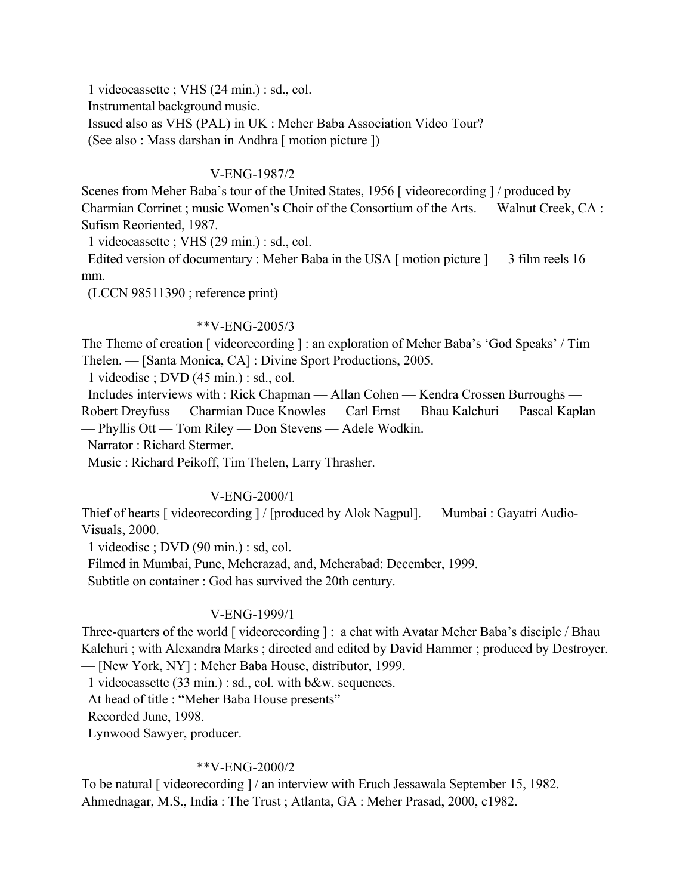1 videocassette ; VHS (24 min.) : sd., col. Instrumental background music. Issued also as VHS (PAL) in UK : Meher Baba Association Video Tour? (See also : Mass darshan in Andhra [ motion picture ])

## V-ENG-1987/2

Scenes from Meher Baba's tour of the United States, 1956 [ videorecording ] / produced by Charmian Corrinet ; music Women's Choir of the Consortium of the Arts. — Walnut Creek, CA : Sufism Reoriented, 1987.

1 videocassette ; VHS (29 min.) : sd., col.

Edited version of documentary : Meher Baba in the USA  $\lceil$  motion picture  $\rceil$   $-$  3 film reels 16 mm.

(LCCN 98511390 ; reference print)

## \*\*V-ENG-2005/3

The Theme of creation [ videorecording ] : an exploration of Meher Baba's 'God Speaks' / Tim Thelen. — [Santa Monica, CA] : Divine Sport Productions, 2005.

1 videodisc ; DVD (45 min.) : sd., col.

Includes interviews with : Rick Chapman — Allan Cohen — Kendra Crossen Burroughs —

Robert Dreyfuss — Charmian Duce Knowles — Carl Ernst — Bhau Kalchuri — Pascal Kaplan

— Phyllis Ott — Tom Riley — Don Stevens — Adele Wodkin.

Narrator : Richard Stermer.

Music : Richard Peikoff, Tim Thelen, Larry Thrasher.

# V-ENG-2000/1

Thief of hearts [ videorecording ] / [produced by Alok Nagpul]. — Mumbai : Gayatri Audio-Visuals, 2000.

1 videodisc ; DVD (90 min.) : sd, col.

Filmed in Mumbai, Pune, Meherazad, and, Meherabad: December, 1999.

Subtitle on container : God has survived the 20th century.

## V-ENG-1999/1

Three-quarters of the world [ videorecording ] : a chat with Avatar Meher Baba's disciple / Bhau Kalchuri ; with Alexandra Marks ; directed and edited by David Hammer ; produced by Destroyer. — [New York, NY] : Meher Baba House, distributor, 1999.

1 videocassette (33 min.) : sd., col. with b&w. sequences.

At head of title : "Meher Baba House presents"

Recorded June, 1998.

Lynwood Sawyer, producer.

## \*\*V-ENG-2000/2

To be natural [ videorecording ] / an interview with Eruch Jessawala September 15, 1982. — Ahmednagar, M.S., India : The Trust ; Atlanta, GA : Meher Prasad, 2000, c1982.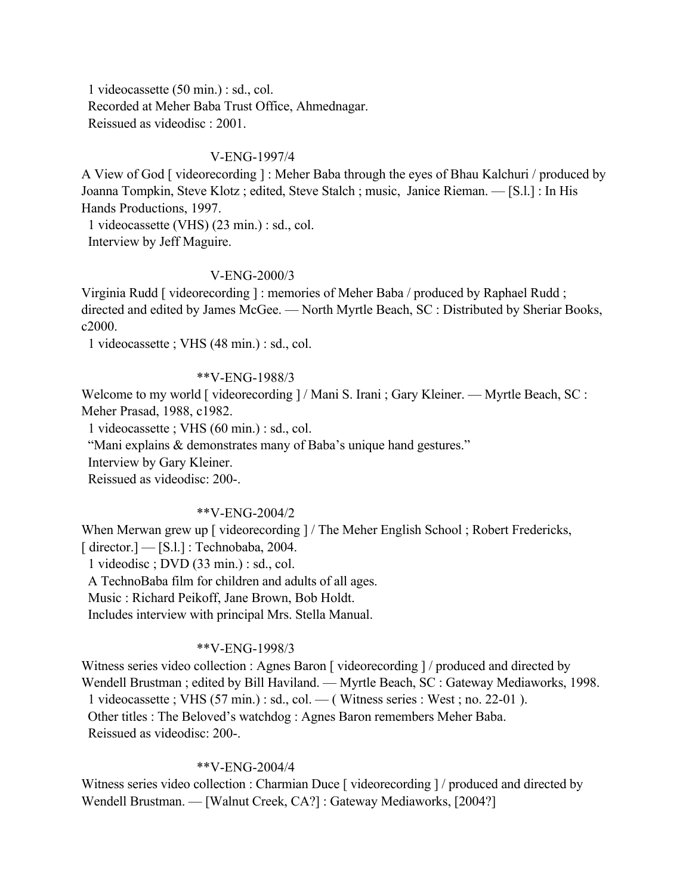1 videocassette (50 min.) : sd., col. Recorded at Meher Baba Trust Office, Ahmednagar. Reissued as videodisc : 2001.

### V-ENG-1997/4

A View of God [ videorecording ] : Meher Baba through the eyes of Bhau Kalchuri / produced by Joanna Tompkin, Steve Klotz ; edited, Steve Stalch ; music, Janice Rieman. — [S.l.] : In His Hands Productions, 1997.

 1 videocassette (VHS) (23 min.) : sd., col. Interview by Jeff Maguire.

### V-ENG-2000/3

Virginia Rudd [ videorecording ] : memories of Meher Baba / produced by Raphael Rudd ; directed and edited by James McGee. — North Myrtle Beach, SC : Distributed by Sheriar Books, c2000.

1 videocassette ; VHS (48 min.) : sd., col.

## \*\*V-ENG-1988/3

Welcome to my world [ videorecording ] / Mani S. Irani ; Gary Kleiner. — Myrtle Beach, SC : Meher Prasad, 1988, c1982.

1 videocassette ; VHS (60 min.) : sd., col.

"Mani explains & demonstrates many of Baba's unique hand gestures."

Interview by Gary Kleiner.

Reissued as videodisc: 200-.

#### \*\*V-ENG-2004/2

When Merwan grew up [ videorecording ] / The Meher English School ; Robert Fredericks,  $\lceil$  director. $\lceil$  -  $\lceil$  S.1. $\rceil$  : Technobaba, 2004.

1 videodisc ; DVD (33 min.) : sd., col.

A TechnoBaba film for children and adults of all ages.

Music : Richard Peikoff, Jane Brown, Bob Holdt.

Includes interview with principal Mrs. Stella Manual.

## \*\*V-ENG-1998/3

Witness series video collection : Agnes Baron [ videorecording ] / produced and directed by Wendell Brustman ; edited by Bill Haviland. — Myrtle Beach, SC : Gateway Mediaworks, 1998. 1 videocassette ; VHS (57 min.) : sd., col. — ( Witness series : West ; no. 22-01 ). Other titles : The Beloved's watchdog : Agnes Baron remembers Meher Baba. Reissued as videodisc: 200-.

#### \*\*V-ENG-2004/4

Witness series video collection : Charmian Duce [ videorecording ] / produced and directed by Wendell Brustman. — [Walnut Creek, CA?] : Gateway Mediaworks, [2004?]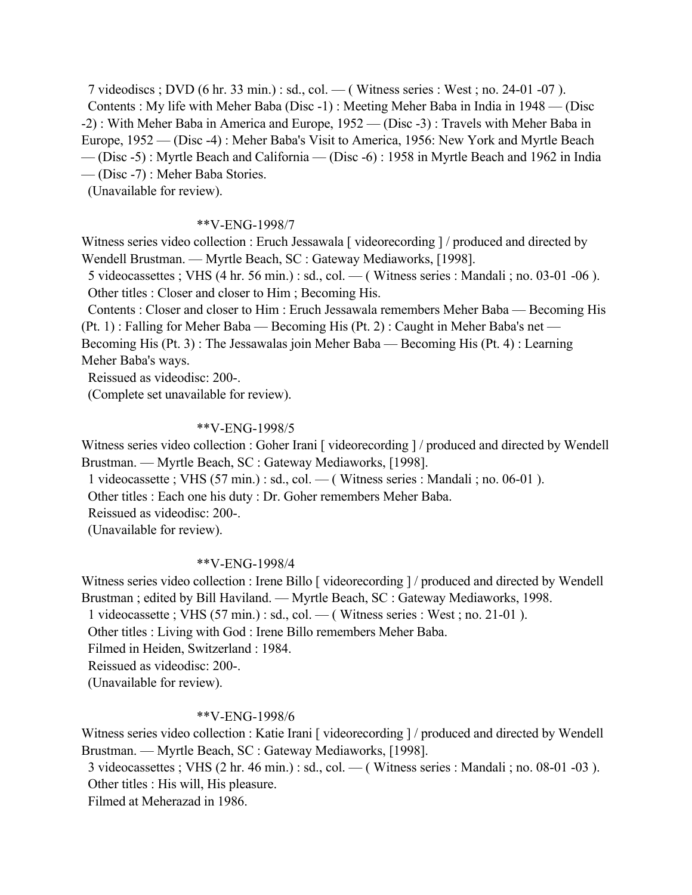7 videodiscs ; DVD (6 hr. 33 min.) : sd., col. — ( Witness series : West ; no. 24-01 -07 ). Contents : My life with Meher Baba (Disc -1) : Meeting Meher Baba in India in 1948 — (Disc -2) : With Meher Baba in America and Europe, 1952 — (Disc -3) : Travels with Meher Baba in Europe, 1952 — (Disc -4) : Meher Baba's Visit to America, 1956: New York and Myrtle Beach — (Disc -5) : Myrtle Beach and California — (Disc -6) : 1958 in Myrtle Beach and 1962 in India — (Disc -7) : Meher Baba Stories.

(Unavailable for review).

## \*\*V-ENG-1998/7

Witness series video collection : Eruch Jessawala [ videorecording ] / produced and directed by Wendell Brustman. — Myrtle Beach, SC : Gateway Mediaworks, [1998].

 5 videocassettes ; VHS (4 hr. 56 min.) : sd., col. — ( Witness series : Mandali ; no. 03-01 -06 ). Other titles : Closer and closer to Him ; Becoming His.

 Contents : Closer and closer to Him : Eruch Jessawala remembers Meher Baba — Becoming His (Pt. 1) : Falling for Meher Baba — Becoming His (Pt. 2) : Caught in Meher Baba's net — Becoming His (Pt. 3) : The Jessawalas join Meher Baba — Becoming His (Pt. 4) : Learning Meher Baba's ways.

Reissued as videodisc: 200-.

(Complete set unavailable for review).

### \*\*V-ENG-1998/5

Witness series video collection : Goher Irani [ videorecording ] / produced and directed by Wendell Brustman. — Myrtle Beach, SC : Gateway Mediaworks, [1998].

1 videocassette ; VHS (57 min.) : sd., col. — ( Witness series : Mandali ; no. 06-01 ).

Other titles : Each one his duty : Dr. Goher remembers Meher Baba.

Reissued as videodisc: 200-.

(Unavailable for review).

#### \*\*V-ENG-1998/4

Witness series video collection : Irene Billo [ videorecording ] / produced and directed by Wendell Brustman ; edited by Bill Haviland. — Myrtle Beach, SC : Gateway Mediaworks, 1998.

1 videocassette ; VHS (57 min.) : sd., col. — ( Witness series : West ; no. 21-01 ).

Other titles : Living with God : Irene Billo remembers Meher Baba.

Filmed in Heiden, Switzerland : 1984.

Reissued as videodisc: 200-.

(Unavailable for review).

#### \*\*V-ENG-1998/6

Witness series video collection : Katie Irani [ videorecording ] / produced and directed by Wendell Brustman. — Myrtle Beach, SC : Gateway Mediaworks, [1998].

 3 videocassettes ; VHS (2 hr. 46 min.) : sd., col. — ( Witness series : Mandali ; no. 08-01 -03 ). Other titles : His will, His pleasure.

Filmed at Meherazad in 1986.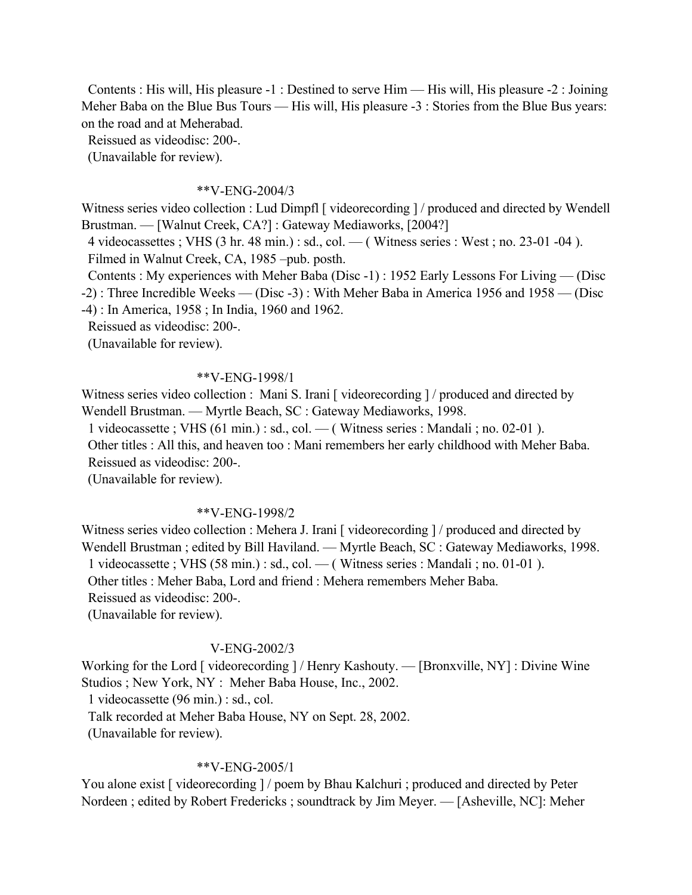Contents : His will, His pleasure -1 : Destined to serve Him — His will, His pleasure -2 : Joining Meher Baba on the Blue Bus Tours — His will, His pleasure -3 : Stories from the Blue Bus years: on the road and at Meherabad.

Reissued as videodisc: 200-.

(Unavailable for review).

### \*\*V-ENG-2004/3

Witness series video collection : Lud Dimpfl [ videorecording ] / produced and directed by Wendell Brustman. — [Walnut Creek, CA?] : Gateway Mediaworks, [2004?]

 4 videocassettes ; VHS (3 hr. 48 min.) : sd., col. — ( Witness series : West ; no. 23-01 -04 ). Filmed in Walnut Creek, CA, 1985 –pub. posth.

Contents : My experiences with Meher Baba (Disc -1) : 1952 Early Lessons For Living — (Disc

- -2) : Three Incredible Weeks (Disc -3) : With Meher Baba in America 1956 and 1958 (Disc
- -4) : In America, 1958 ; In India, 1960 and 1962.

Reissued as videodisc: 200-.

(Unavailable for review).

### \*\*V-ENG-1998/1

Witness series video collection : Mani S. Irani [ videorecording  $\frac{1}{\nu}$  produced and directed by Wendell Brustman. — Myrtle Beach, SC : Gateway Mediaworks, 1998.

1 videocassette ; VHS (61 min.) : sd., col. — ( Witness series : Mandali ; no. 02-01 ).

 Other titles : All this, and heaven too : Mani remembers her early childhood with Meher Baba. Reissued as videodisc: 200-.

(Unavailable for review).

#### \*\*V-ENG-1998/2

Witness series video collection : Mehera J. Irani [ videorecording ] / produced and directed by Wendell Brustman ; edited by Bill Haviland. — Myrtle Beach, SC : Gateway Mediaworks, 1998. 1 videocassette ; VHS (58 min.) : sd., col. — ( Witness series : Mandali ; no. 01-01 ). Other titles : Meher Baba, Lord and friend : Mehera remembers Meher Baba.

Reissued as videodisc: 200-.

(Unavailable for review).

### V-ENG-2002/3

Working for the Lord [ videorecording ] / Henry Kashouty. — [Bronxville, NY] : Divine Wine Studios ; New York, NY : Meher Baba House, Inc., 2002.

1 videocassette (96 min.) : sd., col.

Talk recorded at Meher Baba House, NY on Sept. 28, 2002.

(Unavailable for review).

### \*\*V-ENG-2005/1

You alone exist [ videorecording ] / poem by Bhau Kalchuri ; produced and directed by Peter Nordeen ; edited by Robert Fredericks ; soundtrack by Jim Meyer. — [Asheville, NC]: Meher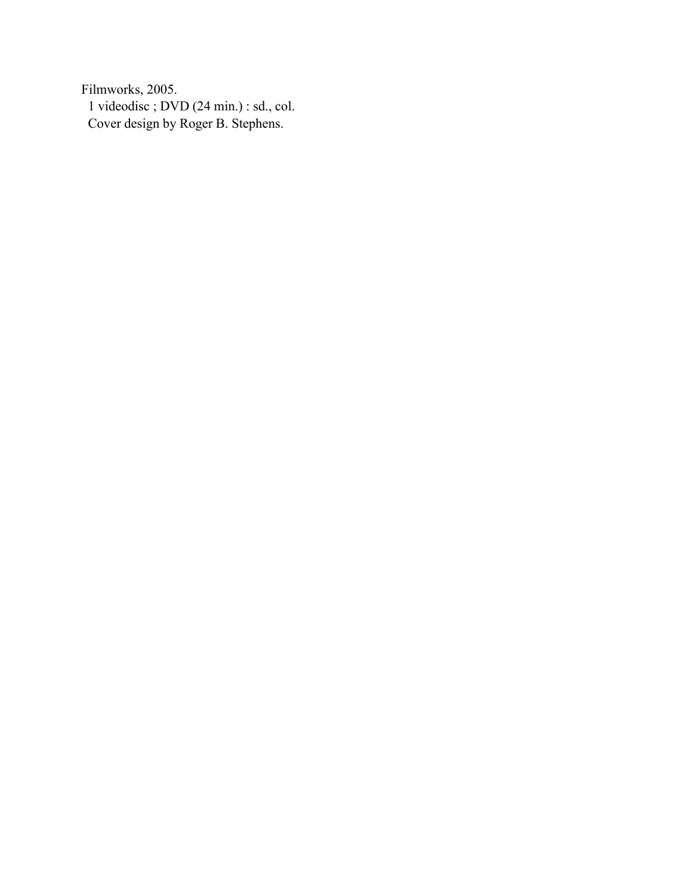Filmworks, 2005. 1 videodisc ; DVD (24 min.) : sd., col. Cover design by Roger B. Stephens.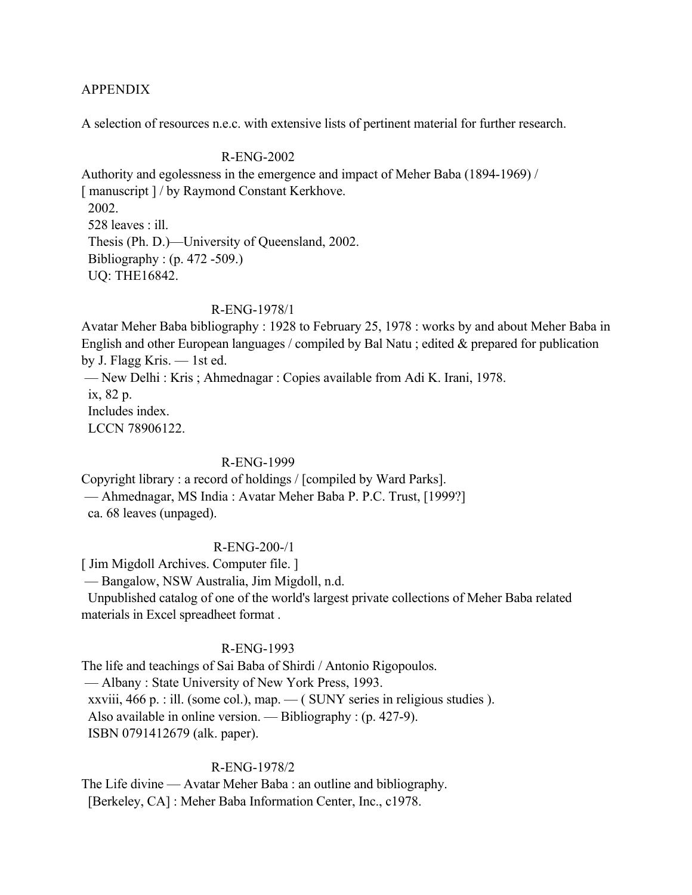### APPENDIX

A selection of resources n.e.c. with extensive lists of pertinent material for further research.

### R-ENG-2002

Authority and egolessness in the emergence and impact of Meher Baba (1894-1969) / [ manuscript ] / by Raymond Constant Kerkhove. 2002. 528 leaves : ill. Thesis (Ph. D.)—University of Queensland, 2002. Bibliography : (p. 472 -509.) UQ: THE16842.

## R-ENG-1978/1

Avatar Meher Baba bibliography : 1928 to February 25, 1978 : works by and about Meher Baba in English and other European languages / compiled by Bal Natu ; edited & prepared for publication by J. Flagg Kris. — 1st ed. — New Delhi : Kris ; Ahmednagar : Copies available from Adi K. Irani, 1978. ix, 82 p. Includes index. LCCN 78906122.

### R-ENG-1999

Copyright library : a record of holdings / [compiled by Ward Parks]. — Ahmednagar, MS India : Avatar Meher Baba P. P.C. Trust, [1999?] ca. 68 leaves (unpaged).

## R-ENG-200-/1

[ Jim Migdoll Archives. Computer file. ]

— Bangalow, NSW Australia, Jim Migdoll, n.d.

 Unpublished catalog of one of the world's largest private collections of Meher Baba related materials in Excel spreadheet format .

## R-ENG-1993

The life and teachings of Sai Baba of Shirdi / Antonio Rigopoulos. — Albany : State University of New York Press, 1993. xxviii, 466 p. : ill. (some col.), map.  $-$  (SUNY series in religious studies). Also available in online version. — Bibliography : (p. 427-9). ISBN 0791412679 (alk. paper).

### R-ENG-1978/2

The Life divine — Avatar Meher Baba : an outline and bibliography. [Berkeley, CA] : Meher Baba Information Center, Inc., c1978.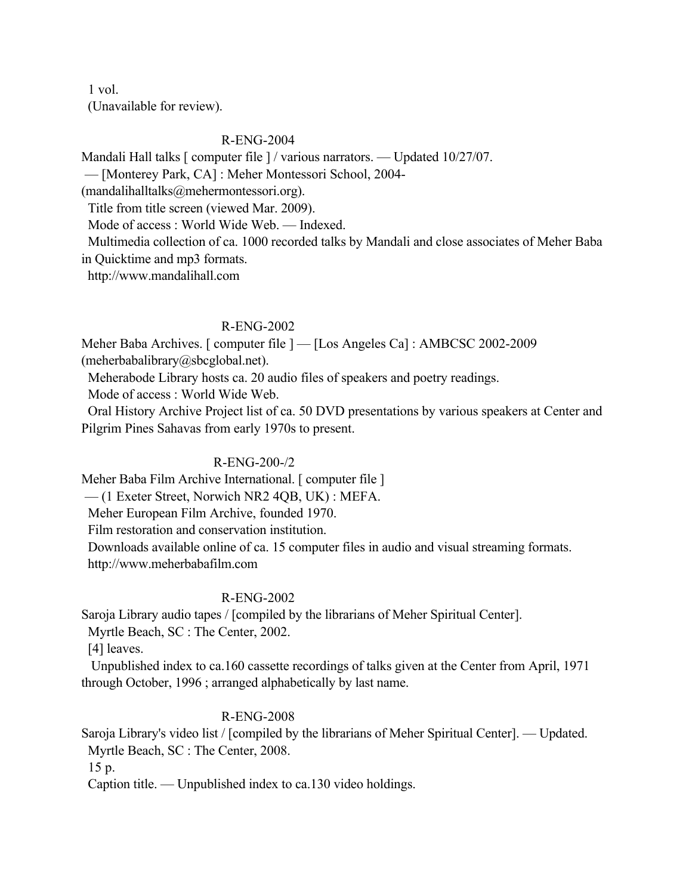1 vol. (Unavailable for review).

## R-ENG-2004

Mandali Hall talks [ computer file ] / various narrators. — Updated 10/27/07.

— [Monterey Park, CA] : Meher Montessori School, 2004-

(mandalihalltalks@mehermontessori.org).

Title from title screen (viewed Mar. 2009).

Mode of access : World Wide Web. — Indexed.

 Multimedia collection of ca. 1000 recorded talks by Mandali and close associates of Meher Baba in Quicktime and mp3 formats.

http://www.mandalihall.com

## R-ENG-2002

Meher Baba Archives. [ computer file ] — [Los Angeles Ca] : AMBCSC 2002-2009 (meherbabalibrary@sbcglobal.net).

Meherabode Library hosts ca. 20 audio files of speakers and poetry readings.

Mode of access : World Wide Web.

 Oral History Archive Project list of ca. 50 DVD presentations by various speakers at Center and Pilgrim Pines Sahavas from early 1970s to present.

# R-ENG-200-/2

Meher Baba Film Archive International. [ computer file ]

— (1 Exeter Street, Norwich NR2 4QB, UK) : MEFA.

Meher European Film Archive, founded 1970.

Film restoration and conservation institution.

 Downloads available online of ca. 15 computer files in audio and visual streaming formats. http://www.meherbabafilm.com

# R-ENG-2002

Saroja Library audio tapes / [compiled by the librarians of Meher Spiritual Center].

Myrtle Beach, SC : The Center, 2002.

[4] leaves.

 Unpublished index to ca.160 cassette recordings of talks given at the Center from April, 1971 through October, 1996 ; arranged alphabetically by last name.

# R-ENG-2008

Saroja Library's video list / [compiled by the librarians of Meher Spiritual Center]. — Updated. Myrtle Beach, SC : The Center, 2008.

15 p.

Caption title. — Unpublished index to ca.130 video holdings.